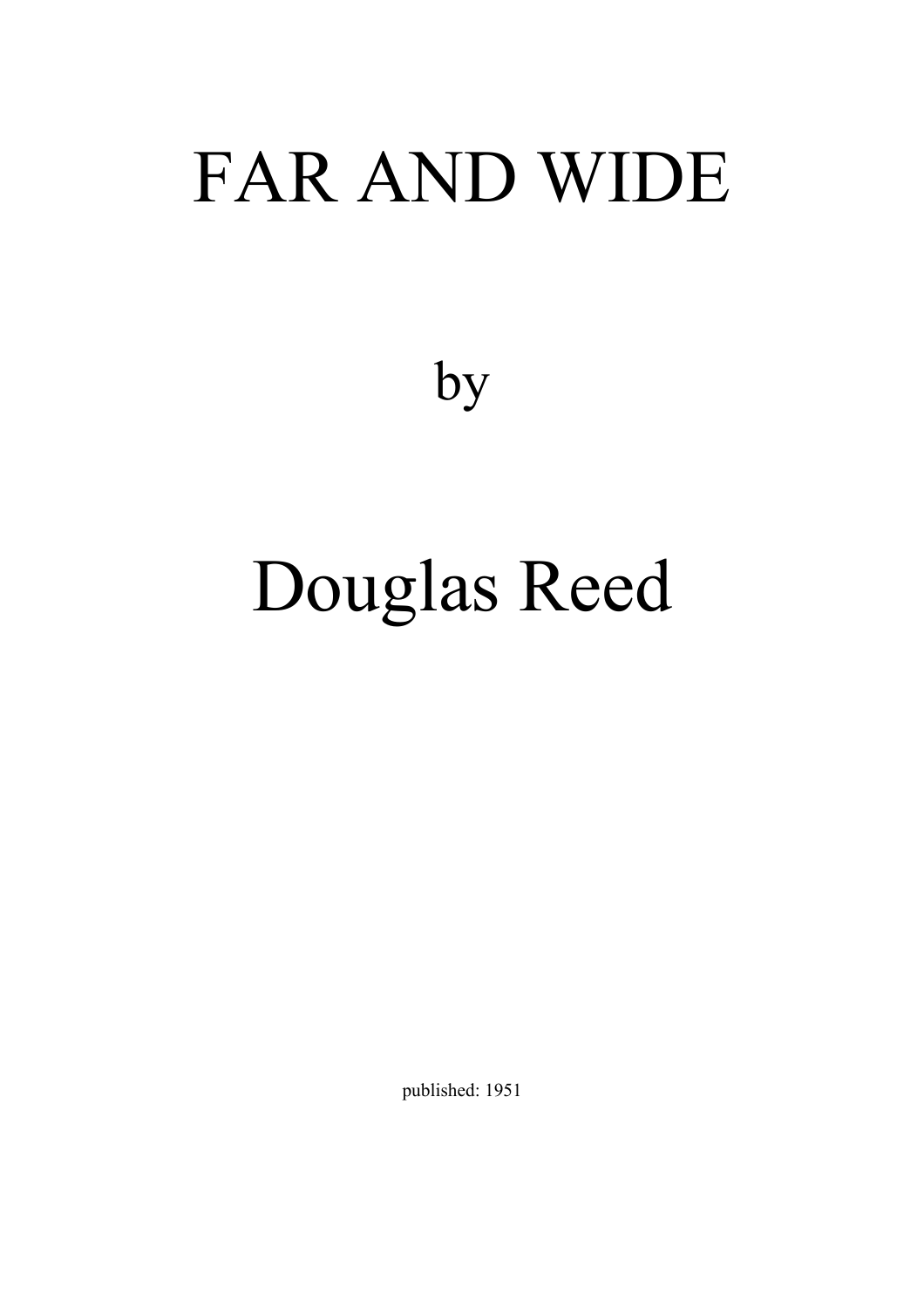# FAR AND WIDE

by

# Douglas Reed

published: 1951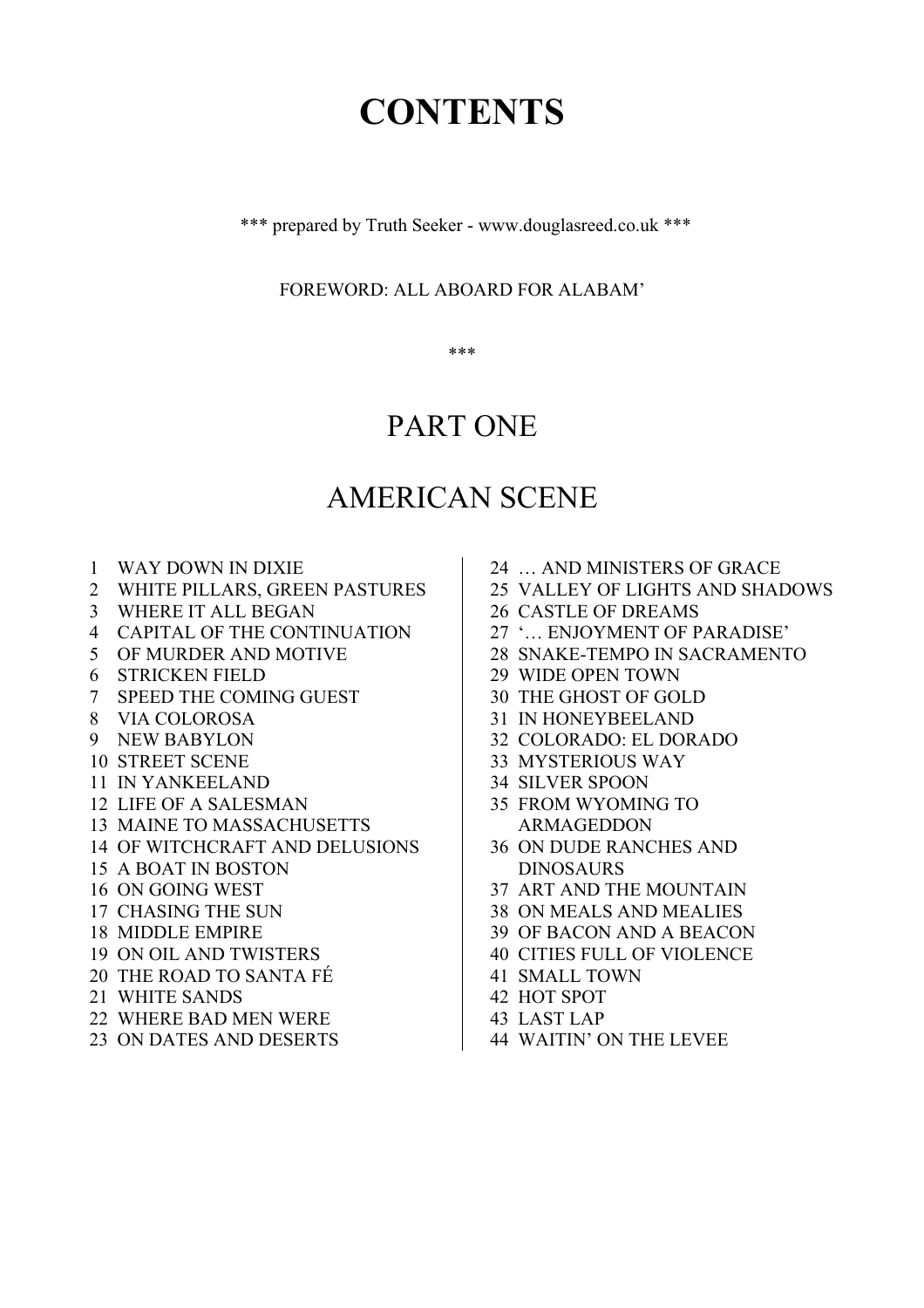## **CONTENTS**

\*\*\* prepared by Truth Seeker - www.douglasreed.co.uk \*\*\*

#### [FOREWORD: ALL ABOARD FOR ALABAM'](#page-3-0)

\*\*\*

### PART ONE

#### AMERICAN SCENE

- [WAY DOWN IN DIXIE](#page-7-0)
- [WHITE PILLARS, GREEN PASTURES](#page-11-0)
- [WHERE IT ALL BEGAN](#page-20-0)
- [CAPITAL OF THE CONTINUATION](#page-23-0)
- [OF MURDER AND MOTIVE](#page-26-0)
- [STRICKEN FIELD](#page-31-0)
- [SPEED THE COMING GUEST](#page-34-0)
- [VIA COLOROSA](#page-36-0)
- [NEW BABYLON](#page-38-0)
- [STREET SCENE](#page-43-0)
- [IN YANKEELAND](#page-49-0)
- [LIFE OF A SALESMAN](#page-51-0)
- [MAINE TO MASSACHUSETTS](#page-53-0)
- [OF WITCHCRAFT AND DELUSIONS](#page-55-0)
- [A BOAT IN BOSTON](#page-59-0)
- [ON GOING WEST](#page-62-0)
- [CHASING THE SUN](#page-64-0)
- [MIDDLE EMPIRE](#page-67-0)
- [ON OIL AND TWISTERS](#page-71-0)
- [THE ROAD TO SANTA FÉ](#page-74-0)
- [WHITE SANDS](#page-76-0)
- [WHERE BAD MEN WERE](#page-82-0)
- [ON DATES AND DESERTS](#page-86-0)
- [… AND MINISTERS OF GRACE](#page-88-0)
- [VALLEY OF LIGHTS AND SHADOWS](#page-91-0)
- [CASTLE OF DREAMS](#page-95-0)
- ['… ENJOYMENT OF PARADISE'](#page-97-0)
- [SNAKE-TEMPO IN SACRAMENTO](#page-100-0)
- [WIDE OPEN TOWN](#page-102-0)
- [THE GHOST OF GOLD](#page-105-0)
- [IN HONEYBEELAND](#page-108-0)
- [COLORADO: EL DORADO](#page-111-0)
- [MYSTERIOUS WAY](#page-114-0)
- [SILVER SPOON](#page-116-0)
- [FROM WYOMING TO](#page-119-0) ARMAGEDDON
- [ON DUDE RANCHES AND](#page-121-0) DINOSAURS
- [ART AND THE MOUNTAIN](#page-125-0)
- [ON MEALS AND MEALIES](#page-128-0)
- [OF BACON AND A BEACON](#page-130-0)
- [CITIES FULL OF VIOLENCE](#page-134-0)
- [SMALL TOWN](#page-143-0)
- [HOT SPOT](#page-147-0)
- [LAST LAP](#page-149-0)
- [WAITIN' ON THE LEVEE](#page-158-0)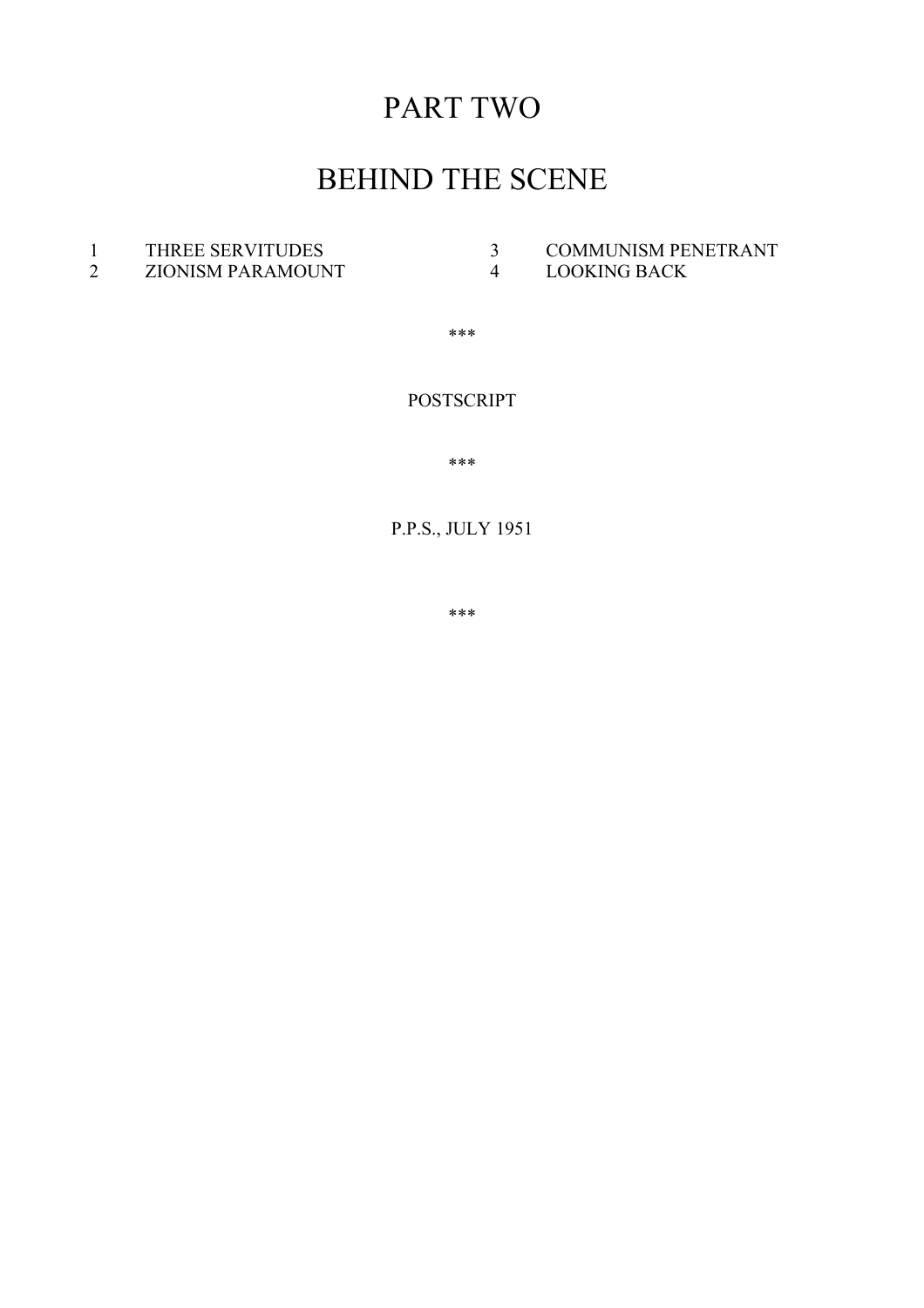## PART TWO

### BEHIND THE SCENE

- 1 [THREE SERVITUDES](#page-162-0)
- 2 [ZIONISM PARAMOUNT](#page-165-0)
- 3 [COMMUNISM PENETRANT](#page-191-0)<br>4 LOOKING BACK
	- **[LOOKING BACK](#page-216-0)**

\*\*\*

[POSTSCRIPT](#page-218-0)

\*\*\*

#### [P.P.S., JULY 1951](#page-228-0)

\*\*\*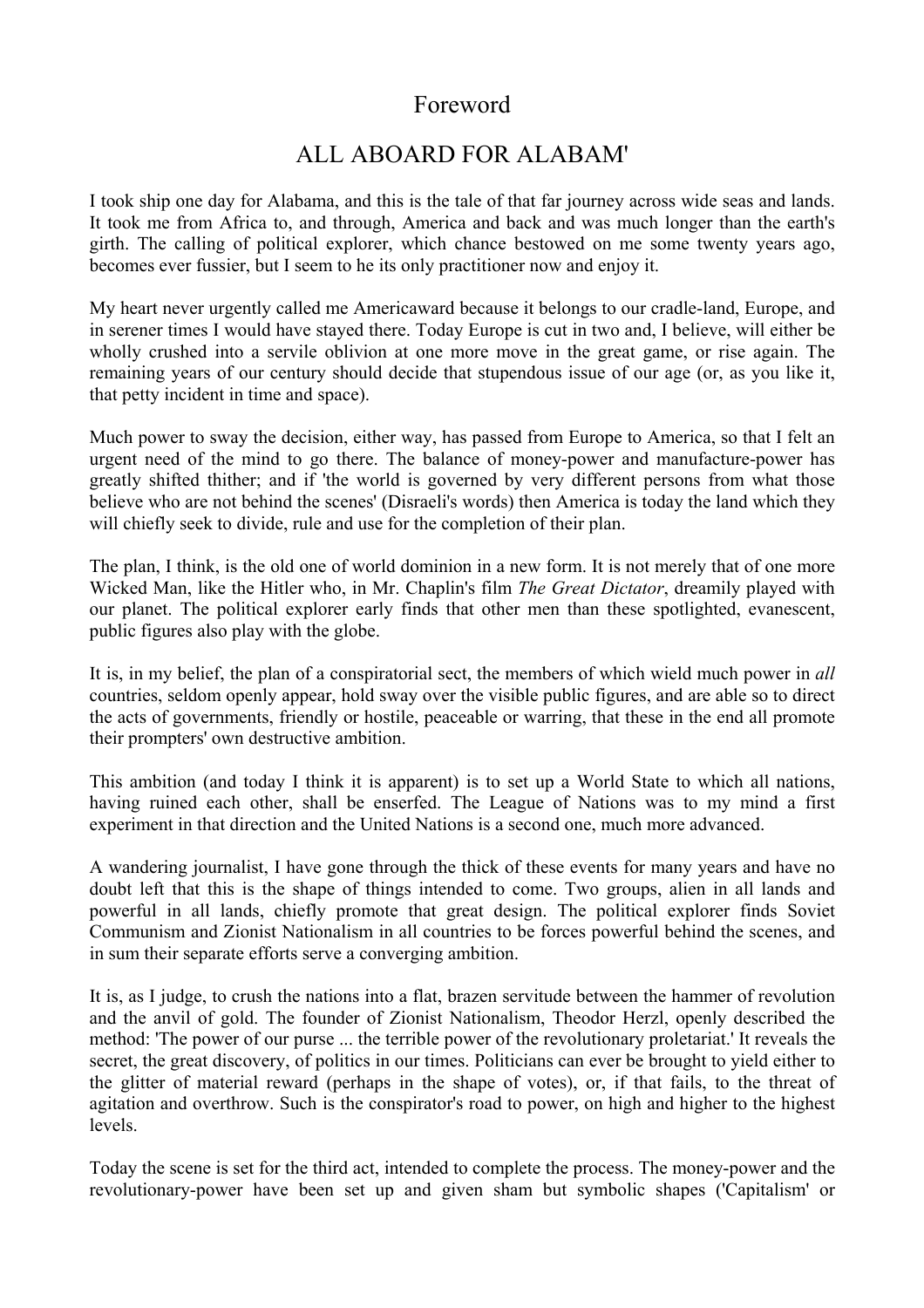#### Foreword

#### ALL ABOARD FOR ALABAM'

<span id="page-3-0"></span>I took ship one day for Alabama, and this is the tale of that far journey across wide seas and lands. It took me from Africa to, and through, America and back and was much longer than the earth's girth. The calling of political explorer, which chance bestowed on me some twenty years ago, becomes ever fussier, but I seem to he its only practitioner now and enjoy it.

My heart never urgently called me Americaward because it belongs to our cradle-land, Europe, and in serener times I would have stayed there. Today Europe is cut in two and, I believe, will either be wholly crushed into a servile oblivion at one more move in the great game, or rise again. The remaining years of our century should decide that stupendous issue of our age (or, as you like it, that petty incident in time and space).

Much power to sway the decision, either way, has passed from Europe to America, so that I felt an urgent need of the mind to go there. The balance of money-power and manufacture-power has greatly shifted thither; and if 'the world is governed by very different persons from what those believe who are not behind the scenes' (Disraeli's words) then America is today the land which they will chiefly seek to divide, rule and use for the completion of their plan.

The plan, I think, is the old one of world dominion in a new form. It is not merely that of one more Wicked Man, like the Hitler who, in Mr. Chaplin's film *The Great Dictator*, dreamily played with our planet. The political explorer early finds that other men than these spotlighted, evanescent, public figures also play with the globe.

It is, in my belief, the plan of a conspiratorial sect, the members of which wield much power in *all* countries, seldom openly appear, hold sway over the visible public figures, and are able so to direct the acts of governments, friendly or hostile, peaceable or warring, that these in the end all promote their prompters' own destructive ambition.

This ambition (and today I think it is apparent) is to set up a World State to which all nations, having ruined each other, shall be enserfed. The League of Nations was to my mind a first experiment in that direction and the United Nations is a second one, much more advanced.

A wandering journalist, I have gone through the thick of these events for many years and have no doubt left that this is the shape of things intended to come. Two groups, alien in all lands and powerful in all lands, chiefly promote that great design. The political explorer finds Soviet Communism and Zionist Nationalism in all countries to be forces powerful behind the scenes, and in sum their separate efforts serve a converging ambition.

It is, as I judge, to crush the nations into a flat, brazen servitude between the hammer of revolution and the anvil of gold. The founder of Zionist Nationalism, Theodor Herzl, openly described the method: 'The power of our purse ... the terrible power of the revolutionary proletariat.' It reveals the secret, the great discovery, of politics in our times. Politicians can ever be brought to yield either to the glitter of material reward (perhaps in the shape of votes), or, if that fails, to the threat of agitation and overthrow. Such is the conspirator's road to power, on high and higher to the highest levels.

Today the scene is set for the third act, intended to complete the process. The money-power and the revolutionary-power have been set up and given sham but symbolic shapes ('Capitalism' or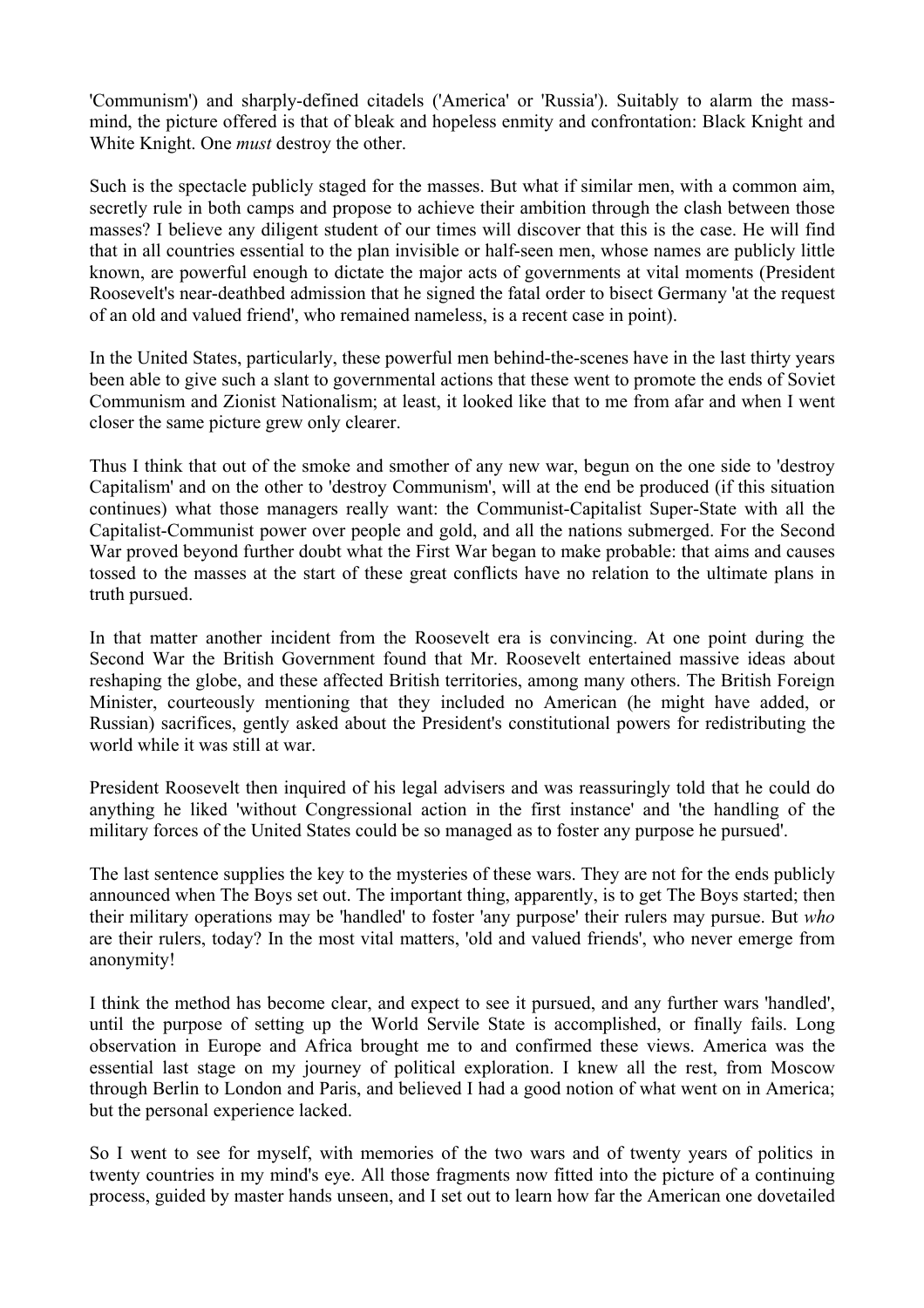'Communism') and sharply-defined citadels ('America' or 'Russia'). Suitably to alarm the massmind, the picture offered is that of bleak and hopeless enmity and confrontation: Black Knight and White Knight. One *must* destroy the other.

Such is the spectacle publicly staged for the masses. But what if similar men, with a common aim, secretly rule in both camps and propose to achieve their ambition through the clash between those masses? I believe any diligent student of our times will discover that this is the case. He will find that in all countries essential to the plan invisible or half-seen men, whose names are publicly little known, are powerful enough to dictate the major acts of governments at vital moments (President Roosevelt's near-deathbed admission that he signed the fatal order to bisect Germany 'at the request of an old and valued friend', who remained nameless, is a recent case in point).

In the United States, particularly, these powerful men behind-the-scenes have in the last thirty years been able to give such a slant to governmental actions that these went to promote the ends of Soviet Communism and Zionist Nationalism; at least, it looked like that to me from afar and when I went closer the same picture grew only clearer.

Thus I think that out of the smoke and smother of any new war, begun on the one side to 'destroy Capitalism' and on the other to 'destroy Communism', will at the end be produced (if this situation continues) what those managers really want: the Communist-Capitalist Super-State with all the Capitalist-Communist power over people and gold, and all the nations submerged. For the Second War proved beyond further doubt what the First War began to make probable: that aims and causes tossed to the masses at the start of these great conflicts have no relation to the ultimate plans in truth pursued.

In that matter another incident from the Roosevelt era is convincing. At one point during the Second War the British Government found that Mr. Roosevelt entertained massive ideas about reshaping the globe, and these affected British territories, among many others. The British Foreign Minister, courteously mentioning that they included no American (he might have added, or Russian) sacrifices, gently asked about the President's constitutional powers for redistributing the world while it was still at war.

President Roosevelt then inquired of his legal advisers and was reassuringly told that he could do anything he liked 'without Congressional action in the first instance' and 'the handling of the military forces of the United States could be so managed as to foster any purpose he pursued'.

The last sentence supplies the key to the mysteries of these wars. They are not for the ends publicly announced when The Boys set out. The important thing, apparently, is to get The Boys started; then their military operations may be 'handled' to foster 'any purpose' their rulers may pursue. But *who* are their rulers, today? In the most vital matters, 'old and valued friends', who never emerge from anonymity!

I think the method has become clear, and expect to see it pursued, and any further wars 'handled', until the purpose of setting up the World Servile State is accomplished, or finally fails. Long observation in Europe and Africa brought me to and confirmed these views. America was the essential last stage on my journey of political exploration. I knew all the rest, from Moscow through Berlin to London and Paris, and believed I had a good notion of what went on in America; but the personal experience lacked.

So I went to see for myself, with memories of the two wars and of twenty years of politics in twenty countries in my mind's eye. All those fragments now fitted into the picture of a continuing process, guided by master hands unseen, and I set out to learn how far the American one dovetailed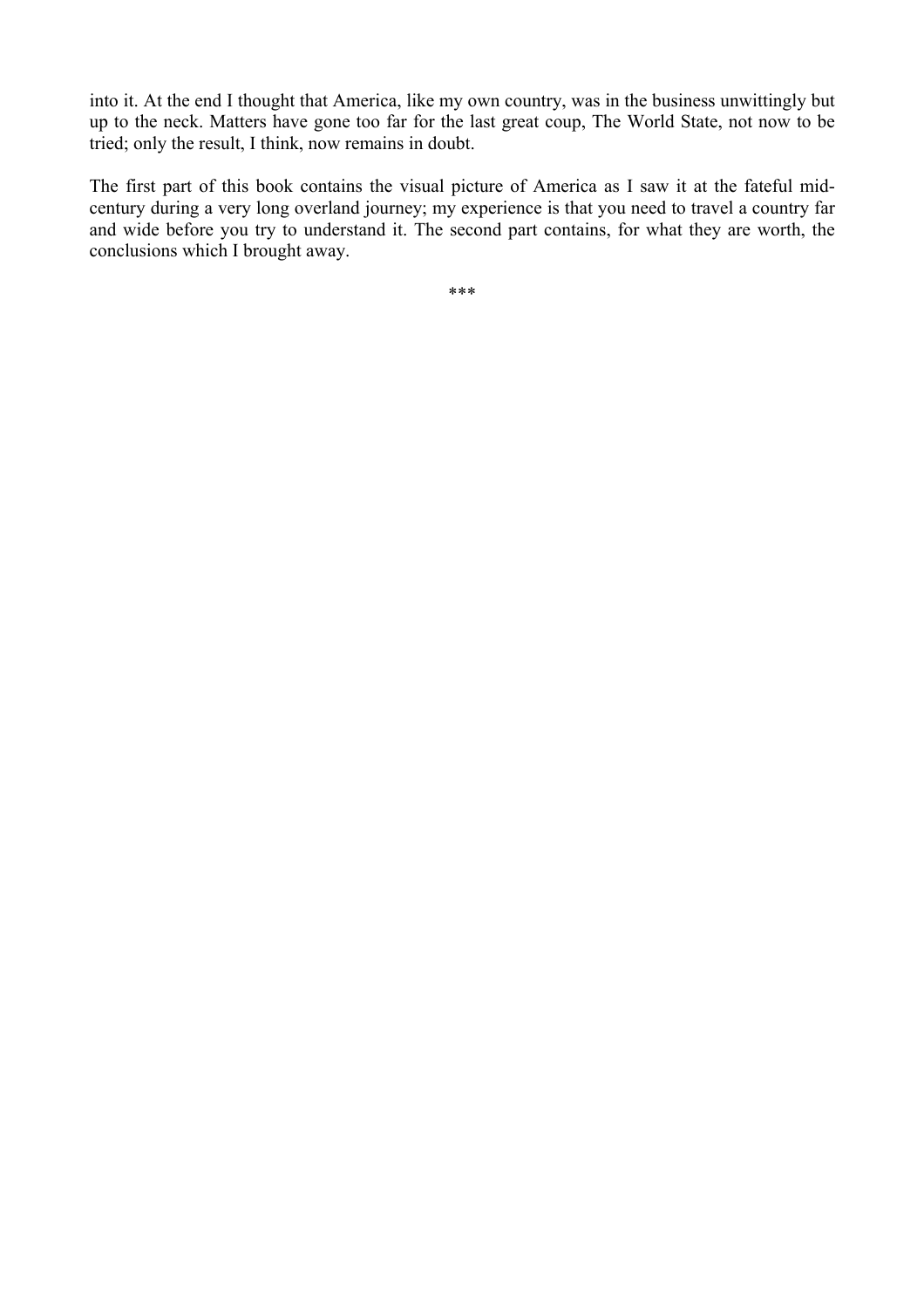into it. At the end I thought that America, like my own country, was in the business unwittingly but up to the neck. Matters have gone too far for the last great coup, The World State, not now to be tried; only the result, I think, now remains in doubt.

The first part of this book contains the visual picture of America as I saw it at the fateful midcentury during a very long overland journey; my experience is that you need to travel a country far and wide before you try to understand it. The second part contains, for what they are worth, the conclusions which I brought away.

\*\*\*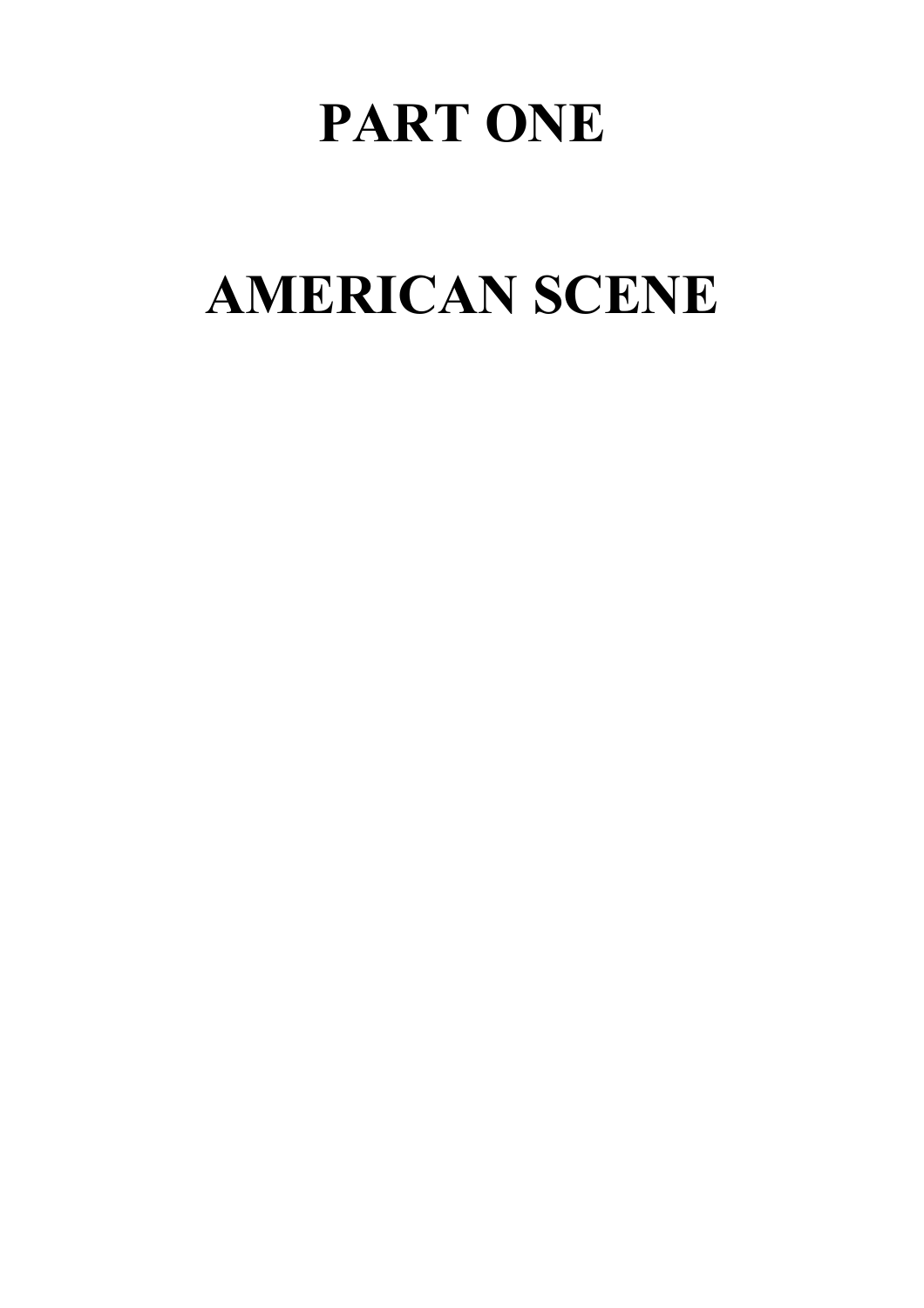## **PART ONE**

## **AMERICAN SCENE**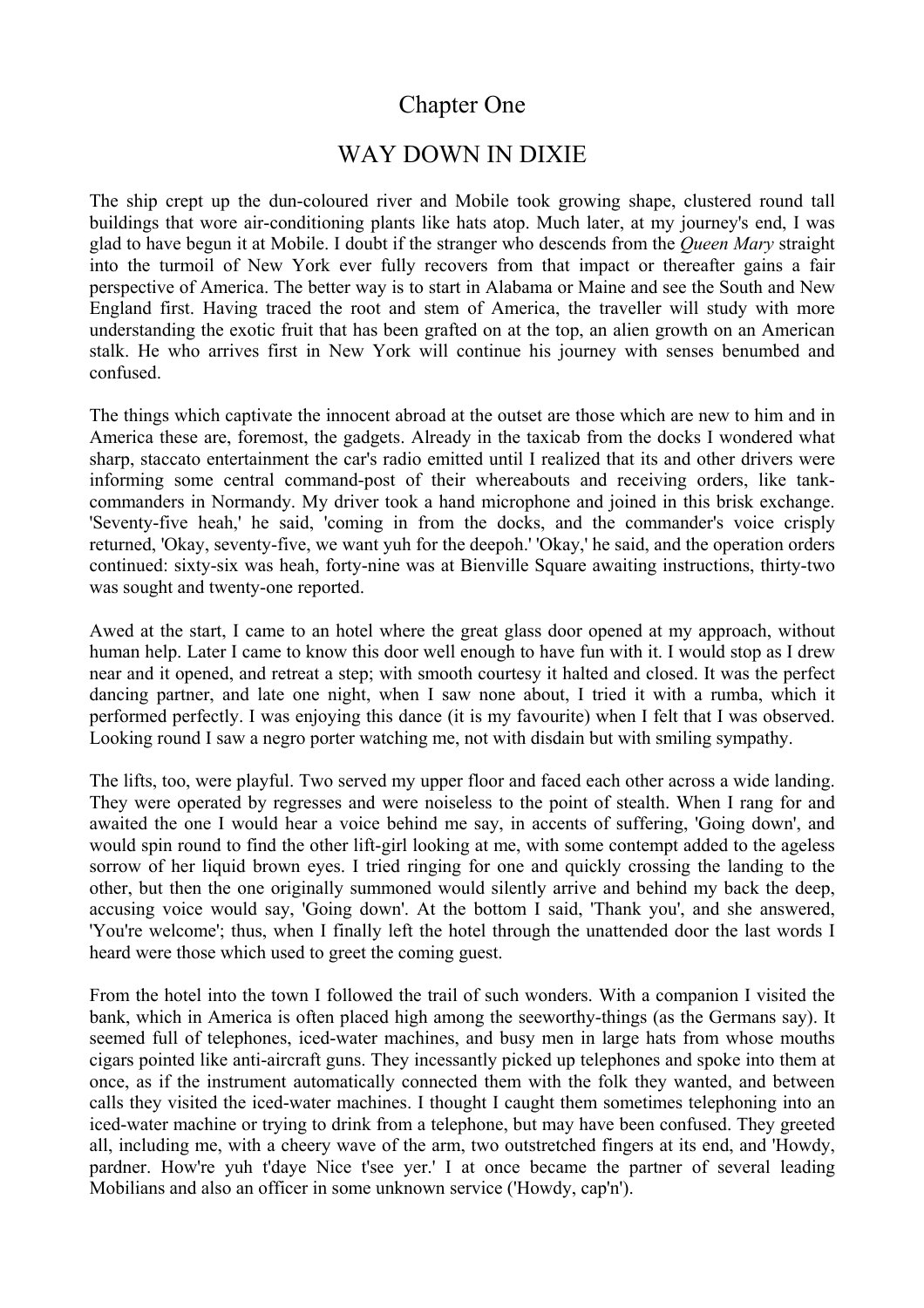#### Chapter One

#### WAY DOWN IN DIXIE

<span id="page-7-0"></span>The ship crept up the dun-coloured river and Mobile took growing shape, clustered round tall buildings that wore air-conditioning plants like hats atop. Much later, at my journey's end, I was glad to have begun it at Mobile. I doubt if the stranger who descends from the *Queen Mary* straight into the turmoil of New York ever fully recovers from that impact or thereafter gains a fair perspective of America. The better way is to start in Alabama or Maine and see the South and New England first. Having traced the root and stem of America, the traveller will study with more understanding the exotic fruit that has been grafted on at the top, an alien growth on an American stalk. He who arrives first in New York will continue his journey with senses benumbed and confused.

The things which captivate the innocent abroad at the outset are those which are new to him and in America these are, foremost, the gadgets. Already in the taxicab from the docks I wondered what sharp, staccato entertainment the car's radio emitted until I realized that its and other drivers were informing some central command-post of their whereabouts and receiving orders, like tankcommanders in Normandy. My driver took a hand microphone and joined in this brisk exchange. 'Seventy-five heah,' he said, 'coming in from the docks, and the commander's voice crisply returned, 'Okay, seventy-five, we want yuh for the deepoh.' 'Okay,' he said, and the operation orders continued: sixty-six was heah, forty-nine was at Bienville Square awaiting instructions, thirty-two was sought and twenty-one reported.

Awed at the start, I came to an hotel where the great glass door opened at my approach, without human help. Later I came to know this door well enough to have fun with it. I would stop as I drew near and it opened, and retreat a step; with smooth courtesy it halted and closed. It was the perfect dancing partner, and late one night, when I saw none about, I tried it with a rumba, which it performed perfectly. I was enjoying this dance (it is my favourite) when I felt that I was observed. Looking round I saw a negro porter watching me, not with disdain but with smiling sympathy.

The lifts, too, were playful. Two served my upper floor and faced each other across a wide landing. They were operated by regresses and were noiseless to the point of stealth. When I rang for and awaited the one I would hear a voice behind me say, in accents of suffering, 'Going down', and would spin round to find the other lift-girl looking at me, with some contempt added to the ageless sorrow of her liquid brown eyes. I tried ringing for one and quickly crossing the landing to the other, but then the one originally summoned would silently arrive and behind my back the deep, accusing voice would say, 'Going down'. At the bottom I said, 'Thank you', and she answered, 'You're welcome'; thus, when I finally left the hotel through the unattended door the last words I heard were those which used to greet the coming guest.

From the hotel into the town I followed the trail of such wonders. With a companion I visited the bank, which in America is often placed high among the seeworthy-things (as the Germans say). It seemed full of telephones, iced-water machines, and busy men in large hats from whose mouths cigars pointed like anti-aircraft guns. They incessantly picked up telephones and spoke into them at once, as if the instrument automatically connected them with the folk they wanted, and between calls they visited the iced-water machines. I thought I caught them sometimes telephoning into an iced-water machine or trying to drink from a telephone, but may have been confused. They greeted all, including me, with a cheery wave of the arm, two outstretched fingers at its end, and 'Howdy, pardner. How're yuh t'daye Nice t'see yer.' I at once became the partner of several leading Mobilians and also an officer in some unknown service ('Howdy, cap'n').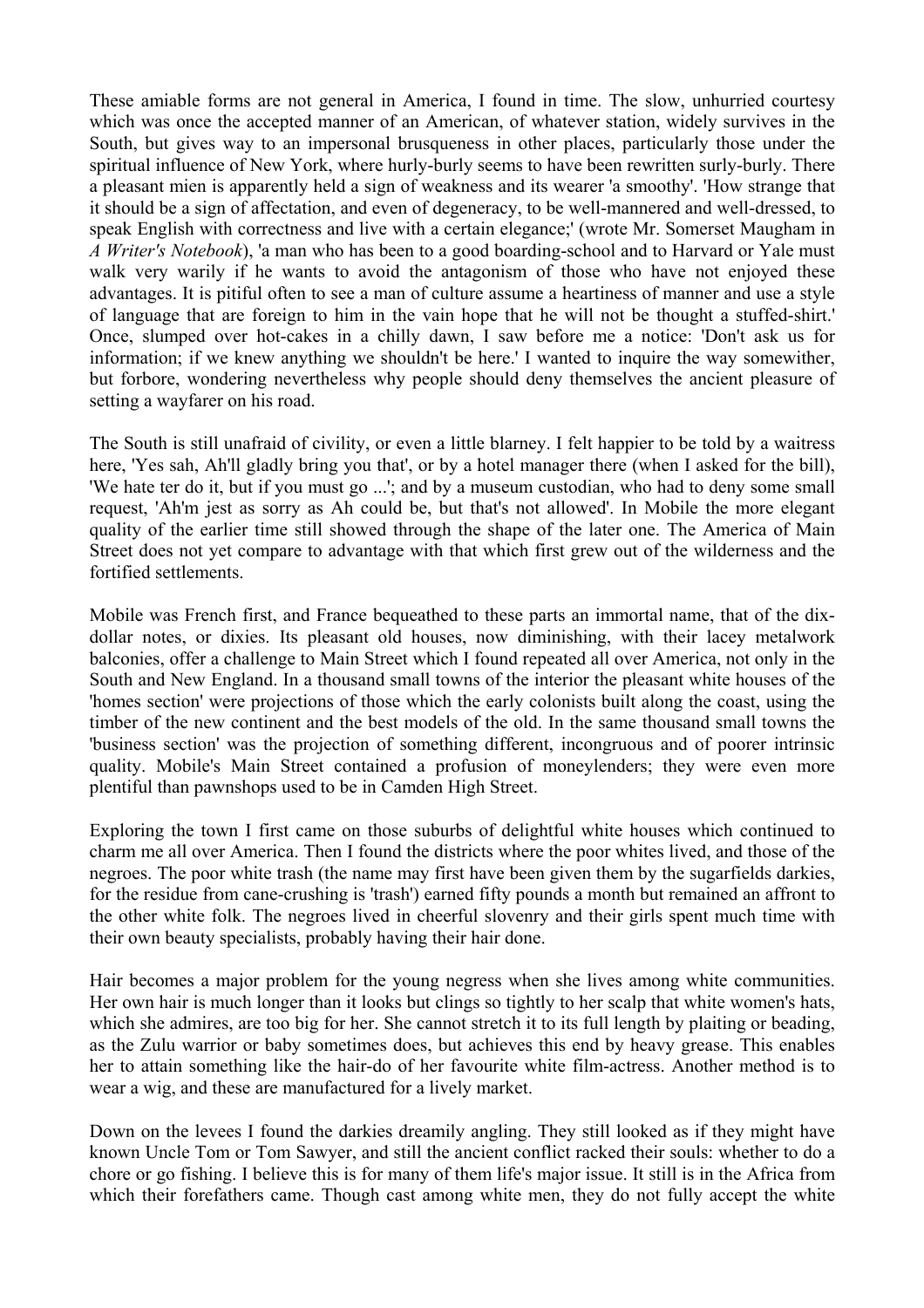These amiable forms are not general in America, I found in time. The slow, unhurried courtesy which was once the accepted manner of an American, of whatever station, widely survives in the South, but gives way to an impersonal brusqueness in other places, particularly those under the spiritual influence of New York, where hurly-burly seems to have been rewritten surly-burly. There a pleasant mien is apparently held a sign of weakness and its wearer 'a smoothy'. 'How strange that it should be a sign of affectation, and even of degeneracy, to be well-mannered and well-dressed, to speak English with correctness and live with a certain elegance;' (wrote Mr. Somerset Maugham in *A Writer's Notebook*), 'a man who has been to a good boarding-school and to Harvard or Yale must walk very warily if he wants to avoid the antagonism of those who have not enjoyed these advantages. It is pitiful often to see a man of culture assume a heartiness of manner and use a style of language that are foreign to him in the vain hope that he will not be thought a stuffed-shirt.' Once, slumped over hot-cakes in a chilly dawn, I saw before me a notice: 'Don't ask us for information; if we knew anything we shouldn't be here.' I wanted to inquire the way somewither, but forbore, wondering nevertheless why people should deny themselves the ancient pleasure of setting a wayfarer on his road.

The South is still unafraid of civility, or even a little blarney. I felt happier to be told by a waitress here, 'Yes sah, Ah'll gladly bring you that', or by a hotel manager there (when I asked for the bill), 'We hate ter do it, but if you must go ...'; and by a museum custodian, who had to deny some small request, 'Ah'm jest as sorry as Ah could be, but that's not allowed'. In Mobile the more elegant quality of the earlier time still showed through the shape of the later one. The America of Main Street does not yet compare to advantage with that which first grew out of the wilderness and the fortified settlements.

Mobile was French first, and France bequeathed to these parts an immortal name, that of the dixdollar notes, or dixies. Its pleasant old houses, now diminishing, with their lacey metalwork balconies, offer a challenge to Main Street which I found repeated all over America, not only in the South and New England. In a thousand small towns of the interior the pleasant white houses of the 'homes section' were projections of those which the early colonists built along the coast, using the timber of the new continent and the best models of the old. In the same thousand small towns the 'business section' was the projection of something different, incongruous and of poorer intrinsic quality. Mobile's Main Street contained a profusion of moneylenders; they were even more plentiful than pawnshops used to be in Camden High Street.

Exploring the town I first came on those suburbs of delightful white houses which continued to charm me all over America. Then I found the districts where the poor whites lived, and those of the negroes. The poor white trash (the name may first have been given them by the sugarfields darkies, for the residue from cane-crushing is 'trash') earned fifty pounds a month but remained an affront to the other white folk. The negroes lived in cheerful slovenry and their girls spent much time with their own beauty specialists, probably having their hair done.

Hair becomes a major problem for the young negress when she lives among white communities. Her own hair is much longer than it looks but clings so tightly to her scalp that white women's hats, which she admires, are too big for her. She cannot stretch it to its full length by plaiting or beading, as the Zulu warrior or baby sometimes does, but achieves this end by heavy grease. This enables her to attain something like the hair-do of her favourite white film-actress. Another method is to wear a wig, and these are manufactured for a lively market.

Down on the levees I found the darkies dreamily angling. They still looked as if they might have known Uncle Tom or Tom Sawyer, and still the ancient conflict racked their souls: whether to do a chore or go fishing. I believe this is for many of them life's major issue. It still is in the Africa from which their forefathers came. Though cast among white men, they do not fully accept the white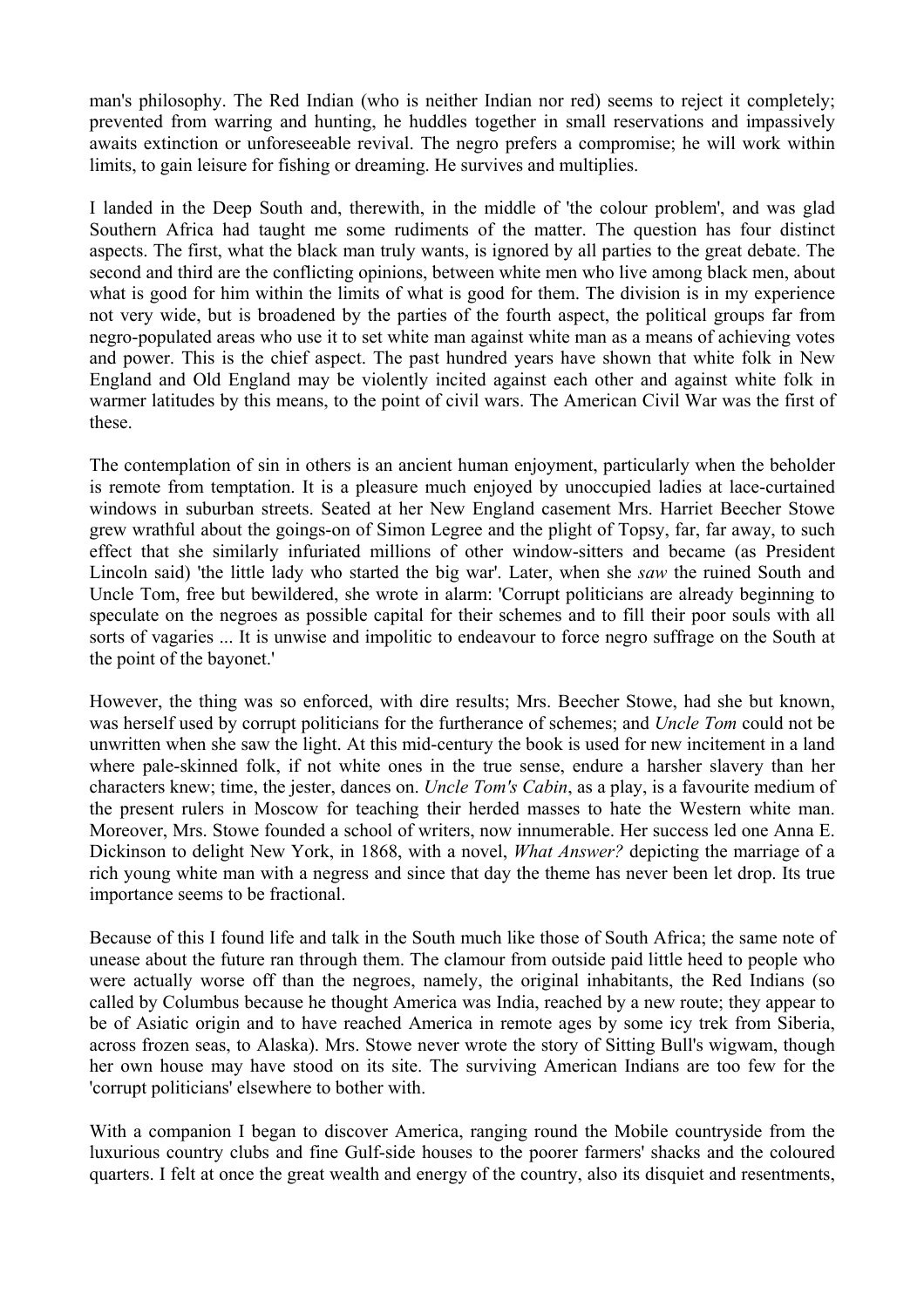man's philosophy. The Red Indian (who is neither Indian nor red) seems to reject it completely; prevented from warring and hunting, he huddles together in small reservations and impassively awaits extinction or unforeseeable revival. The negro prefers a compromise; he will work within limits, to gain leisure for fishing or dreaming. He survives and multiplies.

I landed in the Deep South and, therewith, in the middle of 'the colour problem', and was glad Southern Africa had taught me some rudiments of the matter. The question has four distinct aspects. The first, what the black man truly wants, is ignored by all parties to the great debate. The second and third are the conflicting opinions, between white men who live among black men, about what is good for him within the limits of what is good for them. The division is in my experience not very wide, but is broadened by the parties of the fourth aspect, the political groups far from negro-populated areas who use it to set white man against white man as a means of achieving votes and power. This is the chief aspect. The past hundred years have shown that white folk in New England and Old England may be violently incited against each other and against white folk in warmer latitudes by this means, to the point of civil wars. The American Civil War was the first of these.

The contemplation of sin in others is an ancient human enjoyment, particularly when the beholder is remote from temptation. It is a pleasure much enjoyed by unoccupied ladies at lace-curtained windows in suburban streets. Seated at her New England casement Mrs. Harriet Beecher Stowe grew wrathful about the goings-on of Simon Legree and the plight of Topsy, far, far away, to such effect that she similarly infuriated millions of other window-sitters and became (as President Lincoln said) 'the little lady who started the big war'. Later, when she *saw* the ruined South and Uncle Tom, free but bewildered, she wrote in alarm: 'Corrupt politicians are already beginning to speculate on the negroes as possible capital for their schemes and to fill their poor souls with all sorts of vagaries ... It is unwise and impolitic to endeavour to force negro suffrage on the South at the point of the bayonet.'

However, the thing was so enforced, with dire results; Mrs. Beecher Stowe, had she but known, was herself used by corrupt politicians for the furtherance of schemes; and *Uncle Tom* could not be unwritten when she saw the light. At this mid-century the book is used for new incitement in a land where pale-skinned folk, if not white ones in the true sense, endure a harsher slavery than her characters knew; time, the jester, dances on. *Uncle Tom's Cabin*, as a play, is a favourite medium of the present rulers in Moscow for teaching their herded masses to hate the Western white man. Moreover, Mrs. Stowe founded a school of writers, now innumerable. Her success led one Anna E. Dickinson to delight New York, in 1868, with a novel, *What Answer?* depicting the marriage of a rich young white man with a negress and since that day the theme has never been let drop. Its true importance seems to be fractional.

Because of this I found life and talk in the South much like those of South Africa; the same note of unease about the future ran through them. The clamour from outside paid little heed to people who were actually worse off than the negroes, namely, the original inhabitants, the Red Indians (so called by Columbus because he thought America was India, reached by a new route; they appear to be of Asiatic origin and to have reached America in remote ages by some icy trek from Siberia, across frozen seas, to Alaska). Mrs. Stowe never wrote the story of Sitting Bull's wigwam, though her own house may have stood on its site. The surviving American Indians are too few for the 'corrupt politicians' elsewhere to bother with.

With a companion I began to discover America, ranging round the Mobile countryside from the luxurious country clubs and fine Gulf-side houses to the poorer farmers' shacks and the coloured quarters. I felt at once the great wealth and energy of the country, also its disquiet and resentments,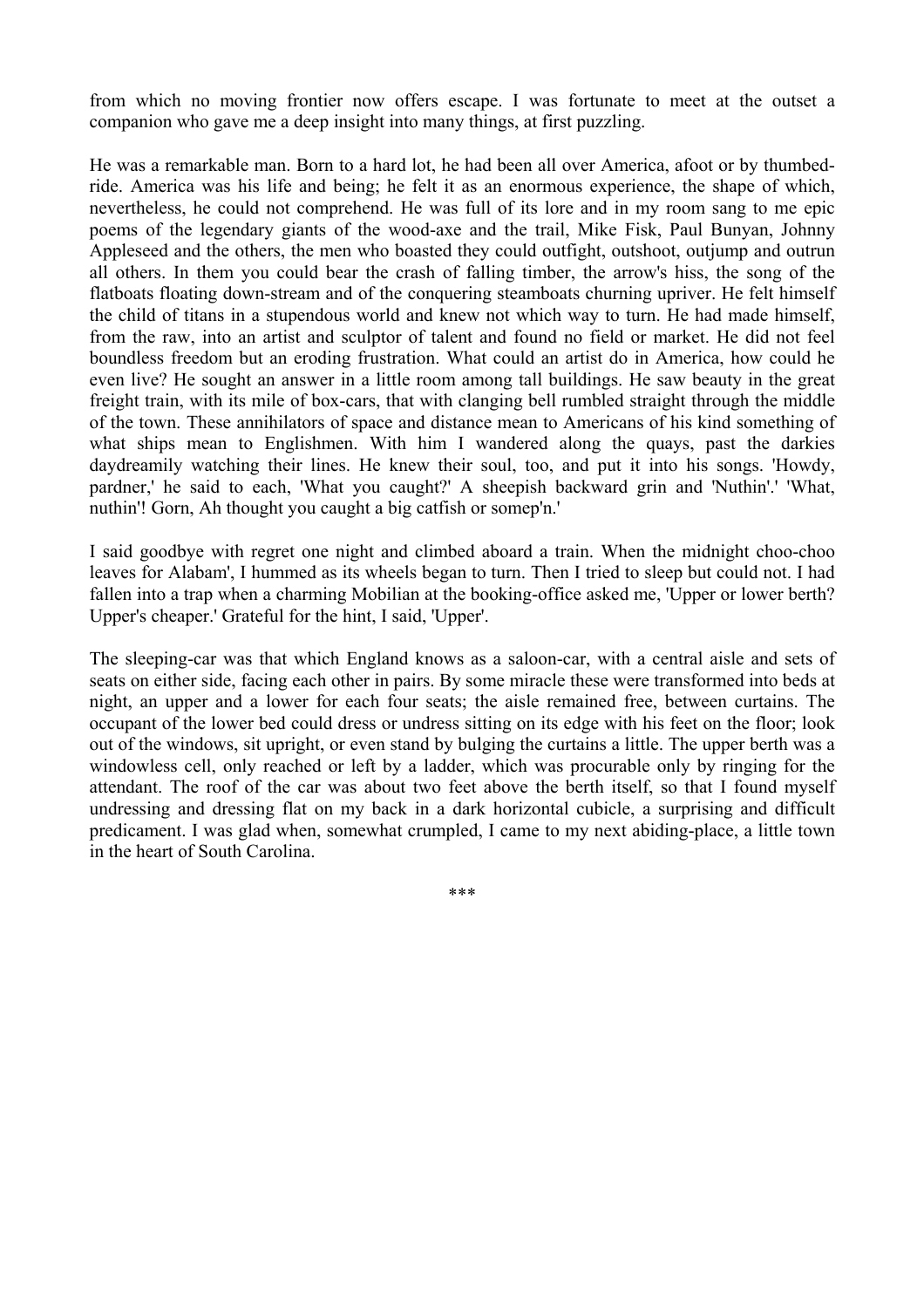from which no moving frontier now offers escape. I was fortunate to meet at the outset a companion who gave me a deep insight into many things, at first puzzling.

He was a remarkable man. Born to a hard lot, he had been all over America, afoot or by thumbedride. America was his life and being; he felt it as an enormous experience, the shape of which, nevertheless, he could not comprehend. He was full of its lore and in my room sang to me epic poems of the legendary giants of the wood-axe and the trail, Mike Fisk, Paul Bunyan, Johnny Appleseed and the others, the men who boasted they could outfight, outshoot, outjump and outrun all others. In them you could bear the crash of falling timber, the arrow's hiss, the song of the flatboats floating down-stream and of the conquering steamboats churning upriver. He felt himself the child of titans in a stupendous world and knew not which way to turn. He had made himself, from the raw, into an artist and sculptor of talent and found no field or market. He did not feel boundless freedom but an eroding frustration. What could an artist do in America, how could he even live? He sought an answer in a little room among tall buildings. He saw beauty in the great freight train, with its mile of box-cars, that with clanging bell rumbled straight through the middle of the town. These annihilators of space and distance mean to Americans of his kind something of what ships mean to Englishmen. With him I wandered along the quays, past the darkies daydreamily watching their lines. He knew their soul, too, and put it into his songs. 'Howdy, pardner,' he said to each, 'What you caught?' A sheepish backward grin and 'Nuthin'.' 'What, nuthin'! Gorn, Ah thought you caught a big catfish or somep'n.'

I said goodbye with regret one night and climbed aboard a train. When the midnight choo-choo leaves for Alabam', I hummed as its wheels began to turn. Then I tried to sleep but could not. I had fallen into a trap when a charming Mobilian at the booking-office asked me, 'Upper or lower berth? Upper's cheaper.' Grateful for the hint, I said, 'Upper'.

The sleeping-car was that which England knows as a saloon-car, with a central aisle and sets of seats on either side, facing each other in pairs. By some miracle these were transformed into beds at night, an upper and a lower for each four seats; the aisle remained free, between curtains. The occupant of the lower bed could dress or undress sitting on its edge with his feet on the floor; look out of the windows, sit upright, or even stand by bulging the curtains a little. The upper berth was a windowless cell, only reached or left by a ladder, which was procurable only by ringing for the attendant. The roof of the car was about two feet above the berth itself, so that I found myself undressing and dressing flat on my back in a dark horizontal cubicle, a surprising and difficult predicament. I was glad when, somewhat crumpled, I came to my next abiding-place, a little town in the heart of South Carolina.

\*\*\*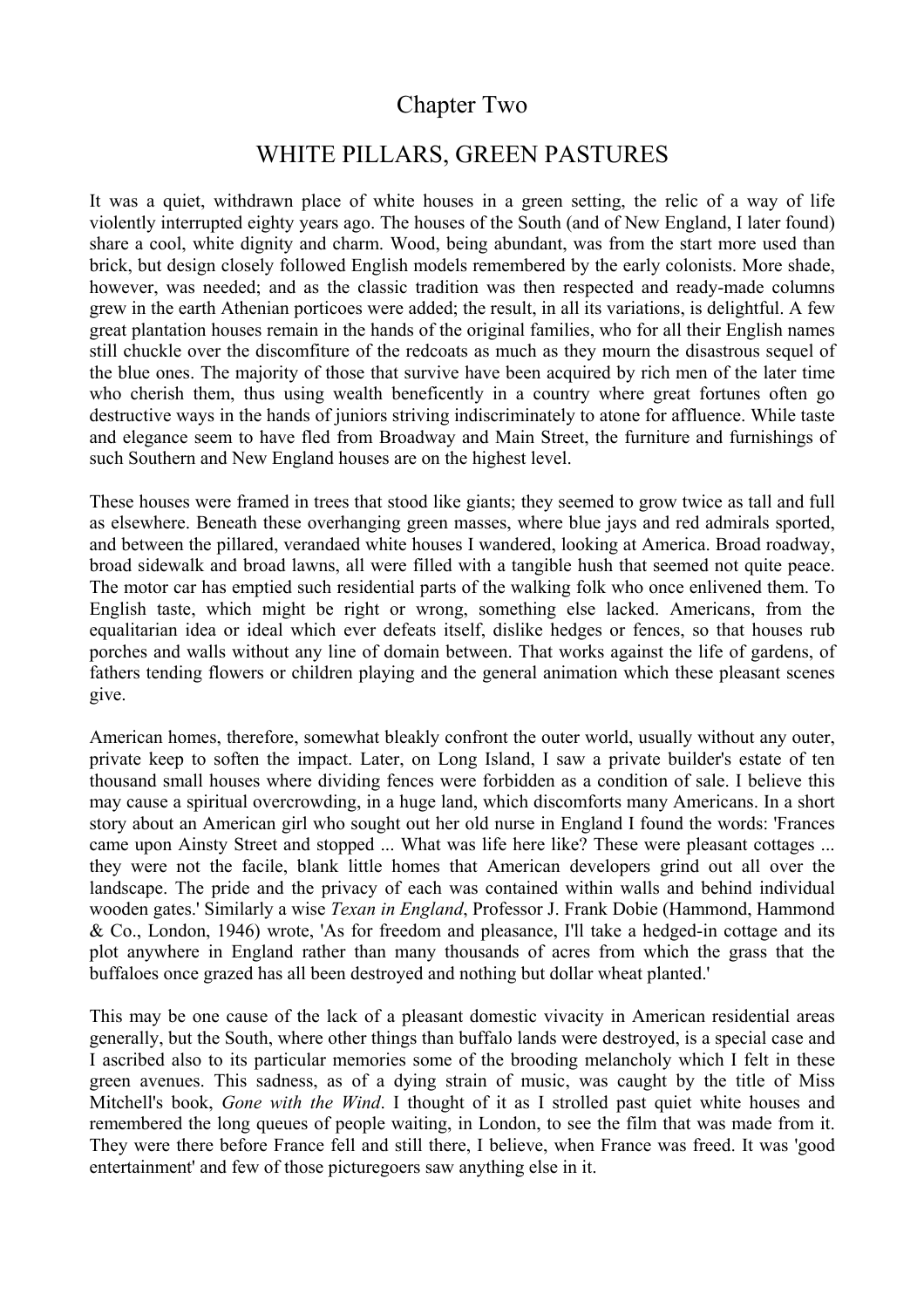#### Chapter Two

#### WHITE PILLARS, GREEN PASTURES

<span id="page-11-0"></span>It was a quiet, withdrawn place of white houses in a green setting, the relic of a way of life violently interrupted eighty years ago. The houses of the South (and of New England, I later found) share a cool, white dignity and charm. Wood, being abundant, was from the start more used than brick, but design closely followed English models remembered by the early colonists. More shade, however, was needed; and as the classic tradition was then respected and ready-made columns grew in the earth Athenian porticoes were added; the result, in all its variations, is delightful. A few great plantation houses remain in the hands of the original families, who for all their English names still chuckle over the discomfiture of the redcoats as much as they mourn the disastrous sequel of the blue ones. The majority of those that survive have been acquired by rich men of the later time who cherish them, thus using wealth beneficently in a country where great fortunes often go destructive ways in the hands of juniors striving indiscriminately to atone for affluence. While taste and elegance seem to have fled from Broadway and Main Street, the furniture and furnishings of such Southern and New England houses are on the highest level.

These houses were framed in trees that stood like giants; they seemed to grow twice as tall and full as elsewhere. Beneath these overhanging green masses, where blue jays and red admirals sported, and between the pillared, verandaed white houses I wandered, looking at America. Broad roadway, broad sidewalk and broad lawns, all were filled with a tangible hush that seemed not quite peace. The motor car has emptied such residential parts of the walking folk who once enlivened them. To English taste, which might be right or wrong, something else lacked. Americans, from the equalitarian idea or ideal which ever defeats itself, dislike hedges or fences, so that houses rub porches and walls without any line of domain between. That works against the life of gardens, of fathers tending flowers or children playing and the general animation which these pleasant scenes give.

American homes, therefore, somewhat bleakly confront the outer world, usually without any outer, private keep to soften the impact. Later, on Long Island, I saw a private builder's estate of ten thousand small houses where dividing fences were forbidden as a condition of sale. I believe this may cause a spiritual overcrowding, in a huge land, which discomforts many Americans. In a short story about an American girl who sought out her old nurse in England I found the words: 'Frances came upon Ainsty Street and stopped ... What was life here like? These were pleasant cottages ... they were not the facile, blank little homes that American developers grind out all over the landscape. The pride and the privacy of each was contained within walls and behind individual wooden gates.' Similarly a wise *Texan in England*, Professor J. Frank Dobie (Hammond, Hammond & Co., London, 1946) wrote, 'As for freedom and pleasance, I'll take a hedged-in cottage and its plot anywhere in England rather than many thousands of acres from which the grass that the buffaloes once grazed has all been destroyed and nothing but dollar wheat planted.'

This may be one cause of the lack of a pleasant domestic vivacity in American residential areas generally, but the South, where other things than buffalo lands were destroyed, is a special case and I ascribed also to its particular memories some of the brooding melancholy which I felt in these green avenues. This sadness, as of a dying strain of music, was caught by the title of Miss Mitchell's book, *Gone with the Wind*. I thought of it as I strolled past quiet white houses and remembered the long queues of people waiting, in London, to see the film that was made from it. They were there before France fell and still there, I believe, when France was freed. It was 'good entertainment' and few of those picturegoers saw anything else in it.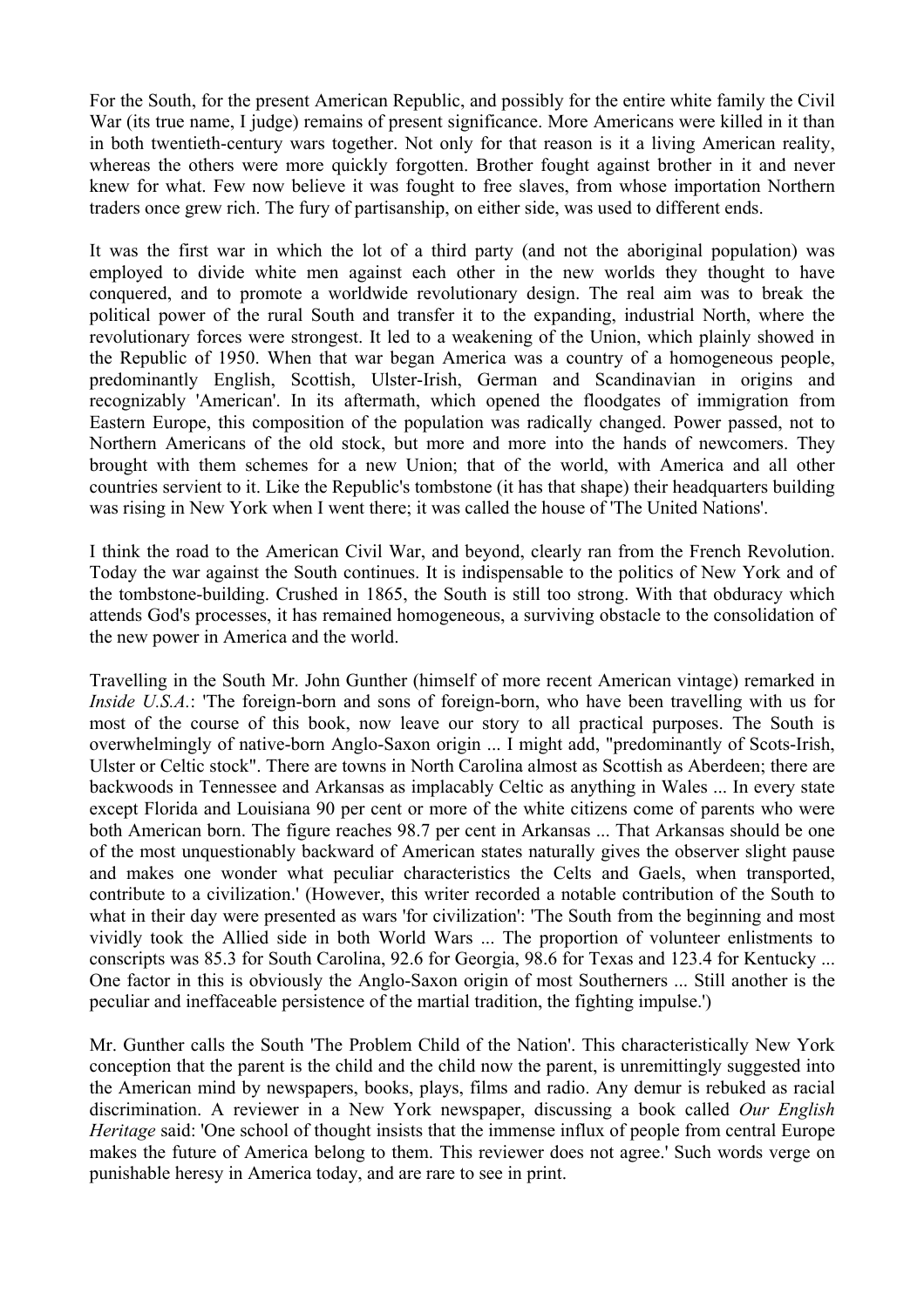For the South, for the present American Republic, and possibly for the entire white family the Civil War (its true name, I judge) remains of present significance. More Americans were killed in it than in both twentieth-century wars together. Not only for that reason is it a living American reality, whereas the others were more quickly forgotten. Brother fought against brother in it and never knew for what. Few now believe it was fought to free slaves, from whose importation Northern traders once grew rich. The fury of partisanship, on either side, was used to different ends.

It was the first war in which the lot of a third party (and not the aboriginal population) was employed to divide white men against each other in the new worlds they thought to have conquered, and to promote a worldwide revolutionary design. The real aim was to break the political power of the rural South and transfer it to the expanding, industrial North, where the revolutionary forces were strongest. It led to a weakening of the Union, which plainly showed in the Republic of 1950. When that war began America was a country of a homogeneous people, predominantly English, Scottish, Ulster-Irish, German and Scandinavian in origins and recognizably 'American'. In its aftermath, which opened the floodgates of immigration from Eastern Europe, this composition of the population was radically changed. Power passed, not to Northern Americans of the old stock, but more and more into the hands of newcomers. They brought with them schemes for a new Union; that of the world, with America and all other countries servient to it. Like the Republic's tombstone (it has that shape) their headquarters building was rising in New York when I went there; it was called the house of 'The United Nations'.

I think the road to the American Civil War, and beyond, clearly ran from the French Revolution. Today the war against the South continues. It is indispensable to the politics of New York and of the tombstone-building. Crushed in 1865, the South is still too strong. With that obduracy which attends God's processes, it has remained homogeneous, a surviving obstacle to the consolidation of the new power in America and the world.

Travelling in the South Mr. John Gunther (himself of more recent American vintage) remarked in *Inside U.S.A.*: 'The foreign-born and sons of foreign-born, who have been travelling with us for most of the course of this book, now leave our story to all practical purposes. The South is overwhelmingly of native-born Anglo-Saxon origin ... I might add, "predominantly of Scots-Irish, Ulster or Celtic stock". There are towns in North Carolina almost as Scottish as Aberdeen; there are backwoods in Tennessee and Arkansas as implacably Celtic as anything in Wales ... In every state except Florida and Louisiana 90 per cent or more of the white citizens come of parents who were both American born. The figure reaches 98.7 per cent in Arkansas ... That Arkansas should be one of the most unquestionably backward of American states naturally gives the observer slight pause and makes one wonder what peculiar characteristics the Celts and Gaels, when transported, contribute to a civilization.' (However, this writer recorded a notable contribution of the South to what in their day were presented as wars 'for civilization': 'The South from the beginning and most vividly took the Allied side in both World Wars ... The proportion of volunteer enlistments to conscripts was 85.3 for South Carolina, 92.6 for Georgia, 98.6 for Texas and 123.4 for Kentucky ... One factor in this is obviously the Anglo-Saxon origin of most Southerners ... Still another is the peculiar and ineffaceable persistence of the martial tradition, the fighting impulse.')

Mr. Gunther calls the South 'The Problem Child of the Nation'. This characteristically New York conception that the parent is the child and the child now the parent, is unremittingly suggested into the American mind by newspapers, books, plays, films and radio. Any demur is rebuked as racial discrimination. A reviewer in a New York newspaper, discussing a book called *Our English Heritage* said: 'One school of thought insists that the immense influx of people from central Europe makes the future of America belong to them. This reviewer does not agree.' Such words verge on punishable heresy in America today, and are rare to see in print.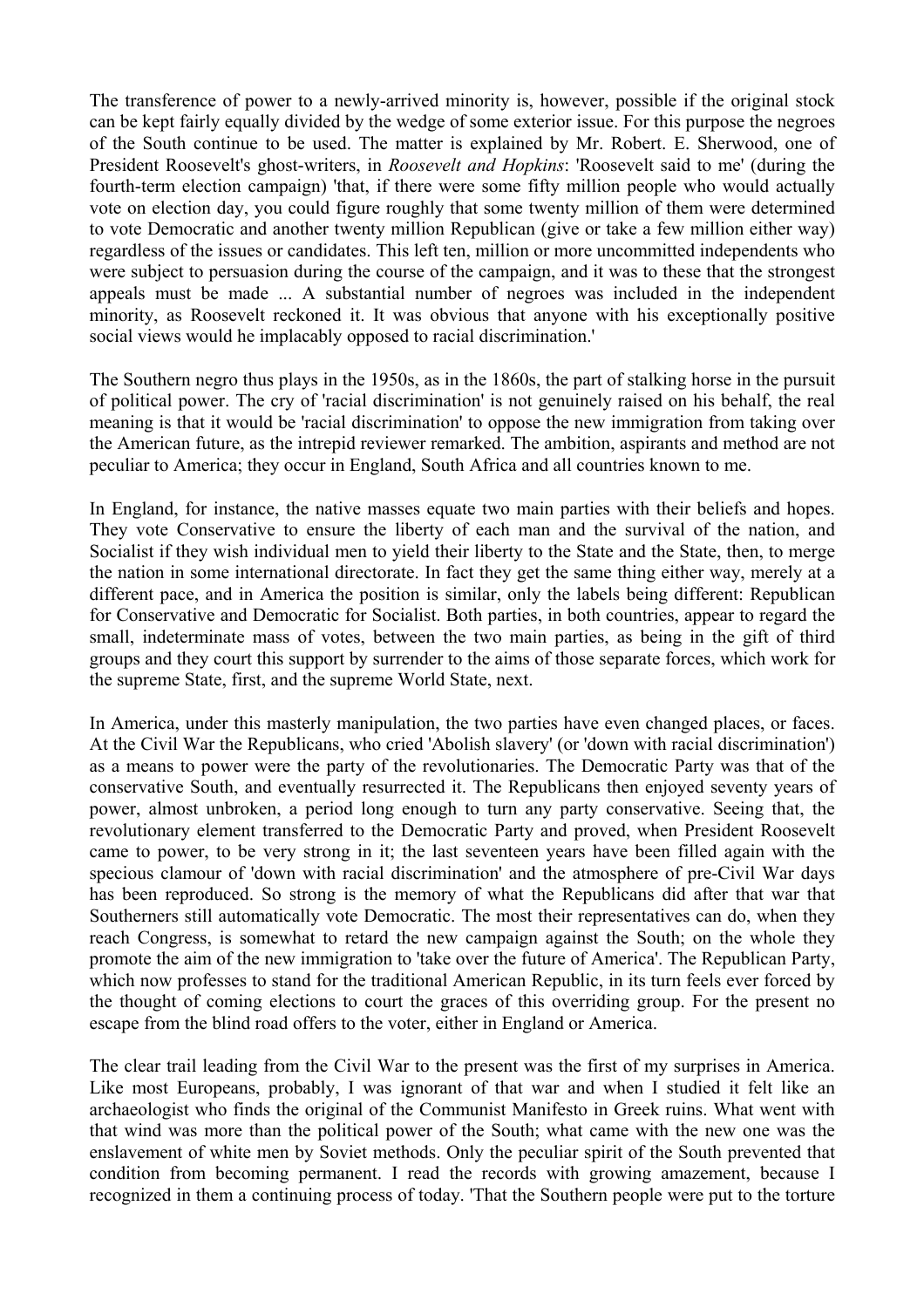The transference of power to a newly-arrived minority is, however, possible if the original stock can be kept fairly equally divided by the wedge of some exterior issue. For this purpose the negroes of the South continue to be used. The matter is explained by Mr. Robert. E. Sherwood, one of President Roosevelt's ghost-writers, in *Roosevelt and Hopkins*: 'Roosevelt said to me' (during the fourth-term election campaign) 'that, if there were some fifty million people who would actually vote on election day, you could figure roughly that some twenty million of them were determined to vote Democratic and another twenty million Republican (give or take a few million either way) regardless of the issues or candidates. This left ten, million or more uncommitted independents who were subject to persuasion during the course of the campaign, and it was to these that the strongest appeals must be made ... A substantial number of negroes was included in the independent minority, as Roosevelt reckoned it. It was obvious that anyone with his exceptionally positive social views would he implacably opposed to racial discrimination.'

The Southern negro thus plays in the 1950s, as in the 1860s, the part of stalking horse in the pursuit of political power. The cry of 'racial discrimination' is not genuinely raised on his behalf, the real meaning is that it would be 'racial discrimination' to oppose the new immigration from taking over the American future, as the intrepid reviewer remarked. The ambition, aspirants and method are not peculiar to America; they occur in England, South Africa and all countries known to me.

In England, for instance, the native masses equate two main parties with their beliefs and hopes. They vote Conservative to ensure the liberty of each man and the survival of the nation, and Socialist if they wish individual men to yield their liberty to the State and the State, then, to merge the nation in some international directorate. In fact they get the same thing either way, merely at a different pace, and in America the position is similar, only the labels being different: Republican for Conservative and Democratic for Socialist. Both parties, in both countries, appear to regard the small, indeterminate mass of votes, between the two main parties, as being in the gift of third groups and they court this support by surrender to the aims of those separate forces, which work for the supreme State, first, and the supreme World State, next.

In America, under this masterly manipulation, the two parties have even changed places, or faces. At the Civil War the Republicans, who cried 'Abolish slavery' (or 'down with racial discrimination') as a means to power were the party of the revolutionaries. The Democratic Party was that of the conservative South, and eventually resurrected it. The Republicans then enjoyed seventy years of power, almost unbroken, a period long enough to turn any party conservative. Seeing that, the revolutionary element transferred to the Democratic Party and proved, when President Roosevelt came to power, to be very strong in it; the last seventeen years have been filled again with the specious clamour of 'down with racial discrimination' and the atmosphere of pre-Civil War days has been reproduced. So strong is the memory of what the Republicans did after that war that Southerners still automatically vote Democratic. The most their representatives can do, when they reach Congress, is somewhat to retard the new campaign against the South; on the whole they promote the aim of the new immigration to 'take over the future of America'. The Republican Party, which now professes to stand for the traditional American Republic, in its turn feels ever forced by the thought of coming elections to court the graces of this overriding group. For the present no escape from the blind road offers to the voter, either in England or America.

The clear trail leading from the Civil War to the present was the first of my surprises in America. Like most Europeans, probably, I was ignorant of that war and when I studied it felt like an archaeologist who finds the original of the Communist Manifesto in Greek ruins. What went with that wind was more than the political power of the South; what came with the new one was the enslavement of white men by Soviet methods. Only the peculiar spirit of the South prevented that condition from becoming permanent. I read the records with growing amazement, because I recognized in them a continuing process of today. 'That the Southern people were put to the torture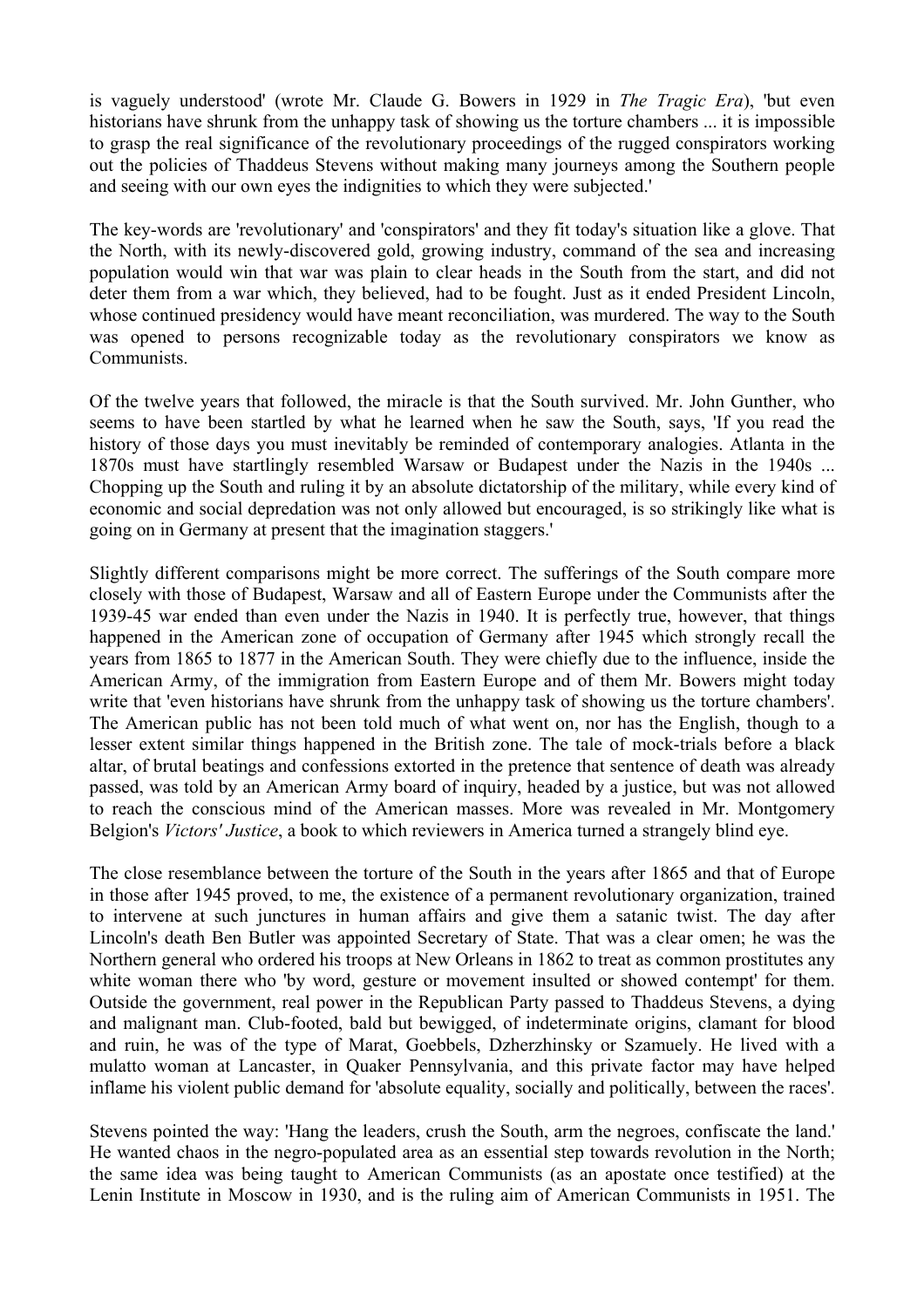is vaguely understood' (wrote Mr. Claude G. Bowers in 1929 in *The Tragic Era*), 'but even historians have shrunk from the unhappy task of showing us the torture chambers ... it is impossible to grasp the real significance of the revolutionary proceedings of the rugged conspirators working out the policies of Thaddeus Stevens without making many journeys among the Southern people and seeing with our own eyes the indignities to which they were subjected.'

The key-words are 'revolutionary' and 'conspirators' and they fit today's situation like a glove. That the North, with its newly-discovered gold, growing industry, command of the sea and increasing population would win that war was plain to clear heads in the South from the start, and did not deter them from a war which, they believed, had to be fought. Just as it ended President Lincoln, whose continued presidency would have meant reconciliation, was murdered. The way to the South was opened to persons recognizable today as the revolutionary conspirators we know as Communists.

Of the twelve years that followed, the miracle is that the South survived. Mr. John Gunther, who seems to have been startled by what he learned when he saw the South, says, 'If you read the history of those days you must inevitably be reminded of contemporary analogies. Atlanta in the 1870s must have startlingly resembled Warsaw or Budapest under the Nazis in the 1940s ... Chopping up the South and ruling it by an absolute dictatorship of the military, while every kind of economic and social depredation was not only allowed but encouraged, is so strikingly like what is going on in Germany at present that the imagination staggers.'

Slightly different comparisons might be more correct. The sufferings of the South compare more closely with those of Budapest, Warsaw and all of Eastern Europe under the Communists after the 1939-45 war ended than even under the Nazis in 1940. It is perfectly true, however, that things happened in the American zone of occupation of Germany after 1945 which strongly recall the years from 1865 to 1877 in the American South. They were chiefly due to the influence, inside the American Army, of the immigration from Eastern Europe and of them Mr. Bowers might today write that 'even historians have shrunk from the unhappy task of showing us the torture chambers'. The American public has not been told much of what went on, nor has the English, though to a lesser extent similar things happened in the British zone. The tale of mock-trials before a black altar, of brutal beatings and confessions extorted in the pretence that sentence of death was already passed, was told by an American Army board of inquiry, headed by a justice, but was not allowed to reach the conscious mind of the American masses. More was revealed in Mr. Montgomery Belgion's *Victors' Justice*, a book to which reviewers in America turned a strangely blind eye.

The close resemblance between the torture of the South in the years after 1865 and that of Europe in those after 1945 proved, to me, the existence of a permanent revolutionary organization, trained to intervene at such junctures in human affairs and give them a satanic twist. The day after Lincoln's death Ben Butler was appointed Secretary of State. That was a clear omen; he was the Northern general who ordered his troops at New Orleans in 1862 to treat as common prostitutes any white woman there who 'by word, gesture or movement insulted or showed contempt' for them. Outside the government, real power in the Republican Party passed to Thaddeus Stevens, a dying and malignant man. Club-footed, bald but bewigged, of indeterminate origins, clamant for blood and ruin, he was of the type of Marat, Goebbels, Dzherzhinsky or Szamuely. He lived with a mulatto woman at Lancaster, in Quaker Pennsylvania, and this private factor may have helped inflame his violent public demand for 'absolute equality, socially and politically, between the races'.

Stevens pointed the way: 'Hang the leaders, crush the South, arm the negroes, confiscate the land.' He wanted chaos in the negro-populated area as an essential step towards revolution in the North; the same idea was being taught to American Communists (as an apostate once testified) at the Lenin Institute in Moscow in 1930, and is the ruling aim of American Communists in 1951. The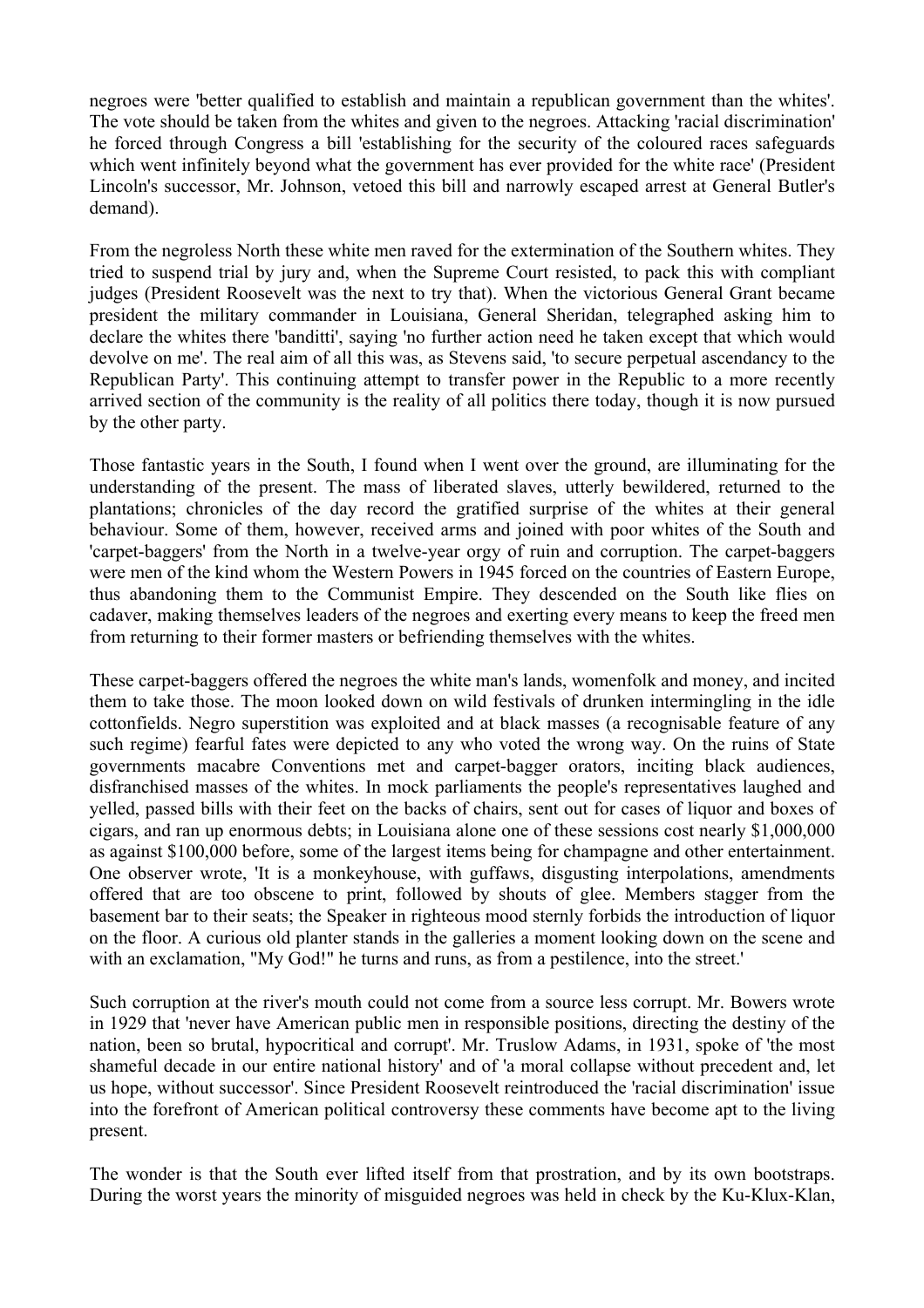negroes were 'better qualified to establish and maintain a republican government than the whites'. The vote should be taken from the whites and given to the negroes. Attacking 'racial discrimination' he forced through Congress a bill 'establishing for the security of the coloured races safeguards which went infinitely beyond what the government has ever provided for the white race' (President Lincoln's successor, Mr. Johnson, vetoed this bill and narrowly escaped arrest at General Butler's demand).

From the negroless North these white men raved for the extermination of the Southern whites. They tried to suspend trial by jury and, when the Supreme Court resisted, to pack this with compliant judges (President Roosevelt was the next to try that). When the victorious General Grant became president the military commander in Louisiana, General Sheridan, telegraphed asking him to declare the whites there 'banditti', saying 'no further action need he taken except that which would devolve on me'. The real aim of all this was, as Stevens said, 'to secure perpetual ascendancy to the Republican Party'. This continuing attempt to transfer power in the Republic to a more recently arrived section of the community is the reality of all politics there today, though it is now pursued by the other party.

Those fantastic years in the South, I found when I went over the ground, are illuminating for the understanding of the present. The mass of liberated slaves, utterly bewildered, returned to the plantations; chronicles of the day record the gratified surprise of the whites at their general behaviour. Some of them, however, received arms and joined with poor whites of the South and 'carpet-baggers' from the North in a twelve-year orgy of ruin and corruption. The carpet-baggers were men of the kind whom the Western Powers in 1945 forced on the countries of Eastern Europe, thus abandoning them to the Communist Empire. They descended on the South like flies on cadaver, making themselves leaders of the negroes and exerting every means to keep the freed men from returning to their former masters or befriending themselves with the whites.

These carpet-baggers offered the negroes the white man's lands, womenfolk and money, and incited them to take those. The moon looked down on wild festivals of drunken intermingling in the idle cottonfields. Negro superstition was exploited and at black masses (a recognisable feature of any such regime) fearful fates were depicted to any who voted the wrong way. On the ruins of State governments macabre Conventions met and carpet-bagger orators, inciting black audiences, disfranchised masses of the whites. In mock parliaments the people's representatives laughed and yelled, passed bills with their feet on the backs of chairs, sent out for cases of liquor and boxes of cigars, and ran up enormous debts; in Louisiana alone one of these sessions cost nearly \$1,000,000 as against \$100,000 before, some of the largest items being for champagne and other entertainment. One observer wrote, 'It is a monkeyhouse, with guffaws, disgusting interpolations, amendments offered that are too obscene to print, followed by shouts of glee. Members stagger from the basement bar to their seats; the Speaker in righteous mood sternly forbids the introduction of liquor on the floor. A curious old planter stands in the galleries a moment looking down on the scene and with an exclamation, "My God!" he turns and runs, as from a pestilence, into the street.'

Such corruption at the river's mouth could not come from a source less corrupt. Mr. Bowers wrote in 1929 that 'never have American public men in responsible positions, directing the destiny of the nation, been so brutal, hypocritical and corrupt'. Mr. Truslow Adams, in 1931, spoke of 'the most shameful decade in our entire national history' and of 'a moral collapse without precedent and, let us hope, without successor'. Since President Roosevelt reintroduced the 'racial discrimination' issue into the forefront of American political controversy these comments have become apt to the living present.

The wonder is that the South ever lifted itself from that prostration, and by its own bootstraps. During the worst years the minority of misguided negroes was held in check by the Ku-Klux-Klan,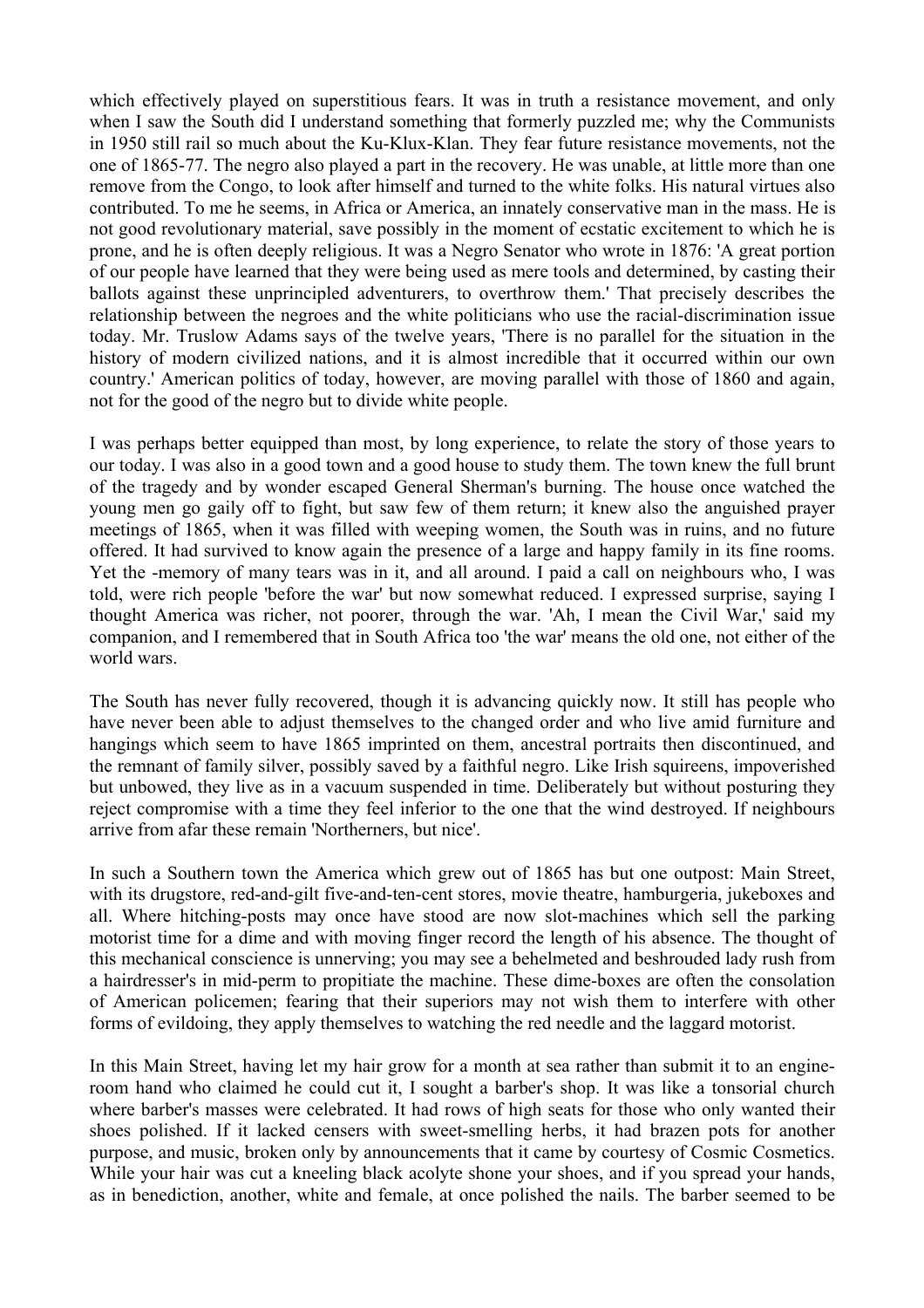which effectively played on superstitious fears. It was in truth a resistance movement, and only when I saw the South did I understand something that formerly puzzled me; why the Communists in 1950 still rail so much about the Ku-Klux-Klan. They fear future resistance movements, not the one of 1865-77. The negro also played a part in the recovery. He was unable, at little more than one remove from the Congo, to look after himself and turned to the white folks. His natural virtues also contributed. To me he seems, in Africa or America, an innately conservative man in the mass. He is not good revolutionary material, save possibly in the moment of ecstatic excitement to which he is prone, and he is often deeply religious. It was a Negro Senator who wrote in 1876: 'A great portion of our people have learned that they were being used as mere tools and determined, by casting their ballots against these unprincipled adventurers, to overthrow them.' That precisely describes the relationship between the negroes and the white politicians who use the racial-discrimination issue today. Mr. Truslow Adams says of the twelve years, 'There is no parallel for the situation in the history of modern civilized nations, and it is almost incredible that it occurred within our own country.' American politics of today, however, are moving parallel with those of 1860 and again, not for the good of the negro but to divide white people.

I was perhaps better equipped than most, by long experience, to relate the story of those years to our today. I was also in a good town and a good house to study them. The town knew the full brunt of the tragedy and by wonder escaped General Sherman's burning. The house once watched the young men go gaily off to fight, but saw few of them return; it knew also the anguished prayer meetings of 1865, when it was filled with weeping women, the South was in ruins, and no future offered. It had survived to know again the presence of a large and happy family in its fine rooms. Yet the -memory of many tears was in it, and all around. I paid a call on neighbours who, I was told, were rich people 'before the war' but now somewhat reduced. I expressed surprise, saying I thought America was richer, not poorer, through the war. 'Ah, I mean the Civil War,' said my companion, and I remembered that in South Africa too 'the war' means the old one, not either of the world wars.

The South has never fully recovered, though it is advancing quickly now. It still has people who have never been able to adjust themselves to the changed order and who live amid furniture and hangings which seem to have 1865 imprinted on them, ancestral portraits then discontinued, and the remnant of family silver, possibly saved by a faithful negro. Like Irish squireens, impoverished but unbowed, they live as in a vacuum suspended in time. Deliberately but without posturing they reject compromise with a time they feel inferior to the one that the wind destroyed. If neighbours arrive from afar these remain 'Northerners, but nice'.

In such a Southern town the America which grew out of 1865 has but one outpost: Main Street, with its drugstore, red-and-gilt five-and-ten-cent stores, movie theatre, hamburgeria, jukeboxes and all. Where hitching-posts may once have stood are now slot-machines which sell the parking motorist time for a dime and with moving finger record the length of his absence. The thought of this mechanical conscience is unnerving; you may see a behelmeted and beshrouded lady rush from a hairdresser's in mid-perm to propitiate the machine. These dime-boxes are often the consolation of American policemen; fearing that their superiors may not wish them to interfere with other forms of evildoing, they apply themselves to watching the red needle and the laggard motorist.

In this Main Street, having let my hair grow for a month at sea rather than submit it to an engineroom hand who claimed he could cut it, I sought a barber's shop. It was like a tonsorial church where barber's masses were celebrated. It had rows of high seats for those who only wanted their shoes polished. If it lacked censers with sweet-smelling herbs, it had brazen pots for another purpose, and music, broken only by announcements that it came by courtesy of Cosmic Cosmetics. While your hair was cut a kneeling black acolyte shone your shoes, and if you spread your hands, as in benediction, another, white and female, at once polished the nails. The barber seemed to be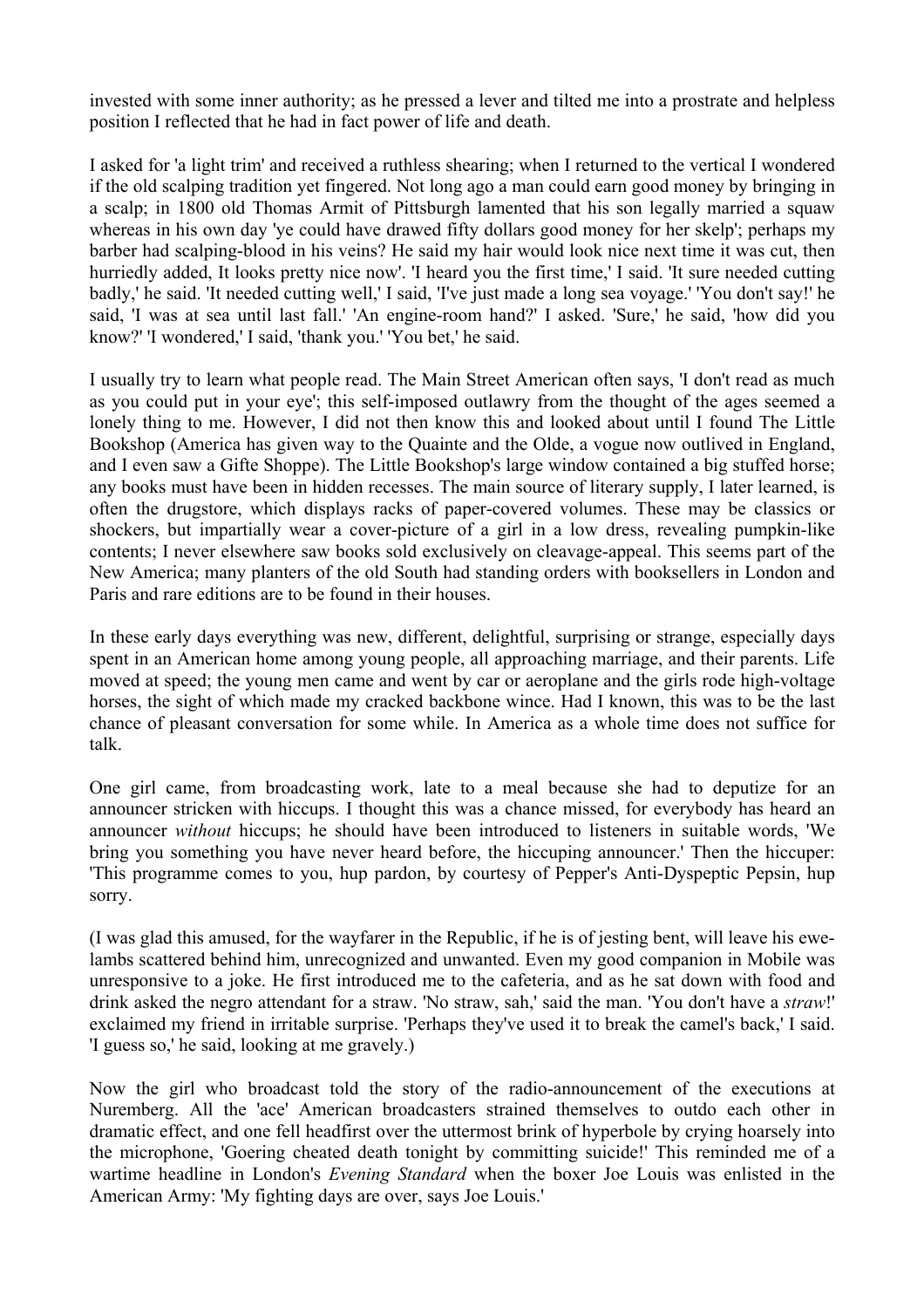invested with some inner authority; as he pressed a lever and tilted me into a prostrate and helpless position I reflected that he had in fact power of life and death.

I asked for 'a light trim' and received a ruthless shearing; when I returned to the vertical I wondered if the old scalping tradition yet fingered. Not long ago a man could earn good money by bringing in a scalp; in 1800 old Thomas Armit of Pittsburgh lamented that his son legally married a squaw whereas in his own day 'ye could have drawed fifty dollars good money for her skelp'; perhaps my barber had scalping-blood in his veins? He said my hair would look nice next time it was cut, then hurriedly added, It looks pretty nice now'. 'I heard you the first time,' I said. 'It sure needed cutting badly,' he said. 'It needed cutting well,' I said, 'I've just made a long sea voyage.' 'You don't say!' he said, 'I was at sea until last fall.' 'An engine-room hand?' I asked. 'Sure,' he said, 'how did you know?' 'I wondered,' I said, 'thank you.' 'You bet,' he said.

I usually try to learn what people read. The Main Street American often says, 'I don't read as much as you could put in your eye'; this self-imposed outlawry from the thought of the ages seemed a lonely thing to me. However, I did not then know this and looked about until I found The Little Bookshop (America has given way to the Quainte and the Olde, a vogue now outlived in England, and I even saw a Gifte Shoppe). The Little Bookshop's large window contained a big stuffed horse; any books must have been in hidden recesses. The main source of literary supply, I later learned, is often the drugstore, which displays racks of paper-covered volumes. These may be classics or shockers, but impartially wear a cover-picture of a girl in a low dress, revealing pumpkin-like contents; I never elsewhere saw books sold exclusively on cleavage-appeal. This seems part of the New America; many planters of the old South had standing orders with booksellers in London and Paris and rare editions are to be found in their houses.

In these early days everything was new, different, delightful, surprising or strange, especially days spent in an American home among young people, all approaching marriage, and their parents. Life moved at speed; the young men came and went by car or aeroplane and the girls rode high-voltage horses, the sight of which made my cracked backbone wince. Had I known, this was to be the last chance of pleasant conversation for some while. In America as a whole time does not suffice for talk.

One girl came, from broadcasting work, late to a meal because she had to deputize for an announcer stricken with hiccups. I thought this was a chance missed, for everybody has heard an announcer *without* hiccups; he should have been introduced to listeners in suitable words, 'We bring you something you have never heard before, the hiccuping announcer.' Then the hiccuper: 'This programme comes to you, hup pardon, by courtesy of Pepper's Anti-Dyspeptic Pepsin, hup sorry.

(I was glad this amused, for the wayfarer in the Republic, if he is of jesting bent, will leave his ewelambs scattered behind him, unrecognized and unwanted. Even my good companion in Mobile was unresponsive to a joke. He first introduced me to the cafeteria, and as he sat down with food and drink asked the negro attendant for a straw. 'No straw, sah,' said the man. 'You don't have a *straw*!' exclaimed my friend in irritable surprise. 'Perhaps they've used it to break the camel's back,' I said. 'I guess so,' he said, looking at me gravely.)

Now the girl who broadcast told the story of the radio-announcement of the executions at Nuremberg. All the 'ace' American broadcasters strained themselves to outdo each other in dramatic effect, and one fell headfirst over the uttermost brink of hyperbole by crying hoarsely into the microphone, 'Goering cheated death tonight by committing suicide!' This reminded me of a wartime headline in London's *Evening Standard* when the boxer Joe Louis was enlisted in the American Army: 'My fighting days are over, says Joe Louis.'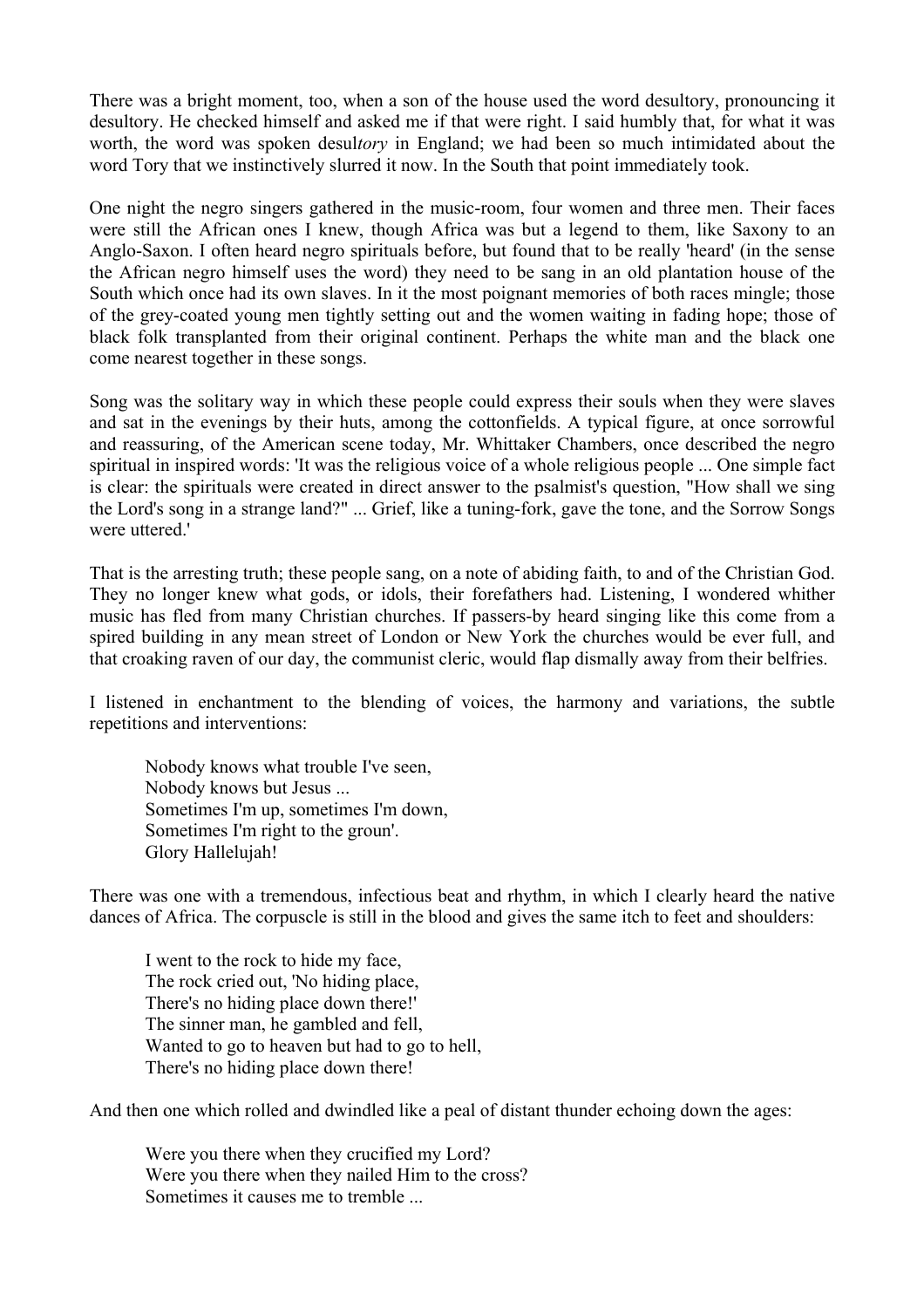There was a bright moment, too, when a son of the house used the word desultory, pronouncing it desultory. He checked himself and asked me if that were right. I said humbly that, for what it was worth, the word was spoken desul*tory* in England; we had been so much intimidated about the word Tory that we instinctively slurred it now. In the South that point immediately took.

One night the negro singers gathered in the music-room, four women and three men. Their faces were still the African ones I knew, though Africa was but a legend to them, like Saxony to an Anglo-Saxon. I often heard negro spirituals before, but found that to be really 'heard' (in the sense the African negro himself uses the word) they need to be sang in an old plantation house of the South which once had its own slaves. In it the most poignant memories of both races mingle; those of the grey-coated young men tightly setting out and the women waiting in fading hope; those of black folk transplanted from their original continent. Perhaps the white man and the black one come nearest together in these songs.

Song was the solitary way in which these people could express their souls when they were slaves and sat in the evenings by their huts, among the cottonfields. A typical figure, at once sorrowful and reassuring, of the American scene today, Mr. Whittaker Chambers, once described the negro spiritual in inspired words: 'It was the religious voice of a whole religious people ... One simple fact is clear: the spirituals were created in direct answer to the psalmist's question, "How shall we sing the Lord's song in a strange land?" ... Grief, like a tuning-fork, gave the tone, and the Sorrow Songs were uttered.'

That is the arresting truth; these people sang, on a note of abiding faith, to and of the Christian God. They no longer knew what gods, or idols, their forefathers had. Listening, I wondered whither music has fled from many Christian churches. If passers-by heard singing like this come from a spired building in any mean street of London or New York the churches would be ever full, and that croaking raven of our day, the communist cleric, would flap dismally away from their belfries.

I listened in enchantment to the blending of voices, the harmony and variations, the subtle repetitions and interventions:

Nobody knows what trouble I've seen, Nobody knows but Jesus ... Sometimes I'm up, sometimes I'm down, Sometimes I'm right to the groun'. Glory Hallelujah!

There was one with a tremendous, infectious beat and rhythm, in which I clearly heard the native dances of Africa. The corpuscle is still in the blood and gives the same itch to feet and shoulders:

I went to the rock to hide my face, The rock cried out, 'No hiding place, There's no hiding place down there!' The sinner man, he gambled and fell, Wanted to go to heaven but had to go to hell, There's no hiding place down there!

And then one which rolled and dwindled like a peal of distant thunder echoing down the ages:

Were you there when they crucified my Lord? Were you there when they nailed Him to the cross? Sometimes it causes me to tremble ...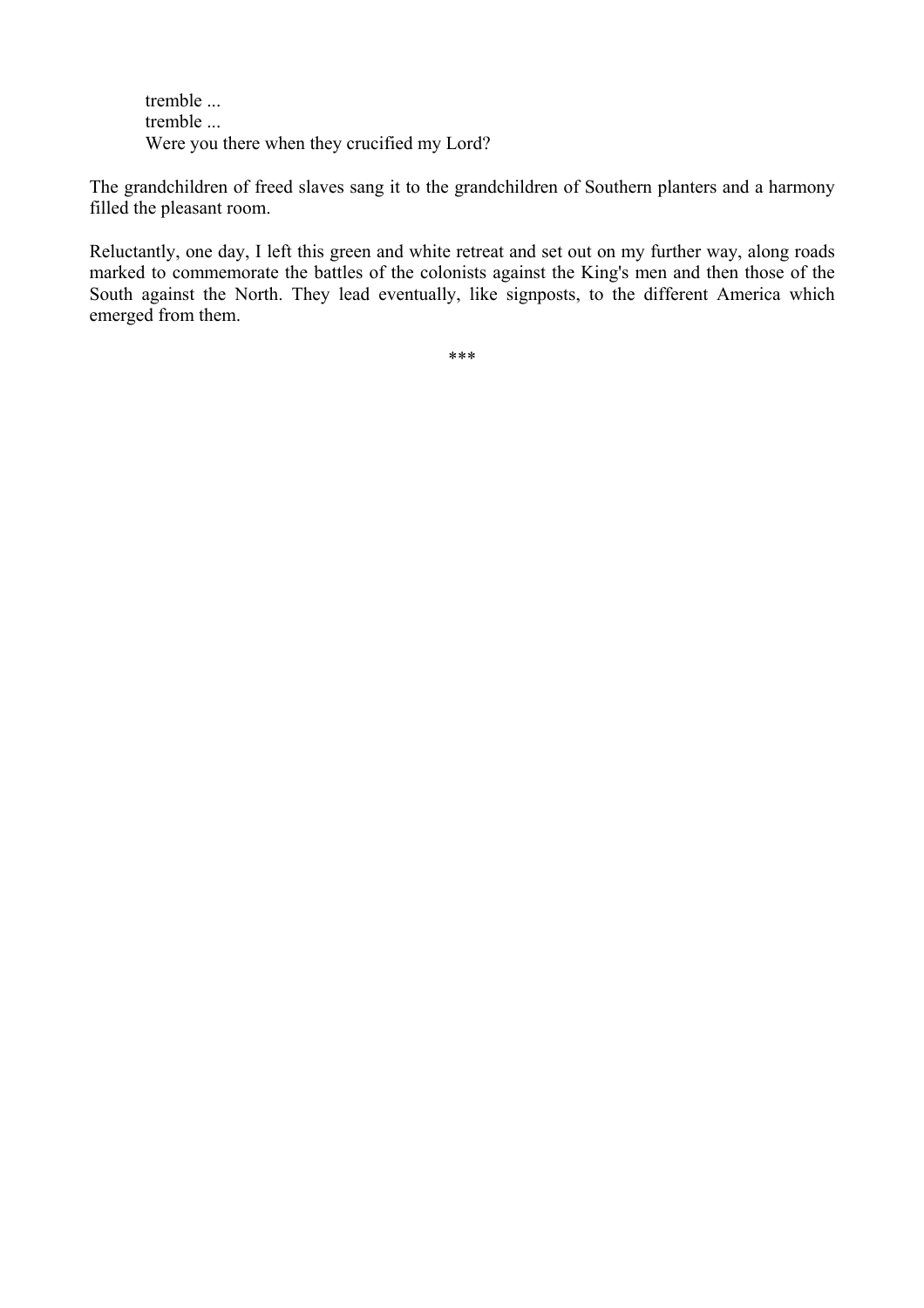tremble ... tremble ... Were you there when they crucified my Lord?

The grandchildren of freed slaves sang it to the grandchildren of Southern planters and a harmony filled the pleasant room.

Reluctantly, one day, I left this green and white retreat and set out on my further way, along roads marked to commemorate the battles of the colonists against the King's men and then those of the South against the North. They lead eventually, like signposts, to the different America which emerged from them.

\*\*\*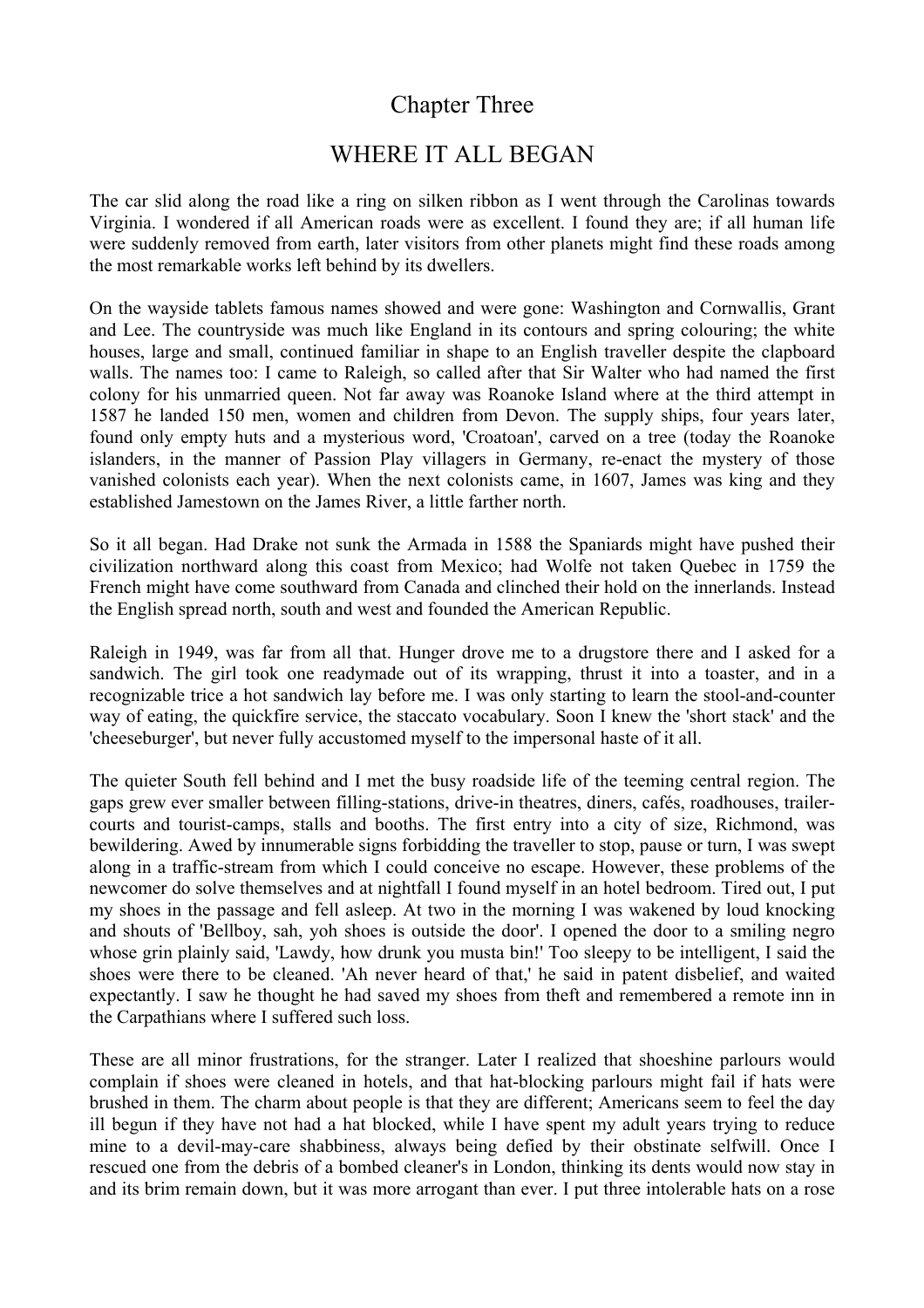#### Chapter Three

#### WHERE IT ALL BEGAN

<span id="page-20-0"></span>The car slid along the road like a ring on silken ribbon as I went through the Carolinas towards Virginia. I wondered if all American roads were as excellent. I found they are; if all human life were suddenly removed from earth, later visitors from other planets might find these roads among the most remarkable works left behind by its dwellers.

On the wayside tablets famous names showed and were gone: Washington and Cornwallis, Grant and Lee. The countryside was much like England in its contours and spring colouring; the white houses, large and small, continued familiar in shape to an English traveller despite the clapboard walls. The names too: I came to Raleigh, so called after that Sir Walter who had named the first colony for his unmarried queen. Not far away was Roanoke Island where at the third attempt in 1587 he landed 150 men, women and children from Devon. The supply ships, four years later, found only empty huts and a mysterious word, 'Croatoan', carved on a tree (today the Roanoke islanders, in the manner of Passion Play villagers in Germany, re-enact the mystery of those vanished colonists each year). When the next colonists came, in 1607, James was king and they established Jamestown on the James River, a little farther north.

So it all began. Had Drake not sunk the Armada in 1588 the Spaniards might have pushed their civilization northward along this coast from Mexico; had Wolfe not taken Quebec in 1759 the French might have come southward from Canada and clinched their hold on the innerlands. Instead the English spread north, south and west and founded the American Republic.

Raleigh in 1949, was far from all that. Hunger drove me to a drugstore there and I asked for a sandwich. The girl took one readymade out of its wrapping, thrust it into a toaster, and in a recognizable trice a hot sandwich lay before me. I was only starting to learn the stool-and-counter way of eating, the quickfire service, the staccato vocabulary. Soon I knew the 'short stack' and the 'cheeseburger', but never fully accustomed myself to the impersonal haste of it all.

The quieter South fell behind and I met the busy roadside life of the teeming central region. The gaps grew ever smaller between filling-stations, drive-in theatres, diners, cafés, roadhouses, trailercourts and tourist-camps, stalls and booths. The first entry into a city of size, Richmond, was bewildering. Awed by innumerable signs forbidding the traveller to stop, pause or turn, I was swept along in a traffic-stream from which I could conceive no escape. However, these problems of the newcomer do solve themselves and at nightfall I found myself in an hotel bedroom. Tired out, I put my shoes in the passage and fell asleep. At two in the morning I was wakened by loud knocking and shouts of 'Bellboy, sah, yoh shoes is outside the door'. I opened the door to a smiling negro whose grin plainly said, 'Lawdy, how drunk you musta bin!' Too sleepy to be intelligent, I said the shoes were there to be cleaned. 'Ah never heard of that,' he said in patent disbelief, and waited expectantly. I saw he thought he had saved my shoes from theft and remembered a remote inn in the Carpathians where I suffered such loss.

These are all minor frustrations, for the stranger. Later I realized that shoeshine parlours would complain if shoes were cleaned in hotels, and that hat-blocking parlours might fail if hats were brushed in them. The charm about people is that they are different; Americans seem to feel the day ill begun if they have not had a hat blocked, while I have spent my adult years trying to reduce mine to a devil-may-care shabbiness, always being defied by their obstinate selfwill. Once I rescued one from the debris of a bombed cleaner's in London, thinking its dents would now stay in and its brim remain down, but it was more arrogant than ever. I put three intolerable hats on a rose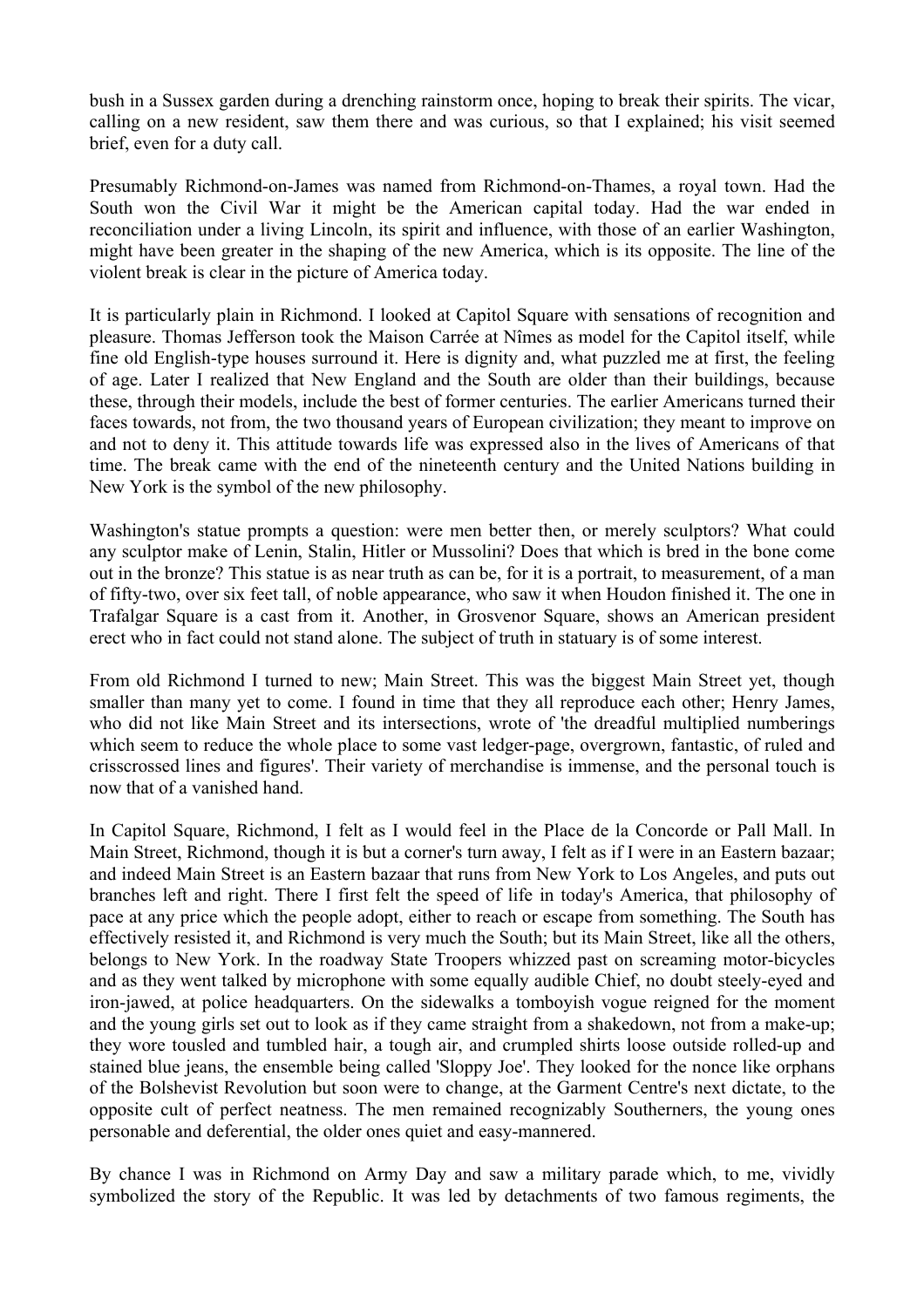bush in a Sussex garden during a drenching rainstorm once, hoping to break their spirits. The vicar, calling on a new resident, saw them there and was curious, so that I explained; his visit seemed brief, even for a duty call.

Presumably Richmond-on-James was named from Richmond-on-Thames, a royal town. Had the South won the Civil War it might be the American capital today. Had the war ended in reconciliation under a living Lincoln, its spirit and influence, with those of an earlier Washington, might have been greater in the shaping of the new America, which is its opposite. The line of the violent break is clear in the picture of America today.

It is particularly plain in Richmond. I looked at Capitol Square with sensations of recognition and pleasure. Thomas Jefferson took the Maison Carrée at Nîmes as model for the Capitol itself, while fine old English-type houses surround it. Here is dignity and, what puzzled me at first, the feeling of age. Later I realized that New England and the South are older than their buildings, because these, through their models, include the best of former centuries. The earlier Americans turned their faces towards, not from, the two thousand years of European civilization; they meant to improve on and not to deny it. This attitude towards life was expressed also in the lives of Americans of that time. The break came with the end of the nineteenth century and the United Nations building in New York is the symbol of the new philosophy.

Washington's statue prompts a question: were men better then, or merely sculptors? What could any sculptor make of Lenin, Stalin, Hitler or Mussolini? Does that which is bred in the bone come out in the bronze? This statue is as near truth as can be, for it is a portrait, to measurement, of a man of fifty-two, over six feet tall, of noble appearance, who saw it when Houdon finished it. The one in Trafalgar Square is a cast from it. Another, in Grosvenor Square, shows an American president erect who in fact could not stand alone. The subject of truth in statuary is of some interest.

From old Richmond I turned to new; Main Street. This was the biggest Main Street yet, though smaller than many yet to come. I found in time that they all reproduce each other; Henry James, who did not like Main Street and its intersections, wrote of 'the dreadful multiplied numberings which seem to reduce the whole place to some vast ledger-page, overgrown, fantastic, of ruled and crisscrossed lines and figures'. Their variety of merchandise is immense, and the personal touch is now that of a vanished hand.

In Capitol Square, Richmond, I felt as I would feel in the Place de la Concorde or Pall Mall. In Main Street, Richmond, though it is but a corner's turn away, I felt as if I were in an Eastern bazaar; and indeed Main Street is an Eastern bazaar that runs from New York to Los Angeles, and puts out branches left and right. There I first felt the speed of life in today's America, that philosophy of pace at any price which the people adopt, either to reach or escape from something. The South has effectively resisted it, and Richmond is very much the South; but its Main Street, like all the others, belongs to New York. In the roadway State Troopers whizzed past on screaming motor-bicycles and as they went talked by microphone with some equally audible Chief, no doubt steely-eyed and iron-jawed, at police headquarters. On the sidewalks a tomboyish vogue reigned for the moment and the young girls set out to look as if they came straight from a shakedown, not from a make-up; they wore tousled and tumbled hair, a tough air, and crumpled shirts loose outside rolled-up and stained blue jeans, the ensemble being called 'Sloppy Joe'. They looked for the nonce like orphans of the Bolshevist Revolution but soon were to change, at the Garment Centre's next dictate, to the opposite cult of perfect neatness. The men remained recognizably Southerners, the young ones personable and deferential, the older ones quiet and easy-mannered.

By chance I was in Richmond on Army Day and saw a military parade which, to me, vividly symbolized the story of the Republic. It was led by detachments of two famous regiments, the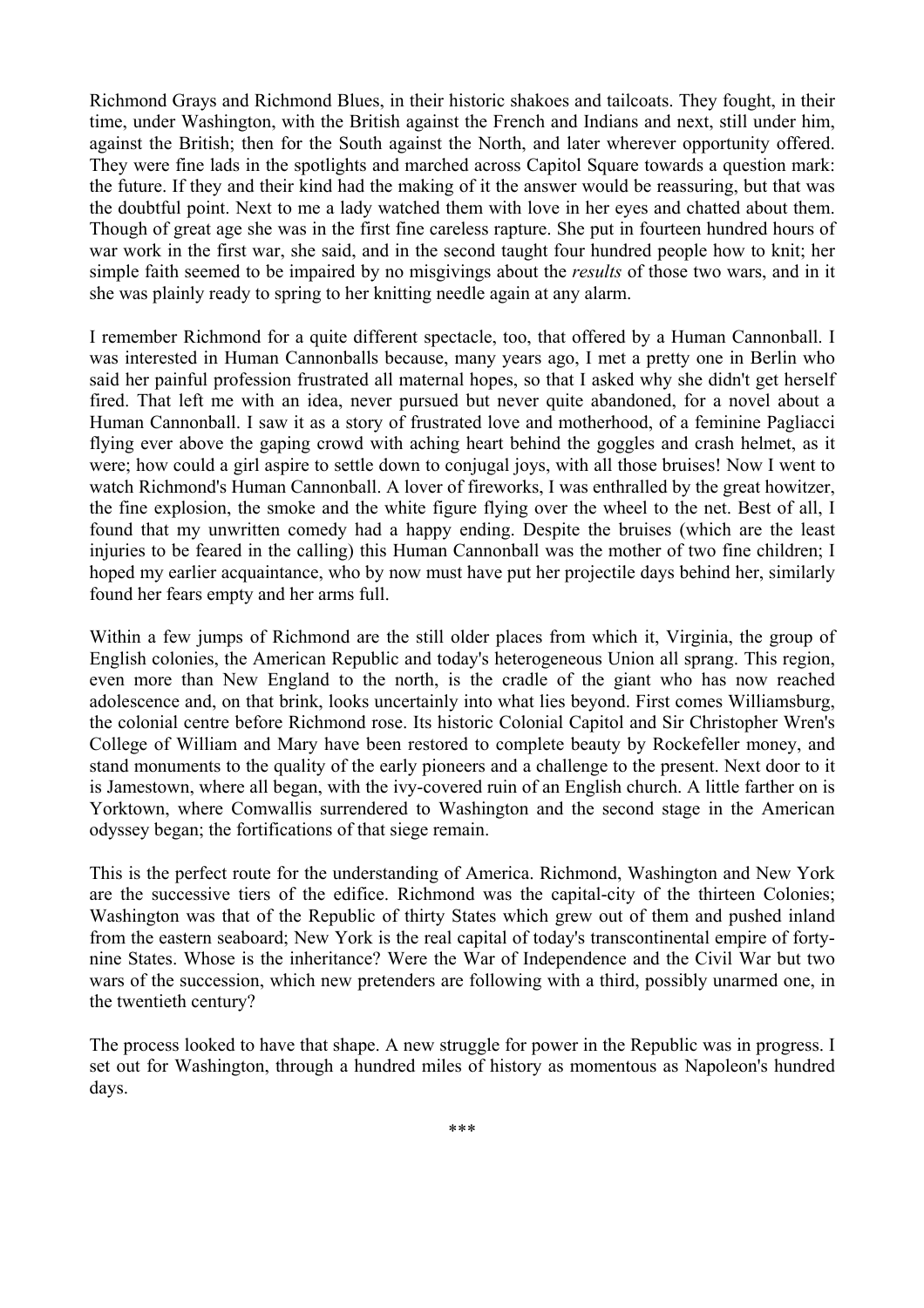Richmond Grays and Richmond Blues, in their historic shakoes and tailcoats. They fought, in their time, under Washington, with the British against the French and Indians and next, still under him, against the British; then for the South against the North, and later wherever opportunity offered. They were fine lads in the spotlights and marched across Capitol Square towards a question mark: the future. If they and their kind had the making of it the answer would be reassuring, but that was the doubtful point. Next to me a lady watched them with love in her eyes and chatted about them. Though of great age she was in the first fine careless rapture. She put in fourteen hundred hours of war work in the first war, she said, and in the second taught four hundred people how to knit; her simple faith seemed to be impaired by no misgivings about the *results* of those two wars, and in it she was plainly ready to spring to her knitting needle again at any alarm.

I remember Richmond for a quite different spectacle, too, that offered by a Human Cannonball. I was interested in Human Cannonballs because, many years ago, I met a pretty one in Berlin who said her painful profession frustrated all maternal hopes, so that I asked why she didn't get herself fired. That left me with an idea, never pursued but never quite abandoned, for a novel about a Human Cannonball. I saw it as a story of frustrated love and motherhood, of a feminine Pagliacci flying ever above the gaping crowd with aching heart behind the goggles and crash helmet, as it were; how could a girl aspire to settle down to conjugal joys, with all those bruises! Now I went to watch Richmond's Human Cannonball. A lover of fireworks, I was enthralled by the great howitzer, the fine explosion, the smoke and the white figure flying over the wheel to the net. Best of all, I found that my unwritten comedy had a happy ending. Despite the bruises (which are the least injuries to be feared in the calling) this Human Cannonball was the mother of two fine children; I hoped my earlier acquaintance, who by now must have put her projectile days behind her, similarly found her fears empty and her arms full.

Within a few jumps of Richmond are the still older places from which it, Virginia, the group of English colonies, the American Republic and today's heterogeneous Union all sprang. This region, even more than New England to the north, is the cradle of the giant who has now reached adolescence and, on that brink, looks uncertainly into what lies beyond. First comes Williamsburg, the colonial centre before Richmond rose. Its historic Colonial Capitol and Sir Christopher Wren's College of William and Mary have been restored to complete beauty by Rockefeller money, and stand monuments to the quality of the early pioneers and a challenge to the present. Next door to it is Jamestown, where all began, with the ivy-covered ruin of an English church. A little farther on is Yorktown, where Comwallis surrendered to Washington and the second stage in the American odyssey began; the fortifications of that siege remain.

This is the perfect route for the understanding of America. Richmond, Washington and New York are the successive tiers of the edifice. Richmond was the capital-city of the thirteen Colonies; Washington was that of the Republic of thirty States which grew out of them and pushed inland from the eastern seaboard; New York is the real capital of today's transcontinental empire of fortynine States. Whose is the inheritance? Were the War of Independence and the Civil War but two wars of the succession, which new pretenders are following with a third, possibly unarmed one, in the twentieth century?

The process looked to have that shape. A new struggle for power in the Republic was in progress. I set out for Washington, through a hundred miles of history as momentous as Napoleon's hundred days.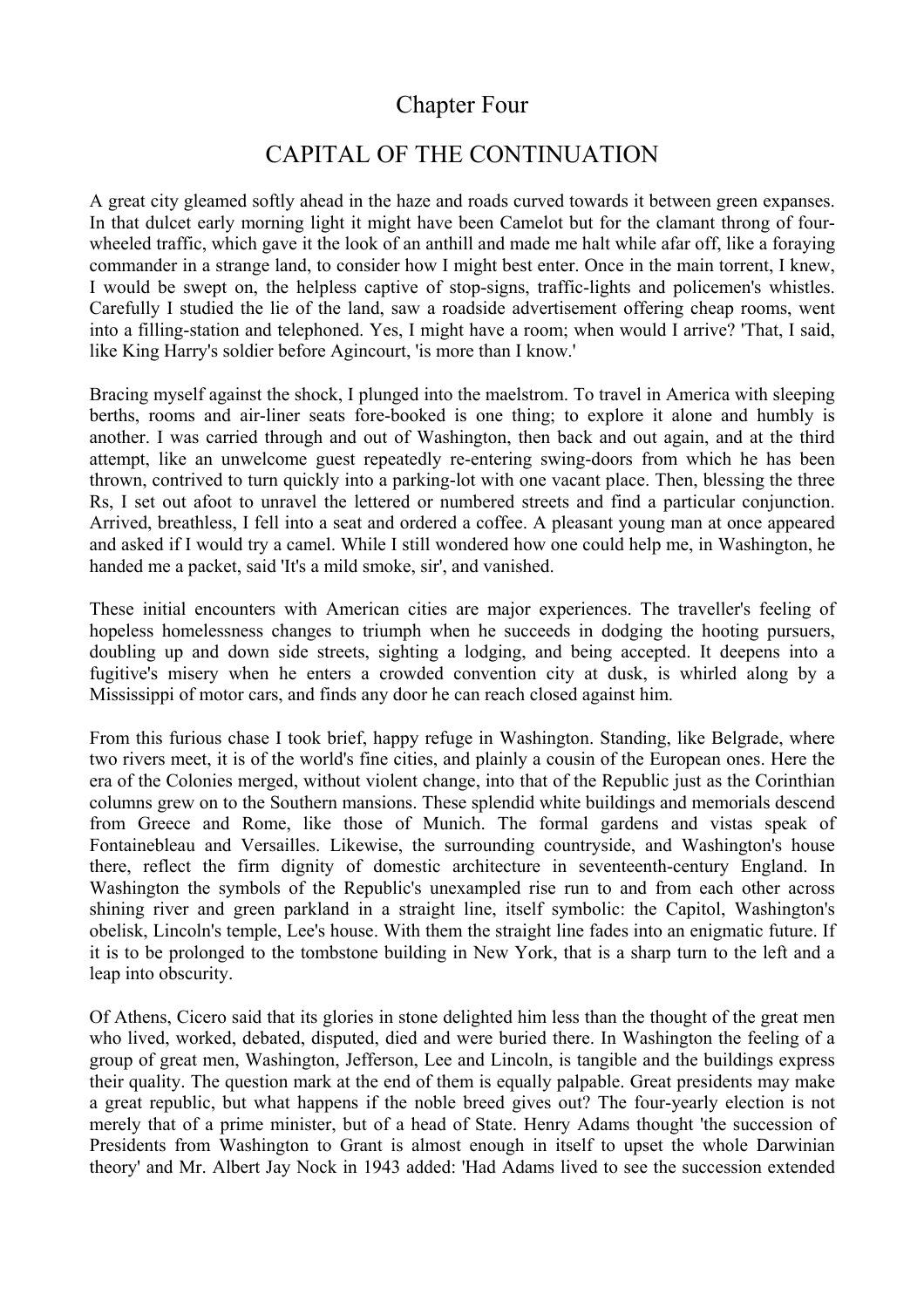#### Chapter Four

#### CAPITAL OF THE CONTINUATION

<span id="page-23-0"></span>A great city gleamed softly ahead in the haze and roads curved towards it between green expanses. In that dulcet early morning light it might have been Camelot but for the clamant throng of fourwheeled traffic, which gave it the look of an anthill and made me halt while afar off, like a foraying commander in a strange land, to consider how I might best enter. Once in the main torrent, I knew, I would be swept on, the helpless captive of stop-signs, traffic-lights and policemen's whistles. Carefully I studied the lie of the land, saw a roadside advertisement offering cheap rooms, went into a filling-station and telephoned. Yes, I might have a room; when would I arrive? 'That, I said, like King Harry's soldier before Agincourt, 'is more than I know.'

Bracing myself against the shock, I plunged into the maelstrom. To travel in America with sleeping berths, rooms and air-liner seats fore-booked is one thing; to explore it alone and humbly is another. I was carried through and out of Washington, then back and out again, and at the third attempt, like an unwelcome guest repeatedly re-entering swing-doors from which he has been thrown, contrived to turn quickly into a parking-lot with one vacant place. Then, blessing the three Rs, I set out afoot to unravel the lettered or numbered streets and find a particular conjunction. Arrived, breathless, I fell into a seat and ordered a coffee. A pleasant young man at once appeared and asked if I would try a camel. While I still wondered how one could help me, in Washington, he handed me a packet, said 'It's a mild smoke, sir', and vanished.

These initial encounters with American cities are major experiences. The traveller's feeling of hopeless homelessness changes to triumph when he succeeds in dodging the hooting pursuers, doubling up and down side streets, sighting a lodging, and being accepted. It deepens into a fugitive's misery when he enters a crowded convention city at dusk, is whirled along by a Mississippi of motor cars, and finds any door he can reach closed against him.

From this furious chase I took brief, happy refuge in Washington. Standing, like Belgrade, where two rivers meet, it is of the world's fine cities, and plainly a cousin of the European ones. Here the era of the Colonies merged, without violent change, into that of the Republic just as the Corinthian columns grew on to the Southern mansions. These splendid white buildings and memorials descend from Greece and Rome, like those of Munich. The formal gardens and vistas speak of Fontainebleau and Versailles. Likewise, the surrounding countryside, and Washington's house there, reflect the firm dignity of domestic architecture in seventeenth-century England. In Washington the symbols of the Republic's unexampled rise run to and from each other across shining river and green parkland in a straight line, itself symbolic: the Capitol, Washington's obelisk, Lincoln's temple, Lee's house. With them the straight line fades into an enigmatic future. If it is to be prolonged to the tombstone building in New York, that is a sharp turn to the left and a leap into obscurity.

Of Athens, Cicero said that its glories in stone delighted him less than the thought of the great men who lived, worked, debated, disputed, died and were buried there. In Washington the feeling of a group of great men, Washington, Jefferson, Lee and Lincoln, is tangible and the buildings express their quality. The question mark at the end of them is equally palpable. Great presidents may make a great republic, but what happens if the noble breed gives out? The four-yearly election is not merely that of a prime minister, but of a head of State. Henry Adams thought 'the succession of Presidents from Washington to Grant is almost enough in itself to upset the whole Darwinian theory' and Mr. Albert Jay Nock in 1943 added: 'Had Adams lived to see the succession extended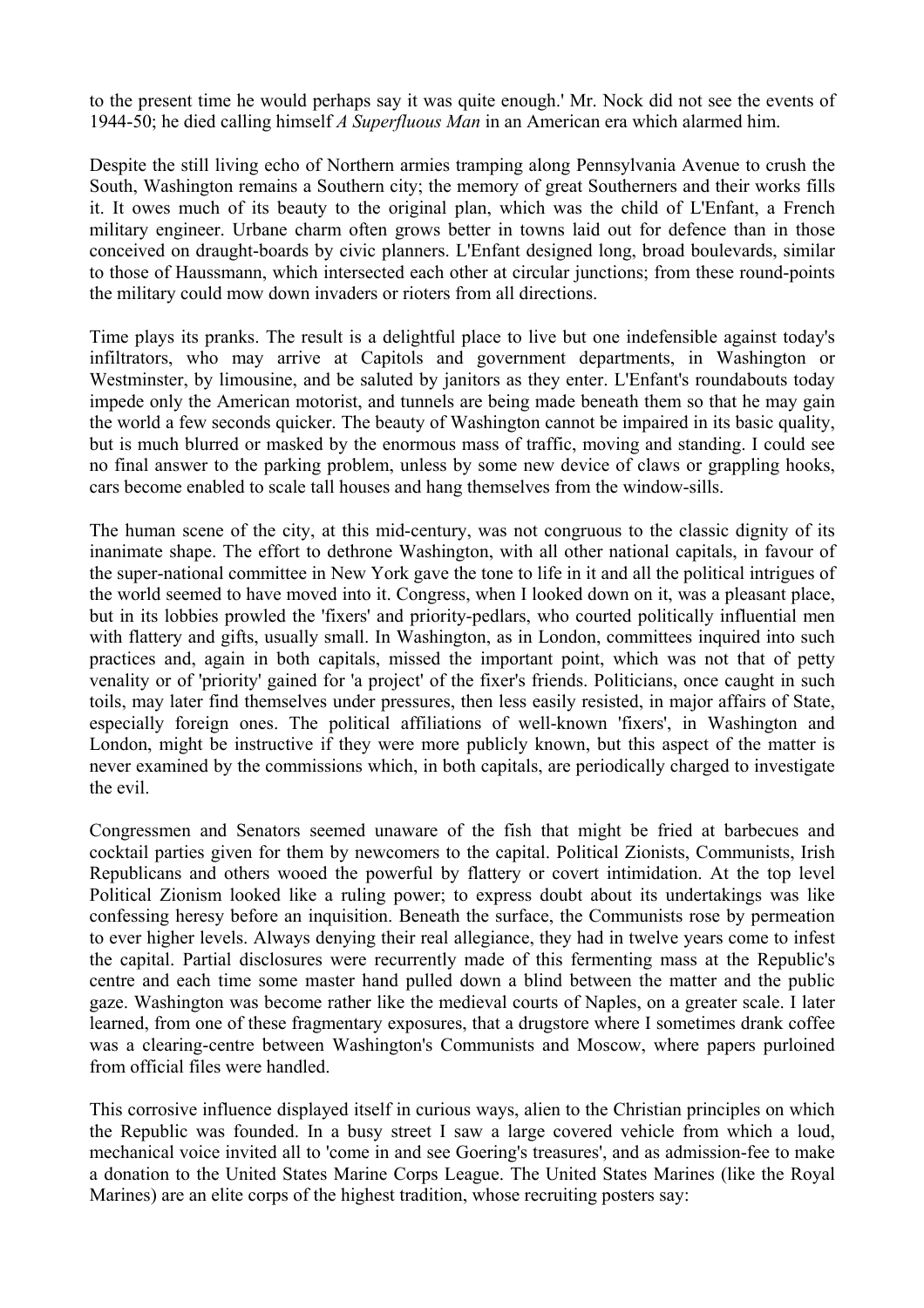to the present time he would perhaps say it was quite enough.' Mr. Nock did not see the events of 1944-50; he died calling himself *A Superfluous Man* in an American era which alarmed him.

Despite the still living echo of Northern armies tramping along Pennsylvania Avenue to crush the South, Washington remains a Southern city; the memory of great Southerners and their works fills it. It owes much of its beauty to the original plan, which was the child of L'Enfant, a French military engineer. Urbane charm often grows better in towns laid out for defence than in those conceived on draught-boards by civic planners. L'Enfant designed long, broad boulevards, similar to those of Haussmann, which intersected each other at circular junctions; from these round-points the military could mow down invaders or rioters from all directions.

Time plays its pranks. The result is a delightful place to live but one indefensible against today's infiltrators, who may arrive at Capitols and government departments, in Washington or Westminster, by limousine, and be saluted by janitors as they enter. L'Enfant's roundabouts today impede only the American motorist, and tunnels are being made beneath them so that he may gain the world a few seconds quicker. The beauty of Washington cannot be impaired in its basic quality, but is much blurred or masked by the enormous mass of traffic, moving and standing. I could see no final answer to the parking problem, unless by some new device of claws or grappling hooks, cars become enabled to scale tall houses and hang themselves from the window-sills.

The human scene of the city, at this mid-century, was not congruous to the classic dignity of its inanimate shape. The effort to dethrone Washington, with all other national capitals, in favour of the super-national committee in New York gave the tone to life in it and all the political intrigues of the world seemed to have moved into it. Congress, when I looked down on it, was a pleasant place, but in its lobbies prowled the 'fixers' and priority-pedlars, who courted politically influential men with flattery and gifts, usually small. In Washington, as in London, committees inquired into such practices and, again in both capitals, missed the important point, which was not that of petty venality or of 'priority' gained for 'a project' of the fixer's friends. Politicians, once caught in such toils, may later find themselves under pressures, then less easily resisted, in major affairs of State, especially foreign ones. The political affiliations of well-known 'fixers', in Washington and London, might be instructive if they were more publicly known, but this aspect of the matter is never examined by the commissions which, in both capitals, are periodically charged to investigate the evil.

Congressmen and Senators seemed unaware of the fish that might be fried at barbecues and cocktail parties given for them by newcomers to the capital. Political Zionists, Communists, Irish Republicans and others wooed the powerful by flattery or covert intimidation. At the top level Political Zionism looked like a ruling power; to express doubt about its undertakings was like confessing heresy before an inquisition. Beneath the surface, the Communists rose by permeation to ever higher levels. Always denying their real allegiance, they had in twelve years come to infest the capital. Partial disclosures were recurrently made of this fermenting mass at the Republic's centre and each time some master hand pulled down a blind between the matter and the public gaze. Washington was become rather like the medieval courts of Naples, on a greater scale. I later learned, from one of these fragmentary exposures, that a drugstore where I sometimes drank coffee was a clearing-centre between Washington's Communists and Moscow, where papers purloined from official files were handled.

This corrosive influence displayed itself in curious ways, alien to the Christian principles on which the Republic was founded. In a busy street I saw a large covered vehicle from which a loud, mechanical voice invited all to 'come in and see Goering's treasures', and as admission-fee to make a donation to the United States Marine Corps League. The United States Marines (like the Royal Marines) are an elite corps of the highest tradition, whose recruiting posters say: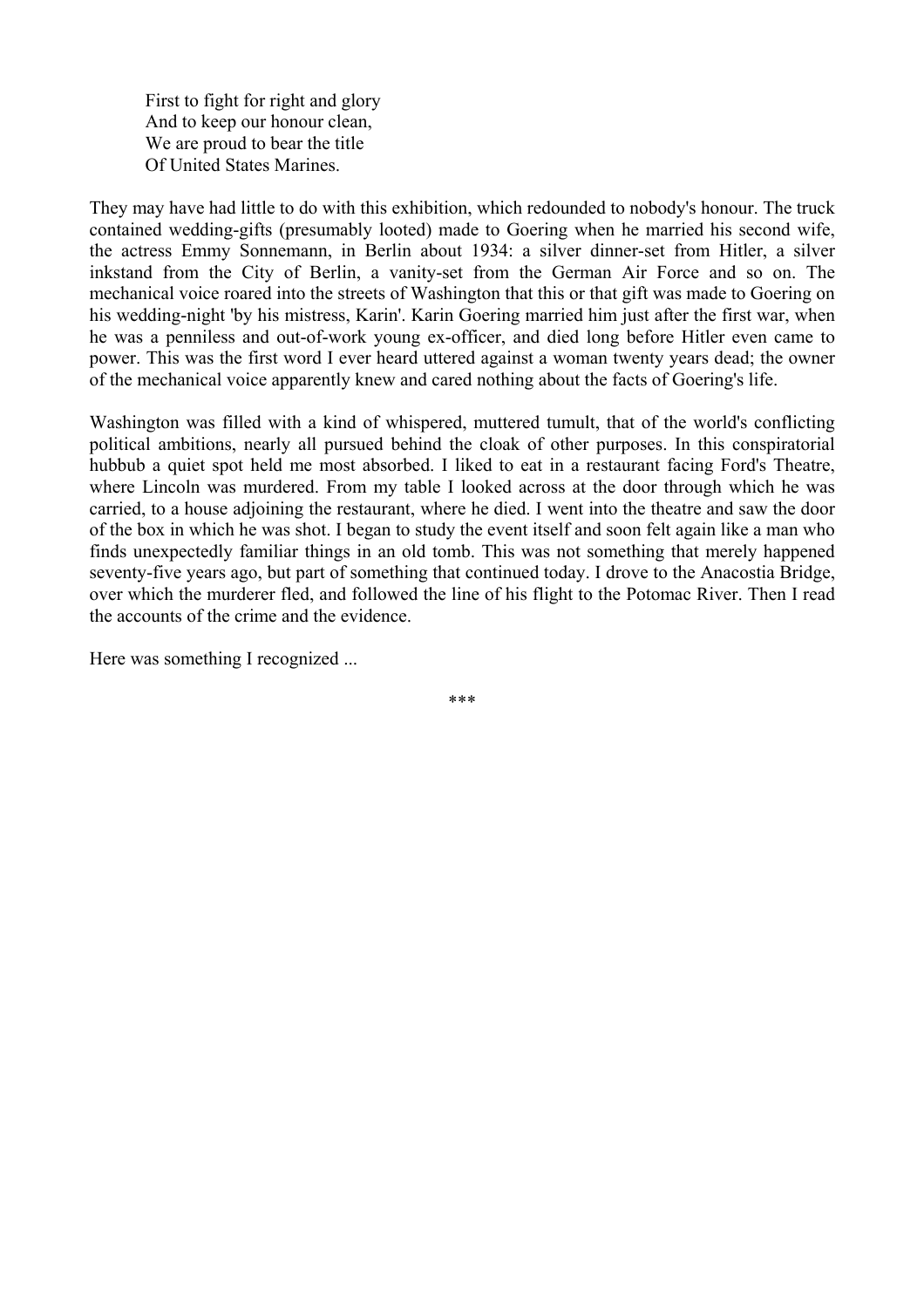First to fight for right and glory And to keep our honour clean, We are proud to bear the title Of United States Marines.

They may have had little to do with this exhibition, which redounded to nobody's honour. The truck contained wedding-gifts (presumably looted) made to Goering when he married his second wife, the actress Emmy Sonnemann, in Berlin about 1934: a silver dinner-set from Hitler, a silver inkstand from the City of Berlin, a vanity-set from the German Air Force and so on. The mechanical voice roared into the streets of Washington that this or that gift was made to Goering on his wedding-night 'by his mistress, Karin'. Karin Goering married him just after the first war, when he was a penniless and out-of-work young ex-officer, and died long before Hitler even came to power. This was the first word I ever heard uttered against a woman twenty years dead; the owner of the mechanical voice apparently knew and cared nothing about the facts of Goering's life.

Washington was filled with a kind of whispered, muttered tumult, that of the world's conflicting political ambitions, nearly all pursued behind the cloak of other purposes. In this conspiratorial hubbub a quiet spot held me most absorbed. I liked to eat in a restaurant facing Ford's Theatre, where Lincoln was murdered. From my table I looked across at the door through which he was carried, to a house adjoining the restaurant, where he died. I went into the theatre and saw the door of the box in which he was shot. I began to study the event itself and soon felt again like a man who finds unexpectedly familiar things in an old tomb. This was not something that merely happened seventy-five years ago, but part of something that continued today. I drove to the Anacostia Bridge, over which the murderer fled, and followed the line of his flight to the Potomac River. Then I read the accounts of the crime and the evidence.

Here was something I recognized ...

\*\*\*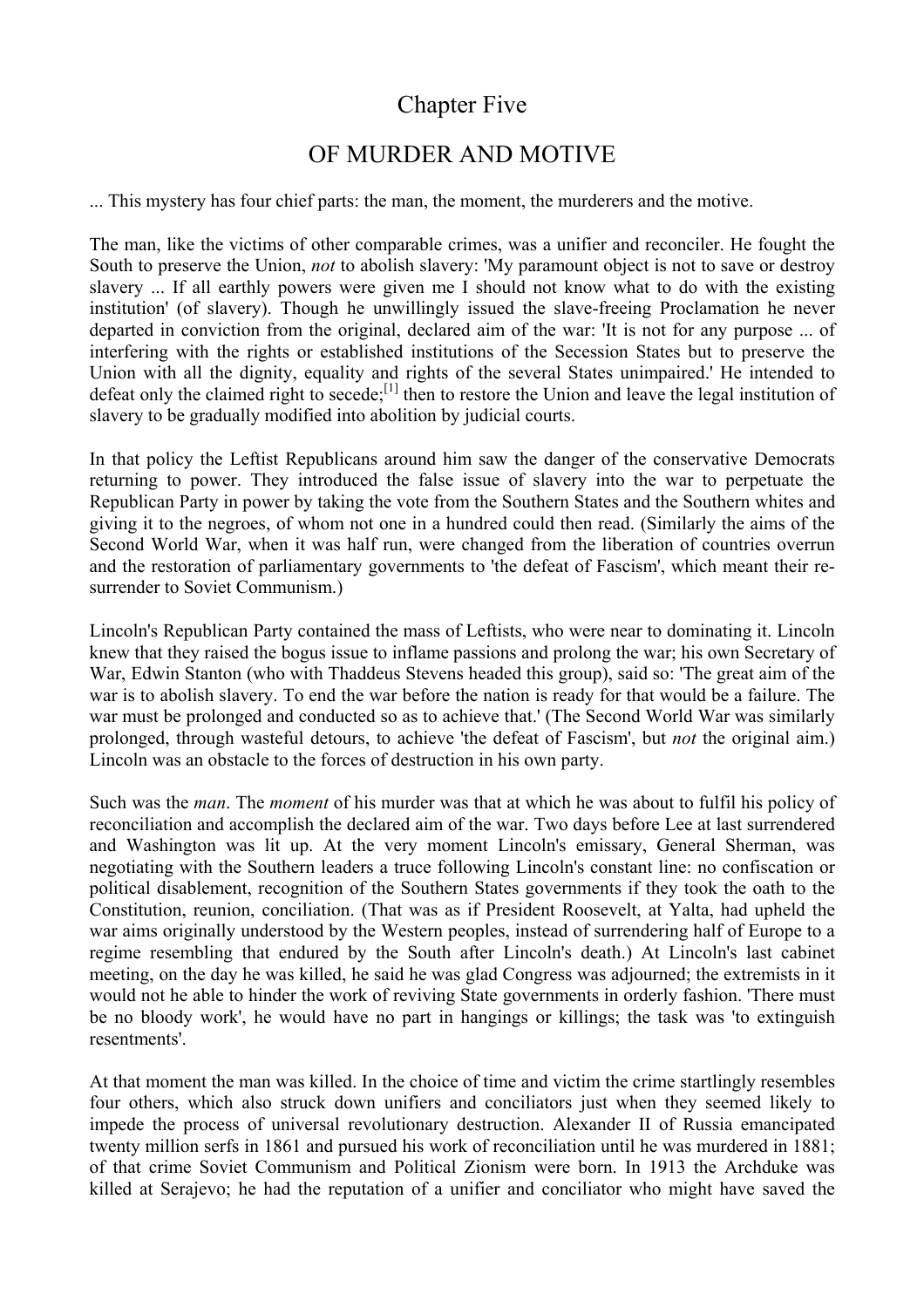#### Chapter Five

#### OF MURDER AND MOTIVE

<span id="page-26-0"></span>... This mystery has four chief parts: the man, the moment, the murderers and the motive.

The man, like the victims of other comparable crimes, was a unifier and reconciler. He fought the South to preserve the Union, *not* to abolish slavery: 'My paramount object is not to save or destroy slavery ... If all earthly powers were given me I should not know what to do with the existing institution' (of slavery). Though he unwillingly issued the slave-freeing Proclamation he never departed in conviction from the original, declared aim of the war: 'It is not for any purpose ... of interfering with the rights or established institutions of the Secession States but to preserve the Union with all the dignity, equality and rights of the several States unimpaired.' He intended to defeat only the claimed right to secede; $\begin{bmatrix} 1 \end{bmatrix}$  then to restore the Union and leave the legal institution of slavery to be gradually modified into abolition by judicial courts.

In that policy the Leftist Republicans around him saw the danger of the conservative Democrats returning to power. They introduced the false issue of slavery into the war to perpetuate the Republican Party in power by taking the vote from the Southern States and the Southern whites and giving it to the negroes, of whom not one in a hundred could then read. (Similarly the aims of the Second World War, when it was half run, were changed from the liberation of countries overrun and the restoration of parliamentary governments to 'the defeat of Fascism', which meant their resurrender to Soviet Communism.)

Lincoln's Republican Party contained the mass of Leftists, who were near to dominating it. Lincoln knew that they raised the bogus issue to inflame passions and prolong the war; his own Secretary of War, Edwin Stanton (who with Thaddeus Stevens headed this group), said so: 'The great aim of the war is to abolish slavery. To end the war before the nation is ready for that would be a failure. The war must be prolonged and conducted so as to achieve that.' (The Second World War was similarly prolonged, through wasteful detours, to achieve 'the defeat of Fascism', but *not* the original aim.) Lincoln was an obstacle to the forces of destruction in his own party.

Such was the *man*. The *moment* of his murder was that at which he was about to fulfil his policy of reconciliation and accomplish the declared aim of the war. Two days before Lee at last surrendered and Washington was lit up. At the very moment Lincoln's emissary, General Sherman, was negotiating with the Southern leaders a truce following Lincoln's constant line: no confiscation or political disablement, recognition of the Southern States governments if they took the oath to the Constitution, reunion, conciliation. (That was as if President Roosevelt, at Yalta, had upheld the war aims originally understood by the Western peoples, instead of surrendering half of Europe to a regime resembling that endured by the South after Lincoln's death.) At Lincoln's last cabinet meeting, on the day he was killed, he said he was glad Congress was adjourned; the extremists in it would not he able to hinder the work of reviving State governments in orderly fashion. 'There must be no bloody work', he would have no part in hangings or killings; the task was 'to extinguish resentments'.

At that moment the man was killed. In the choice of time and victim the crime startlingly resembles four others, which also struck down unifiers and conciliators just when they seemed likely to impede the process of universal revolutionary destruction. Alexander II of Russia emancipated twenty million serfs in 1861 and pursued his work of reconciliation until he was murdered in 1881; of that crime Soviet Communism and Political Zionism were born. In 1913 the Archduke was killed at Serajevo; he had the reputation of a unifier and conciliator who might have saved the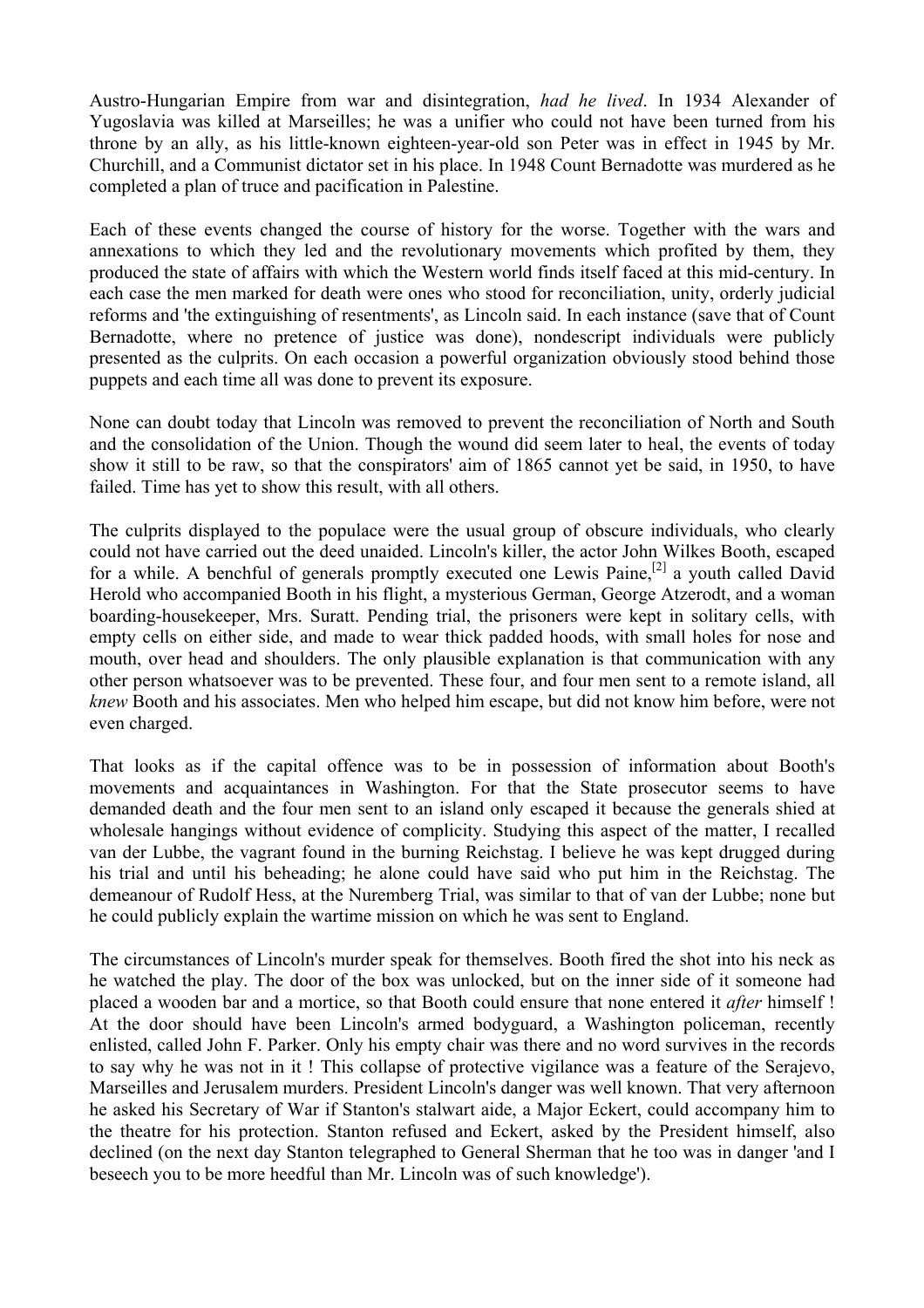Austro-Hungarian Empire from war and disintegration, *had he lived*. In 1934 Alexander of Yugoslavia was killed at Marseilles; he was a unifier who could not have been turned from his throne by an ally, as his little-known eighteen-year-old son Peter was in effect in 1945 by Mr. Churchill, and a Communist dictator set in his place. In 1948 Count Bernadotte was murdered as he completed a plan of truce and pacification in Palestine.

Each of these events changed the course of history for the worse. Together with the wars and annexations to which they led and the revolutionary movements which profited by them, they produced the state of affairs with which the Western world finds itself faced at this mid-century. In each case the men marked for death were ones who stood for reconciliation, unity, orderly judicial reforms and 'the extinguishing of resentments', as Lincoln said. In each instance (save that of Count Bernadotte, where no pretence of justice was done), nondescript individuals were publicly presented as the culprits. On each occasion a powerful organization obviously stood behind those puppets and each time all was done to prevent its exposure.

None can doubt today that Lincoln was removed to prevent the reconciliation of North and South and the consolidation of the Union. Though the wound did seem later to heal, the events of today show it still to be raw, so that the conspirators' aim of 1865 cannot yet be said, in 1950, to have failed. Time has yet to show this result, with all others.

The culprits displayed to the populace were the usual group of obscure individuals, who clearly could not have carried out the deed unaided. Lincoln's killer, the actor John Wilkes Booth, escaped for a while. A benchful of generals promptly executed one Lewis Paine.<sup>[\[2\]](#page-236-0)</sup> a youth called David Herold who accompanied Booth in his flight, a mysterious German, George Atzerodt, and a woman boarding-housekeeper, Mrs. Suratt. Pending trial, the prisoners were kept in solitary cells, with empty cells on either side, and made to wear thick padded hoods, with small holes for nose and mouth, over head and shoulders. The only plausible explanation is that communication with any other person whatsoever was to be prevented. These four, and four men sent to a remote island, all *knew* Booth and his associates. Men who helped him escape, but did not know him before, were not even charged.

That looks as if the capital offence was to be in possession of information about Booth's movements and acquaintances in Washington. For that the State prosecutor seems to have demanded death and the four men sent to an island only escaped it because the generals shied at wholesale hangings without evidence of complicity. Studying this aspect of the matter, I recalled van der Lubbe, the vagrant found in the burning Reichstag. I believe he was kept drugged during his trial and until his beheading; he alone could have said who put him in the Reichstag. The demeanour of Rudolf Hess, at the Nuremberg Trial, was similar to that of van der Lubbe; none but he could publicly explain the wartime mission on which he was sent to England.

The circumstances of Lincoln's murder speak for themselves. Booth fired the shot into his neck as he watched the play. The door of the box was unlocked, but on the inner side of it someone had placed a wooden bar and a mortice, so that Booth could ensure that none entered it *after* himself ! At the door should have been Lincoln's armed bodyguard, a Washington policeman, recently enlisted, called John F. Parker. Only his empty chair was there and no word survives in the records to say why he was not in it ! This collapse of protective vigilance was a feature of the Serajevo, Marseilles and Jerusalem murders. President Lincoln's danger was well known. That very afternoon he asked his Secretary of War if Stanton's stalwart aide, a Major Eckert, could accompany him to the theatre for his protection. Stanton refused and Eckert, asked by the President himself, also declined (on the next day Stanton telegraphed to General Sherman that he too was in danger 'and I beseech you to be more heedful than Mr. Lincoln was of such knowledge').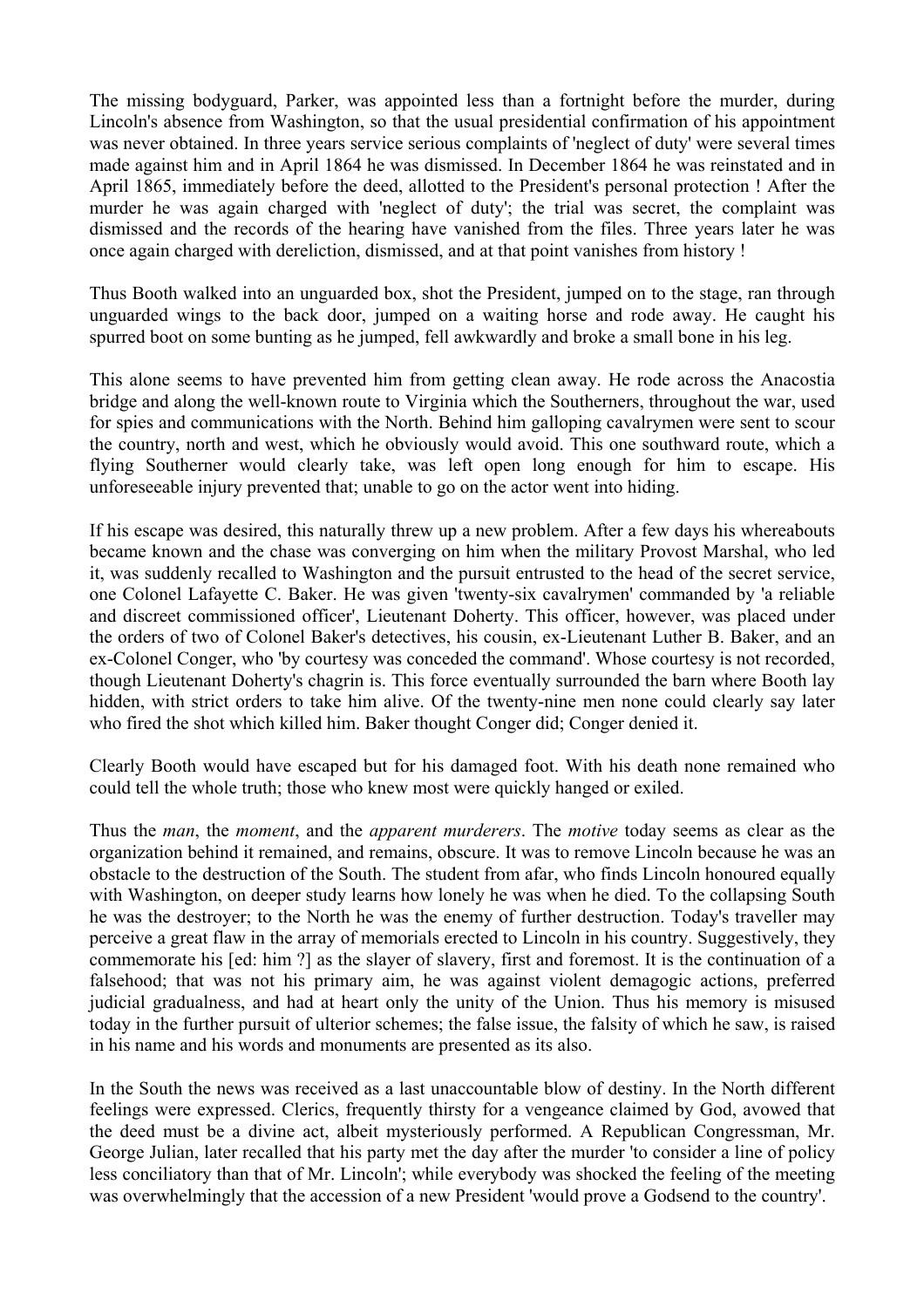The missing bodyguard, Parker, was appointed less than a fortnight before the murder, during Lincoln's absence from Washington, so that the usual presidential confirmation of his appointment was never obtained. In three years service serious complaints of 'neglect of duty' were several times made against him and in April 1864 he was dismissed. In December 1864 he was reinstated and in April 1865, immediately before the deed, allotted to the President's personal protection ! After the murder he was again charged with 'neglect of duty'; the trial was secret, the complaint was dismissed and the records of the hearing have vanished from the files. Three years later he was once again charged with dereliction, dismissed, and at that point vanishes from history !

Thus Booth walked into an unguarded box, shot the President, jumped on to the stage, ran through unguarded wings to the back door, jumped on a waiting horse and rode away. He caught his spurred boot on some bunting as he jumped, fell awkwardly and broke a small bone in his leg.

This alone seems to have prevented him from getting clean away. He rode across the Anacostia bridge and along the well-known route to Virginia which the Southerners, throughout the war, used for spies and communications with the North. Behind him galloping cavalrymen were sent to scour the country, north and west, which he obviously would avoid. This one southward route, which a flying Southerner would clearly take, was left open long enough for him to escape. His unforeseeable injury prevented that; unable to go on the actor went into hiding.

If his escape was desired, this naturally threw up a new problem. After a few days his whereabouts became known and the chase was converging on him when the military Provost Marshal, who led it, was suddenly recalled to Washington and the pursuit entrusted to the head of the secret service, one Colonel Lafayette C. Baker. He was given 'twenty-six cavalrymen' commanded by 'a reliable and discreet commissioned officer', Lieutenant Doherty. This officer, however, was placed under the orders of two of Colonel Baker's detectives, his cousin, ex-Lieutenant Luther B. Baker, and an ex-Colonel Conger, who 'by courtesy was conceded the command'. Whose courtesy is not recorded, though Lieutenant Doherty's chagrin is. This force eventually surrounded the barn where Booth lay hidden, with strict orders to take him alive. Of the twenty-nine men none could clearly say later who fired the shot which killed him. Baker thought Conger did; Conger denied it.

Clearly Booth would have escaped but for his damaged foot. With his death none remained who could tell the whole truth; those who knew most were quickly hanged or exiled.

Thus the *man*, the *moment*, and the *apparent murderers*. The *motive* today seems as clear as the organization behind it remained, and remains, obscure. It was to remove Lincoln because he was an obstacle to the destruction of the South. The student from afar, who finds Lincoln honoured equally with Washington, on deeper study learns how lonely he was when he died. To the collapsing South he was the destroyer; to the North he was the enemy of further destruction. Today's traveller may perceive a great flaw in the array of memorials erected to Lincoln in his country. Suggestively, they commemorate his [ed: him ?] as the slayer of slavery, first and foremost. It is the continuation of a falsehood; that was not his primary aim, he was against violent demagogic actions, preferred judicial gradualness, and had at heart only the unity of the Union. Thus his memory is misused today in the further pursuit of ulterior schemes; the false issue, the falsity of which he saw, is raised in his name and his words and monuments are presented as its also.

In the South the news was received as a last unaccountable blow of destiny. In the North different feelings were expressed. Clerics, frequently thirsty for a vengeance claimed by God, avowed that the deed must be a divine act, albeit mysteriously performed. A Republican Congressman, Mr. George Julian, later recalled that his party met the day after the murder 'to consider a line of policy less conciliatory than that of Mr. Lincoln'; while everybody was shocked the feeling of the meeting was overwhelmingly that the accession of a new President 'would prove a Godsend to the country'.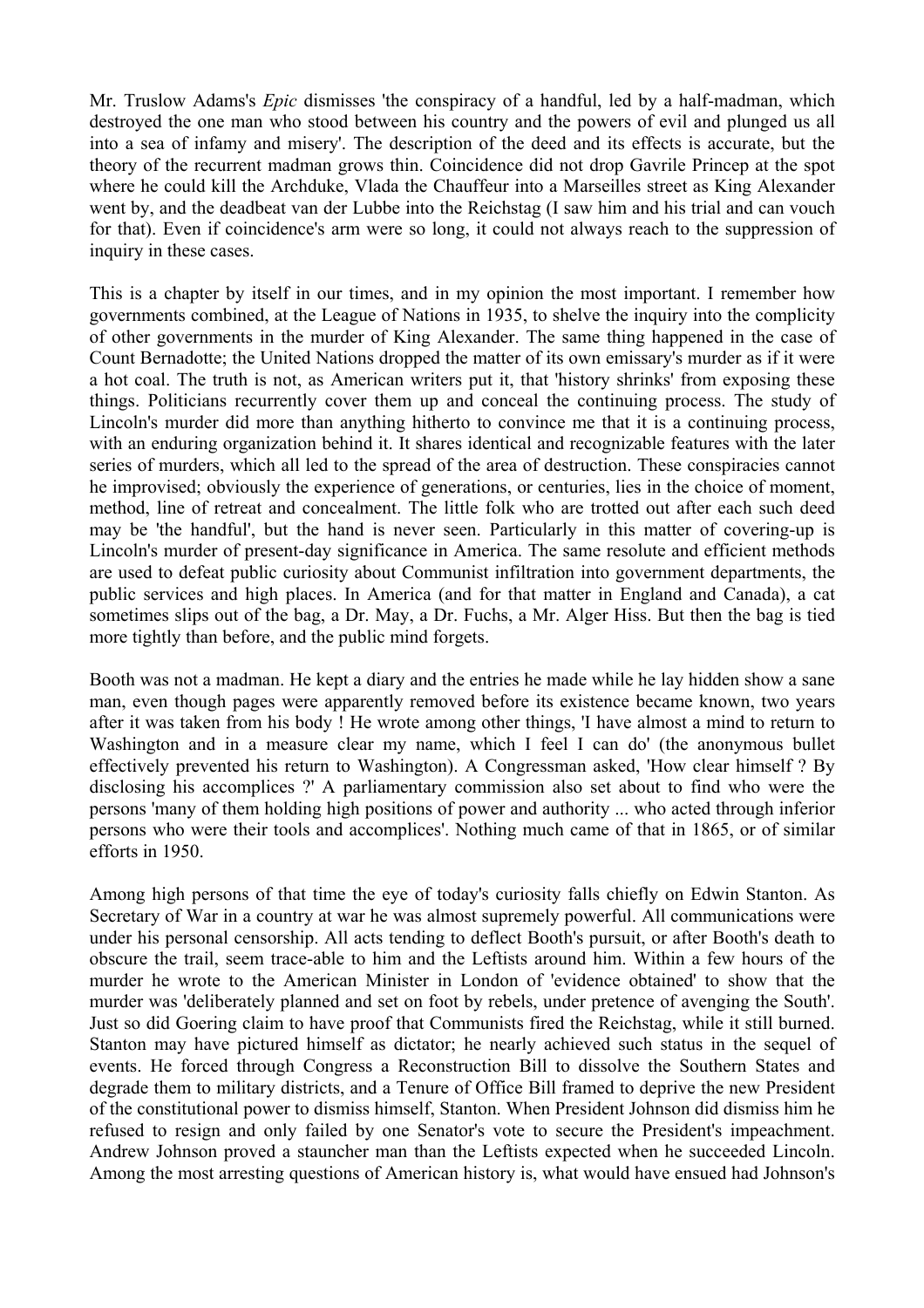Mr. Truslow Adams's *Epic* dismisses 'the conspiracy of a handful, led by a half-madman, which destroyed the one man who stood between his country and the powers of evil and plunged us all into a sea of infamy and misery'. The description of the deed and its effects is accurate, but the theory of the recurrent madman grows thin. Coincidence did not drop Gavrile Princep at the spot where he could kill the Archduke, Vlada the Chauffeur into a Marseilles street as King Alexander went by, and the deadbeat van der Lubbe into the Reichstag (I saw him and his trial and can vouch for that). Even if coincidence's arm were so long, it could not always reach to the suppression of inquiry in these cases.

This is a chapter by itself in our times, and in my opinion the most important. I remember how governments combined, at the League of Nations in 1935, to shelve the inquiry into the complicity of other governments in the murder of King Alexander. The same thing happened in the case of Count Bernadotte; the United Nations dropped the matter of its own emissary's murder as if it were a hot coal. The truth is not, as American writers put it, that 'history shrinks' from exposing these things. Politicians recurrently cover them up and conceal the continuing process. The study of Lincoln's murder did more than anything hitherto to convince me that it is a continuing process, with an enduring organization behind it. It shares identical and recognizable features with the later series of murders, which all led to the spread of the area of destruction. These conspiracies cannot he improvised; obviously the experience of generations, or centuries, lies in the choice of moment, method, line of retreat and concealment. The little folk who are trotted out after each such deed may be 'the handful', but the hand is never seen. Particularly in this matter of covering-up is Lincoln's murder of present-day significance in America. The same resolute and efficient methods are used to defeat public curiosity about Communist infiltration into government departments, the public services and high places. In America (and for that matter in England and Canada), a cat sometimes slips out of the bag, a Dr. May, a Dr. Fuchs, a Mr. Alger Hiss. But then the bag is tied more tightly than before, and the public mind forgets.

Booth was not a madman. He kept a diary and the entries he made while he lay hidden show a sane man, even though pages were apparently removed before its existence became known, two years after it was taken from his body ! He wrote among other things, 'I have almost a mind to return to Washington and in a measure clear my name, which I feel I can do' (the anonymous bullet effectively prevented his return to Washington). A Congressman asked, 'How clear himself ? By disclosing his accomplices ?' A parliamentary commission also set about to find who were the persons 'many of them holding high positions of power and authority ... who acted through inferior persons who were their tools and accomplices'. Nothing much came of that in 1865, or of similar efforts in 1950.

Among high persons of that time the eye of today's curiosity falls chiefly on Edwin Stanton. As Secretary of War in a country at war he was almost supremely powerful. All communications were under his personal censorship. All acts tending to deflect Booth's pursuit, or after Booth's death to obscure the trail, seem trace-able to him and the Leftists around him. Within a few hours of the murder he wrote to the American Minister in London of 'evidence obtained' to show that the murder was 'deliberately planned and set on foot by rebels, under pretence of avenging the South'. Just so did Goering claim to have proof that Communists fired the Reichstag, while it still burned. Stanton may have pictured himself as dictator; he nearly achieved such status in the sequel of events. He forced through Congress a Reconstruction Bill to dissolve the Southern States and degrade them to military districts, and a Tenure of Office Bill framed to deprive the new President of the constitutional power to dismiss himself, Stanton. When President Johnson did dismiss him he refused to resign and only failed by one Senator's vote to secure the President's impeachment. Andrew Johnson proved a stauncher man than the Leftists expected when he succeeded Lincoln. Among the most arresting questions of American history is, what would have ensued had Johnson's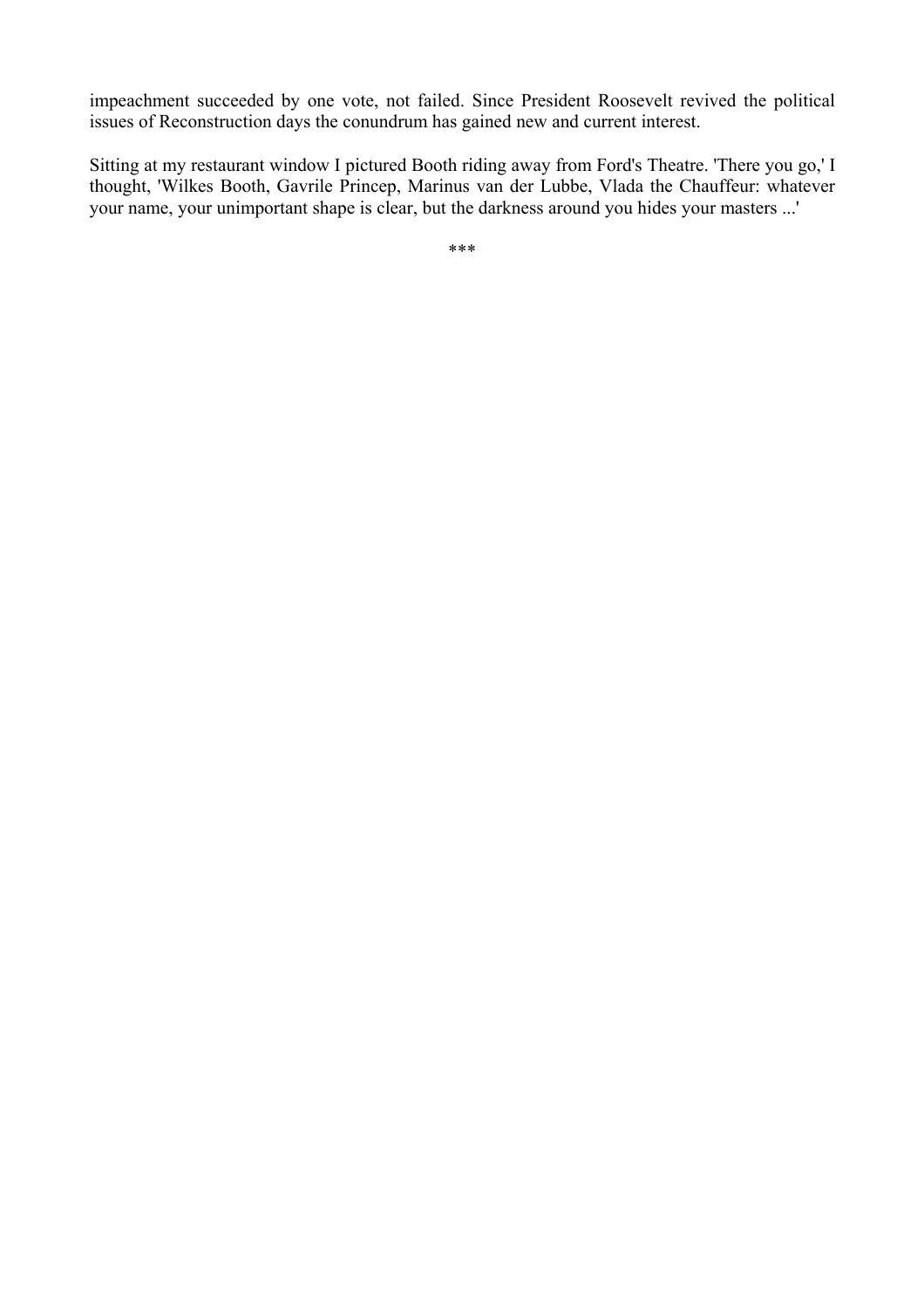impeachment succeeded by one vote, not failed. Since President Roosevelt revived the political issues of Reconstruction days the conundrum has gained new and current interest.

Sitting at my restaurant window I pictured Booth riding away from Ford's Theatre. 'There you go,' I thought, 'Wilkes Booth, Gavrile Princep, Marinus van der Lubbe, Vlada the Chauffeur: whatever your name, your unimportant shape is clear, but the darkness around you hides your masters ...'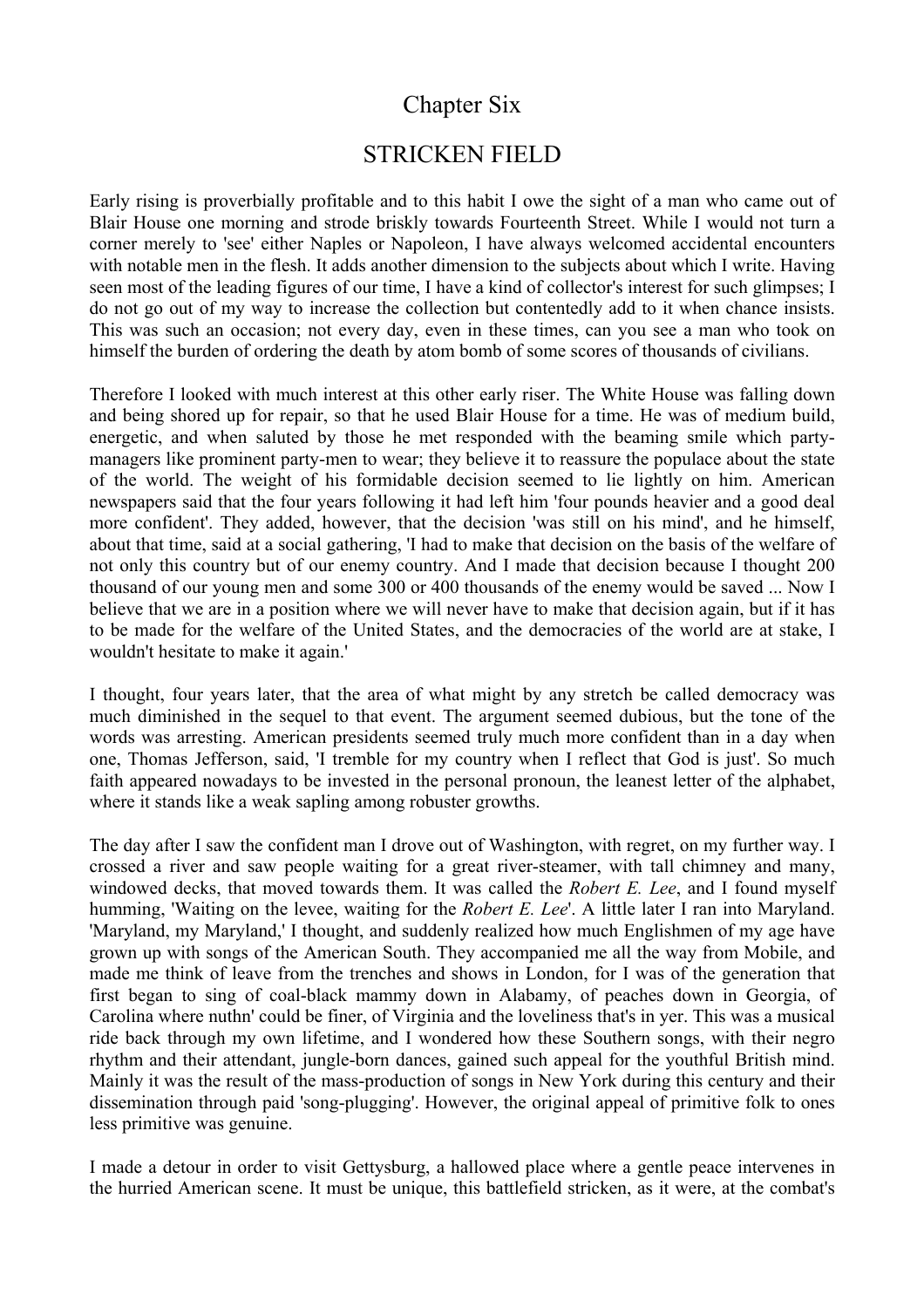#### Chapter Six

#### STRICKEN FIELD

<span id="page-31-0"></span>Early rising is proverbially profitable and to this habit I owe the sight of a man who came out of Blair House one morning and strode briskly towards Fourteenth Street. While I would not turn a corner merely to 'see' either Naples or Napoleon, I have always welcomed accidental encounters with notable men in the flesh. It adds another dimension to the subjects about which I write. Having seen most of the leading figures of our time, I have a kind of collector's interest for such glimpses; I do not go out of my way to increase the collection but contentedly add to it when chance insists. This was such an occasion; not every day, even in these times, can you see a man who took on himself the burden of ordering the death by atom bomb of some scores of thousands of civilians.

Therefore I looked with much interest at this other early riser. The White House was falling down and being shored up for repair, so that he used Blair House for a time. He was of medium build, energetic, and when saluted by those he met responded with the beaming smile which partymanagers like prominent party-men to wear; they believe it to reassure the populace about the state of the world. The weight of his formidable decision seemed to lie lightly on him. American newspapers said that the four years following it had left him 'four pounds heavier and a good deal more confident'. They added, however, that the decision 'was still on his mind', and he himself, about that time, said at a social gathering, 'I had to make that decision on the basis of the welfare of not only this country but of our enemy country. And I made that decision because I thought 200 thousand of our young men and some 300 or 400 thousands of the enemy would be saved ... Now I believe that we are in a position where we will never have to make that decision again, but if it has to be made for the welfare of the United States, and the democracies of the world are at stake, I wouldn't hesitate to make it again.'

I thought, four years later, that the area of what might by any stretch be called democracy was much diminished in the sequel to that event. The argument seemed dubious, but the tone of the words was arresting. American presidents seemed truly much more confident than in a day when one, Thomas Jefferson, said, 'I tremble for my country when I reflect that God is just'. So much faith appeared nowadays to be invested in the personal pronoun, the leanest letter of the alphabet, where it stands like a weak sapling among robuster growths.

The day after I saw the confident man I drove out of Washington, with regret, on my further way. I crossed a river and saw people waiting for a great river-steamer, with tall chimney and many, windowed decks, that moved towards them. It was called the *Robert E. Lee*, and I found myself humming, 'Waiting on the levee, waiting for the *Robert E. Lee*'. A little later I ran into Maryland. 'Maryland, my Maryland,' I thought, and suddenly realized how much Englishmen of my age have grown up with songs of the American South. They accompanied me all the way from Mobile, and made me think of leave from the trenches and shows in London, for I was of the generation that first began to sing of coal-black mammy down in Alabamy, of peaches down in Georgia, of Carolina where nuthn' could be finer, of Virginia and the loveliness that's in yer. This was a musical ride back through my own lifetime, and I wondered how these Southern songs, with their negro rhythm and their attendant, jungle-born dances, gained such appeal for the youthful British mind. Mainly it was the result of the mass-production of songs in New York during this century and their dissemination through paid 'song-plugging'. However, the original appeal of primitive folk to ones less primitive was genuine.

I made a detour in order to visit Gettysburg, a hallowed place where a gentle peace intervenes in the hurried American scene. It must be unique, this battlefield stricken, as it were, at the combat's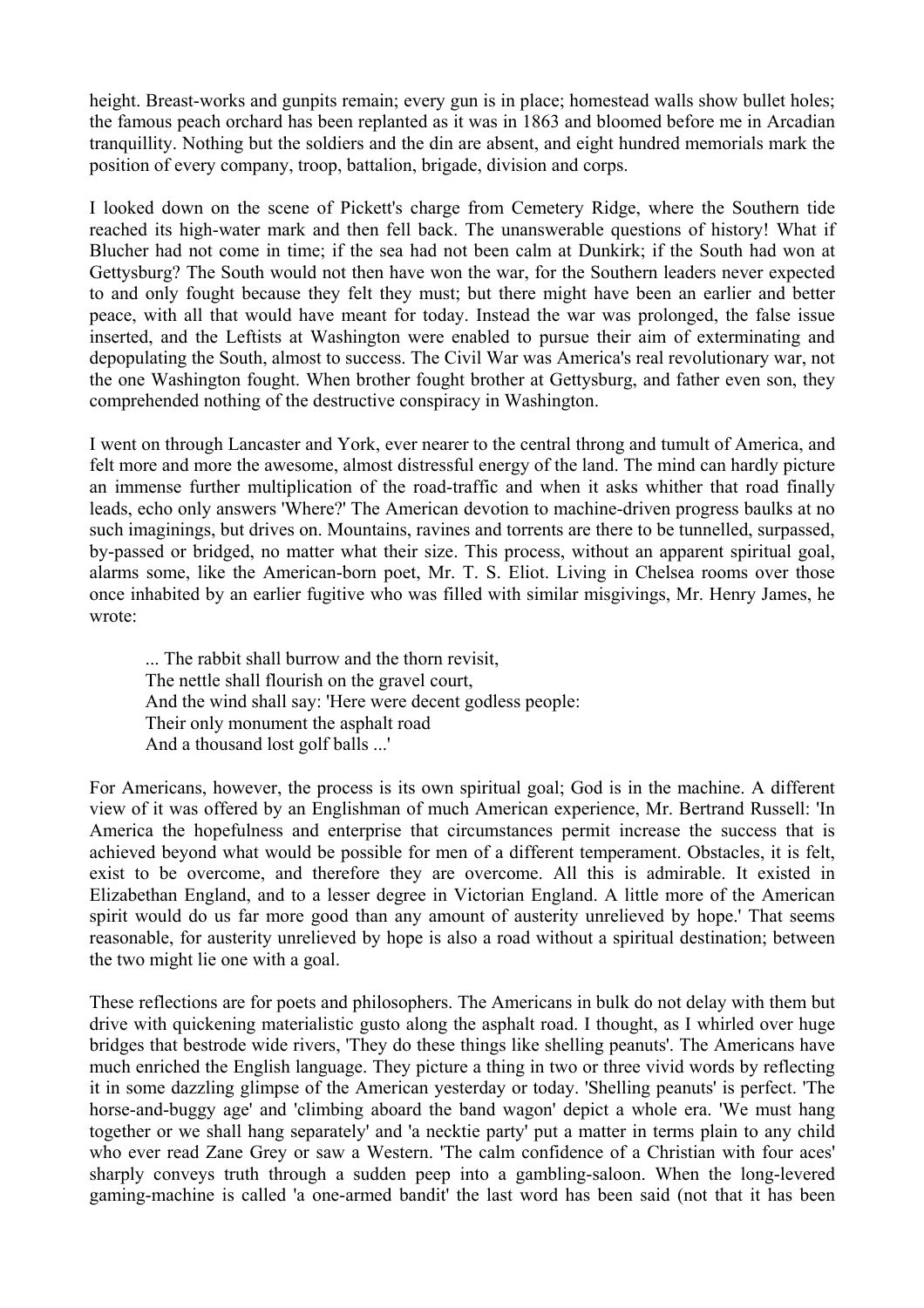height. Breast-works and gunpits remain; every gun is in place; homestead walls show bullet holes; the famous peach orchard has been replanted as it was in 1863 and bloomed before me in Arcadian tranquillity. Nothing but the soldiers and the din are absent, and eight hundred memorials mark the position of every company, troop, battalion, brigade, division and corps.

I looked down on the scene of Pickett's charge from Cemetery Ridge, where the Southern tide reached its high-water mark and then fell back. The unanswerable questions of history! What if Blucher had not come in time; if the sea had not been calm at Dunkirk; if the South had won at Gettysburg? The South would not then have won the war, for the Southern leaders never expected to and only fought because they felt they must; but there might have been an earlier and better peace, with all that would have meant for today. Instead the war was prolonged, the false issue inserted, and the Leftists at Washington were enabled to pursue their aim of exterminating and depopulating the South, almost to success. The Civil War was America's real revolutionary war, not the one Washington fought. When brother fought brother at Gettysburg, and father even son, they comprehended nothing of the destructive conspiracy in Washington.

I went on through Lancaster and York, ever nearer to the central throng and tumult of America, and felt more and more the awesome, almost distressful energy of the land. The mind can hardly picture an immense further multiplication of the road-traffic and when it asks whither that road finally leads, echo only answers 'Where?' The American devotion to machine-driven progress baulks at no such imaginings, but drives on. Mountains, ravines and torrents are there to be tunnelled, surpassed, by-passed or bridged, no matter what their size. This process, without an apparent spiritual goal, alarms some, like the American-born poet, Mr. T. S. Eliot. Living in Chelsea rooms over those once inhabited by an earlier fugitive who was filled with similar misgivings, Mr. Henry James, he wrote:

... The rabbit shall burrow and the thorn revisit, The nettle shall flourish on the gravel court, And the wind shall say: 'Here were decent godless people: Their only monument the asphalt road And a thousand lost golf balls ...'

For Americans, however, the process is its own spiritual goal; God is in the machine. A different view of it was offered by an Englishman of much American experience, Mr. Bertrand Russell: 'In America the hopefulness and enterprise that circumstances permit increase the success that is achieved beyond what would be possible for men of a different temperament. Obstacles, it is felt, exist to be overcome, and therefore they are overcome. All this is admirable. It existed in Elizabethan England, and to a lesser degree in Victorian England. A little more of the American spirit would do us far more good than any amount of austerity unrelieved by hope.' That seems reasonable, for austerity unrelieved by hope is also a road without a spiritual destination; between the two might lie one with a goal.

These reflections are for poets and philosophers. The Americans in bulk do not delay with them but drive with quickening materialistic gusto along the asphalt road. I thought, as I whirled over huge bridges that bestrode wide rivers, 'They do these things like shelling peanuts'. The Americans have much enriched the English language. They picture a thing in two or three vivid words by reflecting it in some dazzling glimpse of the American yesterday or today. 'Shelling peanuts' is perfect. 'The horse-and-buggy age' and 'climbing aboard the band wagon' depict a whole era. 'We must hang together or we shall hang separately' and 'a necktie party' put a matter in terms plain to any child who ever read Zane Grey or saw a Western. 'The calm confidence of a Christian with four aces' sharply conveys truth through a sudden peep into a gambling-saloon. When the long-levered gaming-machine is called 'a one-armed bandit' the last word has been said (not that it has been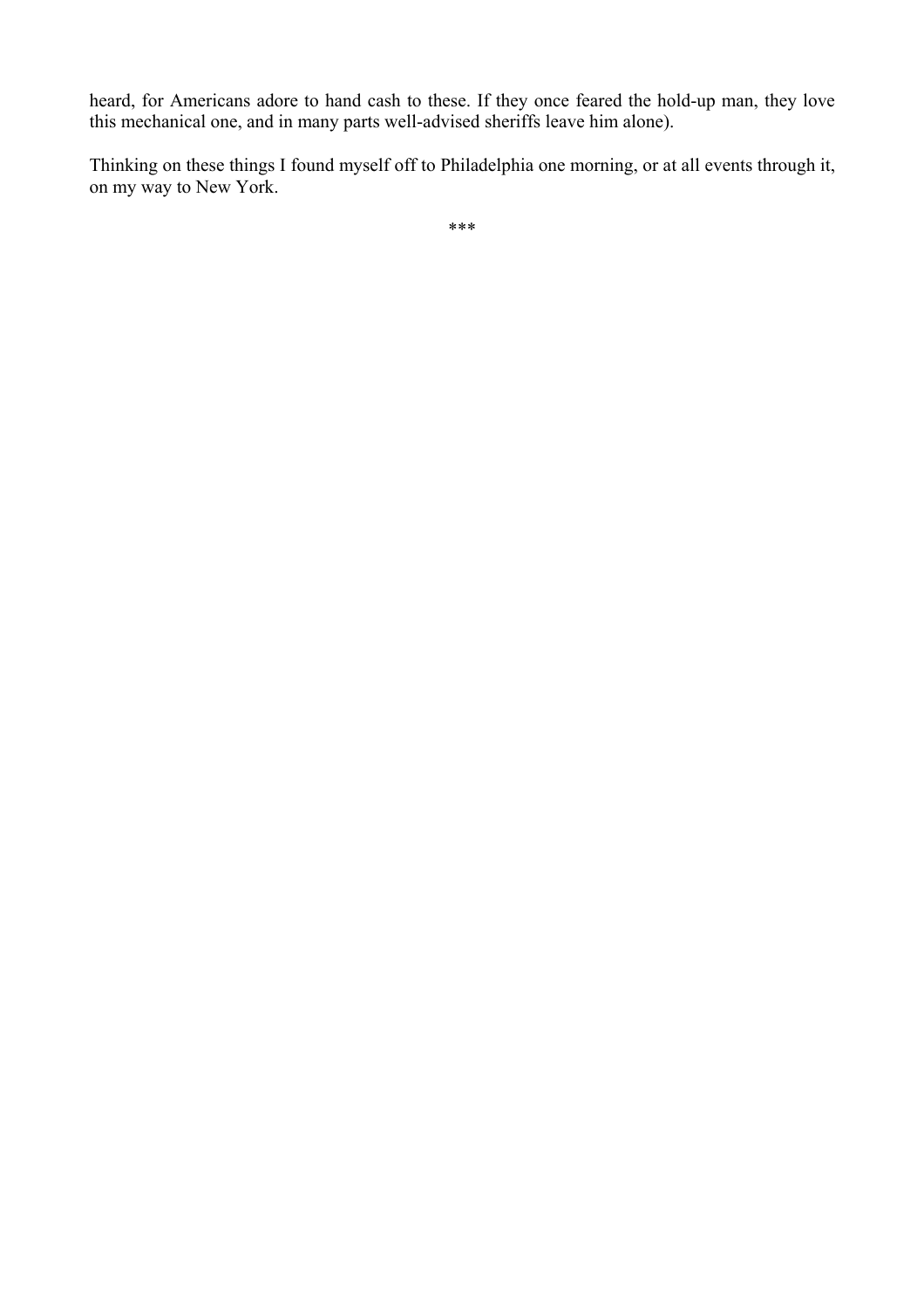heard, for Americans adore to hand cash to these. If they once feared the hold-up man, they love this mechanical one, and in many parts well-advised sheriffs leave him alone).

Thinking on these things I found myself off to Philadelphia one morning, or at all events through it, on my way to New York.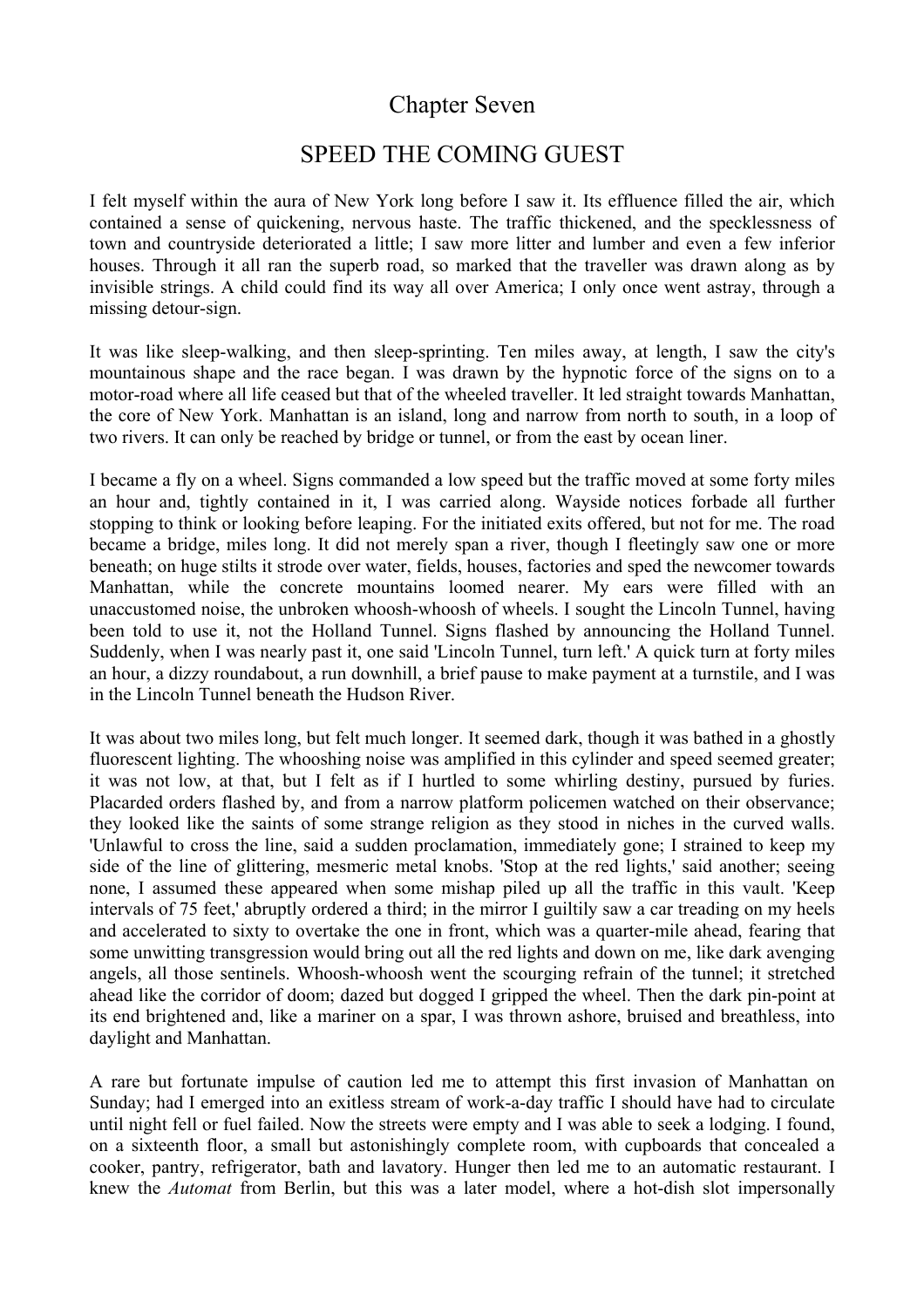#### Chapter Seven

#### SPEED THE COMING GUEST

<span id="page-34-0"></span>I felt myself within the aura of New York long before I saw it. Its effluence filled the air, which contained a sense of quickening, nervous haste. The traffic thickened, and the specklessness of town and countryside deteriorated a little; I saw more litter and lumber and even a few inferior houses. Through it all ran the superb road, so marked that the traveller was drawn along as by invisible strings. A child could find its way all over America; I only once went astray, through a missing detour-sign.

It was like sleep-walking, and then sleep-sprinting. Ten miles away, at length, I saw the city's mountainous shape and the race began. I was drawn by the hypnotic force of the signs on to a motor-road where all life ceased but that of the wheeled traveller. It led straight towards Manhattan, the core of New York. Manhattan is an island, long and narrow from north to south, in a loop of two rivers. It can only be reached by bridge or tunnel, or from the east by ocean liner.

I became a fly on a wheel. Signs commanded a low speed but the traffic moved at some forty miles an hour and, tightly contained in it, I was carried along. Wayside notices forbade all further stopping to think or looking before leaping. For the initiated exits offered, but not for me. The road became a bridge, miles long. It did not merely span a river, though I fleetingly saw one or more beneath; on huge stilts it strode over water, fields, houses, factories and sped the newcomer towards Manhattan, while the concrete mountains loomed nearer. My ears were filled with an unaccustomed noise, the unbroken whoosh-whoosh of wheels. I sought the Lincoln Tunnel, having been told to use it, not the Holland Tunnel. Signs flashed by announcing the Holland Tunnel. Suddenly, when I was nearly past it, one said 'Lincoln Tunnel, turn left.' A quick turn at forty miles an hour, a dizzy roundabout, a run downhill, a brief pause to make payment at a turnstile, and I was in the Lincoln Tunnel beneath the Hudson River.

It was about two miles long, but felt much longer. It seemed dark, though it was bathed in a ghostly fluorescent lighting. The whooshing noise was amplified in this cylinder and speed seemed greater; it was not low, at that, but I felt as if I hurtled to some whirling destiny, pursued by furies. Placarded orders flashed by, and from a narrow platform policemen watched on their observance; they looked like the saints of some strange religion as they stood in niches in the curved walls. 'Unlawful to cross the line, said a sudden proclamation, immediately gone; I strained to keep my side of the line of glittering, mesmeric metal knobs. 'Stop at the red lights,' said another; seeing none, I assumed these appeared when some mishap piled up all the traffic in this vault. 'Keep intervals of 75 feet,' abruptly ordered a third; in the mirror I guiltily saw a car treading on my heels and accelerated to sixty to overtake the one in front, which was a quarter-mile ahead, fearing that some unwitting transgression would bring out all the red lights and down on me, like dark avenging angels, all those sentinels. Whoosh-whoosh went the scourging refrain of the tunnel; it stretched ahead like the corridor of doom; dazed but dogged I gripped the wheel. Then the dark pin-point at its end brightened and, like a mariner on a spar, I was thrown ashore, bruised and breathless, into daylight and Manhattan.

A rare but fortunate impulse of caution led me to attempt this first invasion of Manhattan on Sunday; had I emerged into an exitless stream of work-a-day traffic I should have had to circulate until night fell or fuel failed. Now the streets were empty and I was able to seek a lodging. I found, on a sixteenth floor, a small but astonishingly complete room, with cupboards that concealed a cooker, pantry, refrigerator, bath and lavatory. Hunger then led me to an automatic restaurant. I knew the *Automat* from Berlin, but this was a later model, where a hot-dish slot impersonally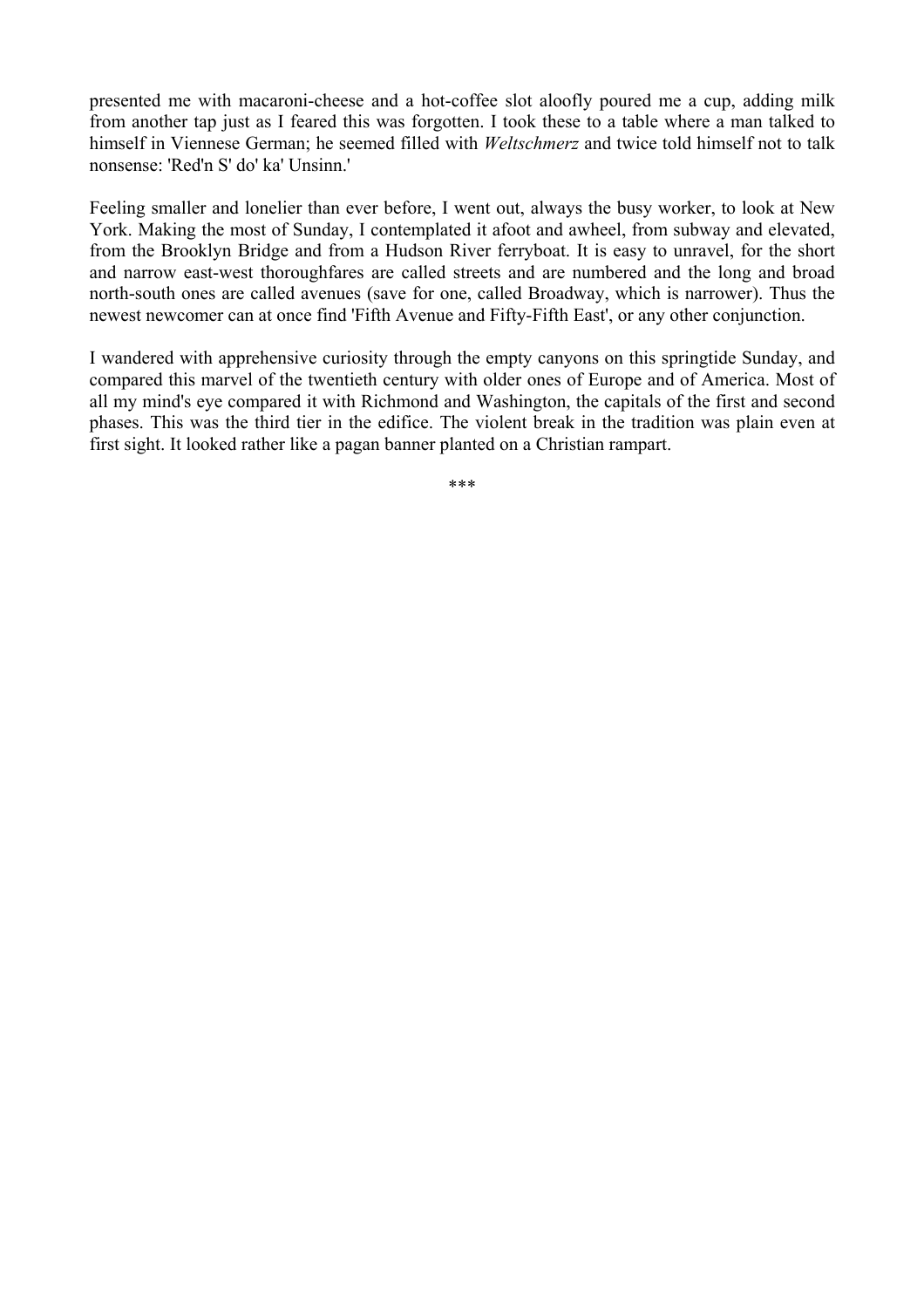presented me with macaroni-cheese and a hot-coffee slot aloofly poured me a cup, adding milk from another tap just as I feared this was forgotten. I took these to a table where a man talked to himself in Viennese German; he seemed filled with *Weltschmerz* and twice told himself not to talk nonsense: 'Red'n S' do' ka' Unsinn.'

Feeling smaller and lonelier than ever before, I went out, always the busy worker, to look at New York. Making the most of Sunday, I contemplated it afoot and awheel, from subway and elevated, from the Brooklyn Bridge and from a Hudson River ferryboat. It is easy to unravel, for the short and narrow east-west thoroughfares are called streets and are numbered and the long and broad north-south ones are called avenues (save for one, called Broadway, which is narrower). Thus the newest newcomer can at once find 'Fifth Avenue and Fifty-Fifth East', or any other conjunction.

I wandered with apprehensive curiosity through the empty canyons on this springtide Sunday, and compared this marvel of the twentieth century with older ones of Europe and of America. Most of all my mind's eye compared it with Richmond and Washington, the capitals of the first and second phases. This was the third tier in the edifice. The violent break in the tradition was plain even at first sight. It looked rather like a pagan banner planted on a Christian rampart.

\*\*\*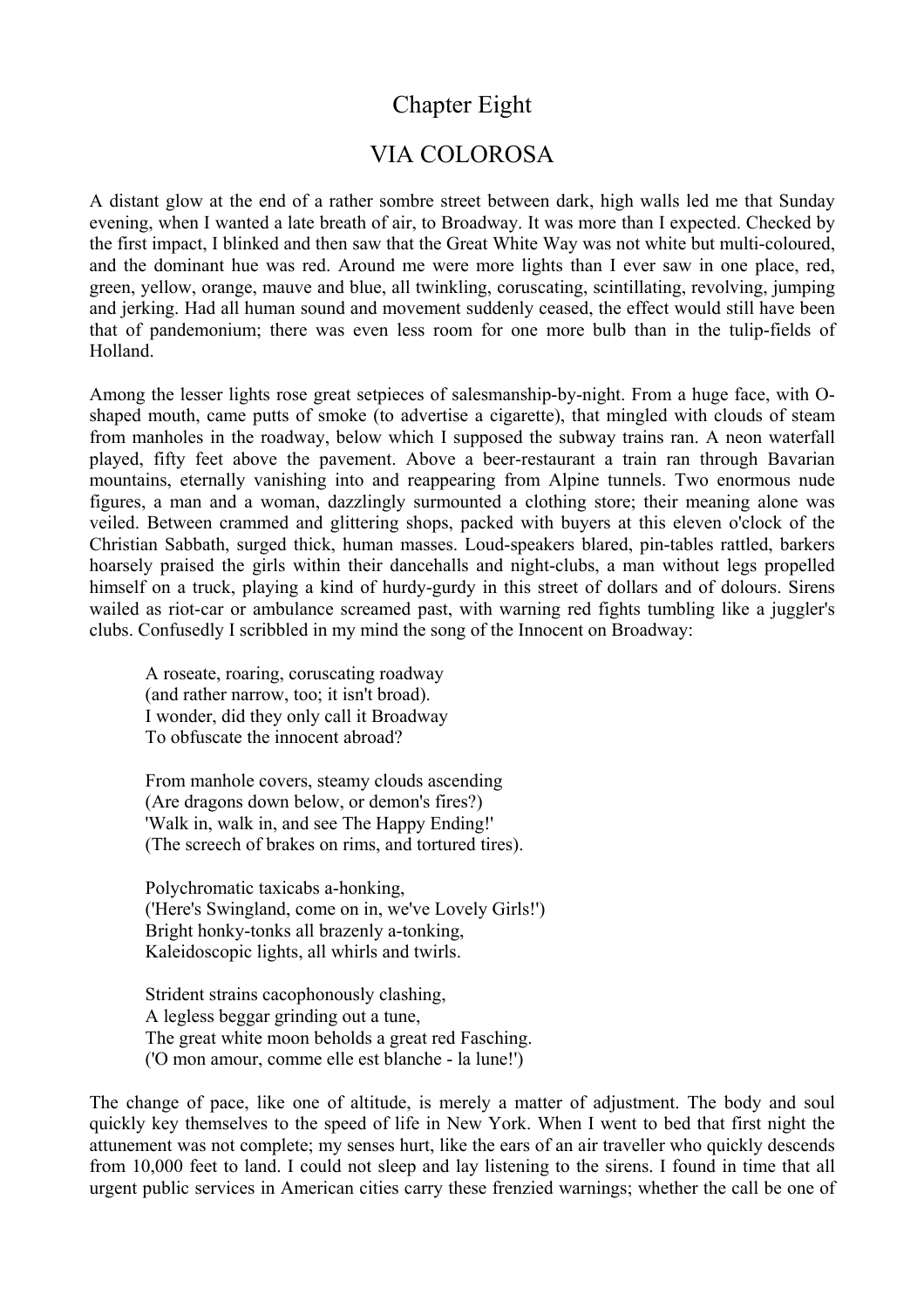## Chapter Eight

## VIA COLOROSA

A distant glow at the end of a rather sombre street between dark, high walls led me that Sunday evening, when I wanted a late breath of air, to Broadway. It was more than I expected. Checked by the first impact, I blinked and then saw that the Great White Way was not white but multi-coloured, and the dominant hue was red. Around me were more lights than I ever saw in one place, red, green, yellow, orange, mauve and blue, all twinkling, coruscating, scintillating, revolving, jumping and jerking. Had all human sound and movement suddenly ceased, the effect would still have been that of pandemonium; there was even less room for one more bulb than in the tulip-fields of Holland.

Among the lesser lights rose great setpieces of salesmanship-by-night. From a huge face, with Oshaped mouth, came putts of smoke (to advertise a cigarette), that mingled with clouds of steam from manholes in the roadway, below which I supposed the subway trains ran. A neon waterfall played, fifty feet above the pavement. Above a beer-restaurant a train ran through Bavarian mountains, eternally vanishing into and reappearing from Alpine tunnels. Two enormous nude figures, a man and a woman, dazzlingly surmounted a clothing store; their meaning alone was veiled. Between crammed and glittering shops, packed with buyers at this eleven o'clock of the Christian Sabbath, surged thick, human masses. Loud-speakers blared, pin-tables rattled, barkers hoarsely praised the girls within their dancehalls and night-clubs, a man without legs propelled himself on a truck, playing a kind of hurdy-gurdy in this street of dollars and of dolours. Sirens wailed as riot-car or ambulance screamed past, with warning red fights tumbling like a juggler's clubs. Confusedly I scribbled in my mind the song of the Innocent on Broadway:

A roseate, roaring, coruscating roadway (and rather narrow, too; it isn't broad). I wonder, did they only call it Broadway To obfuscate the innocent abroad?

From manhole covers, steamy clouds ascending (Are dragons down below, or demon's fires?) 'Walk in, walk in, and see The Happy Ending!' (The screech of brakes on rims, and tortured tires).

Polychromatic taxicabs a-honking, ('Here's Swingland, come on in, we've Lovely Girls!') Bright honky-tonks all brazenly a-tonking, Kaleidoscopic lights, all whirls and twirls.

Strident strains cacophonously clashing, A legless beggar grinding out a tune, The great white moon beholds a great red Fasching. ('O mon amour, comme elle est blanche - la lune!')

The change of pace, like one of altitude, is merely a matter of adjustment. The body and soul quickly key themselves to the speed of life in New York. When I went to bed that first night the attunement was not complete; my senses hurt, like the ears of an air traveller who quickly descends from 10,000 feet to land. I could not sleep and lay listening to the sirens. I found in time that all urgent public services in American cities carry these frenzied warnings; whether the call be one of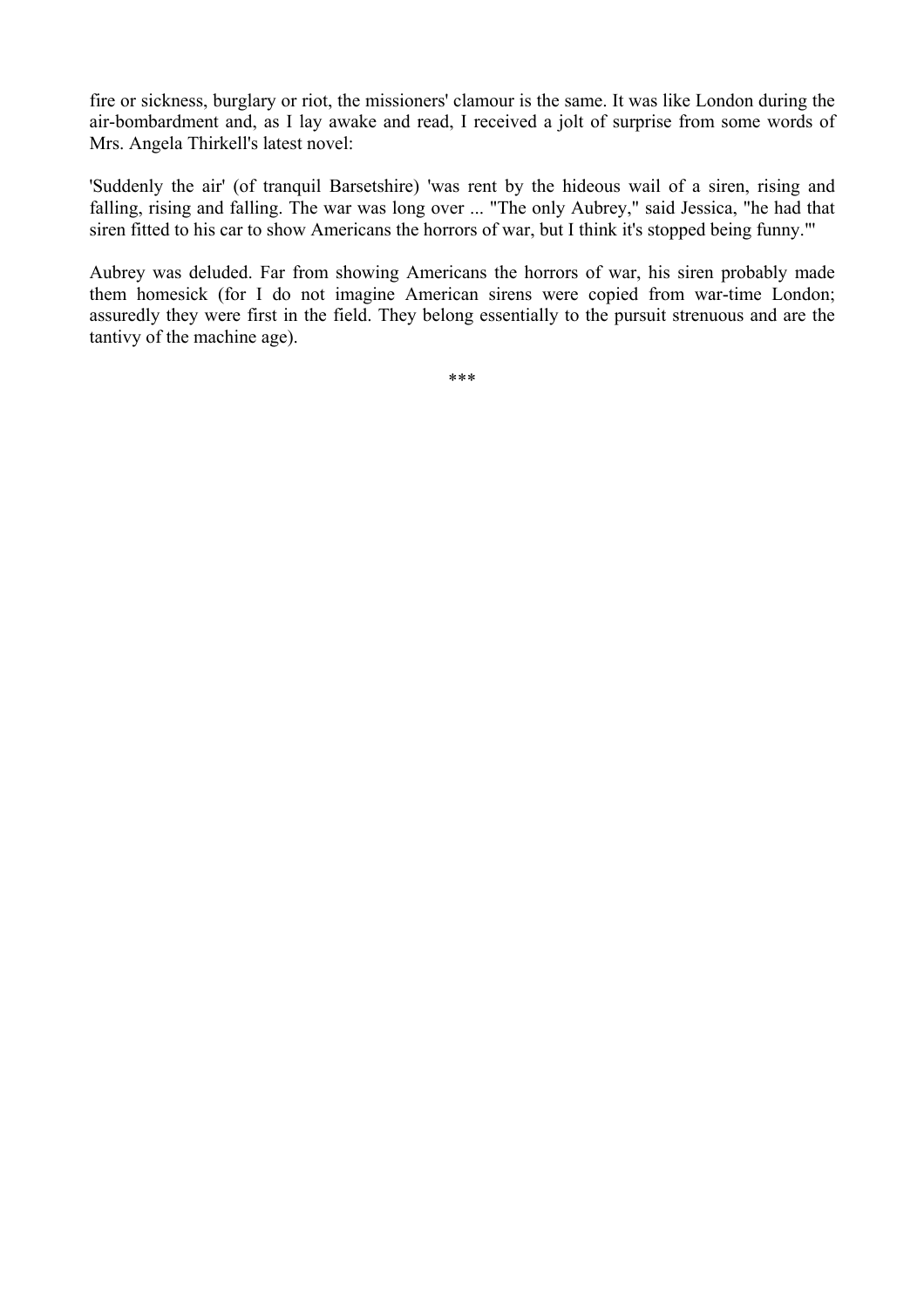fire or sickness, burglary or riot, the missioners' clamour is the same. It was like London during the air-bombardment and, as I lay awake and read, I received a jolt of surprise from some words of Mrs. Angela Thirkell's latest novel:

'Suddenly the air' (of tranquil Barsetshire) 'was rent by the hideous wail of a siren, rising and falling, rising and falling. The war was long over ... "The only Aubrey," said Jessica, "he had that siren fitted to his car to show Americans the horrors of war, but I think it's stopped being funny."'

Aubrey was deluded. Far from showing Americans the horrors of war, his siren probably made them homesick (for I do not imagine American sirens were copied from war-time London; assuredly they were first in the field. They belong essentially to the pursuit strenuous and are the tantivy of the machine age).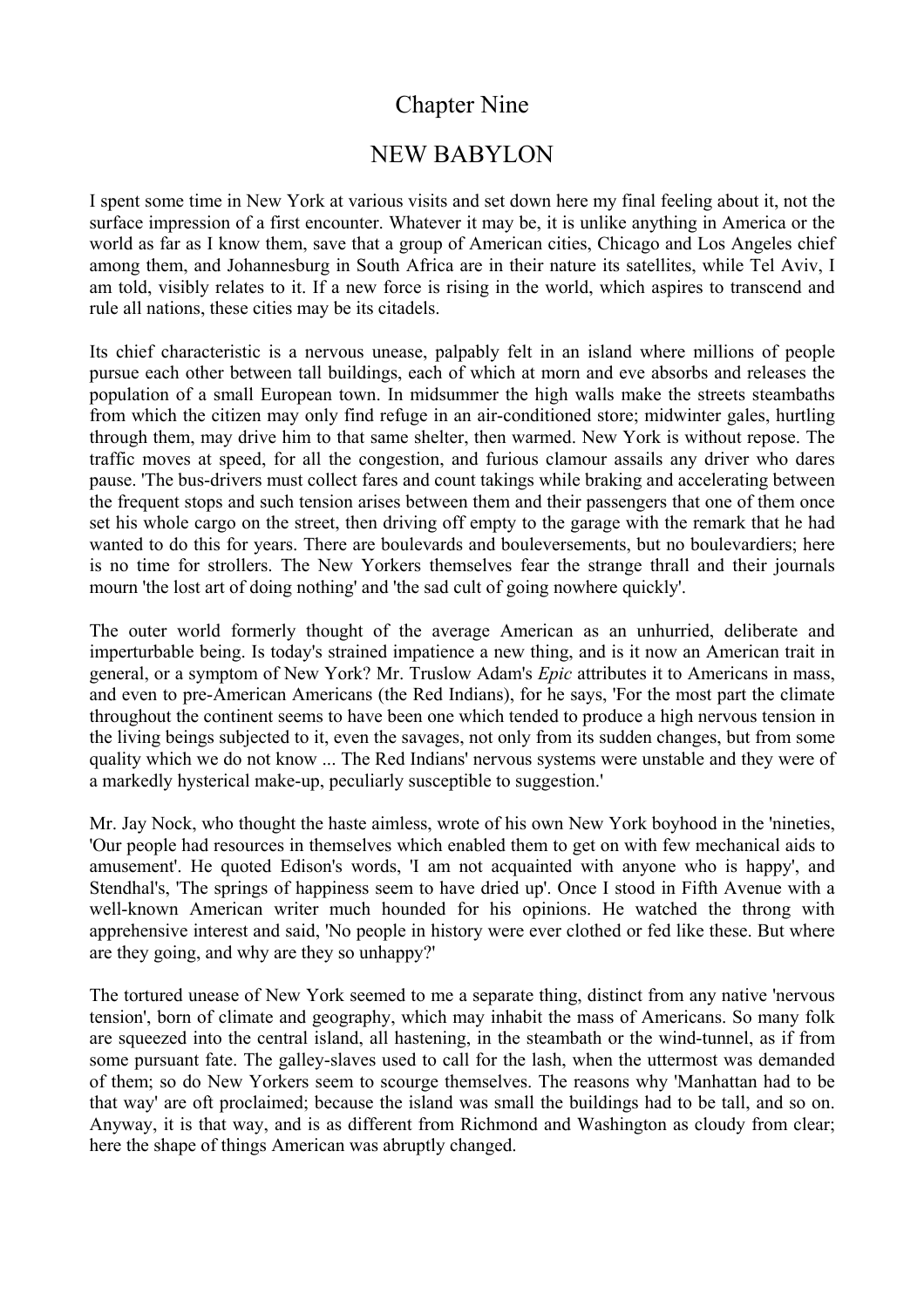## Chapter Nine

## NEW BABYLON

I spent some time in New York at various visits and set down here my final feeling about it, not the surface impression of a first encounter. Whatever it may be, it is unlike anything in America or the world as far as I know them, save that a group of American cities, Chicago and Los Angeles chief among them, and Johannesburg in South Africa are in their nature its satellites, while Tel Aviv, I am told, visibly relates to it. If a new force is rising in the world, which aspires to transcend and rule all nations, these cities may be its citadels.

Its chief characteristic is a nervous unease, palpably felt in an island where millions of people pursue each other between tall buildings, each of which at morn and eve absorbs and releases the population of a small European town. In midsummer the high walls make the streets steambaths from which the citizen may only find refuge in an air-conditioned store; midwinter gales, hurtling through them, may drive him to that same shelter, then warmed. New York is without repose. The traffic moves at speed, for all the congestion, and furious clamour assails any driver who dares pause. 'The bus-drivers must collect fares and count takings while braking and accelerating between the frequent stops and such tension arises between them and their passengers that one of them once set his whole cargo on the street, then driving off empty to the garage with the remark that he had wanted to do this for years. There are boulevards and bouleversements, but no boulevardiers; here is no time for strollers. The New Yorkers themselves fear the strange thrall and their journals mourn 'the lost art of doing nothing' and 'the sad cult of going nowhere quickly'.

The outer world formerly thought of the average American as an unhurried, deliberate and imperturbable being. Is today's strained impatience a new thing, and is it now an American trait in general, or a symptom of New York? Mr. Truslow Adam's *Epic* attributes it to Americans in mass, and even to pre-American Americans (the Red Indians), for he says, 'For the most part the climate throughout the continent seems to have been one which tended to produce a high nervous tension in the living beings subjected to it, even the savages, not only from its sudden changes, but from some quality which we do not know ... The Red Indians' nervous systems were unstable and they were of a markedly hysterical make-up, peculiarly susceptible to suggestion.'

Mr. Jay Nock, who thought the haste aimless, wrote of his own New York boyhood in the 'nineties, 'Our people had resources in themselves which enabled them to get on with few mechanical aids to amusement'. He quoted Edison's words, 'I am not acquainted with anyone who is happy', and Stendhal's, 'The springs of happiness seem to have dried up'. Once I stood in Fifth Avenue with a well-known American writer much hounded for his opinions. He watched the throng with apprehensive interest and said, 'No people in history were ever clothed or fed like these. But where are they going, and why are they so unhappy?'

The tortured unease of New York seemed to me a separate thing, distinct from any native 'nervous tension', born of climate and geography, which may inhabit the mass of Americans. So many folk are squeezed into the central island, all hastening, in the steambath or the wind-tunnel, as if from some pursuant fate. The galley-slaves used to call for the lash, when the uttermost was demanded of them; so do New Yorkers seem to scourge themselves. The reasons why 'Manhattan had to be that way' are oft proclaimed; because the island was small the buildings had to be tall, and so on. Anyway, it is that way, and is as different from Richmond and Washington as cloudy from clear; here the shape of things American was abruptly changed.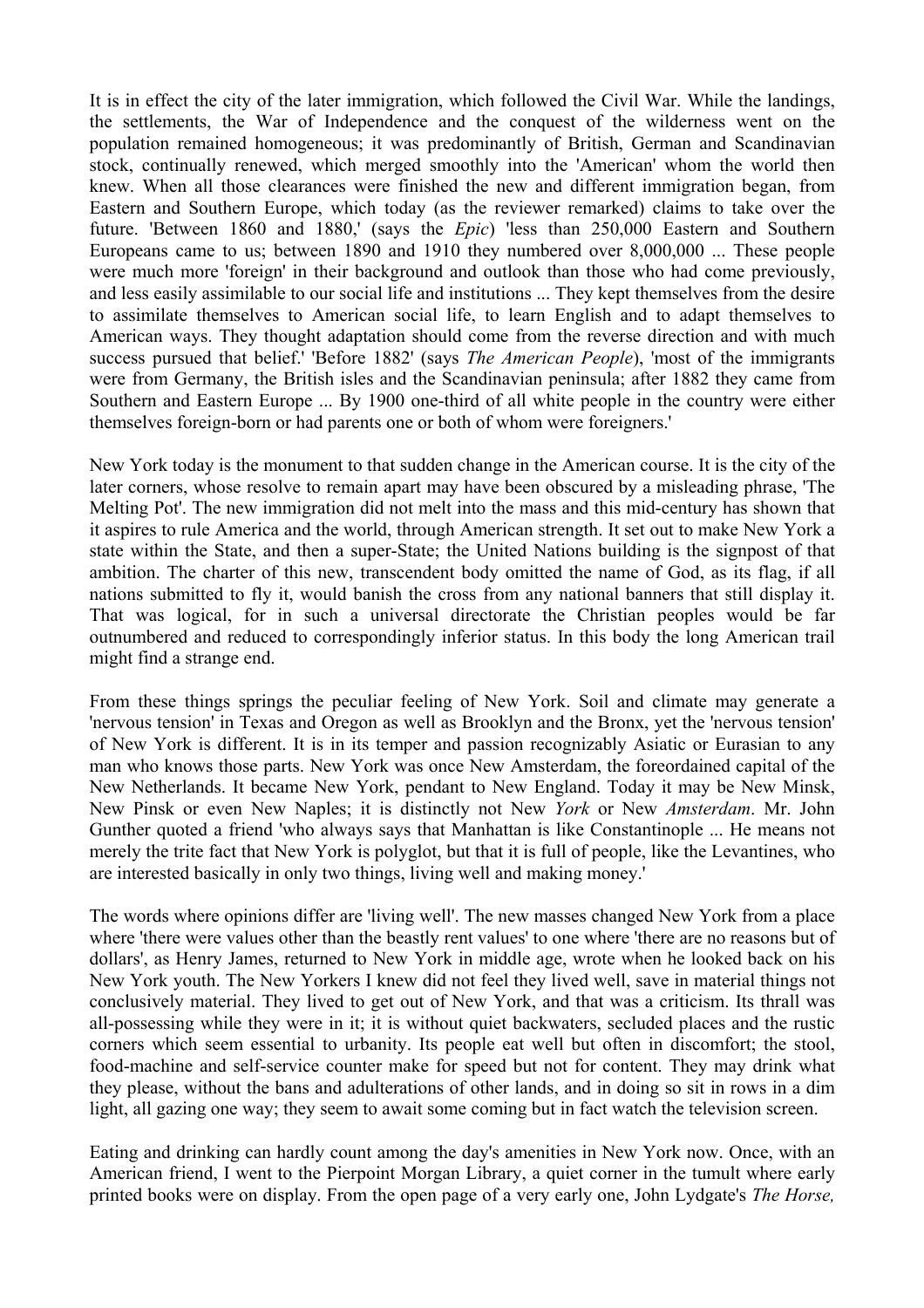It is in effect the city of the later immigration, which followed the Civil War. While the landings, the settlements, the War of Independence and the conquest of the wilderness went on the population remained homogeneous; it was predominantly of British, German and Scandinavian stock, continually renewed, which merged smoothly into the 'American' whom the world then knew. When all those clearances were finished the new and different immigration began, from Eastern and Southern Europe, which today (as the reviewer remarked) claims to take over the future. 'Between 1860 and 1880,' (says the *Epic*) 'less than 250,000 Eastern and Southern Europeans came to us; between 1890 and 1910 they numbered over 8,000,000 ... These people were much more 'foreign' in their background and outlook than those who had come previously, and less easily assimilable to our social life and institutions ... They kept themselves from the desire to assimilate themselves to American social life, to learn English and to adapt themselves to American ways. They thought adaptation should come from the reverse direction and with much success pursued that belief.' 'Before 1882' (says *The American People*), 'most of the immigrants were from Germany, the British isles and the Scandinavian peninsula; after 1882 they came from Southern and Eastern Europe ... By 1900 one-third of all white people in the country were either themselves foreign-born or had parents one or both of whom were foreigners.'

New York today is the monument to that sudden change in the American course. It is the city of the later corners, whose resolve to remain apart may have been obscured by a misleading phrase, 'The Melting Pot'. The new immigration did not melt into the mass and this mid-century has shown that it aspires to rule America and the world, through American strength. It set out to make New York a state within the State, and then a super-State; the United Nations building is the signpost of that ambition. The charter of this new, transcendent body omitted the name of God, as its flag, if all nations submitted to fly it, would banish the cross from any national banners that still display it. That was logical, for in such a universal directorate the Christian peoples would be far outnumbered and reduced to correspondingly inferior status. In this body the long American trail might find a strange end.

From these things springs the peculiar feeling of New York. Soil and climate may generate a 'nervous tension' in Texas and Oregon as well as Brooklyn and the Bronx, yet the 'nervous tension' of New York is different. It is in its temper and passion recognizably Asiatic or Eurasian to any man who knows those parts. New York was once New Amsterdam, the foreordained capital of the New Netherlands. It became New York, pendant to New England. Today it may be New Minsk, New Pinsk or even New Naples; it is distinctly not New *York* or New *Amsterdam*. Mr. John Gunther quoted a friend 'who always says that Manhattan is like Constantinople ... He means not merely the trite fact that New York is polyglot, but that it is full of people, like the Levantines, who are interested basically in only two things, living well and making money.'

The words where opinions differ are 'living well'. The new masses changed New York from a place where 'there were values other than the beastly rent values' to one where 'there are no reasons but of dollars', as Henry James, returned to New York in middle age, wrote when he looked back on his New York youth. The New Yorkers I knew did not feel they lived well, save in material things not conclusively material. They lived to get out of New York, and that was a criticism. Its thrall was all-possessing while they were in it; it is without quiet backwaters, secluded places and the rustic corners which seem essential to urbanity. Its people eat well but often in discomfort; the stool, food-machine and self-service counter make for speed but not for content. They may drink what they please, without the bans and adulterations of other lands, and in doing so sit in rows in a dim light, all gazing one way; they seem to await some coming but in fact watch the television screen.

Eating and drinking can hardly count among the day's amenities in New York now. Once, with an American friend, I went to the Pierpoint Morgan Library, a quiet corner in the tumult where early printed books were on display. From the open page of a very early one, John Lydgate's *The Horse,*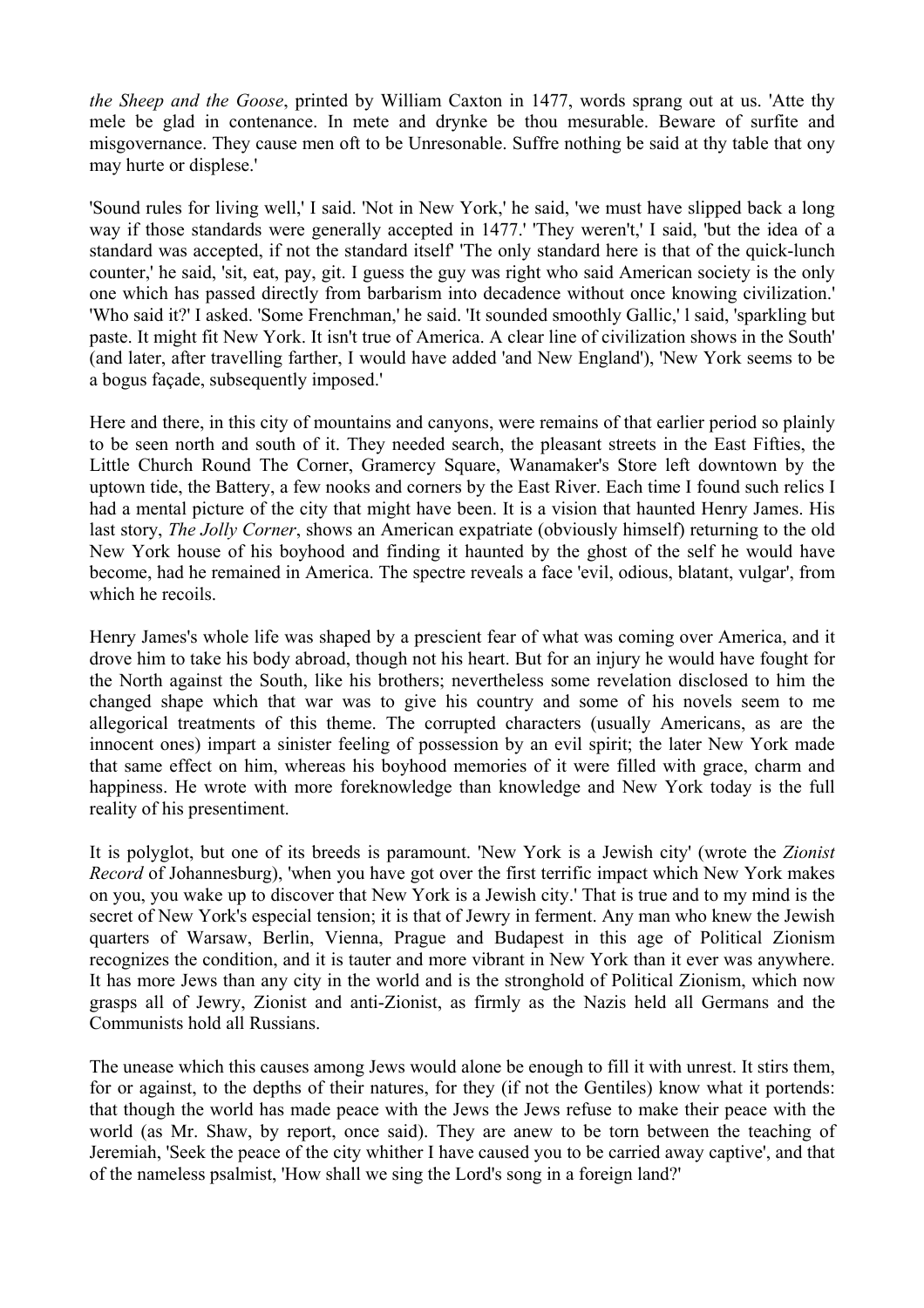*the Sheep and the Goose*, printed by William Caxton in 1477, words sprang out at us. 'Atte thy mele be glad in contenance. In mete and drynke be thou mesurable. Beware of surfite and misgovernance. They cause men oft to be Unresonable. Suffre nothing be said at thy table that ony may hurte or displese.'

'Sound rules for living well,' I said. 'Not in New York,' he said, 'we must have slipped back a long way if those standards were generally accepted in 1477.' 'They weren't,' I said, 'but the idea of a standard was accepted, if not the standard itself' 'The only standard here is that of the quick-lunch counter,' he said, 'sit, eat, pay, git. I guess the guy was right who said American society is the only one which has passed directly from barbarism into decadence without once knowing civilization.' 'Who said it?' I asked. 'Some Frenchman,' he said. 'It sounded smoothly Gallic,' l said, 'sparkling but paste. It might fit New York. It isn't true of America. A clear line of civilization shows in the South' (and later, after travelling farther, I would have added 'and New England'), 'New York seems to be a bogus façade, subsequently imposed.'

Here and there, in this city of mountains and canyons, were remains of that earlier period so plainly to be seen north and south of it. They needed search, the pleasant streets in the East Fifties, the Little Church Round The Corner, Gramercy Square, Wanamaker's Store left downtown by the uptown tide, the Battery, a few nooks and corners by the East River. Each time I found such relics I had a mental picture of the city that might have been. It is a vision that haunted Henry James. His last story, *The Jolly Corner*, shows an American expatriate (obviously himself) returning to the old New York house of his boyhood and finding it haunted by the ghost of the self he would have become, had he remained in America. The spectre reveals a face 'evil, odious, blatant, vulgar', from which he recoils

Henry James's whole life was shaped by a prescient fear of what was coming over America, and it drove him to take his body abroad, though not his heart. But for an injury he would have fought for the North against the South, like his brothers; nevertheless some revelation disclosed to him the changed shape which that war was to give his country and some of his novels seem to me allegorical treatments of this theme. The corrupted characters (usually Americans, as are the innocent ones) impart a sinister feeling of possession by an evil spirit; the later New York made that same effect on him, whereas his boyhood memories of it were filled with grace, charm and happiness. He wrote with more foreknowledge than knowledge and New York today is the full reality of his presentiment.

It is polyglot, but one of its breeds is paramount. 'New York is a Jewish city' (wrote the *Zionist Record* of Johannesburg), 'when you have got over the first terrific impact which New York makes on you, you wake up to discover that New York is a Jewish city.' That is true and to my mind is the secret of New York's especial tension; it is that of Jewry in ferment. Any man who knew the Jewish quarters of Warsaw, Berlin, Vienna, Prague and Budapest in this age of Political Zionism recognizes the condition, and it is tauter and more vibrant in New York than it ever was anywhere. It has more Jews than any city in the world and is the stronghold of Political Zionism, which now grasps all of Jewry, Zionist and anti-Zionist, as firmly as the Nazis held all Germans and the Communists hold all Russians.

The unease which this causes among Jews would alone be enough to fill it with unrest. It stirs them, for or against, to the depths of their natures, for they (if not the Gentiles) know what it portends: that though the world has made peace with the Jews the Jews refuse to make their peace with the world (as Mr. Shaw, by report, once said). They are anew to be torn between the teaching of Jeremiah, 'Seek the peace of the city whither I have caused you to be carried away captive', and that of the nameless psalmist, 'How shall we sing the Lord's song in a foreign land?'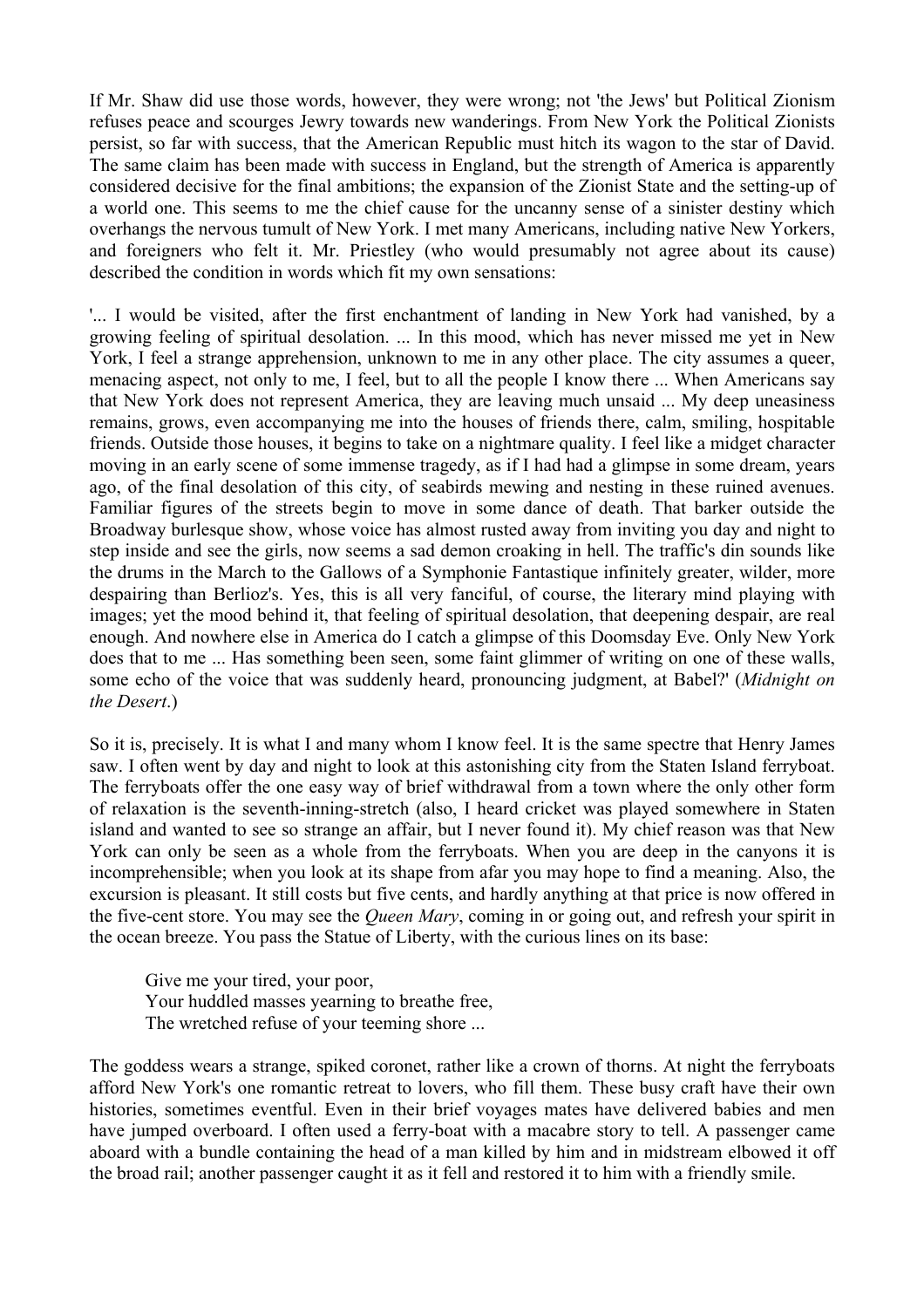If Mr. Shaw did use those words, however, they were wrong; not 'the Jews' but Political Zionism refuses peace and scourges Jewry towards new wanderings. From New York the Political Zionists persist, so far with success, that the American Republic must hitch its wagon to the star of David. The same claim has been made with success in England, but the strength of America is apparently considered decisive for the final ambitions; the expansion of the Zionist State and the setting-up of a world one. This seems to me the chief cause for the uncanny sense of a sinister destiny which overhangs the nervous tumult of New York. I met many Americans, including native New Yorkers, and foreigners who felt it. Mr. Priestley (who would presumably not agree about its cause) described the condition in words which fit my own sensations:

'... I would be visited, after the first enchantment of landing in New York had vanished, by a growing feeling of spiritual desolation. ... In this mood, which has never missed me yet in New York, I feel a strange apprehension, unknown to me in any other place. The city assumes a queer, menacing aspect, not only to me, I feel, but to all the people I know there ... When Americans say that New York does not represent America, they are leaving much unsaid ... My deep uneasiness remains, grows, even accompanying me into the houses of friends there, calm, smiling, hospitable friends. Outside those houses, it begins to take on a nightmare quality. I feel like a midget character moving in an early scene of some immense tragedy, as if I had had a glimpse in some dream, years ago, of the final desolation of this city, of seabirds mewing and nesting in these ruined avenues. Familiar figures of the streets begin to move in some dance of death. That barker outside the Broadway burlesque show, whose voice has almost rusted away from inviting you day and night to step inside and see the girls, now seems a sad demon croaking in hell. The traffic's din sounds like the drums in the March to the Gallows of a Symphonie Fantastique infinitely greater, wilder, more despairing than Berlioz's. Yes, this is all very fanciful, of course, the literary mind playing with images; yet the mood behind it, that feeling of spiritual desolation, that deepening despair, are real enough. And nowhere else in America do I catch a glimpse of this Doomsday Eve. Only New York does that to me ... Has something been seen, some faint glimmer of writing on one of these walls, some echo of the voice that was suddenly heard, pronouncing judgment, at Babel?' (*Midnight on the Desert*.)

So it is, precisely. It is what I and many whom I know feel. It is the same spectre that Henry James saw. I often went by day and night to look at this astonishing city from the Staten Island ferryboat. The ferryboats offer the one easy way of brief withdrawal from a town where the only other form of relaxation is the seventh-inning-stretch (also, I heard cricket was played somewhere in Staten island and wanted to see so strange an affair, but I never found it). My chief reason was that New York can only be seen as a whole from the ferryboats. When you are deep in the canyons it is incomprehensible; when you look at its shape from afar you may hope to find a meaning. Also, the excursion is pleasant. It still costs but five cents, and hardly anything at that price is now offered in the five-cent store. You may see the *Queen Mary*, coming in or going out, and refresh your spirit in the ocean breeze. You pass the Statue of Liberty, with the curious lines on its base:

Give me your tired, your poor, Your huddled masses yearning to breathe free, The wretched refuse of your teeming shore ...

The goddess wears a strange, spiked coronet, rather like a crown of thorns. At night the ferryboats afford New York's one romantic retreat to lovers, who fill them. These busy craft have their own histories, sometimes eventful. Even in their brief voyages mates have delivered babies and men have jumped overboard. I often used a ferry-boat with a macabre story to tell. A passenger came aboard with a bundle containing the head of a man killed by him and in midstream elbowed it off the broad rail; another passenger caught it as it fell and restored it to him with a friendly smile.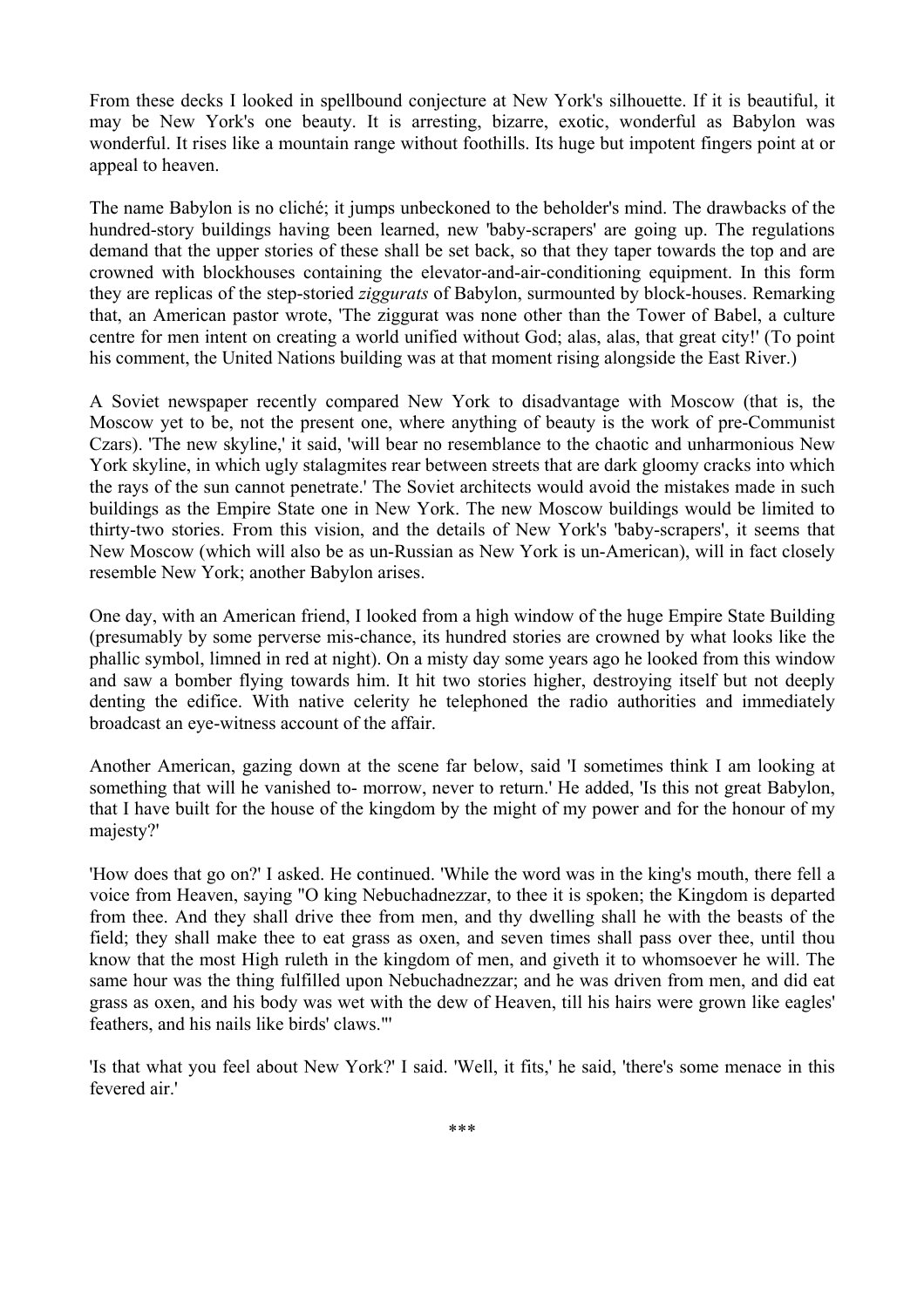From these decks I looked in spellbound conjecture at New York's silhouette. If it is beautiful, it may be New York's one beauty. It is arresting, bizarre, exotic, wonderful as Babylon was wonderful. It rises like a mountain range without foothills. Its huge but impotent fingers point at or appeal to heaven.

The name Babylon is no cliché; it jumps unbeckoned to the beholder's mind. The drawbacks of the hundred-story buildings having been learned, new 'baby-scrapers' are going up. The regulations demand that the upper stories of these shall be set back, so that they taper towards the top and are crowned with blockhouses containing the elevator-and-air-conditioning equipment. In this form they are replicas of the step-storied *ziggurats* of Babylon, surmounted by block-houses. Remarking that, an American pastor wrote, 'The ziggurat was none other than the Tower of Babel, a culture centre for men intent on creating a world unified without God; alas, alas, that great city!' (To point his comment, the United Nations building was at that moment rising alongside the East River.)

A Soviet newspaper recently compared New York to disadvantage with Moscow (that is, the Moscow yet to be, not the present one, where anything of beauty is the work of pre-Communist Czars). 'The new skyline,' it said, 'will bear no resemblance to the chaotic and unharmonious New York skyline, in which ugly stalagmites rear between streets that are dark gloomy cracks into which the rays of the sun cannot penetrate.' The Soviet architects would avoid the mistakes made in such buildings as the Empire State one in New York. The new Moscow buildings would be limited to thirty-two stories. From this vision, and the details of New York's 'baby-scrapers', it seems that New Moscow (which will also be as un-Russian as New York is un-American), will in fact closely resemble New York; another Babylon arises.

One day, with an American friend, I looked from a high window of the huge Empire State Building (presumably by some perverse mis-chance, its hundred stories are crowned by what looks like the phallic symbol, limned in red at night). On a misty day some years ago he looked from this window and saw a bomber flying towards him. It hit two stories higher, destroying itself but not deeply denting the edifice. With native celerity he telephoned the radio authorities and immediately broadcast an eye-witness account of the affair.

Another American, gazing down at the scene far below, said 'I sometimes think I am looking at something that will he vanished to- morrow, never to return.' He added, 'Is this not great Babylon, that I have built for the house of the kingdom by the might of my power and for the honour of my majesty?'

'How does that go on?' I asked. He continued. 'While the word was in the king's mouth, there fell a voice from Heaven, saying "O king Nebuchadnezzar, to thee it is spoken; the Kingdom is departed from thee. And they shall drive thee from men, and thy dwelling shall he with the beasts of the field; they shall make thee to eat grass as oxen, and seven times shall pass over thee, until thou know that the most High ruleth in the kingdom of men, and giveth it to whomsoever he will. The same hour was the thing fulfilled upon Nebuchadnezzar; and he was driven from men, and did eat grass as oxen, and his body was wet with the dew of Heaven, till his hairs were grown like eagles' feathers, and his nails like birds' claws."'

'Is that what you feel about New York?' I said. 'Well, it fits,' he said, 'there's some menace in this fevered air.'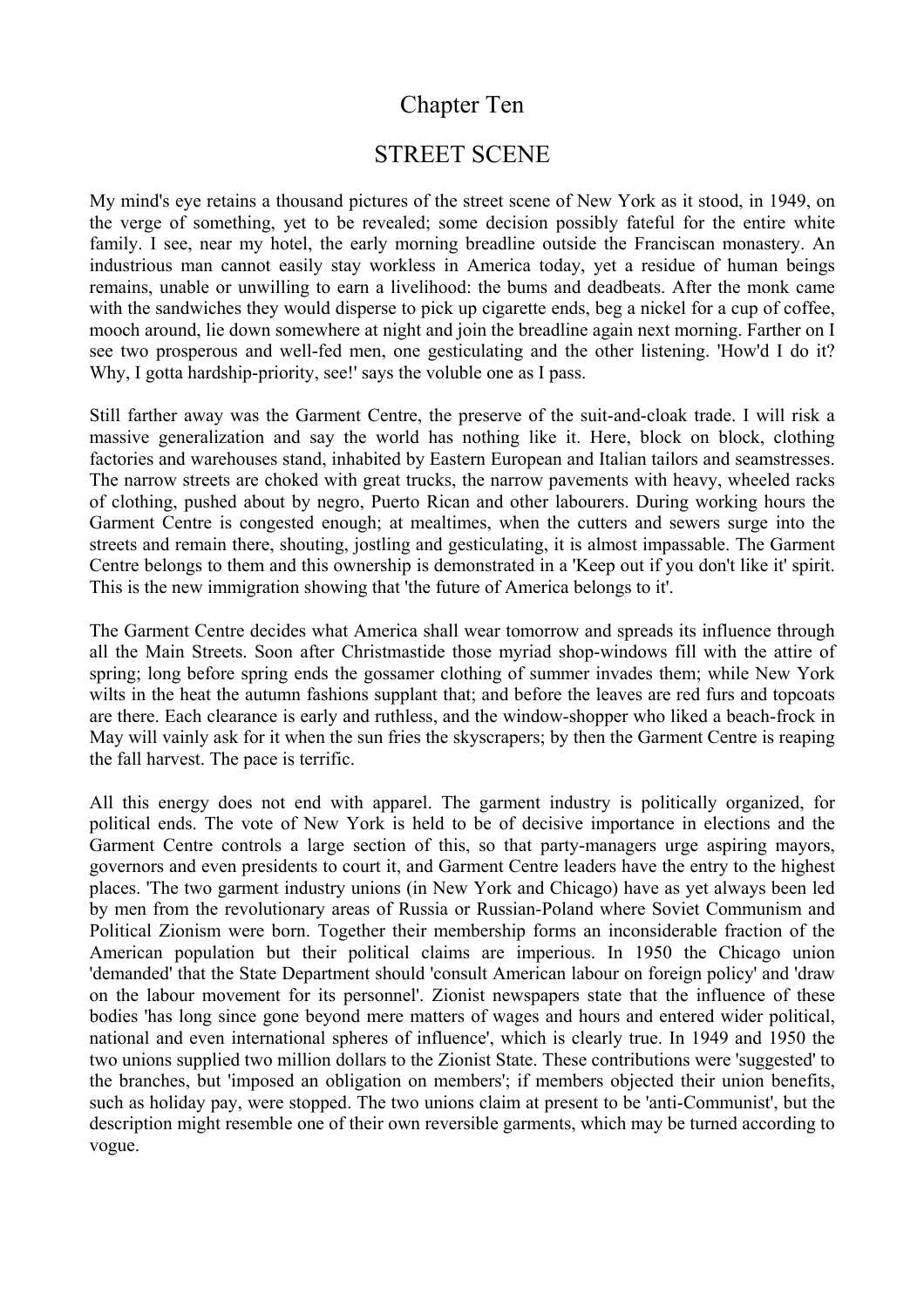### Chapter Ten

### STREET SCENE

My mind's eye retains a thousand pictures of the street scene of New York as it stood, in 1949, on the verge of something, yet to be revealed; some decision possibly fateful for the entire white family. I see, near my hotel, the early morning breadline outside the Franciscan monastery. An industrious man cannot easily stay workless in America today, yet a residue of human beings remains, unable or unwilling to earn a livelihood: the bums and deadbeats. After the monk came with the sandwiches they would disperse to pick up cigarette ends, beg a nickel for a cup of coffee, mooch around, lie down somewhere at night and join the breadline again next morning. Farther on I see two prosperous and well-fed men, one gesticulating and the other listening. 'How'd I do it? Why, I gotta hardship-priority, see!' says the voluble one as I pass.

Still farther away was the Garment Centre, the preserve of the suit-and-cloak trade. I will risk a massive generalization and say the world has nothing like it. Here, block on block, clothing factories and warehouses stand, inhabited by Eastern European and Italian tailors and seamstresses. The narrow streets are choked with great trucks, the narrow pavements with heavy, wheeled racks of clothing, pushed about by negro, Puerto Rican and other labourers. During working hours the Garment Centre is congested enough; at mealtimes, when the cutters and sewers surge into the streets and remain there, shouting, jostling and gesticulating, it is almost impassable. The Garment Centre belongs to them and this ownership is demonstrated in a 'Keep out if you don't like it' spirit. This is the new immigration showing that 'the future of America belongs to it'.

The Garment Centre decides what America shall wear tomorrow and spreads its influence through all the Main Streets. Soon after Christmastide those myriad shop-windows fill with the attire of spring; long before spring ends the gossamer clothing of summer invades them; while New York wilts in the heat the autumn fashions supplant that; and before the leaves are red furs and topcoats are there. Each clearance is early and ruthless, and the window-shopper who liked a beach-frock in May will vainly ask for it when the sun fries the skyscrapers; by then the Garment Centre is reaping the fall harvest. The pace is terrific.

All this energy does not end with apparel. The garment industry is politically organized, for political ends. The vote of New York is held to be of decisive importance in elections and the Garment Centre controls a large section of this, so that party-managers urge aspiring mayors, governors and even presidents to court it, and Garment Centre leaders have the entry to the highest places. 'The two garment industry unions (in New York and Chicago) have as yet always been led by men from the revolutionary areas of Russia or Russian-Poland where Soviet Communism and Political Zionism were born. Together their membership forms an inconsiderable fraction of the American population but their political claims are imperious. In 1950 the Chicago union 'demanded' that the State Department should 'consult American labour on foreign policy' and 'draw on the labour movement for its personnel'. Zionist newspapers state that the influence of these bodies 'has long since gone beyond mere matters of wages and hours and entered wider political, national and even international spheres of influence', which is clearly true. In 1949 and 1950 the two unions supplied two million dollars to the Zionist State. These contributions were 'suggested' to the branches, but 'imposed an obligation on members'; if members objected their union benefits, such as holiday pay, were stopped. The two unions claim at present to be 'anti-Communist', but the description might resemble one of their own reversible garments, which may be turned according to vogue.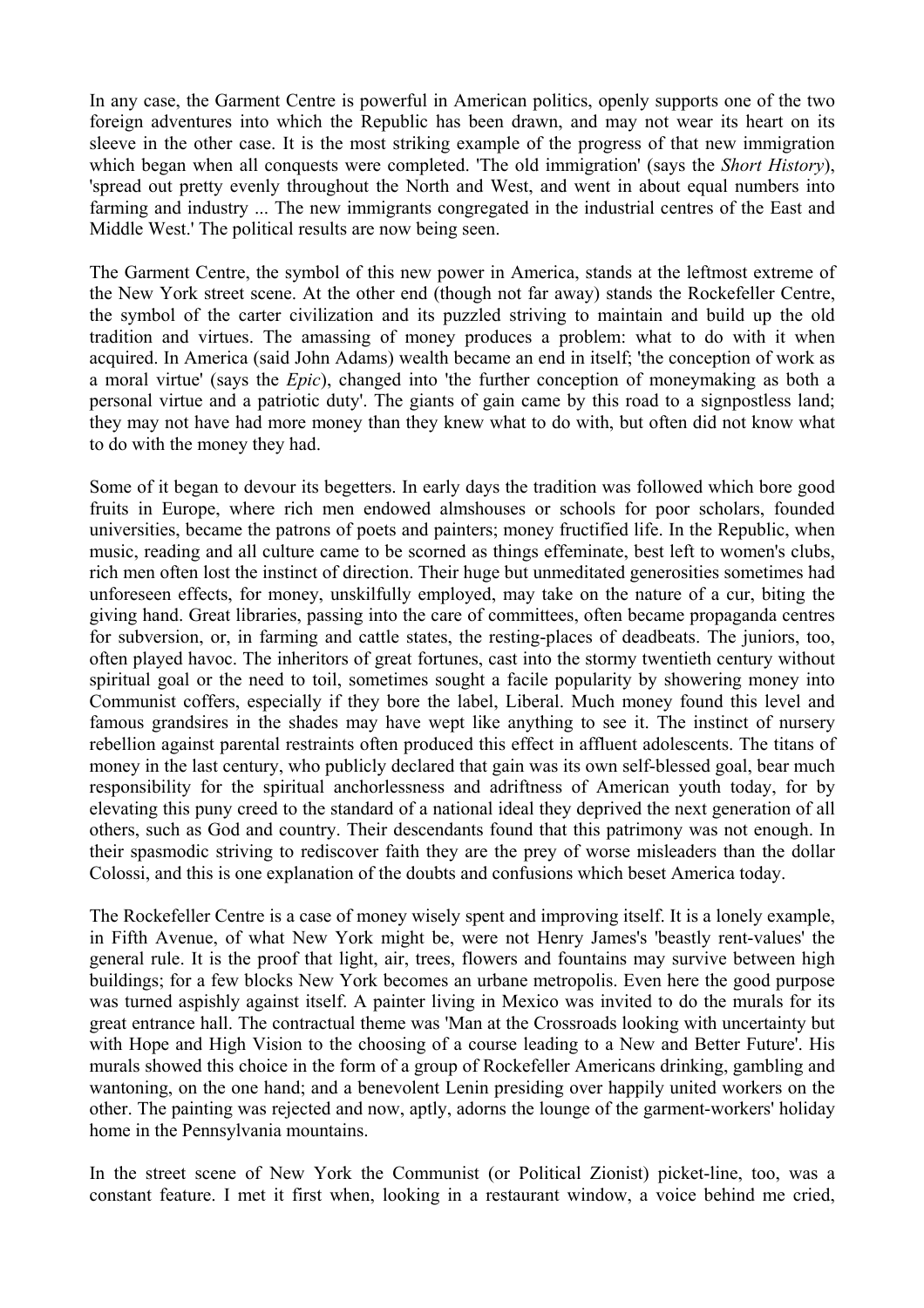In any case, the Garment Centre is powerful in American politics, openly supports one of the two foreign adventures into which the Republic has been drawn, and may not wear its heart on its sleeve in the other case. It is the most striking example of the progress of that new immigration which began when all conquests were completed. 'The old immigration' (says the *Short History*), 'spread out pretty evenly throughout the North and West, and went in about equal numbers into farming and industry ... The new immigrants congregated in the industrial centres of the East and Middle West.' The political results are now being seen.

The Garment Centre, the symbol of this new power in America, stands at the leftmost extreme of the New York street scene. At the other end (though not far away) stands the Rockefeller Centre, the symbol of the carter civilization and its puzzled striving to maintain and build up the old tradition and virtues. The amassing of money produces a problem: what to do with it when acquired. In America (said John Adams) wealth became an end in itself; 'the conception of work as a moral virtue' (says the *Epic*), changed into 'the further conception of moneymaking as both a personal virtue and a patriotic duty'. The giants of gain came by this road to a signpostless land; they may not have had more money than they knew what to do with, but often did not know what to do with the money they had.

Some of it began to devour its begetters. In early days the tradition was followed which bore good fruits in Europe, where rich men endowed almshouses or schools for poor scholars, founded universities, became the patrons of poets and painters; money fructified life. In the Republic, when music, reading and all culture came to be scorned as things effeminate, best left to women's clubs, rich men often lost the instinct of direction. Their huge but unmeditated generosities sometimes had unforeseen effects, for money, unskilfully employed, may take on the nature of a cur, biting the giving hand. Great libraries, passing into the care of committees, often became propaganda centres for subversion, or, in farming and cattle states, the resting-places of deadbeats. The juniors, too, often played havoc. The inheritors of great fortunes, cast into the stormy twentieth century without spiritual goal or the need to toil, sometimes sought a facile popularity by showering money into Communist coffers, especially if they bore the label, Liberal. Much money found this level and famous grandsires in the shades may have wept like anything to see it. The instinct of nursery rebellion against parental restraints often produced this effect in affluent adolescents. The titans of money in the last century, who publicly declared that gain was its own self-blessed goal, bear much responsibility for the spiritual anchorlessness and adriftness of American youth today, for by elevating this puny creed to the standard of a national ideal they deprived the next generation of all others, such as God and country. Their descendants found that this patrimony was not enough. In their spasmodic striving to rediscover faith they are the prey of worse misleaders than the dollar Colossi, and this is one explanation of the doubts and confusions which beset America today.

The Rockefeller Centre is a case of money wisely spent and improving itself. It is a lonely example, in Fifth Avenue, of what New York might be, were not Henry James's 'beastly rent-values' the general rule. It is the proof that light, air, trees, flowers and fountains may survive between high buildings; for a few blocks New York becomes an urbane metropolis. Even here the good purpose was turned aspishly against itself. A painter living in Mexico was invited to do the murals for its great entrance hall. The contractual theme was 'Man at the Crossroads looking with uncertainty but with Hope and High Vision to the choosing of a course leading to a New and Better Future'. His murals showed this choice in the form of a group of Rockefeller Americans drinking, gambling and wantoning, on the one hand; and a benevolent Lenin presiding over happily united workers on the other. The painting was rejected and now, aptly, adorns the lounge of the garment-workers' holiday home in the Pennsylvania mountains.

In the street scene of New York the Communist (or Political Zionist) picket-line, too, was a constant feature. I met it first when, looking in a restaurant window, a voice behind me cried,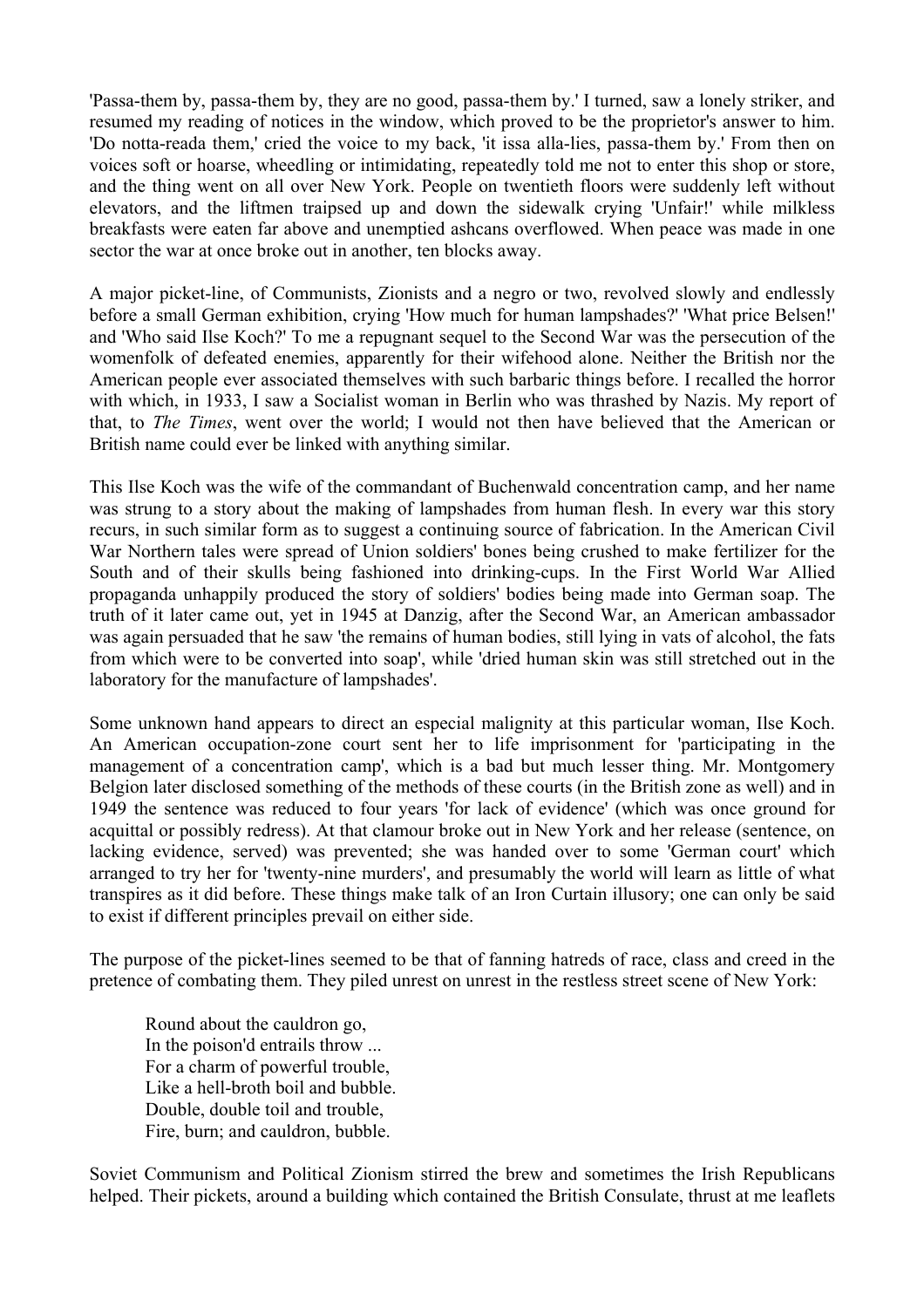'Passa-them by, passa-them by, they are no good, passa-them by.' I turned, saw a lonely striker, and resumed my reading of notices in the window, which proved to be the proprietor's answer to him. 'Do notta-reada them,' cried the voice to my back, 'it issa alla-lies, passa-them by.' From then on voices soft or hoarse, wheedling or intimidating, repeatedly told me not to enter this shop or store, and the thing went on all over New York. People on twentieth floors were suddenly left without elevators, and the liftmen traipsed up and down the sidewalk crying 'Unfair!' while milkless breakfasts were eaten far above and unemptied ashcans overflowed. When peace was made in one sector the war at once broke out in another, ten blocks away.

A major picket-line, of Communists, Zionists and a negro or two, revolved slowly and endlessly before a small German exhibition, crying 'How much for human lampshades?' 'What price Belsen!' and 'Who said Ilse Koch?' To me a repugnant sequel to the Second War was the persecution of the womenfolk of defeated enemies, apparently for their wifehood alone. Neither the British nor the American people ever associated themselves with such barbaric things before. I recalled the horror with which, in 1933. I saw a Socialist woman in Berlin who was thrashed by Nazis. My report of that, to *The Times*, went over the world; I would not then have believed that the American or British name could ever be linked with anything similar.

This Ilse Koch was the wife of the commandant of Buchenwald concentration camp, and her name was strung to a story about the making of lampshades from human flesh. In every war this story recurs, in such similar form as to suggest a continuing source of fabrication. In the American Civil War Northern tales were spread of Union soldiers' bones being crushed to make fertilizer for the South and of their skulls being fashioned into drinking-cups. In the First World War Allied propaganda unhappily produced the story of soldiers' bodies being made into German soap. The truth of it later came out, yet in 1945 at Danzig, after the Second War, an American ambassador was again persuaded that he saw 'the remains of human bodies, still lying in vats of alcohol, the fats from which were to be converted into soap', while 'dried human skin was still stretched out in the laboratory for the manufacture of lampshades'.

Some unknown hand appears to direct an especial malignity at this particular woman, Ilse Koch. An American occupation-zone court sent her to life imprisonment for 'participating in the management of a concentration camp', which is a bad but much lesser thing. Mr. Montgomery Belgion later disclosed something of the methods of these courts (in the British zone as well) and in 1949 the sentence was reduced to four years 'for lack of evidence' (which was once ground for acquittal or possibly redress). At that clamour broke out in New York and her release (sentence, on lacking evidence, served) was prevented; she was handed over to some 'German court' which arranged to try her for 'twenty-nine murders', and presumably the world will learn as little of what transpires as it did before. These things make talk of an Iron Curtain illusory; one can only be said to exist if different principles prevail on either side.

The purpose of the picket-lines seemed to be that of fanning hatreds of race, class and creed in the pretence of combating them. They piled unrest on unrest in the restless street scene of New York:

Round about the cauldron go, In the poison'd entrails throw ... For a charm of powerful trouble, Like a hell-broth boil and bubble. Double, double toil and trouble, Fire, burn; and cauldron, bubble.

Soviet Communism and Political Zionism stirred the brew and sometimes the Irish Republicans helped. Their pickets, around a building which contained the British Consulate, thrust at me leaflets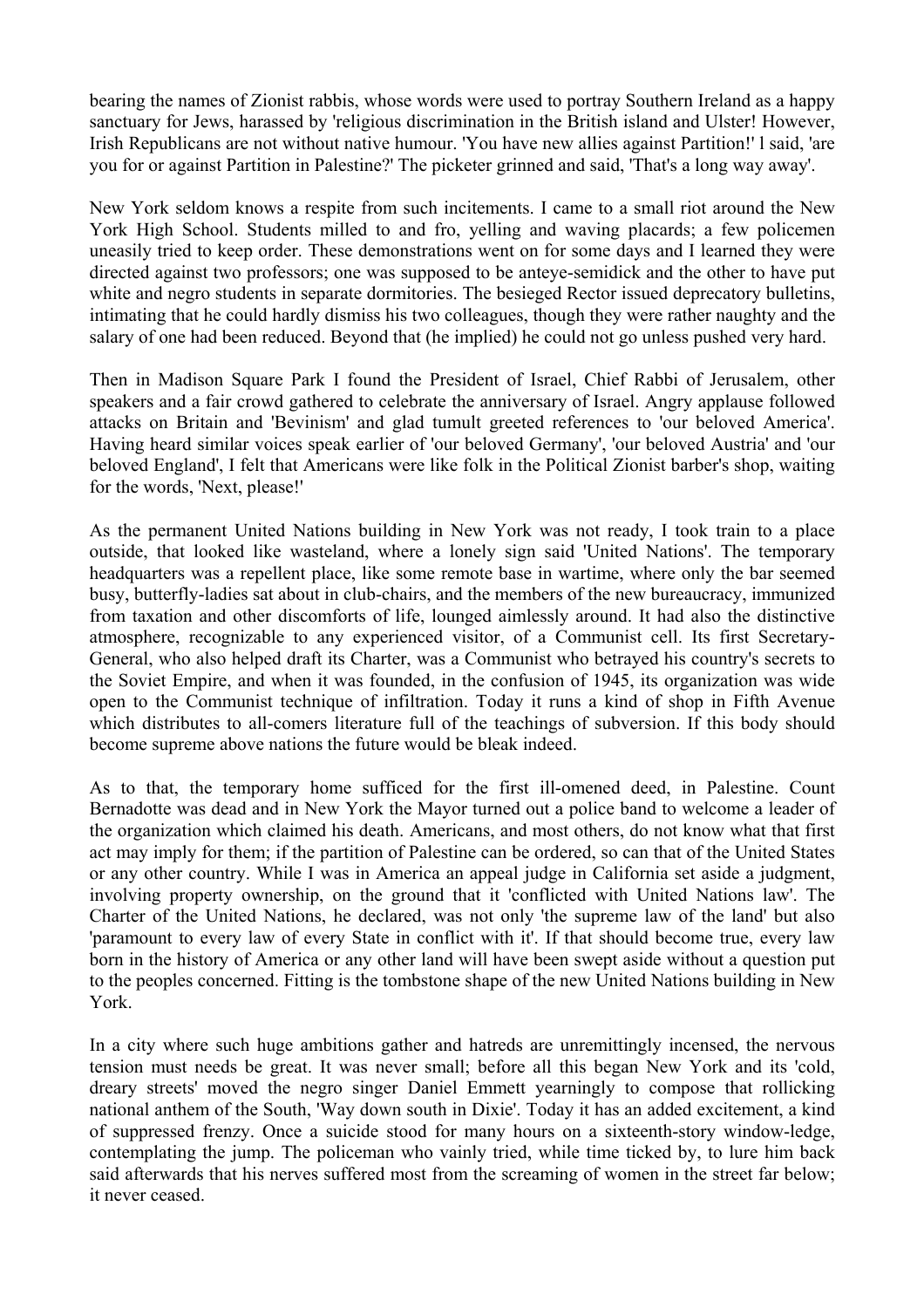bearing the names of Zionist rabbis, whose words were used to portray Southern Ireland as a happy sanctuary for Jews, harassed by 'religious discrimination in the British island and Ulster! However, Irish Republicans are not without native humour. 'You have new allies against Partition!' l said, 'are you for or against Partition in Palestine?' The picketer grinned and said, 'That's a long way away'.

New York seldom knows a respite from such incitements. I came to a small riot around the New York High School. Students milled to and fro, yelling and waving placards; a few policemen uneasily tried to keep order. These demonstrations went on for some days and I learned they were directed against two professors; one was supposed to be anteye-semidick and the other to have put white and negro students in separate dormitories. The besieged Rector issued deprecatory bulletins, intimating that he could hardly dismiss his two colleagues, though they were rather naughty and the salary of one had been reduced. Beyond that (he implied) he could not go unless pushed very hard.

Then in Madison Square Park I found the President of Israel, Chief Rabbi of Jerusalem, other speakers and a fair crowd gathered to celebrate the anniversary of Israel. Angry applause followed attacks on Britain and 'Bevinism' and glad tumult greeted references to 'our beloved America'. Having heard similar voices speak earlier of 'our beloved Germany', 'our beloved Austria' and 'our beloved England', I felt that Americans were like folk in the Political Zionist barber's shop, waiting for the words, 'Next, please!'

As the permanent United Nations building in New York was not ready, I took train to a place outside, that looked like wasteland, where a lonely sign said 'United Nations'. The temporary headquarters was a repellent place, like some remote base in wartime, where only the bar seemed busy, butterfly-ladies sat about in club-chairs, and the members of the new bureaucracy, immunized from taxation and other discomforts of life, lounged aimlessly around. It had also the distinctive atmosphere, recognizable to any experienced visitor, of a Communist cell. Its first Secretary-General, who also helped draft its Charter, was a Communist who betrayed his country's secrets to the Soviet Empire, and when it was founded, in the confusion of 1945, its organization was wide open to the Communist technique of infiltration. Today it runs a kind of shop in Fifth Avenue which distributes to all-comers literature full of the teachings of subversion. If this body should become supreme above nations the future would be bleak indeed.

As to that, the temporary home sufficed for the first ill-omened deed, in Palestine. Count Bernadotte was dead and in New York the Mayor turned out a police band to welcome a leader of the organization which claimed his death. Americans, and most others, do not know what that first act may imply for them; if the partition of Palestine can be ordered, so can that of the United States or any other country. While I was in America an appeal judge in California set aside a judgment, involving property ownership, on the ground that it 'conflicted with United Nations law'. The Charter of the United Nations, he declared, was not only 'the supreme law of the land' but also 'paramount to every law of every State in conflict with it'. If that should become true, every law born in the history of America or any other land will have been swept aside without a question put to the peoples concerned. Fitting is the tombstone shape of the new United Nations building in New York.

In a city where such huge ambitions gather and hatreds are unremittingly incensed, the nervous tension must needs be great. It was never small; before all this began New York and its 'cold, dreary streets' moved the negro singer Daniel Emmett yearningly to compose that rollicking national anthem of the South, 'Way down south in Dixie'. Today it has an added excitement, a kind of suppressed frenzy. Once a suicide stood for many hours on a sixteenth-story window-ledge, contemplating the jump. The policeman who vainly tried, while time ticked by, to lure him back said afterwards that his nerves suffered most from the screaming of women in the street far below; it never ceased.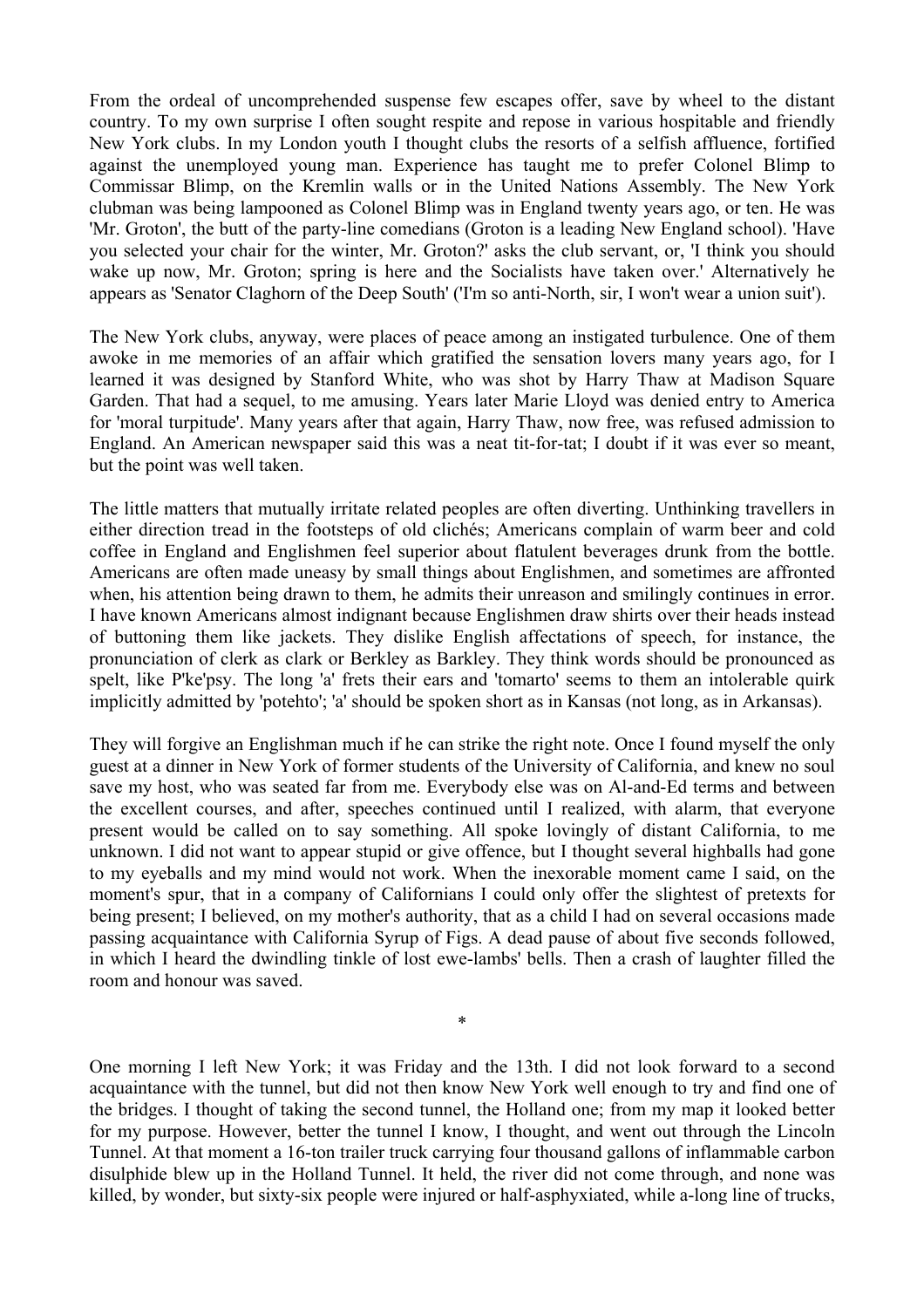From the ordeal of uncomprehended suspense few escapes offer, save by wheel to the distant country. To my own surprise I often sought respite and repose in various hospitable and friendly New York clubs. In my London youth I thought clubs the resorts of a selfish affluence, fortified against the unemployed young man. Experience has taught me to prefer Colonel Blimp to Commissar Blimp, on the Kremlin walls or in the United Nations Assembly. The New York clubman was being lampooned as Colonel Blimp was in England twenty years ago, or ten. He was 'Mr. Groton', the butt of the party-line comedians (Groton is a leading New England school). 'Have you selected your chair for the winter, Mr. Groton?' asks the club servant, or, 'I think you should wake up now, Mr. Groton; spring is here and the Socialists have taken over.' Alternatively he appears as 'Senator Claghorn of the Deep South' ('I'm so anti-North, sir, I won't wear a union suit').

The New York clubs, anyway, were places of peace among an instigated turbulence. One of them awoke in me memories of an affair which gratified the sensation lovers many years ago, for I learned it was designed by Stanford White, who was shot by Harry Thaw at Madison Square Garden. That had a sequel, to me amusing. Years later Marie Lloyd was denied entry to America for 'moral turpitude'. Many years after that again, Harry Thaw, now free, was refused admission to England. An American newspaper said this was a neat tit-for-tat; I doubt if it was ever so meant, but the point was well taken.

The little matters that mutually irritate related peoples are often diverting. Unthinking travellers in either direction tread in the footsteps of old clichés; Americans complain of warm beer and cold coffee in England and Englishmen feel superior about flatulent beverages drunk from the bottle. Americans are often made uneasy by small things about Englishmen, and sometimes are affronted when, his attention being drawn to them, he admits their unreason and smilingly continues in error. I have known Americans almost indignant because Englishmen draw shirts over their heads instead of buttoning them like jackets. They dislike English affectations of speech, for instance, the pronunciation of clerk as clark or Berkley as Barkley. They think words should be pronounced as spelt, like P'ke'psy. The long 'a' frets their ears and 'tomarto' seems to them an intolerable quirk implicitly admitted by 'potehto'; 'a' should be spoken short as in Kansas (not long, as in Arkansas).

They will forgive an Englishman much if he can strike the right note. Once I found myself the only guest at a dinner in New York of former students of the University of California, and knew no soul save my host, who was seated far from me. Everybody else was on Al-and-Ed terms and between the excellent courses, and after, speeches continued until I realized, with alarm, that everyone present would be called on to say something. All spoke lovingly of distant California, to me unknown. I did not want to appear stupid or give offence, but I thought several highballs had gone to my eyeballs and my mind would not work. When the inexorable moment came I said, on the moment's spur, that in a company of Californians I could only offer the slightest of pretexts for being present; I believed, on my mother's authority, that as a child I had on several occasions made passing acquaintance with California Syrup of Figs. A dead pause of about five seconds followed, in which I heard the dwindling tinkle of lost ewe-lambs' bells. Then a crash of laughter filled the room and honour was saved.

One morning I left New York; it was Friday and the 13th. I did not look forward to a second acquaintance with the tunnel, but did not then know New York well enough to try and find one of the bridges. I thought of taking the second tunnel, the Holland one; from my map it looked better for my purpose. However, better the tunnel I know, I thought, and went out through the Lincoln Tunnel. At that moment a 16-ton trailer truck carrying four thousand gallons of inflammable carbon disulphide blew up in the Holland Tunnel. It held, the river did not come through, and none was killed, by wonder, but sixty-six people were injured or half-asphyxiated, while a-long line of trucks,

\*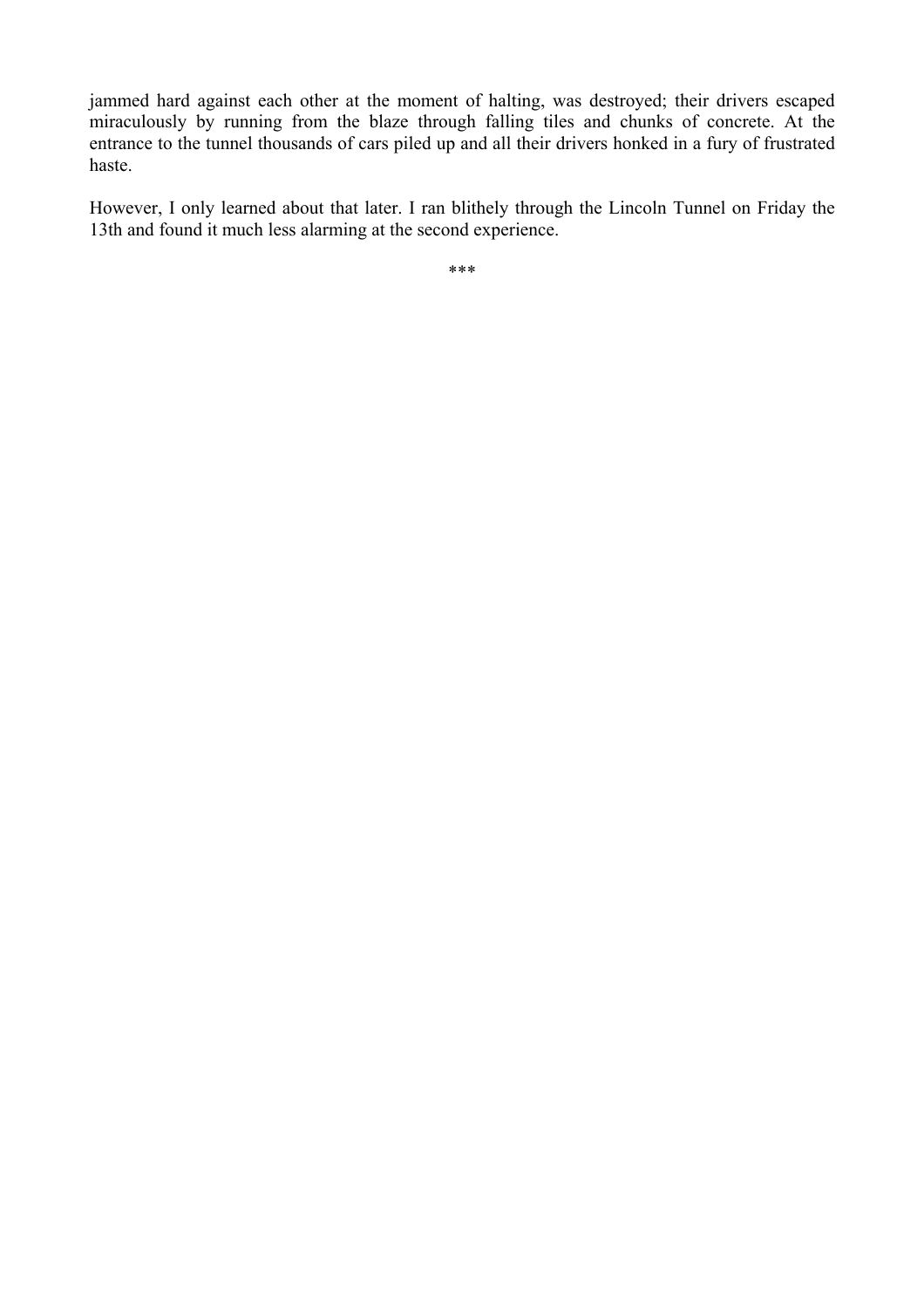jammed hard against each other at the moment of halting, was destroyed; their drivers escaped miraculously by running from the blaze through falling tiles and chunks of concrete. At the entrance to the tunnel thousands of cars piled up and all their drivers honked in a fury of frustrated haste.

However, I only learned about that later. I ran blithely through the Lincoln Tunnel on Friday the 13th and found it much less alarming at the second experience.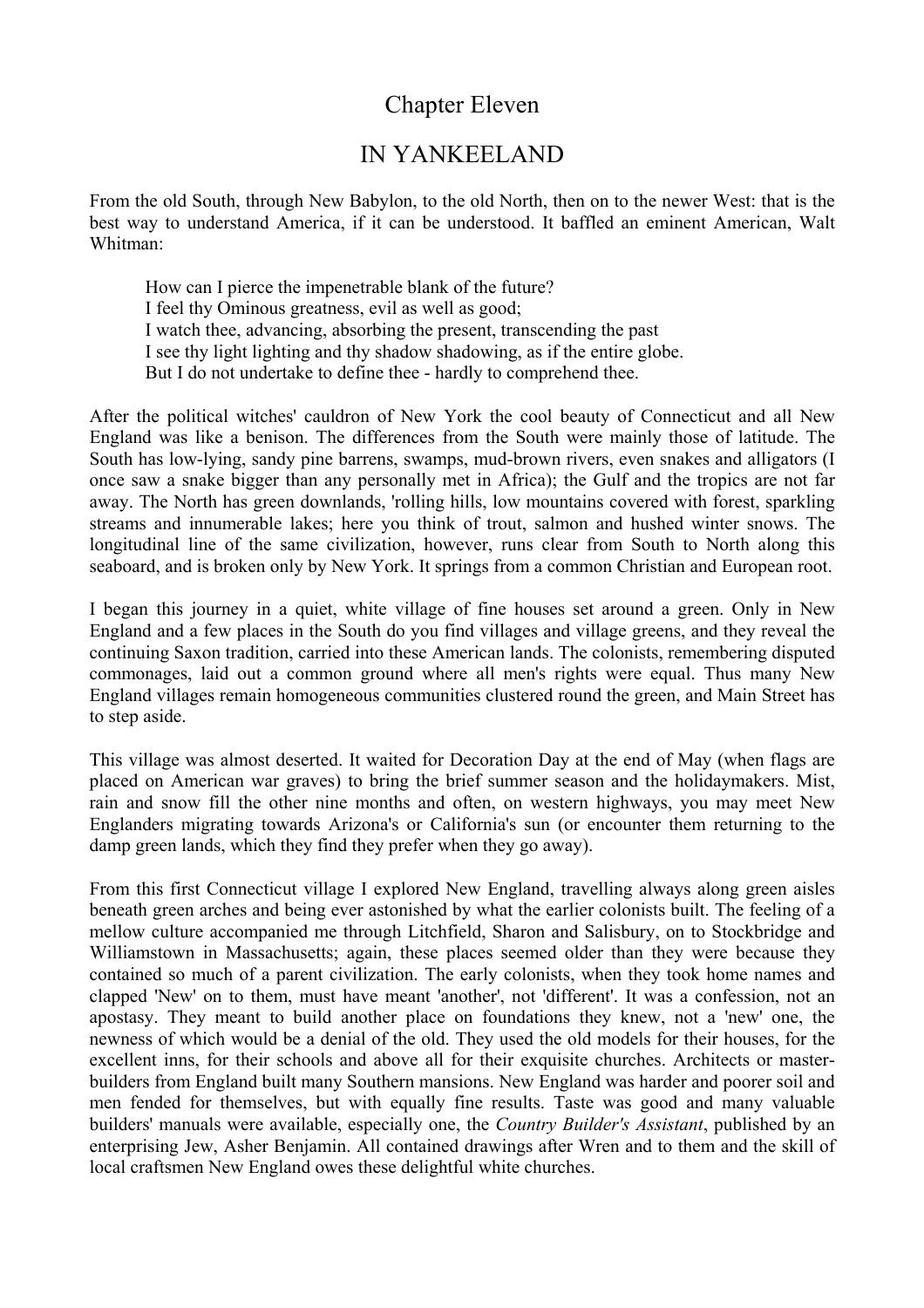## Chapter Eleven

## IN YANKEELAND

From the old South, through New Babylon, to the old North, then on to the newer West: that is the best way to understand America, if it can be understood. It baffled an eminent American, Walt Whitman:

How can I pierce the impenetrable blank of the future? I feel thy Ominous greatness, evil as well as good; I watch thee, advancing, absorbing the present, transcending the past I see thy light lighting and thy shadow shadowing, as if the entire globe. But I do not undertake to define thee - hardly to comprehend thee.

After the political witches' cauldron of New York the cool beauty of Connecticut and all New England was like a benison. The differences from the South were mainly those of latitude. The South has low-lying, sandy pine barrens, swamps, mud-brown rivers, even snakes and alligators (I once saw a snake bigger than any personally met in Africa); the Gulf and the tropics are not far away. The North has green downlands, 'rolling hills, low mountains covered with forest, sparkling streams and innumerable lakes; here you think of trout, salmon and hushed winter snows. The longitudinal line of the same civilization, however, runs clear from South to North along this seaboard, and is broken only by New York. It springs from a common Christian and European root.

I began this journey in a quiet, white village of fine houses set around a green. Only in New England and a few places in the South do you find villages and village greens, and they reveal the continuing Saxon tradition, carried into these American lands. The colonists, remembering disputed commonages, laid out a common ground where all men's rights were equal. Thus many New England villages remain homogeneous communities clustered round the green, and Main Street has to step aside.

This village was almost deserted. It waited for Decoration Day at the end of May (when flags are placed on American war graves) to bring the brief summer season and the holidaymakers. Mist, rain and snow fill the other nine months and often, on western highways, you may meet New Englanders migrating towards Arizona's or California's sun (or encounter them returning to the damp green lands, which they find they prefer when they go away).

From this first Connecticut village I explored New England, travelling always along green aisles beneath green arches and being ever astonished by what the earlier colonists built. The feeling of a mellow culture accompanied me through Litchfield, Sharon and Salisbury, on to Stockbridge and Williamstown in Massachusetts; again, these places seemed older than they were because they contained so much of a parent civilization. The early colonists, when they took home names and clapped 'New' on to them, must have meant 'another', not 'different'. It was a confession, not an apostasy. They meant to build another place on foundations they knew, not a 'new' one, the newness of which would be a denial of the old. They used the old models for their houses, for the excellent inns, for their schools and above all for their exquisite churches. Architects or masterbuilders from England built many Southern mansions. New England was harder and poorer soil and men fended for themselves, but with equally fine results. Taste was good and many valuable builders' manuals were available, especially one, the *Country Builder's Assistant*, published by an enterprising Jew, Asher Benjamin. All contained drawings after Wren and to them and the skill of local craftsmen New England owes these delightful white churches.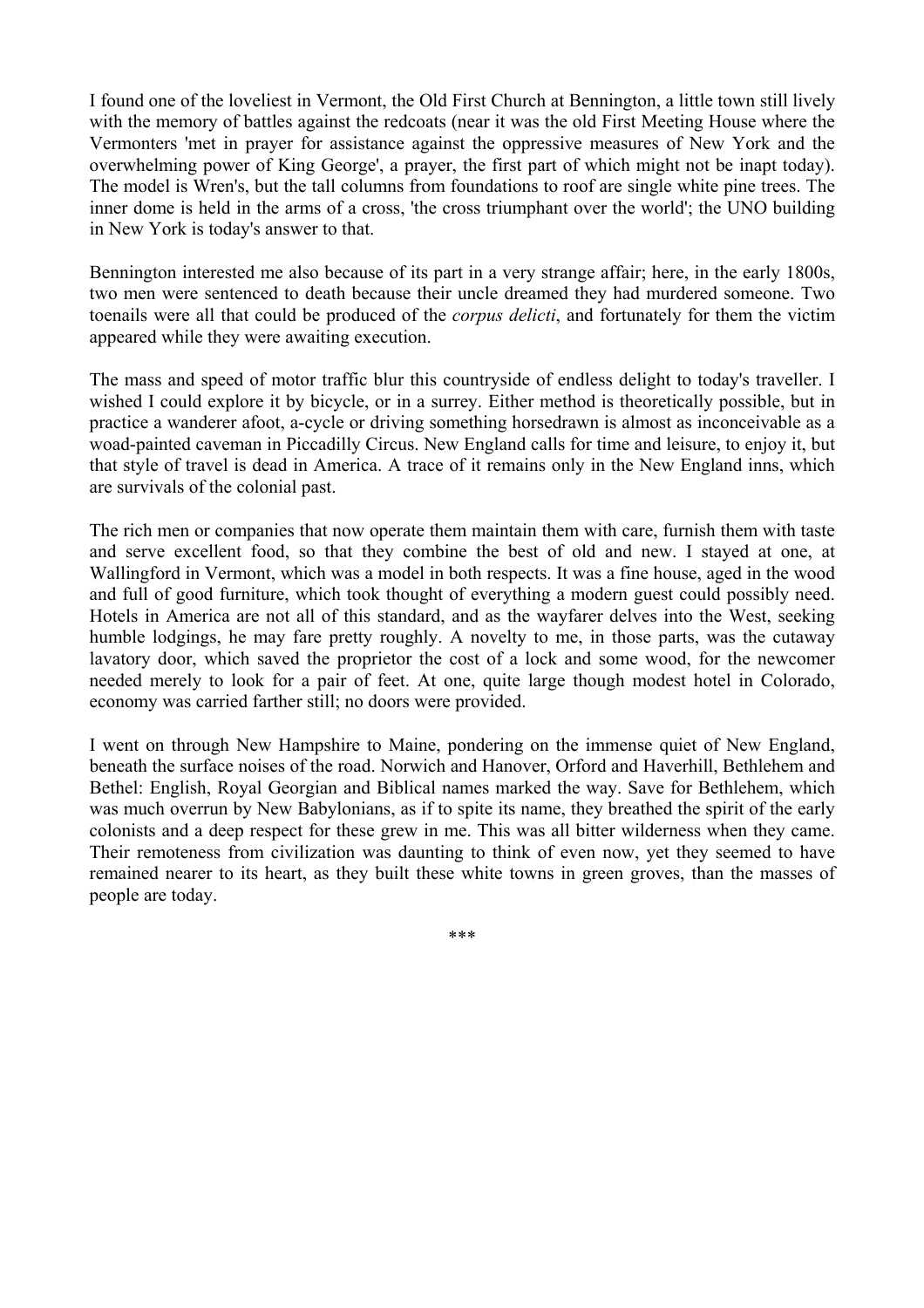I found one of the loveliest in Vermont, the Old First Church at Bennington, a little town still lively with the memory of battles against the redcoats (near it was the old First Meeting House where the Vermonters 'met in prayer for assistance against the oppressive measures of New York and the overwhelming power of King George', a prayer, the first part of which might not be inapt today). The model is Wren's, but the tall columns from foundations to roof are single white pine trees. The inner dome is held in the arms of a cross, 'the cross triumphant over the world'; the UNO building in New York is today's answer to that.

Bennington interested me also because of its part in a very strange affair; here, in the early 1800s, two men were sentenced to death because their uncle dreamed they had murdered someone. Two toenails were all that could be produced of the *corpus delicti*, and fortunately for them the victim appeared while they were awaiting execution.

The mass and speed of motor traffic blur this countryside of endless delight to today's traveller. I wished I could explore it by bicycle, or in a surrey. Either method is theoretically possible, but in practice a wanderer afoot, a-cycle or driving something horsedrawn is almost as inconceivable as a woad-painted caveman in Piccadilly Circus. New England calls for time and leisure, to enjoy it, but that style of travel is dead in America. A trace of it remains only in the New England inns, which are survivals of the colonial past.

The rich men or companies that now operate them maintain them with care, furnish them with taste and serve excellent food, so that they combine the best of old and new. I stayed at one, at Wallingford in Vermont, which was a model in both respects. It was a fine house, aged in the wood and full of good furniture, which took thought of everything a modern guest could possibly need. Hotels in America are not all of this standard, and as the wayfarer delves into the West, seeking humble lodgings, he may fare pretty roughly. A novelty to me, in those parts, was the cutaway lavatory door, which saved the proprietor the cost of a lock and some wood, for the newcomer needed merely to look for a pair of feet. At one, quite large though modest hotel in Colorado, economy was carried farther still; no doors were provided.

I went on through New Hampshire to Maine, pondering on the immense quiet of New England, beneath the surface noises of the road. Norwich and Hanover, Orford and Haverhill, Bethlehem and Bethel: English, Royal Georgian and Biblical names marked the way. Save for Bethlehem, which was much overrun by New Babylonians, as if to spite its name, they breathed the spirit of the early colonists and a deep respect for these grew in me. This was all bitter wilderness when they came. Their remoteness from civilization was daunting to think of even now, yet they seemed to have remained nearer to its heart, as they built these white towns in green groves, than the masses of people are today.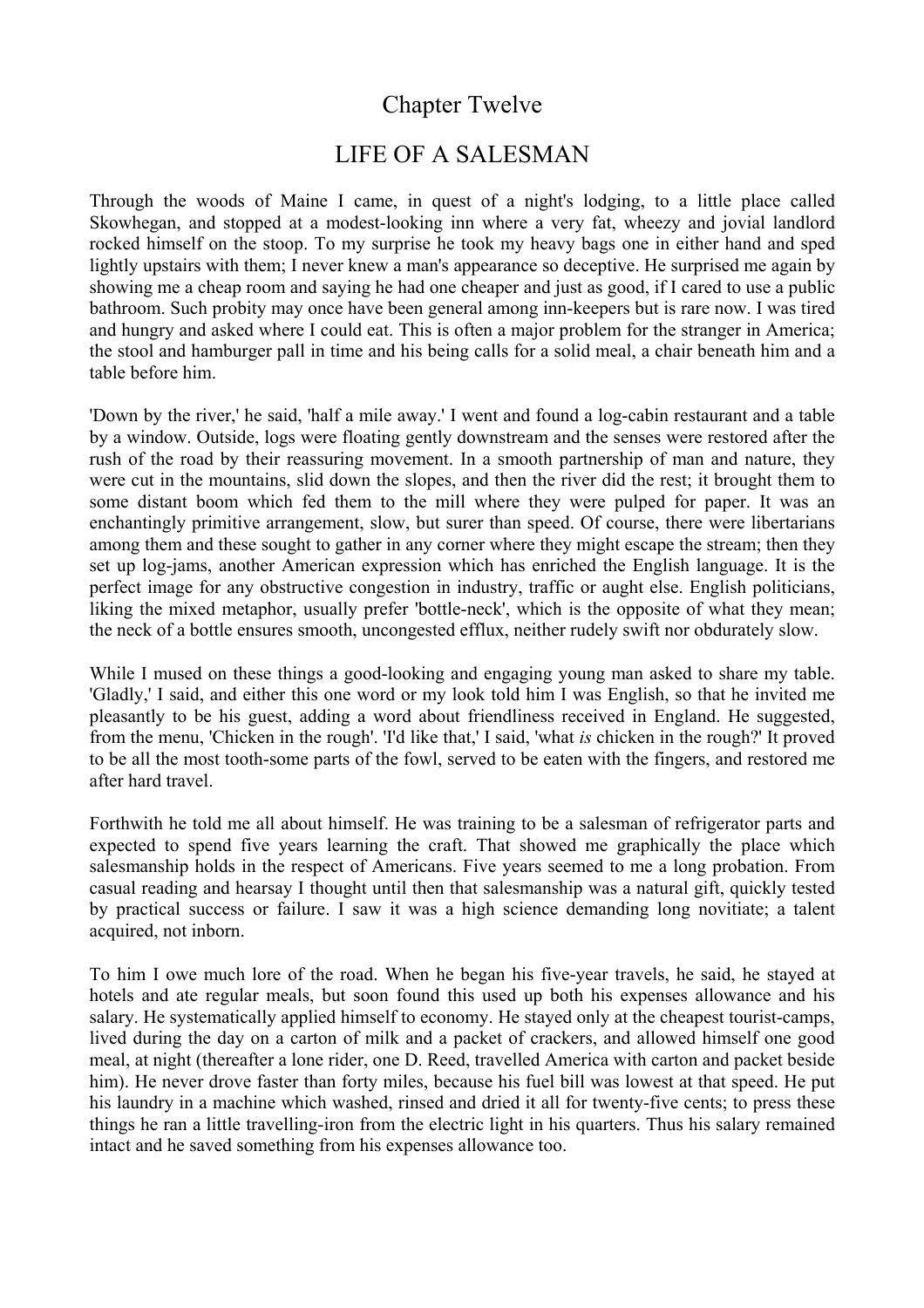# Chapter Twelve

#### LIFE OF A SALESMAN

Through the woods of Maine I came, in quest of a night's lodging, to a little place called Skowhegan, and stopped at a modest-looking inn where a very fat, wheezy and jovial landlord rocked himself on the stoop. To my surprise he took my heavy bags one in either hand and sped lightly upstairs with them; I never knew a man's appearance so deceptive. He surprised me again by showing me a cheap room and saying he had one cheaper and just as good, if I cared to use a public bathroom. Such probity may once have been general among inn-keepers but is rare now. I was tired and hungry and asked where I could eat. This is often a major problem for the stranger in America; the stool and hamburger pall in time and his being calls for a solid meal, a chair beneath him and a table before him.

'Down by the river,' he said, 'half a mile away.' I went and found a log-cabin restaurant and a table by a window. Outside, logs were floating gently downstream and the senses were restored after the rush of the road by their reassuring movement. In a smooth partnership of man and nature, they were cut in the mountains, slid down the slopes, and then the river did the rest; it brought them to some distant boom which fed them to the mill where they were pulped for paper. It was an enchantingly primitive arrangement, slow, but surer than speed. Of course, there were libertarians among them and these sought to gather in any corner where they might escape the stream; then they set up log-jams, another American expression which has enriched the English language. It is the perfect image for any obstructive congestion in industry, traffic or aught else. English politicians, liking the mixed metaphor, usually prefer 'bottle-neck', which is the opposite of what they mean; the neck of a bottle ensures smooth, uncongested efflux, neither rudely swift nor obdurately slow.

While I mused on these things a good-looking and engaging young man asked to share my table. 'Gladly,' I said, and either this one word or my look told him I was English, so that he invited me pleasantly to be his guest, adding a word about friendliness received in England. He suggested, from the menu, 'Chicken in the rough'. 'I'd like that,' I said, 'what *is* chicken in the rough?' It proved to be all the most tooth-some parts of the fowl, served to be eaten with the fingers, and restored me after hard travel.

Forthwith he told me all about himself. He was training to be a salesman of refrigerator parts and expected to spend five years learning the craft. That showed me graphically the place which salesmanship holds in the respect of Americans. Five years seemed to me a long probation. From casual reading and hearsay I thought until then that salesmanship was a natural gift, quickly tested by practical success or failure. I saw it was a high science demanding long novitiate; a talent acquired, not inborn.

To him I owe much lore of the road. When he began his five-year travels, he said, he stayed at hotels and ate regular meals, but soon found this used up both his expenses allowance and his salary. He systematically applied himself to economy. He stayed only at the cheapest tourist-camps, lived during the day on a carton of milk and a packet of crackers, and allowed himself one good meal, at night (thereafter a lone rider, one D. Reed, travelled America with carton and packet beside him). He never drove faster than forty miles, because his fuel bill was lowest at that speed. He put his laundry in a machine which washed, rinsed and dried it all for twenty-five cents; to press these things he ran a little travelling-iron from the electric light in his quarters. Thus his salary remained intact and he saved something from his expenses allowance too.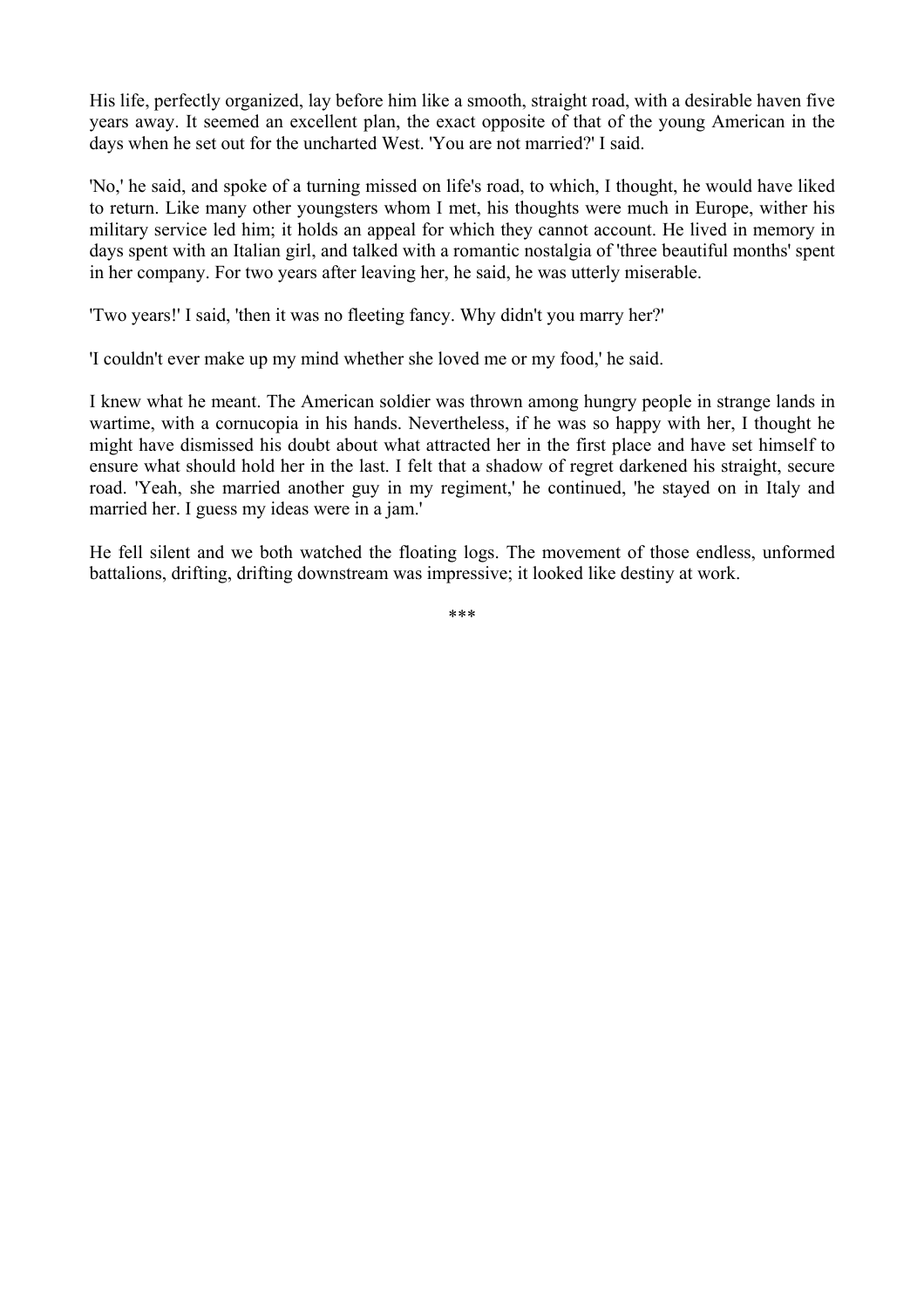His life, perfectly organized, lay before him like a smooth, straight road, with a desirable haven five years away. It seemed an excellent plan, the exact opposite of that of the young American in the days when he set out for the uncharted West. 'You are not married?' I said.

'No,' he said, and spoke of a turning missed on life's road, to which, I thought, he would have liked to return. Like many other youngsters whom I met, his thoughts were much in Europe, wither his military service led him; it holds an appeal for which they cannot account. He lived in memory in days spent with an Italian girl, and talked with a romantic nostalgia of 'three beautiful months' spent in her company. For two years after leaving her, he said, he was utterly miserable.

'Two years!' I said, 'then it was no fleeting fancy. Why didn't you marry her?'

'I couldn't ever make up my mind whether she loved me or my food,' he said.

I knew what he meant. The American soldier was thrown among hungry people in strange lands in wartime, with a cornucopia in his hands. Nevertheless, if he was so happy with her, I thought he might have dismissed his doubt about what attracted her in the first place and have set himself to ensure what should hold her in the last. I felt that a shadow of regret darkened his straight, secure road. 'Yeah, she married another guy in my regiment,' he continued, 'he stayed on in Italy and married her. I guess my ideas were in a jam.'

He fell silent and we both watched the floating logs. The movement of those endless, unformed battalions, drifting, drifting downstream was impressive; it looked like destiny at work.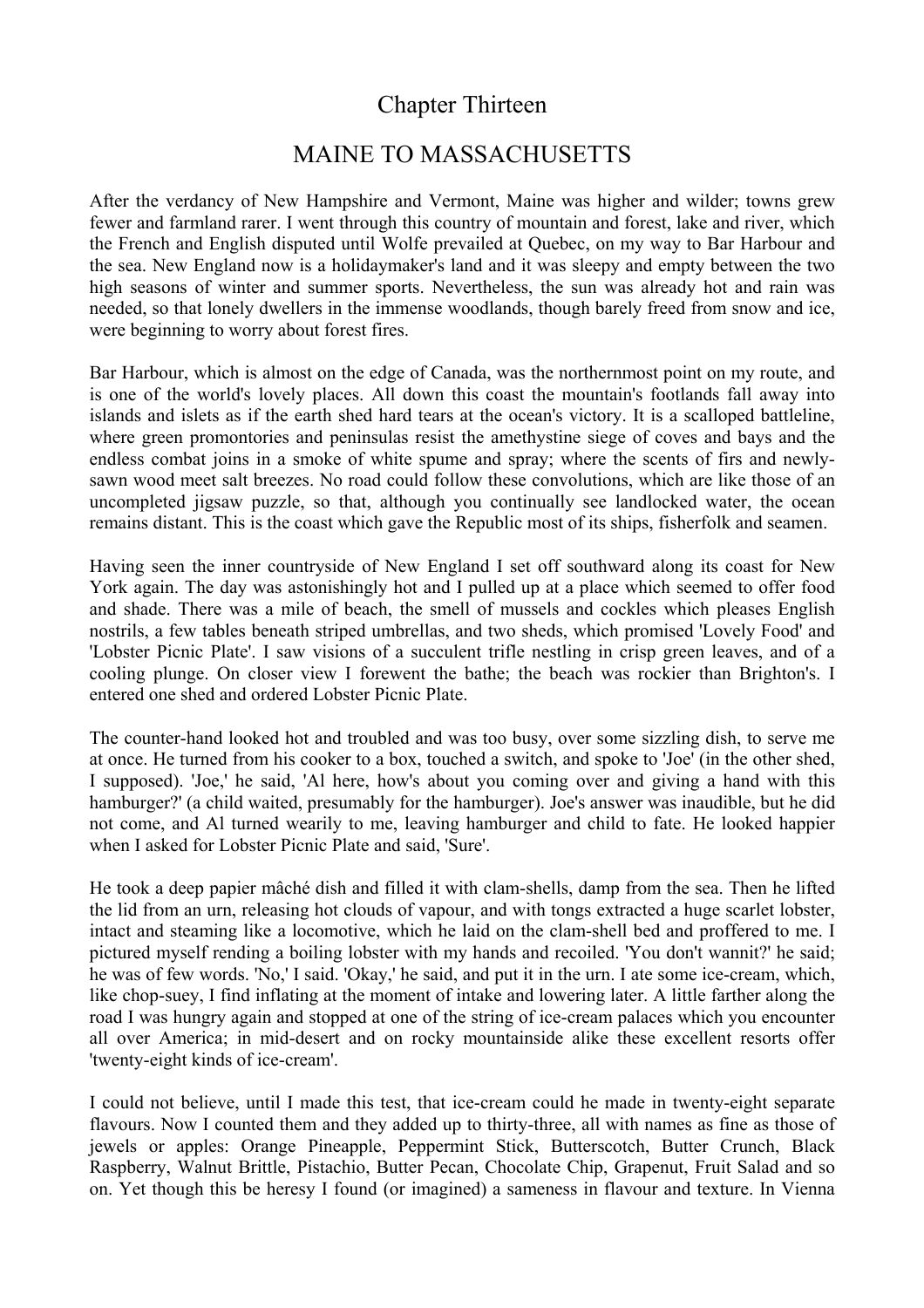# Chapter Thirteen

# MAINE TO MASSACHUSETTS

After the verdancy of New Hampshire and Vermont, Maine was higher and wilder; towns grew fewer and farmland rarer. I went through this country of mountain and forest, lake and river, which the French and English disputed until Wolfe prevailed at Quebec, on my way to Bar Harbour and the sea. New England now is a holidaymaker's land and it was sleepy and empty between the two high seasons of winter and summer sports. Nevertheless, the sun was already hot and rain was needed, so that lonely dwellers in the immense woodlands, though barely freed from snow and ice, were beginning to worry about forest fires.

Bar Harbour, which is almost on the edge of Canada, was the northernmost point on my route, and is one of the world's lovely places. All down this coast the mountain's footlands fall away into islands and islets as if the earth shed hard tears at the ocean's victory. It is a scalloped battleline, where green promontories and peninsulas resist the amethystine siege of coves and bays and the endless combat joins in a smoke of white spume and spray; where the scents of firs and newlysawn wood meet salt breezes. No road could follow these convolutions, which are like those of an uncompleted jigsaw puzzle, so that, although you continually see landlocked water, the ocean remains distant. This is the coast which gave the Republic most of its ships, fisherfolk and seamen.

Having seen the inner countryside of New England I set off southward along its coast for New York again. The day was astonishingly hot and I pulled up at a place which seemed to offer food and shade. There was a mile of beach, the smell of mussels and cockles which pleases English nostrils, a few tables beneath striped umbrellas, and two sheds, which promised 'Lovely Food' and 'Lobster Picnic Plate'. I saw visions of a succulent trifle nestling in crisp green leaves, and of a cooling plunge. On closer view I forewent the bathe; the beach was rockier than Brighton's. I entered one shed and ordered Lobster Picnic Plate.

The counter-hand looked hot and troubled and was too busy, over some sizzling dish, to serve me at once. He turned from his cooker to a box, touched a switch, and spoke to 'Joe' (in the other shed, I supposed). 'Joe,' he said, 'Al here, how's about you coming over and giving a hand with this hamburger?' (a child waited, presumably for the hamburger). Joe's answer was inaudible, but he did not come, and Al turned wearily to me, leaving hamburger and child to fate. He looked happier when I asked for Lobster Picnic Plate and said, 'Sure'.

He took a deep papier mâché dish and filled it with clam-shells, damp from the sea. Then he lifted the lid from an urn, releasing hot clouds of vapour, and with tongs extracted a huge scarlet lobster, intact and steaming like a locomotive, which he laid on the clam-shell bed and proffered to me. I pictured myself rending a boiling lobster with my hands and recoiled. 'You don't wannit?' he said; he was of few words. 'No,' I said. 'Okay,' he said, and put it in the urn. I ate some ice-cream, which, like chop-suey, I find inflating at the moment of intake and lowering later. A little farther along the road I was hungry again and stopped at one of the string of ice-cream palaces which you encounter all over America; in mid-desert and on rocky mountainside alike these excellent resorts offer 'twenty-eight kinds of ice-cream'.

I could not believe, until I made this test, that ice-cream could he made in twenty-eight separate flavours. Now I counted them and they added up to thirty-three, all with names as fine as those of jewels or apples: Orange Pineapple, Peppermint Stick, Butterscotch, Butter Crunch, Black Raspberry, Walnut Brittle, Pistachio, Butter Pecan, Chocolate Chip, Grapenut, Fruit Salad and so on. Yet though this be heresy I found (or imagined) a sameness in flavour and texture. In Vienna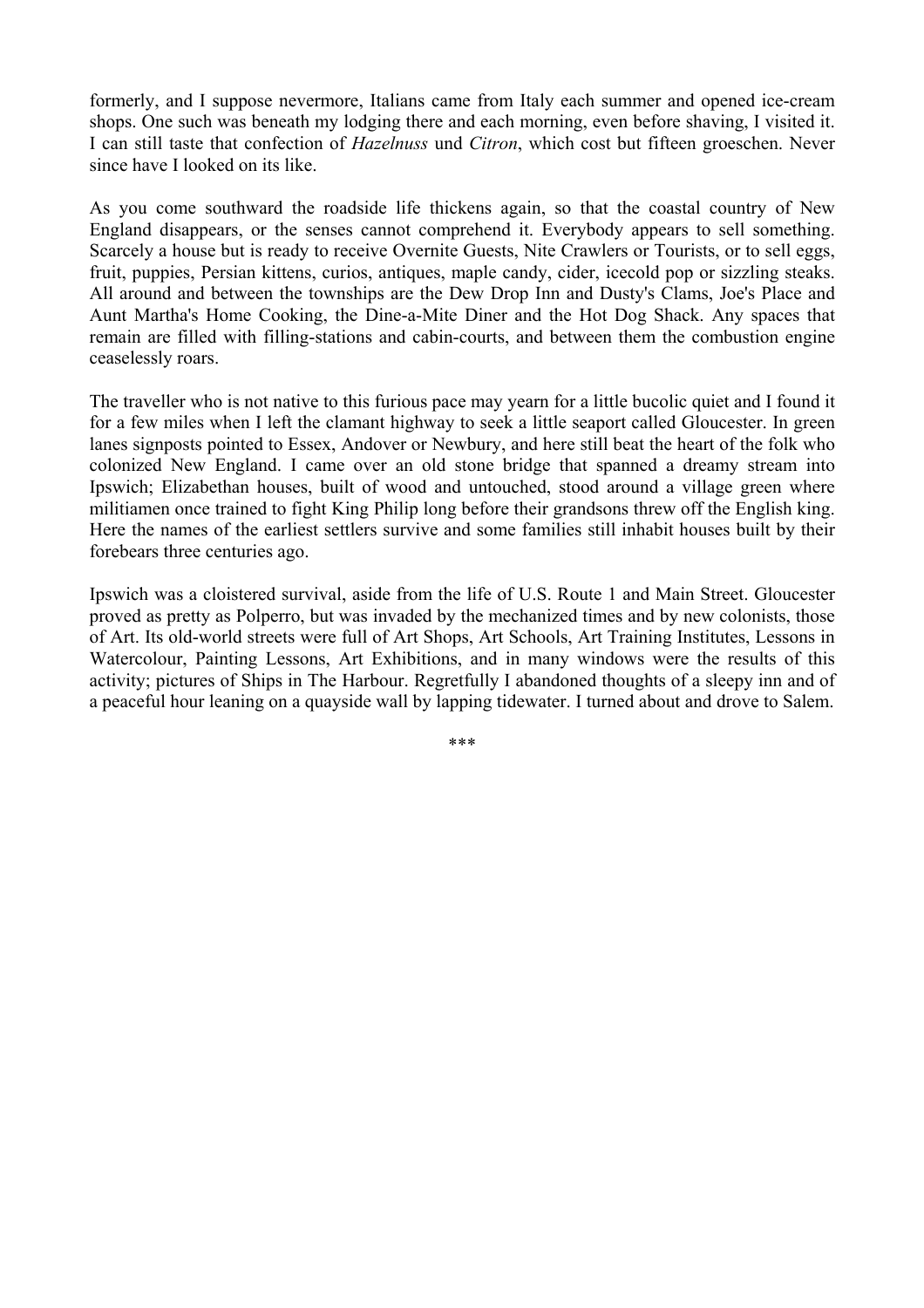formerly, and I suppose nevermore, Italians came from Italy each summer and opened ice-cream shops. One such was beneath my lodging there and each morning, even before shaving, I visited it. I can still taste that confection of *Hazelnuss* und *Citron*, which cost but fifteen groeschen. Never since have I looked on its like.

As you come southward the roadside life thickens again, so that the coastal country of New England disappears, or the senses cannot comprehend it. Everybody appears to sell something. Scarcely a house but is ready to receive Overnite Guests, Nite Crawlers or Tourists, or to sell eggs, fruit, puppies, Persian kittens, curios, antiques, maple candy, cider, icecold pop or sizzling steaks. All around and between the townships are the Dew Drop Inn and Dusty's Clams, Joe's Place and Aunt Martha's Home Cooking, the Dine-a-Mite Diner and the Hot Dog Shack. Any spaces that remain are filled with filling-stations and cabin-courts, and between them the combustion engine ceaselessly roars.

The traveller who is not native to this furious pace may yearn for a little bucolic quiet and I found it for a few miles when I left the clamant highway to seek a little seaport called Gloucester. In green lanes signposts pointed to Essex, Andover or Newbury, and here still beat the heart of the folk who colonized New England. I came over an old stone bridge that spanned a dreamy stream into Ipswich; Elizabethan houses, built of wood and untouched, stood around a village green where militiamen once trained to fight King Philip long before their grandsons threw off the English king. Here the names of the earliest settlers survive and some families still inhabit houses built by their forebears three centuries ago.

Ipswich was a cloistered survival, aside from the life of U.S. Route 1 and Main Street. Gloucester proved as pretty as Polperro, but was invaded by the mechanized times and by new colonists, those of Art. Its old-world streets were full of Art Shops, Art Schools, Art Training Institutes, Lessons in Watercolour, Painting Lessons, Art Exhibitions, and in many windows were the results of this activity; pictures of Ships in The Harbour. Regretfully I abandoned thoughts of a sleepy inn and of a peaceful hour leaning on a quayside wall by lapping tidewater. I turned about and drove to Salem.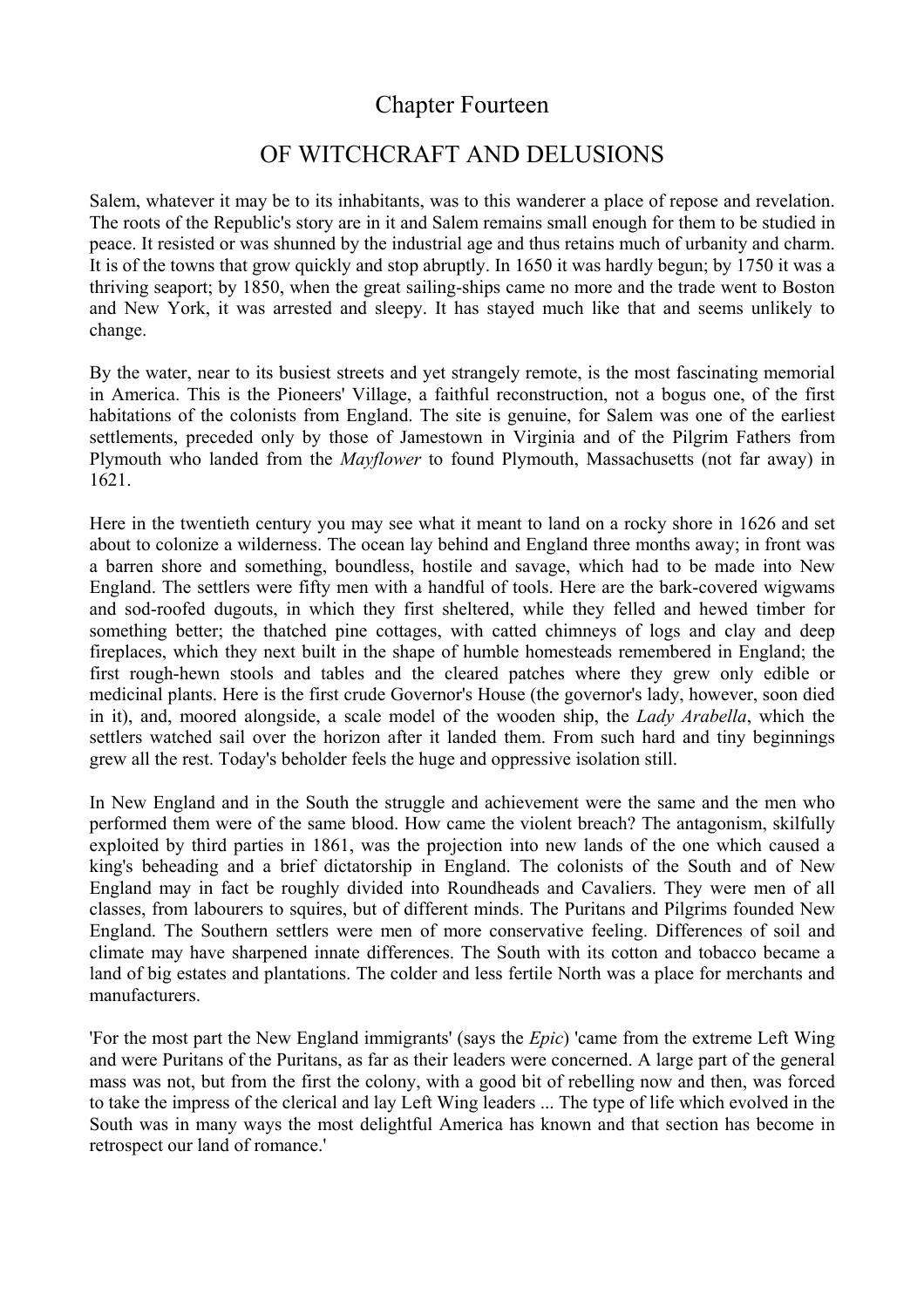# Chapter Fourteen

# OF WITCHCRAFT AND DELUSIONS

Salem, whatever it may be to its inhabitants, was to this wanderer a place of repose and revelation. The roots of the Republic's story are in it and Salem remains small enough for them to be studied in peace. It resisted or was shunned by the industrial age and thus retains much of urbanity and charm. It is of the towns that grow quickly and stop abruptly. In 1650 it was hardly begun; by 1750 it was a thriving seaport; by 1850, when the great sailing-ships came no more and the trade went to Boston and New York, it was arrested and sleepy. It has stayed much like that and seems unlikely to change.

By the water, near to its busiest streets and yet strangely remote, is the most fascinating memorial in America. This is the Pioneers' Village, a faithful reconstruction, not a bogus one, of the first habitations of the colonists from England. The site is genuine, for Salem was one of the earliest settlements, preceded only by those of Jamestown in Virginia and of the Pilgrim Fathers from Plymouth who landed from the *Mayflower* to found Plymouth, Massachusetts (not far away) in 1621.

Here in the twentieth century you may see what it meant to land on a rocky shore in 1626 and set about to colonize a wilderness. The ocean lay behind and England three months away; in front was a barren shore and something, boundless, hostile and savage, which had to be made into New England. The settlers were fifty men with a handful of tools. Here are the bark-covered wigwams and sod-roofed dugouts, in which they first sheltered, while they felled and hewed timber for something better; the thatched pine cottages, with catted chimneys of logs and clay and deep fireplaces, which they next built in the shape of humble homesteads remembered in England; the first rough-hewn stools and tables and the cleared patches where they grew only edible or medicinal plants. Here is the first crude Governor's House (the governor's lady, however, soon died in it), and, moored alongside, a scale model of the wooden ship, the *Lady Arabella*, which the settlers watched sail over the horizon after it landed them. From such hard and tiny beginnings grew all the rest. Today's beholder feels the huge and oppressive isolation still.

In New England and in the South the struggle and achievement were the same and the men who performed them were of the same blood. How came the violent breach? The antagonism, skilfully exploited by third parties in 1861, was the projection into new lands of the one which caused a king's beheading and a brief dictatorship in England. The colonists of the South and of New England may in fact be roughly divided into Roundheads and Cavaliers. They were men of all classes, from labourers to squires, but of different minds. The Puritans and Pilgrims founded New England. The Southern settlers were men of more conservative feeling. Differences of soil and climate may have sharpened innate differences. The South with its cotton and tobacco became a land of big estates and plantations. The colder and less fertile North was a place for merchants and manufacturers.

'For the most part the New England immigrants' (says the *Epic*) 'came from the extreme Left Wing and were Puritans of the Puritans, as far as their leaders were concerned. A large part of the general mass was not, but from the first the colony, with a good bit of rebelling now and then, was forced to take the impress of the clerical and lay Left Wing leaders ... The type of life which evolved in the South was in many ways the most delightful America has known and that section has become in retrospect our land of romance.'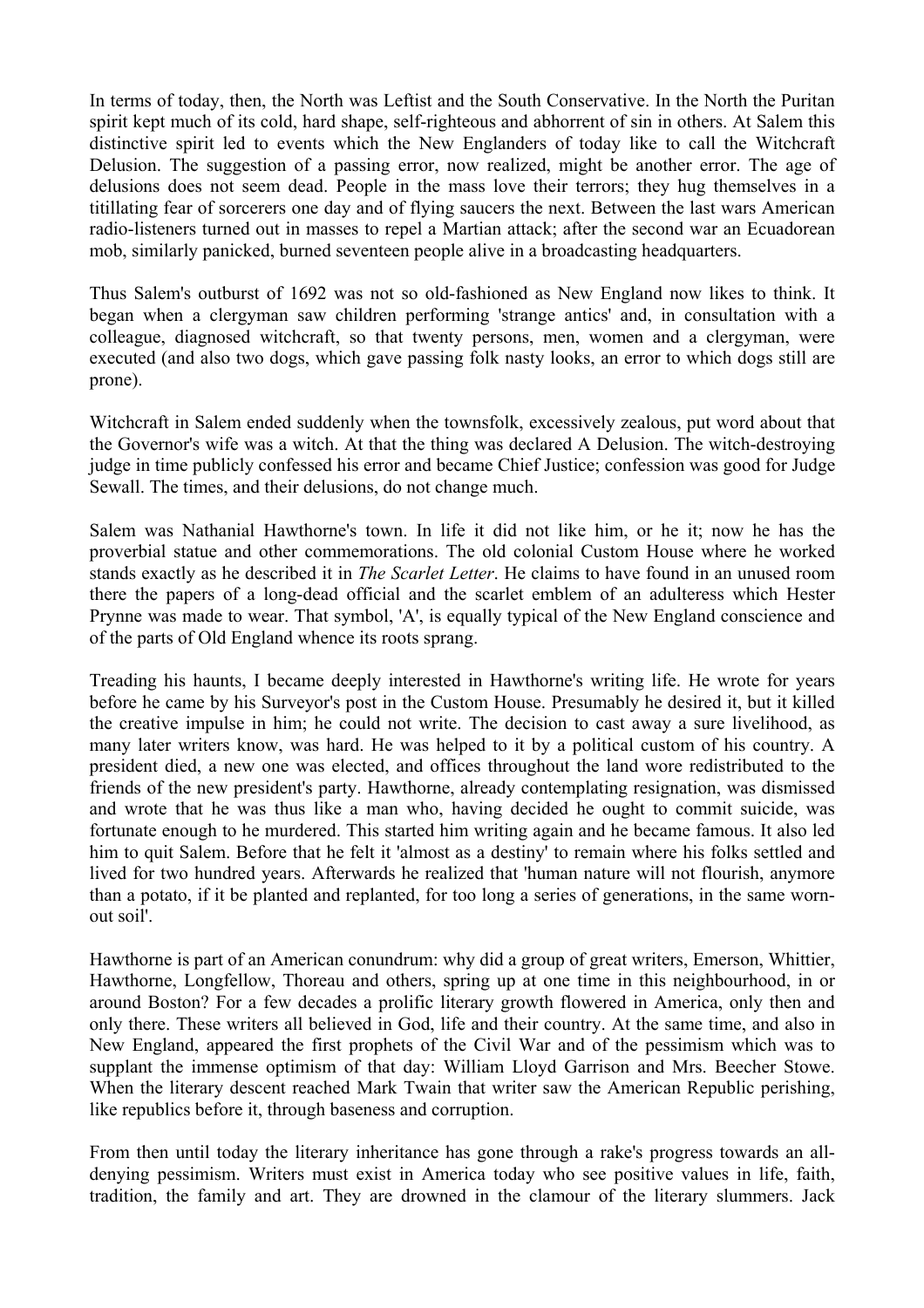In terms of today, then, the North was Leftist and the South Conservative. In the North the Puritan spirit kept much of its cold, hard shape, self-righteous and abhorrent of sin in others. At Salem this distinctive spirit led to events which the New Englanders of today like to call the Witchcraft Delusion. The suggestion of a passing error, now realized, might be another error. The age of delusions does not seem dead. People in the mass love their terrors; they hug themselves in a titillating fear of sorcerers one day and of flying saucers the next. Between the last wars American radio-listeners turned out in masses to repel a Martian attack; after the second war an Ecuadorean mob, similarly panicked, burned seventeen people alive in a broadcasting headquarters.

Thus Salem's outburst of 1692 was not so old-fashioned as New England now likes to think. It began when a clergyman saw children performing 'strange antics' and, in consultation with a colleague, diagnosed witchcraft, so that twenty persons, men, women and a clergyman, were executed (and also two dogs, which gave passing folk nasty looks, an error to which dogs still are prone).

Witchcraft in Salem ended suddenly when the townsfolk, excessively zealous, put word about that the Governor's wife was a witch. At that the thing was declared A Delusion. The witch-destroying judge in time publicly confessed his error and became Chief Justice; confession was good for Judge Sewall. The times, and their delusions, do not change much.

Salem was Nathanial Hawthorne's town. In life it did not like him, or he it; now he has the proverbial statue and other commemorations. The old colonial Custom House where he worked stands exactly as he described it in *The Scarlet Letter*. He claims to have found in an unused room there the papers of a long-dead official and the scarlet emblem of an adulteress which Hester Prynne was made to wear. That symbol, 'A', is equally typical of the New England conscience and of the parts of Old England whence its roots sprang.

Treading his haunts, I became deeply interested in Hawthorne's writing life. He wrote for years before he came by his Surveyor's post in the Custom House. Presumably he desired it, but it killed the creative impulse in him; he could not write. The decision to cast away a sure livelihood, as many later writers know, was hard. He was helped to it by a political custom of his country. A president died, a new one was elected, and offices throughout the land wore redistributed to the friends of the new president's party. Hawthorne, already contemplating resignation, was dismissed and wrote that he was thus like a man who, having decided he ought to commit suicide, was fortunate enough to he murdered. This started him writing again and he became famous. It also led him to quit Salem. Before that he felt it 'almost as a destiny' to remain where his folks settled and lived for two hundred years. Afterwards he realized that 'human nature will not flourish, anymore than a potato, if it be planted and replanted, for too long a series of generations, in the same wornout soil'.

Hawthorne is part of an American conundrum: why did a group of great writers, Emerson, Whittier, Hawthorne, Longfellow, Thoreau and others, spring up at one time in this neighbourhood, in or around Boston? For a few decades a prolific literary growth flowered in America, only then and only there. These writers all believed in God, life and their country. At the same time, and also in New England, appeared the first prophets of the Civil War and of the pessimism which was to supplant the immense optimism of that day: William Lloyd Garrison and Mrs. Beecher Stowe. When the literary descent reached Mark Twain that writer saw the American Republic perishing, like republics before it, through baseness and corruption.

From then until today the literary inheritance has gone through a rake's progress towards an alldenying pessimism. Writers must exist in America today who see positive values in life, faith, tradition, the family and art. They are drowned in the clamour of the literary slummers. Jack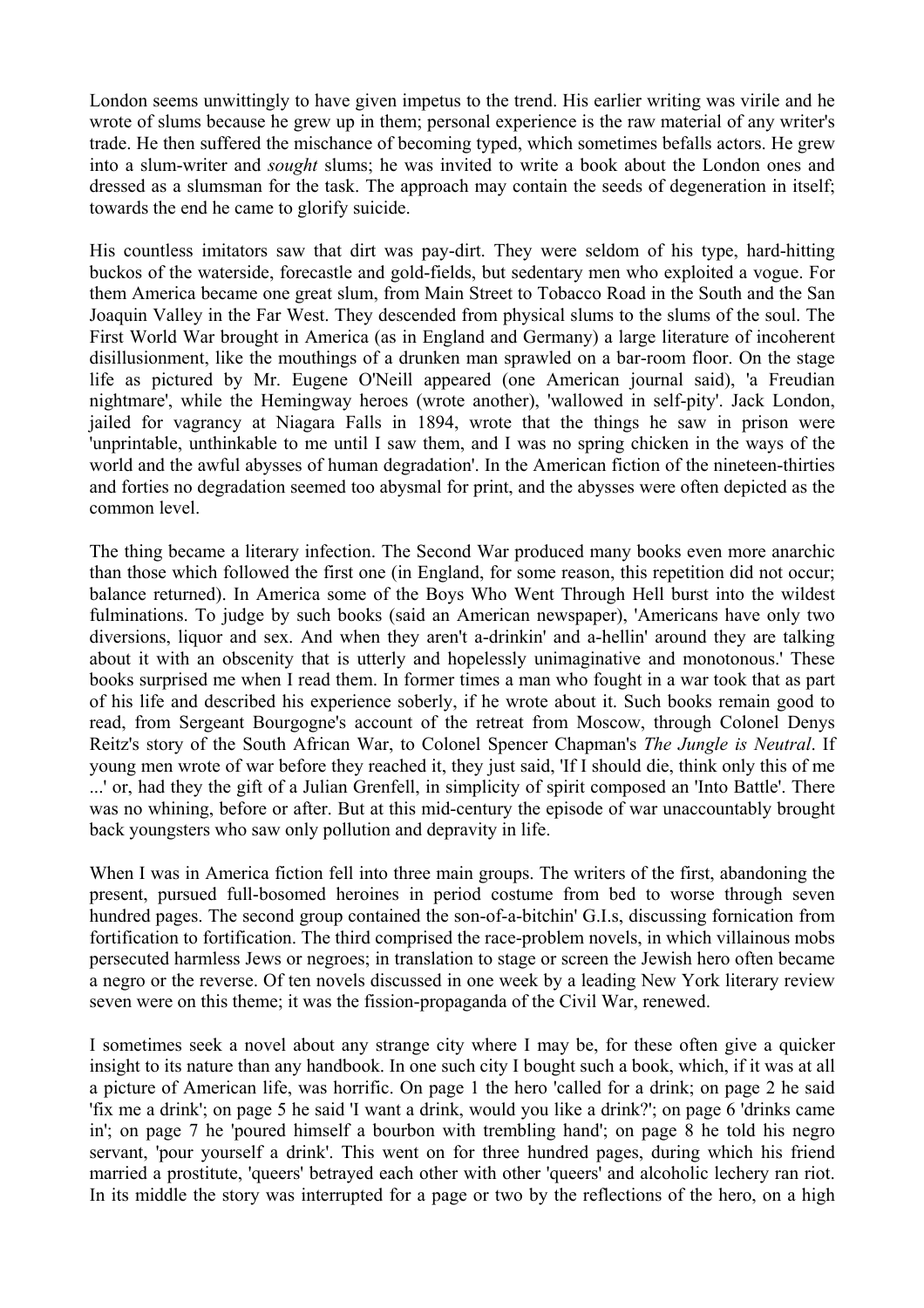London seems unwittingly to have given impetus to the trend. His earlier writing was virile and he wrote of slums because he grew up in them; personal experience is the raw material of any writer's trade. He then suffered the mischance of becoming typed, which sometimes befalls actors. He grew into a slum-writer and *sought* slums; he was invited to write a book about the London ones and dressed as a slumsman for the task. The approach may contain the seeds of degeneration in itself; towards the end he came to glorify suicide.

His countless imitators saw that dirt was pay-dirt. They were seldom of his type, hard-hitting buckos of the waterside, forecastle and gold-fields, but sedentary men who exploited a vogue. For them America became one great slum, from Main Street to Tobacco Road in the South and the San Joaquin Valley in the Far West. They descended from physical slums to the slums of the soul. The First World War brought in America (as in England and Germany) a large literature of incoherent disillusionment, like the mouthings of a drunken man sprawled on a bar-room floor. On the stage life as pictured by Mr. Eugene O'Neill appeared (one American journal said), 'a Freudian nightmare', while the Hemingway heroes (wrote another), 'wallowed in self-pity'. Jack London, jailed for vagrancy at Niagara Falls in 1894, wrote that the things he saw in prison were 'unprintable, unthinkable to me until I saw them, and I was no spring chicken in the ways of the world and the awful abysses of human degradation'. In the American fiction of the nineteen-thirties and forties no degradation seemed too abysmal for print, and the abysses were often depicted as the common level.

The thing became a literary infection. The Second War produced many books even more anarchic than those which followed the first one (in England, for some reason, this repetition did not occur; balance returned). In America some of the Boys Who Went Through Hell burst into the wildest fulminations. To judge by such books (said an American newspaper), 'Americans have only two diversions, liquor and sex. And when they aren't a-drinkin' and a-hellin' around they are talking about it with an obscenity that is utterly and hopelessly unimaginative and monotonous.' These books surprised me when I read them. In former times a man who fought in a war took that as part of his life and described his experience soberly, if he wrote about it. Such books remain good to read, from Sergeant Bourgogne's account of the retreat from Moscow, through Colonel Denys Reitz's story of the South African War, to Colonel Spencer Chapman's *The Jungle is Neutral*. If young men wrote of war before they reached it, they just said, 'If I should die, think only this of me ...' or, had they the gift of a Julian Grenfell, in simplicity of spirit composed an 'Into Battle'. There was no whining, before or after. But at this mid-century the episode of war unaccountably brought back youngsters who saw only pollution and depravity in life.

When I was in America fiction fell into three main groups. The writers of the first, abandoning the present, pursued full-bosomed heroines in period costume from bed to worse through seven hundred pages. The second group contained the son-of-a-bitchin' G.I.s, discussing fornication from fortification to fortification. The third comprised the race-problem novels, in which villainous mobs persecuted harmless Jews or negroes; in translation to stage or screen the Jewish hero often became a negro or the reverse. Of ten novels discussed in one week by a leading New York literary review seven were on this theme; it was the fission-propaganda of the Civil War, renewed.

I sometimes seek a novel about any strange city where I may be, for these often give a quicker insight to its nature than any handbook. In one such city I bought such a book, which, if it was at all a picture of American life, was horrific. On page 1 the hero 'called for a drink; on page 2 he said 'fix me a drink'; on page 5 he said 'I want a drink, would you like a drink?'; on page 6 'drinks came in'; on page 7 he 'poured himself a bourbon with trembling hand'; on page 8 he told his negro servant, 'pour yourself a drink'. This went on for three hundred pages, during which his friend married a prostitute, 'queers' betrayed each other with other 'queers' and alcoholic lechery ran riot. In its middle the story was interrupted for a page or two by the reflections of the hero, on a high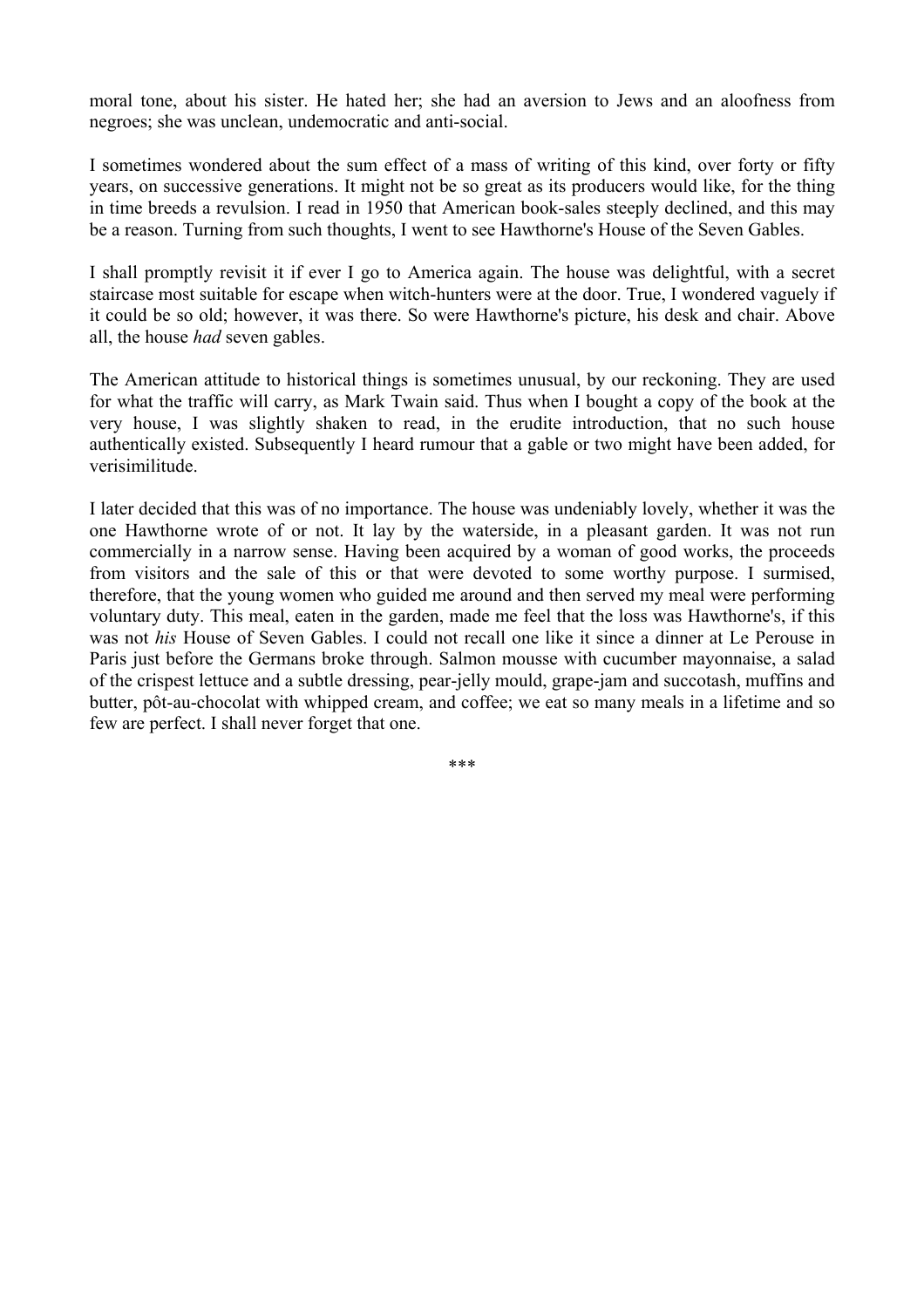moral tone, about his sister. He hated her; she had an aversion to Jews and an aloofness from negroes; she was unclean, undemocratic and anti-social.

I sometimes wondered about the sum effect of a mass of writing of this kind, over forty or fifty years, on successive generations. It might not be so great as its producers would like, for the thing in time breeds a revulsion. I read in 1950 that American book-sales steeply declined, and this may be a reason. Turning from such thoughts, I went to see Hawthorne's House of the Seven Gables.

I shall promptly revisit it if ever I go to America again. The house was delightful, with a secret staircase most suitable for escape when witch-hunters were at the door. True, I wondered vaguely if it could be so old; however, it was there. So were Hawthorne's picture, his desk and chair. Above all, the house *had* seven gables.

The American attitude to historical things is sometimes unusual, by our reckoning. They are used for what the traffic will carry, as Mark Twain said. Thus when I bought a copy of the book at the very house, I was slightly shaken to read, in the erudite introduction, that no such house authentically existed. Subsequently I heard rumour that a gable or two might have been added, for verisimilitude.

I later decided that this was of no importance. The house was undeniably lovely, whether it was the one Hawthorne wrote of or not. It lay by the waterside, in a pleasant garden. It was not run commercially in a narrow sense. Having been acquired by a woman of good works, the proceeds from visitors and the sale of this or that were devoted to some worthy purpose. I surmised, therefore, that the young women who guided me around and then served my meal were performing voluntary duty. This meal, eaten in the garden, made me feel that the loss was Hawthorne's, if this was not *his* House of Seven Gables. I could not recall one like it since a dinner at Le Perouse in Paris just before the Germans broke through. Salmon mousse with cucumber mayonnaise, a salad of the crispest lettuce and a subtle dressing, pear-jelly mould, grape-jam and succotash, muffins and butter, pôt-au-chocolat with whipped cream, and coffee; we eat so many meals in a lifetime and so few are perfect. I shall never forget that one.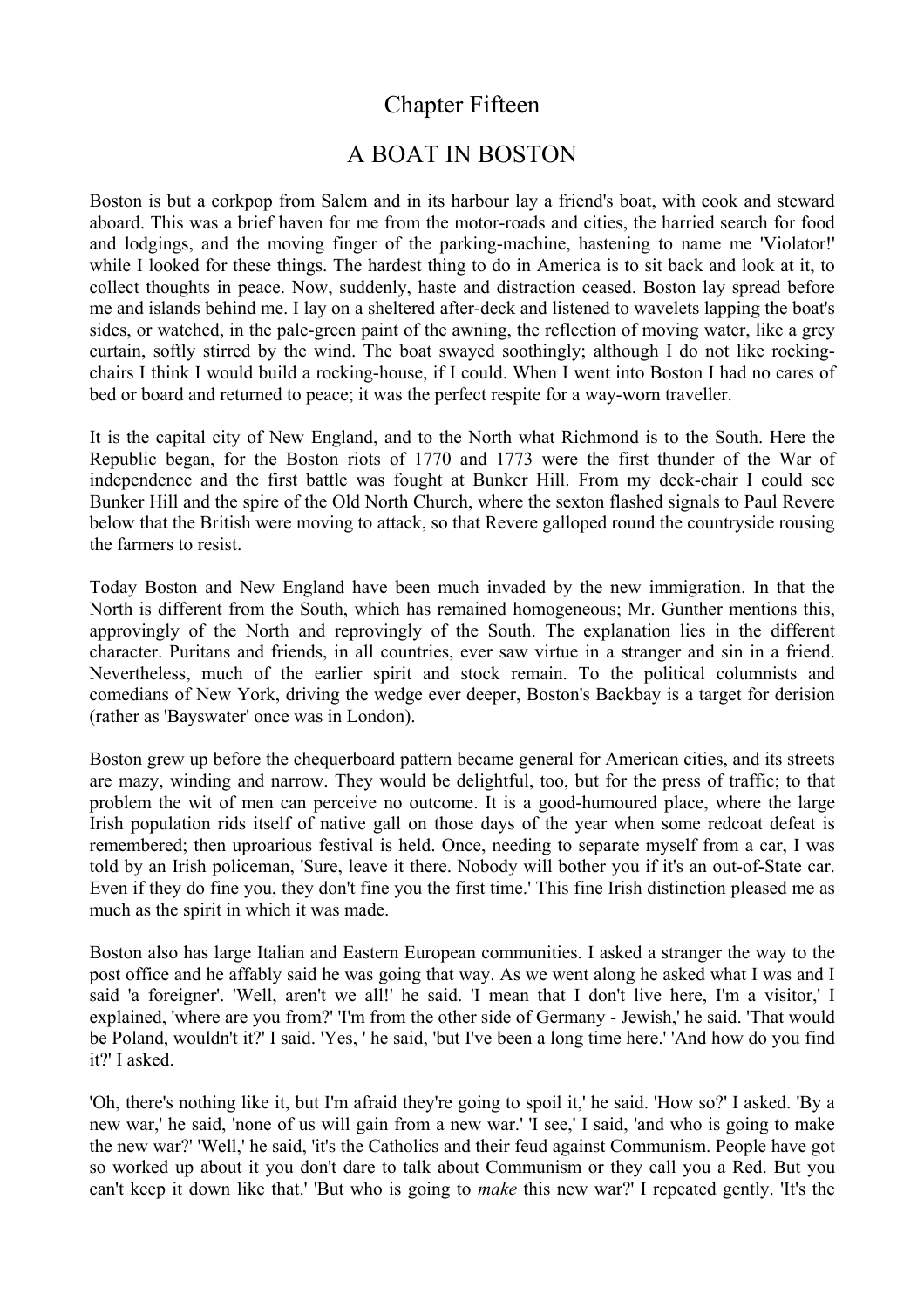## Chapter Fifteen

### A BOAT IN BOSTON

Boston is but a corkpop from Salem and in its harbour lay a friend's boat, with cook and steward aboard. This was a brief haven for me from the motor-roads and cities, the harried search for food and lodgings, and the moving finger of the parking-machine, hastening to name me 'Violator!' while I looked for these things. The hardest thing to do in America is to sit back and look at it, to collect thoughts in peace. Now, suddenly, haste and distraction ceased. Boston lay spread before me and islands behind me. I lay on a sheltered after-deck and listened to wavelets lapping the boat's sides, or watched, in the pale-green paint of the awning, the reflection of moving water, like a grey curtain, softly stirred by the wind. The boat swayed soothingly; although I do not like rockingchairs I think I would build a rocking-house, if I could. When I went into Boston I had no cares of bed or board and returned to peace; it was the perfect respite for a way-worn traveller.

It is the capital city of New England, and to the North what Richmond is to the South. Here the Republic began, for the Boston riots of 1770 and 1773 were the first thunder of the War of independence and the first battle was fought at Bunker Hill. From my deck-chair I could see Bunker Hill and the spire of the Old North Church, where the sexton flashed signals to Paul Revere below that the British were moving to attack, so that Revere galloped round the countryside rousing the farmers to resist.

Today Boston and New England have been much invaded by the new immigration. In that the North is different from the South, which has remained homogeneous; Mr. Gunther mentions this, approvingly of the North and reprovingly of the South. The explanation lies in the different character. Puritans and friends, in all countries, ever saw virtue in a stranger and sin in a friend. Nevertheless, much of the earlier spirit and stock remain. To the political columnists and comedians of New York, driving the wedge ever deeper, Boston's Backbay is a target for derision (rather as 'Bayswater' once was in London).

Boston grew up before the chequerboard pattern became general for American cities, and its streets are mazy, winding and narrow. They would be delightful, too, but for the press of traffic; to that problem the wit of men can perceive no outcome. It is a good-humoured place, where the large Irish population rids itself of native gall on those days of the year when some redcoat defeat is remembered; then uproarious festival is held. Once, needing to separate myself from a car, I was told by an Irish policeman, 'Sure, leave it there. Nobody will bother you if it's an out-of-State car. Even if they do fine you, they don't fine you the first time.' This fine Irish distinction pleased me as much as the spirit in which it was made.

Boston also has large Italian and Eastern European communities. I asked a stranger the way to the post office and he affably said he was going that way. As we went along he asked what I was and I said 'a foreigner'. 'Well, aren't we all!' he said. 'I mean that I don't live here, I'm a visitor,' I explained, 'where are you from?' 'I'm from the other side of Germany - Jewish,' he said. 'That would be Poland, wouldn't it?' I said. 'Yes, ' he said, 'but I've been a long time here.' 'And how do you find it?' I asked.

'Oh, there's nothing like it, but I'm afraid they're going to spoil it,' he said. 'How so?' I asked. 'By a new war,' he said, 'none of us will gain from a new war.' 'I see,' I said, 'and who is going to make the new war?' 'Well,' he said, 'it's the Catholics and their feud against Communism. People have got so worked up about it you don't dare to talk about Communism or they call you a Red. But you can't keep it down like that.' 'But who is going to *make* this new war?' I repeated gently. 'It's the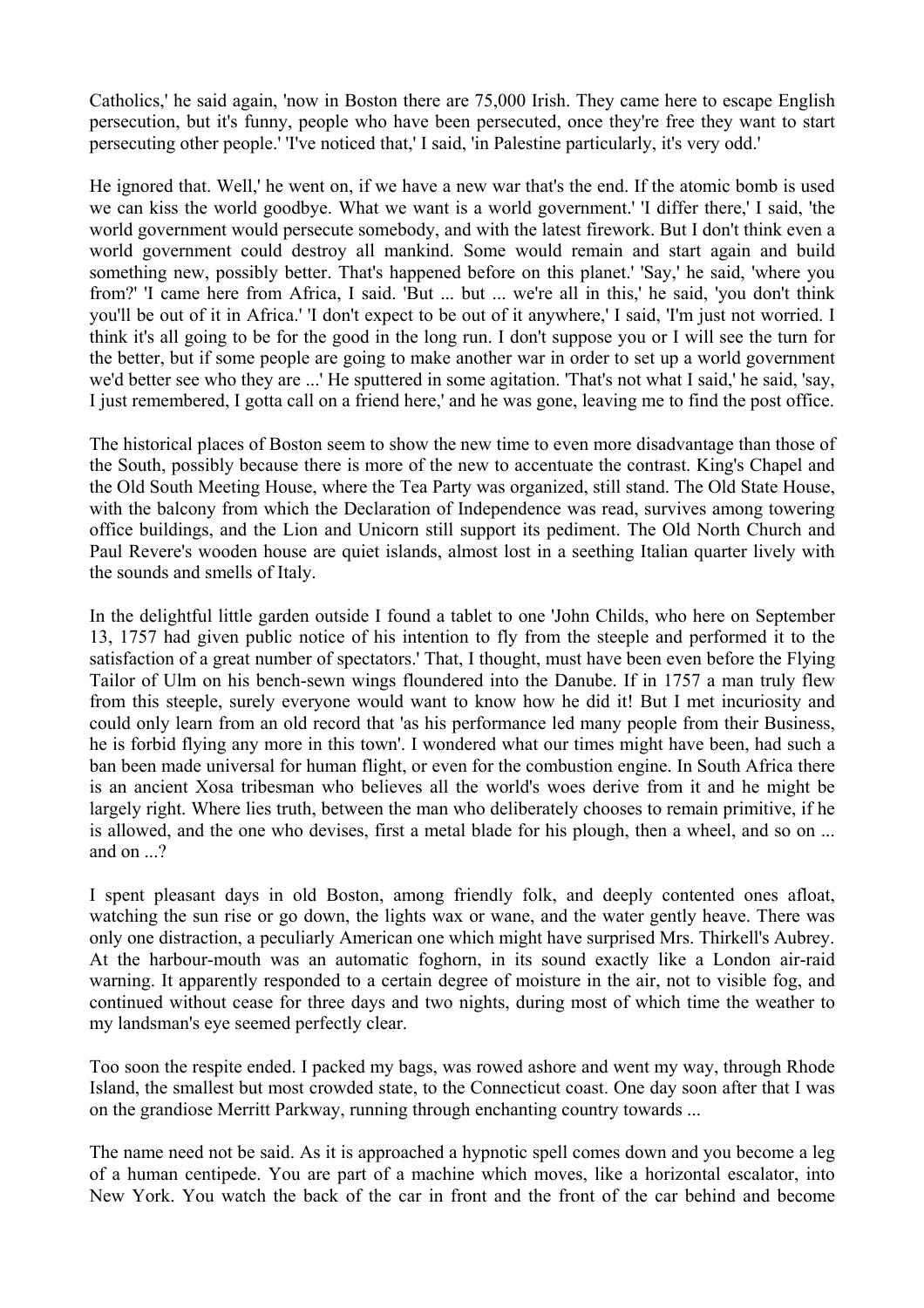Catholics,' he said again, 'now in Boston there are 75,000 Irish. They came here to escape English persecution, but it's funny, people who have been persecuted, once they're free they want to start persecuting other people.' 'I've noticed that,' I said, 'in Palestine particularly, it's very odd.'

He ignored that. Well,' he went on, if we have a new war that's the end. If the atomic bomb is used we can kiss the world goodbye. What we want is a world government.' 'I differ there,' I said, 'the world government would persecute somebody, and with the latest firework. But I don't think even a world government could destroy all mankind. Some would remain and start again and build something new, possibly better. That's happened before on this planet.' 'Say,' he said, 'where you from?' 'I came here from Africa, I said. 'But ... but ... we're all in this,' he said, 'you don't think you'll be out of it in Africa.' 'I don't expect to be out of it anywhere,' I said, 'I'm just not worried. I think it's all going to be for the good in the long run. I don't suppose you or I will see the turn for the better, but if some people are going to make another war in order to set up a world government we'd better see who they are ...' He sputtered in some agitation. 'That's not what I said,' he said, 'say, I just remembered, I gotta call on a friend here,' and he was gone, leaving me to find the post office.

The historical places of Boston seem to show the new time to even more disadvantage than those of the South, possibly because there is more of the new to accentuate the contrast. King's Chapel and the Old South Meeting House, where the Tea Party was organized, still stand. The Old State House, with the balcony from which the Declaration of Independence was read, survives among towering office buildings, and the Lion and Unicorn still support its pediment. The Old North Church and Paul Revere's wooden house are quiet islands, almost lost in a seething Italian quarter lively with the sounds and smells of Italy.

In the delightful little garden outside I found a tablet to one 'John Childs, who here on September 13, 1757 had given public notice of his intention to fly from the steeple and performed it to the satisfaction of a great number of spectators.' That, I thought, must have been even before the Flying Tailor of Ulm on his bench-sewn wings floundered into the Danube. If in 1757 a man truly flew from this steeple, surely everyone would want to know how he did it! But I met incuriosity and could only learn from an old record that 'as his performance led many people from their Business, he is forbid flying any more in this town'. I wondered what our times might have been, had such a ban been made universal for human flight, or even for the combustion engine. In South Africa there is an ancient Xosa tribesman who believes all the world's woes derive from it and he might be largely right. Where lies truth, between the man who deliberately chooses to remain primitive, if he is allowed, and the one who devises, first a metal blade for his plough, then a wheel, and so on ... and on ...?

I spent pleasant days in old Boston, among friendly folk, and deeply contented ones afloat, watching the sun rise or go down, the lights wax or wane, and the water gently heave. There was only one distraction, a peculiarly American one which might have surprised Mrs. Thirkell's Aubrey. At the harbour-mouth was an automatic foghorn, in its sound exactly like a London air-raid warning. It apparently responded to a certain degree of moisture in the air, not to visible fog, and continued without cease for three days and two nights, during most of which time the weather to my landsman's eye seemed perfectly clear.

Too soon the respite ended. I packed my bags, was rowed ashore and went my way, through Rhode Island, the smallest but most crowded state, to the Connecticut coast. One day soon after that I was on the grandiose Merritt Parkway, running through enchanting country towards ...

The name need not be said. As it is approached a hypnotic spell comes down and you become a leg of a human centipede. You are part of a machine which moves, like a horizontal escalator, into New York. You watch the back of the car in front and the front of the car behind and become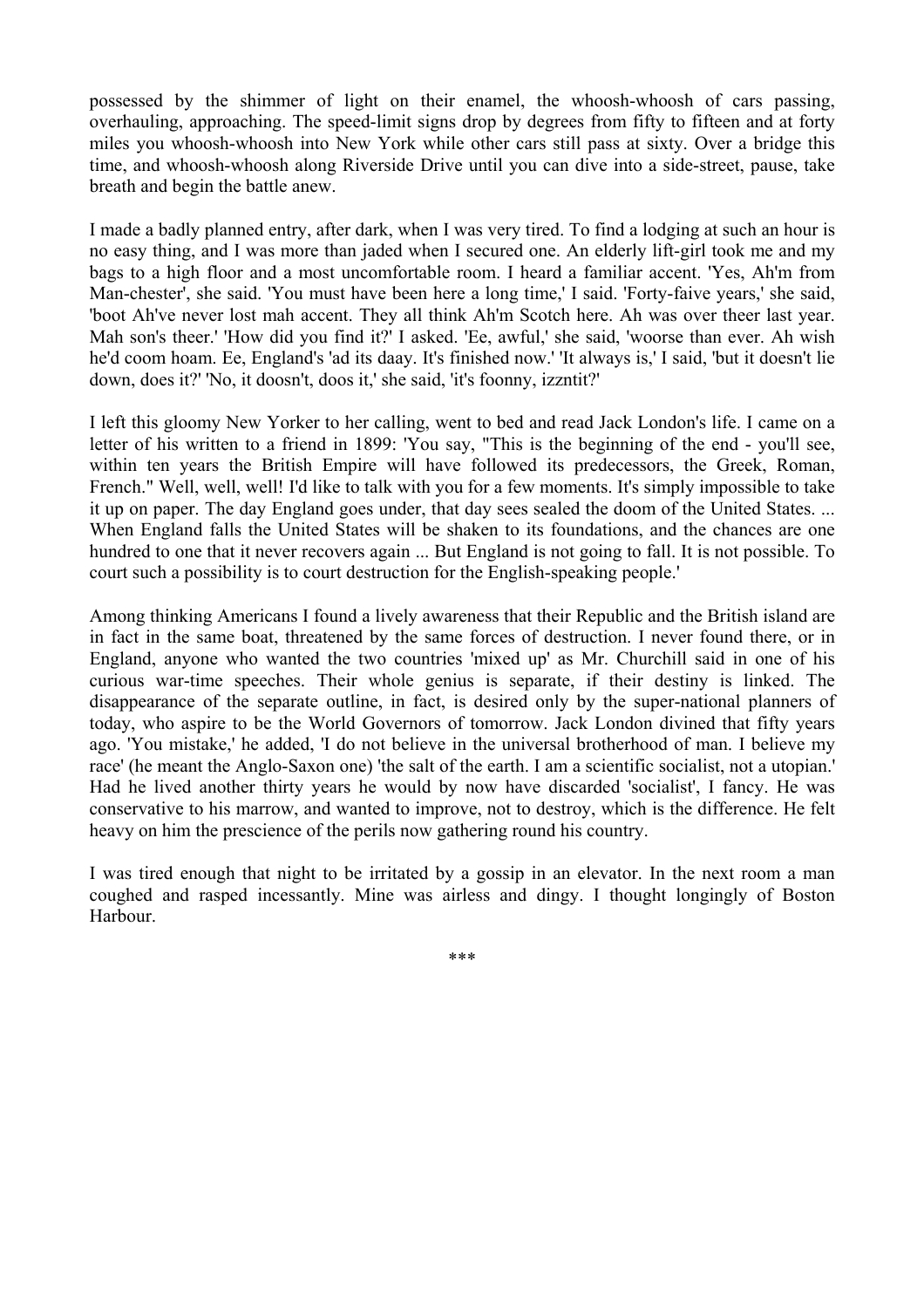possessed by the shimmer of light on their enamel, the whoosh-whoosh of cars passing, overhauling, approaching. The speed-limit signs drop by degrees from fifty to fifteen and at forty miles you whoosh-whoosh into New York while other cars still pass at sixty. Over a bridge this time, and whoosh-whoosh along Riverside Drive until you can dive into a side-street, pause, take breath and begin the battle anew.

I made a badly planned entry, after dark, when I was very tired. To find a lodging at such an hour is no easy thing, and I was more than jaded when I secured one. An elderly lift-girl took me and my bags to a high floor and a most uncomfortable room. I heard a familiar accent. 'Yes, Ah'm from Man-chester', she said. 'You must have been here a long time,' I said. 'Forty-faive years,' she said, 'boot Ah've never lost mah accent. They all think Ah'm Scotch here. Ah was over theer last year. Mah son's theer.' 'How did you find it?' I asked. 'Ee, awful,' she said, 'woorse than ever. Ah wish he'd coom hoam. Ee, England's 'ad its daay. It's finished now.' 'It always is,' I said, 'but it doesn't lie down, does it?' 'No, it doosn't, doos it,' she said, 'it's foonny, izzntit?'

I left this gloomy New Yorker to her calling, went to bed and read Jack London's life. I came on a letter of his written to a friend in 1899: 'You say, "This is the beginning of the end - you'll see, within ten years the British Empire will have followed its predecessors, the Greek, Roman, French." Well, well, well! I'd like to talk with you for a few moments. It's simply impossible to take it up on paper. The day England goes under, that day sees sealed the doom of the United States. ... When England falls the United States will be shaken to its foundations, and the chances are one hundred to one that it never recovers again ... But England is not going to fall. It is not possible. To court such a possibility is to court destruction for the English-speaking people.'

Among thinking Americans I found a lively awareness that their Republic and the British island are in fact in the same boat, threatened by the same forces of destruction. I never found there, or in England, anyone who wanted the two countries 'mixed up' as Mr. Churchill said in one of his curious war-time speeches. Their whole genius is separate, if their destiny is linked. The disappearance of the separate outline, in fact, is desired only by the super-national planners of today, who aspire to be the World Governors of tomorrow. Jack London divined that fifty years ago. 'You mistake,' he added, 'I do not believe in the universal brotherhood of man. I believe my race' (he meant the Anglo-Saxon one) 'the salt of the earth. I am a scientific socialist, not a utopian.' Had he lived another thirty years he would by now have discarded 'socialist', I fancy. He was conservative to his marrow, and wanted to improve, not to destroy, which is the difference. He felt heavy on him the prescience of the perils now gathering round his country.

I was tired enough that night to be irritated by a gossip in an elevator. In the next room a man coughed and rasped incessantly. Mine was airless and dingy. I thought longingly of Boston Harbour.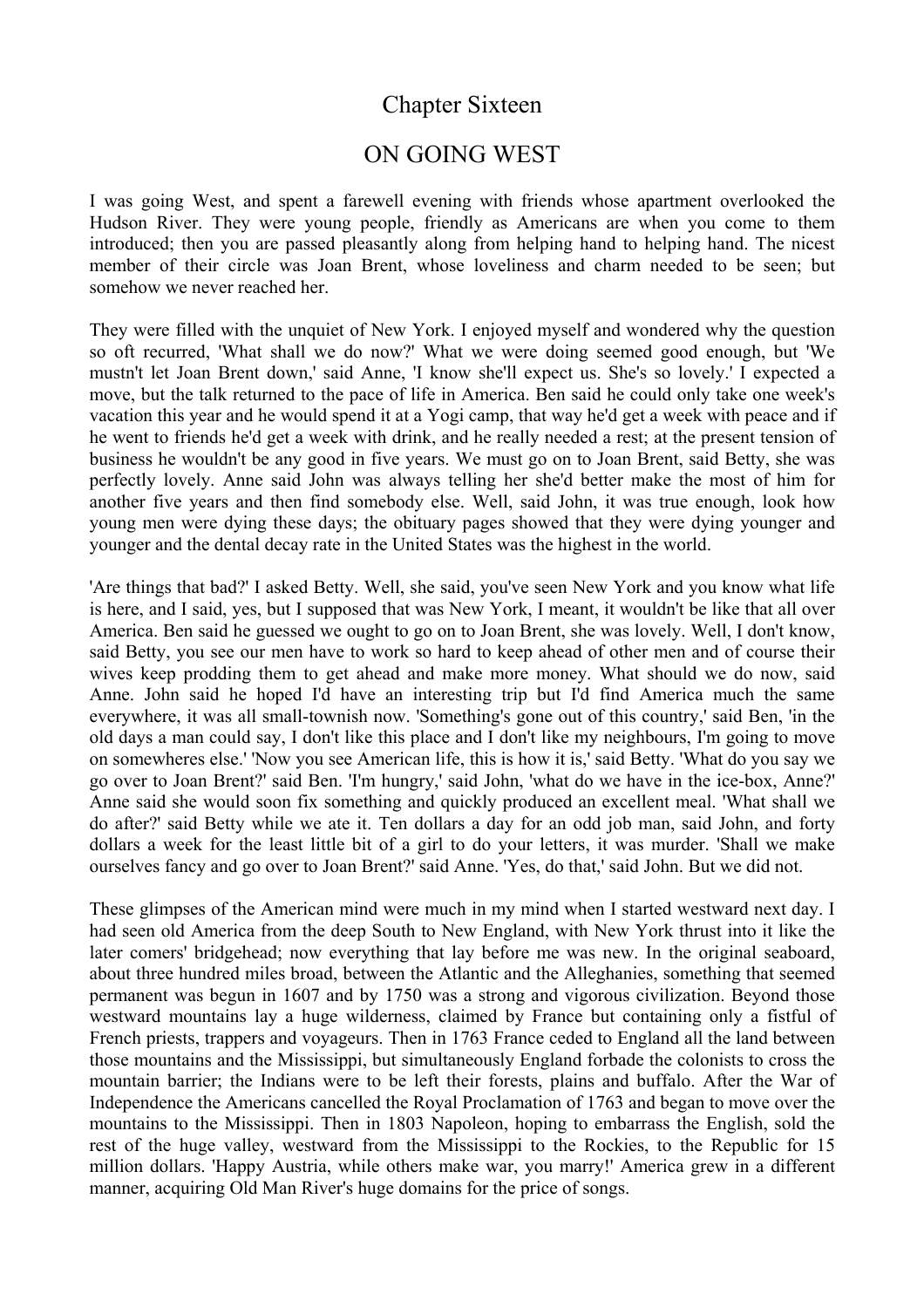### Chapter Sixteen

### ON GOING WEST

I was going West, and spent a farewell evening with friends whose apartment overlooked the Hudson River. They were young people, friendly as Americans are when you come to them introduced; then you are passed pleasantly along from helping hand to helping hand. The nicest member of their circle was Joan Brent, whose loveliness and charm needed to be seen; but somehow we never reached her.

They were filled with the unquiet of New York. I enjoyed myself and wondered why the question so oft recurred, 'What shall we do now?' What we were doing seemed good enough, but 'We mustn't let Joan Brent down,' said Anne, 'I know she'll expect us. She's so lovely.' I expected a move, but the talk returned to the pace of life in America. Ben said he could only take one week's vacation this year and he would spend it at a Yogi camp, that way he'd get a week with peace and if he went to friends he'd get a week with drink, and he really needed a rest; at the present tension of business he wouldn't be any good in five years. We must go on to Joan Brent, said Betty, she was perfectly lovely. Anne said John was always telling her she'd better make the most of him for another five years and then find somebody else. Well, said John, it was true enough, look how young men were dying these days; the obituary pages showed that they were dying younger and younger and the dental decay rate in the United States was the highest in the world.

'Are things that bad?' I asked Betty. Well, she said, you've seen New York and you know what life is here, and I said, yes, but I supposed that was New York, I meant, it wouldn't be like that all over America. Ben said he guessed we ought to go on to Joan Brent, she was lovely. Well, I don't know, said Betty, you see our men have to work so hard to keep ahead of other men and of course their wives keep prodding them to get ahead and make more money. What should we do now, said Anne. John said he hoped I'd have an interesting trip but I'd find America much the same everywhere, it was all small-townish now. 'Something's gone out of this country,' said Ben, 'in the old days a man could say, I don't like this place and I don't like my neighbours, I'm going to move on somewheres else.' 'Now you see American life, this is how it is,' said Betty. 'What do you say we go over to Joan Brent?' said Ben. 'I'm hungry,' said John, 'what do we have in the ice-box, Anne?' Anne said she would soon fix something and quickly produced an excellent meal. 'What shall we do after?' said Betty while we ate it. Ten dollars a day for an odd job man, said John, and forty dollars a week for the least little bit of a girl to do your letters, it was murder. 'Shall we make ourselves fancy and go over to Joan Brent?' said Anne. 'Yes, do that,' said John. But we did not.

These glimpses of the American mind were much in my mind when I started westward next day. I had seen old America from the deep South to New England, with New York thrust into it like the later comers' bridgehead; now everything that lay before me was new. In the original seaboard, about three hundred miles broad, between the Atlantic and the Alleghanies, something that seemed permanent was begun in 1607 and by 1750 was a strong and vigorous civilization. Beyond those westward mountains lay a huge wilderness, claimed by France but containing only a fistful of French priests, trappers and voyageurs. Then in 1763 France ceded to England all the land between those mountains and the Mississippi, but simultaneously England forbade the colonists to cross the mountain barrier; the Indians were to be left their forests, plains and buffalo. After the War of Independence the Americans cancelled the Royal Proclamation of 1763 and began to move over the mountains to the Mississippi. Then in 1803 Napoleon, hoping to embarrass the English, sold the rest of the huge valley, westward from the Mississippi to the Rockies, to the Republic for 15 million dollars. 'Happy Austria, while others make war, you marry!' America grew in a different manner, acquiring Old Man River's huge domains for the price of songs.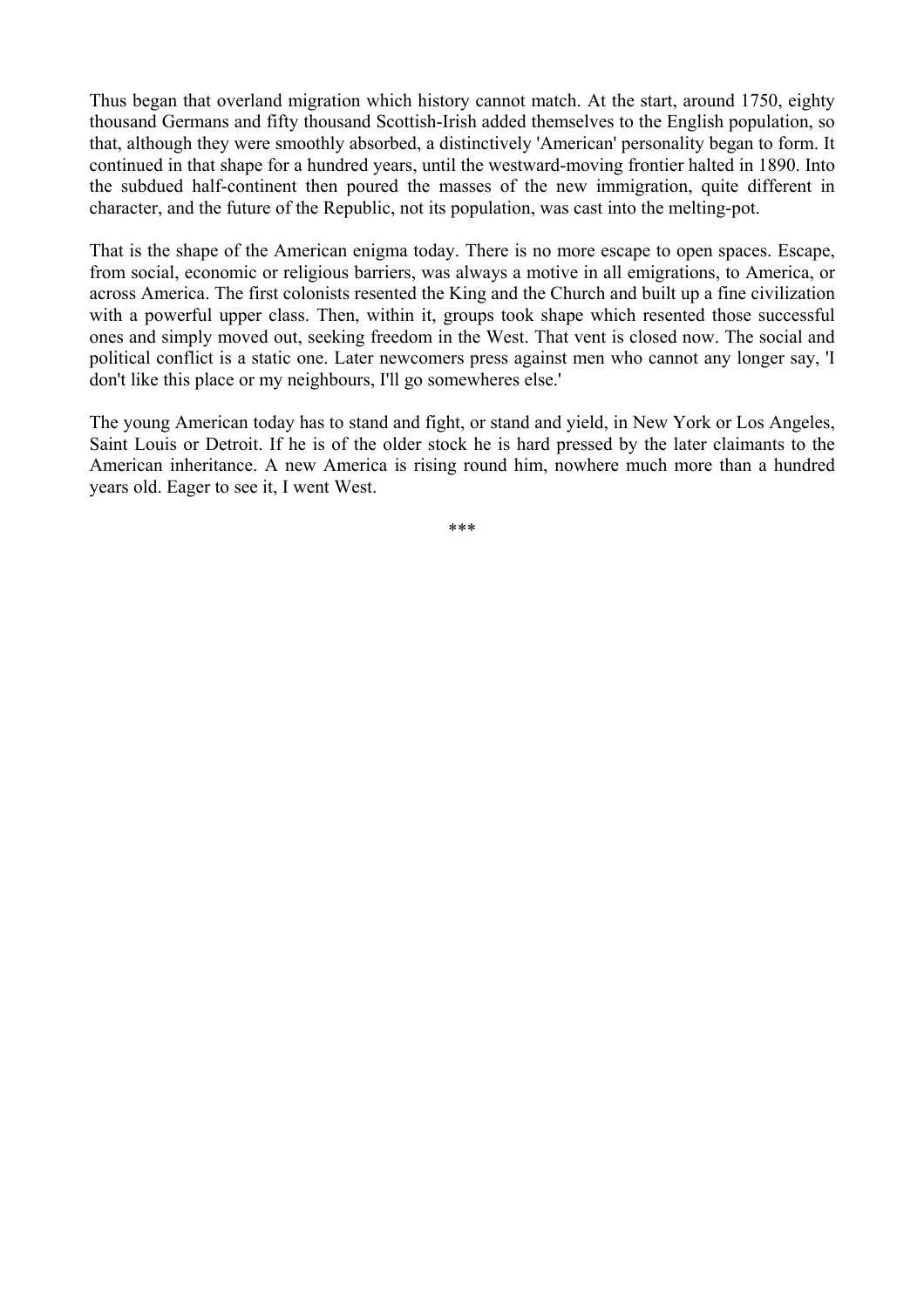Thus began that overland migration which history cannot match. At the start, around 1750, eighty thousand Germans and fifty thousand Scottish-Irish added themselves to the English population, so that, although they were smoothly absorbed, a distinctively 'American' personality began to form. It continued in that shape for a hundred years, until the westward-moving frontier halted in 1890. Into the subdued half-continent then poured the masses of the new immigration, quite different in character, and the future of the Republic, not its population, was cast into the melting-pot.

That is the shape of the American enigma today. There is no more escape to open spaces. Escape, from social, economic or religious barriers, was always a motive in all emigrations, to America, or across America. The first colonists resented the King and the Church and built up a fine civilization with a powerful upper class. Then, within it, groups took shape which resented those successful ones and simply moved out, seeking freedom in the West. That vent is closed now. The social and political conflict is a static one. Later newcomers press against men who cannot any longer say, 'I don't like this place or my neighbours, I'll go somewheres else.'

The young American today has to stand and fight, or stand and yield, in New York or Los Angeles, Saint Louis or Detroit. If he is of the older stock he is hard pressed by the later claimants to the American inheritance. A new America is rising round him, nowhere much more than a hundred years old. Eager to see it, I went West.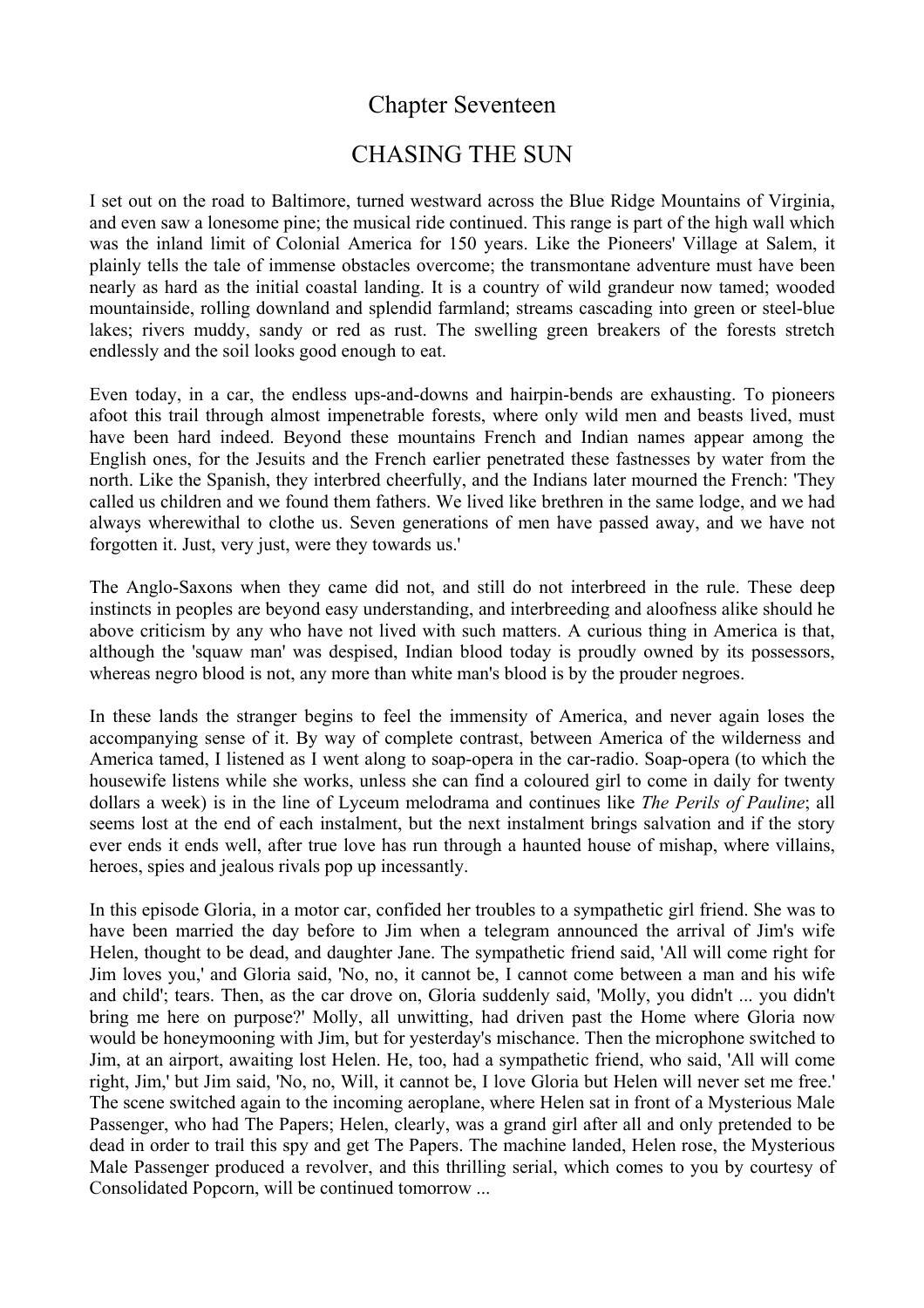## Chapter Seventeen

## CHASING THE SUN

I set out on the road to Baltimore, turned westward across the Blue Ridge Mountains of Virginia, and even saw a lonesome pine; the musical ride continued. This range is part of the high wall which was the inland limit of Colonial America for 150 years. Like the Pioneers' Village at Salem, it plainly tells the tale of immense obstacles overcome; the transmontane adventure must have been nearly as hard as the initial coastal landing. It is a country of wild grandeur now tamed; wooded mountainside, rolling downland and splendid farmland; streams cascading into green or steel-blue lakes; rivers muddy, sandy or red as rust. The swelling green breakers of the forests stretch endlessly and the soil looks good enough to eat.

Even today, in a car, the endless ups-and-downs and hairpin-bends are exhausting. To pioneers afoot this trail through almost impenetrable forests, where only wild men and beasts lived, must have been hard indeed. Beyond these mountains French and Indian names appear among the English ones, for the Jesuits and the French earlier penetrated these fastnesses by water from the north. Like the Spanish, they interbred cheerfully, and the Indians later mourned the French: 'They called us children and we found them fathers. We lived like brethren in the same lodge, and we had always wherewithal to clothe us. Seven generations of men have passed away, and we have not forgotten it. Just, very just, were they towards us.'

The Anglo-Saxons when they came did not, and still do not interbreed in the rule. These deep instincts in peoples are beyond easy understanding, and interbreeding and aloofness alike should he above criticism by any who have not lived with such matters. A curious thing in America is that, although the 'squaw man' was despised, Indian blood today is proudly owned by its possessors, whereas negro blood is not, any more than white man's blood is by the prouder negroes.

In these lands the stranger begins to feel the immensity of America, and never again loses the accompanying sense of it. By way of complete contrast, between America of the wilderness and America tamed, I listened as I went along to soap-opera in the car-radio. Soap-opera (to which the housewife listens while she works, unless she can find a coloured girl to come in daily for twenty dollars a week) is in the line of Lyceum melodrama and continues like *The Perils of Pauline*; all seems lost at the end of each instalment, but the next instalment brings salvation and if the story ever ends it ends well, after true love has run through a haunted house of mishap, where villains, heroes, spies and jealous rivals pop up incessantly.

In this episode Gloria, in a motor car, confided her troubles to a sympathetic girl friend. She was to have been married the day before to Jim when a telegram announced the arrival of Jim's wife Helen, thought to be dead, and daughter Jane. The sympathetic friend said, 'All will come right for Jim loves you,' and Gloria said, 'No, no, it cannot be, I cannot come between a man and his wife and child'; tears. Then, as the car drove on, Gloria suddenly said, 'Molly, you didn't ... you didn't bring me here on purpose?' Molly, all unwitting, had driven past the Home where Gloria now would be honeymooning with Jim, but for yesterday's mischance. Then the microphone switched to Jim, at an airport, awaiting lost Helen. He, too, had a sympathetic friend, who said, 'All will come right, Jim,' but Jim said, 'No, no, Will, it cannot be, I love Gloria but Helen will never set me free.' The scene switched again to the incoming aeroplane, where Helen sat in front of a Mysterious Male Passenger, who had The Papers; Helen, clearly, was a grand girl after all and only pretended to be dead in order to trail this spy and get The Papers. The machine landed, Helen rose, the Mysterious Male Passenger produced a revolver, and this thrilling serial, which comes to you by courtesy of Consolidated Popcorn, will be continued tomorrow ...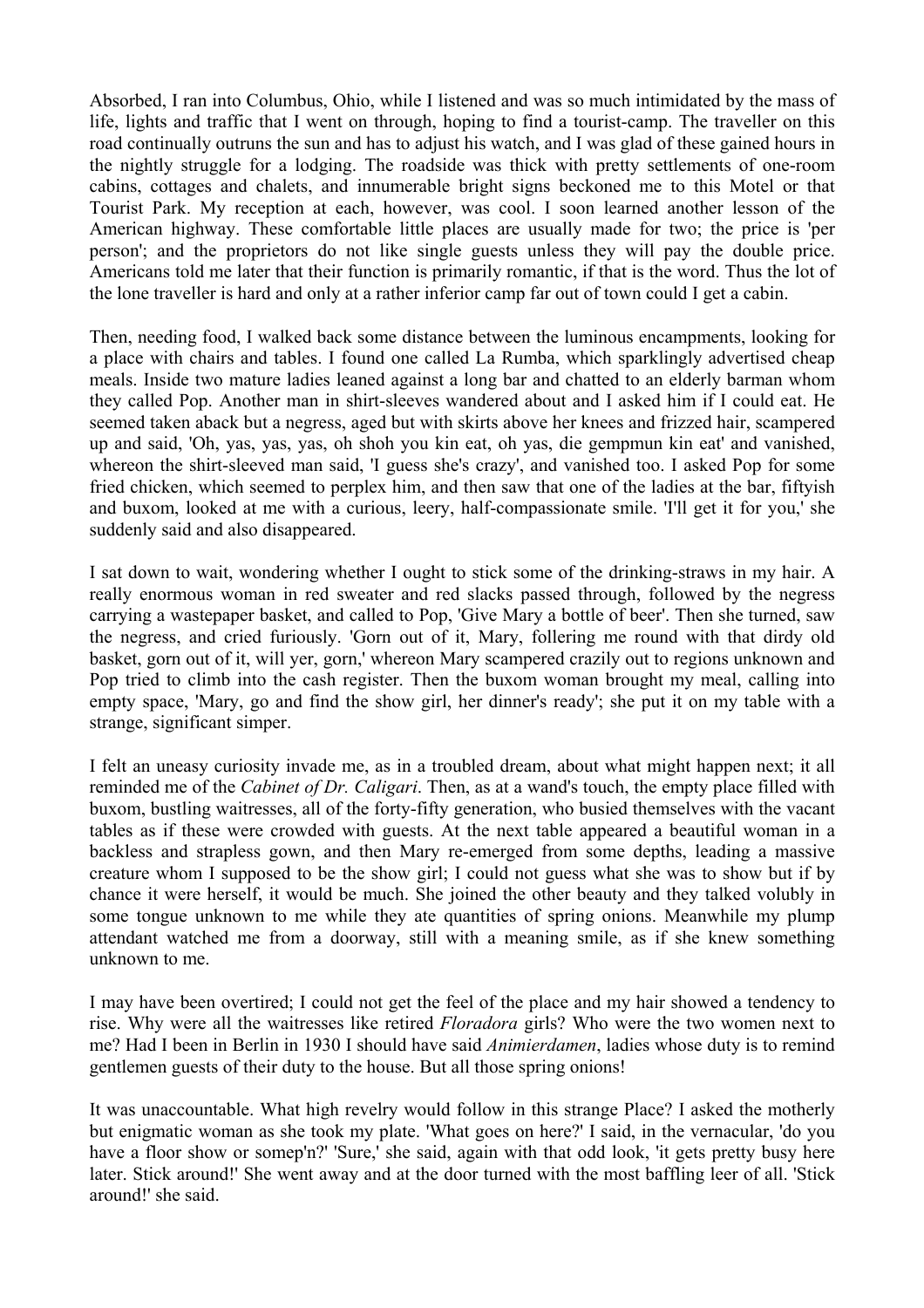Absorbed, I ran into Columbus, Ohio, while I listened and was so much intimidated by the mass of life, lights and traffic that I went on through, hoping to find a tourist-camp. The traveller on this road continually outruns the sun and has to adjust his watch, and I was glad of these gained hours in the nightly struggle for a lodging. The roadside was thick with pretty settlements of one-room cabins, cottages and chalets, and innumerable bright signs beckoned me to this Motel or that Tourist Park. My reception at each, however, was cool. I soon learned another lesson of the American highway. These comfortable little places are usually made for two; the price is 'per person'; and the proprietors do not like single guests unless they will pay the double price. Americans told me later that their function is primarily romantic, if that is the word. Thus the lot of the lone traveller is hard and only at a rather inferior camp far out of town could I get a cabin.

Then, needing food, I walked back some distance between the luminous encampments, looking for a place with chairs and tables. I found one called La Rumba, which sparklingly advertised cheap meals. Inside two mature ladies leaned against a long bar and chatted to an elderly barman whom they called Pop. Another man in shirt-sleeves wandered about and I asked him if I could eat. He seemed taken aback but a negress, aged but with skirts above her knees and frizzed hair, scampered up and said, 'Oh, yas, yas, yas, oh shoh you kin eat, oh yas, die gempmun kin eat' and vanished, whereon the shirt-sleeved man said, 'I guess she's crazy', and vanished too. I asked Pop for some fried chicken, which seemed to perplex him, and then saw that one of the ladies at the bar, fiftyish and buxom, looked at me with a curious, leery, half-compassionate smile. 'I'll get it for you,' she suddenly said and also disappeared.

I sat down to wait, wondering whether I ought to stick some of the drinking-straws in my hair. A really enormous woman in red sweater and red slacks passed through, followed by the negress carrying a wastepaper basket, and called to Pop, 'Give Mary a bottle of beer'. Then she turned, saw the negress, and cried furiously. 'Gorn out of it, Mary, follering me round with that dirdy old basket, gorn out of it, will yer, gorn,' whereon Mary scampered crazily out to regions unknown and Pop tried to climb into the cash register. Then the buxom woman brought my meal, calling into empty space, 'Mary, go and find the show girl, her dinner's ready'; she put it on my table with a strange, significant simper.

I felt an uneasy curiosity invade me, as in a troubled dream, about what might happen next; it all reminded me of the *Cabinet of Dr. Caligari*. Then, as at a wand's touch, the empty place filled with buxom, bustling waitresses, all of the forty-fifty generation, who busied themselves with the vacant tables as if these were crowded with guests. At the next table appeared a beautiful woman in a backless and strapless gown, and then Mary re-emerged from some depths, leading a massive creature whom I supposed to be the show girl; I could not guess what she was to show but if by chance it were herself, it would be much. She joined the other beauty and they talked volubly in some tongue unknown to me while they ate quantities of spring onions. Meanwhile my plump attendant watched me from a doorway, still with a meaning smile, as if she knew something unknown to me.

I may have been overtired; I could not get the feel of the place and my hair showed a tendency to rise. Why were all the waitresses like retired *Floradora* girls? Who were the two women next to me? Had I been in Berlin in 1930 I should have said *Animierdamen*, ladies whose duty is to remind gentlemen guests of their duty to the house. But all those spring onions!

It was unaccountable. What high revelry would follow in this strange Place? I asked the motherly but enigmatic woman as she took my plate. 'What goes on here?' I said, in the vernacular, 'do you have a floor show or somep'n?' 'Sure,' she said, again with that odd look, 'it gets pretty busy here later. Stick around!' She went away and at the door turned with the most baffling leer of all. 'Stick around!' she said.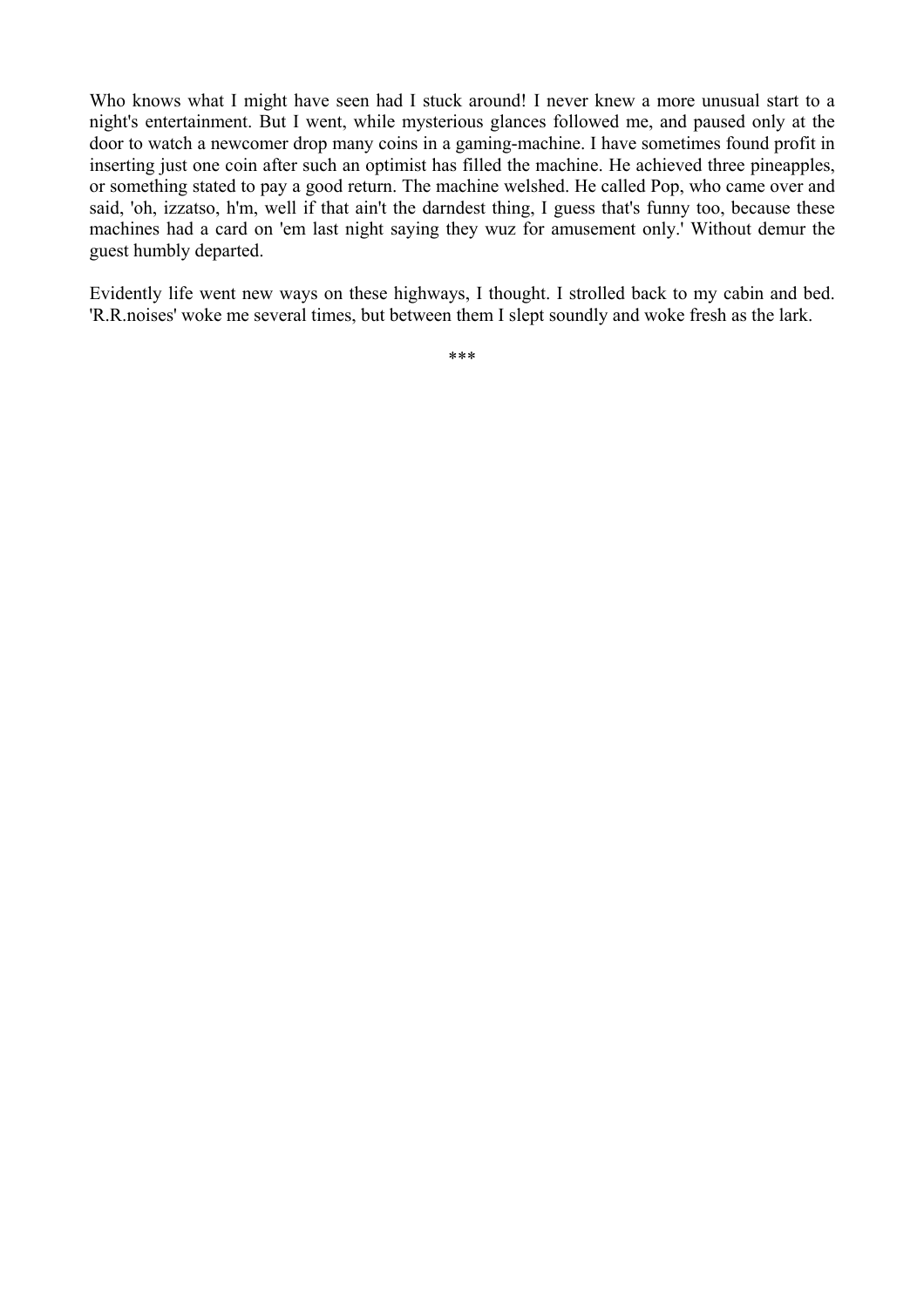Who knows what I might have seen had I stuck around! I never knew a more unusual start to a night's entertainment. But I went, while mysterious glances followed me, and paused only at the door to watch a newcomer drop many coins in a gaming-machine. I have sometimes found profit in inserting just one coin after such an optimist has filled the machine. He achieved three pineapples, or something stated to pay a good return. The machine welshed. He called Pop, who came over and said, 'oh, izzatso, h'm, well if that ain't the darndest thing, I guess that's funny too, because these machines had a card on 'em last night saying they wuz for amusement only.' Without demur the guest humbly departed.

Evidently life went new ways on these highways, I thought. I strolled back to my cabin and bed. 'R.R.noises' woke me several times, but between them I slept soundly and woke fresh as the lark.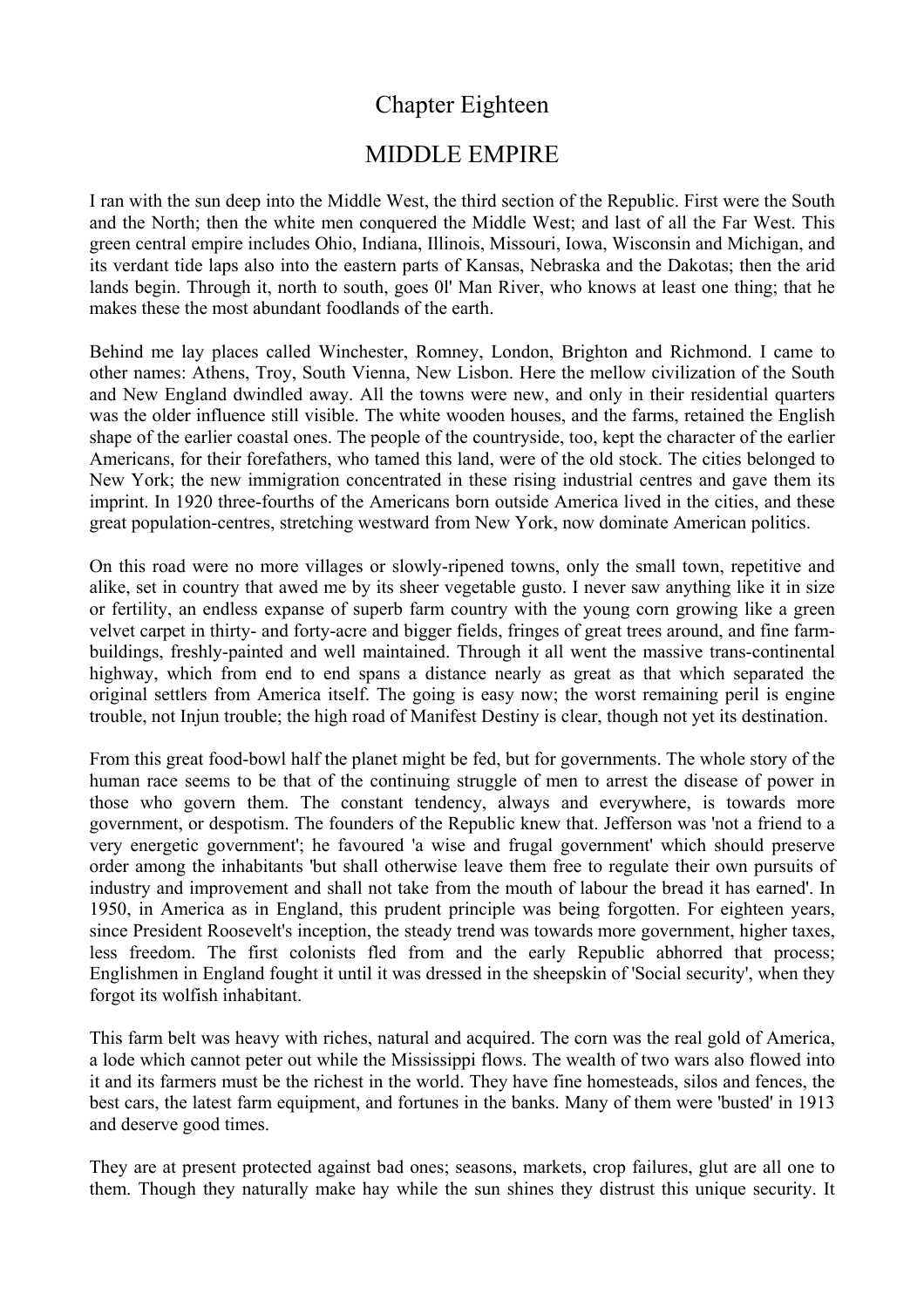# Chapter Eighteen

# MIDDLE EMPIRE

I ran with the sun deep into the Middle West, the third section of the Republic. First were the South and the North; then the white men conquered the Middle West; and last of all the Far West. This green central empire includes Ohio, Indiana, Illinois, Missouri, Iowa, Wisconsin and Michigan, and its verdant tide laps also into the eastern parts of Kansas, Nebraska and the Dakotas; then the arid lands begin. Through it, north to south, goes 0l' Man River, who knows at least one thing; that he makes these the most abundant foodlands of the earth.

Behind me lay places called Winchester, Romney, London, Brighton and Richmond. I came to other names: Athens, Troy, South Vienna, New Lisbon. Here the mellow civilization of the South and New England dwindled away. All the towns were new, and only in their residential quarters was the older influence still visible. The white wooden houses, and the farms, retained the English shape of the earlier coastal ones. The people of the countryside, too, kept the character of the earlier Americans, for their forefathers, who tamed this land, were of the old stock. The cities belonged to New York; the new immigration concentrated in these rising industrial centres and gave them its imprint. In 1920 three-fourths of the Americans born outside America lived in the cities, and these great population-centres, stretching westward from New York, now dominate American politics.

On this road were no more villages or slowly-ripened towns, only the small town, repetitive and alike, set in country that awed me by its sheer vegetable gusto. I never saw anything like it in size or fertility, an endless expanse of superb farm country with the young corn growing like a green velvet carpet in thirty- and forty-acre and bigger fields, fringes of great trees around, and fine farmbuildings, freshly-painted and well maintained. Through it all went the massive trans-continental highway, which from end to end spans a distance nearly as great as that which separated the original settlers from America itself. The going is easy now; the worst remaining peril is engine trouble, not Injun trouble; the high road of Manifest Destiny is clear, though not yet its destination.

From this great food-bowl half the planet might be fed, but for governments. The whole story of the human race seems to be that of the continuing struggle of men to arrest the disease of power in those who govern them. The constant tendency, always and everywhere, is towards more government, or despotism. The founders of the Republic knew that. Jefferson was 'not a friend to a very energetic government'; he favoured 'a wise and frugal government' which should preserve order among the inhabitants 'but shall otherwise leave them free to regulate their own pursuits of industry and improvement and shall not take from the mouth of labour the bread it has earned'. In 1950, in America as in England, this prudent principle was being forgotten. For eighteen years, since President Roosevelt's inception, the steady trend was towards more government, higher taxes, less freedom. The first colonists fled from and the early Republic abhorred that process; Englishmen in England fought it until it was dressed in the sheepskin of 'Social security', when they forgot its wolfish inhabitant.

This farm belt was heavy with riches, natural and acquired. The corn was the real gold of America, a lode which cannot peter out while the Mississippi flows. The wealth of two wars also flowed into it and its farmers must be the richest in the world. They have fine homesteads, silos and fences, the best cars, the latest farm equipment, and fortunes in the banks. Many of them were 'busted' in 1913 and deserve good times.

They are at present protected against bad ones; seasons, markets, crop failures, glut are all one to them. Though they naturally make hay while the sun shines they distrust this unique security. It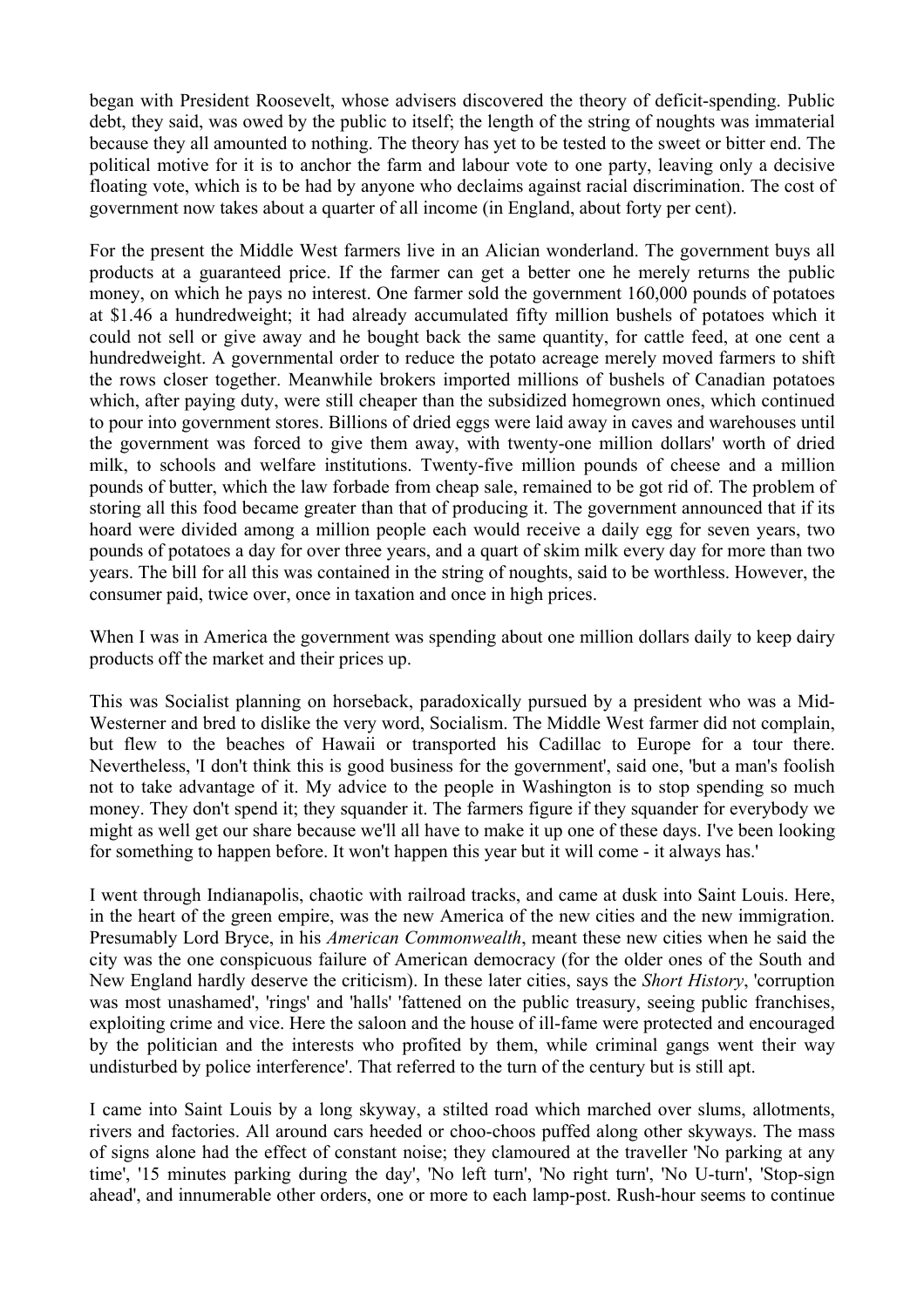began with President Roosevelt, whose advisers discovered the theory of deficit-spending. Public debt, they said, was owed by the public to itself; the length of the string of noughts was immaterial because they all amounted to nothing. The theory has yet to be tested to the sweet or bitter end. The political motive for it is to anchor the farm and labour vote to one party, leaving only a decisive floating vote, which is to be had by anyone who declaims against racial discrimination. The cost of government now takes about a quarter of all income (in England, about forty per cent).

For the present the Middle West farmers live in an Alician wonderland. The government buys all products at a guaranteed price. If the farmer can get a better one he merely returns the public money, on which he pays no interest. One farmer sold the government 160,000 pounds of potatoes at \$1.46 a hundredweight; it had already accumulated fifty million bushels of potatoes which it could not sell or give away and he bought back the same quantity, for cattle feed, at one cent a hundredweight. A governmental order to reduce the potato acreage merely moved farmers to shift the rows closer together. Meanwhile brokers imported millions of bushels of Canadian potatoes which, after paying duty, were still cheaper than the subsidized homegrown ones, which continued to pour into government stores. Billions of dried eggs were laid away in caves and warehouses until the government was forced to give them away, with twenty-one million dollars' worth of dried milk, to schools and welfare institutions. Twenty-five million pounds of cheese and a million pounds of butter, which the law forbade from cheap sale, remained to be got rid of. The problem of storing all this food became greater than that of producing it. The government announced that if its hoard were divided among a million people each would receive a daily egg for seven years, two pounds of potatoes a day for over three years, and a quart of skim milk every day for more than two years. The bill for all this was contained in the string of noughts, said to be worthless. However, the consumer paid, twice over, once in taxation and once in high prices.

When I was in America the government was spending about one million dollars daily to keep dairy products off the market and their prices up.

This was Socialist planning on horseback, paradoxically pursued by a president who was a Mid-Westerner and bred to dislike the very word, Socialism. The Middle West farmer did not complain, but flew to the beaches of Hawaii or transported his Cadillac to Europe for a tour there. Nevertheless, 'I don't think this is good business for the government', said one, 'but a man's foolish not to take advantage of it. My advice to the people in Washington is to stop spending so much money. They don't spend it; they squander it. The farmers figure if they squander for everybody we might as well get our share because we'll all have to make it up one of these days. I've been looking for something to happen before. It won't happen this year but it will come - it always has.'

I went through Indianapolis, chaotic with railroad tracks, and came at dusk into Saint Louis. Here, in the heart of the green empire, was the new America of the new cities and the new immigration. Presumably Lord Bryce, in his *American Commonwealth*, meant these new cities when he said the city was the one conspicuous failure of American democracy (for the older ones of the South and New England hardly deserve the criticism). In these later cities, says the *Short History*, 'corruption was most unashamed', 'rings' and 'halls' 'fattened on the public treasury, seeing public franchises, exploiting crime and vice. Here the saloon and the house of ill-fame were protected and encouraged by the politician and the interests who profited by them, while criminal gangs went their way undisturbed by police interference'. That referred to the turn of the century but is still apt.

I came into Saint Louis by a long skyway, a stilted road which marched over slums, allotments, rivers and factories. All around cars heeded or choo-choos puffed along other skyways. The mass of signs alone had the effect of constant noise; they clamoured at the traveller 'No parking at any time', '15 minutes parking during the day', 'No left turn', 'No right turn', 'No U-turn', 'Stop-sign ahead', and innumerable other orders, one or more to each lamp-post. Rush-hour seems to continue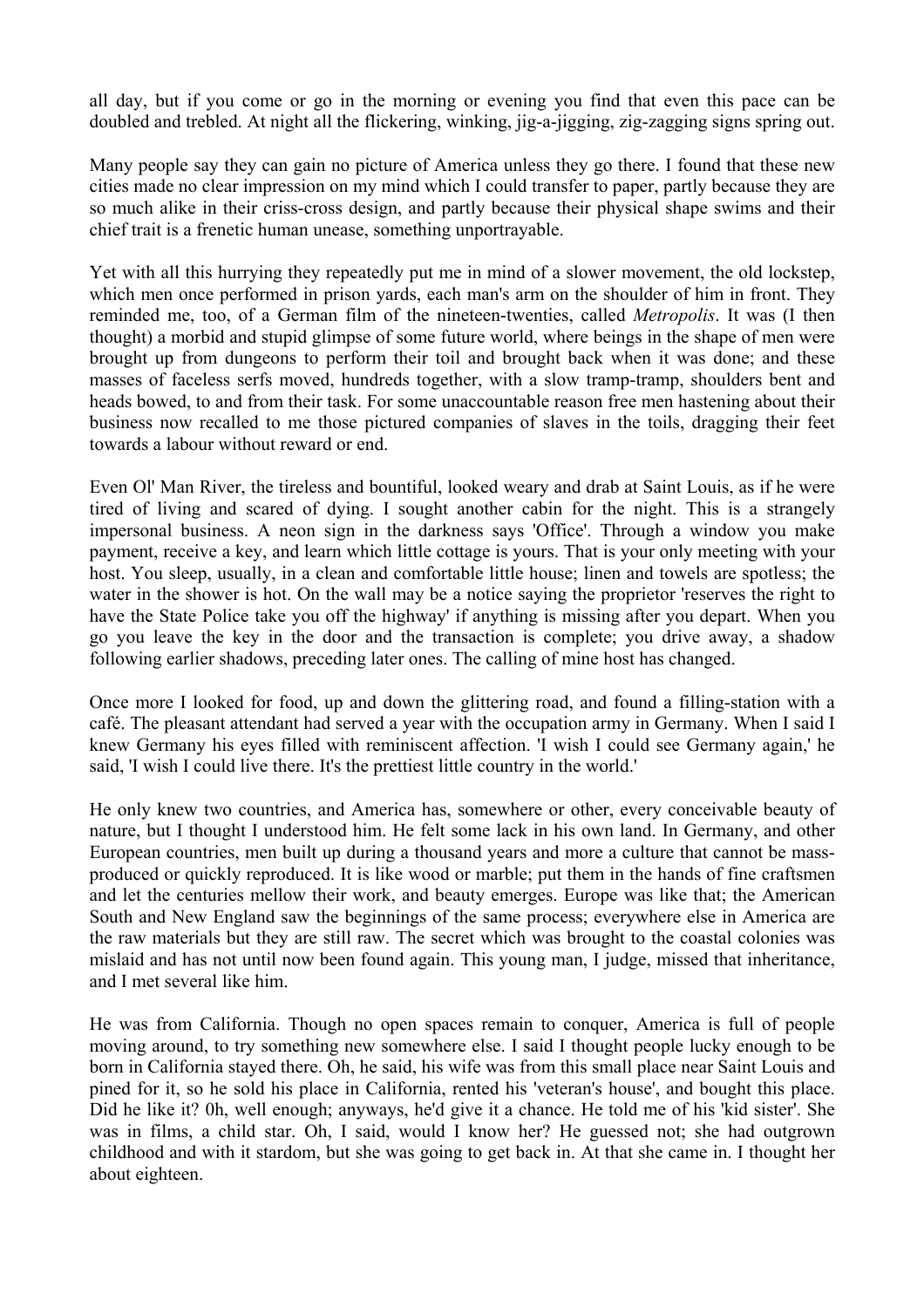all day, but if you come or go in the morning or evening you find that even this pace can be doubled and trebled. At night all the flickering, winking, jig-a-jigging, zig-zagging signs spring out.

Many people say they can gain no picture of America unless they go there. I found that these new cities made no clear impression on my mind which I could transfer to paper, partly because they are so much alike in their criss-cross design, and partly because their physical shape swims and their chief trait is a frenetic human unease, something unportrayable.

Yet with all this hurrying they repeatedly put me in mind of a slower movement, the old lockstep, which men once performed in prison yards, each man's arm on the shoulder of him in front. They reminded me, too, of a German film of the nineteen-twenties, called *Metropolis*. It was (I then thought) a morbid and stupid glimpse of some future world, where beings in the shape of men were brought up from dungeons to perform their toil and brought back when it was done; and these masses of faceless serfs moved, hundreds together, with a slow tramp-tramp, shoulders bent and heads bowed, to and from their task. For some unaccountable reason free men hastening about their business now recalled to me those pictured companies of slaves in the toils, dragging their feet towards a labour without reward or end.

Even Ol' Man River, the tireless and bountiful, looked weary and drab at Saint Louis, as if he were tired of living and scared of dying. I sought another cabin for the night. This is a strangely impersonal business. A neon sign in the darkness says 'Office'. Through a window you make payment, receive a key, and learn which little cottage is yours. That is your only meeting with your host. You sleep, usually, in a clean and comfortable little house; linen and towels are spotless; the water in the shower is hot. On the wall may be a notice saying the proprietor 'reserves the right to have the State Police take you off the highway' if anything is missing after you depart. When you go you leave the key in the door and the transaction is complete; you drive away, a shadow following earlier shadows, preceding later ones. The calling of mine host has changed.

Once more I looked for food, up and down the glittering road, and found a filling-station with a café. The pleasant attendant had served a year with the occupation army in Germany. When I said I knew Germany his eyes filled with reminiscent affection. 'I wish I could see Germany again,' he said, 'I wish I could live there. It's the prettiest little country in the world.'

He only knew two countries, and America has, somewhere or other, every conceivable beauty of nature, but I thought I understood him. He felt some lack in his own land. In Germany, and other European countries, men built up during a thousand years and more a culture that cannot be massproduced or quickly reproduced. It is like wood or marble; put them in the hands of fine craftsmen and let the centuries mellow their work, and beauty emerges. Europe was like that; the American South and New England saw the beginnings of the same process; everywhere else in America are the raw materials but they are still raw. The secret which was brought to the coastal colonies was mislaid and has not until now been found again. This young man, I judge, missed that inheritance, and I met several like him.

He was from California. Though no open spaces remain to conquer, America is full of people moving around, to try something new somewhere else. I said I thought people lucky enough to be born in California stayed there. Oh, he said, his wife was from this small place near Saint Louis and pined for it, so he sold his place in California, rented his 'veteran's house', and bought this place. Did he like it? 0h, well enough; anyways, he'd give it a chance. He told me of his 'kid sister'. She was in films, a child star. Oh, I said, would I know her? He guessed not; she had outgrown childhood and with it stardom, but she was going to get back in. At that she came in. I thought her about eighteen.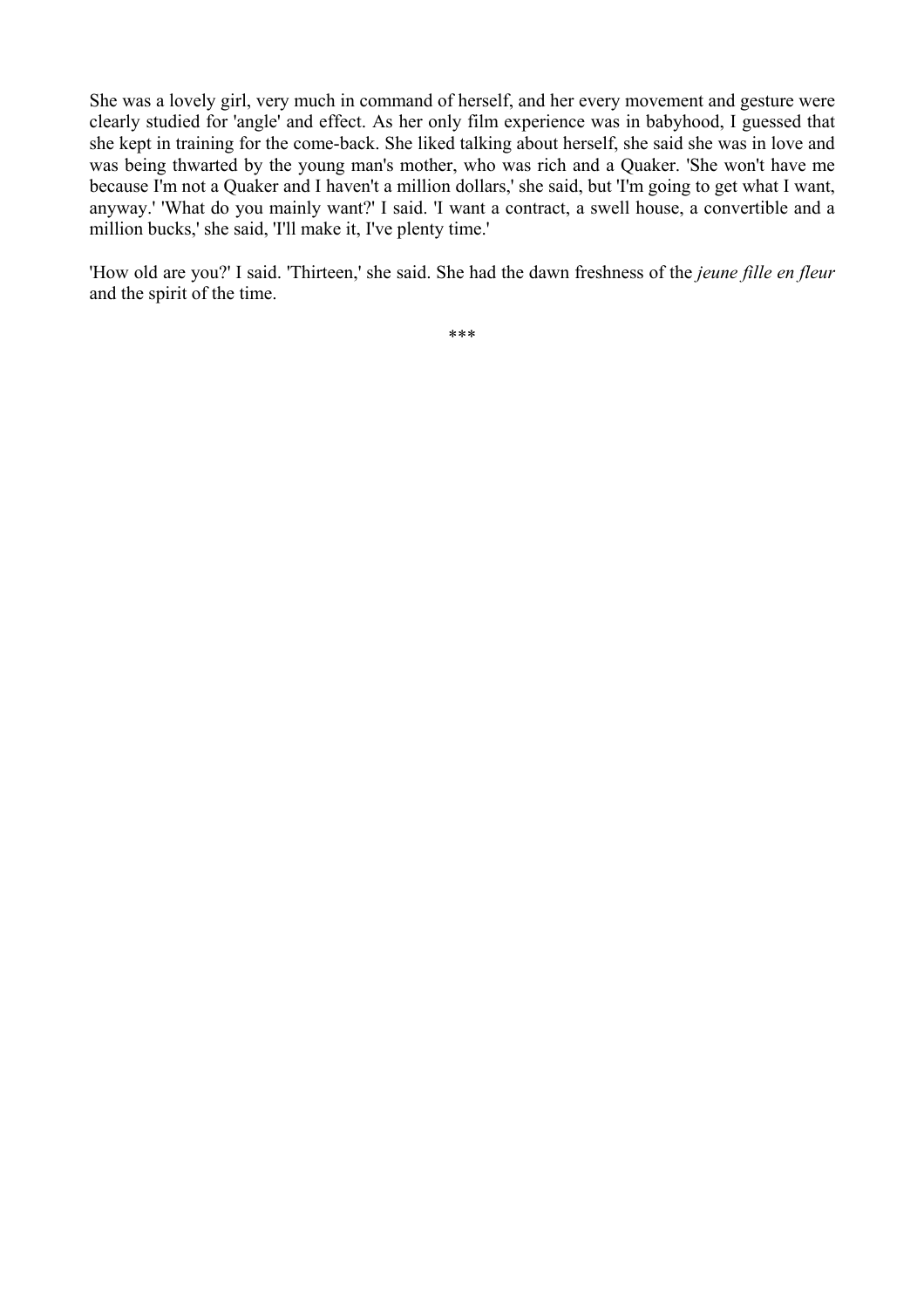She was a lovely girl, very much in command of herself, and her every movement and gesture were clearly studied for 'angle' and effect. As her only film experience was in babyhood, I guessed that she kept in training for the come-back. She liked talking about herself, she said she was in love and was being thwarted by the young man's mother, who was rich and a Quaker. 'She won't have me because I'm not a Quaker and I haven't a million dollars,' she said, but 'I'm going to get what I want, anyway.' 'What do you mainly want?' I said. 'I want a contract, a swell house, a convertible and a million bucks,' she said, 'I'll make it, I've plenty time.'

'How old are you?' I said. 'Thirteen,' she said. She had the dawn freshness of the *jeune fille en fleur* and the spirit of the time.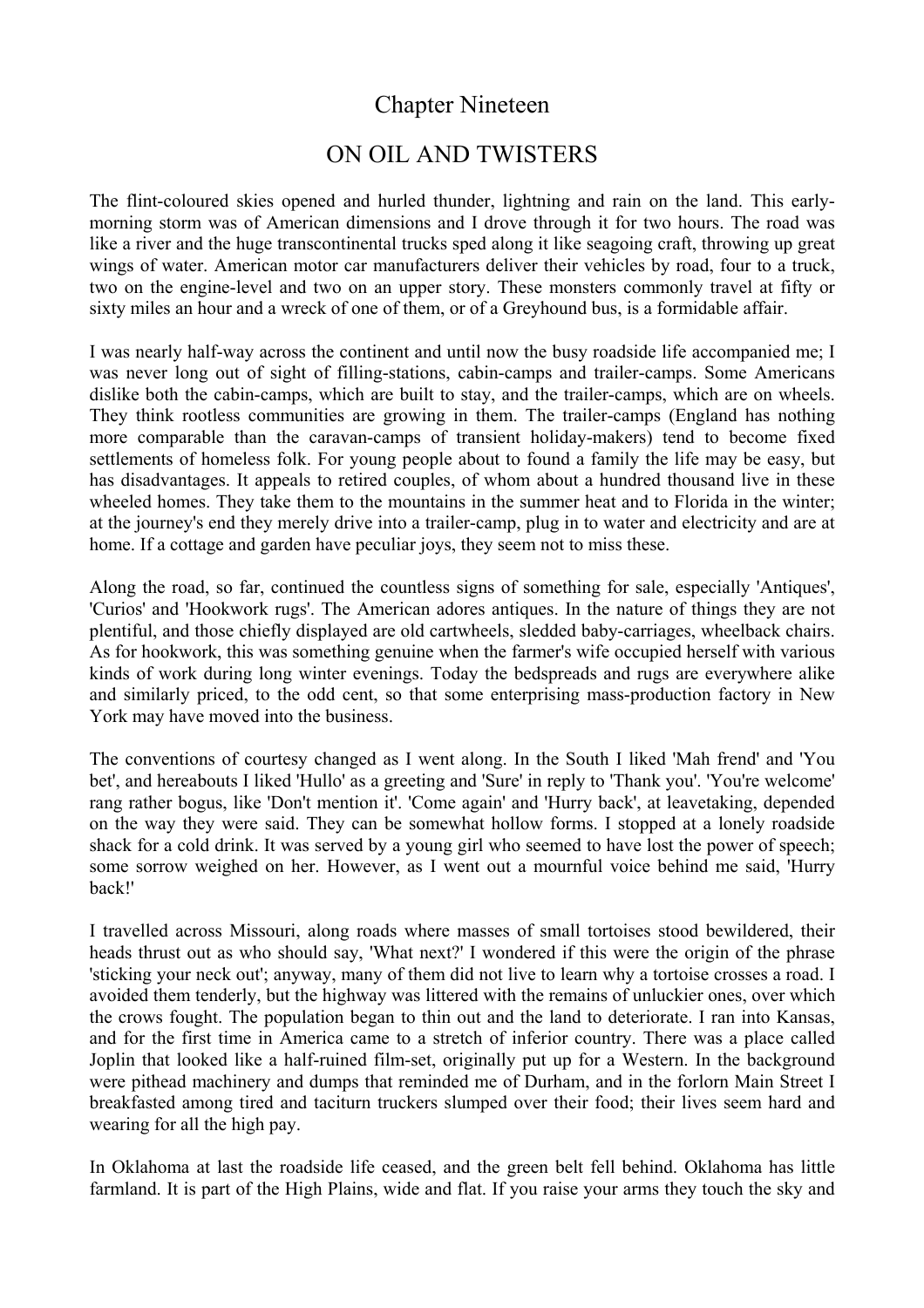## Chapter Nineteen

### ON OIL AND TWISTERS

The flint-coloured skies opened and hurled thunder, lightning and rain on the land. This earlymorning storm was of American dimensions and I drove through it for two hours. The road was like a river and the huge transcontinental trucks sped along it like seagoing craft, throwing up great wings of water. American motor car manufacturers deliver their vehicles by road, four to a truck, two on the engine-level and two on an upper story. These monsters commonly travel at fifty or sixty miles an hour and a wreck of one of them, or of a Greyhound bus, is a formidable affair.

I was nearly half-way across the continent and until now the busy roadside life accompanied me; I was never long out of sight of filling-stations, cabin-camps and trailer-camps. Some Americans dislike both the cabin-camps, which are built to stay, and the trailer-camps, which are on wheels. They think rootless communities are growing in them. The trailer-camps (England has nothing more comparable than the caravan-camps of transient holiday-makers) tend to become fixed settlements of homeless folk. For young people about to found a family the life may be easy, but has disadvantages. It appeals to retired couples, of whom about a hundred thousand live in these wheeled homes. They take them to the mountains in the summer heat and to Florida in the winter; at the journey's end they merely drive into a trailer-camp, plug in to water and electricity and are at home. If a cottage and garden have peculiar joys, they seem not to miss these.

Along the road, so far, continued the countless signs of something for sale, especially 'Antiques', 'Curios' and 'Hookwork rugs'. The American adores antiques. In the nature of things they are not plentiful, and those chiefly displayed are old cartwheels, sledded baby-carriages, wheelback chairs. As for hookwork, this was something genuine when the farmer's wife occupied herself with various kinds of work during long winter evenings. Today the bedspreads and rugs are everywhere alike and similarly priced, to the odd cent, so that some enterprising mass-production factory in New York may have moved into the business.

The conventions of courtesy changed as I went along. In the South I liked 'Mah frend' and 'You bet', and hereabouts I liked 'Hullo' as a greeting and 'Sure' in reply to 'Thank you'. 'You're welcome' rang rather bogus, like 'Don't mention it'. 'Come again' and 'Hurry back', at leavetaking, depended on the way they were said. They can be somewhat hollow forms. I stopped at a lonely roadside shack for a cold drink. It was served by a young girl who seemed to have lost the power of speech; some sorrow weighed on her. However, as I went out a mournful voice behind me said, 'Hurry back!'

I travelled across Missouri, along roads where masses of small tortoises stood bewildered, their heads thrust out as who should say, 'What next?' I wondered if this were the origin of the phrase 'sticking your neck out'; anyway, many of them did not live to learn why a tortoise crosses a road. I avoided them tenderly, but the highway was littered with the remains of unluckier ones, over which the crows fought. The population began to thin out and the land to deteriorate. I ran into Kansas, and for the first time in America came to a stretch of inferior country. There was a place called Joplin that looked like a half-ruined film-set, originally put up for a Western. In the background were pithead machinery and dumps that reminded me of Durham, and in the forlorn Main Street I breakfasted among tired and taciturn truckers slumped over their food; their lives seem hard and wearing for all the high pay.

In Oklahoma at last the roadside life ceased, and the green belt fell behind. Oklahoma has little farmland. It is part of the High Plains, wide and flat. If you raise your arms they touch the sky and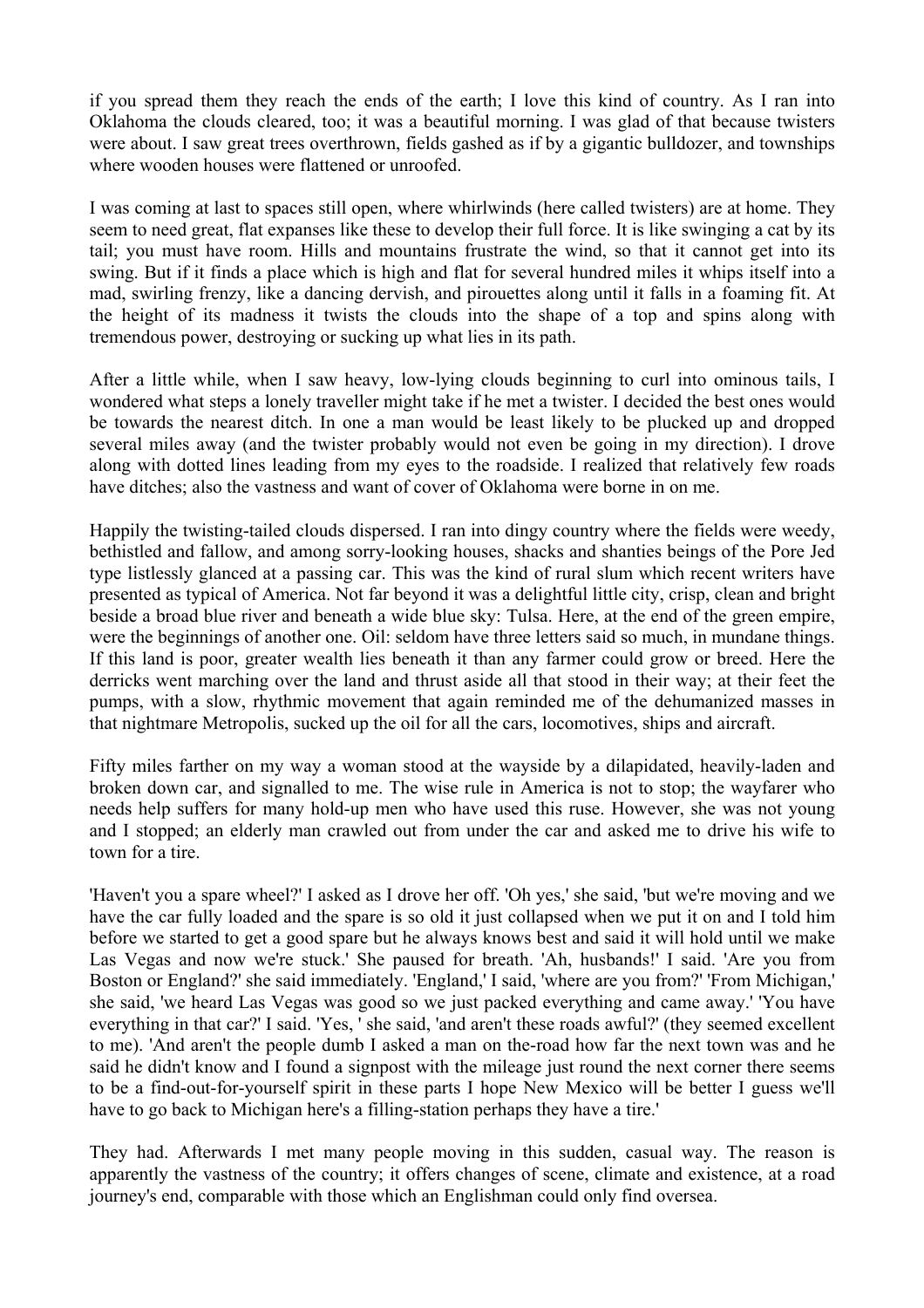if you spread them they reach the ends of the earth; I love this kind of country. As I ran into Oklahoma the clouds cleared, too; it was a beautiful morning. I was glad of that because twisters were about. I saw great trees overthrown, fields gashed as if by a gigantic bulldozer, and townships where wooden houses were flattened or unroofed

I was coming at last to spaces still open, where whirlwinds (here called twisters) are at home. They seem to need great, flat expanses like these to develop their full force. It is like swinging a cat by its tail; you must have room. Hills and mountains frustrate the wind, so that it cannot get into its swing. But if it finds a place which is high and flat for several hundred miles it whips itself into a mad, swirling frenzy, like a dancing dervish, and pirouettes along until it falls in a foaming fit. At the height of its madness it twists the clouds into the shape of a top and spins along with tremendous power, destroying or sucking up what lies in its path.

After a little while, when I saw heavy, low-lying clouds beginning to curl into ominous tails, I wondered what steps a lonely traveller might take if he met a twister. I decided the best ones would be towards the nearest ditch. In one a man would be least likely to be plucked up and dropped several miles away (and the twister probably would not even be going in my direction). I drove along with dotted lines leading from my eyes to the roadside. I realized that relatively few roads have ditches; also the vastness and want of cover of Oklahoma were borne in on me.

Happily the twisting-tailed clouds dispersed. I ran into dingy country where the fields were weedy, bethistled and fallow, and among sorry-looking houses, shacks and shanties beings of the Pore Jed type listlessly glanced at a passing car. This was the kind of rural slum which recent writers have presented as typical of America. Not far beyond it was a delightful little city, crisp, clean and bright beside a broad blue river and beneath a wide blue sky: Tulsa. Here, at the end of the green empire, were the beginnings of another one. Oil: seldom have three letters said so much, in mundane things. If this land is poor, greater wealth lies beneath it than any farmer could grow or breed. Here the derricks went marching over the land and thrust aside all that stood in their way; at their feet the pumps, with a slow, rhythmic movement that again reminded me of the dehumanized masses in that nightmare Metropolis, sucked up the oil for all the cars, locomotives, ships and aircraft.

Fifty miles farther on my way a woman stood at the wayside by a dilapidated, heavily-laden and broken down car, and signalled to me. The wise rule in America is not to stop; the wayfarer who needs help suffers for many hold-up men who have used this ruse. However, she was not young and I stopped; an elderly man crawled out from under the car and asked me to drive his wife to town for a tire.

'Haven't you a spare wheel?' I asked as I drove her off. 'Oh yes,' she said, 'but we're moving and we have the car fully loaded and the spare is so old it just collapsed when we put it on and I told him before we started to get a good spare but he always knows best and said it will hold until we make Las Vegas and now we're stuck.' She paused for breath. 'Ah, husbands!' I said. 'Are you from Boston or England?' she said immediately. 'England,' I said, 'where are you from?' 'From Michigan,' she said, 'we heard Las Vegas was good so we just packed everything and came away.' 'You have everything in that car?' I said. 'Yes, ' she said, 'and aren't these roads awful?' (they seemed excellent to me). 'And aren't the people dumb I asked a man on the-road how far the next town was and he said he didn't know and I found a signpost with the mileage just round the next corner there seems to be a find-out-for-yourself spirit in these parts I hope New Mexico will be better I guess we'll have to go back to Michigan here's a filling-station perhaps they have a tire.'

They had. Afterwards I met many people moving in this sudden, casual way. The reason is apparently the vastness of the country; it offers changes of scene, climate and existence, at a road journey's end, comparable with those which an Englishman could only find oversea.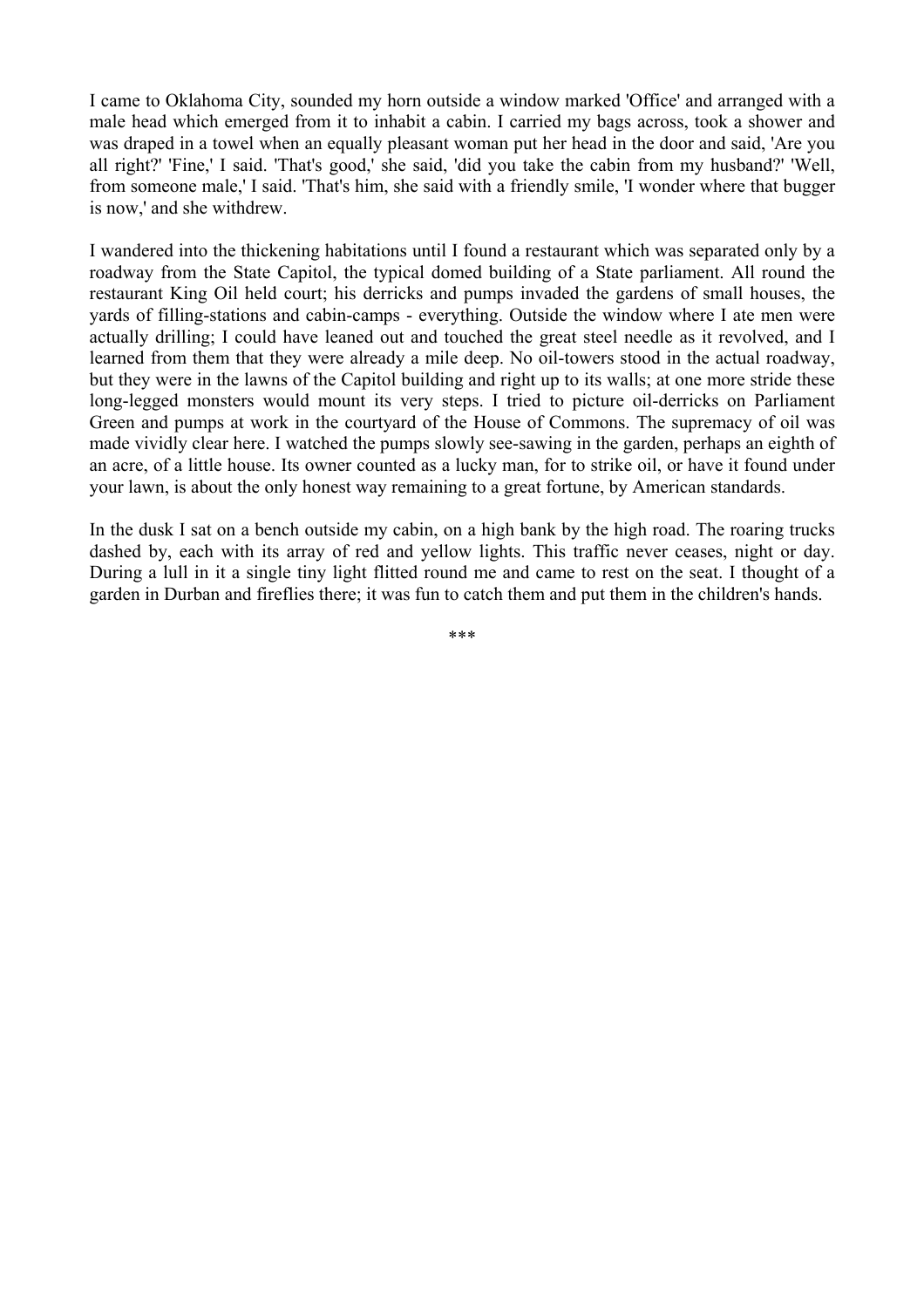I came to Oklahoma City, sounded my horn outside a window marked 'Office' and arranged with a male head which emerged from it to inhabit a cabin. I carried my bags across, took a shower and was draped in a towel when an equally pleasant woman put her head in the door and said, 'Are you all right?' 'Fine,' I said. 'That's good,' she said, 'did you take the cabin from my husband?' 'Well, from someone male,' I said. 'That's him, she said with a friendly smile, 'I wonder where that bugger is now,' and she withdrew.

I wandered into the thickening habitations until I found a restaurant which was separated only by a roadway from the State Capitol, the typical domed building of a State parliament. All round the restaurant King Oil held court; his derricks and pumps invaded the gardens of small houses, the yards of filling-stations and cabin-camps - everything. Outside the window where I ate men were actually drilling; I could have leaned out and touched the great steel needle as it revolved, and I learned from them that they were already a mile deep. No oil-towers stood in the actual roadway, but they were in the lawns of the Capitol building and right up to its walls; at one more stride these long-legged monsters would mount its very steps. I tried to picture oil-derricks on Parliament Green and pumps at work in the courtyard of the House of Commons. The supremacy of oil was made vividly clear here. I watched the pumps slowly see-sawing in the garden, perhaps an eighth of an acre, of a little house. Its owner counted as a lucky man, for to strike oil, or have it found under your lawn, is about the only honest way remaining to a great fortune, by American standards.

In the dusk I sat on a bench outside my cabin, on a high bank by the high road. The roaring trucks dashed by, each with its array of red and yellow lights. This traffic never ceases, night or day. During a lull in it a single tiny light flitted round me and came to rest on the seat. I thought of a garden in Durban and fireflies there; it was fun to catch them and put them in the children's hands.

\*\*\*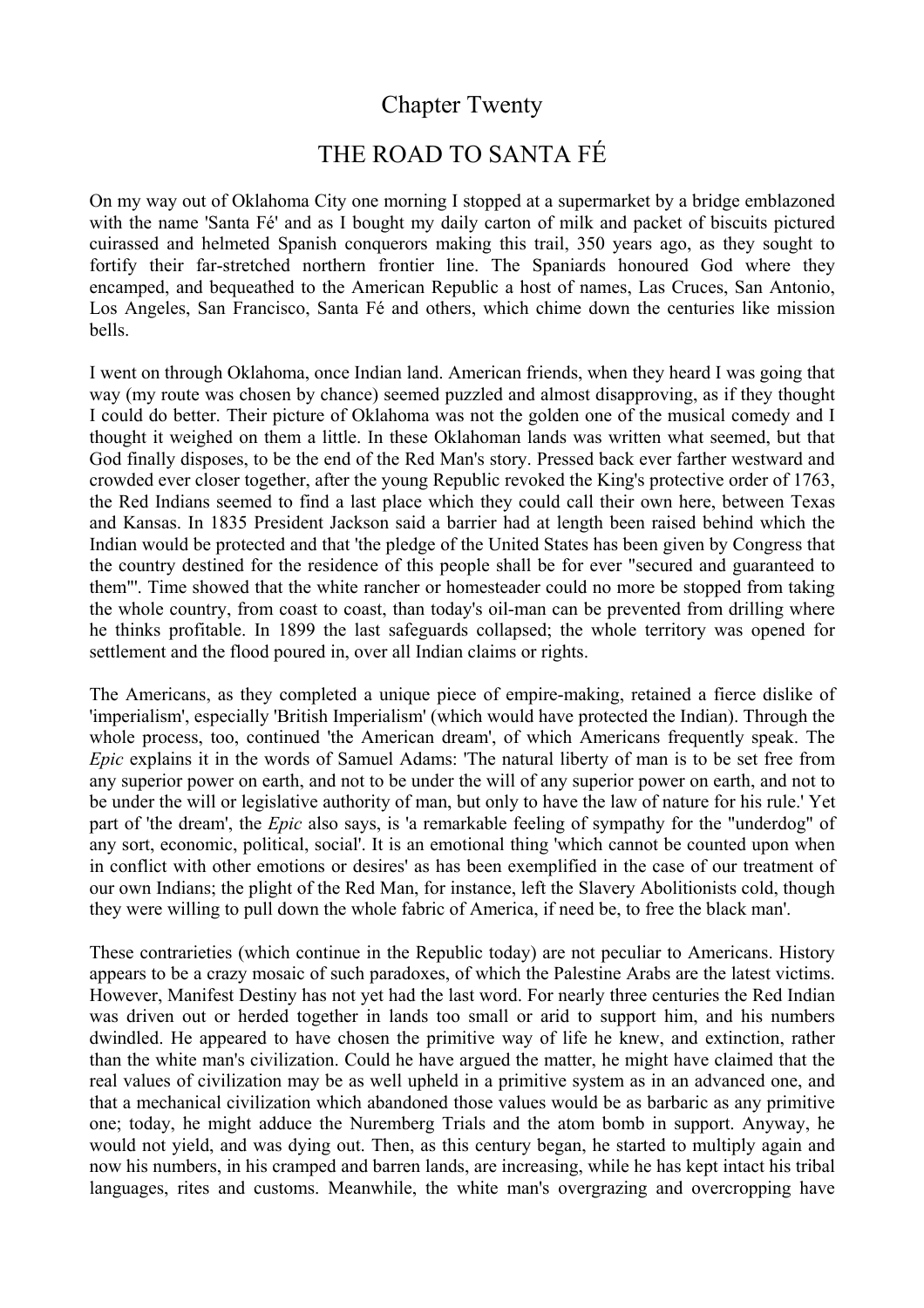# Chapter Twenty

## THE ROAD TO SANTA FÉ

On my way out of Oklahoma City one morning I stopped at a supermarket by a bridge emblazoned with the name 'Santa Fé' and as I bought my daily carton of milk and packet of biscuits pictured cuirassed and helmeted Spanish conquerors making this trail, 350 years ago, as they sought to fortify their far-stretched northern frontier line. The Spaniards honoured God where they encamped, and bequeathed to the American Republic a host of names, Las Cruces, San Antonio, Los Angeles, San Francisco, Santa Fé and others, which chime down the centuries like mission bells.

I went on through Oklahoma, once Indian land. American friends, when they heard I was going that way (my route was chosen by chance) seemed puzzled and almost disapproving, as if they thought I could do better. Their picture of Oklahoma was not the golden one of the musical comedy and I thought it weighed on them a little. In these Oklahoman lands was written what seemed, but that God finally disposes, to be the end of the Red Man's story. Pressed back ever farther westward and crowded ever closer together, after the young Republic revoked the King's protective order of 1763, the Red Indians seemed to find a last place which they could call their own here, between Texas and Kansas. In 1835 President Jackson said a barrier had at length been raised behind which the Indian would be protected and that 'the pledge of the United States has been given by Congress that the country destined for the residence of this people shall be for ever "secured and guaranteed to them"'. Time showed that the white rancher or homesteader could no more be stopped from taking the whole country, from coast to coast, than today's oil-man can be prevented from drilling where he thinks profitable. In 1899 the last safeguards collapsed; the whole territory was opened for settlement and the flood poured in, over all Indian claims or rights.

The Americans, as they completed a unique piece of empire-making, retained a fierce dislike of 'imperialism', especially 'British Imperialism' (which would have protected the Indian). Through the whole process, too, continued 'the American dream', of which Americans frequently speak. The *Epic* explains it in the words of Samuel Adams: 'The natural liberty of man is to be set free from any superior power on earth, and not to be under the will of any superior power on earth, and not to be under the will or legislative authority of man, but only to have the law of nature for his rule.' Yet part of 'the dream', the *Epic* also says, is 'a remarkable feeling of sympathy for the "underdog" of any sort, economic, political, social'. It is an emotional thing 'which cannot be counted upon when in conflict with other emotions or desires' as has been exemplified in the case of our treatment of our own Indians; the plight of the Red Man, for instance, left the Slavery Abolitionists cold, though they were willing to pull down the whole fabric of America, if need be, to free the black man'.

These contrarieties (which continue in the Republic today) are not peculiar to Americans. History appears to be a crazy mosaic of such paradoxes, of which the Palestine Arabs are the latest victims. However, Manifest Destiny has not yet had the last word. For nearly three centuries the Red Indian was driven out or herded together in lands too small or arid to support him, and his numbers dwindled. He appeared to have chosen the primitive way of life he knew, and extinction, rather than the white man's civilization. Could he have argued the matter, he might have claimed that the real values of civilization may be as well upheld in a primitive system as in an advanced one, and that a mechanical civilization which abandoned those values would be as barbaric as any primitive one; today, he might adduce the Nuremberg Trials and the atom bomb in support. Anyway, he would not yield, and was dying out. Then, as this century began, he started to multiply again and now his numbers, in his cramped and barren lands, are increasing, while he has kept intact his tribal languages, rites and customs. Meanwhile, the white man's overgrazing and overcropping have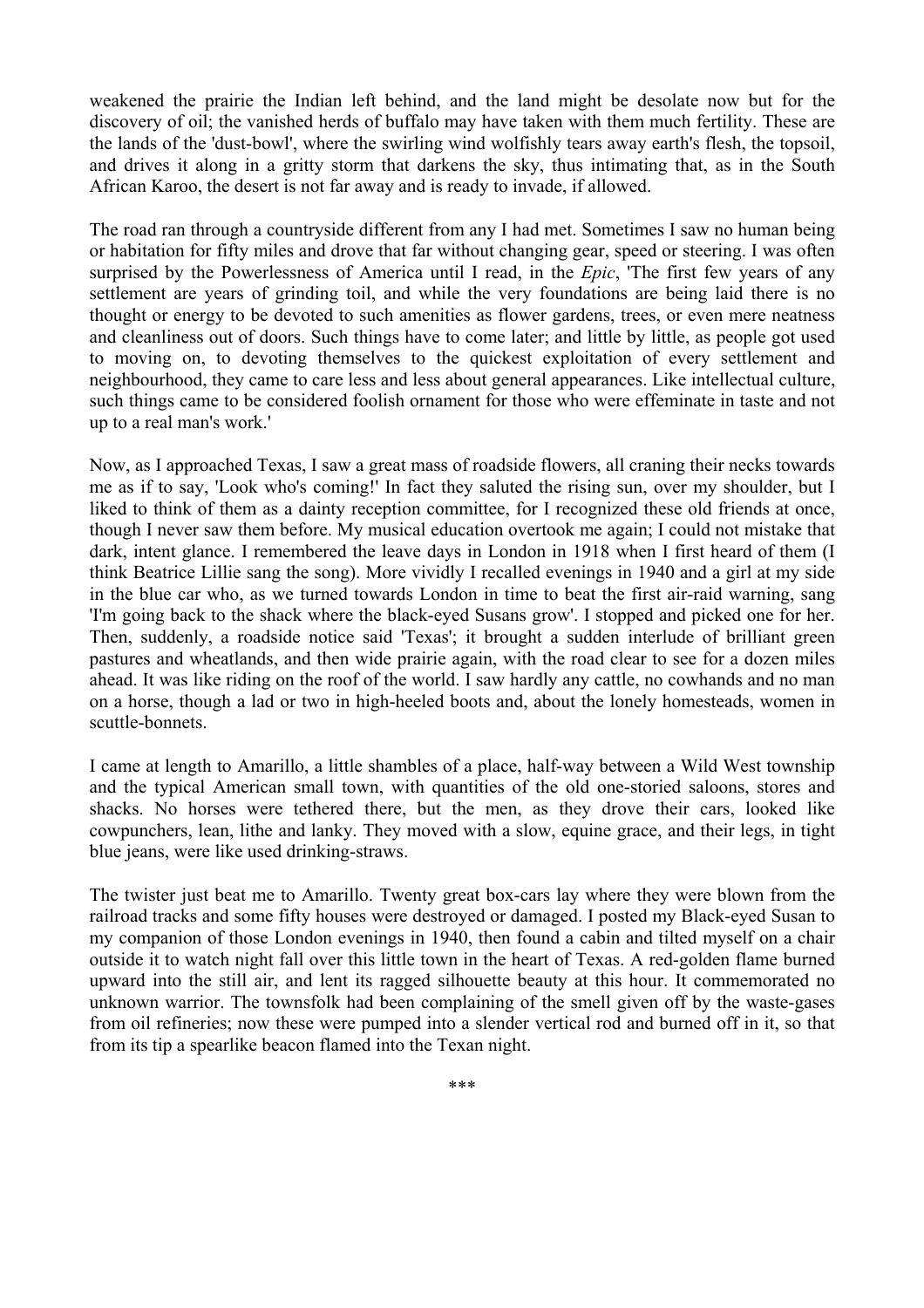weakened the prairie the Indian left behind, and the land might be desolate now but for the discovery of oil; the vanished herds of buffalo may have taken with them much fertility. These are the lands of the 'dust-bowl', where the swirling wind wolfishly tears away earth's flesh, the topsoil, and drives it along in a gritty storm that darkens the sky, thus intimating that, as in the South African Karoo, the desert is not far away and is ready to invade, if allowed.

The road ran through a countryside different from any I had met. Sometimes I saw no human being or habitation for fifty miles and drove that far without changing gear, speed or steering. I was often surprised by the Powerlessness of America until I read, in the *Epic*, 'The first few years of any settlement are years of grinding toil, and while the very foundations are being laid there is no thought or energy to be devoted to such amenities as flower gardens, trees, or even mere neatness and cleanliness out of doors. Such things have to come later; and little by little, as people got used to moving on, to devoting themselves to the quickest exploitation of every settlement and neighbourhood, they came to care less and less about general appearances. Like intellectual culture, such things came to be considered foolish ornament for those who were effeminate in taste and not up to a real man's work.'

Now, as I approached Texas, I saw a great mass of roadside flowers, all craning their necks towards me as if to say, 'Look who's coming!' In fact they saluted the rising sun, over my shoulder, but I liked to think of them as a dainty reception committee, for I recognized these old friends at once, though I never saw them before. My musical education overtook me again; I could not mistake that dark, intent glance. I remembered the leave days in London in 1918 when I first heard of them (I think Beatrice Lillie sang the song). More vividly I recalled evenings in 1940 and a girl at my side in the blue car who, as we turned towards London in time to beat the first air-raid warning, sang 'I'm going back to the shack where the black-eyed Susans grow'. I stopped and picked one for her. Then, suddenly, a roadside notice said 'Texas'; it brought a sudden interlude of brilliant green pastures and wheatlands, and then wide prairie again, with the road clear to see for a dozen miles ahead. It was like riding on the roof of the world. I saw hardly any cattle, no cowhands and no man on a horse, though a lad or two in high-heeled boots and, about the lonely homesteads, women in scuttle-bonnets.

I came at length to Amarillo, a little shambles of a place, half-way between a Wild West township and the typical American small town, with quantities of the old one-storied saloons, stores and shacks. No horses were tethered there, but the men, as they drove their cars, looked like cowpunchers, lean, lithe and lanky. They moved with a slow, equine grace, and their legs, in tight blue jeans, were like used drinking-straws.

The twister just beat me to Amarillo. Twenty great box-cars lay where they were blown from the railroad tracks and some fifty houses were destroyed or damaged. I posted my Black-eyed Susan to my companion of those London evenings in 1940, then found a cabin and tilted myself on a chair outside it to watch night fall over this little town in the heart of Texas. A red-golden flame burned upward into the still air, and lent its ragged silhouette beauty at this hour. It commemorated no unknown warrior. The townsfolk had been complaining of the smell given off by the waste-gases from oil refineries; now these were pumped into a slender vertical rod and burned off in it, so that from its tip a spearlike beacon flamed into the Texan night.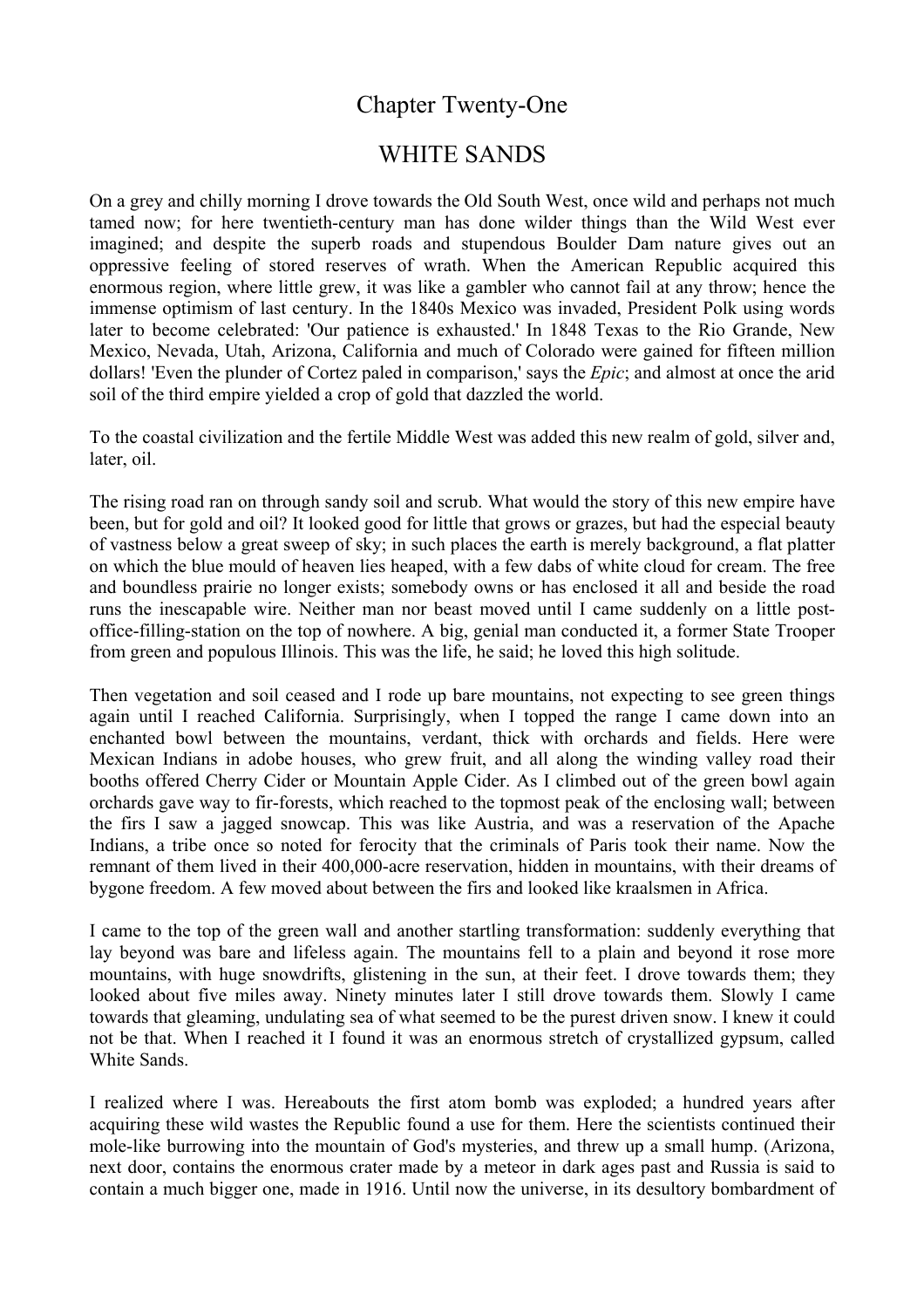# Chapter Twenty-One

## WHITE SANDS

On a grey and chilly morning I drove towards the Old South West, once wild and perhaps not much tamed now; for here twentieth-century man has done wilder things than the Wild West ever imagined; and despite the superb roads and stupendous Boulder Dam nature gives out an oppressive feeling of stored reserves of wrath. When the American Republic acquired this enormous region, where little grew, it was like a gambler who cannot fail at any throw; hence the immense optimism of last century. In the 1840s Mexico was invaded, President Polk using words later to become celebrated: 'Our patience is exhausted.' In 1848 Texas to the Rio Grande, New Mexico, Nevada, Utah, Arizona, California and much of Colorado were gained for fifteen million dollars! 'Even the plunder of Cortez paled in comparison,' says the *Epic*; and almost at once the arid soil of the third empire yielded a crop of gold that dazzled the world.

To the coastal civilization and the fertile Middle West was added this new realm of gold, silver and, later, oil.

The rising road ran on through sandy soil and scrub. What would the story of this new empire have been, but for gold and oil? It looked good for little that grows or grazes, but had the especial beauty of vastness below a great sweep of sky; in such places the earth is merely background, a flat platter on which the blue mould of heaven lies heaped, with a few dabs of white cloud for cream. The free and boundless prairie no longer exists; somebody owns or has enclosed it all and beside the road runs the inescapable wire. Neither man nor beast moved until I came suddenly on a little postoffice-filling-station on the top of nowhere. A big, genial man conducted it, a former State Trooper from green and populous Illinois. This was the life, he said; he loved this high solitude.

Then vegetation and soil ceased and I rode up bare mountains, not expecting to see green things again until I reached California. Surprisingly, when I topped the range I came down into an enchanted bowl between the mountains, verdant, thick with orchards and fields. Here were Mexican Indians in adobe houses, who grew fruit, and all along the winding valley road their booths offered Cherry Cider or Mountain Apple Cider. As I climbed out of the green bowl again orchards gave way to fir-forests, which reached to the topmost peak of the enclosing wall; between the firs I saw a jagged snowcap. This was like Austria, and was a reservation of the Apache Indians, a tribe once so noted for ferocity that the criminals of Paris took their name. Now the remnant of them lived in their 400,000-acre reservation, hidden in mountains, with their dreams of bygone freedom. A few moved about between the firs and looked like kraalsmen in Africa.

I came to the top of the green wall and another startling transformation: suddenly everything that lay beyond was bare and lifeless again. The mountains fell to a plain and beyond it rose more mountains, with huge snowdrifts, glistening in the sun, at their feet. I drove towards them; they looked about five miles away. Ninety minutes later I still drove towards them. Slowly I came towards that gleaming, undulating sea of what seemed to be the purest driven snow. I knew it could not be that. When I reached it I found it was an enormous stretch of crystallized gypsum, called White Sands.

I realized where I was. Hereabouts the first atom bomb was exploded; a hundred years after acquiring these wild wastes the Republic found a use for them. Here the scientists continued their mole-like burrowing into the mountain of God's mysteries, and threw up a small hump. (Arizona, next door, contains the enormous crater made by a meteor in dark ages past and Russia is said to contain a much bigger one, made in 1916. Until now the universe, in its desultory bombardment of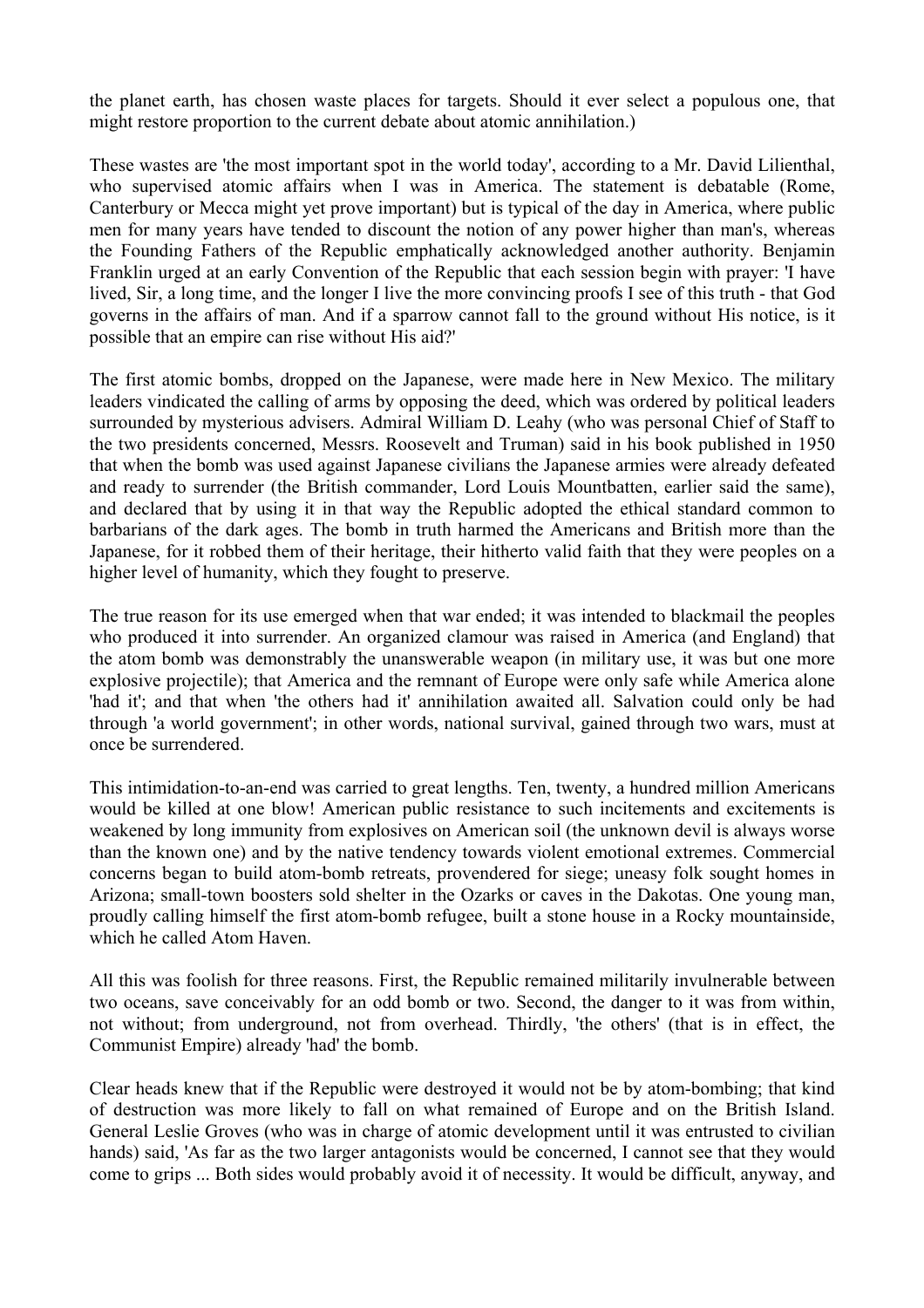the planet earth, has chosen waste places for targets. Should it ever select a populous one, that might restore proportion to the current debate about atomic annihilation.)

These wastes are 'the most important spot in the world today', according to a Mr. David Lilienthal, who supervised atomic affairs when I was in America. The statement is debatable (Rome, Canterbury or Mecca might yet prove important) but is typical of the day in America, where public men for many years have tended to discount the notion of any power higher than man's, whereas the Founding Fathers of the Republic emphatically acknowledged another authority. Benjamin Franklin urged at an early Convention of the Republic that each session begin with prayer: 'I have lived, Sir, a long time, and the longer I live the more convincing proofs I see of this truth - that God governs in the affairs of man. And if a sparrow cannot fall to the ground without His notice, is it possible that an empire can rise without His aid?'

The first atomic bombs, dropped on the Japanese, were made here in New Mexico. The military leaders vindicated the calling of arms by opposing the deed, which was ordered by political leaders surrounded by mysterious advisers. Admiral William D. Leahy (who was personal Chief of Staff to the two presidents concerned, Messrs. Roosevelt and Truman) said in his book published in 1950 that when the bomb was used against Japanese civilians the Japanese armies were already defeated and ready to surrender (the British commander, Lord Louis Mountbatten, earlier said the same), and declared that by using it in that way the Republic adopted the ethical standard common to barbarians of the dark ages. The bomb in truth harmed the Americans and British more than the Japanese, for it robbed them of their heritage, their hitherto valid faith that they were peoples on a higher level of humanity, which they fought to preserve.

The true reason for its use emerged when that war ended; it was intended to blackmail the peoples who produced it into surrender. An organized clamour was raised in America (and England) that the atom bomb was demonstrably the unanswerable weapon (in military use, it was but one more explosive projectile); that America and the remnant of Europe were only safe while America alone 'had it'; and that when 'the others had it' annihilation awaited all. Salvation could only be had through 'a world government'; in other words, national survival, gained through two wars, must at once be surrendered.

This intimidation-to-an-end was carried to great lengths. Ten, twenty, a hundred million Americans would be killed at one blow! American public resistance to such incitements and excitements is weakened by long immunity from explosives on American soil (the unknown devil is always worse than the known one) and by the native tendency towards violent emotional extremes. Commercial concerns began to build atom-bomb retreats, provendered for siege; uneasy folk sought homes in Arizona; small-town boosters sold shelter in the Ozarks or caves in the Dakotas. One young man, proudly calling himself the first atom-bomb refugee, built a stone house in a Rocky mountainside, which he called Atom Haven.

All this was foolish for three reasons. First, the Republic remained militarily invulnerable between two oceans, save conceivably for an odd bomb or two. Second, the danger to it was from within, not without; from underground, not from overhead. Thirdly, 'the others' (that is in effect, the Communist Empire) already 'had' the bomb.

Clear heads knew that if the Republic were destroyed it would not be by atom-bombing; that kind of destruction was more likely to fall on what remained of Europe and on the British Island. General Leslie Groves (who was in charge of atomic development until it was entrusted to civilian hands) said, 'As far as the two larger antagonists would be concerned, I cannot see that they would come to grips ... Both sides would probably avoid it of necessity. It would be difficult, anyway, and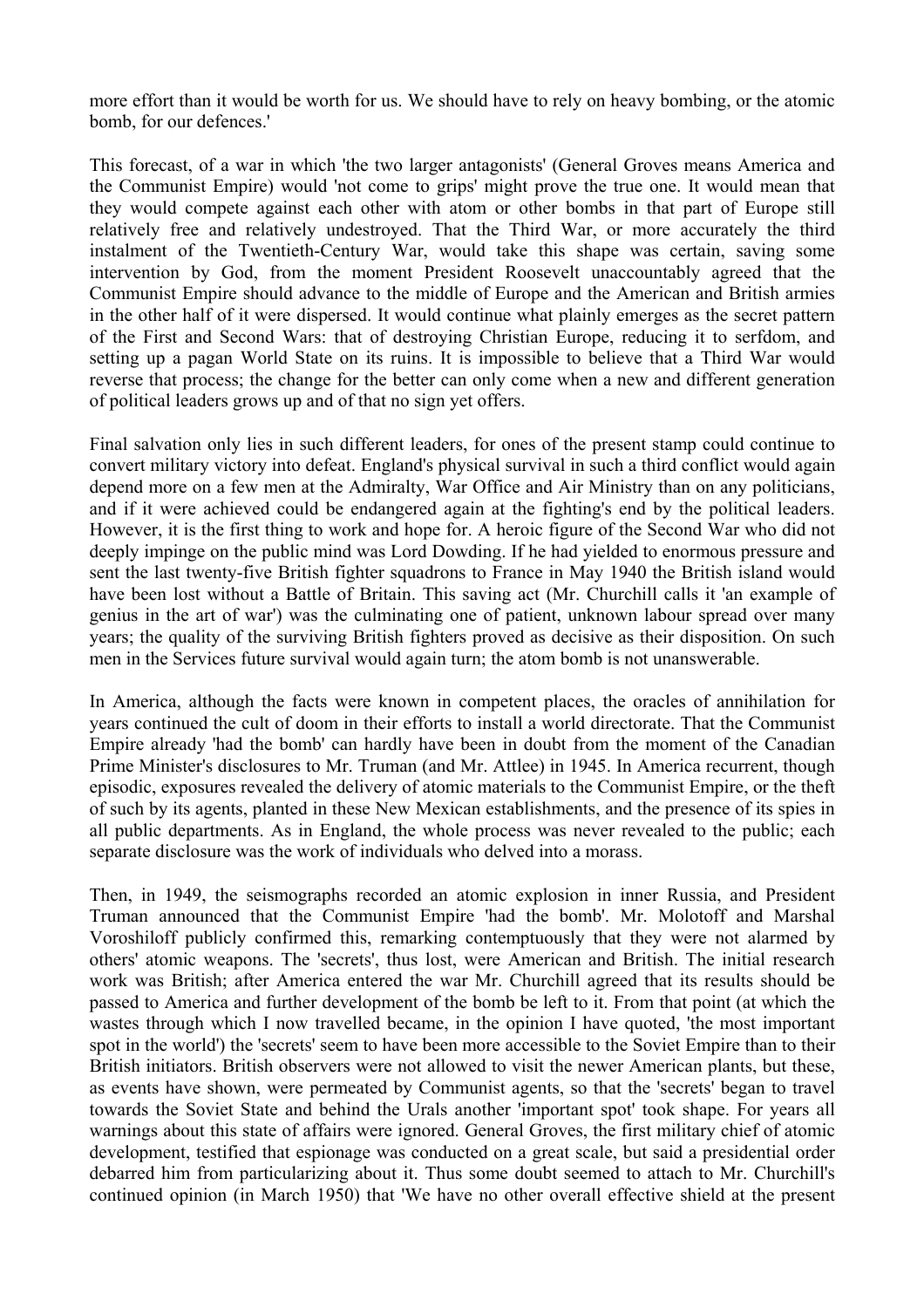more effort than it would be worth for us. We should have to rely on heavy bombing, or the atomic bomb, for our defences.'

This forecast, of a war in which 'the two larger antagonists' (General Groves means America and the Communist Empire) would 'not come to grips' might prove the true one. It would mean that they would compete against each other with atom or other bombs in that part of Europe still relatively free and relatively undestroyed. That the Third War, or more accurately the third instalment of the Twentieth-Century War, would take this shape was certain, saving some intervention by God, from the moment President Roosevelt unaccountably agreed that the Communist Empire should advance to the middle of Europe and the American and British armies in the other half of it were dispersed. It would continue what plainly emerges as the secret pattern of the First and Second Wars: that of destroying Christian Europe, reducing it to serfdom, and setting up a pagan World State on its ruins. It is impossible to believe that a Third War would reverse that process; the change for the better can only come when a new and different generation of political leaders grows up and of that no sign yet offers.

Final salvation only lies in such different leaders, for ones of the present stamp could continue to convert military victory into defeat. England's physical survival in such a third conflict would again depend more on a few men at the Admiralty, War Office and Air Ministry than on any politicians, and if it were achieved could be endangered again at the fighting's end by the political leaders. However, it is the first thing to work and hope for. A heroic figure of the Second War who did not deeply impinge on the public mind was Lord Dowding. If he had yielded to enormous pressure and sent the last twenty-five British fighter squadrons to France in May 1940 the British island would have been lost without a Battle of Britain. This saving act (Mr. Churchill calls it 'an example of genius in the art of war') was the culminating one of patient, unknown labour spread over many years; the quality of the surviving British fighters proved as decisive as their disposition. On such men in the Services future survival would again turn; the atom bomb is not unanswerable.

In America, although the facts were known in competent places, the oracles of annihilation for years continued the cult of doom in their efforts to install a world directorate. That the Communist Empire already 'had the bomb' can hardly have been in doubt from the moment of the Canadian Prime Minister's disclosures to Mr. Truman (and Mr. Attlee) in 1945. In America recurrent, though episodic, exposures revealed the delivery of atomic materials to the Communist Empire, or the theft of such by its agents, planted in these New Mexican establishments, and the presence of its spies in all public departments. As in England, the whole process was never revealed to the public; each separate disclosure was the work of individuals who delved into a morass.

Then, in 1949, the seismographs recorded an atomic explosion in inner Russia, and President Truman announced that the Communist Empire 'had the bomb'. Mr. Molotoff and Marshal Voroshiloff publicly confirmed this, remarking contemptuously that they were not alarmed by others' atomic weapons. The 'secrets', thus lost, were American and British. The initial research work was British; after America entered the war Mr. Churchill agreed that its results should be passed to America and further development of the bomb be left to it. From that point (at which the wastes through which I now travelled became, in the opinion I have quoted, 'the most important spot in the world') the 'secrets' seem to have been more accessible to the Soviet Empire than to their British initiators. British observers were not allowed to visit the newer American plants, but these, as events have shown, were permeated by Communist agents, so that the 'secrets' began to travel towards the Soviet State and behind the Urals another 'important spot' took shape. For years all warnings about this state of affairs were ignored. General Groves, the first military chief of atomic development, testified that espionage was conducted on a great scale, but said a presidential order debarred him from particularizing about it. Thus some doubt seemed to attach to Mr. Churchill's continued opinion (in March 1950) that 'We have no other overall effective shield at the present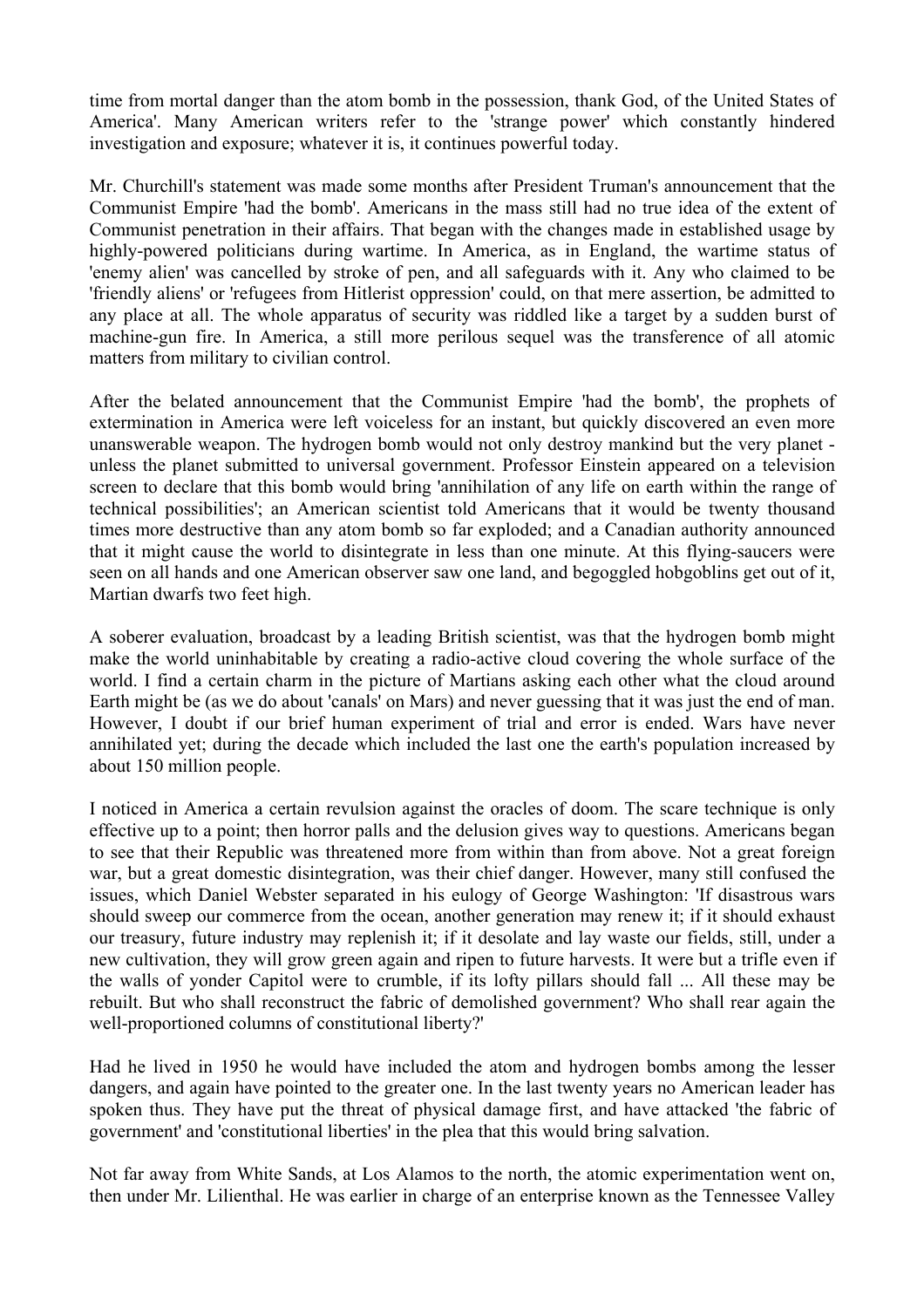time from mortal danger than the atom bomb in the possession, thank God, of the United States of America'. Many American writers refer to the 'strange power' which constantly hindered investigation and exposure; whatever it is, it continues powerful today.

Mr. Churchill's statement was made some months after President Truman's announcement that the Communist Empire 'had the bomb'. Americans in the mass still had no true idea of the extent of Communist penetration in their affairs. That began with the changes made in established usage by highly-powered politicians during wartime. In America, as in England, the wartime status of 'enemy alien' was cancelled by stroke of pen, and all safeguards with it. Any who claimed to be 'friendly aliens' or 'refugees from Hitlerist oppression' could, on that mere assertion, be admitted to any place at all. The whole apparatus of security was riddled like a target by a sudden burst of machine-gun fire. In America, a still more perilous sequel was the transference of all atomic matters from military to civilian control.

After the belated announcement that the Communist Empire 'had the bomb', the prophets of extermination in America were left voiceless for an instant, but quickly discovered an even more unanswerable weapon. The hydrogen bomb would not only destroy mankind but the very planet unless the planet submitted to universal government. Professor Einstein appeared on a television screen to declare that this bomb would bring 'annihilation of any life on earth within the range of technical possibilities'; an American scientist told Americans that it would be twenty thousand times more destructive than any atom bomb so far exploded; and a Canadian authority announced that it might cause the world to disintegrate in less than one minute. At this flying-saucers were seen on all hands and one American observer saw one land, and begoggled hobgoblins get out of it, Martian dwarfs two feet high.

A soberer evaluation, broadcast by a leading British scientist, was that the hydrogen bomb might make the world uninhabitable by creating a radio-active cloud covering the whole surface of the world. I find a certain charm in the picture of Martians asking each other what the cloud around Earth might be (as we do about 'canals' on Mars) and never guessing that it was just the end of man. However, I doubt if our brief human experiment of trial and error is ended. Wars have never annihilated yet; during the decade which included the last one the earth's population increased by about 150 million people.

I noticed in America a certain revulsion against the oracles of doom. The scare technique is only effective up to a point; then horror palls and the delusion gives way to questions. Americans began to see that their Republic was threatened more from within than from above. Not a great foreign war, but a great domestic disintegration, was their chief danger. However, many still confused the issues, which Daniel Webster separated in his eulogy of George Washington: 'If disastrous wars should sweep our commerce from the ocean, another generation may renew it; if it should exhaust our treasury, future industry may replenish it; if it desolate and lay waste our fields, still, under a new cultivation, they will grow green again and ripen to future harvests. It were but a trifle even if the walls of yonder Capitol were to crumble, if its lofty pillars should fall ... All these may be rebuilt. But who shall reconstruct the fabric of demolished government? Who shall rear again the well-proportioned columns of constitutional liberty?'

Had he lived in 1950 he would have included the atom and hydrogen bombs among the lesser dangers, and again have pointed to the greater one. In the last twenty years no American leader has spoken thus. They have put the threat of physical damage first, and have attacked 'the fabric of government' and 'constitutional liberties' in the plea that this would bring salvation.

Not far away from White Sands, at Los Alamos to the north, the atomic experimentation went on, then under Mr. Lilienthal. He was earlier in charge of an enterprise known as the Tennessee Valley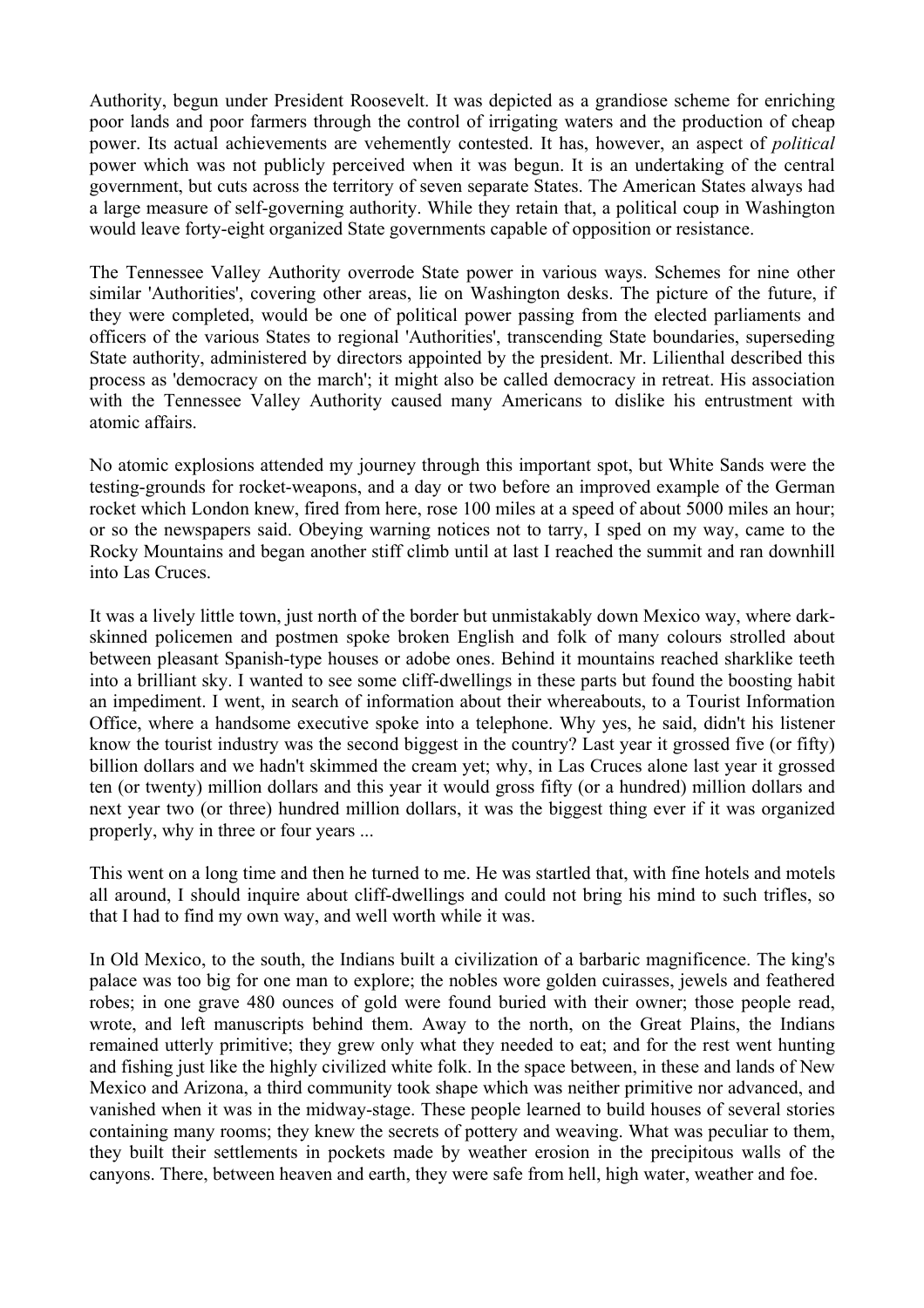Authority, begun under President Roosevelt. It was depicted as a grandiose scheme for enriching poor lands and poor farmers through the control of irrigating waters and the production of cheap power. Its actual achievements are vehemently contested. It has, however, an aspect of *political* power which was not publicly perceived when it was begun. It is an undertaking of the central government, but cuts across the territory of seven separate States. The American States always had a large measure of self-governing authority. While they retain that, a political coup in Washington would leave forty-eight organized State governments capable of opposition or resistance.

The Tennessee Valley Authority overrode State power in various ways. Schemes for nine other similar 'Authorities', covering other areas, lie on Washington desks. The picture of the future, if they were completed, would be one of political power passing from the elected parliaments and officers of the various States to regional 'Authorities', transcending State boundaries, superseding State authority, administered by directors appointed by the president. Mr. Lilienthal described this process as 'democracy on the march'; it might also be called democracy in retreat. His association with the Tennessee Valley Authority caused many Americans to dislike his entrustment with atomic affairs.

No atomic explosions attended my journey through this important spot, but White Sands were the testing-grounds for rocket-weapons, and a day or two before an improved example of the German rocket which London knew, fired from here, rose 100 miles at a speed of about 5000 miles an hour; or so the newspapers said. Obeying warning notices not to tarry, I sped on my way, came to the Rocky Mountains and began another stiff climb until at last I reached the summit and ran downhill into Las Cruces.

It was a lively little town, just north of the border but unmistakably down Mexico way, where darkskinned policemen and postmen spoke broken English and folk of many colours strolled about between pleasant Spanish-type houses or adobe ones. Behind it mountains reached sharklike teeth into a brilliant sky. I wanted to see some cliff-dwellings in these parts but found the boosting habit an impediment. I went, in search of information about their whereabouts, to a Tourist Information Office, where a handsome executive spoke into a telephone. Why yes, he said, didn't his listener know the tourist industry was the second biggest in the country? Last year it grossed five (or fifty) billion dollars and we hadn't skimmed the cream yet; why, in Las Cruces alone last year it grossed ten (or twenty) million dollars and this year it would gross fifty (or a hundred) million dollars and next year two (or three) hundred million dollars, it was the biggest thing ever if it was organized properly, why in three or four years ...

This went on a long time and then he turned to me. He was startled that, with fine hotels and motels all around, I should inquire about cliff-dwellings and could not bring his mind to such trifles, so that I had to find my own way, and well worth while it was.

In Old Mexico, to the south, the Indians built a civilization of a barbaric magnificence. The king's palace was too big for one man to explore; the nobles wore golden cuirasses, jewels and feathered robes; in one grave 480 ounces of gold were found buried with their owner; those people read, wrote, and left manuscripts behind them. Away to the north, on the Great Plains, the Indians remained utterly primitive; they grew only what they needed to eat; and for the rest went hunting and fishing just like the highly civilized white folk. In the space between, in these and lands of New Mexico and Arizona, a third community took shape which was neither primitive nor advanced, and vanished when it was in the midway-stage. These people learned to build houses of several stories containing many rooms; they knew the secrets of pottery and weaving. What was peculiar to them, they built their settlements in pockets made by weather erosion in the precipitous walls of the canyons. There, between heaven and earth, they were safe from hell, high water, weather and foe.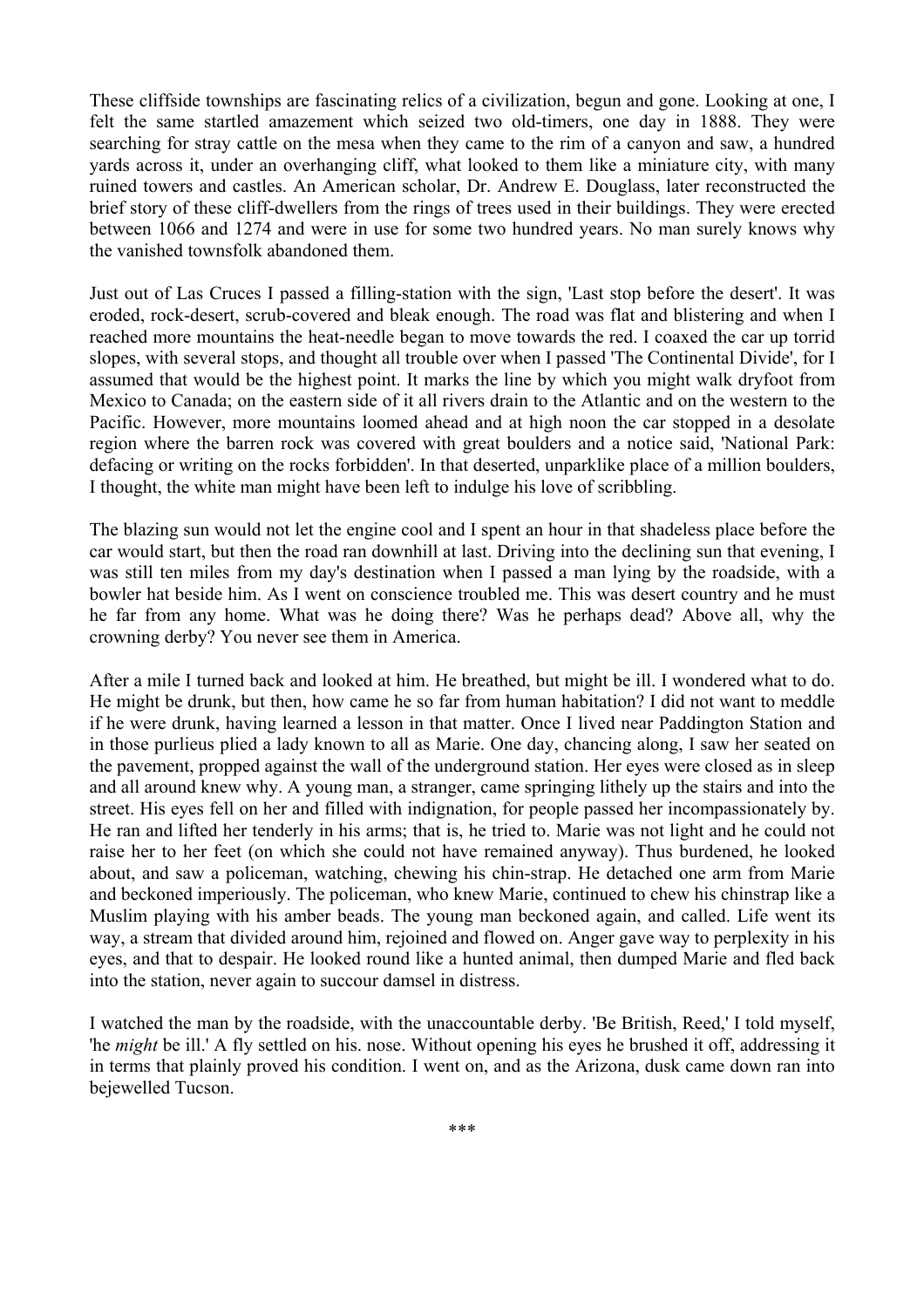These cliffside townships are fascinating relics of a civilization, begun and gone. Looking at one, I felt the same startled amazement which seized two old-timers, one day in 1888. They were searching for stray cattle on the mesa when they came to the rim of a canyon and saw, a hundred yards across it, under an overhanging cliff, what looked to them like a miniature city, with many ruined towers and castles. An American scholar, Dr. Andrew E. Douglass, later reconstructed the brief story of these cliff-dwellers from the rings of trees used in their buildings. They were erected between 1066 and 1274 and were in use for some two hundred years. No man surely knows why the vanished townsfolk abandoned them.

Just out of Las Cruces I passed a filling-station with the sign, 'Last stop before the desert'. It was eroded, rock-desert, scrub-covered and bleak enough. The road was flat and blistering and when I reached more mountains the heat-needle began to move towards the red. I coaxed the car up torrid slopes, with several stops, and thought all trouble over when I passed 'The Continental Divide', for I assumed that would be the highest point. It marks the line by which you might walk dryfoot from Mexico to Canada; on the eastern side of it all rivers drain to the Atlantic and on the western to the Pacific. However, more mountains loomed ahead and at high noon the car stopped in a desolate region where the barren rock was covered with great boulders and a notice said, 'National Park: defacing or writing on the rocks forbidden'. In that deserted, unparklike place of a million boulders, I thought, the white man might have been left to indulge his love of scribbling.

The blazing sun would not let the engine cool and I spent an hour in that shadeless place before the car would start, but then the road ran downhill at last. Driving into the declining sun that evening, I was still ten miles from my day's destination when I passed a man lying by the roadside, with a bowler hat beside him. As I went on conscience troubled me. This was desert country and he must he far from any home. What was he doing there? Was he perhaps dead? Above all, why the crowning derby? You never see them in America.

After a mile I turned back and looked at him. He breathed, but might be ill. I wondered what to do. He might be drunk, but then, how came he so far from human habitation? I did not want to meddle if he were drunk, having learned a lesson in that matter. Once I lived near Paddington Station and in those purlieus plied a lady known to all as Marie. One day, chancing along, I saw her seated on the pavement, propped against the wall of the underground station. Her eyes were closed as in sleep and all around knew why. A young man, a stranger, came springing lithely up the stairs and into the street. His eyes fell on her and filled with indignation, for people passed her incompassionately by. He ran and lifted her tenderly in his arms; that is, he tried to. Marie was not light and he could not raise her to her feet (on which she could not have remained anyway). Thus burdened, he looked about, and saw a policeman, watching, chewing his chin-strap. He detached one arm from Marie and beckoned imperiously. The policeman, who knew Marie, continued to chew his chinstrap like a Muslim playing with his amber beads. The young man beckoned again, and called. Life went its way, a stream that divided around him, rejoined and flowed on. Anger gave way to perplexity in his eyes, and that to despair. He looked round like a hunted animal, then dumped Marie and fled back into the station, never again to succour damsel in distress.

I watched the man by the roadside, with the unaccountable derby. 'Be British, Reed,' I told myself, 'he *might* be ill.' A fly settled on his. nose. Without opening his eyes he brushed it off, addressing it in terms that plainly proved his condition. I went on, and as the Arizona, dusk came down ran into bejewelled Tucson.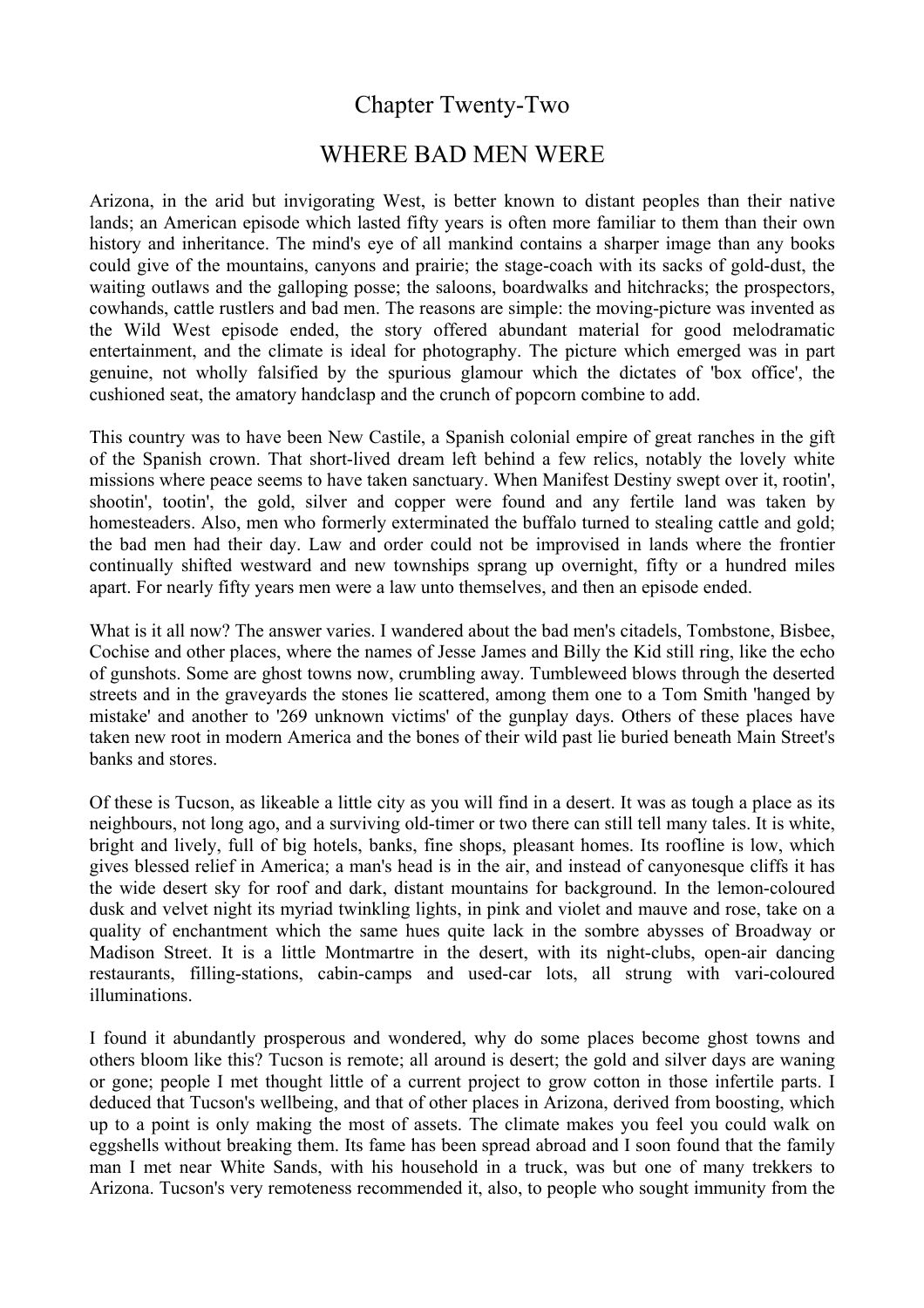# Chapter Twenty-Two

#### WHERE BAD MEN WERE

Arizona, in the arid but invigorating West, is better known to distant peoples than their native lands; an American episode which lasted fifty years is often more familiar to them than their own history and inheritance. The mind's eye of all mankind contains a sharper image than any books could give of the mountains, canyons and prairie; the stage-coach with its sacks of gold-dust, the waiting outlaws and the galloping posse; the saloons, boardwalks and hitchracks; the prospectors, cowhands, cattle rustlers and bad men. The reasons are simple: the moving-picture was invented as the Wild West episode ended, the story offered abundant material for good melodramatic entertainment, and the climate is ideal for photography. The picture which emerged was in part genuine, not wholly falsified by the spurious glamour which the dictates of 'box office', the cushioned seat, the amatory handclasp and the crunch of popcorn combine to add.

This country was to have been New Castile, a Spanish colonial empire of great ranches in the gift of the Spanish crown. That short-lived dream left behind a few relics, notably the lovely white missions where peace seems to have taken sanctuary. When Manifest Destiny swept over it, rootin', shootin', tootin', the gold, silver and copper were found and any fertile land was taken by homesteaders. Also, men who formerly exterminated the buffalo turned to stealing cattle and gold; the bad men had their day. Law and order could not be improvised in lands where the frontier continually shifted westward and new townships sprang up overnight, fifty or a hundred miles apart. For nearly fifty years men were a law unto themselves, and then an episode ended.

What is it all now? The answer varies. I wandered about the bad men's citadels, Tombstone, Bisbee, Cochise and other places, where the names of Jesse James and Billy the Kid still ring, like the echo of gunshots. Some are ghost towns now, crumbling away. Tumbleweed blows through the deserted streets and in the graveyards the stones lie scattered, among them one to a Tom Smith 'hanged by mistake' and another to '269 unknown victims' of the gunplay days. Others of these places have taken new root in modern America and the bones of their wild past lie buried beneath Main Street's banks and stores.

Of these is Tucson, as likeable a little city as you will find in a desert. It was as tough a place as its neighbours, not long ago, and a surviving old-timer or two there can still tell many tales. It is white, bright and lively, full of big hotels, banks, fine shops, pleasant homes. Its roofline is low, which gives blessed relief in America; a man's head is in the air, and instead of canyonesque cliffs it has the wide desert sky for roof and dark, distant mountains for background. In the lemon-coloured dusk and velvet night its myriad twinkling lights, in pink and violet and mauve and rose, take on a quality of enchantment which the same hues quite lack in the sombre abysses of Broadway or Madison Street. It is a little Montmartre in the desert, with its night-clubs, open-air dancing restaurants, filling-stations, cabin-camps and used-car lots, all strung with vari-coloured illuminations.

I found it abundantly prosperous and wondered, why do some places become ghost towns and others bloom like this? Tucson is remote; all around is desert; the gold and silver days are waning or gone; people I met thought little of a current project to grow cotton in those infertile parts. I deduced that Tucson's wellbeing, and that of other places in Arizona, derived from boosting, which up to a point is only making the most of assets. The climate makes you feel you could walk on eggshells without breaking them. Its fame has been spread abroad and I soon found that the family man I met near White Sands, with his household in a truck, was but one of many trekkers to Arizona. Tucson's very remoteness recommended it, also, to people who sought immunity from the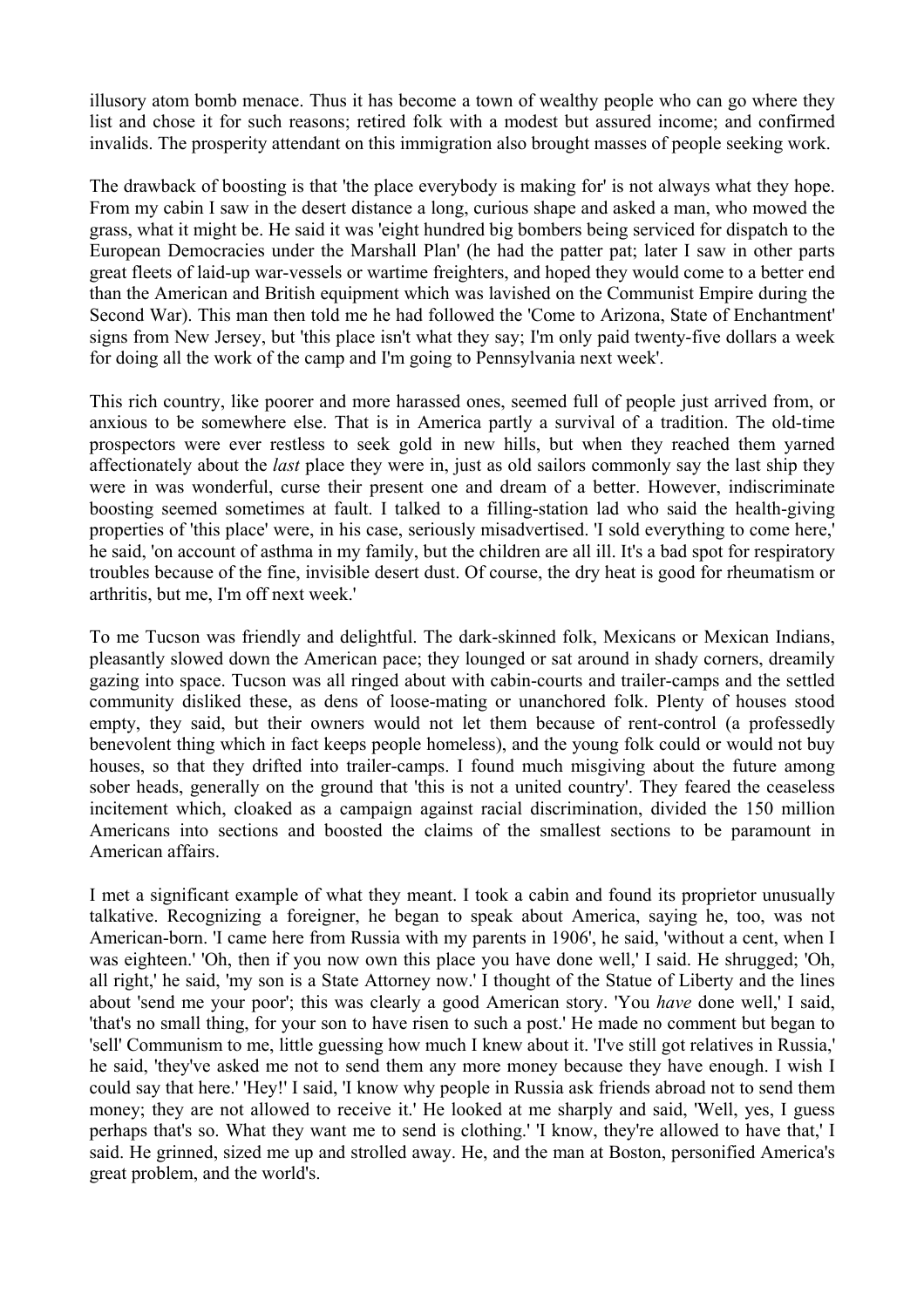illusory atom bomb menace. Thus it has become a town of wealthy people who can go where they list and chose it for such reasons; retired folk with a modest but assured income; and confirmed invalids. The prosperity attendant on this immigration also brought masses of people seeking work.

The drawback of boosting is that 'the place everybody is making for' is not always what they hope. From my cabin I saw in the desert distance a long, curious shape and asked a man, who mowed the grass, what it might be. He said it was 'eight hundred big bombers being serviced for dispatch to the European Democracies under the Marshall Plan' (he had the patter pat; later I saw in other parts great fleets of laid-up war-vessels or wartime freighters, and hoped they would come to a better end than the American and British equipment which was lavished on the Communist Empire during the Second War). This man then told me he had followed the 'Come to Arizona, State of Enchantment' signs from New Jersey, but 'this place isn't what they say; I'm only paid twenty-five dollars a week for doing all the work of the camp and I'm going to Pennsylvania next week'.

This rich country, like poorer and more harassed ones, seemed full of people just arrived from, or anxious to be somewhere else. That is in America partly a survival of a tradition. The old-time prospectors were ever restless to seek gold in new hills, but when they reached them yarned affectionately about the *last* place they were in, just as old sailors commonly say the last ship they were in was wonderful, curse their present one and dream of a better. However, indiscriminate boosting seemed sometimes at fault. I talked to a filling-station lad who said the health-giving properties of 'this place' were, in his case, seriously misadvertised. 'I sold everything to come here,' he said, 'on account of asthma in my family, but the children are all ill. It's a bad spot for respiratory troubles because of the fine, invisible desert dust. Of course, the dry heat is good for rheumatism or arthritis, but me, I'm off next week.'

To me Tucson was friendly and delightful. The dark-skinned folk, Mexicans or Mexican Indians, pleasantly slowed down the American pace; they lounged or sat around in shady corners, dreamily gazing into space. Tucson was all ringed about with cabin-courts and trailer-camps and the settled community disliked these, as dens of loose-mating or unanchored folk. Plenty of houses stood empty, they said, but their owners would not let them because of rent-control (a professedly benevolent thing which in fact keeps people homeless), and the young folk could or would not buy houses, so that they drifted into trailer-camps. I found much misgiving about the future among sober heads, generally on the ground that 'this is not a united country'. They feared the ceaseless incitement which, cloaked as a campaign against racial discrimination, divided the 150 million Americans into sections and boosted the claims of the smallest sections to be paramount in American affairs.

I met a significant example of what they meant. I took a cabin and found its proprietor unusually talkative. Recognizing a foreigner, he began to speak about America, saying he, too, was not American-born. 'I came here from Russia with my parents in 1906', he said, 'without a cent, when I was eighteen.' 'Oh, then if you now own this place you have done well,' I said. He shrugged; 'Oh, all right,' he said, 'my son is a State Attorney now.' I thought of the Statue of Liberty and the lines about 'send me your poor'; this was clearly a good American story. 'You *have* done well,' I said, 'that's no small thing, for your son to have risen to such a post.' He made no comment but began to 'sell' Communism to me, little guessing how much I knew about it. 'I've still got relatives in Russia,' he said, 'they've asked me not to send them any more money because they have enough. I wish I could say that here.' 'Hey!' I said, 'I know why people in Russia ask friends abroad not to send them money; they are not allowed to receive it.' He looked at me sharply and said, 'Well, yes, I guess perhaps that's so. What they want me to send is clothing.' 'I know, they're allowed to have that,' I said. He grinned, sized me up and strolled away. He, and the man at Boston, personified America's great problem, and the world's.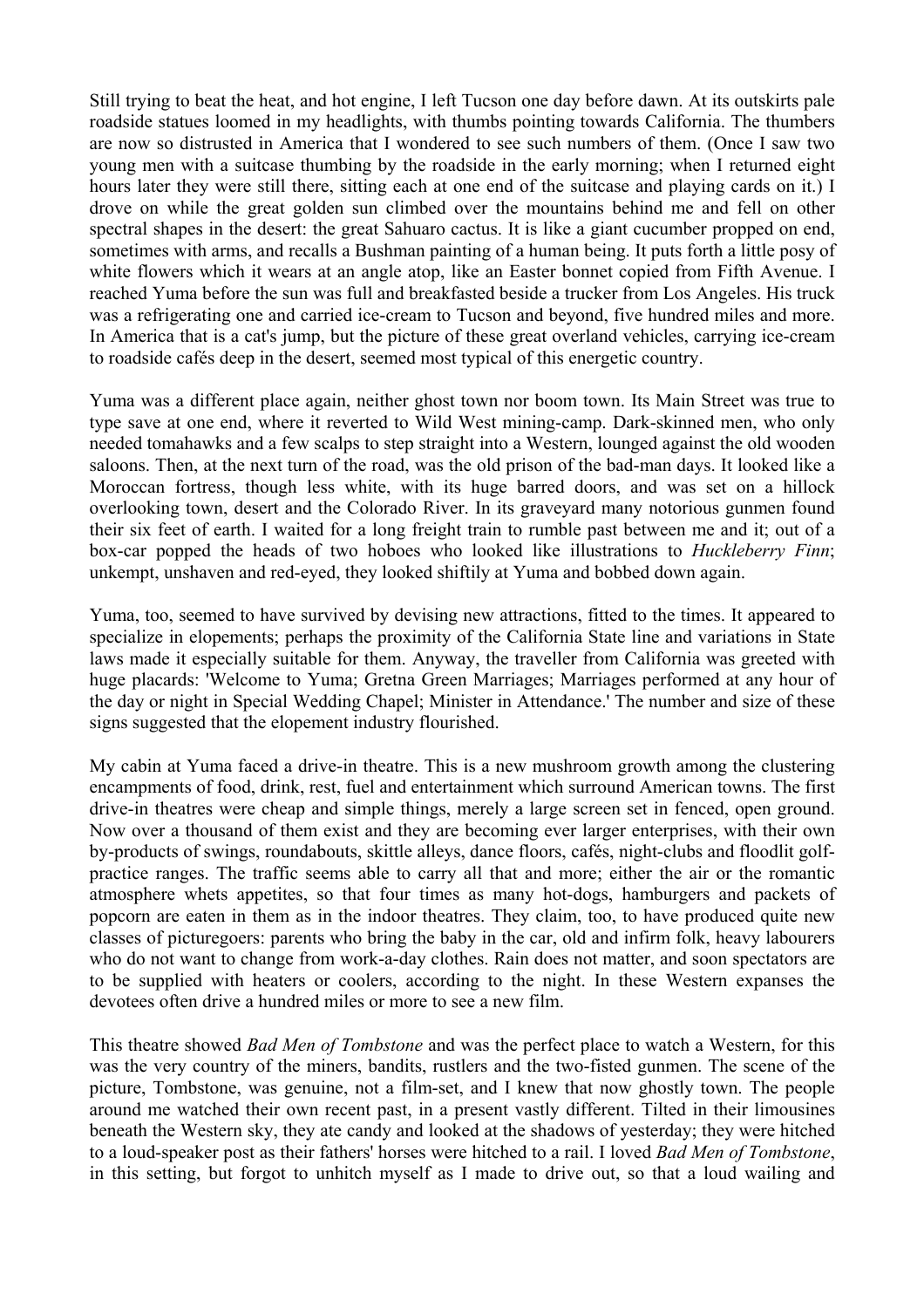Still trying to beat the heat, and hot engine, I left Tucson one day before dawn. At its outskirts pale roadside statues loomed in my headlights, with thumbs pointing towards California. The thumbers are now so distrusted in America that I wondered to see such numbers of them. (Once I saw two young men with a suitcase thumbing by the roadside in the early morning; when I returned eight hours later they were still there, sitting each at one end of the suitcase and playing cards on it.) I drove on while the great golden sun climbed over the mountains behind me and fell on other spectral shapes in the desert: the great Sahuaro cactus. It is like a giant cucumber propped on end, sometimes with arms, and recalls a Bushman painting of a human being. It puts forth a little posy of white flowers which it wears at an angle atop, like an Easter bonnet copied from Fifth Avenue. I reached Yuma before the sun was full and breakfasted beside a trucker from Los Angeles. His truck was a refrigerating one and carried ice-cream to Tucson and beyond, five hundred miles and more. In America that is a cat's jump, but the picture of these great overland vehicles, carrying ice-cream to roadside cafés deep in the desert, seemed most typical of this energetic country.

Yuma was a different place again, neither ghost town nor boom town. Its Main Street was true to type save at one end, where it reverted to Wild West mining-camp. Dark-skinned men, who only needed tomahawks and a few scalps to step straight into a Western, lounged against the old wooden saloons. Then, at the next turn of the road, was the old prison of the bad-man days. It looked like a Moroccan fortress, though less white, with its huge barred doors, and was set on a hillock overlooking town, desert and the Colorado River. In its graveyard many notorious gunmen found their six feet of earth. I waited for a long freight train to rumble past between me and it; out of a box-car popped the heads of two hoboes who looked like illustrations to *Huckleberry Finn*; unkempt, unshaven and red-eyed, they looked shiftily at Yuma and bobbed down again.

Yuma, too, seemed to have survived by devising new attractions, fitted to the times. It appeared to specialize in elopements; perhaps the proximity of the California State line and variations in State laws made it especially suitable for them. Anyway, the traveller from California was greeted with huge placards: 'Welcome to Yuma; Gretna Green Marriages; Marriages performed at any hour of the day or night in Special Wedding Chapel; Minister in Attendance.' The number and size of these signs suggested that the elopement industry flourished.

My cabin at Yuma faced a drive-in theatre. This is a new mushroom growth among the clustering encampments of food, drink, rest, fuel and entertainment which surround American towns. The first drive-in theatres were cheap and simple things, merely a large screen set in fenced, open ground. Now over a thousand of them exist and they are becoming ever larger enterprises, with their own by-products of swings, roundabouts, skittle alleys, dance floors, cafés, night-clubs and floodlit golfpractice ranges. The traffic seems able to carry all that and more; either the air or the romantic atmosphere whets appetites, so that four times as many hot-dogs, hamburgers and packets of popcorn are eaten in them as in the indoor theatres. They claim, too, to have produced quite new classes of picturegoers: parents who bring the baby in the car, old and infirm folk, heavy labourers who do not want to change from work-a-day clothes. Rain does not matter, and soon spectators are to be supplied with heaters or coolers, according to the night. In these Western expanses the devotees often drive a hundred miles or more to see a new film.

This theatre showed *Bad Men of Tombstone* and was the perfect place to watch a Western, for this was the very country of the miners, bandits, rustlers and the two-fisted gunmen. The scene of the picture, Tombstone, was genuine, not a film-set, and I knew that now ghostly town. The people around me watched their own recent past, in a present vastly different. Tilted in their limousines beneath the Western sky, they ate candy and looked at the shadows of yesterday; they were hitched to a loud-speaker post as their fathers' horses were hitched to a rail. I loved *Bad Men of Tombstone*, in this setting, but forgot to unhitch myself as I made to drive out, so that a loud wailing and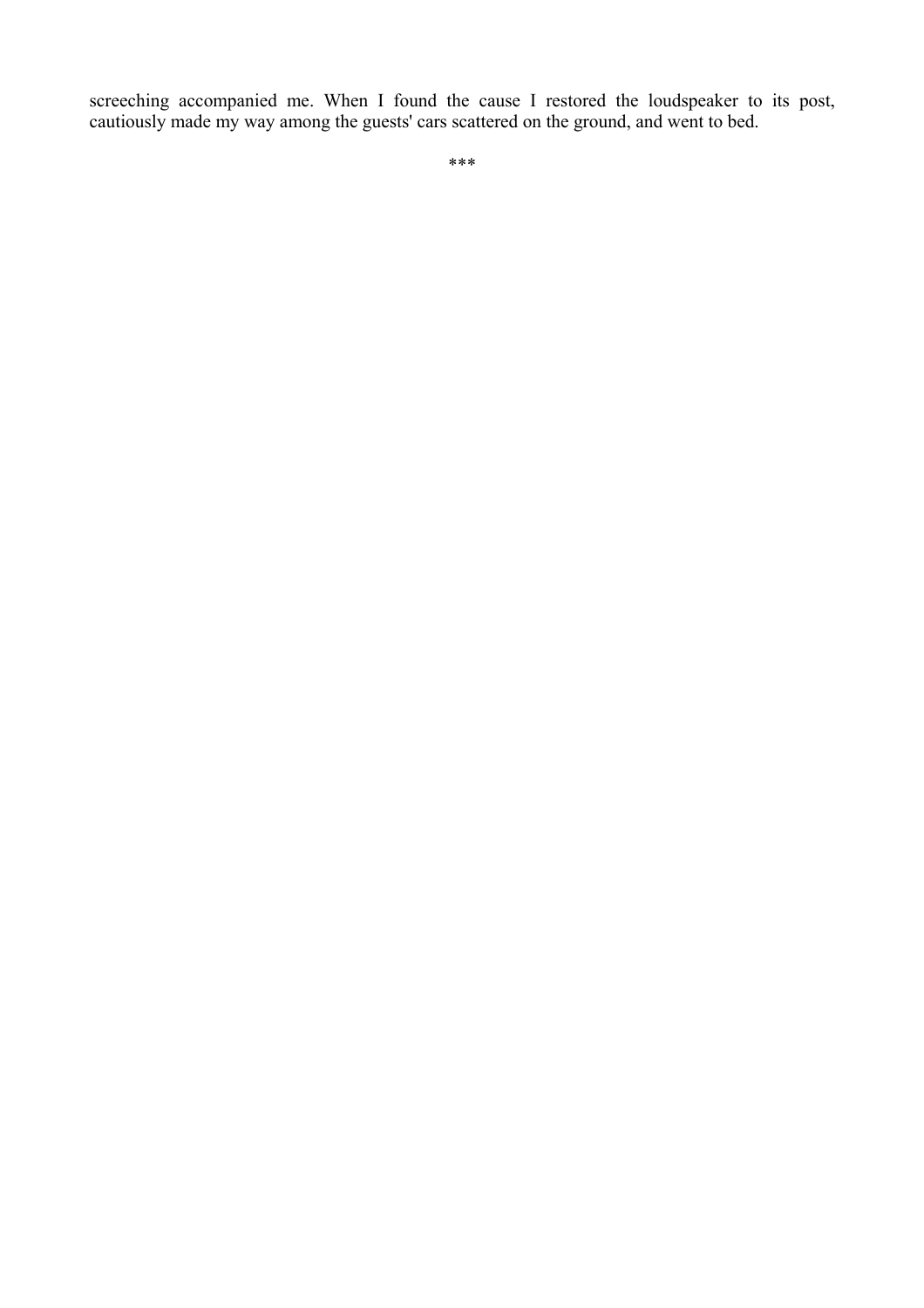screeching accompanied me. When I found the cause I restored the loudspeaker to its post, cautiously made my way among the guests' cars scattered on the ground, and went to bed.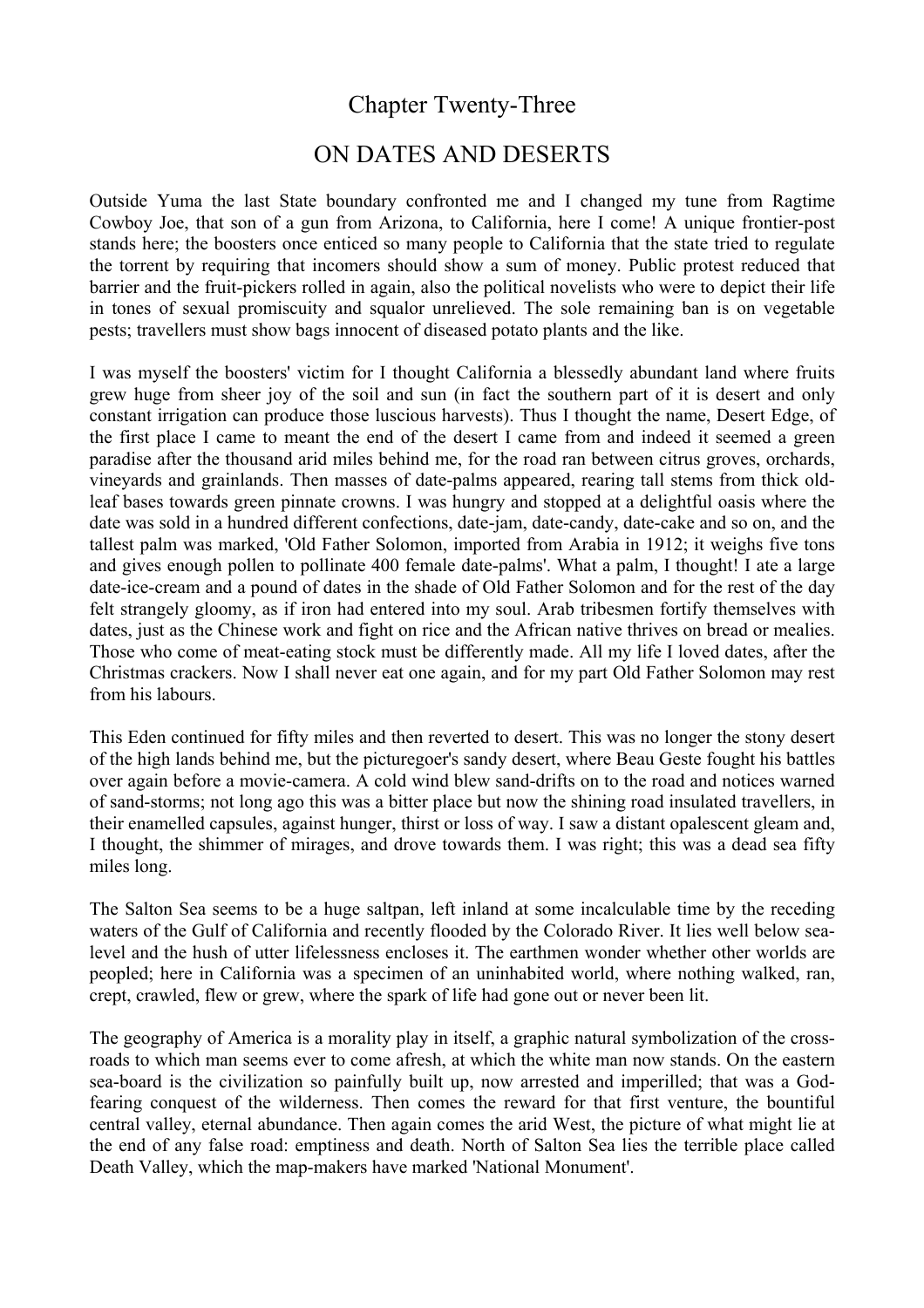# Chapter Twenty-Three

## ON DATES AND DESERTS

Outside Yuma the last State boundary confronted me and I changed my tune from Ragtime Cowboy Joe, that son of a gun from Arizona, to California, here I come! A unique frontier-post stands here; the boosters once enticed so many people to California that the state tried to regulate the torrent by requiring that incomers should show a sum of money. Public protest reduced that barrier and the fruit-pickers rolled in again, also the political novelists who were to depict their life in tones of sexual promiscuity and squalor unrelieved. The sole remaining ban is on vegetable pests; travellers must show bags innocent of diseased potato plants and the like.

I was myself the boosters' victim for I thought California a blessedly abundant land where fruits grew huge from sheer joy of the soil and sun (in fact the southern part of it is desert and only constant irrigation can produce those luscious harvests). Thus I thought the name, Desert Edge, of the first place I came to meant the end of the desert I came from and indeed it seemed a green paradise after the thousand arid miles behind me, for the road ran between citrus groves, orchards, vineyards and grainlands. Then masses of date-palms appeared, rearing tall stems from thick oldleaf bases towards green pinnate crowns. I was hungry and stopped at a delightful oasis where the date was sold in a hundred different confections, date-jam, date-candy, date-cake and so on, and the tallest palm was marked, 'Old Father Solomon, imported from Arabia in 1912; it weighs five tons and gives enough pollen to pollinate 400 female date-palms'. What a palm, I thought! I ate a large date-ice-cream and a pound of dates in the shade of Old Father Solomon and for the rest of the day felt strangely gloomy, as if iron had entered into my soul. Arab tribesmen fortify themselves with dates, just as the Chinese work and fight on rice and the African native thrives on bread or mealies. Those who come of meat-eating stock must be differently made. All my life I loved dates, after the Christmas crackers. Now I shall never eat one again, and for my part Old Father Solomon may rest from his labours.

This Eden continued for fifty miles and then reverted to desert. This was no longer the stony desert of the high lands behind me, but the picturegoer's sandy desert, where Beau Geste fought his battles over again before a movie-camera. A cold wind blew sand-drifts on to the road and notices warned of sand-storms; not long ago this was a bitter place but now the shining road insulated travellers, in their enamelled capsules, against hunger, thirst or loss of way. I saw a distant opalescent gleam and, I thought, the shimmer of mirages, and drove towards them. I was right; this was a dead sea fifty miles long.

The Salton Sea seems to be a huge saltpan, left inland at some incalculable time by the receding waters of the Gulf of California and recently flooded by the Colorado River. It lies well below sealevel and the hush of utter lifelessness encloses it. The earthmen wonder whether other worlds are peopled; here in California was a specimen of an uninhabited world, where nothing walked, ran, crept, crawled, flew or grew, where the spark of life had gone out or never been lit.

The geography of America is a morality play in itself, a graphic natural symbolization of the crossroads to which man seems ever to come afresh, at which the white man now stands. On the eastern sea-board is the civilization so painfully built up, now arrested and imperilled; that was a Godfearing conquest of the wilderness. Then comes the reward for that first venture, the bountiful central valley, eternal abundance. Then again comes the arid West, the picture of what might lie at the end of any false road: emptiness and death. North of Salton Sea lies the terrible place called Death Valley, which the map-makers have marked 'National Monument'.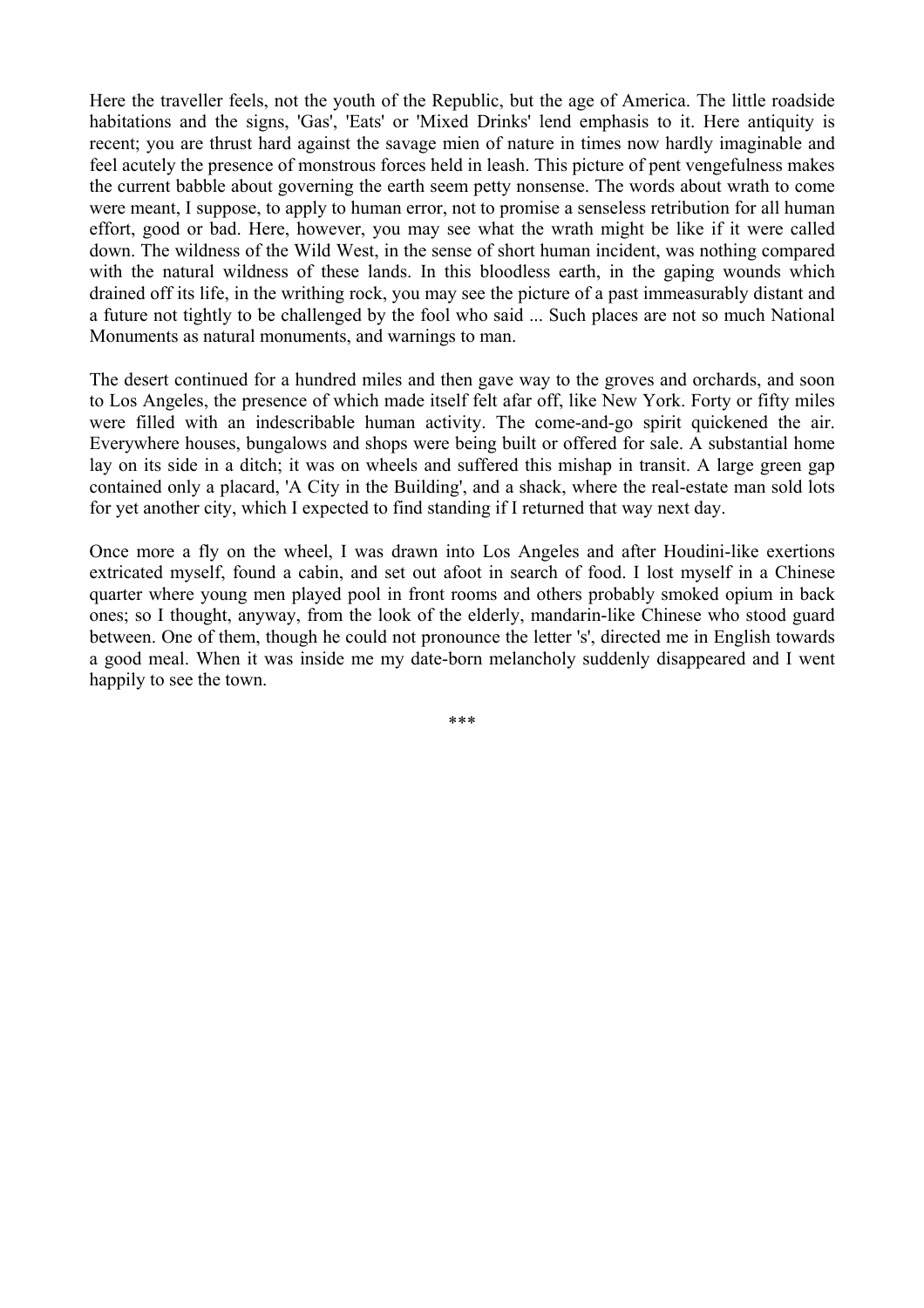Here the traveller feels, not the youth of the Republic, but the age of America. The little roadside habitations and the signs, 'Gas', 'Eats' or 'Mixed Drinks' lend emphasis to it. Here antiquity is recent; you are thrust hard against the savage mien of nature in times now hardly imaginable and feel acutely the presence of monstrous forces held in leash. This picture of pent vengefulness makes the current babble about governing the earth seem petty nonsense. The words about wrath to come were meant, I suppose, to apply to human error, not to promise a senseless retribution for all human effort, good or bad. Here, however, you may see what the wrath might be like if it were called down. The wildness of the Wild West, in the sense of short human incident, was nothing compared with the natural wildness of these lands. In this bloodless earth, in the gaping wounds which drained off its life, in the writhing rock, you may see the picture of a past immeasurably distant and a future not tightly to be challenged by the fool who said ... Such places are not so much National Monuments as natural monuments, and warnings to man.

The desert continued for a hundred miles and then gave way to the groves and orchards, and soon to Los Angeles, the presence of which made itself felt afar off, like New York. Forty or fifty miles were filled with an indescribable human activity. The come-and-go spirit quickened the air. Everywhere houses, bungalows and shops were being built or offered for sale. A substantial home lay on its side in a ditch; it was on wheels and suffered this mishap in transit. A large green gap contained only a placard, 'A City in the Building', and a shack, where the real-estate man sold lots for yet another city, which I expected to find standing if I returned that way next day.

Once more a fly on the wheel, I was drawn into Los Angeles and after Houdini-like exertions extricated myself, found a cabin, and set out afoot in search of food. I lost myself in a Chinese quarter where young men played pool in front rooms and others probably smoked opium in back ones; so I thought, anyway, from the look of the elderly, mandarin-like Chinese who stood guard between. One of them, though he could not pronounce the letter 's', directed me in English towards a good meal. When it was inside me my date-born melancholy suddenly disappeared and I went happily to see the town.

\*\*\*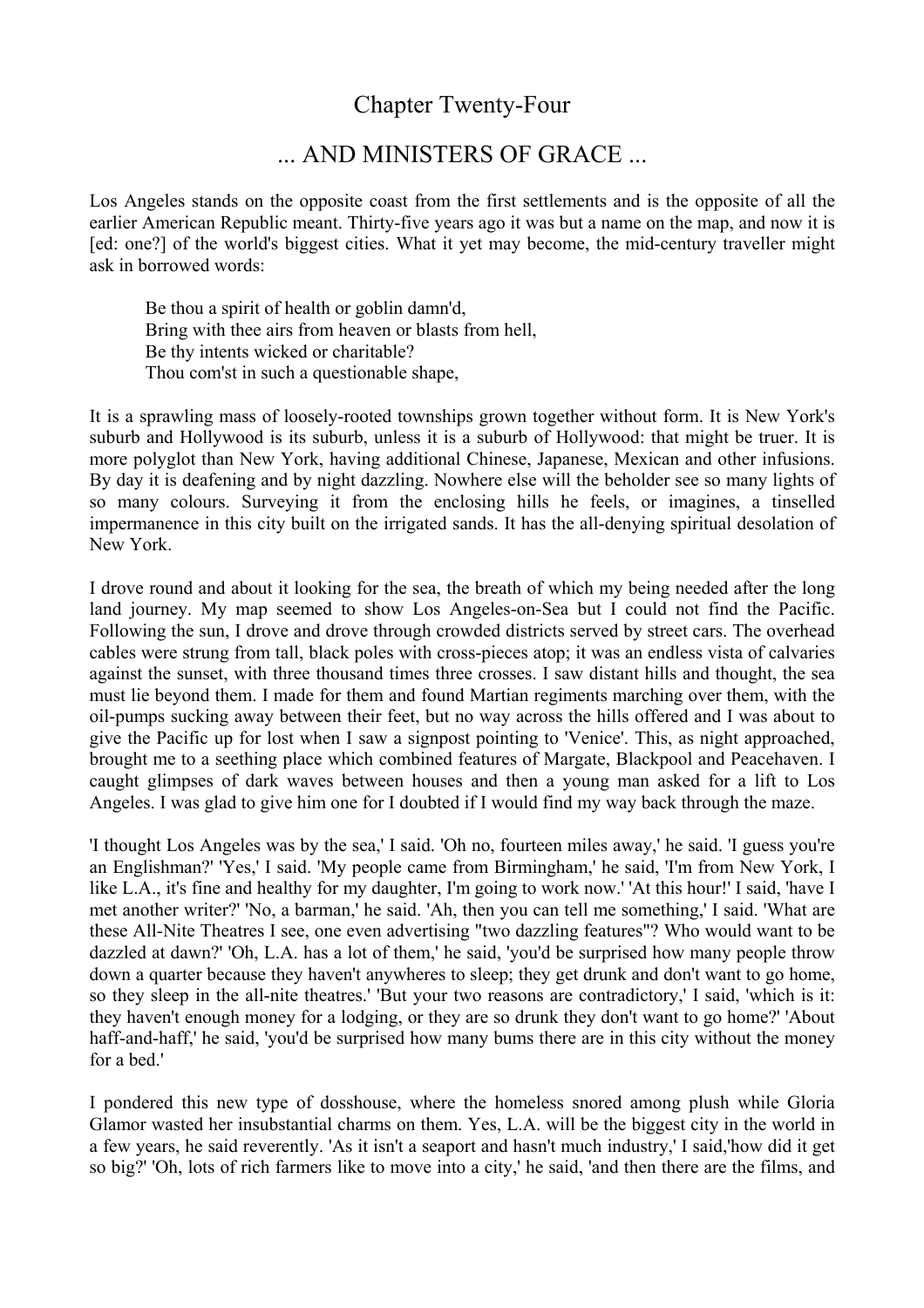# Chapter Twenty-Four

### ... AND MINISTERS OF GRACE ...

Los Angeles stands on the opposite coast from the first settlements and is the opposite of all the earlier American Republic meant. Thirty-five years ago it was but a name on the map, and now it is [ed: one?] of the world's biggest cities. What it yet may become, the mid-century traveller might ask in borrowed words:

Be thou a spirit of health or goblin damn'd, Bring with thee airs from heaven or blasts from hell, Be thy intents wicked or charitable? Thou com'st in such a questionable shape,

It is a sprawling mass of loosely-rooted townships grown together without form. It is New York's suburb and Hollywood is its suburb, unless it is a suburb of Hollywood: that might be truer. It is more polyglot than New York, having additional Chinese, Japanese, Mexican and other infusions. By day it is deafening and by night dazzling. Nowhere else will the beholder see so many lights of so many colours. Surveying it from the enclosing hills he feels, or imagines, a tinselled impermanence in this city built on the irrigated sands. It has the all-denying spiritual desolation of New York.

I drove round and about it looking for the sea, the breath of which my being needed after the long land journey. My map seemed to show Los Angeles-on-Sea but I could not find the Pacific. Following the sun, I drove and drove through crowded districts served by street cars. The overhead cables were strung from tall, black poles with cross-pieces atop; it was an endless vista of calvaries against the sunset, with three thousand times three crosses. I saw distant hills and thought, the sea must lie beyond them. I made for them and found Martian regiments marching over them, with the oil-pumps sucking away between their feet, but no way across the hills offered and I was about to give the Pacific up for lost when I saw a signpost pointing to 'Venice'. This, as night approached, brought me to a seething place which combined features of Margate, Blackpool and Peacehaven. I caught glimpses of dark waves between houses and then a young man asked for a lift to Los Angeles. I was glad to give him one for I doubted if I would find my way back through the maze.

'I thought Los Angeles was by the sea,' I said. 'Oh no, fourteen miles away,' he said. 'I guess you're an Englishman?' 'Yes,' I said. 'My people came from Birmingham,' he said, 'I'm from New York, I like L.A., it's fine and healthy for my daughter, I'm going to work now.' 'At this hour!' I said, 'have I met another writer?' 'No, a barman,' he said. 'Ah, then you can tell me something,' I said. 'What are these All-Nite Theatres I see, one even advertising "two dazzling features"? Who would want to be dazzled at dawn?' 'Oh, L.A. has a lot of them,' he said, 'you'd be surprised how many people throw down a quarter because they haven't anywheres to sleep; they get drunk and don't want to go home, so they sleep in the all-nite theatres.' 'But your two reasons are contradictory,' I said, 'which is it: they haven't enough money for a lodging, or they are so drunk they don't want to go home?' 'About haff-and-haff,' he said, 'you'd be surprised how many bums there are in this city without the money for a bed.'

I pondered this new type of dosshouse, where the homeless snored among plush while Gloria Glamor wasted her insubstantial charms on them. Yes, L.A. will be the biggest city in the world in a few years, he said reverently. 'As it isn't a seaport and hasn't much industry,' I said,'how did it get so big?' 'Oh, lots of rich farmers like to move into a city,' he said, 'and then there are the films, and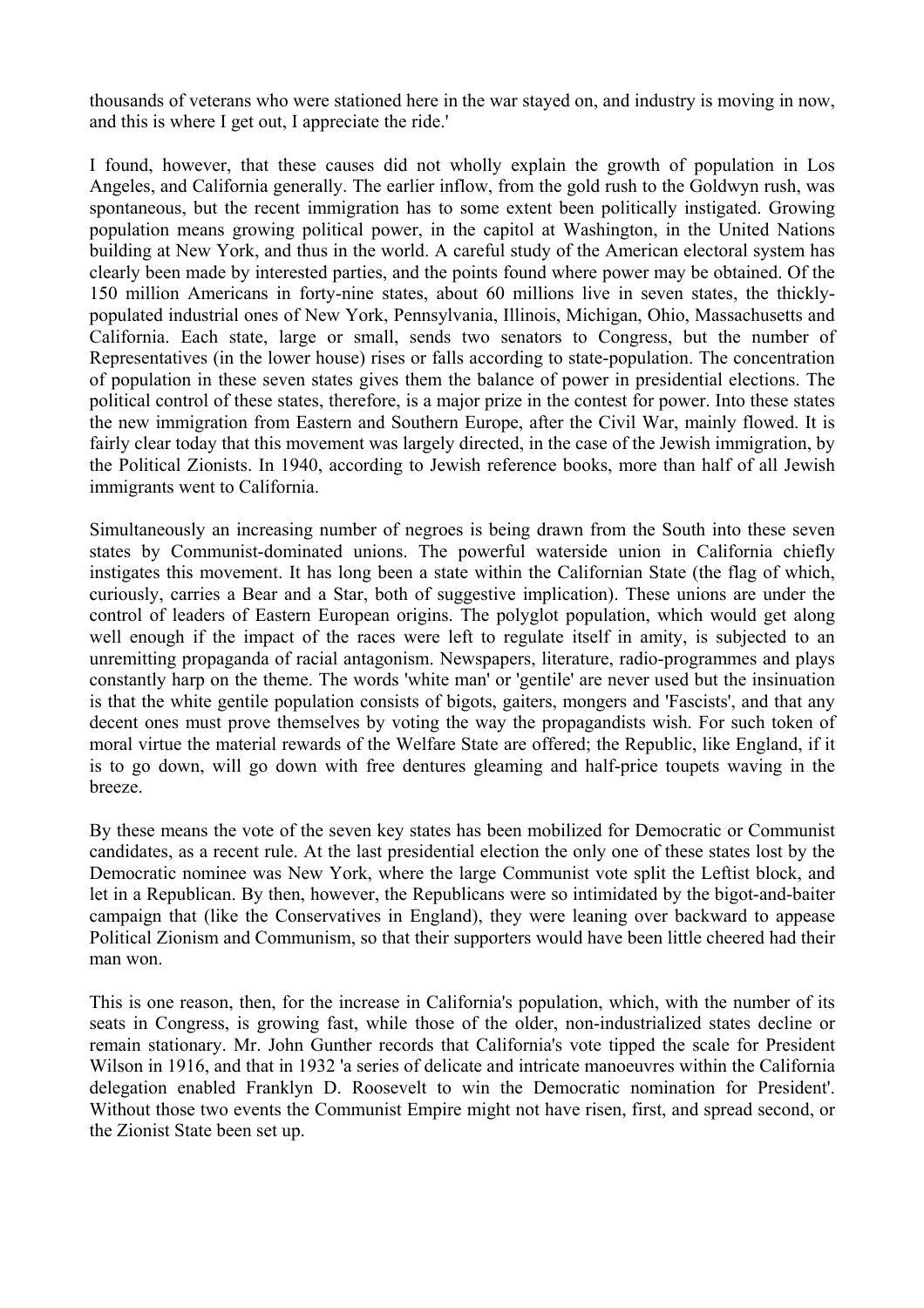thousands of veterans who were stationed here in the war stayed on, and industry is moving in now, and this is where I get out, I appreciate the ride.'

I found, however, that these causes did not wholly explain the growth of population in Los Angeles, and California generally. The earlier inflow, from the gold rush to the Goldwyn rush, was spontaneous, but the recent immigration has to some extent been politically instigated. Growing population means growing political power, in the capitol at Washington, in the United Nations building at New York, and thus in the world. A careful study of the American electoral system has clearly been made by interested parties, and the points found where power may be obtained. Of the 150 million Americans in forty-nine states, about 60 millions live in seven states, the thicklypopulated industrial ones of New York, Pennsylvania, Illinois, Michigan, Ohio, Massachusetts and California. Each state, large or small, sends two senators to Congress, but the number of Representatives (in the lower house) rises or falls according to state-population. The concentration of population in these seven states gives them the balance of power in presidential elections. The political control of these states, therefore, is a major prize in the contest for power. Into these states the new immigration from Eastern and Southern Europe, after the Civil War, mainly flowed. It is fairly clear today that this movement was largely directed, in the case of the Jewish immigration, by the Political Zionists. In 1940, according to Jewish reference books, more than half of all Jewish immigrants went to California.

Simultaneously an increasing number of negroes is being drawn from the South into these seven states by Communist-dominated unions. The powerful waterside union in California chiefly instigates this movement. It has long been a state within the Californian State (the flag of which, curiously, carries a Bear and a Star, both of suggestive implication). These unions are under the control of leaders of Eastern European origins. The polyglot population, which would get along well enough if the impact of the races were left to regulate itself in amity, is subjected to an unremitting propaganda of racial antagonism. Newspapers, literature, radio-programmes and plays constantly harp on the theme. The words 'white man' or 'gentile' are never used but the insinuation is that the white gentile population consists of bigots, gaiters, mongers and 'Fascists', and that any decent ones must prove themselves by voting the way the propagandists wish. For such token of moral virtue the material rewards of the Welfare State are offered; the Republic, like England, if it is to go down, will go down with free dentures gleaming and half-price toupets waving in the breeze.

By these means the vote of the seven key states has been mobilized for Democratic or Communist candidates, as a recent rule. At the last presidential election the only one of these states lost by the Democratic nominee was New York, where the large Communist vote split the Leftist block, and let in a Republican. By then, however, the Republicans were so intimidated by the bigot-and-baiter campaign that (like the Conservatives in England), they were leaning over backward to appease Political Zionism and Communism, so that their supporters would have been little cheered had their man won.

This is one reason, then, for the increase in California's population, which, with the number of its seats in Congress, is growing fast, while those of the older, non-industrialized states decline or remain stationary. Mr. John Gunther records that California's vote tipped the scale for President Wilson in 1916, and that in 1932 'a series of delicate and intricate manoeuvres within the California delegation enabled Franklyn D. Roosevelt to win the Democratic nomination for President'. Without those two events the Communist Empire might not have risen, first, and spread second, or the Zionist State been set up.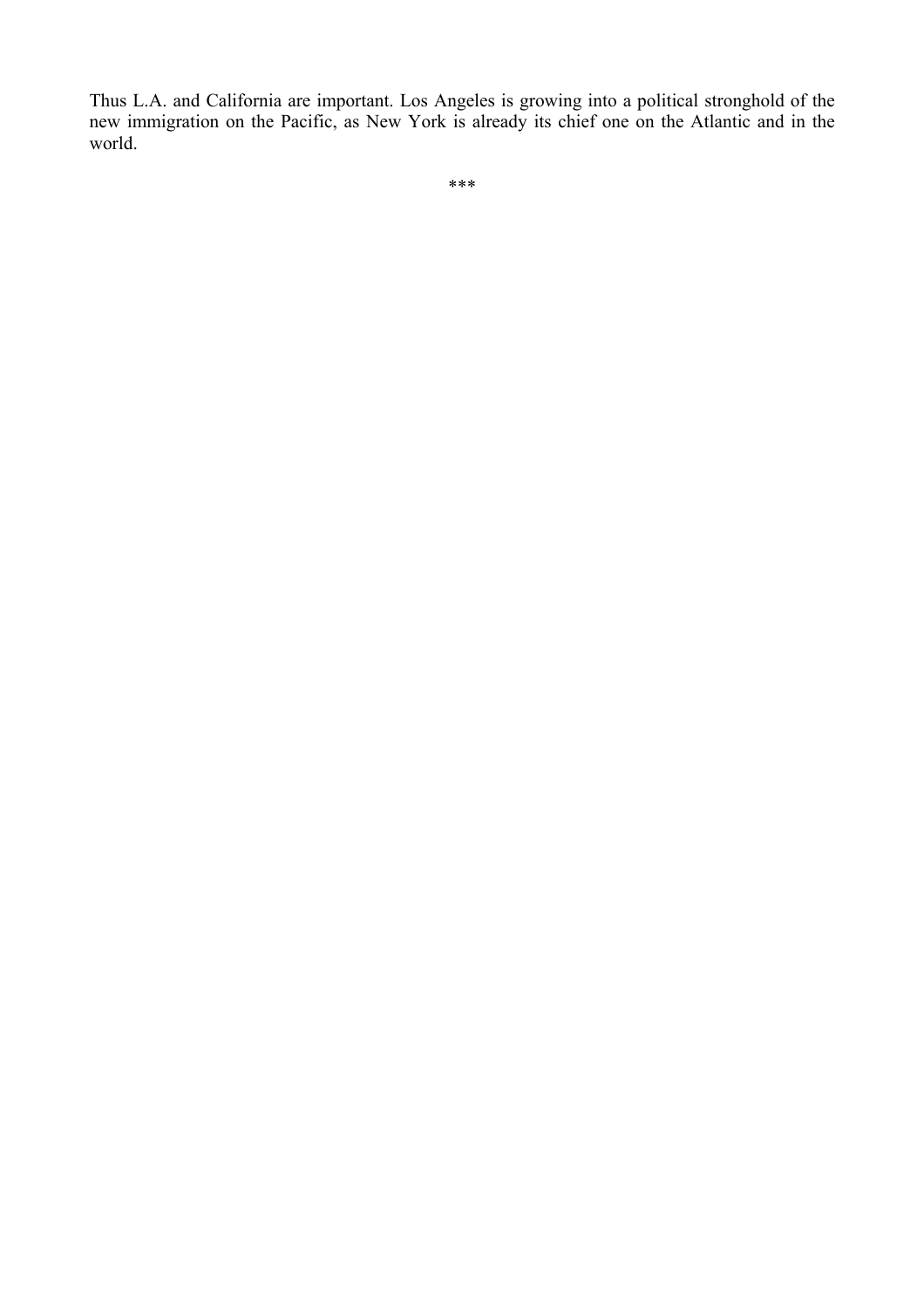Thus L.A. and California are important. Los Angeles is growing into a political stronghold of the new immigration on the Pacific, as New York is already its chief one on the Atlantic and in the world.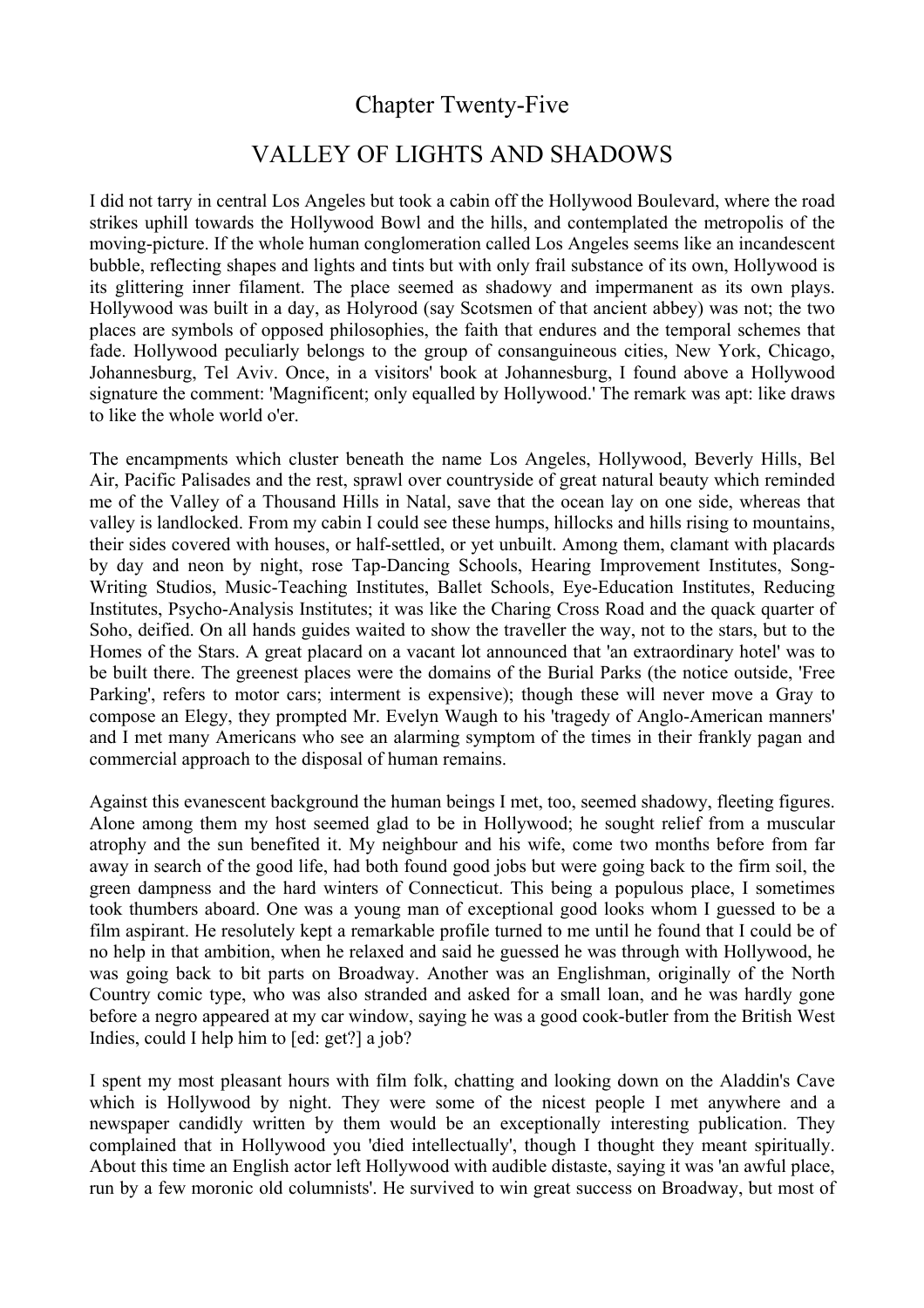# Chapter Twenty-Five

### VALLEY OF LIGHTS AND SHADOWS

I did not tarry in central Los Angeles but took a cabin off the Hollywood Boulevard, where the road strikes uphill towards the Hollywood Bowl and the hills, and contemplated the metropolis of the moving-picture. If the whole human conglomeration called Los Angeles seems like an incandescent bubble, reflecting shapes and lights and tints but with only frail substance of its own, Hollywood is its glittering inner filament. The place seemed as shadowy and impermanent as its own plays. Hollywood was built in a day, as Holyrood (say Scotsmen of that ancient abbey) was not; the two places are symbols of opposed philosophies, the faith that endures and the temporal schemes that fade. Hollywood peculiarly belongs to the group of consanguineous cities, New York, Chicago, Johannesburg, Tel Aviv. Once, in a visitors' book at Johannesburg, I found above a Hollywood signature the comment: 'Magnificent; only equalled by Hollywood.' The remark was apt: like draws to like the whole world o'er.

The encampments which cluster beneath the name Los Angeles, Hollywood, Beverly Hills, Bel Air, Pacific Palisades and the rest, sprawl over countryside of great natural beauty which reminded me of the Valley of a Thousand Hills in Natal, save that the ocean lay on one side, whereas that valley is landlocked. From my cabin I could see these humps, hillocks and hills rising to mountains, their sides covered with houses, or half-settled, or yet unbuilt. Among them, clamant with placards by day and neon by night, rose Tap-Dancing Schools, Hearing Improvement Institutes, Song-Writing Studios, Music-Teaching Institutes, Ballet Schools, Eye-Education Institutes, Reducing Institutes, Psycho-Analysis Institutes; it was like the Charing Cross Road and the quack quarter of Soho, deified. On all hands guides waited to show the traveller the way, not to the stars, but to the Homes of the Stars. A great placard on a vacant lot announced that 'an extraordinary hotel' was to be built there. The greenest places were the domains of the Burial Parks (the notice outside, 'Free Parking', refers to motor cars; interment is expensive); though these will never move a Gray to compose an Elegy, they prompted Mr. Evelyn Waugh to his 'tragedy of Anglo-American manners' and I met many Americans who see an alarming symptom of the times in their frankly pagan and commercial approach to the disposal of human remains.

Against this evanescent background the human beings I met, too, seemed shadowy, fleeting figures. Alone among them my host seemed glad to be in Hollywood; he sought relief from a muscular atrophy and the sun benefited it. My neighbour and his wife, come two months before from far away in search of the good life, had both found good jobs but were going back to the firm soil, the green dampness and the hard winters of Connecticut. This being a populous place, I sometimes took thumbers aboard. One was a young man of exceptional good looks whom I guessed to be a film aspirant. He resolutely kept a remarkable profile turned to me until he found that I could be of no help in that ambition, when he relaxed and said he guessed he was through with Hollywood, he was going back to bit parts on Broadway. Another was an Englishman, originally of the North Country comic type, who was also stranded and asked for a small loan, and he was hardly gone before a negro appeared at my car window, saying he was a good cook-butler from the British West Indies, could I help him to [ed: get?] a job?

I spent my most pleasant hours with film folk, chatting and looking down on the Aladdin's Cave which is Hollywood by night. They were some of the nicest people I met anywhere and a newspaper candidly written by them would be an exceptionally interesting publication. They complained that in Hollywood you 'died intellectually', though I thought they meant spiritually. About this time an English actor left Hollywood with audible distaste, saying it was 'an awful place, run by a few moronic old columnists'. He survived to win great success on Broadway, but most of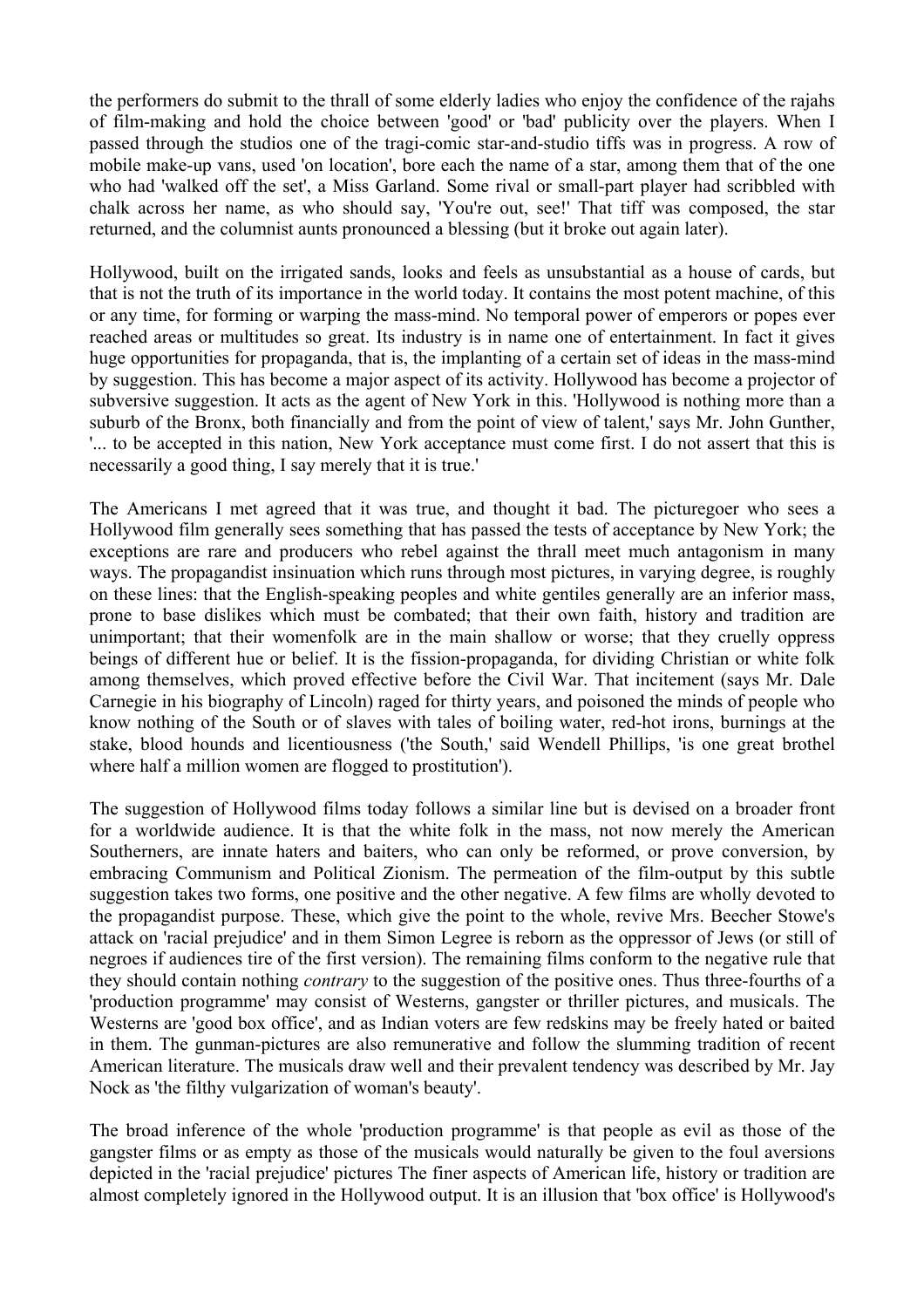the performers do submit to the thrall of some elderly ladies who enjoy the confidence of the rajahs of film-making and hold the choice between 'good' or 'bad' publicity over the players. When I passed through the studios one of the tragi-comic star-and-studio tiffs was in progress. A row of mobile make-up vans, used 'on location', bore each the name of a star, among them that of the one who had 'walked off the set', a Miss Garland. Some rival or small-part player had scribbled with chalk across her name, as who should say, 'You're out, see!' That tiff was composed, the star returned, and the columnist aunts pronounced a blessing (but it broke out again later).

Hollywood, built on the irrigated sands, looks and feels as unsubstantial as a house of cards, but that is not the truth of its importance in the world today. It contains the most potent machine, of this or any time, for forming or warping the mass-mind. No temporal power of emperors or popes ever reached areas or multitudes so great. Its industry is in name one of entertainment. In fact it gives huge opportunities for propaganda, that is, the implanting of a certain set of ideas in the mass-mind by suggestion. This has become a major aspect of its activity. Hollywood has become a projector of subversive suggestion. It acts as the agent of New York in this. 'Hollywood is nothing more than a suburb of the Bronx, both financially and from the point of view of talent,' says Mr. John Gunther, '... to be accepted in this nation, New York acceptance must come first. I do not assert that this is necessarily a good thing, I say merely that it is true.'

The Americans I met agreed that it was true, and thought it bad. The picturegoer who sees a Hollywood film generally sees something that has passed the tests of acceptance by New York; the exceptions are rare and producers who rebel against the thrall meet much antagonism in many ways. The propagandist insinuation which runs through most pictures, in varying degree, is roughly on these lines: that the English-speaking peoples and white gentiles generally are an inferior mass, prone to base dislikes which must be combated; that their own faith, history and tradition are unimportant; that their womenfolk are in the main shallow or worse; that they cruelly oppress beings of different hue or belief. It is the fission-propaganda, for dividing Christian or white folk among themselves, which proved effective before the Civil War. That incitement (says Mr. Dale Carnegie in his biography of Lincoln) raged for thirty years, and poisoned the minds of people who know nothing of the South or of slaves with tales of boiling water, red-hot irons, burnings at the stake, blood hounds and licentiousness ('the South,' said Wendell Phillips, 'is one great brothel where half a million women are flogged to prostitution').

The suggestion of Hollywood films today follows a similar line but is devised on a broader front for a worldwide audience. It is that the white folk in the mass, not now merely the American Southerners, are innate haters and baiters, who can only be reformed, or prove conversion, by embracing Communism and Political Zionism. The permeation of the film-output by this subtle suggestion takes two forms, one positive and the other negative. A few films are wholly devoted to the propagandist purpose. These, which give the point to the whole, revive Mrs. Beecher Stowe's attack on 'racial prejudice' and in them Simon Legree is reborn as the oppressor of Jews (or still of negroes if audiences tire of the first version). The remaining films conform to the negative rule that they should contain nothing *contrary* to the suggestion of the positive ones. Thus three-fourths of a 'production programme' may consist of Westerns, gangster or thriller pictures, and musicals. The Westerns are 'good box office', and as Indian voters are few redskins may be freely hated or baited in them. The gunman-pictures are also remunerative and follow the slumming tradition of recent American literature. The musicals draw well and their prevalent tendency was described by Mr. Jay Nock as 'the filthy vulgarization of woman's beauty'.

The broad inference of the whole 'production programme' is that people as evil as those of the gangster films or as empty as those of the musicals would naturally be given to the foul aversions depicted in the 'racial prejudice' pictures The finer aspects of American life, history or tradition are almost completely ignored in the Hollywood output. It is an illusion that 'box office' is Hollywood's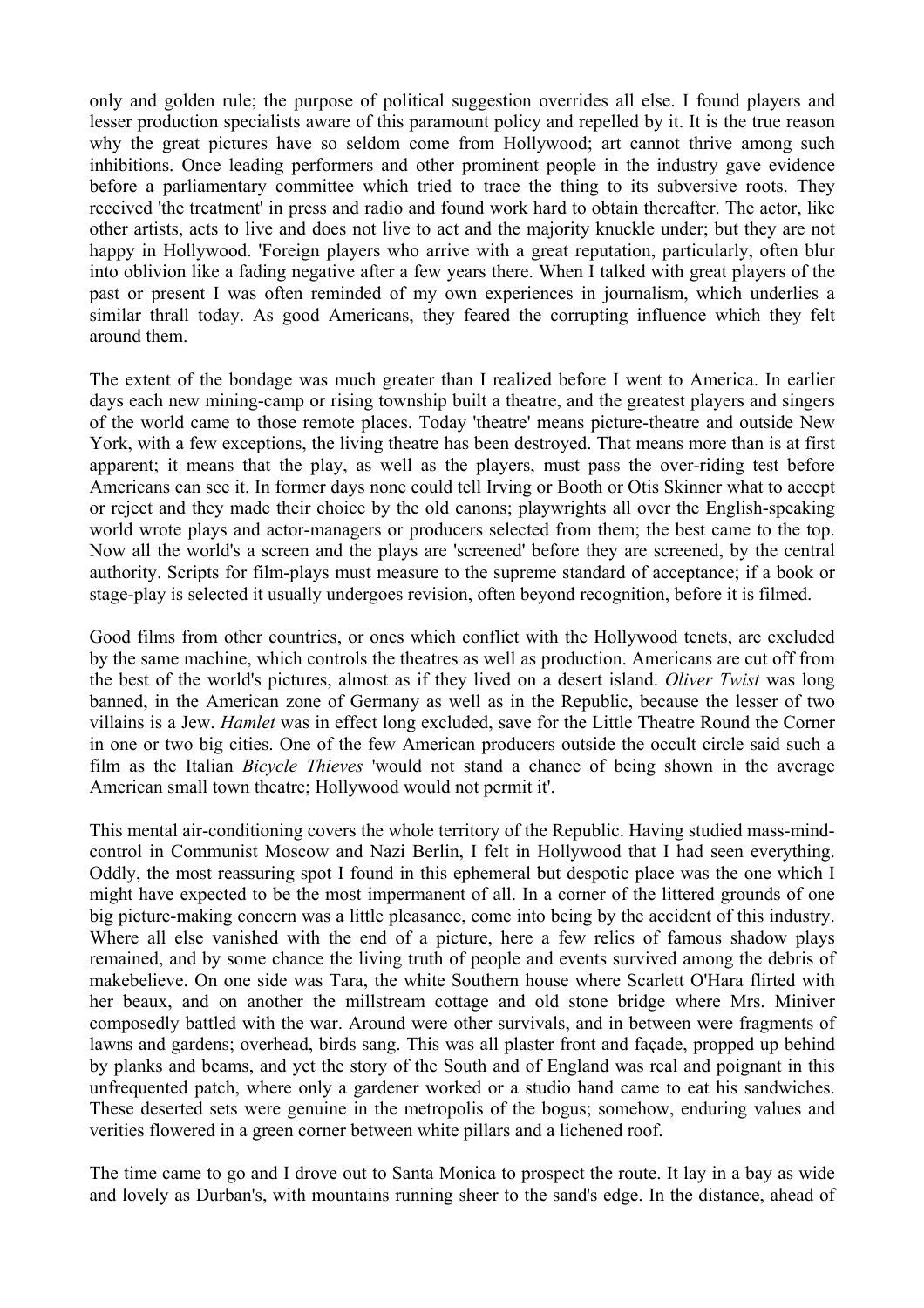only and golden rule; the purpose of political suggestion overrides all else. I found players and lesser production specialists aware of this paramount policy and repelled by it. It is the true reason why the great pictures have so seldom come from Hollywood; art cannot thrive among such inhibitions. Once leading performers and other prominent people in the industry gave evidence before a parliamentary committee which tried to trace the thing to its subversive roots. They received 'the treatment' in press and radio and found work hard to obtain thereafter. The actor, like other artists, acts to live and does not live to act and the majority knuckle under; but they are not happy in Hollywood. 'Foreign players who arrive with a great reputation, particularly, often blur into oblivion like a fading negative after a few years there. When I talked with great players of the past or present I was often reminded of my own experiences in journalism, which underlies a similar thrall today. As good Americans, they feared the corrupting influence which they felt around them.

The extent of the bondage was much greater than I realized before I went to America. In earlier days each new mining-camp or rising township built a theatre, and the greatest players and singers of the world came to those remote places. Today 'theatre' means picture-theatre and outside New York, with a few exceptions, the living theatre has been destroyed. That means more than is at first apparent; it means that the play, as well as the players, must pass the over-riding test before Americans can see it. In former days none could tell Irving or Booth or Otis Skinner what to accept or reject and they made their choice by the old canons; playwrights all over the English-speaking world wrote plays and actor-managers or producers selected from them; the best came to the top. Now all the world's a screen and the plays are 'screened' before they are screened, by the central authority. Scripts for film-plays must measure to the supreme standard of acceptance; if a book or stage-play is selected it usually undergoes revision, often beyond recognition, before it is filmed.

Good films from other countries, or ones which conflict with the Hollywood tenets, are excluded by the same machine, which controls the theatres as well as production. Americans are cut off from the best of the world's pictures, almost as if they lived on a desert island. *Oliver Twist* was long banned, in the American zone of Germany as well as in the Republic, because the lesser of two villains is a Jew. *Hamlet* was in effect long excluded, save for the Little Theatre Round the Corner in one or two big cities. One of the few American producers outside the occult circle said such a film as the Italian *Bicycle Thieves* 'would not stand a chance of being shown in the average American small town theatre; Hollywood would not permit it'.

This mental air-conditioning covers the whole territory of the Republic. Having studied mass-mindcontrol in Communist Moscow and Nazi Berlin, I felt in Hollywood that I had seen everything. Oddly, the most reassuring spot I found in this ephemeral but despotic place was the one which I might have expected to be the most impermanent of all. In a corner of the littered grounds of one big picture-making concern was a little pleasance, come into being by the accident of this industry. Where all else vanished with the end of a picture, here a few relics of famous shadow plays remained, and by some chance the living truth of people and events survived among the debris of makebelieve. On one side was Tara, the white Southern house where Scarlett O'Hara flirted with her beaux, and on another the millstream cottage and old stone bridge where Mrs. Miniver composedly battled with the war. Around were other survivals, and in between were fragments of lawns and gardens; overhead, birds sang. This was all plaster front and façade, propped up behind by planks and beams, and yet the story of the South and of England was real and poignant in this unfrequented patch, where only a gardener worked or a studio hand came to eat his sandwiches. These deserted sets were genuine in the metropolis of the bogus; somehow, enduring values and verities flowered in a green corner between white pillars and a lichened roof.

The time came to go and I drove out to Santa Monica to prospect the route. It lay in a bay as wide and lovely as Durban's, with mountains running sheer to the sand's edge. In the distance, ahead of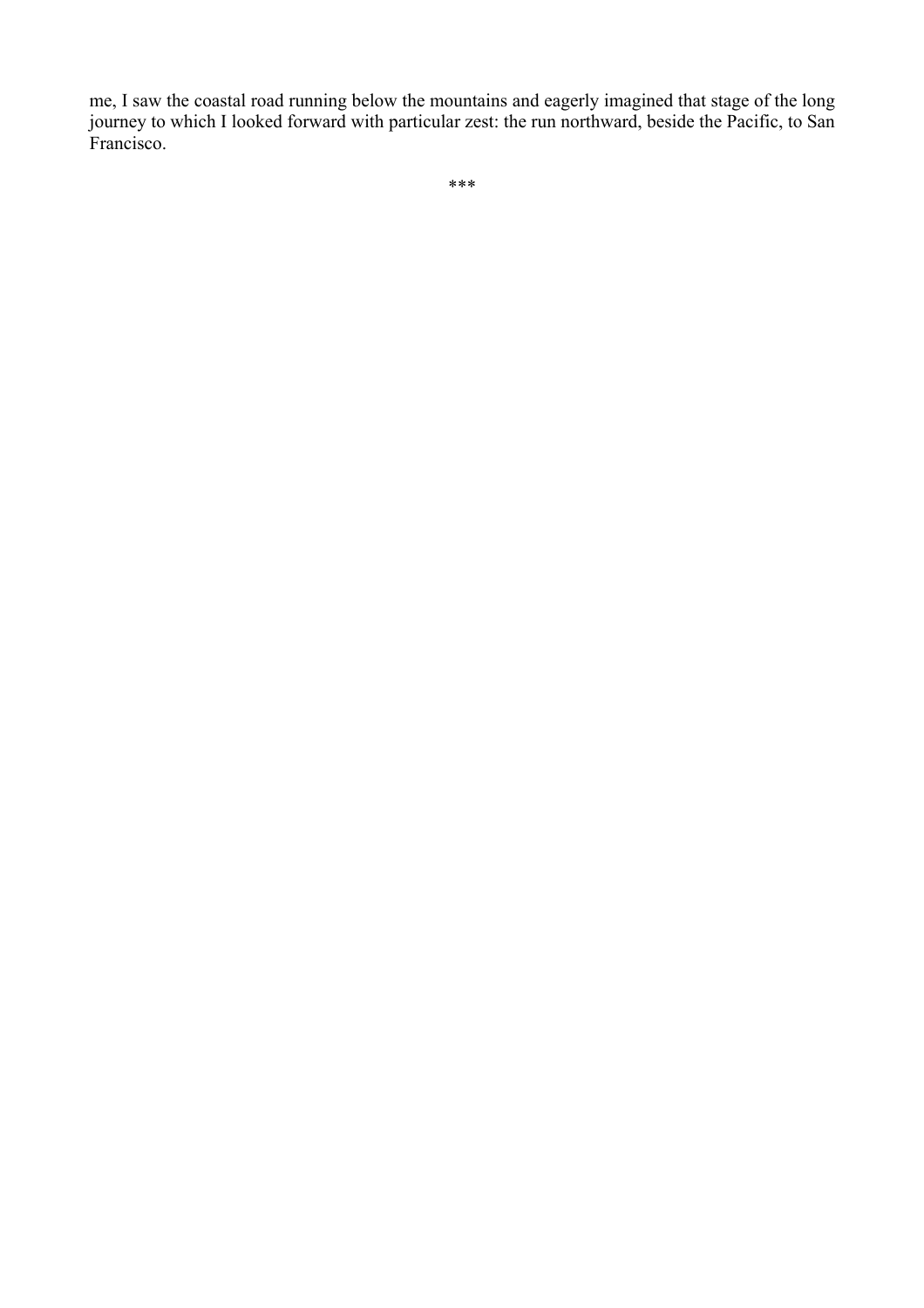me, I saw the coastal road running below the mountains and eagerly imagined that stage of the long journey to which I looked forward with particular zest: the run northward, beside the Pacific, to San Francisco.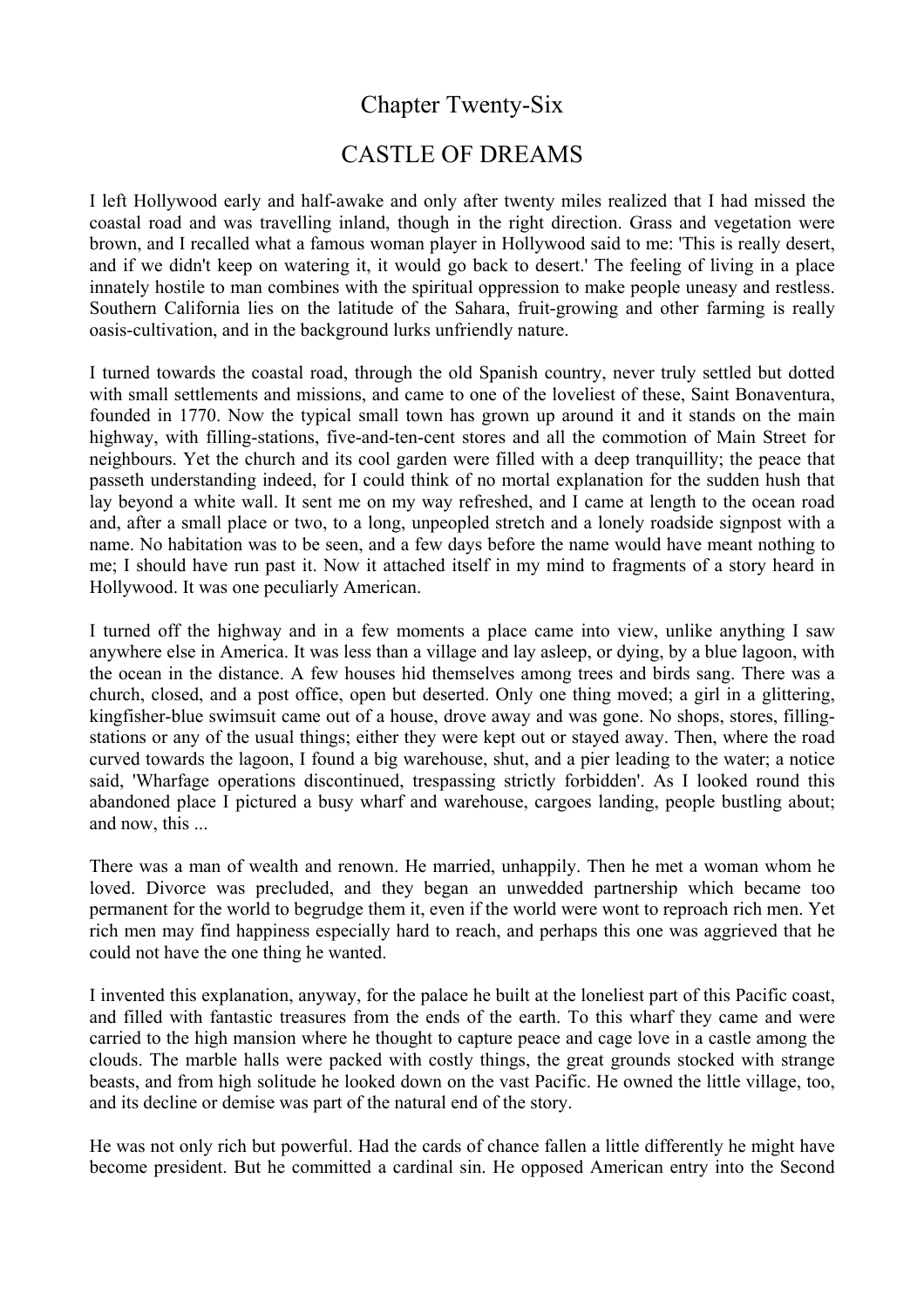# Chapter Twenty-Six

## CASTLE OF DREAMS

I left Hollywood early and half-awake and only after twenty miles realized that I had missed the coastal road and was travelling inland, though in the right direction. Grass and vegetation were brown, and I recalled what a famous woman player in Hollywood said to me: 'This is really desert, and if we didn't keep on watering it, it would go back to desert.' The feeling of living in a place innately hostile to man combines with the spiritual oppression to make people uneasy and restless. Southern California lies on the latitude of the Sahara, fruit-growing and other farming is really oasis-cultivation, and in the background lurks unfriendly nature.

I turned towards the coastal road, through the old Spanish country, never truly settled but dotted with small settlements and missions, and came to one of the loveliest of these, Saint Bonaventura, founded in 1770. Now the typical small town has grown up around it and it stands on the main highway, with filling-stations, five-and-ten-cent stores and all the commotion of Main Street for neighbours. Yet the church and its cool garden were filled with a deep tranquillity; the peace that passeth understanding indeed, for I could think of no mortal explanation for the sudden hush that lay beyond a white wall. It sent me on my way refreshed, and I came at length to the ocean road and, after a small place or two, to a long, unpeopled stretch and a lonely roadside signpost with a name. No habitation was to be seen, and a few days before the name would have meant nothing to me; I should have run past it. Now it attached itself in my mind to fragments of a story heard in Hollywood. It was one peculiarly American.

I turned off the highway and in a few moments a place came into view, unlike anything I saw anywhere else in America. It was less than a village and lay asleep, or dying, by a blue lagoon, with the ocean in the distance. A few houses hid themselves among trees and birds sang. There was a church, closed, and a post office, open but deserted. Only one thing moved; a girl in a glittering, kingfisher-blue swimsuit came out of a house, drove away and was gone. No shops, stores, fillingstations or any of the usual things; either they were kept out or stayed away. Then, where the road curved towards the lagoon, I found a big warehouse, shut, and a pier leading to the water; a notice said, 'Wharfage operations discontinued, trespassing strictly forbidden'. As I looked round this abandoned place I pictured a busy wharf and warehouse, cargoes landing, people bustling about; and now, this ...

There was a man of wealth and renown. He married, unhappily. Then he met a woman whom he loved. Divorce was precluded, and they began an unwedded partnership which became too permanent for the world to begrudge them it, even if the world were wont to reproach rich men. Yet rich men may find happiness especially hard to reach, and perhaps this one was aggrieved that he could not have the one thing he wanted.

I invented this explanation, anyway, for the palace he built at the loneliest part of this Pacific coast, and filled with fantastic treasures from the ends of the earth. To this wharf they came and were carried to the high mansion where he thought to capture peace and cage love in a castle among the clouds. The marble halls were packed with costly things, the great grounds stocked with strange beasts, and from high solitude he looked down on the vast Pacific. He owned the little village, too, and its decline or demise was part of the natural end of the story.

He was not only rich but powerful. Had the cards of chance fallen a little differently he might have become president. But he committed a cardinal sin. He opposed American entry into the Second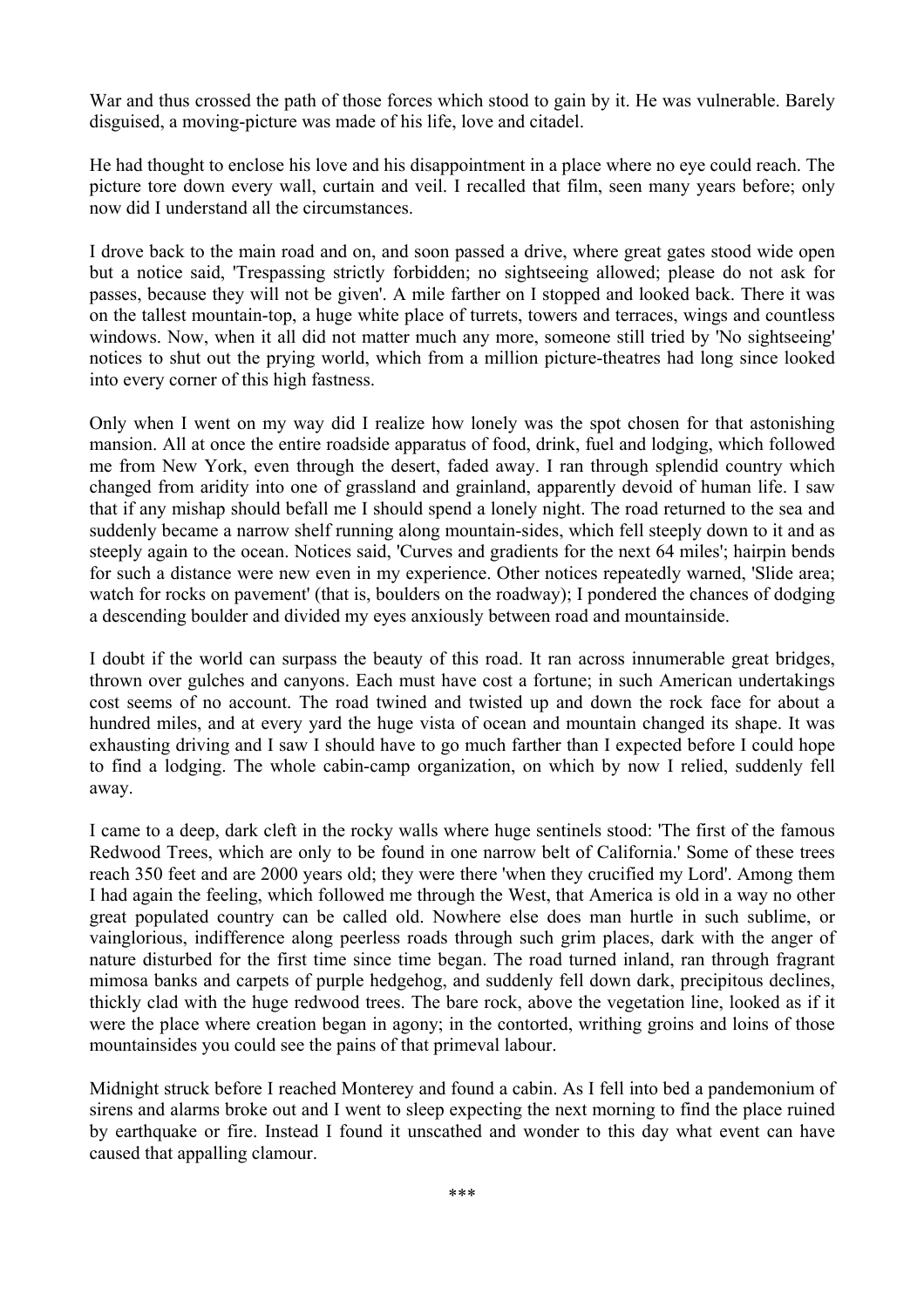War and thus crossed the path of those forces which stood to gain by it. He was vulnerable. Barely disguised, a moving-picture was made of his life, love and citadel.

He had thought to enclose his love and his disappointment in a place where no eye could reach. The picture tore down every wall, curtain and veil. I recalled that film, seen many years before; only now did I understand all the circumstances.

I drove back to the main road and on, and soon passed a drive, where great gates stood wide open but a notice said, 'Trespassing strictly forbidden; no sightseeing allowed; please do not ask for passes, because they will not be given'. A mile farther on I stopped and looked back. There it was on the tallest mountain-top, a huge white place of turrets, towers and terraces, wings and countless windows. Now, when it all did not matter much any more, someone still tried by 'No sightseeing' notices to shut out the prying world, which from a million picture-theatres had long since looked into every corner of this high fastness.

Only when I went on my way did I realize how lonely was the spot chosen for that astonishing mansion. All at once the entire roadside apparatus of food, drink, fuel and lodging, which followed me from New York, even through the desert, faded away. I ran through splendid country which changed from aridity into one of grassland and grainland, apparently devoid of human life. I saw that if any mishap should befall me I should spend a lonely night. The road returned to the sea and suddenly became a narrow shelf running along mountain-sides, which fell steeply down to it and as steeply again to the ocean. Notices said, 'Curves and gradients for the next 64 miles'; hairpin bends for such a distance were new even in my experience. Other notices repeatedly warned, 'Slide area; watch for rocks on pavement' (that is, boulders on the roadway); I pondered the chances of dodging a descending boulder and divided my eyes anxiously between road and mountainside.

I doubt if the world can surpass the beauty of this road. It ran across innumerable great bridges, thrown over gulches and canyons. Each must have cost a fortune; in such American undertakings cost seems of no account. The road twined and twisted up and down the rock face for about a hundred miles, and at every yard the huge vista of ocean and mountain changed its shape. It was exhausting driving and I saw I should have to go much farther than I expected before I could hope to find a lodging. The whole cabin-camp organization, on which by now I relied, suddenly fell away.

I came to a deep, dark cleft in the rocky walls where huge sentinels stood: 'The first of the famous Redwood Trees, which are only to be found in one narrow belt of California.' Some of these trees reach 350 feet and are 2000 years old; they were there 'when they crucified my Lord'. Among them I had again the feeling, which followed me through the West, that America is old in a way no other great populated country can be called old. Nowhere else does man hurtle in such sublime, or vainglorious, indifference along peerless roads through such grim places, dark with the anger of nature disturbed for the first time since time began. The road turned inland, ran through fragrant mimosa banks and carpets of purple hedgehog, and suddenly fell down dark, precipitous declines, thickly clad with the huge redwood trees. The bare rock, above the vegetation line, looked as if it were the place where creation began in agony; in the contorted, writhing groins and loins of those mountainsides you could see the pains of that primeval labour.

Midnight struck before I reached Monterey and found a cabin. As I fell into bed a pandemonium of sirens and alarms broke out and I went to sleep expecting the next morning to find the place ruined by earthquake or fire. Instead I found it unscathed and wonder to this day what event can have caused that appalling clamour.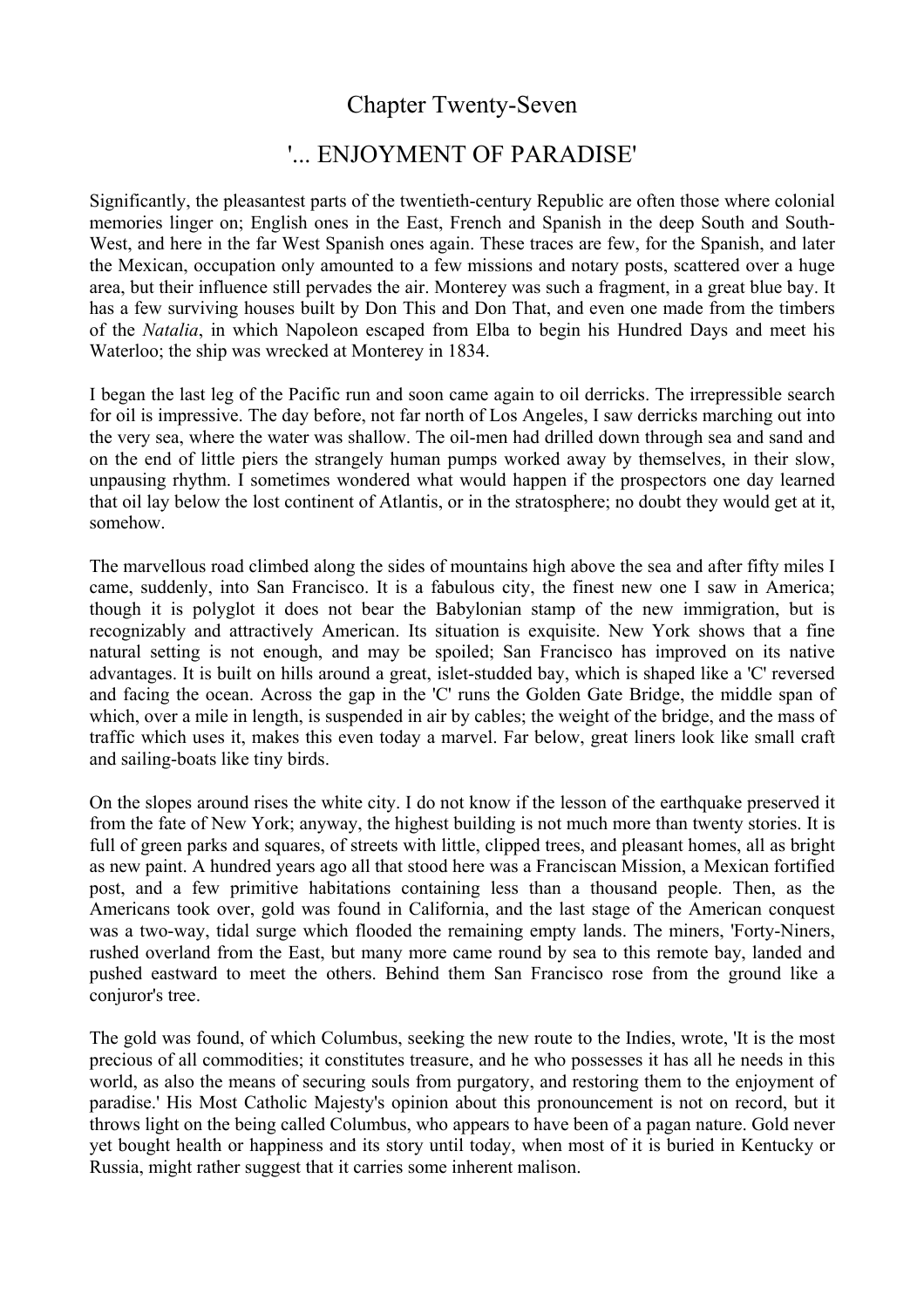# Chapter Twenty-Seven

### '... ENJOYMENT OF PARADISE'

Significantly, the pleasantest parts of the twentieth-century Republic are often those where colonial memories linger on; English ones in the East, French and Spanish in the deep South and South-West, and here in the far West Spanish ones again. These traces are few, for the Spanish, and later the Mexican, occupation only amounted to a few missions and notary posts, scattered over a huge area, but their influence still pervades the air. Monterey was such a fragment, in a great blue bay. It has a few surviving houses built by Don This and Don That, and even one made from the timbers of the *Natalia*, in which Napoleon escaped from Elba to begin his Hundred Days and meet his Waterloo; the ship was wrecked at Monterey in 1834.

I began the last leg of the Pacific run and soon came again to oil derricks. The irrepressible search for oil is impressive. The day before, not far north of Los Angeles, I saw derricks marching out into the very sea, where the water was shallow. The oil-men had drilled down through sea and sand and on the end of little piers the strangely human pumps worked away by themselves, in their slow, unpausing rhythm. I sometimes wondered what would happen if the prospectors one day learned that oil lay below the lost continent of Atlantis, or in the stratosphere; no doubt they would get at it, somehow.

The marvellous road climbed along the sides of mountains high above the sea and after fifty miles I came, suddenly, into San Francisco. It is a fabulous city, the finest new one I saw in America; though it is polyglot it does not bear the Babylonian stamp of the new immigration, but is recognizably and attractively American. Its situation is exquisite. New York shows that a fine natural setting is not enough, and may be spoiled; San Francisco has improved on its native advantages. It is built on hills around a great, islet-studded bay, which is shaped like a 'C' reversed and facing the ocean. Across the gap in the 'C' runs the Golden Gate Bridge, the middle span of which, over a mile in length, is suspended in air by cables; the weight of the bridge, and the mass of traffic which uses it, makes this even today a marvel. Far below, great liners look like small craft and sailing-boats like tiny birds.

On the slopes around rises the white city. I do not know if the lesson of the earthquake preserved it from the fate of New York; anyway, the highest building is not much more than twenty stories. It is full of green parks and squares, of streets with little, clipped trees, and pleasant homes, all as bright as new paint. A hundred years ago all that stood here was a Franciscan Mission, a Mexican fortified post, and a few primitive habitations containing less than a thousand people. Then, as the Americans took over, gold was found in California, and the last stage of the American conquest was a two-way, tidal surge which flooded the remaining empty lands. The miners, 'Forty-Niners, rushed overland from the East, but many more came round by sea to this remote bay, landed and pushed eastward to meet the others. Behind them San Francisco rose from the ground like a conjuror's tree.

The gold was found, of which Columbus, seeking the new route to the Indies, wrote, 'It is the most precious of all commodities; it constitutes treasure, and he who possesses it has all he needs in this world, as also the means of securing souls from purgatory, and restoring them to the enjoyment of paradise.' His Most Catholic Majesty's opinion about this pronouncement is not on record, but it throws light on the being called Columbus, who appears to have been of a pagan nature. Gold never yet bought health or happiness and its story until today, when most of it is buried in Kentucky or Russia, might rather suggest that it carries some inherent malison.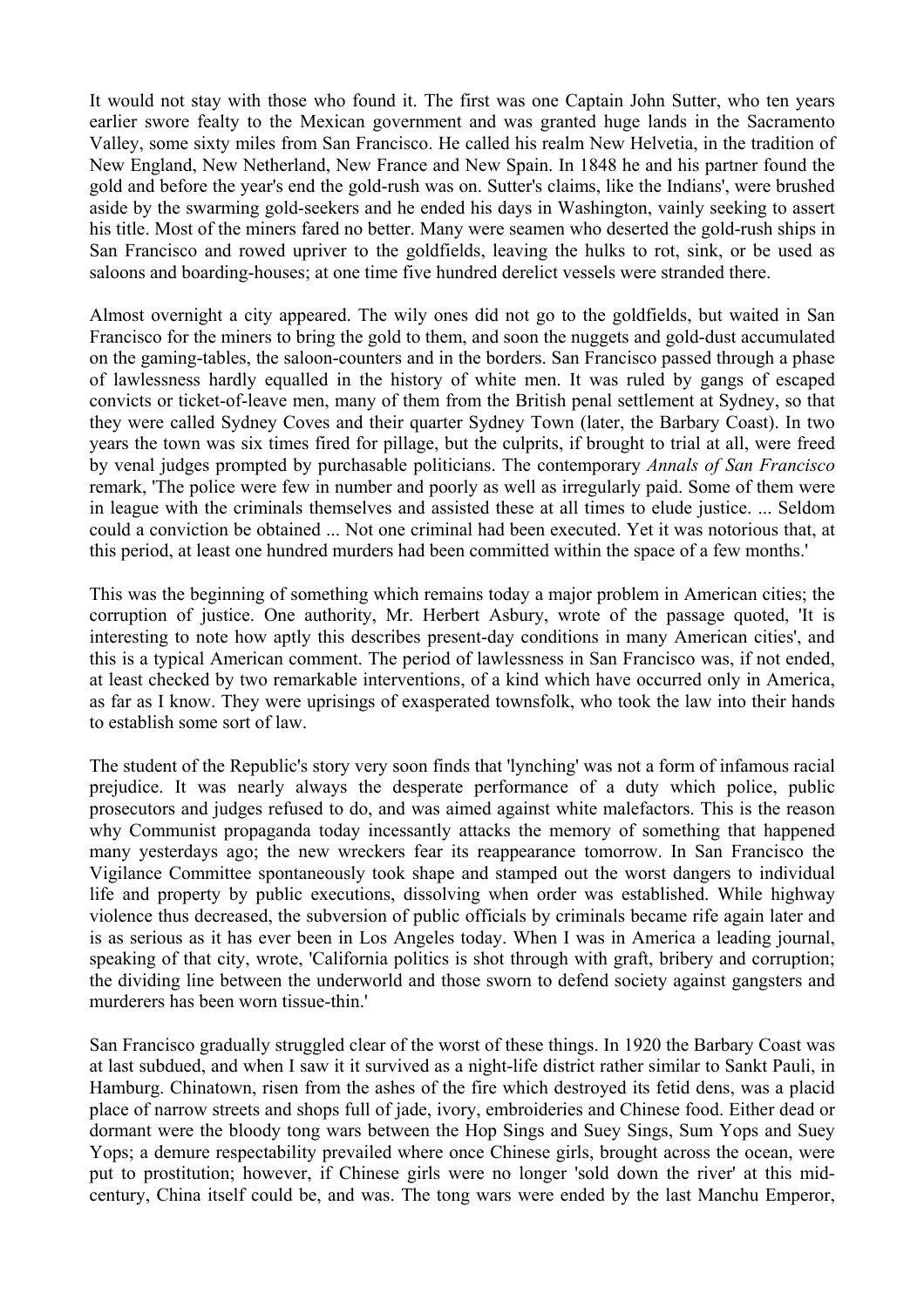It would not stay with those who found it. The first was one Captain John Sutter, who ten years earlier swore fealty to the Mexican government and was granted huge lands in the Sacramento Valley, some sixty miles from San Francisco. He called his realm New Helvetia, in the tradition of New England, New Netherland, New France and New Spain. In 1848 he and his partner found the gold and before the year's end the gold-rush was on. Sutter's claims, like the Indians', were brushed aside by the swarming gold-seekers and he ended his days in Washington, vainly seeking to assert his title. Most of the miners fared no better. Many were seamen who deserted the gold-rush ships in San Francisco and rowed upriver to the goldfields, leaving the hulks to rot, sink, or be used as saloons and boarding-houses; at one time five hundred derelict vessels were stranded there.

Almost overnight a city appeared. The wily ones did not go to the goldfields, but waited in San Francisco for the miners to bring the gold to them, and soon the nuggets and gold-dust accumulated on the gaming-tables, the saloon-counters and in the borders. San Francisco passed through a phase of lawlessness hardly equalled in the history of white men. It was ruled by gangs of escaped convicts or ticket-of-leave men, many of them from the British penal settlement at Sydney, so that they were called Sydney Coves and their quarter Sydney Town (later, the Barbary Coast). In two years the town was six times fired for pillage, but the culprits, if brought to trial at all, were freed by venal judges prompted by purchasable politicians. The contemporary *Annals of San Francisco* remark, 'The police were few in number and poorly as well as irregularly paid. Some of them were in league with the criminals themselves and assisted these at all times to elude justice. ... Seldom could a conviction be obtained ... Not one criminal had been executed. Yet it was notorious that, at this period, at least one hundred murders had been committed within the space of a few months.'

This was the beginning of something which remains today a major problem in American cities; the corruption of justice. One authority, Mr. Herbert Asbury, wrote of the passage quoted, 'It is interesting to note how aptly this describes present-day conditions in many American cities', and this is a typical American comment. The period of lawlessness in San Francisco was, if not ended, at least checked by two remarkable interventions, of a kind which have occurred only in America, as far as I know. They were uprisings of exasperated townsfolk, who took the law into their hands to establish some sort of law.

The student of the Republic's story very soon finds that 'lynching' was not a form of infamous racial prejudice. It was nearly always the desperate performance of a duty which police, public prosecutors and judges refused to do, and was aimed against white malefactors. This is the reason why Communist propaganda today incessantly attacks the memory of something that happened many yesterdays ago; the new wreckers fear its reappearance tomorrow. In San Francisco the Vigilance Committee spontaneously took shape and stamped out the worst dangers to individual life and property by public executions, dissolving when order was established. While highway violence thus decreased, the subversion of public officials by criminals became rife again later and is as serious as it has ever been in Los Angeles today. When I was in America a leading journal, speaking of that city, wrote, 'California politics is shot through with graft, bribery and corruption; the dividing line between the underworld and those sworn to defend society against gangsters and murderers has been worn tissue-thin.'

San Francisco gradually struggled clear of the worst of these things. In 1920 the Barbary Coast was at last subdued, and when I saw it it survived as a night-life district rather similar to Sankt Pauli, in Hamburg. Chinatown, risen from the ashes of the fire which destroyed its fetid dens, was a placid place of narrow streets and shops full of jade, ivory, embroideries and Chinese food. Either dead or dormant were the bloody tong wars between the Hop Sings and Suey Sings, Sum Yops and Suey Yops; a demure respectability prevailed where once Chinese girls, brought across the ocean, were put to prostitution; however, if Chinese girls were no longer 'sold down the river' at this midcentury, China itself could be, and was. The tong wars were ended by the last Manchu Emperor,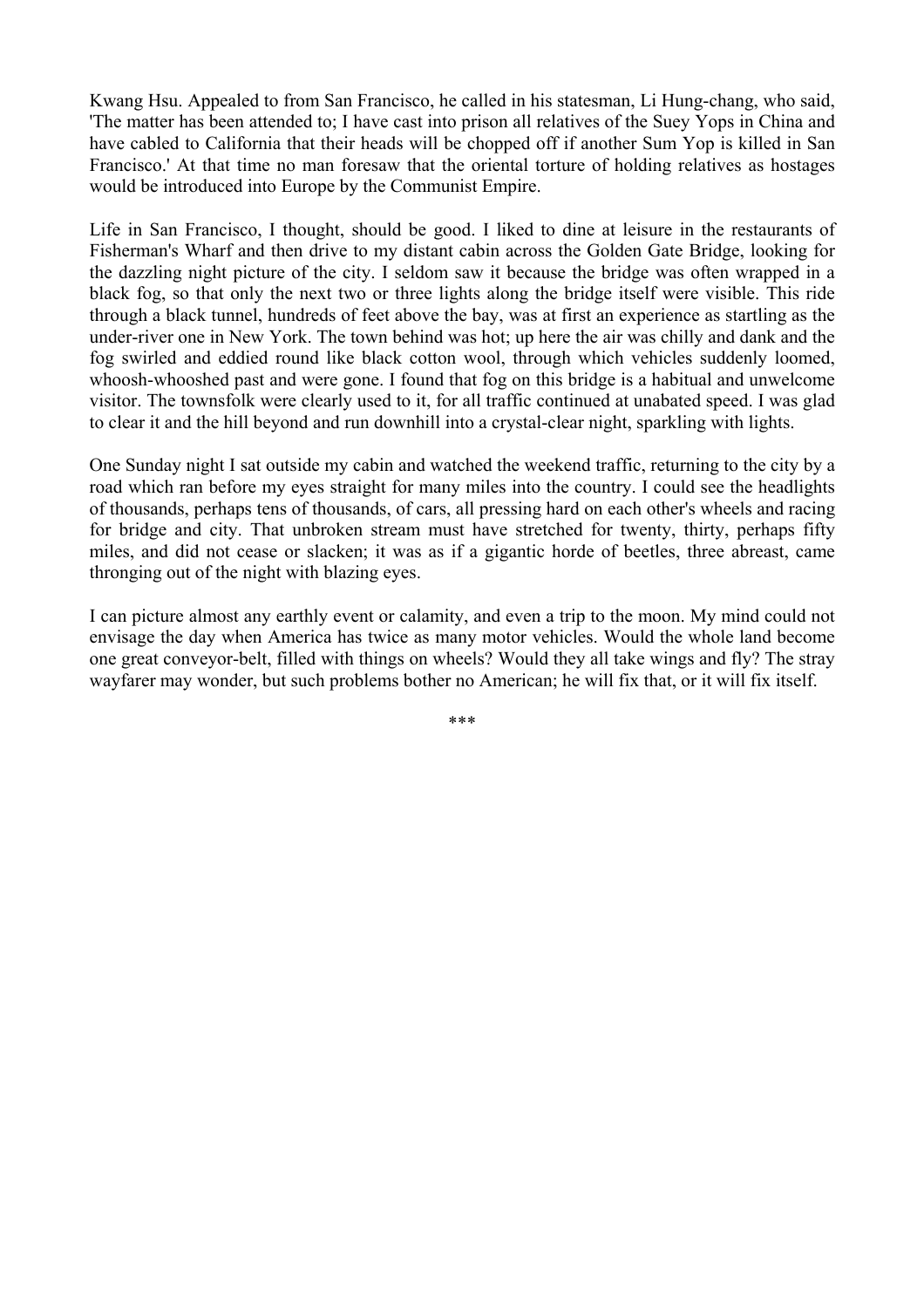Kwang Hsu. Appealed to from San Francisco, he called in his statesman, Li Hung-chang, who said, 'The matter has been attended to; I have cast into prison all relatives of the Suey Yops in China and have cabled to California that their heads will be chopped off if another Sum Yop is killed in San Francisco.' At that time no man foresaw that the oriental torture of holding relatives as hostages would be introduced into Europe by the Communist Empire.

Life in San Francisco, I thought, should be good. I liked to dine at leisure in the restaurants of Fisherman's Wharf and then drive to my distant cabin across the Golden Gate Bridge, looking for the dazzling night picture of the city. I seldom saw it because the bridge was often wrapped in a black fog, so that only the next two or three lights along the bridge itself were visible. This ride through a black tunnel, hundreds of feet above the bay, was at first an experience as startling as the under-river one in New York. The town behind was hot; up here the air was chilly and dank and the fog swirled and eddied round like black cotton wool, through which vehicles suddenly loomed, whoosh-whooshed past and were gone. I found that fog on this bridge is a habitual and unwelcome visitor. The townsfolk were clearly used to it, for all traffic continued at unabated speed. I was glad to clear it and the hill beyond and run downhill into a crystal-clear night, sparkling with lights.

One Sunday night I sat outside my cabin and watched the weekend traffic, returning to the city by a road which ran before my eyes straight for many miles into the country. I could see the headlights of thousands, perhaps tens of thousands, of cars, all pressing hard on each other's wheels and racing for bridge and city. That unbroken stream must have stretched for twenty, thirty, perhaps fifty miles, and did not cease or slacken; it was as if a gigantic horde of beetles, three abreast, came thronging out of the night with blazing eyes.

I can picture almost any earthly event or calamity, and even a trip to the moon. My mind could not envisage the day when America has twice as many motor vehicles. Would the whole land become one great conveyor-belt, filled with things on wheels? Would they all take wings and fly? The stray wayfarer may wonder, but such problems bother no American; he will fix that, or it will fix itself.

\*\*\*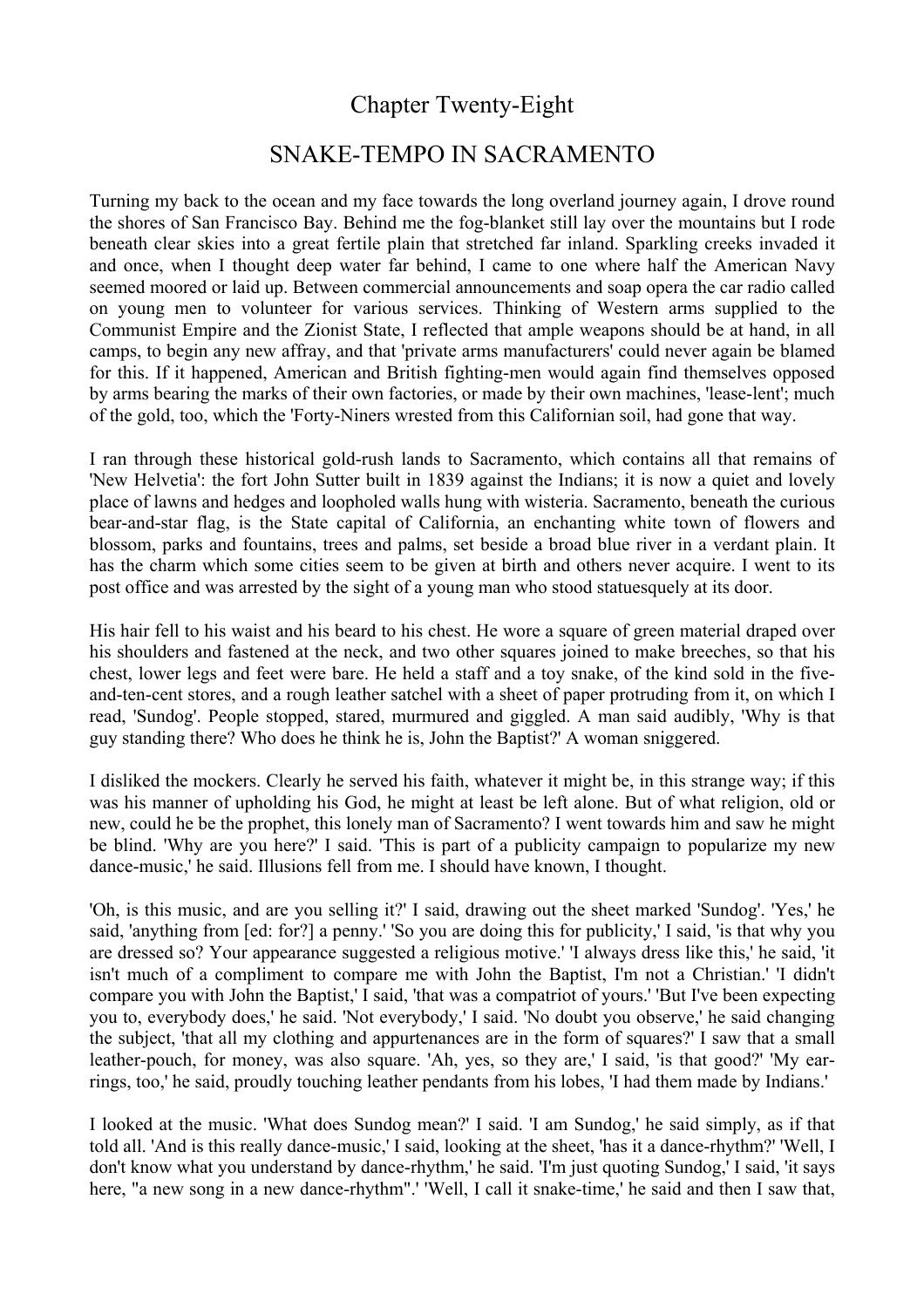# Chapter Twenty-Eight

### SNAKE-TEMPO IN SACRAMENTO

Turning my back to the ocean and my face towards the long overland journey again, I drove round the shores of San Francisco Bay. Behind me the fog-blanket still lay over the mountains but I rode beneath clear skies into a great fertile plain that stretched far inland. Sparkling creeks invaded it and once, when I thought deep water far behind, I came to one where half the American Navy seemed moored or laid up. Between commercial announcements and soap opera the car radio called on young men to volunteer for various services. Thinking of Western arms supplied to the Communist Empire and the Zionist State, I reflected that ample weapons should be at hand, in all camps, to begin any new affray, and that 'private arms manufacturers' could never again be blamed for this. If it happened, American and British fighting-men would again find themselves opposed by arms bearing the marks of their own factories, or made by their own machines, 'lease-lent'; much of the gold, too, which the 'Forty-Niners wrested from this Californian soil, had gone that way.

I ran through these historical gold-rush lands to Sacramento, which contains all that remains of 'New Helvetia': the fort John Sutter built in 1839 against the Indians; it is now a quiet and lovely place of lawns and hedges and loopholed walls hung with wisteria. Sacramento, beneath the curious bear-and-star flag, is the State capital of California, an enchanting white town of flowers and blossom, parks and fountains, trees and palms, set beside a broad blue river in a verdant plain. It has the charm which some cities seem to be given at birth and others never acquire. I went to its post office and was arrested by the sight of a young man who stood statuesquely at its door.

His hair fell to his waist and his beard to his chest. He wore a square of green material draped over his shoulders and fastened at the neck, and two other squares joined to make breeches, so that his chest, lower legs and feet were bare. He held a staff and a toy snake, of the kind sold in the fiveand-ten-cent stores, and a rough leather satchel with a sheet of paper protruding from it, on which I read, 'Sundog'. People stopped, stared, murmured and giggled. A man said audibly, 'Why is that guy standing there? Who does he think he is, John the Baptist?' A woman sniggered.

I disliked the mockers. Clearly he served his faith, whatever it might be, in this strange way; if this was his manner of upholding his God, he might at least be left alone. But of what religion, old or new, could he be the prophet, this lonely man of Sacramento? I went towards him and saw he might be blind. 'Why are you here?' I said. 'This is part of a publicity campaign to popularize my new dance-music,' he said. Illusions fell from me. I should have known, I thought.

'Oh, is this music, and are you selling it?' I said, drawing out the sheet marked 'Sundog'. 'Yes,' he said, 'anything from [ed: for?] a penny.' 'So you are doing this for publicity,' I said, 'is that why you are dressed so? Your appearance suggested a religious motive.' 'I always dress like this,' he said, 'it isn't much of a compliment to compare me with John the Baptist, I'm not a Christian.' 'I didn't compare you with John the Baptist,' I said, 'that was a compatriot of yours.' 'But I've been expecting you to, everybody does,' he said. 'Not everybody,' I said. 'No doubt you observe,' he said changing the subject, 'that all my clothing and appurtenances are in the form of squares?' I saw that a small leather-pouch, for money, was also square. 'Ah, yes, so they are,' I said, 'is that good?' 'My earrings, too,' he said, proudly touching leather pendants from his lobes, 'I had them made by Indians.'

I looked at the music. 'What does Sundog mean?' I said. 'I am Sundog,' he said simply, as if that told all. 'And is this really dance-music,' I said, looking at the sheet, 'has it a dance-rhythm?' 'Well, I don't know what you understand by dance-rhythm,' he said. 'I'm just quoting Sundog,' I said, 'it says here, "a new song in a new dance-rhythm".' 'Well, I call it snake-time,' he said and then I saw that,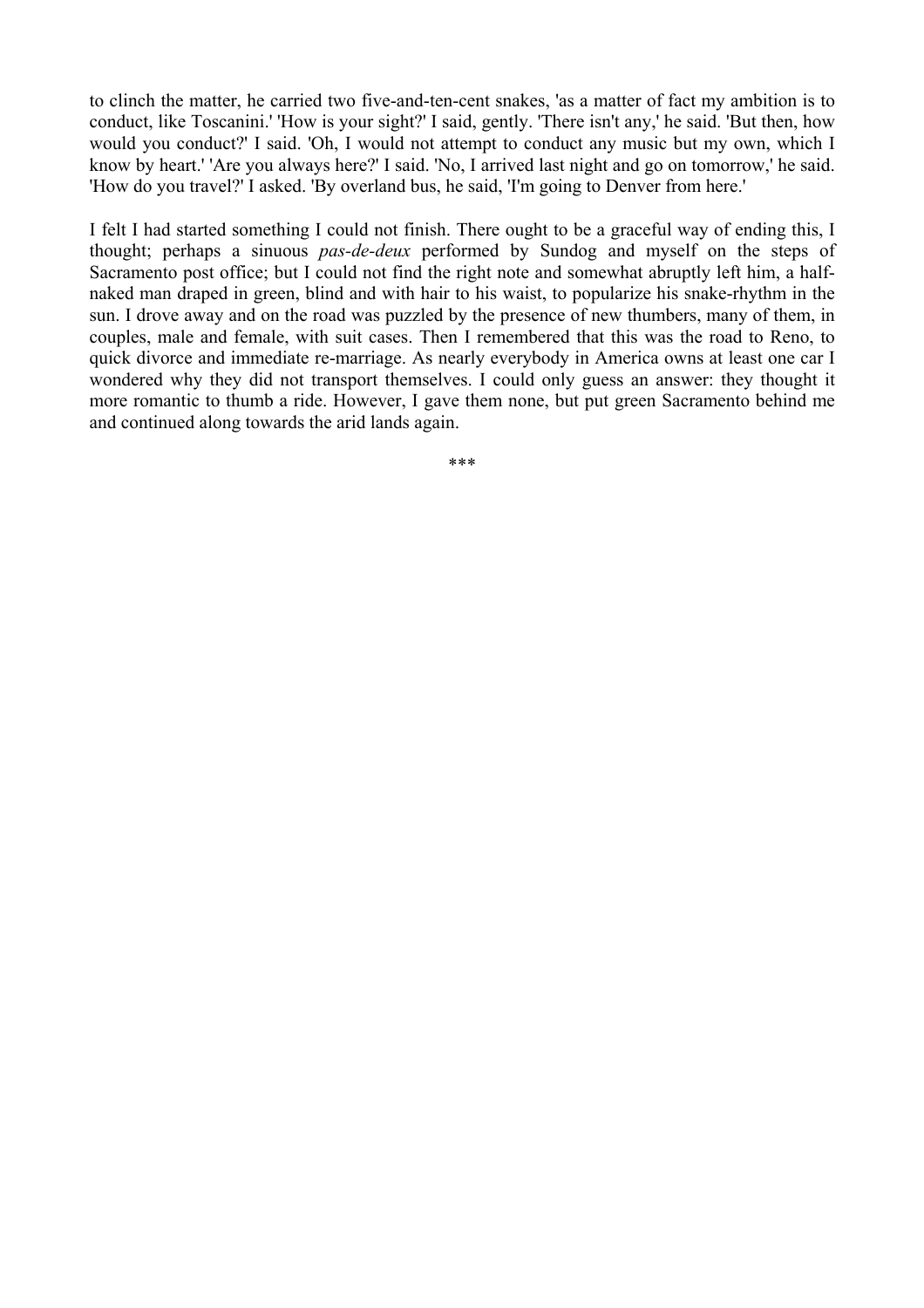to clinch the matter, he carried two five-and-ten-cent snakes, 'as a matter of fact my ambition is to conduct, like Toscanini.' 'How is your sight?' I said, gently. 'There isn't any,' he said. 'But then, how would you conduct?' I said. 'Oh, I would not attempt to conduct any music but my own, which I know by heart.' 'Are you always here?' I said. 'No, I arrived last night and go on tomorrow,' he said. 'How do you travel?' I asked. 'By overland bus, he said, 'I'm going to Denver from here.'

I felt I had started something I could not finish. There ought to be a graceful way of ending this, I thought; perhaps a sinuous *pas-de-deux* performed by Sundog and myself on the steps of Sacramento post office; but I could not find the right note and somewhat abruptly left him, a halfnaked man draped in green, blind and with hair to his waist, to popularize his snake-rhythm in the sun. I drove away and on the road was puzzled by the presence of new thumbers, many of them, in couples, male and female, with suit cases. Then I remembered that this was the road to Reno, to quick divorce and immediate re-marriage. As nearly everybody in America owns at least one car I wondered why they did not transport themselves. I could only guess an answer: they thought it more romantic to thumb a ride. However, I gave them none, but put green Sacramento behind me and continued along towards the arid lands again.

\*\*\*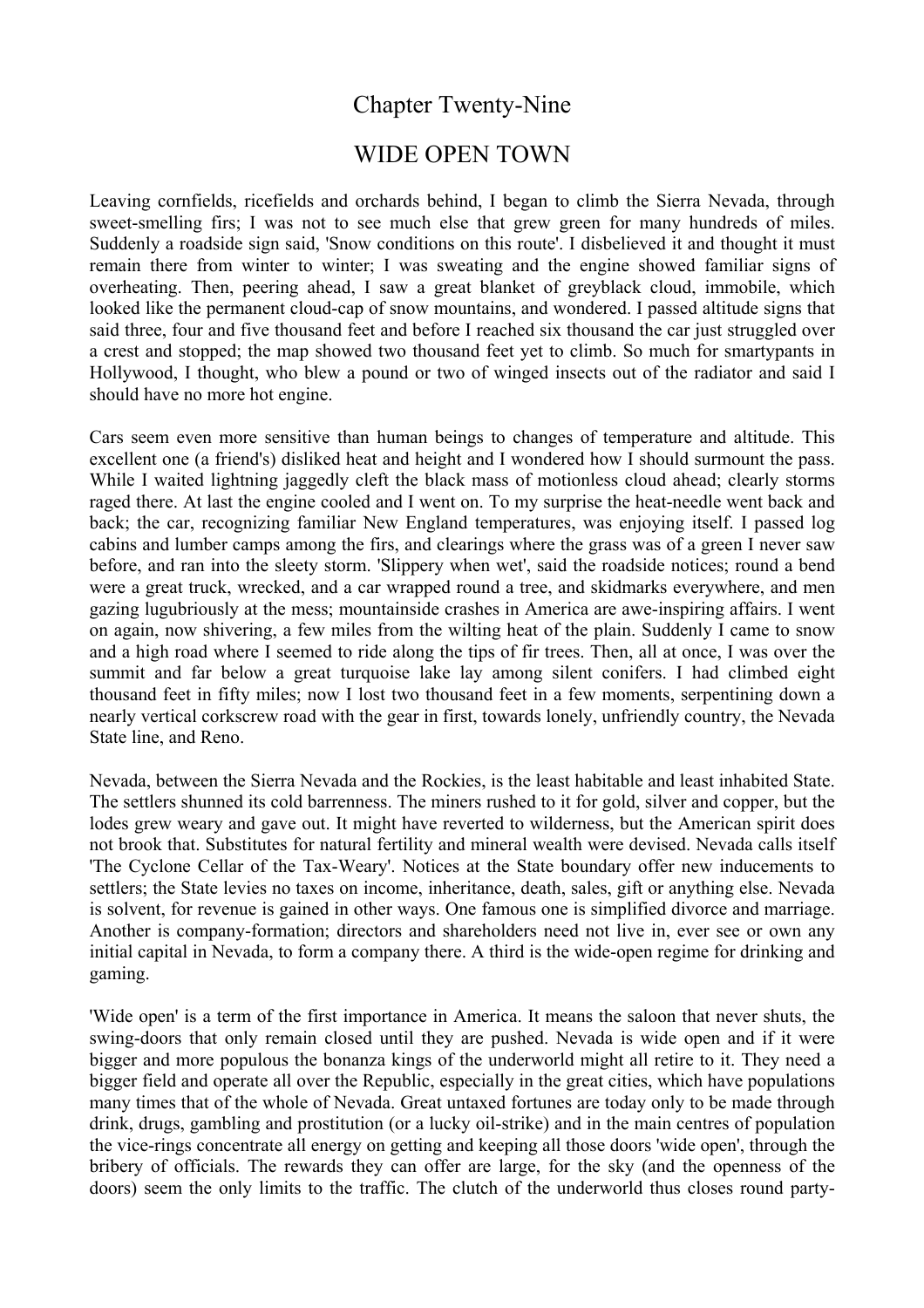## Chapter Twenty-Nine

### WIDE OPEN TOWN

Leaving cornfields, ricefields and orchards behind, I began to climb the Sierra Nevada, through sweet-smelling firs; I was not to see much else that grew green for many hundreds of miles. Suddenly a roadside sign said, 'Snow conditions on this route'. I disbelieved it and thought it must remain there from winter to winter; I was sweating and the engine showed familiar signs of overheating. Then, peering ahead, I saw a great blanket of greyblack cloud, immobile, which looked like the permanent cloud-cap of snow mountains, and wondered. I passed altitude signs that said three, four and five thousand feet and before I reached six thousand the car just struggled over a crest and stopped; the map showed two thousand feet yet to climb. So much for smartypants in Hollywood, I thought, who blew a pound or two of winged insects out of the radiator and said I should have no more hot engine.

Cars seem even more sensitive than human beings to changes of temperature and altitude. This excellent one (a friend's) disliked heat and height and I wondered how I should surmount the pass. While I waited lightning jaggedly cleft the black mass of motionless cloud ahead; clearly storms raged there. At last the engine cooled and I went on. To my surprise the heat-needle went back and back; the car, recognizing familiar New England temperatures, was enjoying itself. I passed log cabins and lumber camps among the firs, and clearings where the grass was of a green I never saw before, and ran into the sleety storm. 'Slippery when wet', said the roadside notices; round a bend were a great truck, wrecked, and a car wrapped round a tree, and skidmarks everywhere, and men gazing lugubriously at the mess; mountainside crashes in America are awe-inspiring affairs. I went on again, now shivering, a few miles from the wilting heat of the plain. Suddenly I came to snow and a high road where I seemed to ride along the tips of fir trees. Then, all at once, I was over the summit and far below a great turquoise lake lay among silent conifers. I had climbed eight thousand feet in fifty miles; now I lost two thousand feet in a few moments, serpentining down a nearly vertical corkscrew road with the gear in first, towards lonely, unfriendly country, the Nevada State line, and Reno.

Nevada, between the Sierra Nevada and the Rockies, is the least habitable and least inhabited State. The settlers shunned its cold barrenness. The miners rushed to it for gold, silver and copper, but the lodes grew weary and gave out. It might have reverted to wilderness, but the American spirit does not brook that. Substitutes for natural fertility and mineral wealth were devised. Nevada calls itself 'The Cyclone Cellar of the Tax-Weary'. Notices at the State boundary offer new inducements to settlers; the State levies no taxes on income, inheritance, death, sales, gift or anything else. Nevada is solvent, for revenue is gained in other ways. One famous one is simplified divorce and marriage. Another is company-formation; directors and shareholders need not live in, ever see or own any initial capital in Nevada, to form a company there. A third is the wide-open regime for drinking and gaming.

'Wide open' is a term of the first importance in America. It means the saloon that never shuts, the swing-doors that only remain closed until they are pushed. Nevada is wide open and if it were bigger and more populous the bonanza kings of the underworld might all retire to it. They need a bigger field and operate all over the Republic, especially in the great cities, which have populations many times that of the whole of Nevada. Great untaxed fortunes are today only to be made through drink, drugs, gambling and prostitution (or a lucky oil-strike) and in the main centres of population the vice-rings concentrate all energy on getting and keeping all those doors 'wide open', through the bribery of officials. The rewards they can offer are large, for the sky (and the openness of the doors) seem the only limits to the traffic. The clutch of the underworld thus closes round party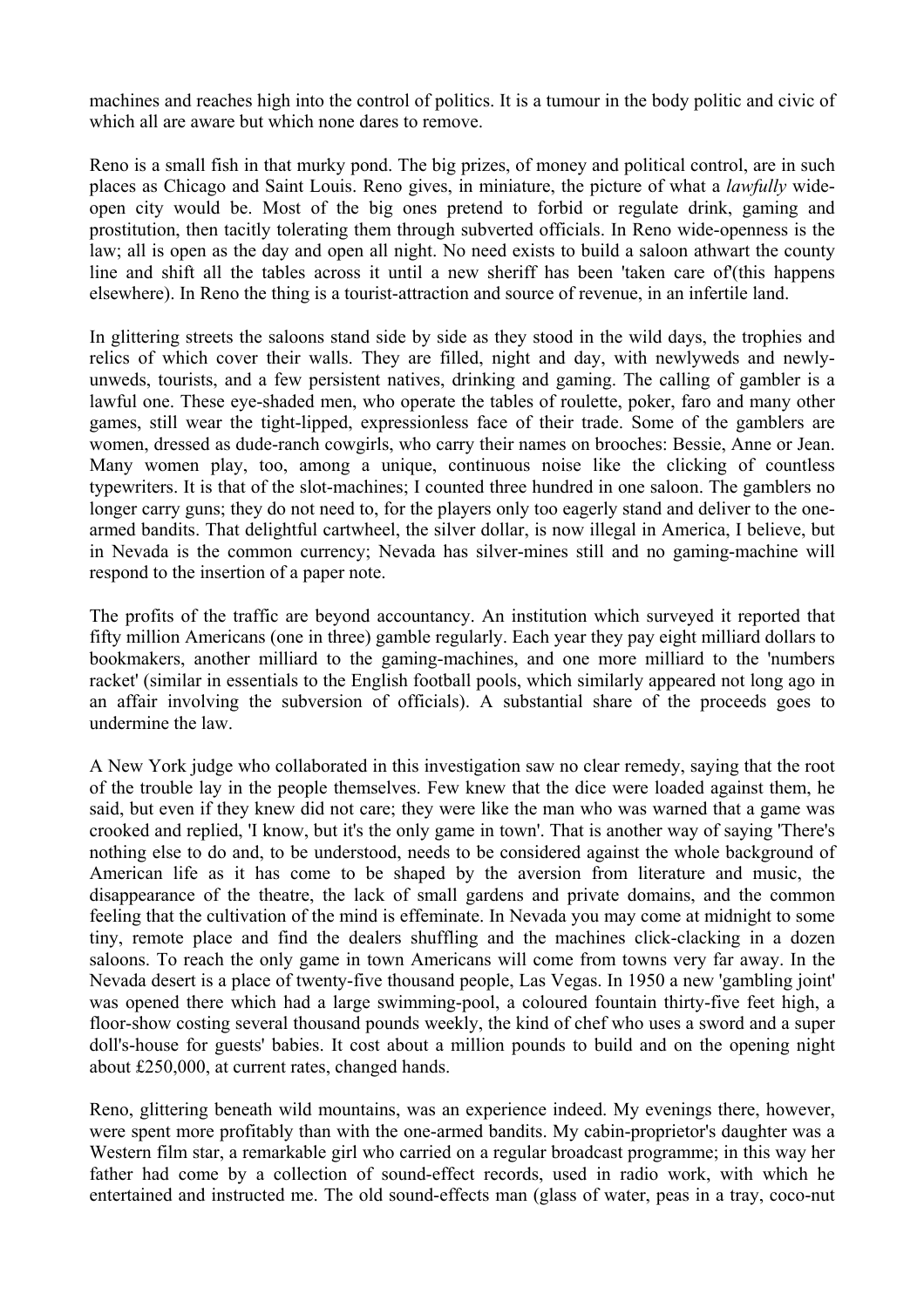machines and reaches high into the control of politics. It is a tumour in the body politic and civic of which all are aware but which none dares to remove.

Reno is a small fish in that murky pond. The big prizes, of money and political control, are in such places as Chicago and Saint Louis. Reno gives, in miniature, the picture of what a *lawfully* wideopen city would be. Most of the big ones pretend to forbid or regulate drink, gaming and prostitution, then tacitly tolerating them through subverted officials. In Reno wide-openness is the law; all is open as the day and open all night. No need exists to build a saloon athwart the county line and shift all the tables across it until a new sheriff has been 'taken care of'(this happens elsewhere). In Reno the thing is a tourist-attraction and source of revenue, in an infertile land.

In glittering streets the saloons stand side by side as they stood in the wild days, the trophies and relics of which cover their walls. They are filled, night and day, with newlyweds and newlyunweds, tourists, and a few persistent natives, drinking and gaming. The calling of gambler is a lawful one. These eye-shaded men, who operate the tables of roulette, poker, faro and many other games, still wear the tight-lipped, expressionless face of their trade. Some of the gamblers are women, dressed as dude-ranch cowgirls, who carry their names on brooches: Bessie, Anne or Jean. Many women play, too, among a unique, continuous noise like the clicking of countless typewriters. It is that of the slot-machines; I counted three hundred in one saloon. The gamblers no longer carry guns; they do not need to, for the players only too eagerly stand and deliver to the onearmed bandits. That delightful cartwheel, the silver dollar, is now illegal in America, I believe, but in Nevada is the common currency; Nevada has silver-mines still and no gaming-machine will respond to the insertion of a paper note.

The profits of the traffic are beyond accountancy. An institution which surveyed it reported that fifty million Americans (one in three) gamble regularly. Each year they pay eight milliard dollars to bookmakers, another milliard to the gaming-machines, and one more milliard to the 'numbers racket' (similar in essentials to the English football pools, which similarly appeared not long ago in an affair involving the subversion of officials). A substantial share of the proceeds goes to undermine the law.

A New York judge who collaborated in this investigation saw no clear remedy, saying that the root of the trouble lay in the people themselves. Few knew that the dice were loaded against them, he said, but even if they knew did not care; they were like the man who was warned that a game was crooked and replied, 'I know, but it's the only game in town'. That is another way of saying 'There's nothing else to do and, to be understood, needs to be considered against the whole background of American life as it has come to be shaped by the aversion from literature and music, the disappearance of the theatre, the lack of small gardens and private domains, and the common feeling that the cultivation of the mind is effeminate. In Nevada you may come at midnight to some tiny, remote place and find the dealers shuffling and the machines click-clacking in a dozen saloons. To reach the only game in town Americans will come from towns very far away. In the Nevada desert is a place of twenty-five thousand people, Las Vegas. In 1950 a new 'gambling joint' was opened there which had a large swimming-pool, a coloured fountain thirty-five feet high, a floor-show costing several thousand pounds weekly, the kind of chef who uses a sword and a super doll's-house for guests' babies. It cost about a million pounds to build and on the opening night about £250,000, at current rates, changed hands.

Reno, glittering beneath wild mountains, was an experience indeed. My evenings there, however, were spent more profitably than with the one-armed bandits. My cabin-proprietor's daughter was a Western film star, a remarkable girl who carried on a regular broadcast programme; in this way her father had come by a collection of sound-effect records, used in radio work, with which he entertained and instructed me. The old sound-effects man (glass of water, peas in a tray, coco-nut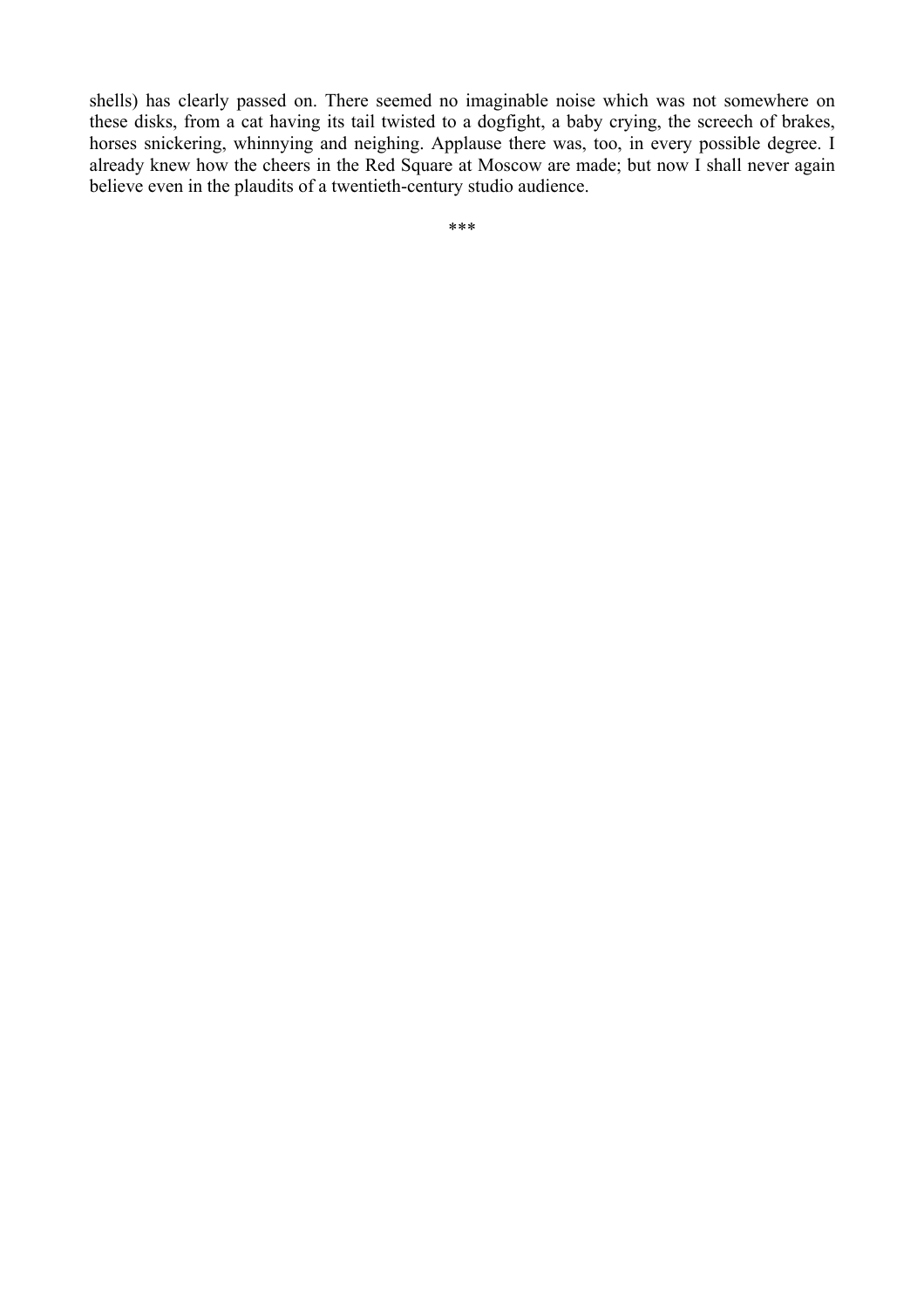shells) has clearly passed on. There seemed no imaginable noise which was not somewhere on these disks, from a cat having its tail twisted to a dogfight, a baby crying, the screech of brakes, horses snickering, whinnying and neighing. Applause there was, too, in every possible degree. I already knew how the cheers in the Red Square at Moscow are made; but now I shall never again believe even in the plaudits of a twentieth-century studio audience.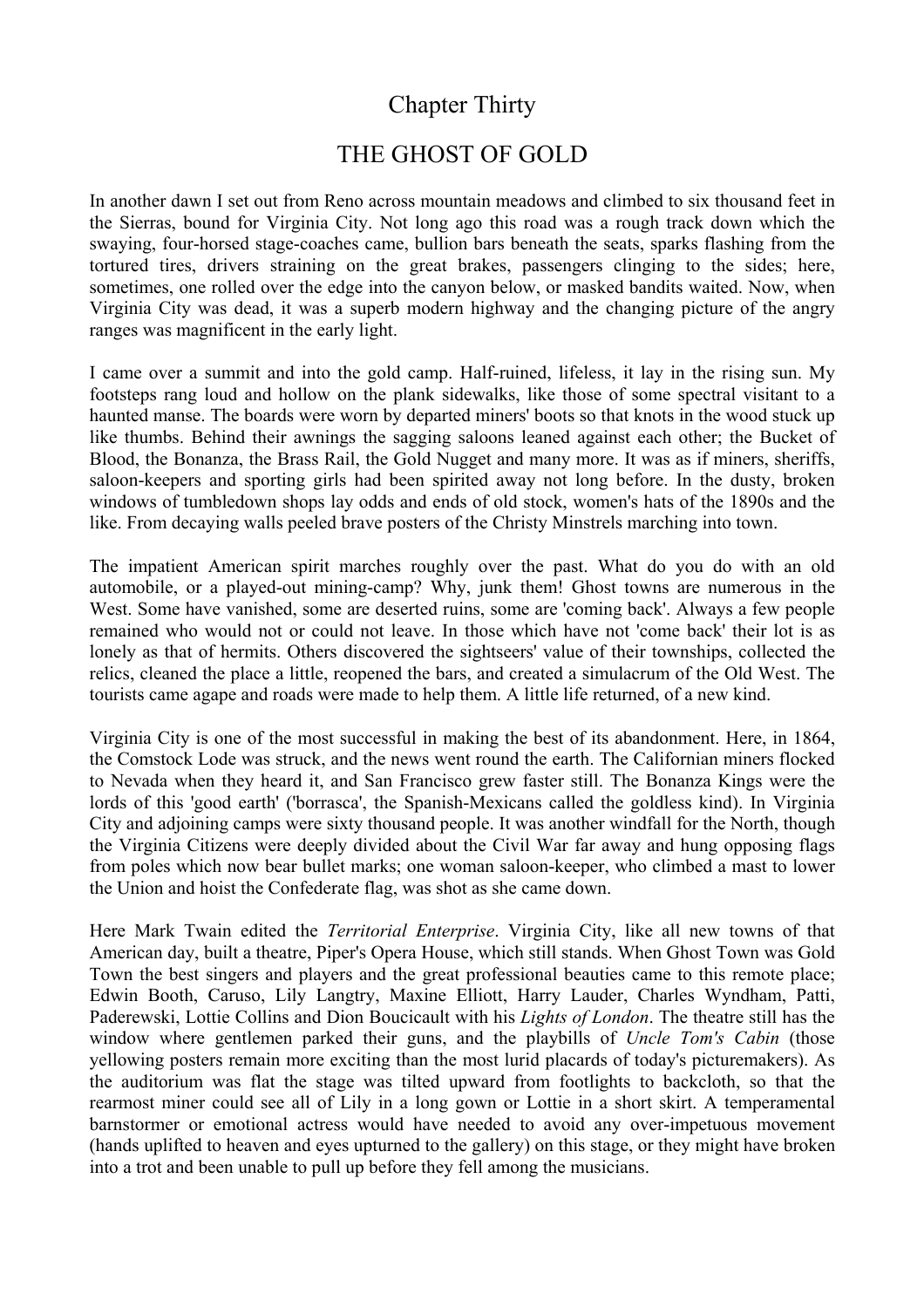# Chapter Thirty

## THE GHOST OF GOLD

In another dawn I set out from Reno across mountain meadows and climbed to six thousand feet in the Sierras, bound for Virginia City. Not long ago this road was a rough track down which the swaying, four-horsed stage-coaches came, bullion bars beneath the seats, sparks flashing from the tortured tires, drivers straining on the great brakes, passengers clinging to the sides; here, sometimes, one rolled over the edge into the canyon below, or masked bandits waited. Now, when Virginia City was dead, it was a superb modern highway and the changing picture of the angry ranges was magnificent in the early light.

I came over a summit and into the gold camp. Half-ruined, lifeless, it lay in the rising sun. My footsteps rang loud and hollow on the plank sidewalks, like those of some spectral visitant to a haunted manse. The boards were worn by departed miners' boots so that knots in the wood stuck up like thumbs. Behind their awnings the sagging saloons leaned against each other; the Bucket of Blood, the Bonanza, the Brass Rail, the Gold Nugget and many more. It was as if miners, sheriffs, saloon-keepers and sporting girls had been spirited away not long before. In the dusty, broken windows of tumbledown shops lay odds and ends of old stock, women's hats of the 1890s and the like. From decaying walls peeled brave posters of the Christy Minstrels marching into town.

The impatient American spirit marches roughly over the past. What do you do with an old automobile, or a played-out mining-camp? Why, junk them! Ghost towns are numerous in the West. Some have vanished, some are deserted ruins, some are 'coming back'. Always a few people remained who would not or could not leave. In those which have not 'come back' their lot is as lonely as that of hermits. Others discovered the sightseers' value of their townships, collected the relics, cleaned the place a little, reopened the bars, and created a simulacrum of the Old West. The tourists came agape and roads were made to help them. A little life returned, of a new kind.

Virginia City is one of the most successful in making the best of its abandonment. Here, in 1864, the Comstock Lode was struck, and the news went round the earth. The Californian miners flocked to Nevada when they heard it, and San Francisco grew faster still. The Bonanza Kings were the lords of this 'good earth' ('borrasca', the Spanish-Mexicans called the goldless kind). In Virginia City and adjoining camps were sixty thousand people. It was another windfall for the North, though the Virginia Citizens were deeply divided about the Civil War far away and hung opposing flags from poles which now bear bullet marks; one woman saloon-keeper, who climbed a mast to lower the Union and hoist the Confederate flag, was shot as she came down.

Here Mark Twain edited the *Territorial Enterprise*. Virginia City, like all new towns of that American day, built a theatre, Piper's Opera House, which still stands. When Ghost Town was Gold Town the best singers and players and the great professional beauties came to this remote place; Edwin Booth, Caruso, Lily Langtry, Maxine Elliott, Harry Lauder, Charles Wyndham, Patti, Paderewski, Lottie Collins and Dion Boucicault with his *Lights of London*. The theatre still has the window where gentlemen parked their guns, and the playbills of *Uncle Tom's Cabin* (those yellowing posters remain more exciting than the most lurid placards of today's picturemakers). As the auditorium was flat the stage was tilted upward from footlights to backcloth, so that the rearmost miner could see all of Lily in a long gown or Lottie in a short skirt. A temperamental barnstormer or emotional actress would have needed to avoid any over-impetuous movement (hands uplifted to heaven and eyes upturned to the gallery) on this stage, or they might have broken into a trot and been unable to pull up before they fell among the musicians.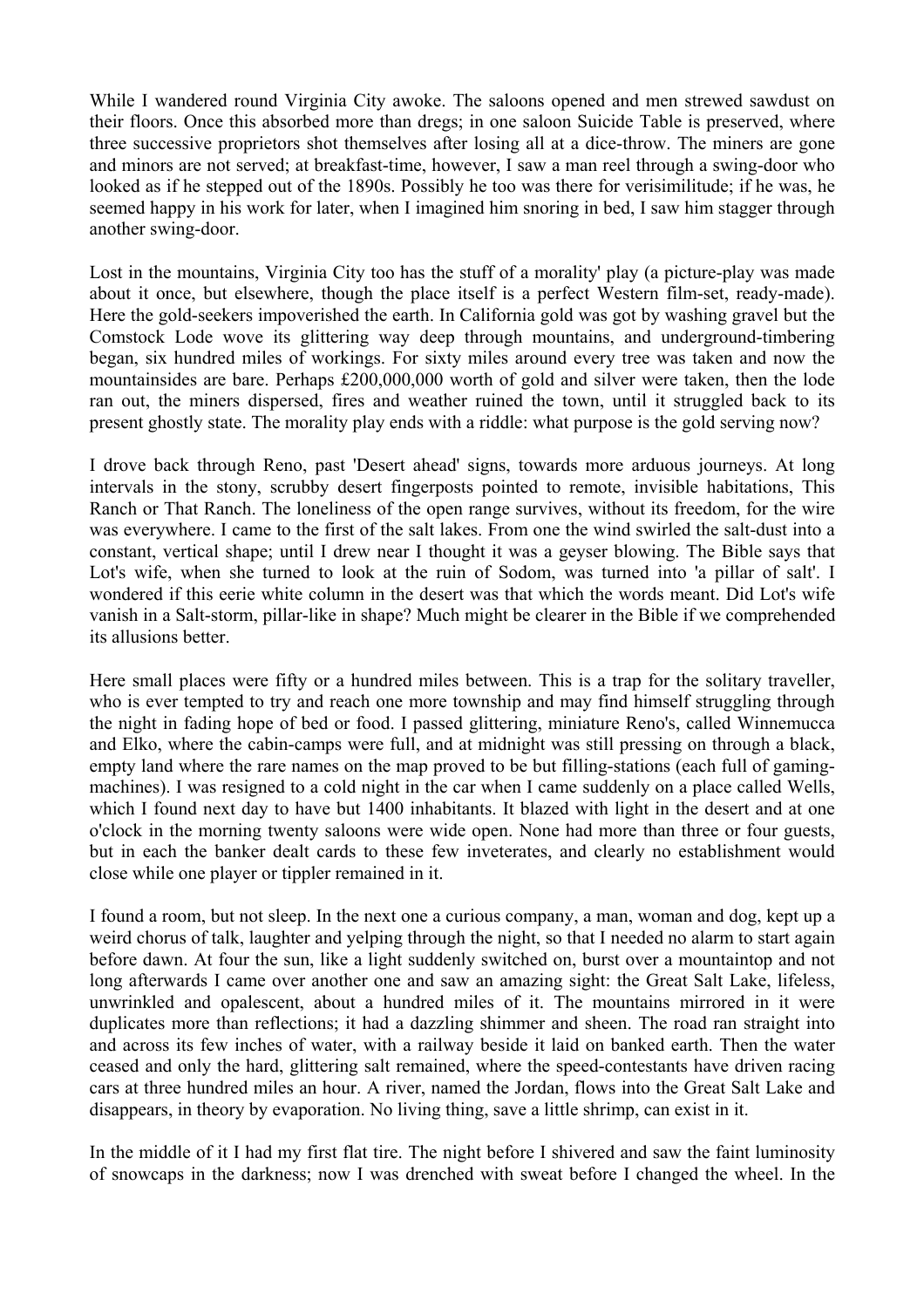While I wandered round Virginia City awoke. The saloons opened and men strewed sawdust on their floors. Once this absorbed more than dregs; in one saloon Suicide Table is preserved, where three successive proprietors shot themselves after losing all at a dice-throw. The miners are gone and minors are not served; at breakfast-time, however, I saw a man reel through a swing-door who looked as if he stepped out of the 1890s. Possibly he too was there for verisimilitude; if he was, he seemed happy in his work for later, when I imagined him snoring in bed, I saw him stagger through another swing-door.

Lost in the mountains, Virginia City too has the stuff of a morality' play (a picture-play was made about it once, but elsewhere, though the place itself is a perfect Western film-set, ready-made). Here the gold-seekers impoverished the earth. In California gold was got by washing gravel but the Comstock Lode wove its glittering way deep through mountains, and underground-timbering began, six hundred miles of workings. For sixty miles around every tree was taken and now the mountainsides are bare. Perhaps £200,000,000 worth of gold and silver were taken, then the lode ran out, the miners dispersed, fires and weather ruined the town, until it struggled back to its present ghostly state. The morality play ends with a riddle: what purpose is the gold serving now?

I drove back through Reno, past 'Desert ahead' signs, towards more arduous journeys. At long intervals in the stony, scrubby desert fingerposts pointed to remote, invisible habitations, This Ranch or That Ranch. The loneliness of the open range survives, without its freedom, for the wire was everywhere. I came to the first of the salt lakes. From one the wind swirled the salt-dust into a constant, vertical shape; until I drew near I thought it was a geyser blowing. The Bible says that Lot's wife, when she turned to look at the ruin of Sodom, was turned into 'a pillar of salt'. I wondered if this eerie white column in the desert was that which the words meant. Did Lot's wife vanish in a Salt-storm, pillar-like in shape? Much might be clearer in the Bible if we comprehended its allusions better.

Here small places were fifty or a hundred miles between. This is a trap for the solitary traveller, who is ever tempted to try and reach one more township and may find himself struggling through the night in fading hope of bed or food. I passed glittering, miniature Reno's, called Winnemucca and Elko, where the cabin-camps were full, and at midnight was still pressing on through a black, empty land where the rare names on the map proved to be but filling-stations (each full of gamingmachines). I was resigned to a cold night in the car when I came suddenly on a place called Wells, which I found next day to have but 1400 inhabitants. It blazed with light in the desert and at one o'clock in the morning twenty saloons were wide open. None had more than three or four guests, but in each the banker dealt cards to these few inveterates, and clearly no establishment would close while one player or tippler remained in it.

I found a room, but not sleep. In the next one a curious company, a man, woman and dog, kept up a weird chorus of talk, laughter and yelping through the night, so that I needed no alarm to start again before dawn. At four the sun, like a light suddenly switched on, burst over a mountaintop and not long afterwards I came over another one and saw an amazing sight: the Great Salt Lake, lifeless, unwrinkled and opalescent, about a hundred miles of it. The mountains mirrored in it were duplicates more than reflections; it had a dazzling shimmer and sheen. The road ran straight into and across its few inches of water, with a railway beside it laid on banked earth. Then the water ceased and only the hard, glittering salt remained, where the speed-contestants have driven racing cars at three hundred miles an hour. A river, named the Jordan, flows into the Great Salt Lake and disappears, in theory by evaporation. No living thing, save a little shrimp, can exist in it.

In the middle of it I had my first flat tire. The night before I shivered and saw the faint luminosity of snowcaps in the darkness; now I was drenched with sweat before I changed the wheel. In the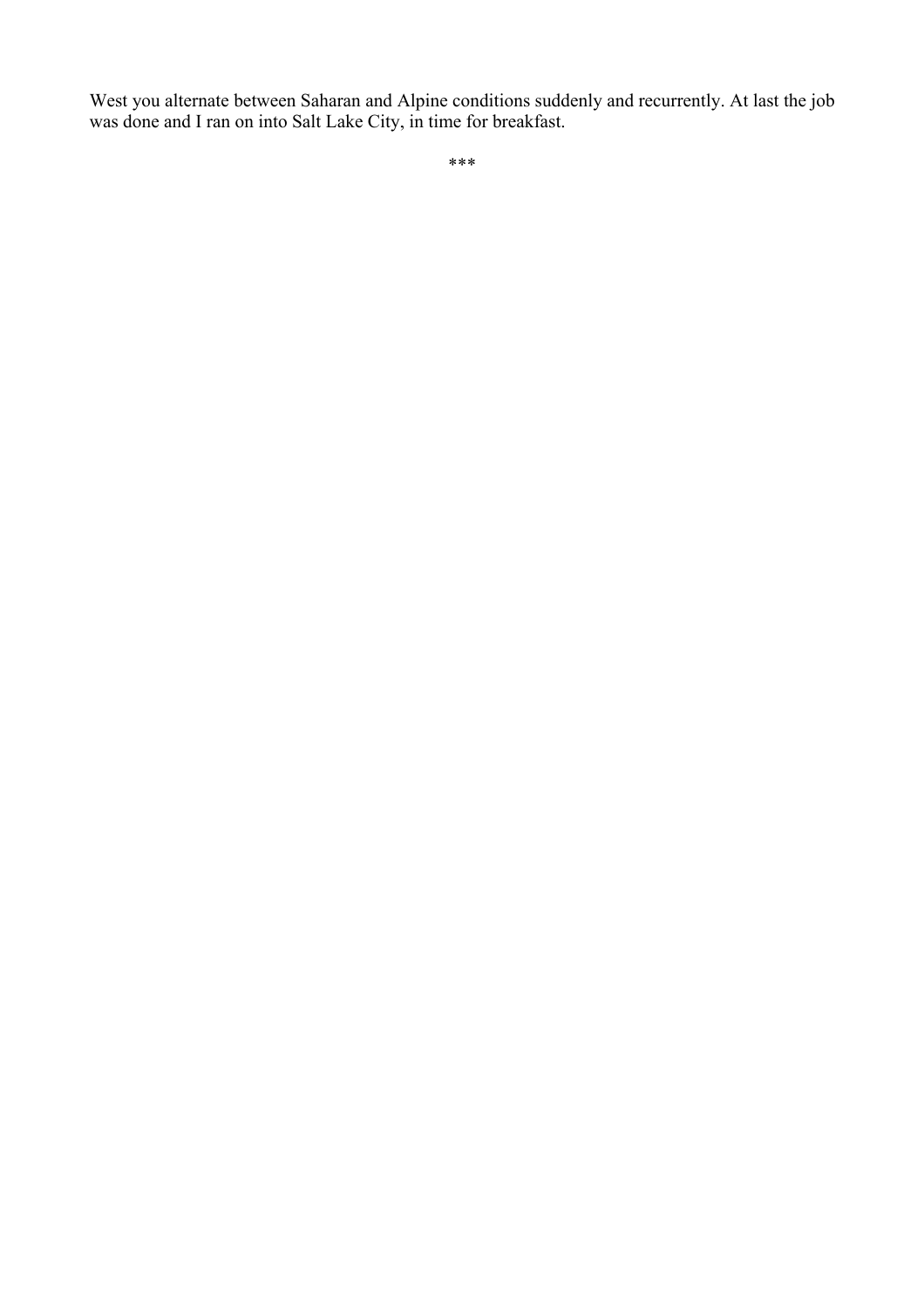West you alternate between Saharan and Alpine conditions suddenly and recurrently. At last the job was done and I ran on into Salt Lake City, in time for breakfast.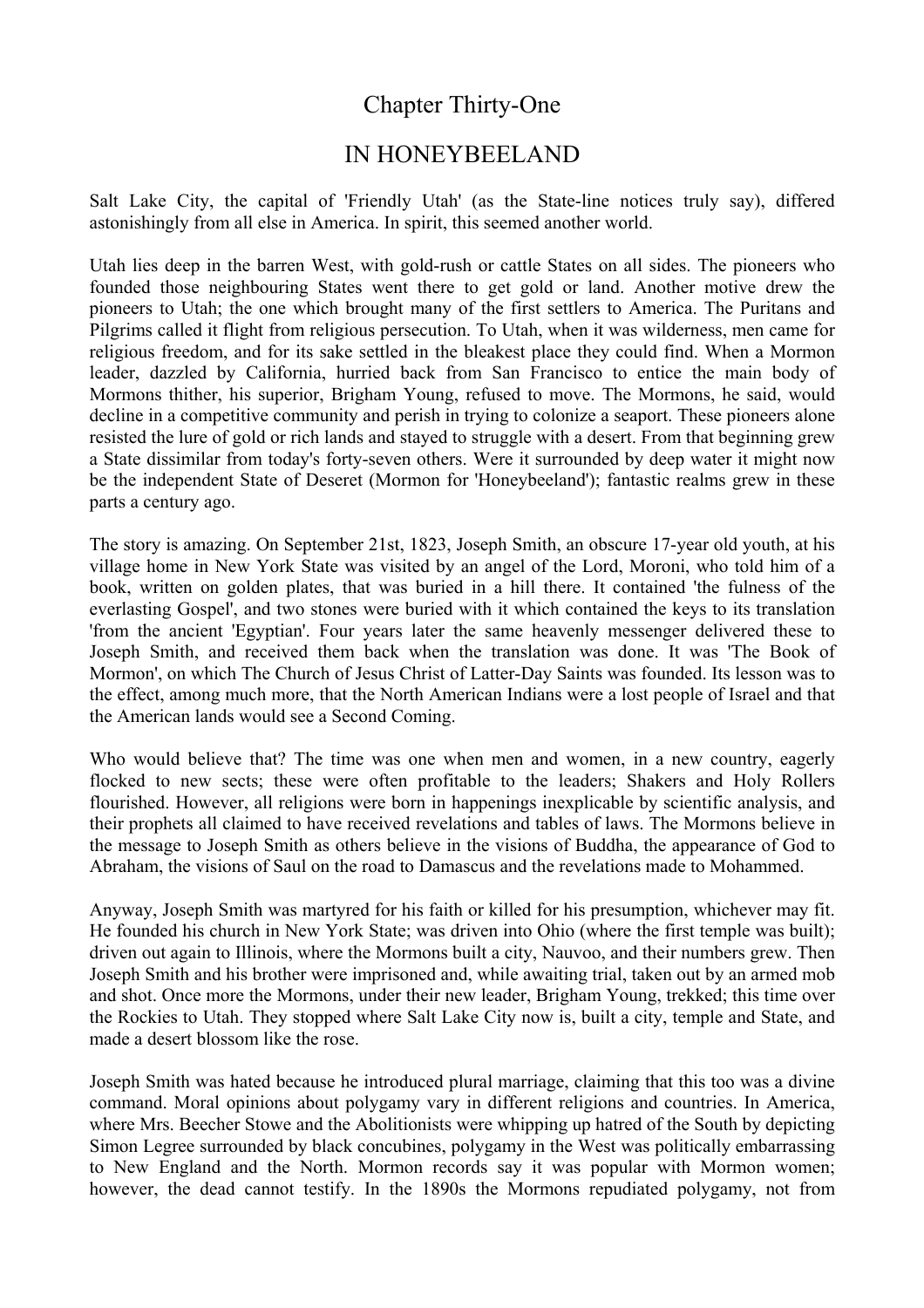# Chapter Thirty-One

#### IN HONEYBEELAND

Salt Lake City, the capital of 'Friendly Utah' (as the State-line notices truly say), differed astonishingly from all else in America. In spirit, this seemed another world.

Utah lies deep in the barren West, with gold-rush or cattle States on all sides. The pioneers who founded those neighbouring States went there to get gold or land. Another motive drew the pioneers to Utah; the one which brought many of the first settlers to America. The Puritans and Pilgrims called it flight from religious persecution. To Utah, when it was wilderness, men came for religious freedom, and for its sake settled in the bleakest place they could find. When a Mormon leader, dazzled by California, hurried back from San Francisco to entice the main body of Mormons thither, his superior, Brigham Young, refused to move. The Mormons, he said, would decline in a competitive community and perish in trying to colonize a seaport. These pioneers alone resisted the lure of gold or rich lands and stayed to struggle with a desert. From that beginning grew a State dissimilar from today's forty-seven others. Were it surrounded by deep water it might now be the independent State of Deseret (Mormon for 'Honeybeeland'); fantastic realms grew in these parts a century ago.

The story is amazing. On September 21st, 1823, Joseph Smith, an obscure 17-year old youth, at his village home in New York State was visited by an angel of the Lord, Moroni, who told him of a book, written on golden plates, that was buried in a hill there. It contained 'the fulness of the everlasting Gospel', and two stones were buried with it which contained the keys to its translation 'from the ancient 'Egyptian'. Four years later the same heavenly messenger delivered these to Joseph Smith, and received them back when the translation was done. It was 'The Book of Mormon', on which The Church of Jesus Christ of Latter-Day Saints was founded. Its lesson was to the effect, among much more, that the North American Indians were a lost people of Israel and that the American lands would see a Second Coming.

Who would believe that? The time was one when men and women, in a new country, eagerly flocked to new sects; these were often profitable to the leaders; Shakers and Holy Rollers flourished. However, all religions were born in happenings inexplicable by scientific analysis, and their prophets all claimed to have received revelations and tables of laws. The Mormons believe in the message to Joseph Smith as others believe in the visions of Buddha, the appearance of God to Abraham, the visions of Saul on the road to Damascus and the revelations made to Mohammed.

Anyway, Joseph Smith was martyred for his faith or killed for his presumption, whichever may fit. He founded his church in New York State; was driven into Ohio (where the first temple was built); driven out again to Illinois, where the Mormons built a city, Nauvoo, and their numbers grew. Then Joseph Smith and his brother were imprisoned and, while awaiting trial, taken out by an armed mob and shot. Once more the Mormons, under their new leader, Brigham Young, trekked; this time over the Rockies to Utah. They stopped where Salt Lake City now is, built a city, temple and State, and made a desert blossom like the rose.

Joseph Smith was hated because he introduced plural marriage, claiming that this too was a divine command. Moral opinions about polygamy vary in different religions and countries. In America, where Mrs. Beecher Stowe and the Abolitionists were whipping up hatred of the South by depicting Simon Legree surrounded by black concubines, polygamy in the West was politically embarrassing to New England and the North. Mormon records say it was popular with Mormon women; however, the dead cannot testify. In the 1890s the Mormons repudiated polygamy, not from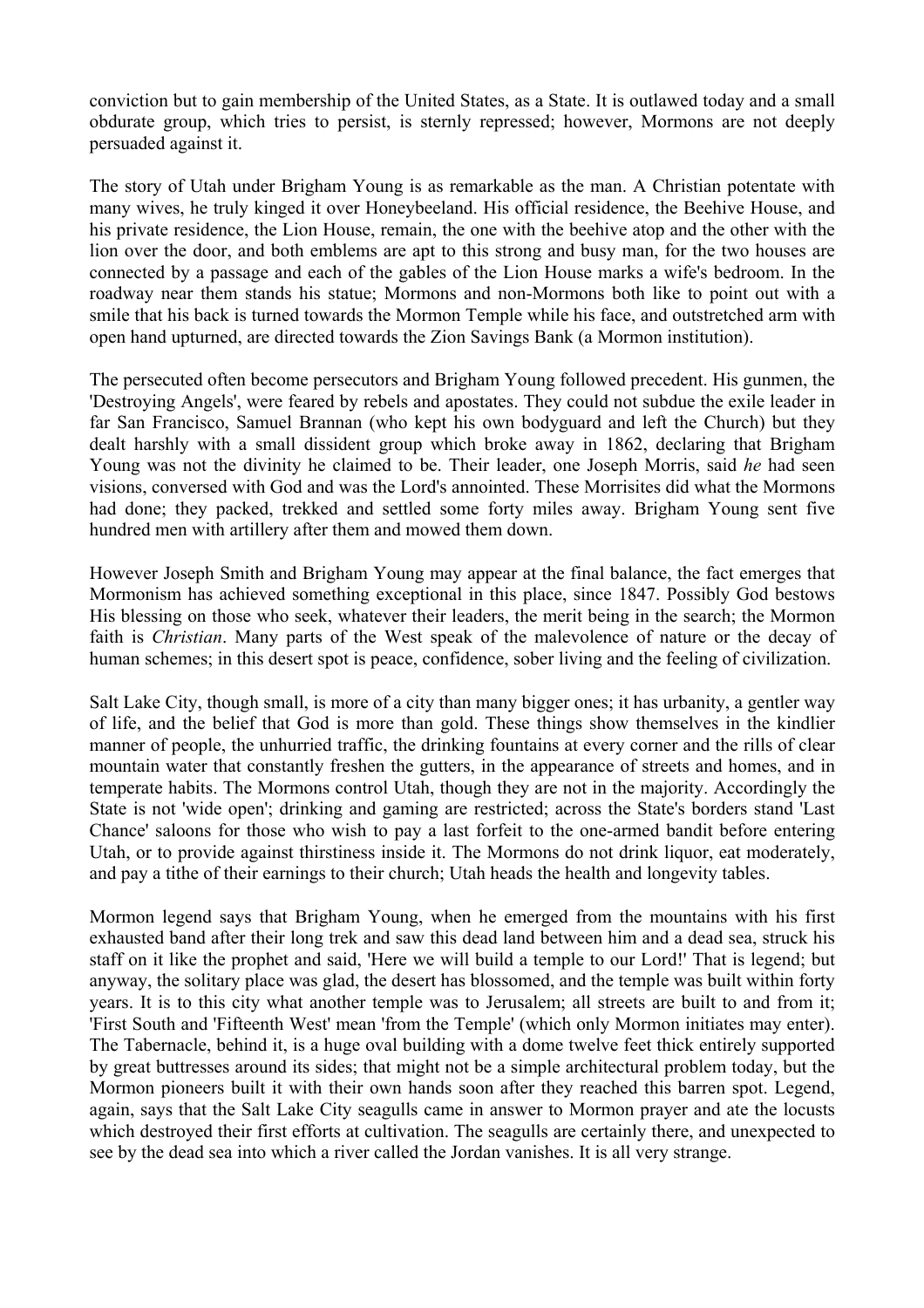conviction but to gain membership of the United States, as a State. It is outlawed today and a small obdurate group, which tries to persist, is sternly repressed; however, Mormons are not deeply persuaded against it.

The story of Utah under Brigham Young is as remarkable as the man. A Christian potentate with many wives, he truly kinged it over Honeybeeland. His official residence, the Beehive House, and his private residence, the Lion House, remain, the one with the beehive atop and the other with the lion over the door, and both emblems are apt to this strong and busy man, for the two houses are connected by a passage and each of the gables of the Lion House marks a wife's bedroom. In the roadway near them stands his statue; Mormons and non-Mormons both like to point out with a smile that his back is turned towards the Mormon Temple while his face, and outstretched arm with open hand upturned, are directed towards the Zion Savings Bank (a Mormon institution).

The persecuted often become persecutors and Brigham Young followed precedent. His gunmen, the 'Destroying Angels', were feared by rebels and apostates. They could not subdue the exile leader in far San Francisco, Samuel Brannan (who kept his own bodyguard and left the Church) but they dealt harshly with a small dissident group which broke away in 1862, declaring that Brigham Young was not the divinity he claimed to be. Their leader, one Joseph Morris, said *he* had seen visions, conversed with God and was the Lord's annointed. These Morrisites did what the Mormons had done; they packed, trekked and settled some forty miles away. Brigham Young sent five hundred men with artillery after them and mowed them down.

However Joseph Smith and Brigham Young may appear at the final balance, the fact emerges that Mormonism has achieved something exceptional in this place, since 1847. Possibly God bestows His blessing on those who seek, whatever their leaders, the merit being in the search; the Mormon faith is *Christian*. Many parts of the West speak of the malevolence of nature or the decay of human schemes; in this desert spot is peace, confidence, sober living and the feeling of civilization.

Salt Lake City, though small, is more of a city than many bigger ones; it has urbanity, a gentler way of life, and the belief that God is more than gold. These things show themselves in the kindlier manner of people, the unhurried traffic, the drinking fountains at every corner and the rills of clear mountain water that constantly freshen the gutters, in the appearance of streets and homes, and in temperate habits. The Mormons control Utah, though they are not in the majority. Accordingly the State is not 'wide open'; drinking and gaming are restricted; across the State's borders stand 'Last Chance' saloons for those who wish to pay a last forfeit to the one-armed bandit before entering Utah, or to provide against thirstiness inside it. The Mormons do not drink liquor, eat moderately, and pay a tithe of their earnings to their church; Utah heads the health and longevity tables.

Mormon legend says that Brigham Young, when he emerged from the mountains with his first exhausted band after their long trek and saw this dead land between him and a dead sea, struck his staff on it like the prophet and said, 'Here we will build a temple to our Lord!' That is legend; but anyway, the solitary place was glad, the desert has blossomed, and the temple was built within forty years. It is to this city what another temple was to Jerusalem; all streets are built to and from it; 'First South and 'Fifteenth West' mean 'from the Temple' (which only Mormon initiates may enter). The Tabernacle, behind it, is a huge oval building with a dome twelve feet thick entirely supported by great buttresses around its sides; that might not be a simple architectural problem today, but the Mormon pioneers built it with their own hands soon after they reached this barren spot. Legend, again, says that the Salt Lake City seagulls came in answer to Mormon prayer and ate the locusts which destroyed their first efforts at cultivation. The seagulls are certainly there, and unexpected to see by the dead sea into which a river called the Jordan vanishes. It is all very strange.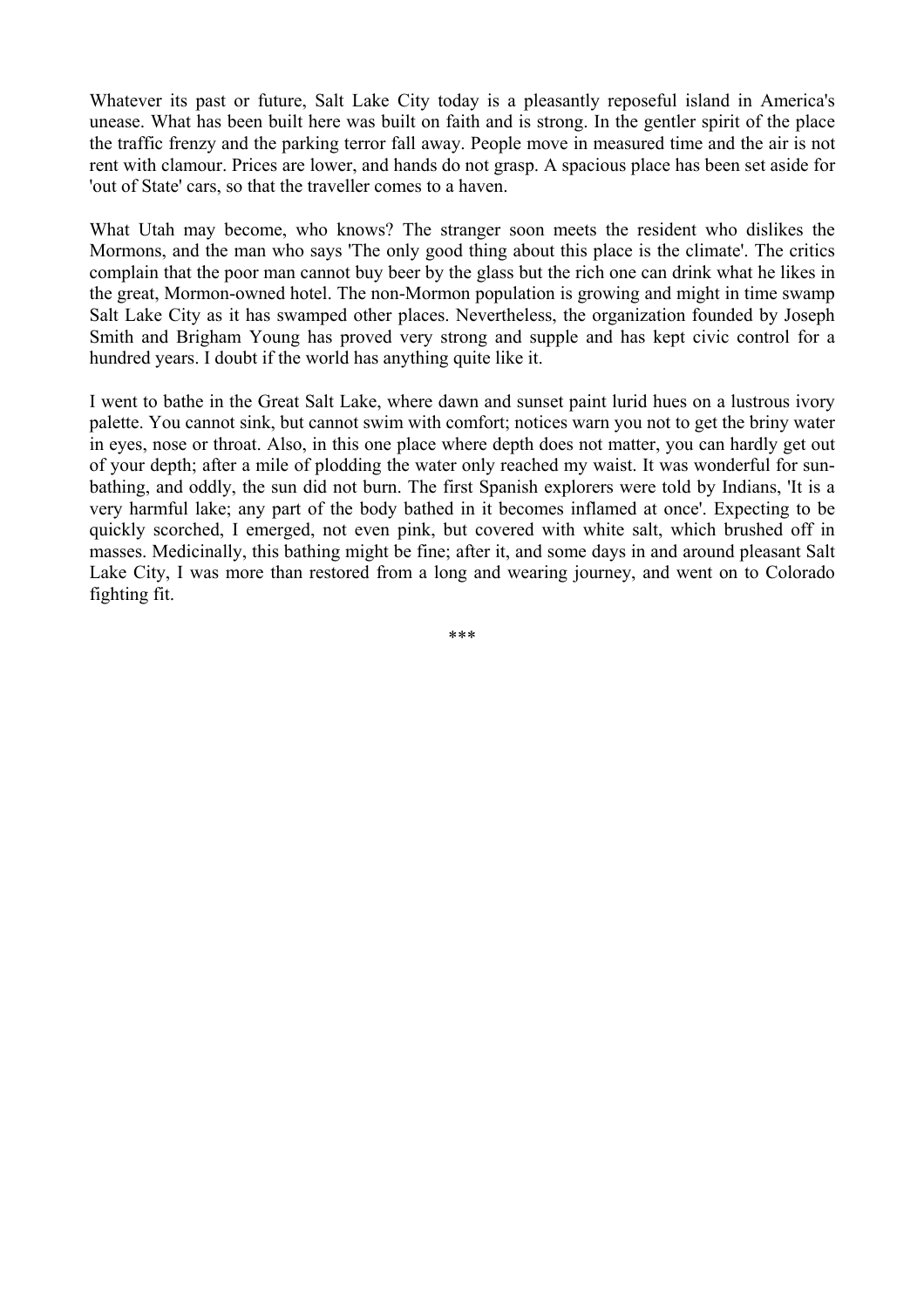Whatever its past or future, Salt Lake City today is a pleasantly reposeful island in America's unease. What has been built here was built on faith and is strong. In the gentler spirit of the place the traffic frenzy and the parking terror fall away. People move in measured time and the air is not rent with clamour. Prices are lower, and hands do not grasp. A spacious place has been set aside for 'out of State' cars, so that the traveller comes to a haven.

What Utah may become, who knows? The stranger soon meets the resident who dislikes the Mormons, and the man who says 'The only good thing about this place is the climate'. The critics complain that the poor man cannot buy beer by the glass but the rich one can drink what he likes in the great, Mormon-owned hotel. The non-Mormon population is growing and might in time swamp Salt Lake City as it has swamped other places. Nevertheless, the organization founded by Joseph Smith and Brigham Young has proved very strong and supple and has kept civic control for a hundred years. I doubt if the world has anything quite like it.

I went to bathe in the Great Salt Lake, where dawn and sunset paint lurid hues on a lustrous ivory palette. You cannot sink, but cannot swim with comfort; notices warn you not to get the briny water in eyes, nose or throat. Also, in this one place where depth does not matter, you can hardly get out of your depth; after a mile of plodding the water only reached my waist. It was wonderful for sunbathing, and oddly, the sun did not burn. The first Spanish explorers were told by Indians, 'It is a very harmful lake; any part of the body bathed in it becomes inflamed at once'. Expecting to be quickly scorched, I emerged, not even pink, but covered with white salt, which brushed off in masses. Medicinally, this bathing might be fine; after it, and some days in and around pleasant Salt Lake City, I was more than restored from a long and wearing journey, and went on to Colorado fighting fit.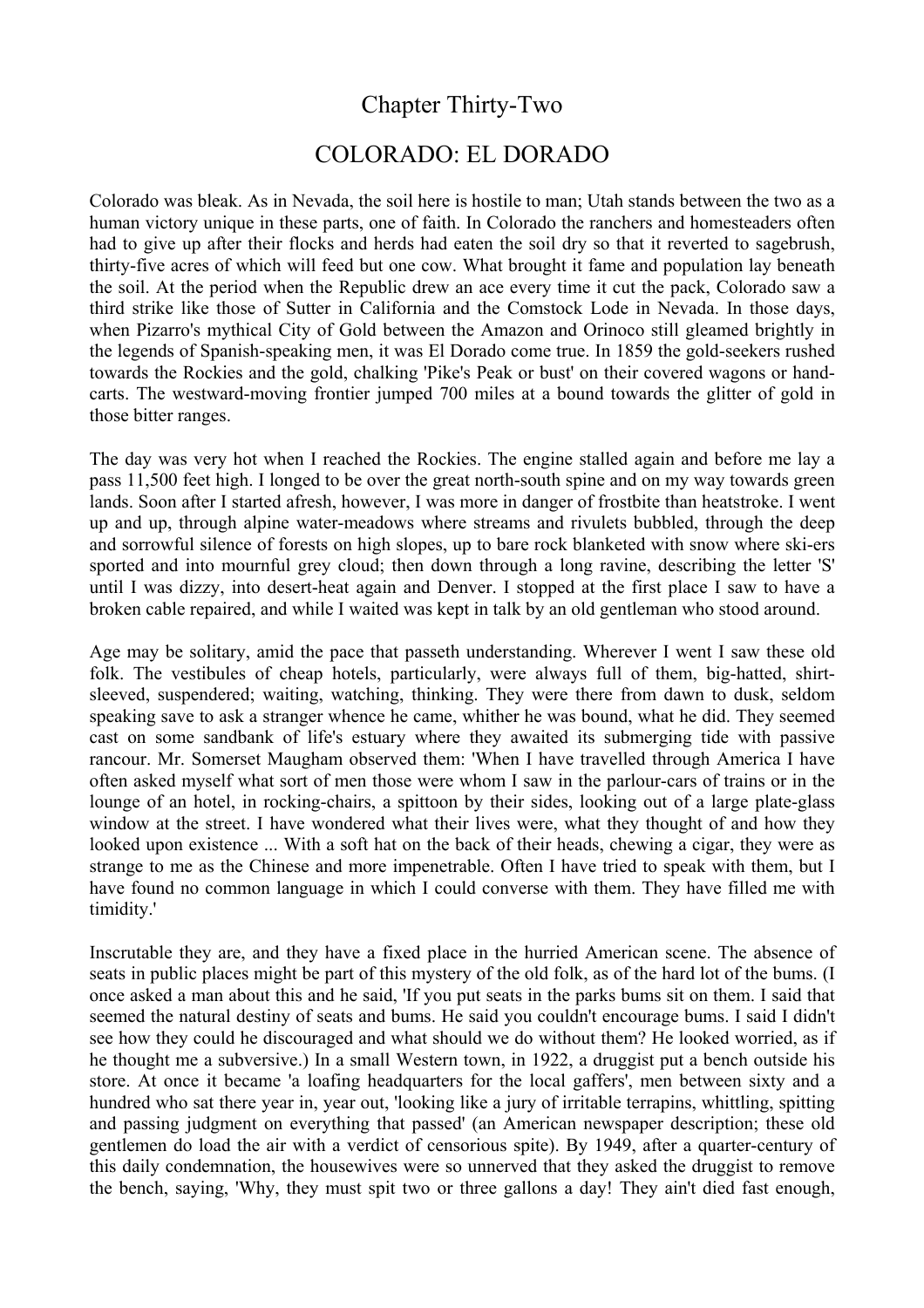# Chapter Thirty-Two

#### COLORADO: EL DORADO

Colorado was bleak. As in Nevada, the soil here is hostile to man; Utah stands between the two as a human victory unique in these parts, one of faith. In Colorado the ranchers and homesteaders often had to give up after their flocks and herds had eaten the soil dry so that it reverted to sagebrush, thirty-five acres of which will feed but one cow. What brought it fame and population lay beneath the soil. At the period when the Republic drew an ace every time it cut the pack, Colorado saw a third strike like those of Sutter in California and the Comstock Lode in Nevada. In those days, when Pizarro's mythical City of Gold between the Amazon and Orinoco still gleamed brightly in the legends of Spanish-speaking men, it was El Dorado come true. In 1859 the gold-seekers rushed towards the Rockies and the gold, chalking 'Pike's Peak or bust' on their covered wagons or handcarts. The westward-moving frontier jumped 700 miles at a bound towards the glitter of gold in those bitter ranges.

The day was very hot when I reached the Rockies. The engine stalled again and before me lay a pass 11,500 feet high. I longed to be over the great north-south spine and on my way towards green lands. Soon after I started afresh, however, I was more in danger of frostbite than heatstroke. I went up and up, through alpine water-meadows where streams and rivulets bubbled, through the deep and sorrowful silence of forests on high slopes, up to bare rock blanketed with snow where ski-ers sported and into mournful grey cloud; then down through a long ravine, describing the letter 'S' until I was dizzy, into desert-heat again and Denver. I stopped at the first place I saw to have a broken cable repaired, and while I waited was kept in talk by an old gentleman who stood around.

Age may be solitary, amid the pace that passeth understanding. Wherever I went I saw these old folk. The vestibules of cheap hotels, particularly, were always full of them, big-hatted, shirtsleeved, suspendered; waiting, watching, thinking. They were there from dawn to dusk, seldom speaking save to ask a stranger whence he came, whither he was bound, what he did. They seemed cast on some sandbank of life's estuary where they awaited its submerging tide with passive rancour. Mr. Somerset Maugham observed them: 'When I have travelled through America I have often asked myself what sort of men those were whom I saw in the parlour-cars of trains or in the lounge of an hotel, in rocking-chairs, a spittoon by their sides, looking out of a large plate-glass window at the street. I have wondered what their lives were, what they thought of and how they looked upon existence ... With a soft hat on the back of their heads, chewing a cigar, they were as strange to me as the Chinese and more impenetrable. Often I have tried to speak with them, but I have found no common language in which I could converse with them. They have filled me with timidity.'

Inscrutable they are, and they have a fixed place in the hurried American scene. The absence of seats in public places might be part of this mystery of the old folk, as of the hard lot of the bums. (I once asked a man about this and he said, 'If you put seats in the parks bums sit on them. I said that seemed the natural destiny of seats and bums. He said you couldn't encourage bums. I said I didn't see how they could he discouraged and what should we do without them? He looked worried, as if he thought me a subversive.) In a small Western town, in 1922, a druggist put a bench outside his store. At once it became 'a loafing headquarters for the local gaffers', men between sixty and a hundred who sat there year in, year out, 'looking like a jury of irritable terrapins, whittling, spitting and passing judgment on everything that passed' (an American newspaper description; these old gentlemen do load the air with a verdict of censorious spite). By 1949, after a quarter-century of this daily condemnation, the housewives were so unnerved that they asked the druggist to remove the bench, saying, 'Why, they must spit two or three gallons a day! They ain't died fast enough,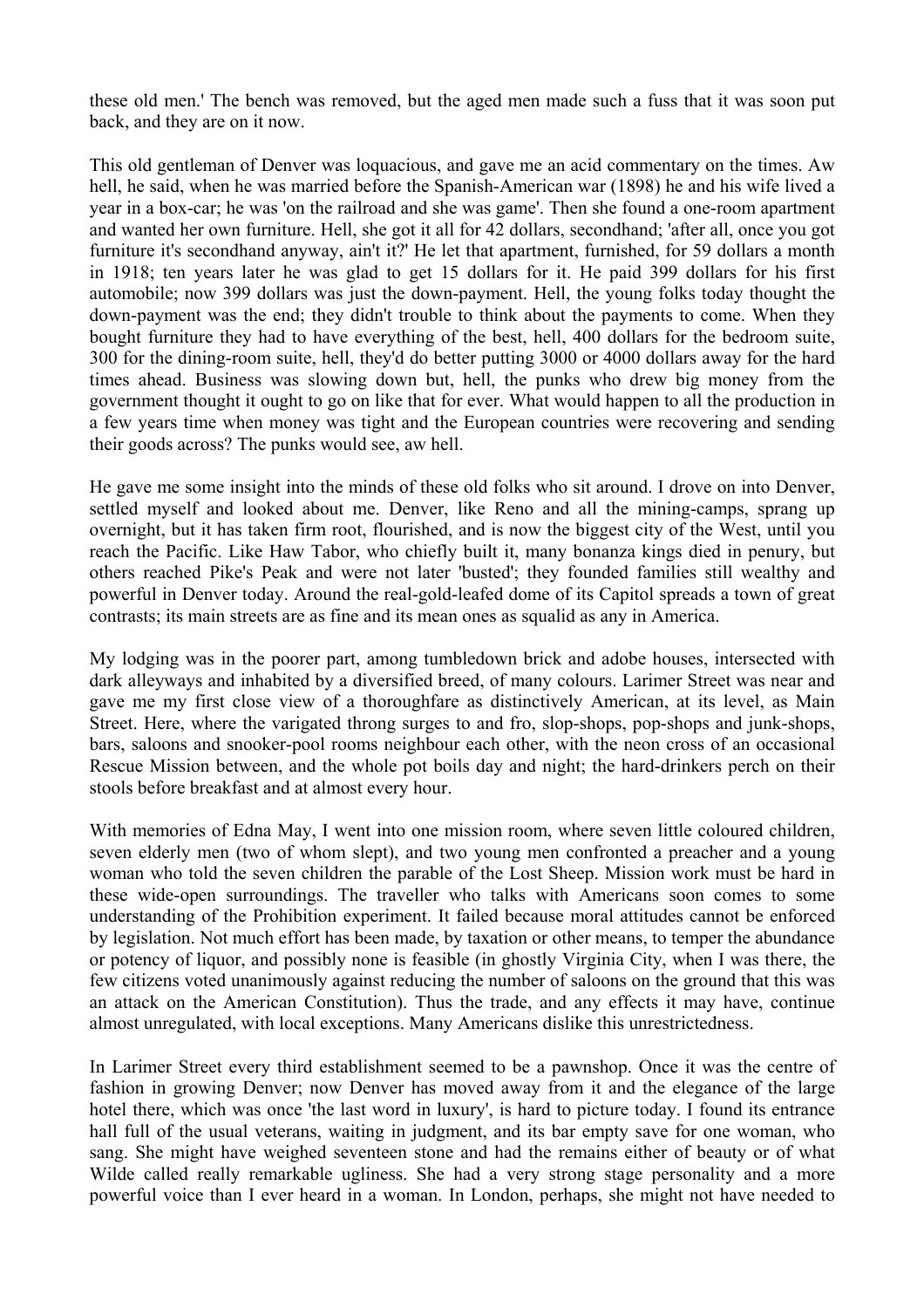these old men.' The bench was removed, but the aged men made such a fuss that it was soon put back, and they are on it now.

This old gentleman of Denver was loquacious, and gave me an acid commentary on the times. Aw hell, he said, when he was married before the Spanish-American war (1898) he and his wife lived a year in a box-car; he was 'on the railroad and she was game'. Then she found a one-room apartment and wanted her own furniture. Hell, she got it all for 42 dollars, secondhand; 'after all, once you got furniture it's secondhand anyway, ain't it?' He let that apartment, furnished, for 59 dollars a month in 1918; ten years later he was glad to get 15 dollars for it. He paid 399 dollars for his first automobile; now 399 dollars was just the down-payment. Hell, the young folks today thought the down-payment was the end; they didn't trouble to think about the payments to come. When they bought furniture they had to have everything of the best, hell, 400 dollars for the bedroom suite, 300 for the dining-room suite, hell, they'd do better putting 3000 or 4000 dollars away for the hard times ahead. Business was slowing down but, hell, the punks who drew big money from the government thought it ought to go on like that for ever. What would happen to all the production in a few years time when money was tight and the European countries were recovering and sending their goods across? The punks would see, aw hell.

He gave me some insight into the minds of these old folks who sit around. I drove on into Denver, settled myself and looked about me. Denver, like Reno and all the mining-camps, sprang up overnight, but it has taken firm root, flourished, and is now the biggest city of the West, until you reach the Pacific. Like Haw Tabor, who chiefly built it, many bonanza kings died in penury, but others reached Pike's Peak and were not later 'busted'; they founded families still wealthy and powerful in Denver today. Around the real-gold-leafed dome of its Capitol spreads a town of great contrasts; its main streets are as fine and its mean ones as squalid as any in America.

My lodging was in the poorer part, among tumbledown brick and adobe houses, intersected with dark alleyways and inhabited by a diversified breed, of many colours. Larimer Street was near and gave me my first close view of a thoroughfare as distinctively American, at its level, as Main Street. Here, where the varigated throng surges to and fro, slop-shops, pop-shops and junk-shops, bars, saloons and snooker-pool rooms neighbour each other, with the neon cross of an occasional Rescue Mission between, and the whole pot boils day and night; the hard-drinkers perch on their stools before breakfast and at almost every hour.

With memories of Edna May, I went into one mission room, where seven little coloured children, seven elderly men (two of whom slept), and two young men confronted a preacher and a young woman who told the seven children the parable of the Lost Sheep. Mission work must be hard in these wide-open surroundings. The traveller who talks with Americans soon comes to some understanding of the Prohibition experiment. It failed because moral attitudes cannot be enforced by legislation. Not much effort has been made, by taxation or other means, to temper the abundance or potency of liquor, and possibly none is feasible (in ghostly Virginia City, when I was there, the few citizens voted unanimously against reducing the number of saloons on the ground that this was an attack on the American Constitution). Thus the trade, and any effects it may have, continue almost unregulated, with local exceptions. Many Americans dislike this unrestrictedness.

In Larimer Street every third establishment seemed to be a pawnshop. Once it was the centre of fashion in growing Denver; now Denver has moved away from it and the elegance of the large hotel there, which was once 'the last word in luxury', is hard to picture today. I found its entrance hall full of the usual veterans, waiting in judgment, and its bar empty save for one woman, who sang. She might have weighed seventeen stone and had the remains either of beauty or of what Wilde called really remarkable ugliness. She had a very strong stage personality and a more powerful voice than I ever heard in a woman. In London, perhaps, she might not have needed to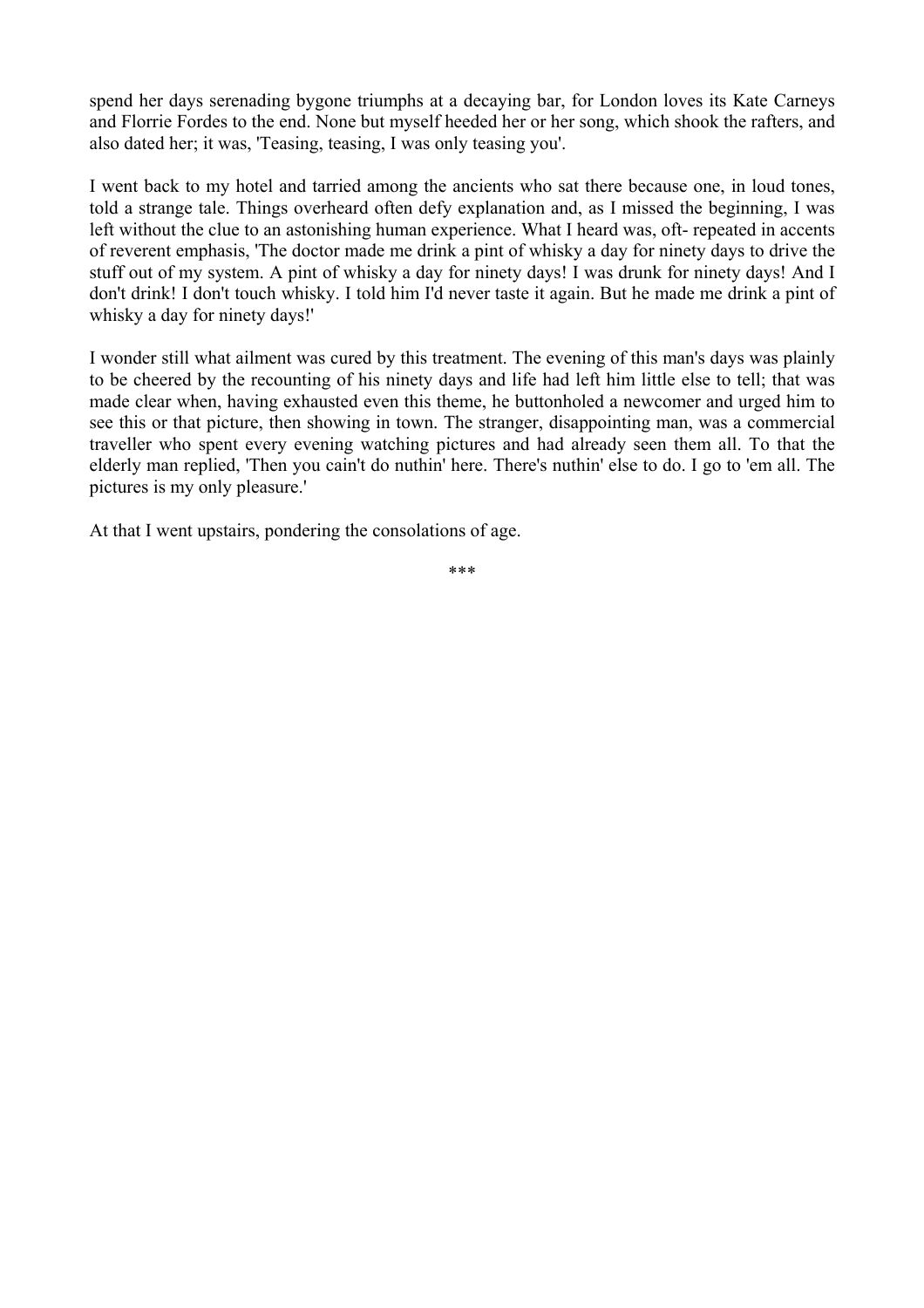spend her days serenading bygone triumphs at a decaying bar, for London loves its Kate Carneys and Florrie Fordes to the end. None but myself heeded her or her song, which shook the rafters, and also dated her; it was, 'Teasing, teasing, I was only teasing you'.

I went back to my hotel and tarried among the ancients who sat there because one, in loud tones, told a strange tale. Things overheard often defy explanation and, as I missed the beginning, I was left without the clue to an astonishing human experience. What I heard was, oft- repeated in accents of reverent emphasis, 'The doctor made me drink a pint of whisky a day for ninety days to drive the stuff out of my system. A pint of whisky a day for ninety days! I was drunk for ninety days! And I don't drink! I don't touch whisky. I told him I'd never taste it again. But he made me drink a pint of whisky a day for ninety days!'

I wonder still what ailment was cured by this treatment. The evening of this man's days was plainly to be cheered by the recounting of his ninety days and life had left him little else to tell; that was made clear when, having exhausted even this theme, he buttonholed a newcomer and urged him to see this or that picture, then showing in town. The stranger, disappointing man, was a commercial traveller who spent every evening watching pictures and had already seen them all. To that the elderly man replied, 'Then you cain't do nuthin' here. There's nuthin' else to do. I go to 'em all. The pictures is my only pleasure.'

At that I went upstairs, pondering the consolations of age.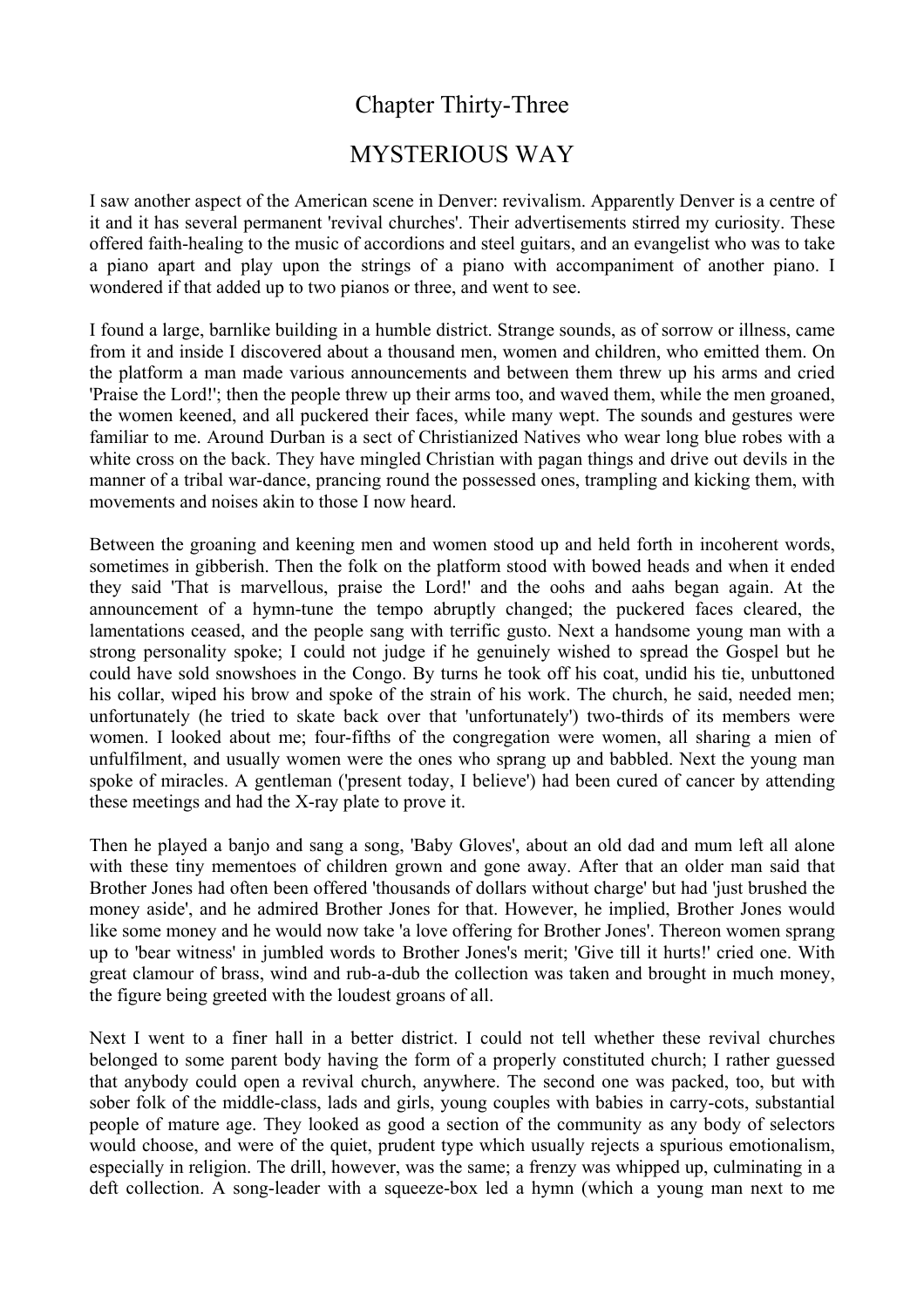# Chapter Thirty-Three

## MYSTERIOUS WAY

I saw another aspect of the American scene in Denver: revivalism. Apparently Denver is a centre of it and it has several permanent 'revival churches'. Their advertisements stirred my curiosity. These offered faith-healing to the music of accordions and steel guitars, and an evangelist who was to take a piano apart and play upon the strings of a piano with accompaniment of another piano. I wondered if that added up to two pianos or three, and went to see.

I found a large, barnlike building in a humble district. Strange sounds, as of sorrow or illness, came from it and inside I discovered about a thousand men, women and children, who emitted them. On the platform a man made various announcements and between them threw up his arms and cried 'Praise the Lord!'; then the people threw up their arms too, and waved them, while the men groaned, the women keened, and all puckered their faces, while many wept. The sounds and gestures were familiar to me. Around Durban is a sect of Christianized Natives who wear long blue robes with a white cross on the back. They have mingled Christian with pagan things and drive out devils in the manner of a tribal war-dance, prancing round the possessed ones, trampling and kicking them, with movements and noises akin to those I now heard.

Between the groaning and keening men and women stood up and held forth in incoherent words, sometimes in gibberish. Then the folk on the platform stood with bowed heads and when it ended they said 'That is marvellous, praise the Lord!' and the oohs and aahs began again. At the announcement of a hymn-tune the tempo abruptly changed; the puckered faces cleared, the lamentations ceased, and the people sang with terrific gusto. Next a handsome young man with a strong personality spoke; I could not judge if he genuinely wished to spread the Gospel but he could have sold snowshoes in the Congo. By turns he took off his coat, undid his tie, unbuttoned his collar, wiped his brow and spoke of the strain of his work. The church, he said, needed men; unfortunately (he tried to skate back over that 'unfortunately') two-thirds of its members were women. I looked about me; four-fifths of the congregation were women, all sharing a mien of unfulfilment, and usually women were the ones who sprang up and babbled. Next the young man spoke of miracles. A gentleman ('present today, I believe') had been cured of cancer by attending these meetings and had the X-ray plate to prove it.

Then he played a banjo and sang a song, 'Baby Gloves', about an old dad and mum left all alone with these tiny mementoes of children grown and gone away. After that an older man said that Brother Jones had often been offered 'thousands of dollars without charge' but had 'just brushed the money aside', and he admired Brother Jones for that. However, he implied, Brother Jones would like some money and he would now take 'a love offering for Brother Jones'. Thereon women sprang up to 'bear witness' in jumbled words to Brother Jones's merit; 'Give till it hurts!' cried one. With great clamour of brass, wind and rub-a-dub the collection was taken and brought in much money, the figure being greeted with the loudest groans of all.

Next I went to a finer hall in a better district. I could not tell whether these revival churches belonged to some parent body having the form of a properly constituted church; I rather guessed that anybody could open a revival church, anywhere. The second one was packed, too, but with sober folk of the middle-class, lads and girls, young couples with babies in carry-cots, substantial people of mature age. They looked as good a section of the community as any body of selectors would choose, and were of the quiet, prudent type which usually rejects a spurious emotionalism, especially in religion. The drill, however, was the same; a frenzy was whipped up, culminating in a deft collection. A song-leader with a squeeze-box led a hymn (which a young man next to me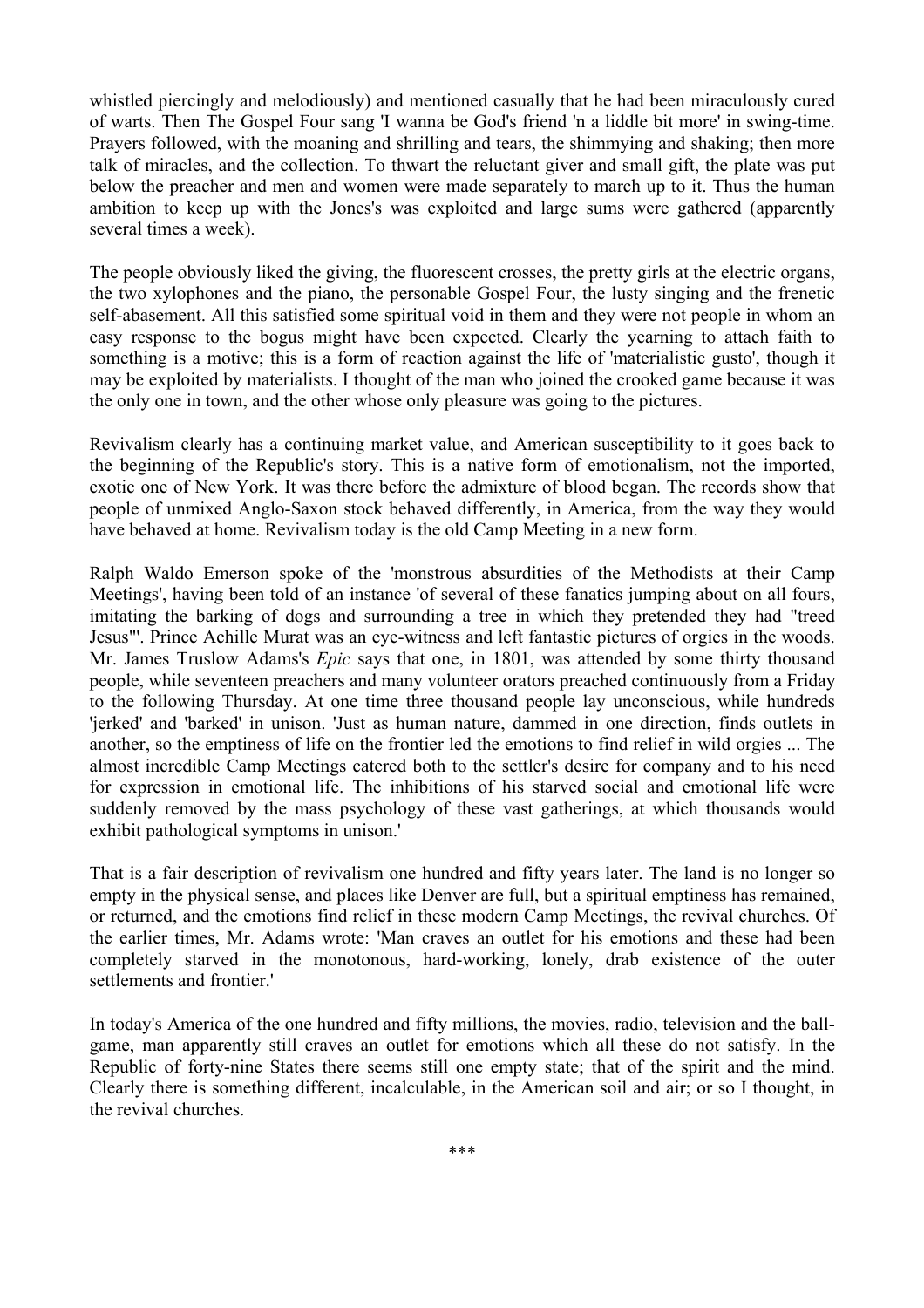whistled piercingly and melodiously) and mentioned casually that he had been miraculously cured of warts. Then The Gospel Four sang 'I wanna be God's friend 'n a liddle bit more' in swing-time. Prayers followed, with the moaning and shrilling and tears, the shimmying and shaking; then more talk of miracles, and the collection. To thwart the reluctant giver and small gift, the plate was put below the preacher and men and women were made separately to march up to it. Thus the human ambition to keep up with the Jones's was exploited and large sums were gathered (apparently several times a week).

The people obviously liked the giving, the fluorescent crosses, the pretty girls at the electric organs, the two xylophones and the piano, the personable Gospel Four, the lusty singing and the frenetic self-abasement. All this satisfied some spiritual void in them and they were not people in whom an easy response to the bogus might have been expected. Clearly the yearning to attach faith to something is a motive; this is a form of reaction against the life of 'materialistic gusto', though it may be exploited by materialists. I thought of the man who joined the crooked game because it was the only one in town, and the other whose only pleasure was going to the pictures.

Revivalism clearly has a continuing market value, and American susceptibility to it goes back to the beginning of the Republic's story. This is a native form of emotionalism, not the imported, exotic one of New York. It was there before the admixture of blood began. The records show that people of unmixed Anglo-Saxon stock behaved differently, in America, from the way they would have behaved at home. Revivalism today is the old Camp Meeting in a new form.

Ralph Waldo Emerson spoke of the 'monstrous absurdities of the Methodists at their Camp Meetings', having been told of an instance 'of several of these fanatics jumping about on all fours, imitating the barking of dogs and surrounding a tree in which they pretended they had "treed Jesus"'. Prince Achille Murat was an eye-witness and left fantastic pictures of orgies in the woods. Mr. James Truslow Adams's *Epic* says that one, in 1801, was attended by some thirty thousand people, while seventeen preachers and many volunteer orators preached continuously from a Friday to the following Thursday. At one time three thousand people lay unconscious, while hundreds 'jerked' and 'barked' in unison. 'Just as human nature, dammed in one direction, finds outlets in another, so the emptiness of life on the frontier led the emotions to find relief in wild orgies ... The almost incredible Camp Meetings catered both to the settler's desire for company and to his need for expression in emotional life. The inhibitions of his starved social and emotional life were suddenly removed by the mass psychology of these vast gatherings, at which thousands would exhibit pathological symptoms in unison.'

That is a fair description of revivalism one hundred and fifty years later. The land is no longer so empty in the physical sense, and places like Denver are full, but a spiritual emptiness has remained, or returned, and the emotions find relief in these modern Camp Meetings, the revival churches. Of the earlier times, Mr. Adams wrote: 'Man craves an outlet for his emotions and these had been completely starved in the monotonous, hard-working, lonely, drab existence of the outer settlements and frontier.'

In today's America of the one hundred and fifty millions, the movies, radio, television and the ballgame, man apparently still craves an outlet for emotions which all these do not satisfy. In the Republic of forty-nine States there seems still one empty state; that of the spirit and the mind. Clearly there is something different, incalculable, in the American soil and air; or so I thought, in the revival churches.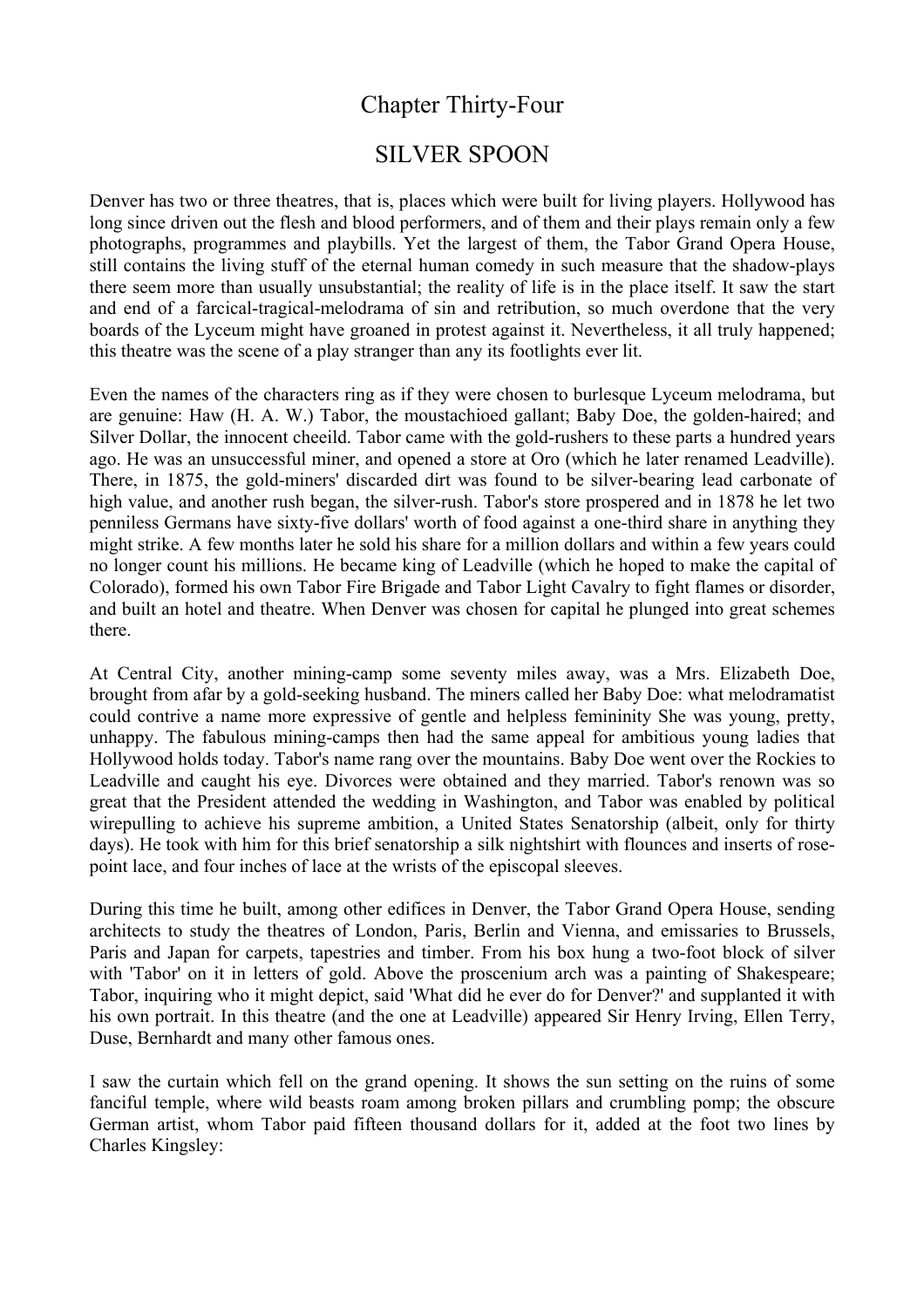# Chapter Thirty-Four

### SILVER SPOON

Denver has two or three theatres, that is, places which were built for living players. Hollywood has long since driven out the flesh and blood performers, and of them and their plays remain only a few photographs, programmes and playbills. Yet the largest of them, the Tabor Grand Opera House, still contains the living stuff of the eternal human comedy in such measure that the shadow-plays there seem more than usually unsubstantial; the reality of life is in the place itself. It saw the start and end of a farcical-tragical-melodrama of sin and retribution, so much overdone that the very boards of the Lyceum might have groaned in protest against it. Nevertheless, it all truly happened; this theatre was the scene of a play stranger than any its footlights ever lit.

Even the names of the characters ring as if they were chosen to burlesque Lyceum melodrama, but are genuine: Haw (H. A. W.) Tabor, the moustachioed gallant; Baby Doe, the golden-haired; and Silver Dollar, the innocent cheeild. Tabor came with the gold-rushers to these parts a hundred years ago. He was an unsuccessful miner, and opened a store at Oro (which he later renamed Leadville). There, in 1875, the gold-miners' discarded dirt was found to be silver-bearing lead carbonate of high value, and another rush began, the silver-rush. Tabor's store prospered and in 1878 he let two penniless Germans have sixty-five dollars' worth of food against a one-third share in anything they might strike. A few months later he sold his share for a million dollars and within a few years could no longer count his millions. He became king of Leadville (which he hoped to make the capital of Colorado), formed his own Tabor Fire Brigade and Tabor Light Cavalry to fight flames or disorder, and built an hotel and theatre. When Denver was chosen for capital he plunged into great schemes there.

At Central City, another mining-camp some seventy miles away, was a Mrs. Elizabeth Doe, brought from afar by a gold-seeking husband. The miners called her Baby Doe: what melodramatist could contrive a name more expressive of gentle and helpless femininity She was young, pretty, unhappy. The fabulous mining-camps then had the same appeal for ambitious young ladies that Hollywood holds today. Tabor's name rang over the mountains. Baby Doe went over the Rockies to Leadville and caught his eye. Divorces were obtained and they married. Tabor's renown was so great that the President attended the wedding in Washington, and Tabor was enabled by political wirepulling to achieve his supreme ambition, a United States Senatorship (albeit, only for thirty days). He took with him for this brief senatorship a silk nightshirt with flounces and inserts of rosepoint lace, and four inches of lace at the wrists of the episcopal sleeves.

During this time he built, among other edifices in Denver, the Tabor Grand Opera House, sending architects to study the theatres of London, Paris, Berlin and Vienna, and emissaries to Brussels, Paris and Japan for carpets, tapestries and timber. From his box hung a two-foot block of silver with 'Tabor' on it in letters of gold. Above the proscenium arch was a painting of Shakespeare; Tabor, inquiring who it might depict, said 'What did he ever do for Denver?' and supplanted it with his own portrait. In this theatre (and the one at Leadville) appeared Sir Henry Irving, Ellen Terry, Duse, Bernhardt and many other famous ones.

I saw the curtain which fell on the grand opening. It shows the sun setting on the ruins of some fanciful temple, where wild beasts roam among broken pillars and crumbling pomp; the obscure German artist, whom Tabor paid fifteen thousand dollars for it, added at the foot two lines by Charles Kingsley: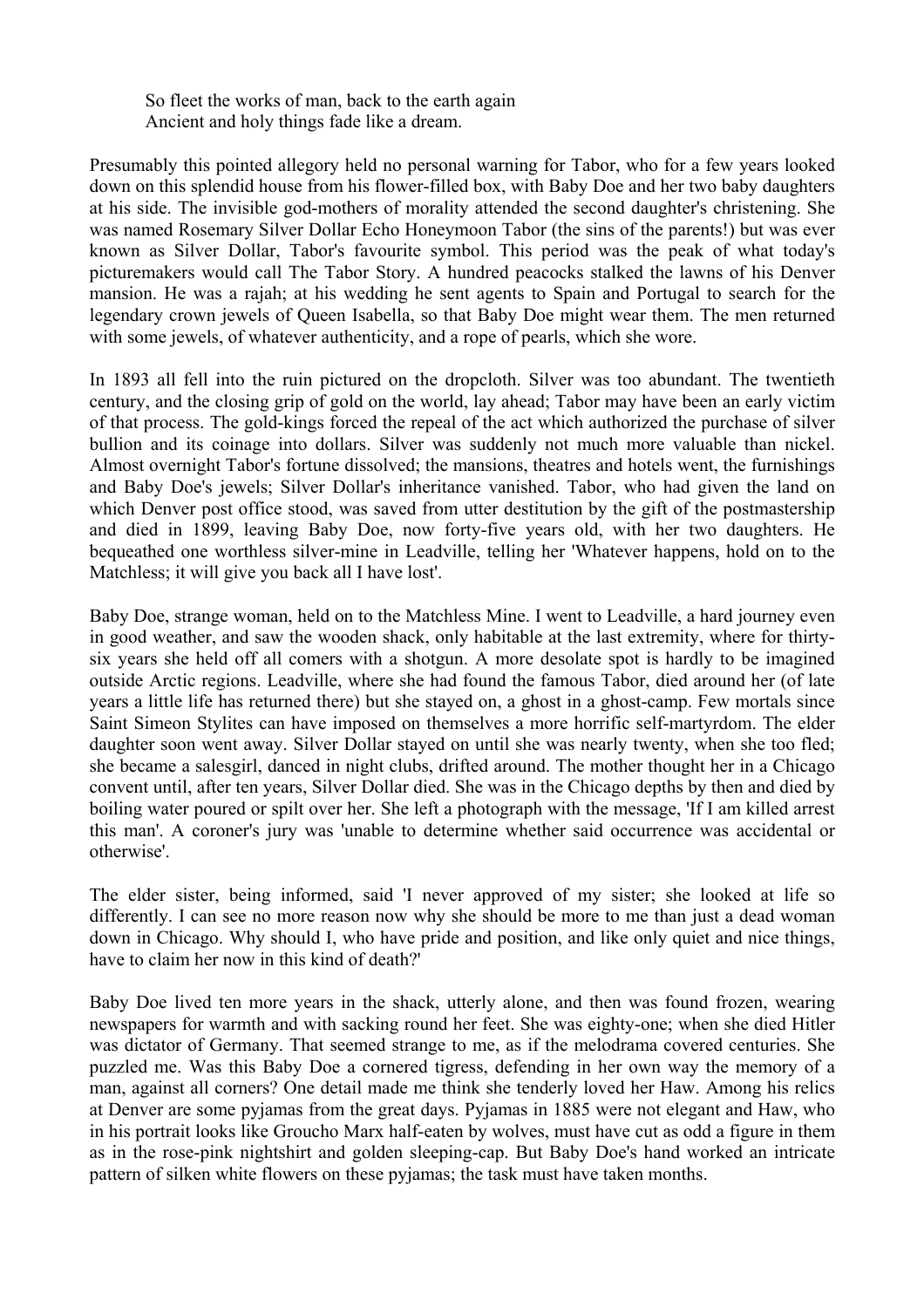So fleet the works of man, back to the earth again Ancient and holy things fade like a dream.

Presumably this pointed allegory held no personal warning for Tabor, who for a few years looked down on this splendid house from his flower-filled box, with Baby Doe and her two baby daughters at his side. The invisible god-mothers of morality attended the second daughter's christening. She was named Rosemary Silver Dollar Echo Honeymoon Tabor (the sins of the parents!) but was ever known as Silver Dollar, Tabor's favourite symbol. This period was the peak of what today's picturemakers would call The Tabor Story. A hundred peacocks stalked the lawns of his Denver mansion. He was a rajah; at his wedding he sent agents to Spain and Portugal to search for the legendary crown jewels of Queen Isabella, so that Baby Doe might wear them. The men returned with some jewels, of whatever authenticity, and a rope of pearls, which she wore.

In 1893 all fell into the ruin pictured on the dropcloth. Silver was too abundant. The twentieth century, and the closing grip of gold on the world, lay ahead; Tabor may have been an early victim of that process. The gold-kings forced the repeal of the act which authorized the purchase of silver bullion and its coinage into dollars. Silver was suddenly not much more valuable than nickel. Almost overnight Tabor's fortune dissolved; the mansions, theatres and hotels went, the furnishings and Baby Doe's jewels; Silver Dollar's inheritance vanished. Tabor, who had given the land on which Denver post office stood, was saved from utter destitution by the gift of the postmastership and died in 1899, leaving Baby Doe, now forty-five years old, with her two daughters. He bequeathed one worthless silver-mine in Leadville, telling her 'Whatever happens, hold on to the Matchless; it will give you back all I have lost'.

Baby Doe, strange woman, held on to the Matchless Mine. I went to Leadville, a hard journey even in good weather, and saw the wooden shack, only habitable at the last extremity, where for thirtysix years she held off all comers with a shotgun. A more desolate spot is hardly to be imagined outside Arctic regions. Leadville, where she had found the famous Tabor, died around her (of late years a little life has returned there) but she stayed on, a ghost in a ghost-camp. Few mortals since Saint Simeon Stylites can have imposed on themselves a more horrific self-martyrdom. The elder daughter soon went away. Silver Dollar stayed on until she was nearly twenty, when she too fled; she became a salesgirl, danced in night clubs, drifted around. The mother thought her in a Chicago convent until, after ten years, Silver Dollar died. She was in the Chicago depths by then and died by boiling water poured or spilt over her. She left a photograph with the message, 'If I am killed arrest this man'. A coroner's jury was 'unable to determine whether said occurrence was accidental or otherwise'.

The elder sister, being informed, said 'I never approved of my sister; she looked at life so differently. I can see no more reason now why she should be more to me than just a dead woman down in Chicago. Why should I, who have pride and position, and like only quiet and nice things, have to claim her now in this kind of death?'

Baby Doe lived ten more years in the shack, utterly alone, and then was found frozen, wearing newspapers for warmth and with sacking round her feet. She was eighty-one; when she died Hitler was dictator of Germany. That seemed strange to me, as if the melodrama covered centuries. She puzzled me. Was this Baby Doe a cornered tigress, defending in her own way the memory of a man, against all corners? One detail made me think she tenderly loved her Haw. Among his relics at Denver are some pyjamas from the great days. Pyjamas in 1885 were not elegant and Haw, who in his portrait looks like Groucho Marx half-eaten by wolves, must have cut as odd a figure in them as in the rose-pink nightshirt and golden sleeping-cap. But Baby Doe's hand worked an intricate pattern of silken white flowers on these pyjamas; the task must have taken months.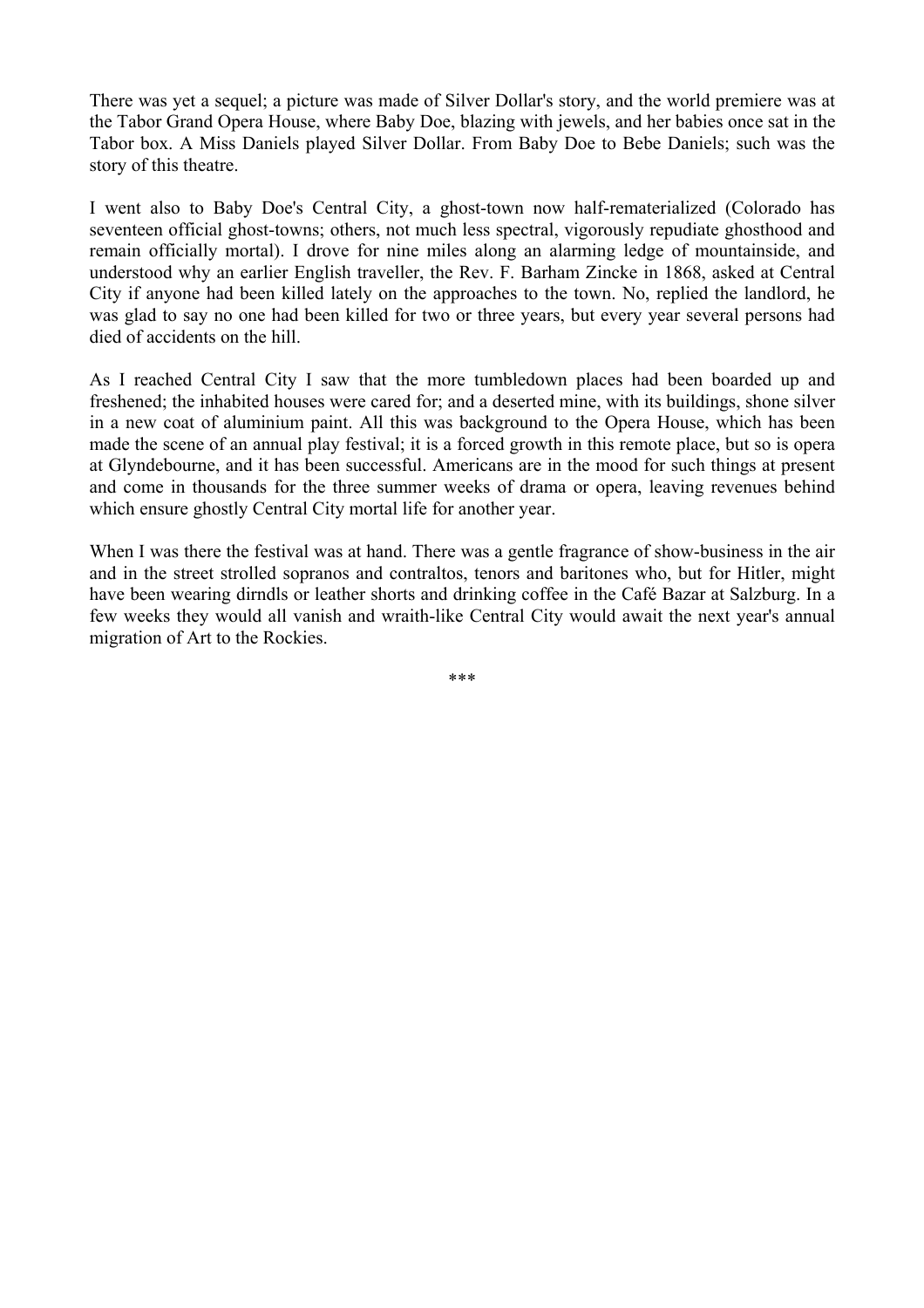There was yet a sequel; a picture was made of Silver Dollar's story, and the world premiere was at the Tabor Grand Opera House, where Baby Doe, blazing with jewels, and her babies once sat in the Tabor box. A Miss Daniels played Silver Dollar. From Baby Doe to Bebe Daniels; such was the story of this theatre.

I went also to Baby Doe's Central City, a ghost-town now half-rematerialized (Colorado has seventeen official ghost-towns; others, not much less spectral, vigorously repudiate ghosthood and remain officially mortal). I drove for nine miles along an alarming ledge of mountainside, and understood why an earlier English traveller, the Rev. F. Barham Zincke in 1868, asked at Central City if anyone had been killed lately on the approaches to the town. No, replied the landlord, he was glad to say no one had been killed for two or three years, but every year several persons had died of accidents on the hill

As I reached Central City I saw that the more tumbledown places had been boarded up and freshened; the inhabited houses were cared for; and a deserted mine, with its buildings, shone silver in a new coat of aluminium paint. All this was background to the Opera House, which has been made the scene of an annual play festival; it is a forced growth in this remote place, but so is opera at Glyndebourne, and it has been successful. Americans are in the mood for such things at present and come in thousands for the three summer weeks of drama or opera, leaving revenues behind which ensure ghostly Central City mortal life for another year.

When I was there the festival was at hand. There was a gentle fragrance of show-business in the air and in the street strolled sopranos and contraltos, tenors and baritones who, but for Hitler, might have been wearing dirndls or leather shorts and drinking coffee in the Café Bazar at Salzburg. In a few weeks they would all vanish and wraith-like Central City would await the next year's annual migration of Art to the Rockies.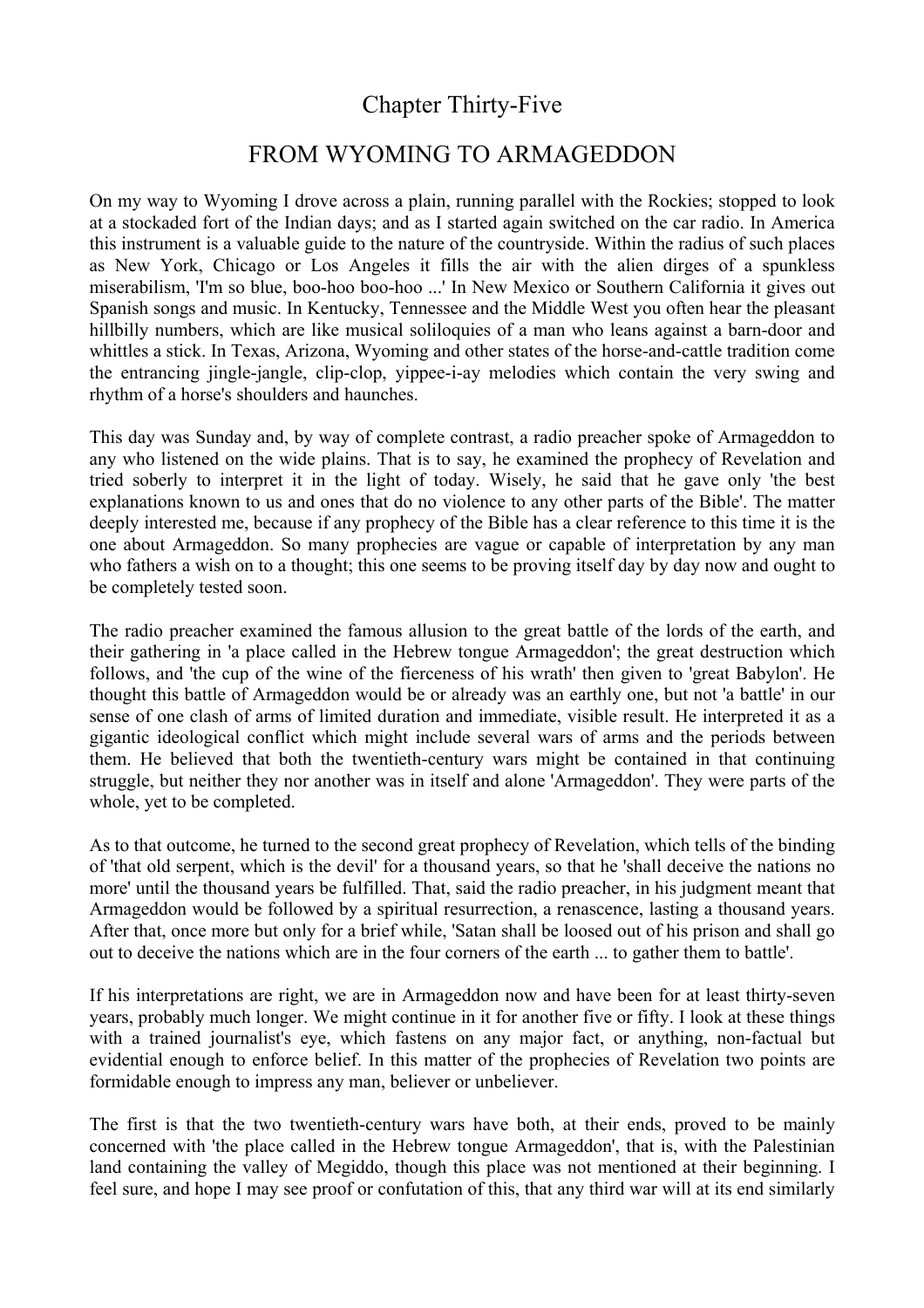# Chapter Thirty-Five

### FROM WYOMING TO ARMAGEDDON

On my way to Wyoming I drove across a plain, running parallel with the Rockies; stopped to look at a stockaded fort of the Indian days; and as I started again switched on the car radio. In America this instrument is a valuable guide to the nature of the countryside. Within the radius of such places as New York, Chicago or Los Angeles it fills the air with the alien dirges of a spunkless miserabilism, 'I'm so blue, boo-hoo boo-hoo ...' In New Mexico or Southern California it gives out Spanish songs and music. In Kentucky, Tennessee and the Middle West you often hear the pleasant hillbilly numbers, which are like musical soliloquies of a man who leans against a barn-door and whittles a stick. In Texas, Arizona, Wyoming and other states of the horse-and-cattle tradition come the entrancing jingle-jangle, clip-clop, yippee-i-ay melodies which contain the very swing and rhythm of a horse's shoulders and haunches.

This day was Sunday and, by way of complete contrast, a radio preacher spoke of Armageddon to any who listened on the wide plains. That is to say, he examined the prophecy of Revelation and tried soberly to interpret it in the light of today. Wisely, he said that he gave only 'the best explanations known to us and ones that do no violence to any other parts of the Bible'. The matter deeply interested me, because if any prophecy of the Bible has a clear reference to this time it is the one about Armageddon. So many prophecies are vague or capable of interpretation by any man who fathers a wish on to a thought; this one seems to be proving itself day by day now and ought to be completely tested soon.

The radio preacher examined the famous allusion to the great battle of the lords of the earth, and their gathering in 'a place called in the Hebrew tongue Armageddon'; the great destruction which follows, and 'the cup of the wine of the fierceness of his wrath' then given to 'great Babylon'. He thought this battle of Armageddon would be or already was an earthly one, but not 'a battle' in our sense of one clash of arms of limited duration and immediate, visible result. He interpreted it as a gigantic ideological conflict which might include several wars of arms and the periods between them. He believed that both the twentieth-century wars might be contained in that continuing struggle, but neither they nor another was in itself and alone 'Armageddon'. They were parts of the whole, yet to be completed.

As to that outcome, he turned to the second great prophecy of Revelation, which tells of the binding of 'that old serpent, which is the devil' for a thousand years, so that he 'shall deceive the nations no more' until the thousand years be fulfilled. That, said the radio preacher, in his judgment meant that Armageddon would be followed by a spiritual resurrection, a renascence, lasting a thousand years. After that, once more but only for a brief while, 'Satan shall be loosed out of his prison and shall go out to deceive the nations which are in the four corners of the earth ... to gather them to battle'.

If his interpretations are right, we are in Armageddon now and have been for at least thirty-seven years, probably much longer. We might continue in it for another five or fifty. I look at these things with a trained journalist's eye, which fastens on any major fact, or anything, non-factual but evidential enough to enforce belief. In this matter of the prophecies of Revelation two points are formidable enough to impress any man, believer or unbeliever.

The first is that the two twentieth-century wars have both, at their ends, proved to be mainly concerned with 'the place called in the Hebrew tongue Armageddon', that is, with the Palestinian land containing the valley of Megiddo, though this place was not mentioned at their beginning. I feel sure, and hope I may see proof or confutation of this, that any third war will at its end similarly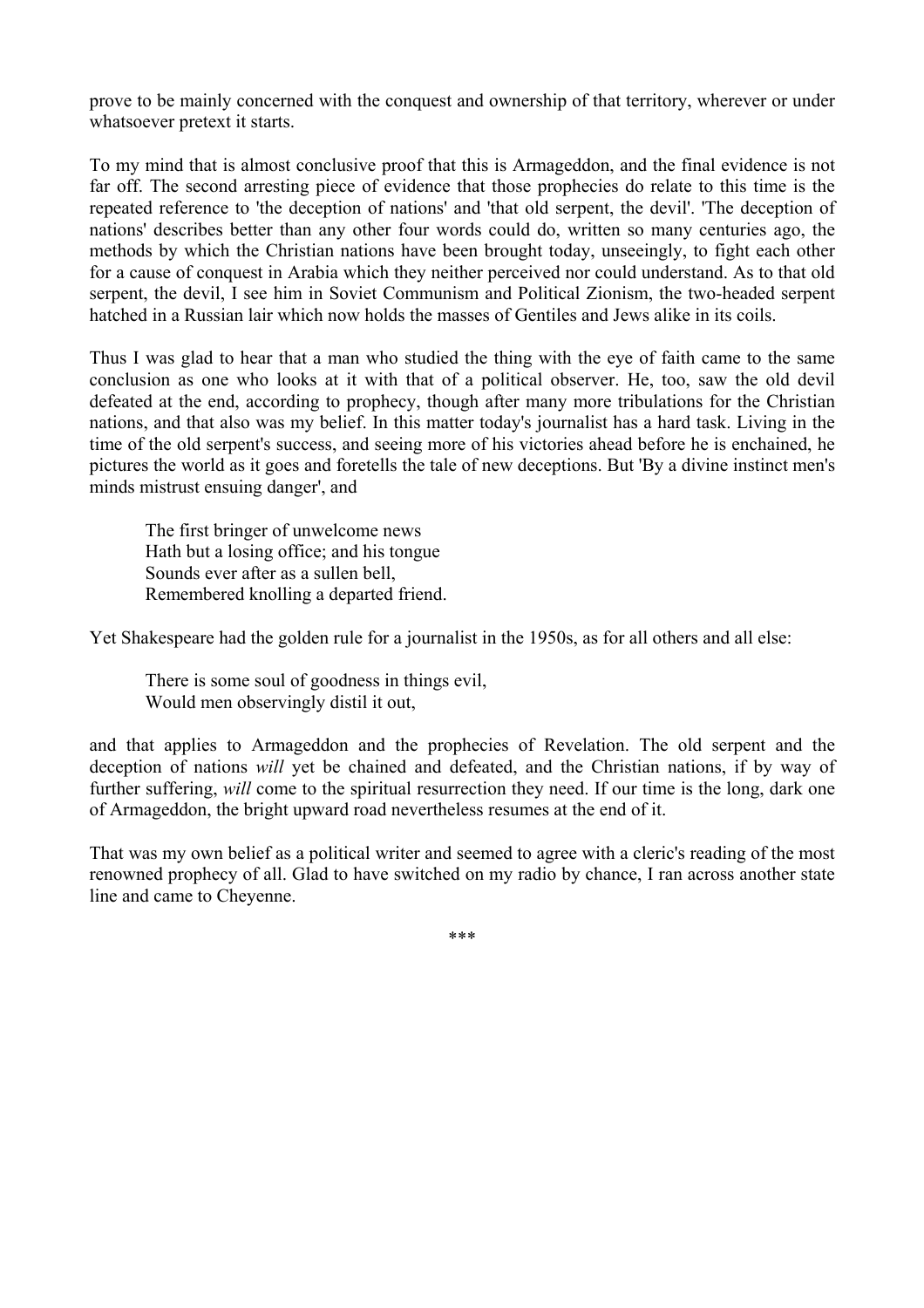prove to be mainly concerned with the conquest and ownership of that territory, wherever or under whatsoever pretext it starts.

To my mind that is almost conclusive proof that this is Armageddon, and the final evidence is not far off. The second arresting piece of evidence that those prophecies do relate to this time is the repeated reference to 'the deception of nations' and 'that old serpent, the devil'. 'The deception of nations' describes better than any other four words could do, written so many centuries ago, the methods by which the Christian nations have been brought today, unseeingly, to fight each other for a cause of conquest in Arabia which they neither perceived nor could understand. As to that old serpent, the devil, I see him in Soviet Communism and Political Zionism, the two-headed serpent hatched in a Russian lair which now holds the masses of Gentiles and Jews alike in its coils.

Thus I was glad to hear that a man who studied the thing with the eye of faith came to the same conclusion as one who looks at it with that of a political observer. He, too, saw the old devil defeated at the end, according to prophecy, though after many more tribulations for the Christian nations, and that also was my belief. In this matter today's journalist has a hard task. Living in the time of the old serpent's success, and seeing more of his victories ahead before he is enchained, he pictures the world as it goes and foretells the tale of new deceptions. But 'By a divine instinct men's minds mistrust ensuing danger', and

The first bringer of unwelcome news Hath but a losing office; and his tongue Sounds ever after as a sullen bell, Remembered knolling a departed friend.

Yet Shakespeare had the golden rule for a journalist in the 1950s, as for all others and all else:

There is some soul of goodness in things evil, Would men observingly distil it out,

and that applies to Armageddon and the prophecies of Revelation. The old serpent and the deception of nations *will* yet be chained and defeated, and the Christian nations, if by way of further suffering, *will* come to the spiritual resurrection they need. If our time is the long, dark one of Armageddon, the bright upward road nevertheless resumes at the end of it.

That was my own belief as a political writer and seemed to agree with a cleric's reading of the most renowned prophecy of all. Glad to have switched on my radio by chance, I ran across another state line and came to Cheyenne.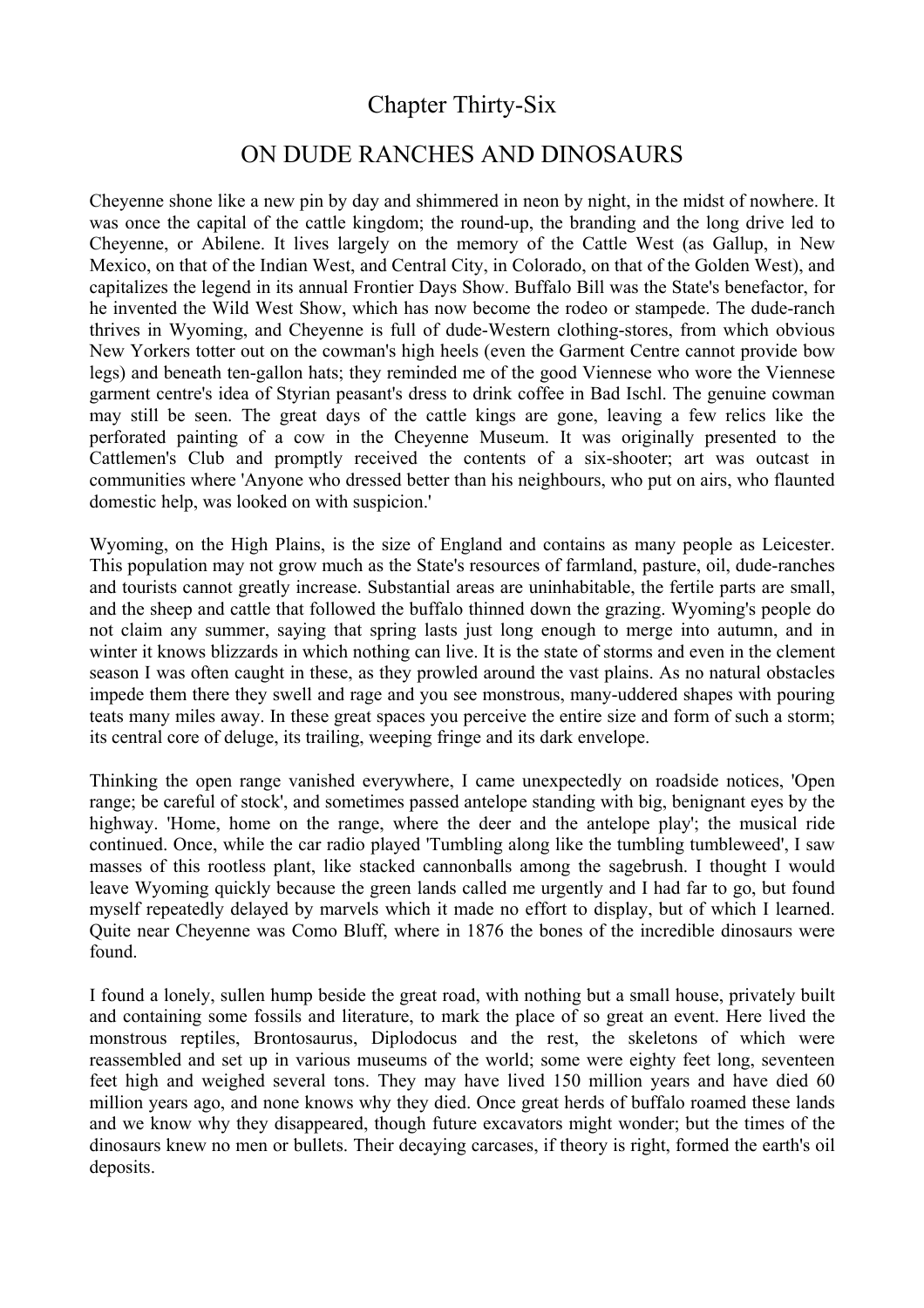# Chapter Thirty-Six

## ON DUDE RANCHES AND DINOSAURS

Cheyenne shone like a new pin by day and shimmered in neon by night, in the midst of nowhere. It was once the capital of the cattle kingdom; the round-up, the branding and the long drive led to Cheyenne, or Abilene. It lives largely on the memory of the Cattle West (as Gallup, in New Mexico, on that of the Indian West, and Central City, in Colorado, on that of the Golden West), and capitalizes the legend in its annual Frontier Days Show. Buffalo Bill was the State's benefactor, for he invented the Wild West Show, which has now become the rodeo or stampede. The dude-ranch thrives in Wyoming, and Cheyenne is full of dude-Western clothing-stores, from which obvious New Yorkers totter out on the cowman's high heels (even the Garment Centre cannot provide bow legs) and beneath ten-gallon hats; they reminded me of the good Viennese who wore the Viennese garment centre's idea of Styrian peasant's dress to drink coffee in Bad Ischl. The genuine cowman may still be seen. The great days of the cattle kings are gone, leaving a few relics like the perforated painting of a cow in the Cheyenne Museum. It was originally presented to the Cattlemen's Club and promptly received the contents of a six-shooter; art was outcast in communities where 'Anyone who dressed better than his neighbours, who put on airs, who flaunted domestic help, was looked on with suspicion.'

Wyoming, on the High Plains, is the size of England and contains as many people as Leicester. This population may not grow much as the State's resources of farmland, pasture, oil, dude-ranches and tourists cannot greatly increase. Substantial areas are uninhabitable, the fertile parts are small, and the sheep and cattle that followed the buffalo thinned down the grazing. Wyoming's people do not claim any summer, saying that spring lasts just long enough to merge into autumn, and in winter it knows blizzards in which nothing can live. It is the state of storms and even in the clement season I was often caught in these, as they prowled around the vast plains. As no natural obstacles impede them there they swell and rage and you see monstrous, many-uddered shapes with pouring teats many miles away. In these great spaces you perceive the entire size and form of such a storm; its central core of deluge, its trailing, weeping fringe and its dark envelope.

Thinking the open range vanished everywhere, I came unexpectedly on roadside notices, 'Open range; be careful of stock', and sometimes passed antelope standing with big, benignant eyes by the highway. 'Home, home on the range, where the deer and the antelope play'; the musical ride continued. Once, while the car radio played 'Tumbling along like the tumbling tumbleweed', I saw masses of this rootless plant, like stacked cannonballs among the sagebrush. I thought I would leave Wyoming quickly because the green lands called me urgently and I had far to go, but found myself repeatedly delayed by marvels which it made no effort to display, but of which I learned. Quite near Cheyenne was Como Bluff, where in 1876 the bones of the incredible dinosaurs were found.

I found a lonely, sullen hump beside the great road, with nothing but a small house, privately built and containing some fossils and literature, to mark the place of so great an event. Here lived the monstrous reptiles, Brontosaurus, Diplodocus and the rest, the skeletons of which were reassembled and set up in various museums of the world; some were eighty feet long, seventeen feet high and weighed several tons. They may have lived 150 million years and have died 60 million years ago, and none knows why they died. Once great herds of buffalo roamed these lands and we know why they disappeared, though future excavators might wonder; but the times of the dinosaurs knew no men or bullets. Their decaying carcases, if theory is right, formed the earth's oil deposits.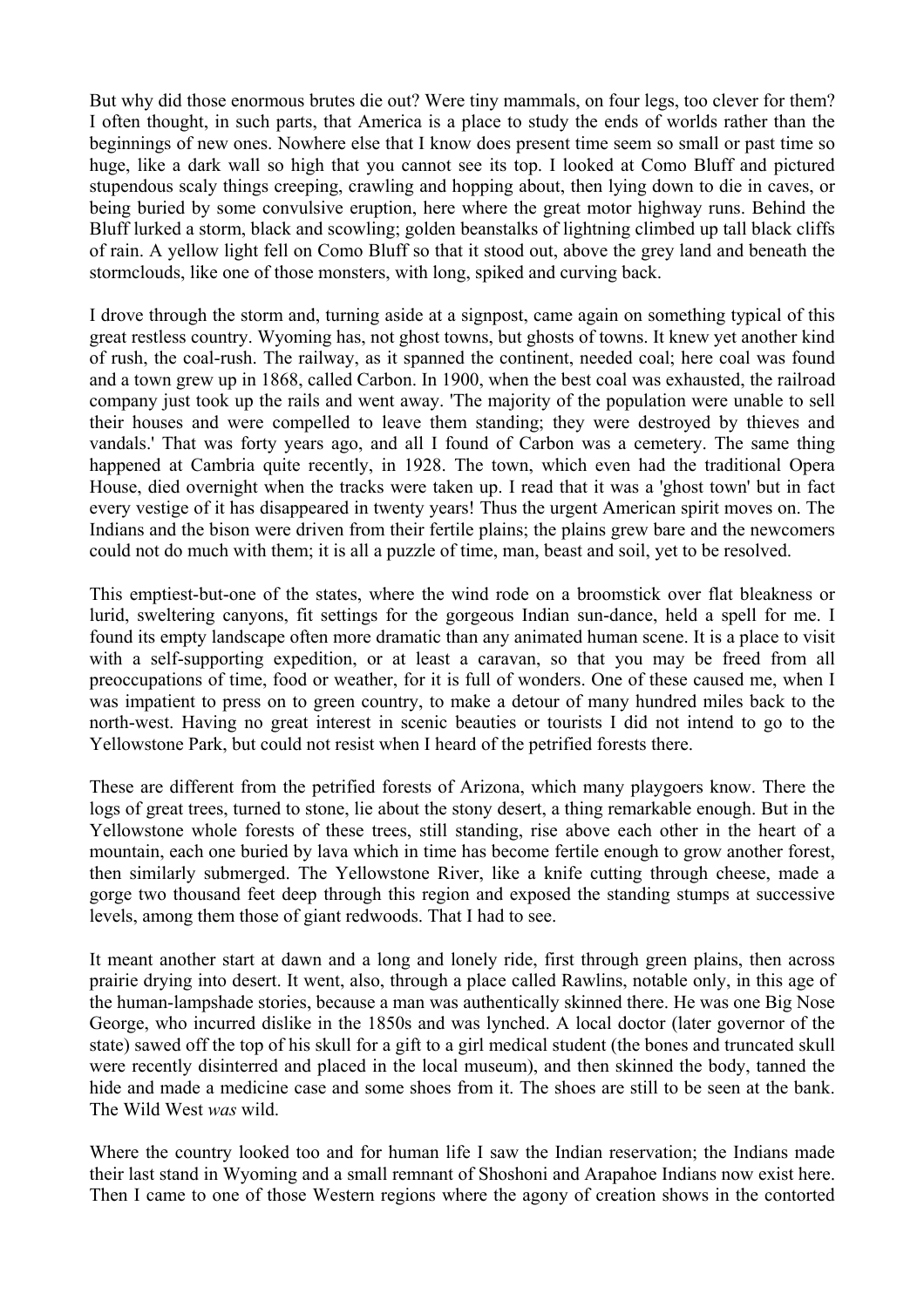But why did those enormous brutes die out? Were tiny mammals, on four legs, too clever for them? I often thought, in such parts, that America is a place to study the ends of worlds rather than the beginnings of new ones. Nowhere else that I know does present time seem so small or past time so huge, like a dark wall so high that you cannot see its top. I looked at Como Bluff and pictured stupendous scaly things creeping, crawling and hopping about, then lying down to die in caves, or being buried by some convulsive eruption, here where the great motor highway runs. Behind the Bluff lurked a storm, black and scowling; golden beanstalks of lightning climbed up tall black cliffs of rain. A yellow light fell on Como Bluff so that it stood out, above the grey land and beneath the stormclouds, like one of those monsters, with long, spiked and curving back.

I drove through the storm and, turning aside at a signpost, came again on something typical of this great restless country. Wyoming has, not ghost towns, but ghosts of towns. It knew yet another kind of rush, the coal-rush. The railway, as it spanned the continent, needed coal; here coal was found and a town grew up in 1868, called Carbon. In 1900, when the best coal was exhausted, the railroad company just took up the rails and went away. 'The majority of the population were unable to sell their houses and were compelled to leave them standing; they were destroyed by thieves and vandals.' That was forty years ago, and all I found of Carbon was a cemetery. The same thing happened at Cambria quite recently, in 1928. The town, which even had the traditional Opera House, died overnight when the tracks were taken up. I read that it was a 'ghost town' but in fact every vestige of it has disappeared in twenty years! Thus the urgent American spirit moves on. The Indians and the bison were driven from their fertile plains; the plains grew bare and the newcomers could not do much with them; it is all a puzzle of time, man, beast and soil, yet to be resolved.

This emptiest-but-one of the states, where the wind rode on a broomstick over flat bleakness or lurid, sweltering canyons, fit settings for the gorgeous Indian sun-dance, held a spell for me. I found its empty landscape often more dramatic than any animated human scene. It is a place to visit with a self-supporting expedition, or at least a caravan, so that you may be freed from all preoccupations of time, food or weather, for it is full of wonders. One of these caused me, when I was impatient to press on to green country, to make a detour of many hundred miles back to the north-west. Having no great interest in scenic beauties or tourists I did not intend to go to the Yellowstone Park, but could not resist when I heard of the petrified forests there.

These are different from the petrified forests of Arizona, which many playgoers know. There the logs of great trees, turned to stone, lie about the stony desert, a thing remarkable enough. But in the Yellowstone whole forests of these trees, still standing, rise above each other in the heart of a mountain, each one buried by lava which in time has become fertile enough to grow another forest, then similarly submerged. The Yellowstone River, like a knife cutting through cheese, made a gorge two thousand feet deep through this region and exposed the standing stumps at successive levels, among them those of giant redwoods. That I had to see.

It meant another start at dawn and a long and lonely ride, first through green plains, then across prairie drying into desert. It went, also, through a place called Rawlins, notable only, in this age of the human-lampshade stories, because a man was authentically skinned there. He was one Big Nose George, who incurred dislike in the 1850s and was lynched. A local doctor (later governor of the state) sawed off the top of his skull for a gift to a girl medical student (the bones and truncated skull were recently disinterred and placed in the local museum), and then skinned the body, tanned the hide and made a medicine case and some shoes from it. The shoes are still to be seen at the bank. The Wild West *was* wild.

Where the country looked too and for human life I saw the Indian reservation; the Indians made their last stand in Wyoming and a small remnant of Shoshoni and Arapahoe Indians now exist here. Then I came to one of those Western regions where the agony of creation shows in the contorted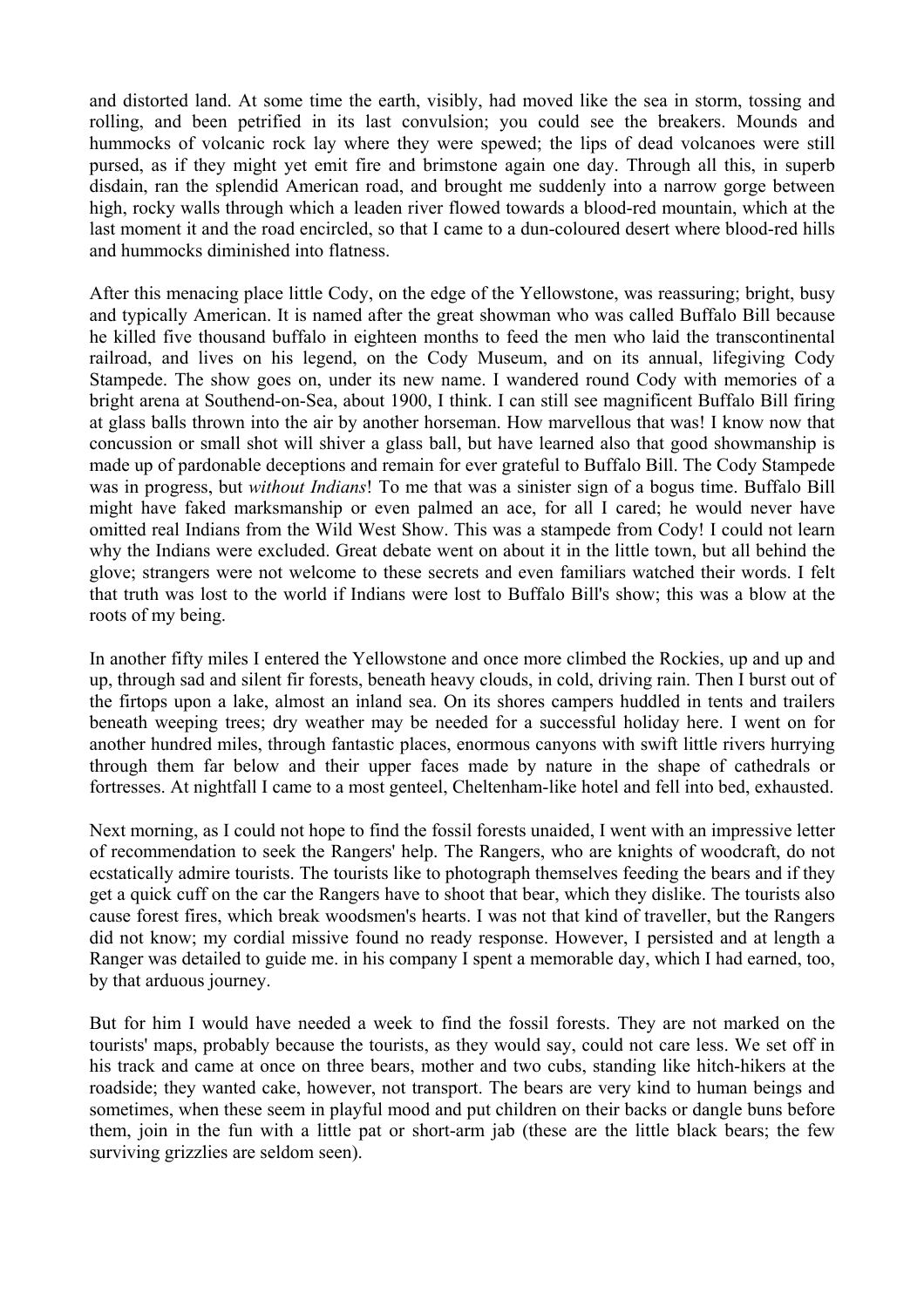and distorted land. At some time the earth, visibly, had moved like the sea in storm, tossing and rolling, and been petrified in its last convulsion; you could see the breakers. Mounds and hummocks of volcanic rock lay where they were spewed; the lips of dead volcanoes were still pursed, as if they might yet emit fire and brimstone again one day. Through all this, in superb disdain, ran the splendid American road, and brought me suddenly into a narrow gorge between high, rocky walls through which a leaden river flowed towards a blood-red mountain, which at the last moment it and the road encircled, so that I came to a dun-coloured desert where blood-red hills and hummocks diminished into flatness.

After this menacing place little Cody, on the edge of the Yellowstone, was reassuring; bright, busy and typically American. It is named after the great showman who was called Buffalo Bill because he killed five thousand buffalo in eighteen months to feed the men who laid the transcontinental railroad, and lives on his legend, on the Cody Museum, and on its annual, lifegiving Cody Stampede. The show goes on, under its new name. I wandered round Cody with memories of a bright arena at Southend-on-Sea, about 1900, I think. I can still see magnificent Buffalo Bill firing at glass balls thrown into the air by another horseman. How marvellous that was! I know now that concussion or small shot will shiver a glass ball, but have learned also that good showmanship is made up of pardonable deceptions and remain for ever grateful to Buffalo Bill. The Cody Stampede was in progress, but *without Indians*! To me that was a sinister sign of a bogus time. Buffalo Bill might have faked marksmanship or even palmed an ace, for all I cared; he would never have omitted real Indians from the Wild West Show. This was a stampede from Cody! I could not learn why the Indians were excluded. Great debate went on about it in the little town, but all behind the glove; strangers were not welcome to these secrets and even familiars watched their words. I felt that truth was lost to the world if Indians were lost to Buffalo Bill's show; this was a blow at the roots of my being.

In another fifty miles I entered the Yellowstone and once more climbed the Rockies, up and up and up, through sad and silent fir forests, beneath heavy clouds, in cold, driving rain. Then I burst out of the firtops upon a lake, almost an inland sea. On its shores campers huddled in tents and trailers beneath weeping trees; dry weather may be needed for a successful holiday here. I went on for another hundred miles, through fantastic places, enormous canyons with swift little rivers hurrying through them far below and their upper faces made by nature in the shape of cathedrals or fortresses. At nightfall I came to a most genteel, Cheltenham-like hotel and fell into bed, exhausted.

Next morning, as I could not hope to find the fossil forests unaided, I went with an impressive letter of recommendation to seek the Rangers' help. The Rangers, who are knights of woodcraft, do not ecstatically admire tourists. The tourists like to photograph themselves feeding the bears and if they get a quick cuff on the car the Rangers have to shoot that bear, which they dislike. The tourists also cause forest fires, which break woodsmen's hearts. I was not that kind of traveller, but the Rangers did not know; my cordial missive found no ready response. However, I persisted and at length a Ranger was detailed to guide me. in his company I spent a memorable day, which I had earned, too, by that arduous journey.

But for him I would have needed a week to find the fossil forests. They are not marked on the tourists' maps, probably because the tourists, as they would say, could not care less. We set off in his track and came at once on three bears, mother and two cubs, standing like hitch-hikers at the roadside; they wanted cake, however, not transport. The bears are very kind to human beings and sometimes, when these seem in playful mood and put children on their backs or dangle buns before them, join in the fun with a little pat or short-arm jab (these are the little black bears; the few surviving grizzlies are seldom seen).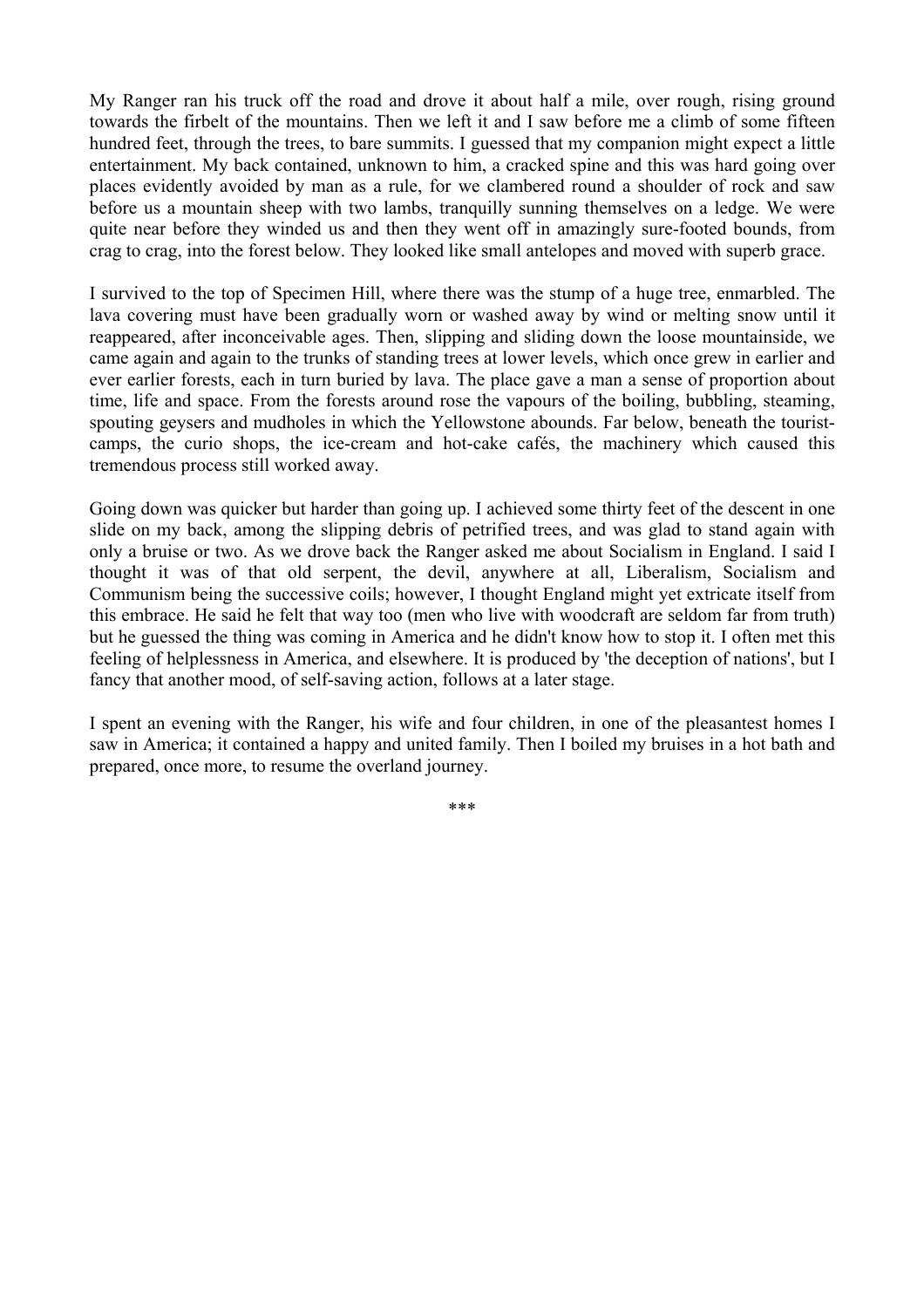My Ranger ran his truck off the road and drove it about half a mile, over rough, rising ground towards the firbelt of the mountains. Then we left it and I saw before me a climb of some fifteen hundred feet, through the trees, to bare summits. I guessed that my companion might expect a little entertainment. My back contained, unknown to him, a cracked spine and this was hard going over places evidently avoided by man as a rule, for we clambered round a shoulder of rock and saw before us a mountain sheep with two lambs, tranquilly sunning themselves on a ledge. We were quite near before they winded us and then they went off in amazingly sure-footed bounds, from crag to crag, into the forest below. They looked like small antelopes and moved with superb grace.

I survived to the top of Specimen Hill, where there was the stump of a huge tree, enmarbled. The lava covering must have been gradually worn or washed away by wind or melting snow until it reappeared, after inconceivable ages. Then, slipping and sliding down the loose mountainside, we came again and again to the trunks of standing trees at lower levels, which once grew in earlier and ever earlier forests, each in turn buried by lava. The place gave a man a sense of proportion about time, life and space. From the forests around rose the vapours of the boiling, bubbling, steaming, spouting geysers and mudholes in which the Yellowstone abounds. Far below, beneath the touristcamps, the curio shops, the ice-cream and hot-cake cafés, the machinery which caused this tremendous process still worked away.

Going down was quicker but harder than going up. I achieved some thirty feet of the descent in one slide on my back, among the slipping debris of petrified trees, and was glad to stand again with only a bruise or two. As we drove back the Ranger asked me about Socialism in England. I said I thought it was of that old serpent, the devil, anywhere at all, Liberalism, Socialism and Communism being the successive coils; however, I thought England might yet extricate itself from this embrace. He said he felt that way too (men who live with woodcraft are seldom far from truth) but he guessed the thing was coming in America and he didn't know how to stop it. I often met this feeling of helplessness in America, and elsewhere. It is produced by 'the deception of nations', but I fancy that another mood, of self-saving action, follows at a later stage.

I spent an evening with the Ranger, his wife and four children, in one of the pleasantest homes I saw in America; it contained a happy and united family. Then I boiled my bruises in a hot bath and prepared, once more, to resume the overland journey.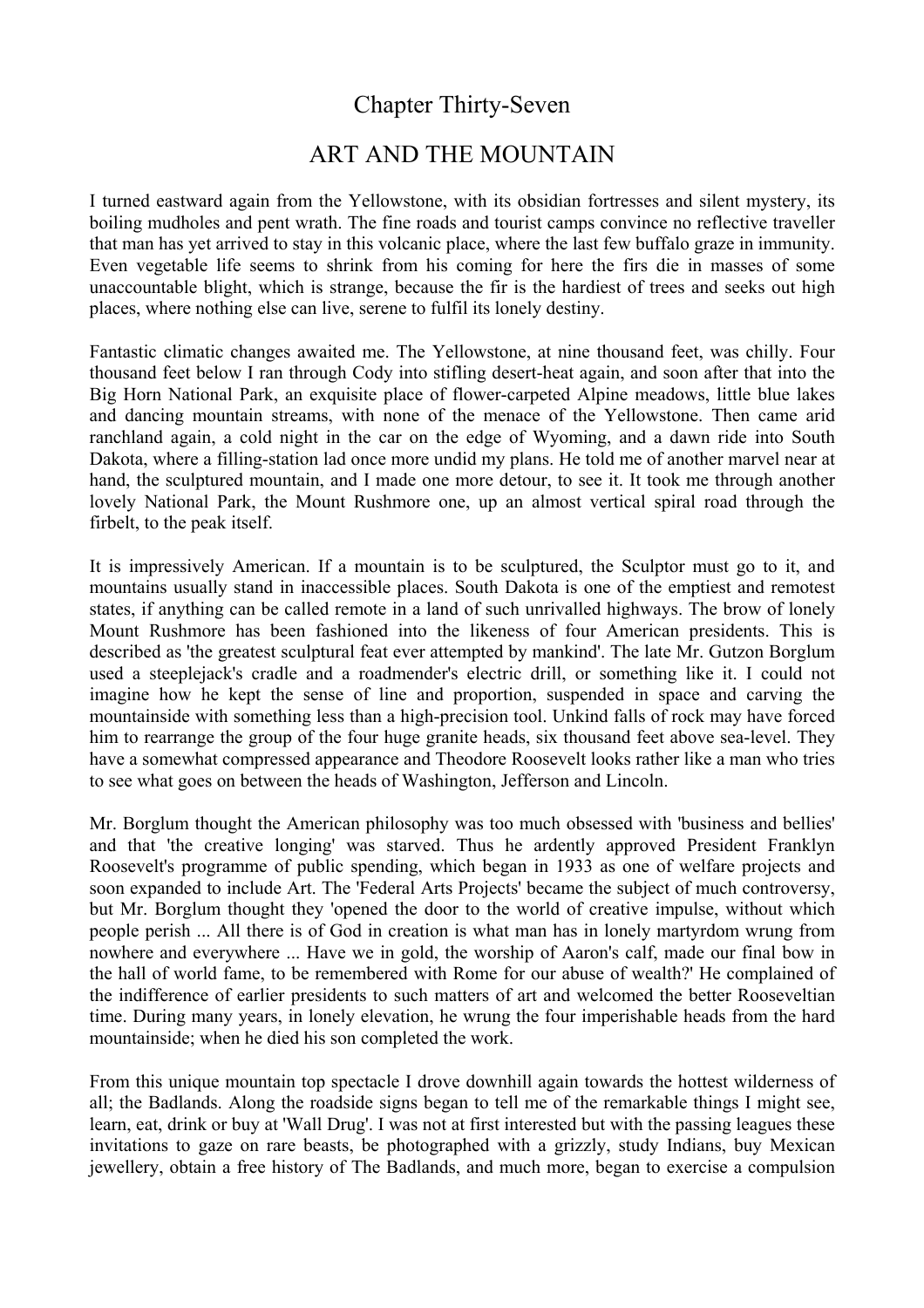## Chapter Thirty-Seven

#### ART AND THE MOUNTAIN

I turned eastward again from the Yellowstone, with its obsidian fortresses and silent mystery, its boiling mudholes and pent wrath. The fine roads and tourist camps convince no reflective traveller that man has yet arrived to stay in this volcanic place, where the last few buffalo graze in immunity. Even vegetable life seems to shrink from his coming for here the firs die in masses of some unaccountable blight, which is strange, because the fir is the hardiest of trees and seeks out high places, where nothing else can live, serene to fulfil its lonely destiny.

Fantastic climatic changes awaited me. The Yellowstone, at nine thousand feet, was chilly. Four thousand feet below I ran through Cody into stifling desert-heat again, and soon after that into the Big Horn National Park, an exquisite place of flower-carpeted Alpine meadows, little blue lakes and dancing mountain streams, with none of the menace of the Yellowstone. Then came arid ranchland again, a cold night in the car on the edge of Wyoming, and a dawn ride into South Dakota, where a filling-station lad once more undid my plans. He told me of another marvel near at hand, the sculptured mountain, and I made one more detour, to see it. It took me through another lovely National Park, the Mount Rushmore one, up an almost vertical spiral road through the firbelt, to the peak itself.

It is impressively American. If a mountain is to be sculptured, the Sculptor must go to it, and mountains usually stand in inaccessible places. South Dakota is one of the emptiest and remotest states, if anything can be called remote in a land of such unrivalled highways. The brow of lonely Mount Rushmore has been fashioned into the likeness of four American presidents. This is described as 'the greatest sculptural feat ever attempted by mankind'. The late Mr. Gutzon Borglum used a steeplejack's cradle and a roadmender's electric drill, or something like it. I could not imagine how he kept the sense of line and proportion, suspended in space and carving the mountainside with something less than a high-precision tool. Unkind falls of rock may have forced him to rearrange the group of the four huge granite heads, six thousand feet above sea-level. They have a somewhat compressed appearance and Theodore Roosevelt looks rather like a man who tries to see what goes on between the heads of Washington, Jefferson and Lincoln.

Mr. Borglum thought the American philosophy was too much obsessed with 'business and bellies' and that 'the creative longing' was starved. Thus he ardently approved President Franklyn Roosevelt's programme of public spending, which began in 1933 as one of welfare projects and soon expanded to include Art. The 'Federal Arts Projects' became the subject of much controversy, but Mr. Borglum thought they 'opened the door to the world of creative impulse, without which people perish ... All there is of God in creation is what man has in lonely martyrdom wrung from nowhere and everywhere ... Have we in gold, the worship of Aaron's calf, made our final bow in the hall of world fame, to be remembered with Rome for our abuse of wealth?' He complained of the indifference of earlier presidents to such matters of art and welcomed the better Rooseveltian time. During many years, in lonely elevation, he wrung the four imperishable heads from the hard mountainside; when he died his son completed the work.

From this unique mountain top spectacle I drove downhill again towards the hottest wilderness of all; the Badlands. Along the roadside signs began to tell me of the remarkable things I might see, learn, eat, drink or buy at 'Wall Drug'. I was not at first interested but with the passing leagues these invitations to gaze on rare beasts, be photographed with a grizzly, study Indians, buy Mexican jewellery, obtain a free history of The Badlands, and much more, began to exercise a compulsion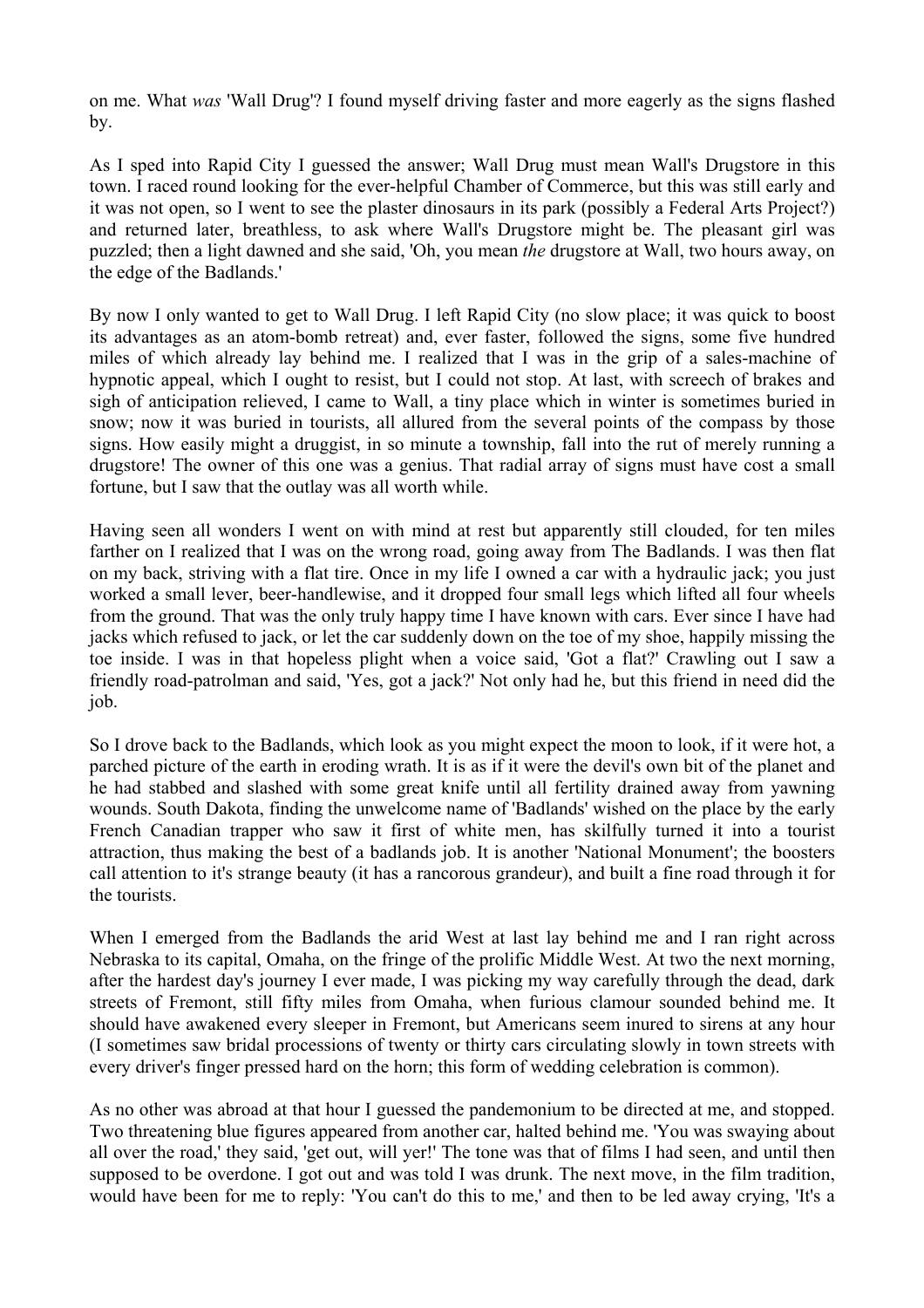on me. What *was* 'Wall Drug'? I found myself driving faster and more eagerly as the signs flashed by.

As I sped into Rapid City I guessed the answer; Wall Drug must mean Wall's Drugstore in this town. I raced round looking for the ever-helpful Chamber of Commerce, but this was still early and it was not open, so I went to see the plaster dinosaurs in its park (possibly a Federal Arts Project?) and returned later, breathless, to ask where Wall's Drugstore might be. The pleasant girl was puzzled; then a light dawned and she said, 'Oh, you mean *the* drugstore at Wall, two hours away, on the edge of the Badlands.'

By now I only wanted to get to Wall Drug. I left Rapid City (no slow place; it was quick to boost its advantages as an atom-bomb retreat) and, ever faster, followed the signs, some five hundred miles of which already lay behind me. I realized that I was in the grip of a sales-machine of hypnotic appeal, which I ought to resist, but I could not stop. At last, with screech of brakes and sigh of anticipation relieved, I came to Wall, a tiny place which in winter is sometimes buried in snow; now it was buried in tourists, all allured from the several points of the compass by those signs. How easily might a druggist, in so minute a township, fall into the rut of merely running a drugstore! The owner of this one was a genius. That radial array of signs must have cost a small fortune, but I saw that the outlay was all worth while.

Having seen all wonders I went on with mind at rest but apparently still clouded, for ten miles farther on I realized that I was on the wrong road, going away from The Badlands. I was then flat on my back, striving with a flat tire. Once in my life I owned a car with a hydraulic jack; you just worked a small lever, beer-handlewise, and it dropped four small legs which lifted all four wheels from the ground. That was the only truly happy time I have known with cars. Ever since I have had jacks which refused to jack, or let the car suddenly down on the toe of my shoe, happily missing the toe inside. I was in that hopeless plight when a voice said, 'Got a flat?' Crawling out I saw a friendly road-patrolman and said, 'Yes, got a jack?' Not only had he, but this friend in need did the job.

So I drove back to the Badlands, which look as you might expect the moon to look, if it were hot, a parched picture of the earth in eroding wrath. It is as if it were the devil's own bit of the planet and he had stabbed and slashed with some great knife until all fertility drained away from yawning wounds. South Dakota, finding the unwelcome name of 'Badlands' wished on the place by the early French Canadian trapper who saw it first of white men, has skilfully turned it into a tourist attraction, thus making the best of a badlands job. It is another 'National Monument'; the boosters call attention to it's strange beauty (it has a rancorous grandeur), and built a fine road through it for the tourists.

When I emerged from the Badlands the arid West at last lay behind me and I ran right across Nebraska to its capital, Omaha, on the fringe of the prolific Middle West. At two the next morning, after the hardest day's journey I ever made, I was picking my way carefully through the dead, dark streets of Fremont, still fifty miles from Omaha, when furious clamour sounded behind me. It should have awakened every sleeper in Fremont, but Americans seem inured to sirens at any hour (I sometimes saw bridal processions of twenty or thirty cars circulating slowly in town streets with every driver's finger pressed hard on the horn; this form of wedding celebration is common).

As no other was abroad at that hour I guessed the pandemonium to be directed at me, and stopped. Two threatening blue figures appeared from another car, halted behind me. 'You was swaying about all over the road,' they said, 'get out, will yer!' The tone was that of films I had seen, and until then supposed to be overdone. I got out and was told I was drunk. The next move, in the film tradition, would have been for me to reply: 'You can't do this to me,' and then to be led away crying, 'It's a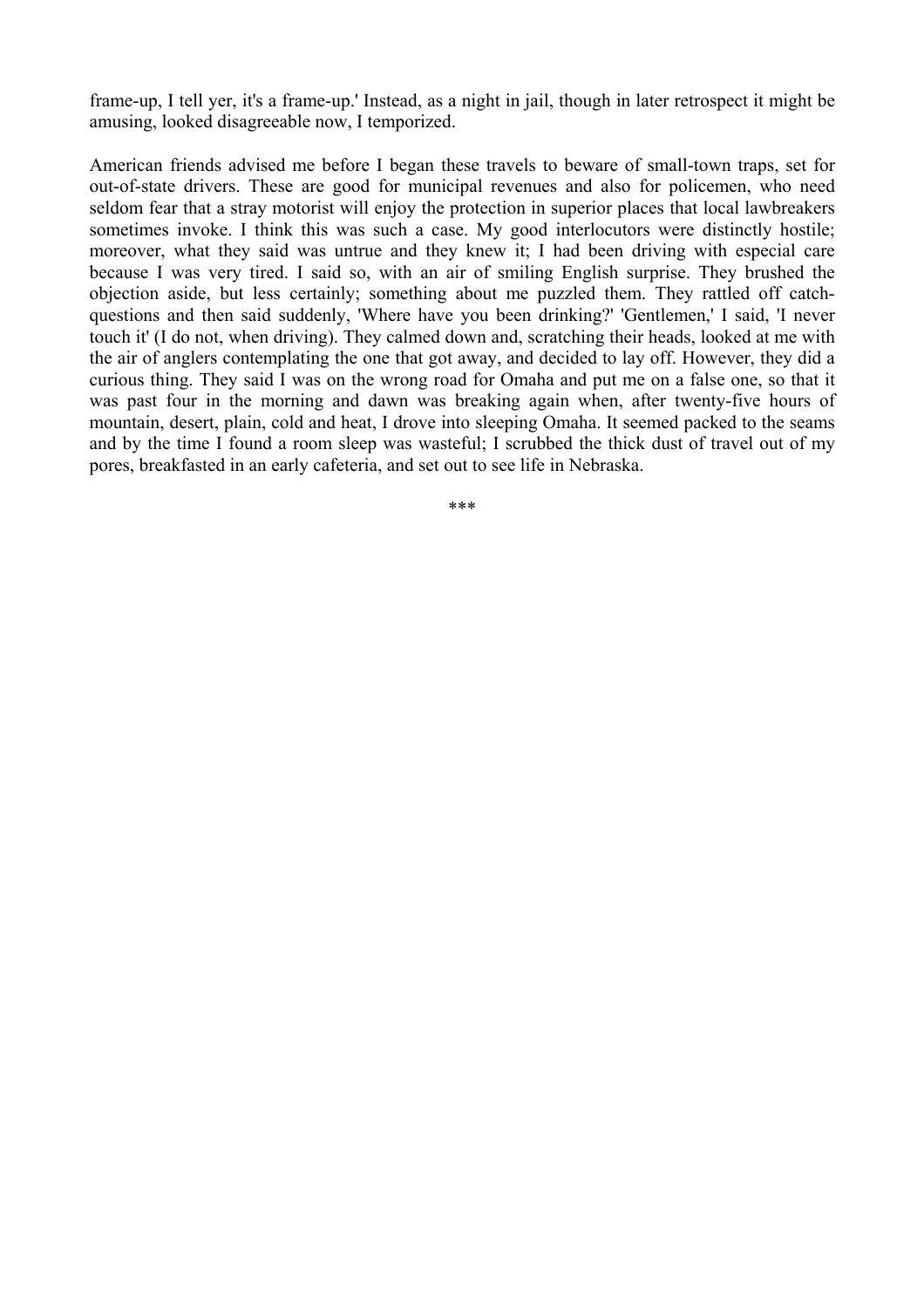frame-up, I tell yer, it's a frame-up.' Instead, as a night in jail, though in later retrospect it might be amusing, looked disagreeable now, I temporized.

American friends advised me before I began these travels to beware of small-town traps, set for out-of-state drivers. These are good for municipal revenues and also for policemen, who need seldom fear that a stray motorist will enjoy the protection in superior places that local lawbreakers sometimes invoke. I think this was such a case. My good interlocutors were distinctly hostile; moreover, what they said was untrue and they knew it; I had been driving with especial care because I was very tired. I said so, with an air of smiling English surprise. They brushed the objection aside, but less certainly; something about me puzzled them. They rattled off catchquestions and then said suddenly, 'Where have you been drinking?' 'Gentlemen,' I said, 'I never touch it' (I do not, when driving). They calmed down and, scratching their heads, looked at me with the air of anglers contemplating the one that got away, and decided to lay off. However, they did a curious thing. They said I was on the wrong road for Omaha and put me on a false one, so that it was past four in the morning and dawn was breaking again when, after twenty-five hours of mountain, desert, plain, cold and heat, I drove into sleeping Omaha. It seemed packed to the seams and by the time I found a room sleep was wasteful; I scrubbed the thick dust of travel out of my pores, breakfasted in an early cafeteria, and set out to see life in Nebraska.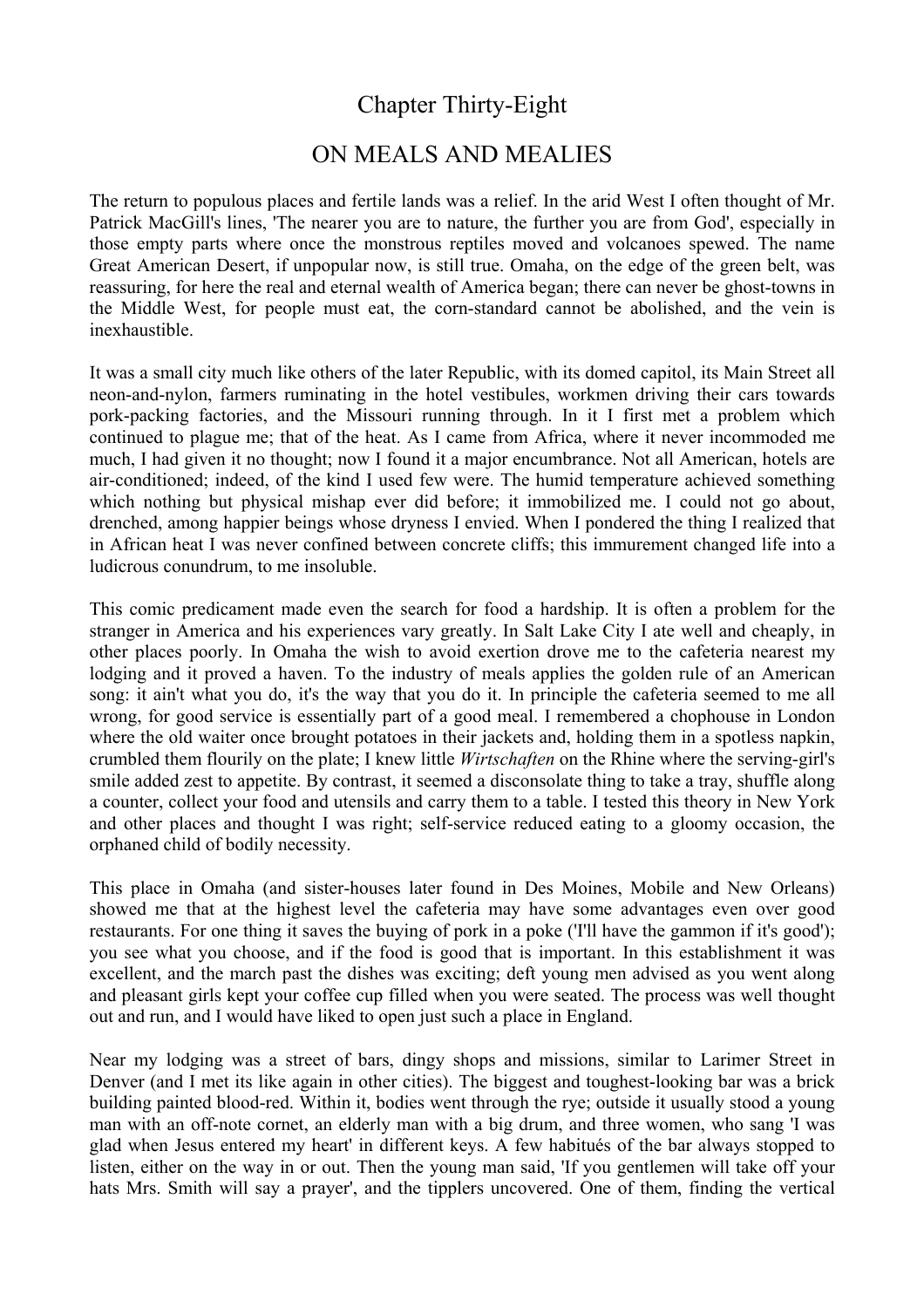# Chapter Thirty-Eight

#### ON MEALS AND MEALIES

The return to populous places and fertile lands was a relief. In the arid West I often thought of Mr. Patrick MacGill's lines, 'The nearer you are to nature, the further you are from God', especially in those empty parts where once the monstrous reptiles moved and volcanoes spewed. The name Great American Desert, if unpopular now, is still true. Omaha, on the edge of the green belt, was reassuring, for here the real and eternal wealth of America began; there can never be ghost-towns in the Middle West, for people must eat, the corn-standard cannot be abolished, and the vein is inexhaustible.

It was a small city much like others of the later Republic, with its domed capitol, its Main Street all neon-and-nylon, farmers ruminating in the hotel vestibules, workmen driving their cars towards pork-packing factories, and the Missouri running through. In it I first met a problem which continued to plague me; that of the heat. As I came from Africa, where it never incommoded me much, I had given it no thought; now I found it a major encumbrance. Not all American, hotels are air-conditioned; indeed, of the kind I used few were. The humid temperature achieved something which nothing but physical mishap ever did before; it immobilized me. I could not go about, drenched, among happier beings whose dryness I envied. When I pondered the thing I realized that in African heat I was never confined between concrete cliffs; this immurement changed life into a ludicrous conundrum, to me insoluble.

This comic predicament made even the search for food a hardship. It is often a problem for the stranger in America and his experiences vary greatly. In Salt Lake City I ate well and cheaply, in other places poorly. In Omaha the wish to avoid exertion drove me to the cafeteria nearest my lodging and it proved a haven. To the industry of meals applies the golden rule of an American song: it ain't what you do, it's the way that you do it. In principle the cafeteria seemed to me all wrong, for good service is essentially part of a good meal. I remembered a chophouse in London where the old waiter once brought potatoes in their jackets and, holding them in a spotless napkin, crumbled them flourily on the plate; I knew little *Wirtschaften* on the Rhine where the serving-girl's smile added zest to appetite. By contrast, it seemed a disconsolate thing to take a tray, shuffle along a counter, collect your food and utensils and carry them to a table. I tested this theory in New York and other places and thought I was right; self-service reduced eating to a gloomy occasion, the orphaned child of bodily necessity.

This place in Omaha (and sister-houses later found in Des Moines, Mobile and New Orleans) showed me that at the highest level the cafeteria may have some advantages even over good restaurants. For one thing it saves the buying of pork in a poke ('I'll have the gammon if it's good'); you see what you choose, and if the food is good that is important. In this establishment it was excellent, and the march past the dishes was exciting; deft young men advised as you went along and pleasant girls kept your coffee cup filled when you were seated. The process was well thought out and run, and I would have liked to open just such a place in England.

Near my lodging was a street of bars, dingy shops and missions, similar to Larimer Street in Denver (and I met its like again in other cities). The biggest and toughest-looking bar was a brick building painted blood-red. Within it, bodies went through the rye; outside it usually stood a young man with an off-note cornet, an elderly man with a big drum, and three women, who sang 'I was glad when Jesus entered my heart' in different keys. A few habitués of the bar always stopped to listen, either on the way in or out. Then the young man said, 'If you gentlemen will take off your hats Mrs. Smith will say a prayer', and the tipplers uncovered. One of them, finding the vertical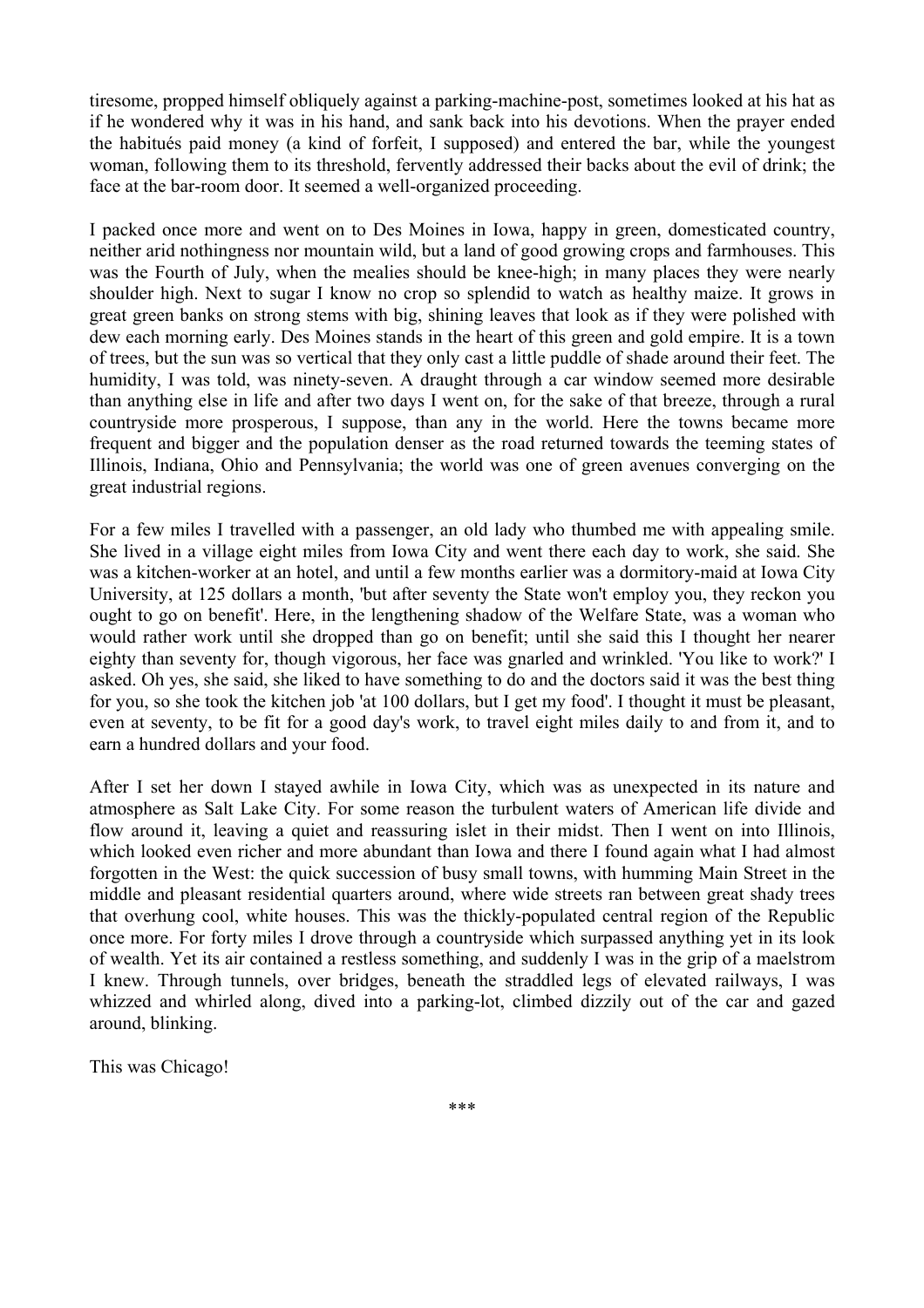tiresome, propped himself obliquely against a parking-machine-post, sometimes looked at his hat as if he wondered why it was in his hand, and sank back into his devotions. When the prayer ended the habitués paid money (a kind of forfeit, I supposed) and entered the bar, while the youngest woman, following them to its threshold, fervently addressed their backs about the evil of drink; the face at the bar-room door. It seemed a well-organized proceeding.

I packed once more and went on to Des Moines in Iowa, happy in green, domesticated country, neither arid nothingness nor mountain wild, but a land of good growing crops and farmhouses. This was the Fourth of July, when the mealies should be knee-high; in many places they were nearly shoulder high. Next to sugar I know no crop so splendid to watch as healthy maize. It grows in great green banks on strong stems with big, shining leaves that look as if they were polished with dew each morning early. Des Moines stands in the heart of this green and gold empire. It is a town of trees, but the sun was so vertical that they only cast a little puddle of shade around their feet. The humidity, I was told, was ninety-seven. A draught through a car window seemed more desirable than anything else in life and after two days I went on, for the sake of that breeze, through a rural countryside more prosperous, I suppose, than any in the world. Here the towns became more frequent and bigger and the population denser as the road returned towards the teeming states of Illinois, Indiana, Ohio and Pennsylvania; the world was one of green avenues converging on the great industrial regions.

For a few miles I travelled with a passenger, an old lady who thumbed me with appealing smile. She lived in a village eight miles from Iowa City and went there each day to work, she said. She was a kitchen-worker at an hotel, and until a few months earlier was a dormitory-maid at Iowa City University, at 125 dollars a month, 'but after seventy the State won't employ you, they reckon you ought to go on benefit'. Here, in the lengthening shadow of the Welfare State, was a woman who would rather work until she dropped than go on benefit; until she said this I thought her nearer eighty than seventy for, though vigorous, her face was gnarled and wrinkled. 'You like to work?' I asked. Oh yes, she said, she liked to have something to do and the doctors said it was the best thing for you, so she took the kitchen job 'at 100 dollars, but I get my food'. I thought it must be pleasant, even at seventy, to be fit for a good day's work, to travel eight miles daily to and from it, and to earn a hundred dollars and your food.

After I set her down I stayed awhile in Iowa City, which was as unexpected in its nature and atmosphere as Salt Lake City. For some reason the turbulent waters of American life divide and flow around it, leaving a quiet and reassuring islet in their midst. Then I went on into Illinois, which looked even richer and more abundant than Iowa and there I found again what I had almost forgotten in the West: the quick succession of busy small towns, with humming Main Street in the middle and pleasant residential quarters around, where wide streets ran between great shady trees that overhung cool, white houses. This was the thickly-populated central region of the Republic once more. For forty miles I drove through a countryside which surpassed anything yet in its look of wealth. Yet its air contained a restless something, and suddenly I was in the grip of a maelstrom I knew. Through tunnels, over bridges, beneath the straddled legs of elevated railways, I was whizzed and whirled along, dived into a parking-lot, climbed dizzily out of the car and gazed around, blinking.

This was Chicago!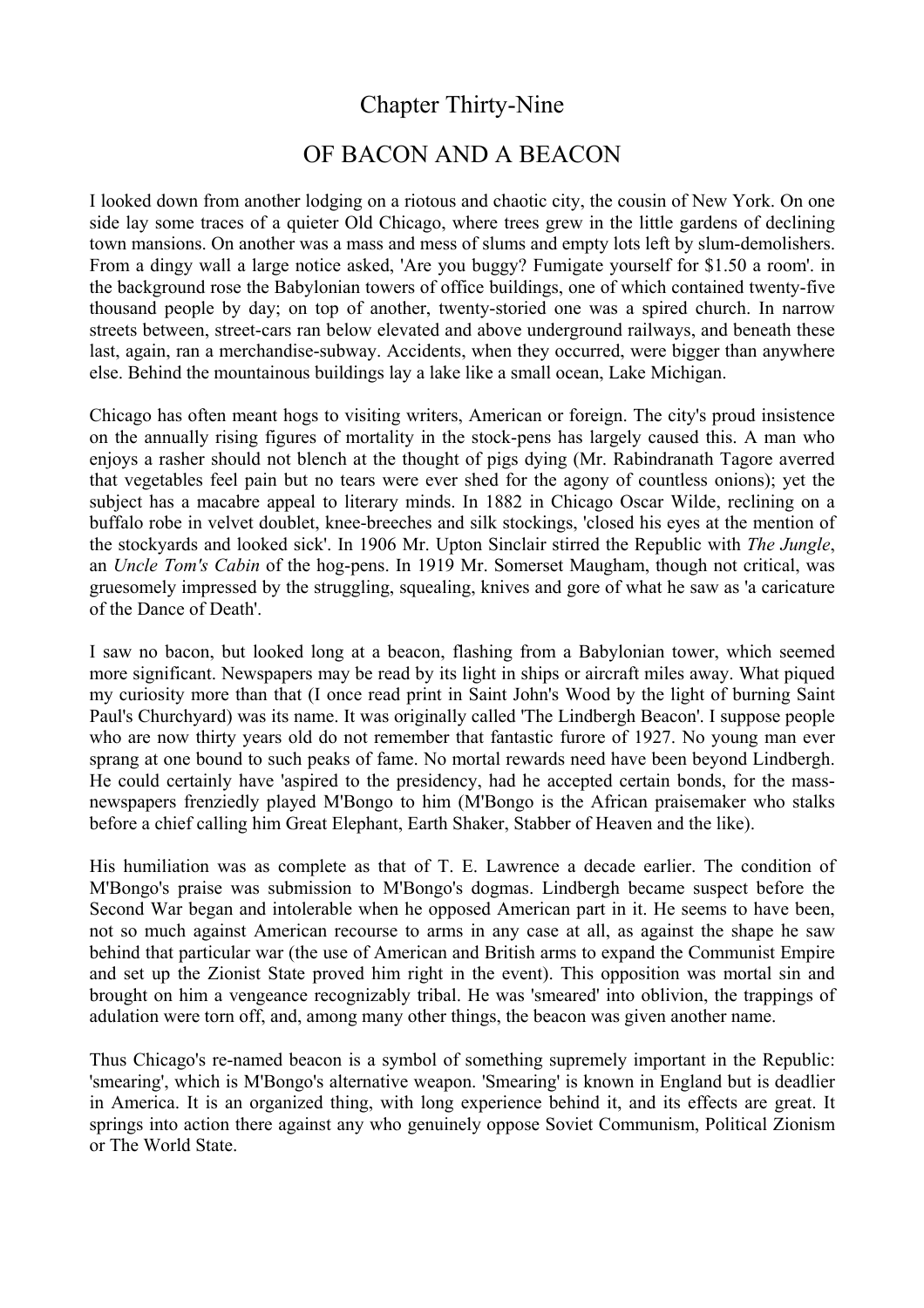# Chapter Thirty-Nine

#### OF BACON AND A BEACON

I looked down from another lodging on a riotous and chaotic city, the cousin of New York. On one side lay some traces of a quieter Old Chicago, where trees grew in the little gardens of declining town mansions. On another was a mass and mess of slums and empty lots left by slum-demolishers. From a dingy wall a large notice asked, 'Are you buggy? Fumigate yourself for \$1.50 a room'. in the background rose the Babylonian towers of office buildings, one of which contained twenty-five thousand people by day; on top of another, twenty-storied one was a spired church. In narrow streets between, street-cars ran below elevated and above underground railways, and beneath these last, again, ran a merchandise-subway. Accidents, when they occurred, were bigger than anywhere else. Behind the mountainous buildings lay a lake like a small ocean, Lake Michigan.

Chicago has often meant hogs to visiting writers, American or foreign. The city's proud insistence on the annually rising figures of mortality in the stock-pens has largely caused this. A man who enjoys a rasher should not blench at the thought of pigs dying (Mr. Rabindranath Tagore averred that vegetables feel pain but no tears were ever shed for the agony of countless onions); yet the subject has a macabre appeal to literary minds. In 1882 in Chicago Oscar Wilde, reclining on a buffalo robe in velvet doublet, knee-breeches and silk stockings, 'closed his eyes at the mention of the stockyards and looked sick'. In 1906 Mr. Upton Sinclair stirred the Republic with *The Jungle*, an *Uncle Tom's Cabin* of the hog-pens. In 1919 Mr. Somerset Maugham, though not critical, was gruesomely impressed by the struggling, squealing, knives and gore of what he saw as 'a caricature of the Dance of Death'.

I saw no bacon, but looked long at a beacon, flashing from a Babylonian tower, which seemed more significant. Newspapers may be read by its light in ships or aircraft miles away. What piqued my curiosity more than that (I once read print in Saint John's Wood by the light of burning Saint Paul's Churchyard) was its name. It was originally called 'The Lindbergh Beacon'. I suppose people who are now thirty years old do not remember that fantastic furore of 1927. No young man ever sprang at one bound to such peaks of fame. No mortal rewards need have been beyond Lindbergh. He could certainly have 'aspired to the presidency, had he accepted certain bonds, for the massnewspapers frenziedly played M'Bongo to him (M'Bongo is the African praisemaker who stalks before a chief calling him Great Elephant, Earth Shaker, Stabber of Heaven and the like).

His humiliation was as complete as that of T. E. Lawrence a decade earlier. The condition of M'Bongo's praise was submission to M'Bongo's dogmas. Lindbergh became suspect before the Second War began and intolerable when he opposed American part in it. He seems to have been, not so much against American recourse to arms in any case at all, as against the shape he saw behind that particular war (the use of American and British arms to expand the Communist Empire and set up the Zionist State proved him right in the event). This opposition was mortal sin and brought on him a vengeance recognizably tribal. He was 'smeared' into oblivion, the trappings of adulation were torn off, and, among many other things, the beacon was given another name.

Thus Chicago's re-named beacon is a symbol of something supremely important in the Republic: 'smearing', which is M'Bongo's alternative weapon. 'Smearing' is known in England but is deadlier in America. It is an organized thing, with long experience behind it, and its effects are great. It springs into action there against any who genuinely oppose Soviet Communism, Political Zionism or The World State.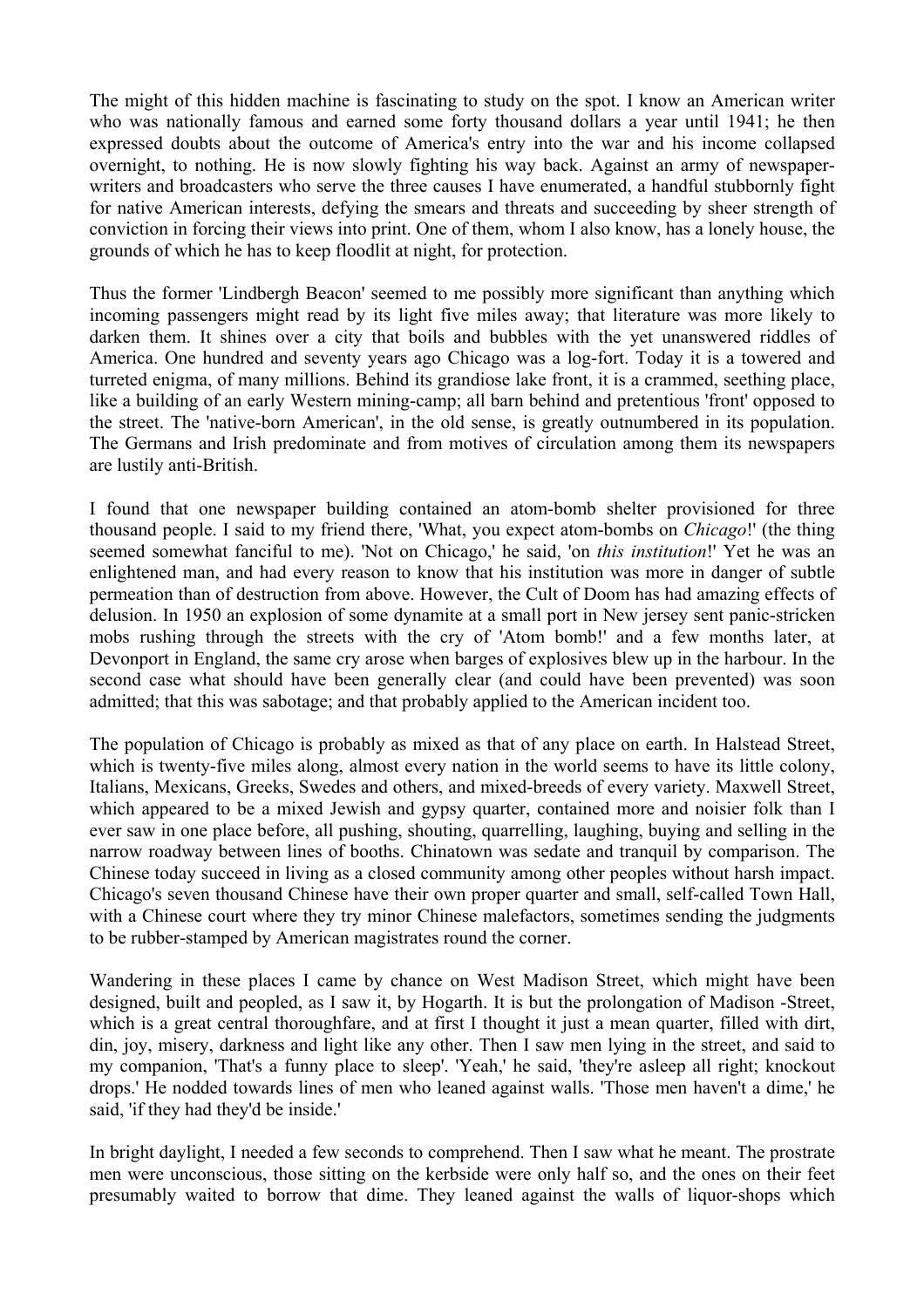The might of this hidden machine is fascinating to study on the spot. I know an American writer who was nationally famous and earned some forty thousand dollars a year until 1941; he then expressed doubts about the outcome of America's entry into the war and his income collapsed overnight, to nothing. He is now slowly fighting his way back. Against an army of newspaperwriters and broadcasters who serve the three causes I have enumerated, a handful stubbornly fight for native American interests, defying the smears and threats and succeeding by sheer strength of conviction in forcing their views into print. One of them, whom I also know, has a lonely house, the grounds of which he has to keep floodlit at night, for protection.

Thus the former 'Lindbergh Beacon' seemed to me possibly more significant than anything which incoming passengers might read by its light five miles away; that literature was more likely to darken them. It shines over a city that boils and bubbles with the yet unanswered riddles of America. One hundred and seventy years ago Chicago was a log-fort. Today it is a towered and turreted enigma, of many millions. Behind its grandiose lake front, it is a crammed, seething place, like a building of an early Western mining-camp; all barn behind and pretentious 'front' opposed to the street. The 'native-born American', in the old sense, is greatly outnumbered in its population. The Germans and Irish predominate and from motives of circulation among them its newspapers are lustily anti-British.

I found that one newspaper building contained an atom-bomb shelter provisioned for three thousand people. I said to my friend there, 'What, you expect atom-bombs on *Chicago*!' (the thing seemed somewhat fanciful to me). 'Not on Chicago,' he said, 'on *this institution*!' Yet he was an enlightened man, and had every reason to know that his institution was more in danger of subtle permeation than of destruction from above. However, the Cult of Doom has had amazing effects of delusion. In 1950 an explosion of some dynamite at a small port in New jersey sent panic-stricken mobs rushing through the streets with the cry of 'Atom bomb!' and a few months later, at Devonport in England, the same cry arose when barges of explosives blew up in the harbour. In the second case what should have been generally clear (and could have been prevented) was soon admitted; that this was sabotage; and that probably applied to the American incident too.

The population of Chicago is probably as mixed as that of any place on earth. In Halstead Street, which is twenty-five miles along, almost every nation in the world seems to have its little colony, Italians, Mexicans, Greeks, Swedes and others, and mixed-breeds of every variety. Maxwell Street, which appeared to be a mixed Jewish and gypsy quarter, contained more and noisier folk than I ever saw in one place before, all pushing, shouting, quarrelling, laughing, buying and selling in the narrow roadway between lines of booths. Chinatown was sedate and tranquil by comparison. The Chinese today succeed in living as a closed community among other peoples without harsh impact. Chicago's seven thousand Chinese have their own proper quarter and small, self-called Town Hall, with a Chinese court where they try minor Chinese malefactors, sometimes sending the judgments to be rubber-stamped by American magistrates round the corner.

Wandering in these places I came by chance on West Madison Street, which might have been designed, built and peopled, as I saw it, by Hogarth. It is but the prolongation of Madison -Street, which is a great central thoroughfare, and at first I thought it just a mean quarter, filled with dirt, din, joy, misery, darkness and light like any other. Then I saw men lying in the street, and said to my companion, 'That's a funny place to sleep'. 'Yeah,' he said, 'they're asleep all right; knockout drops.' He nodded towards lines of men who leaned against walls. 'Those men haven't a dime,' he said, 'if they had they'd be inside.'

In bright daylight, I needed a few seconds to comprehend. Then I saw what he meant. The prostrate men were unconscious, those sitting on the kerbside were only half so, and the ones on their feet presumably waited to borrow that dime. They leaned against the walls of liquor-shops which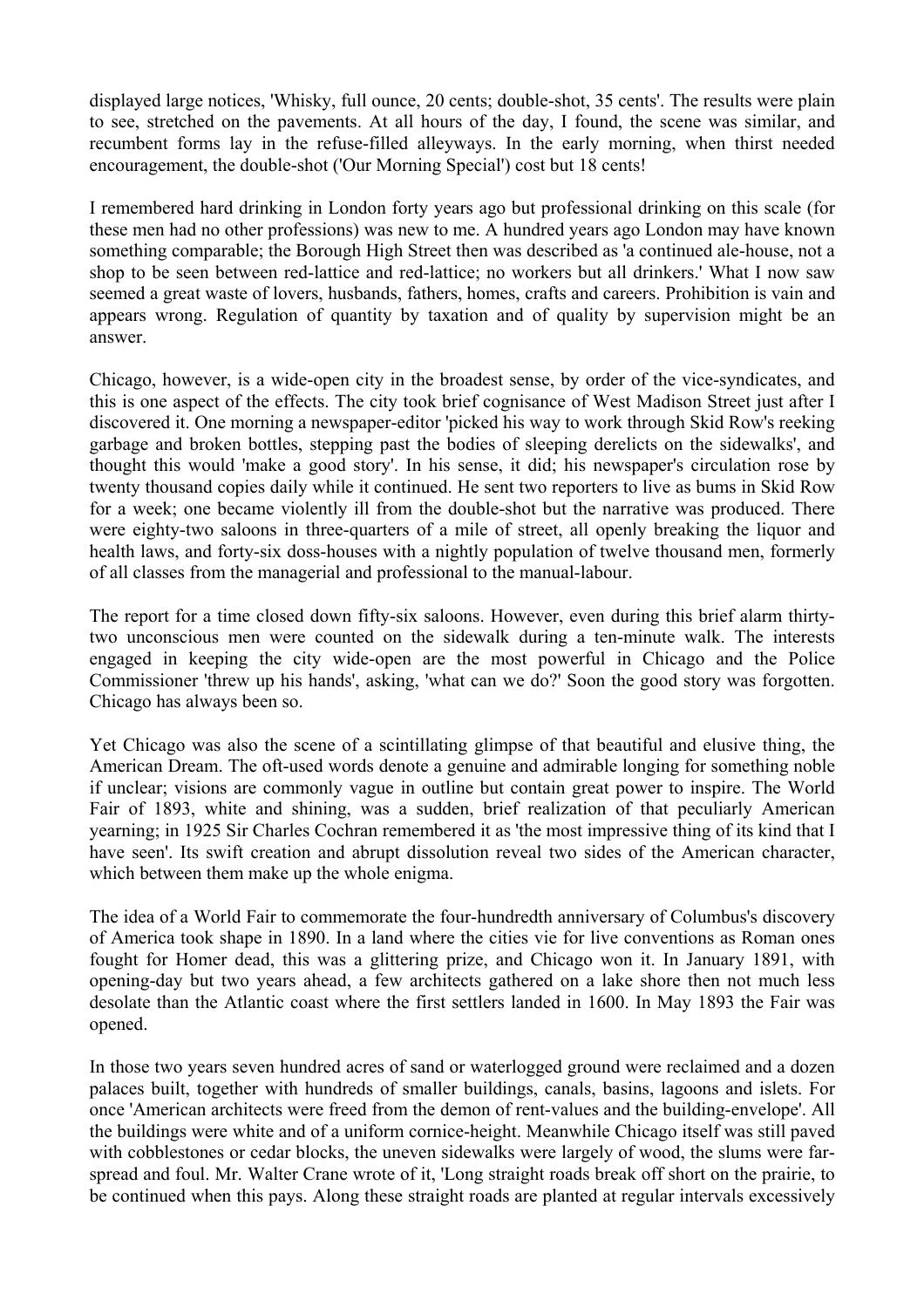displayed large notices, 'Whisky, full ounce, 20 cents; double-shot, 35 cents'. The results were plain to see, stretched on the pavements. At all hours of the day, I found, the scene was similar, and recumbent forms lay in the refuse-filled alleyways. In the early morning, when thirst needed encouragement, the double-shot ('Our Morning Special') cost but 18 cents!

I remembered hard drinking in London forty years ago but professional drinking on this scale (for these men had no other professions) was new to me. A hundred years ago London may have known something comparable; the Borough High Street then was described as 'a continued ale-house, not a shop to be seen between red-lattice and red-lattice; no workers but all drinkers.' What I now saw seemed a great waste of lovers, husbands, fathers, homes, crafts and careers. Prohibition is vain and appears wrong. Regulation of quantity by taxation and of quality by supervision might be an answer.

Chicago, however, is a wide-open city in the broadest sense, by order of the vice-syndicates, and this is one aspect of the effects. The city took brief cognisance of West Madison Street just after I discovered it. One morning a newspaper-editor 'picked his way to work through Skid Row's reeking garbage and broken bottles, stepping past the bodies of sleeping derelicts on the sidewalks', and thought this would 'make a good story'. In his sense, it did; his newspaper's circulation rose by twenty thousand copies daily while it continued. He sent two reporters to live as bums in Skid Row for a week; one became violently ill from the double-shot but the narrative was produced. There were eighty-two saloons in three-quarters of a mile of street, all openly breaking the liquor and health laws, and forty-six doss-houses with a nightly population of twelve thousand men, formerly of all classes from the managerial and professional to the manual-labour.

The report for a time closed down fifty-six saloons. However, even during this brief alarm thirtytwo unconscious men were counted on the sidewalk during a ten-minute walk. The interests engaged in keeping the city wide-open are the most powerful in Chicago and the Police Commissioner 'threw up his hands', asking, 'what can we do?' Soon the good story was forgotten. Chicago has always been so.

Yet Chicago was also the scene of a scintillating glimpse of that beautiful and elusive thing, the American Dream. The oft-used words denote a genuine and admirable longing for something noble if unclear; visions are commonly vague in outline but contain great power to inspire. The World Fair of 1893, white and shining, was a sudden, brief realization of that peculiarly American yearning; in 1925 Sir Charles Cochran remembered it as 'the most impressive thing of its kind that I have seen'. Its swift creation and abrupt dissolution reveal two sides of the American character, which between them make up the whole enigma.

The idea of a World Fair to commemorate the four-hundredth anniversary of Columbus's discovery of America took shape in 1890. In a land where the cities vie for live conventions as Roman ones fought for Homer dead, this was a glittering prize, and Chicago won it. In January 1891, with opening-day but two years ahead, a few architects gathered on a lake shore then not much less desolate than the Atlantic coast where the first settlers landed in 1600. In May 1893 the Fair was opened.

In those two years seven hundred acres of sand or waterlogged ground were reclaimed and a dozen palaces built, together with hundreds of smaller buildings, canals, basins, lagoons and islets. For once 'American architects were freed from the demon of rent-values and the building-envelope'. All the buildings were white and of a uniform cornice-height. Meanwhile Chicago itself was still paved with cobblestones or cedar blocks, the uneven sidewalks were largely of wood, the slums were farspread and foul. Mr. Walter Crane wrote of it, 'Long straight roads break off short on the prairie, to be continued when this pays. Along these straight roads are planted at regular intervals excessively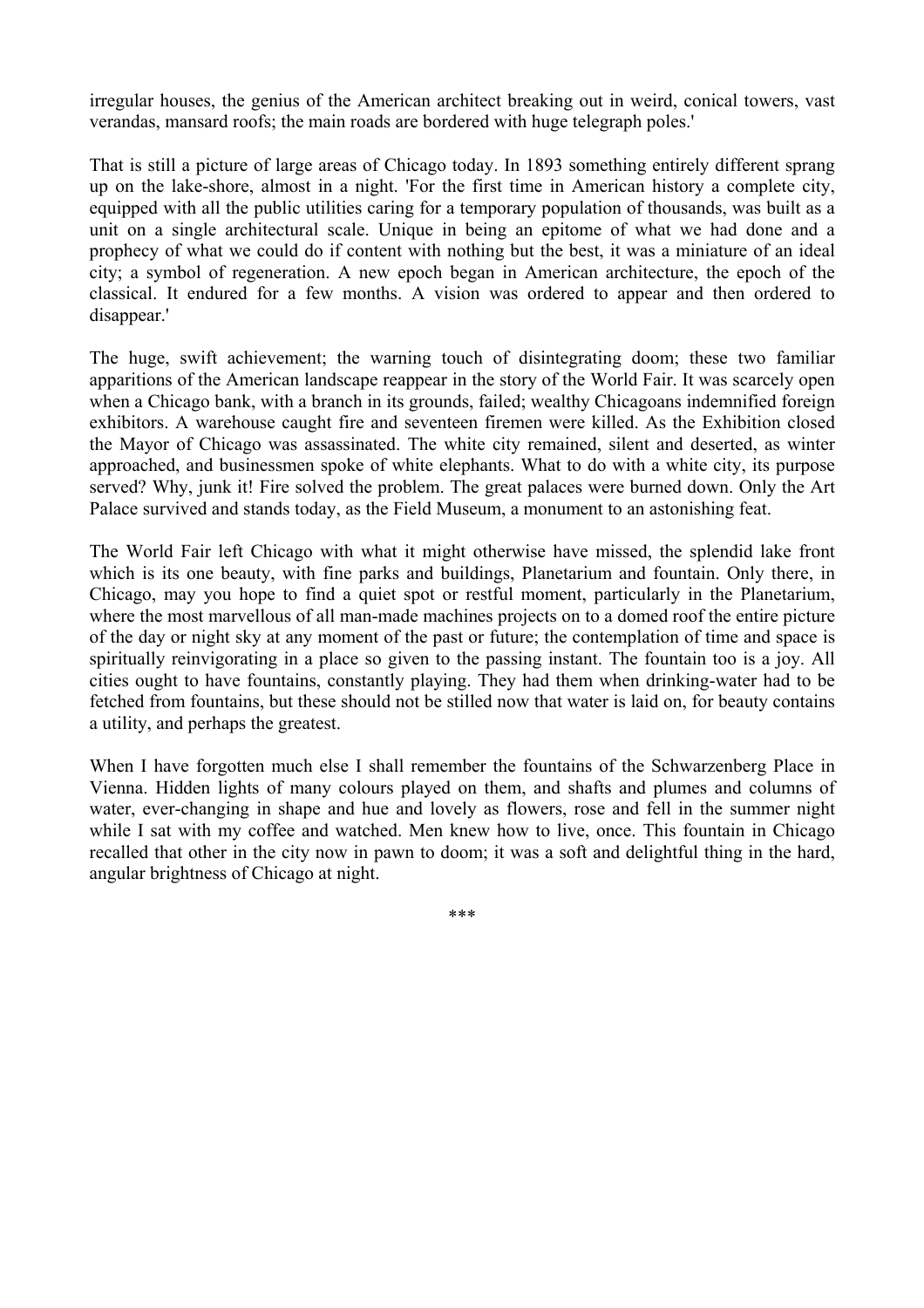irregular houses, the genius of the American architect breaking out in weird, conical towers, vast verandas, mansard roofs; the main roads are bordered with huge telegraph poles.'

That is still a picture of large areas of Chicago today. In 1893 something entirely different sprang up on the lake-shore, almost in a night. 'For the first time in American history a complete city, equipped with all the public utilities caring for a temporary population of thousands, was built as a unit on a single architectural scale. Unique in being an epitome of what we had done and a prophecy of what we could do if content with nothing but the best, it was a miniature of an ideal city; a symbol of regeneration. A new epoch began in American architecture, the epoch of the classical. It endured for a few months. A vision was ordered to appear and then ordered to disappear.'

The huge, swift achievement; the warning touch of disintegrating doom; these two familiar apparitions of the American landscape reappear in the story of the World Fair. It was scarcely open when a Chicago bank, with a branch in its grounds, failed; wealthy Chicagoans indemnified foreign exhibitors. A warehouse caught fire and seventeen firemen were killed. As the Exhibition closed the Mayor of Chicago was assassinated. The white city remained, silent and deserted, as winter approached, and businessmen spoke of white elephants. What to do with a white city, its purpose served? Why, junk it! Fire solved the problem. The great palaces were burned down. Only the Art Palace survived and stands today, as the Field Museum, a monument to an astonishing feat.

The World Fair left Chicago with what it might otherwise have missed, the splendid lake front which is its one beauty, with fine parks and buildings, Planetarium and fountain. Only there, in Chicago, may you hope to find a quiet spot or restful moment, particularly in the Planetarium, where the most marvellous of all man-made machines projects on to a domed roof the entire picture of the day or night sky at any moment of the past or future; the contemplation of time and space is spiritually reinvigorating in a place so given to the passing instant. The fountain too is a joy. All cities ought to have fountains, constantly playing. They had them when drinking-water had to be fetched from fountains, but these should not be stilled now that water is laid on, for beauty contains a utility, and perhaps the greatest.

When I have forgotten much else I shall remember the fountains of the Schwarzenberg Place in Vienna. Hidden lights of many colours played on them, and shafts and plumes and columns of water, ever-changing in shape and hue and lovely as flowers, rose and fell in the summer night while I sat with my coffee and watched. Men knew how to live, once. This fountain in Chicago recalled that other in the city now in pawn to doom; it was a soft and delightful thing in the hard, angular brightness of Chicago at night.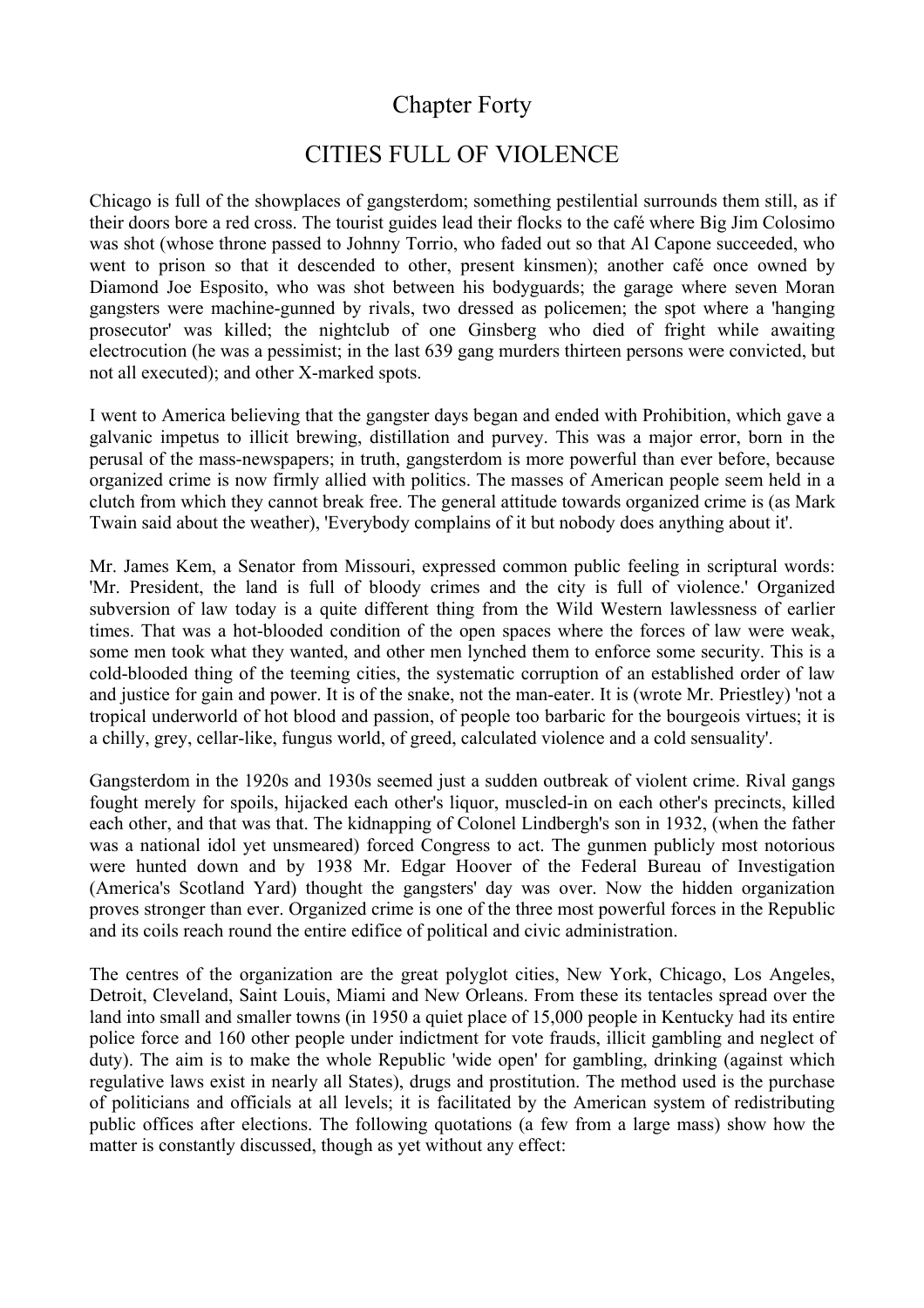## Chapter Forty

### CITIES FULL OF VIOLENCE

Chicago is full of the showplaces of gangsterdom; something pestilential surrounds them still, as if their doors bore a red cross. The tourist guides lead their flocks to the café where Big Jim Colosimo was shot (whose throne passed to Johnny Torrio, who faded out so that Al Capone succeeded, who went to prison so that it descended to other, present kinsmen); another café once owned by Diamond Joe Esposito, who was shot between his bodyguards; the garage where seven Moran gangsters were machine-gunned by rivals, two dressed as policemen; the spot where a 'hanging prosecutor' was killed; the nightclub of one Ginsberg who died of fright while awaiting electrocution (he was a pessimist; in the last 639 gang murders thirteen persons were convicted, but not all executed); and other X-marked spots.

I went to America believing that the gangster days began and ended with Prohibition, which gave a galvanic impetus to illicit brewing, distillation and purvey. This was a major error, born in the perusal of the mass-newspapers; in truth, gangsterdom is more powerful than ever before, because organized crime is now firmly allied with politics. The masses of American people seem held in a clutch from which they cannot break free. The general attitude towards organized crime is (as Mark Twain said about the weather), 'Everybody complains of it but nobody does anything about it'.

Mr. James Kem, a Senator from Missouri, expressed common public feeling in scriptural words: 'Mr. President, the land is full of bloody crimes and the city is full of violence.' Organized subversion of law today is a quite different thing from the Wild Western lawlessness of earlier times. That was a hot-blooded condition of the open spaces where the forces of law were weak, some men took what they wanted, and other men lynched them to enforce some security. This is a cold-blooded thing of the teeming cities, the systematic corruption of an established order of law and justice for gain and power. It is of the snake, not the man-eater. It is (wrote Mr. Priestley) 'not a tropical underworld of hot blood and passion, of people too barbaric for the bourgeois virtues; it is a chilly, grey, cellar-like, fungus world, of greed, calculated violence and a cold sensuality'.

Gangsterdom in the 1920s and 1930s seemed just a sudden outbreak of violent crime. Rival gangs fought merely for spoils, hijacked each other's liquor, muscled-in on each other's precincts, killed each other, and that was that. The kidnapping of Colonel Lindbergh's son in 1932, (when the father was a national idol yet unsmeared) forced Congress to act. The gunmen publicly most notorious were hunted down and by 1938 Mr. Edgar Hoover of the Federal Bureau of Investigation (America's Scotland Yard) thought the gangsters' day was over. Now the hidden organization proves stronger than ever. Organized crime is one of the three most powerful forces in the Republic and its coils reach round the entire edifice of political and civic administration.

The centres of the organization are the great polyglot cities, New York, Chicago, Los Angeles, Detroit, Cleveland, Saint Louis, Miami and New Orleans. From these its tentacles spread over the land into small and smaller towns (in 1950 a quiet place of 15,000 people in Kentucky had its entire police force and 160 other people under indictment for vote frauds, illicit gambling and neglect of duty). The aim is to make the whole Republic 'wide open' for gambling, drinking (against which regulative laws exist in nearly all States), drugs and prostitution. The method used is the purchase of politicians and officials at all levels; it is facilitated by the American system of redistributing public offices after elections. The following quotations (a few from a large mass) show how the matter is constantly discussed, though as yet without any effect: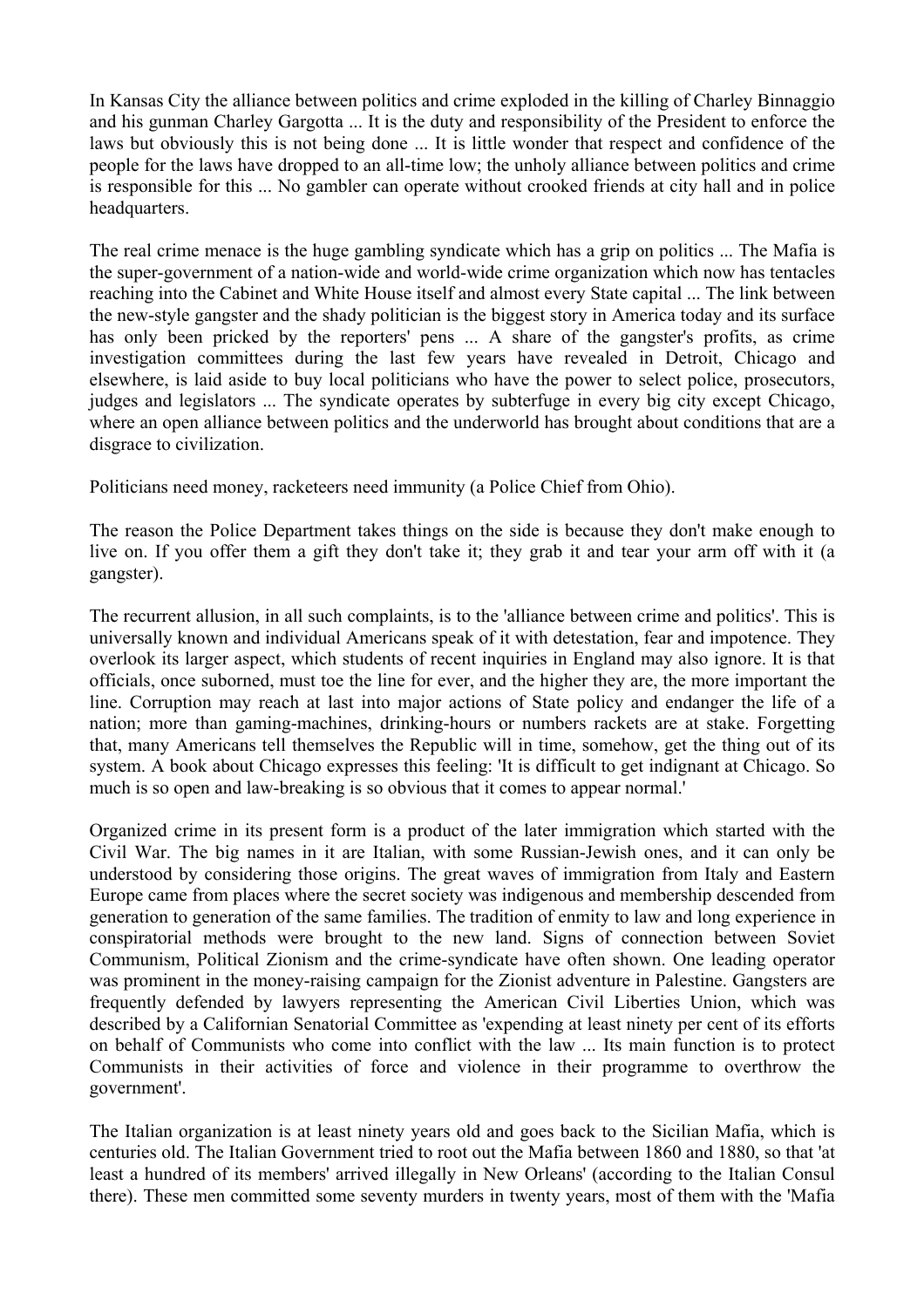In Kansas City the alliance between politics and crime exploded in the killing of Charley Binnaggio and his gunman Charley Gargotta ... It is the duty and responsibility of the President to enforce the laws but obviously this is not being done ... It is little wonder that respect and confidence of the people for the laws have dropped to an all-time low; the unholy alliance between politics and crime is responsible for this ... No gambler can operate without crooked friends at city hall and in police headquarters.

The real crime menace is the huge gambling syndicate which has a grip on politics ... The Mafia is the super-government of a nation-wide and world-wide crime organization which now has tentacles reaching into the Cabinet and White House itself and almost every State capital ... The link between the new-style gangster and the shady politician is the biggest story in America today and its surface has only been pricked by the reporters' pens ... A share of the gangster's profits, as crime investigation committees during the last few years have revealed in Detroit, Chicago and elsewhere, is laid aside to buy local politicians who have the power to select police, prosecutors, judges and legislators ... The syndicate operates by subterfuge in every big city except Chicago, where an open alliance between politics and the underworld has brought about conditions that are a disgrace to civilization.

Politicians need money, racketeers need immunity (a Police Chief from Ohio).

The reason the Police Department takes things on the side is because they don't make enough to live on. If you offer them a gift they don't take it; they grab it and tear your arm off with it (a gangster).

The recurrent allusion, in all such complaints, is to the 'alliance between crime and politics'. This is universally known and individual Americans speak of it with detestation, fear and impotence. They overlook its larger aspect, which students of recent inquiries in England may also ignore. It is that officials, once suborned, must toe the line for ever, and the higher they are, the more important the line. Corruption may reach at last into major actions of State policy and endanger the life of a nation; more than gaming-machines, drinking-hours or numbers rackets are at stake. Forgetting that, many Americans tell themselves the Republic will in time, somehow, get the thing out of its system. A book about Chicago expresses this feeling: 'It is difficult to get indignant at Chicago. So much is so open and law-breaking is so obvious that it comes to appear normal.'

Organized crime in its present form is a product of the later immigration which started with the Civil War. The big names in it are Italian, with some Russian-Jewish ones, and it can only be understood by considering those origins. The great waves of immigration from Italy and Eastern Europe came from places where the secret society was indigenous and membership descended from generation to generation of the same families. The tradition of enmity to law and long experience in conspiratorial methods were brought to the new land. Signs of connection between Soviet Communism, Political Zionism and the crime-syndicate have often shown. One leading operator was prominent in the money-raising campaign for the Zionist adventure in Palestine. Gangsters are frequently defended by lawyers representing the American Civil Liberties Union, which was described by a Californian Senatorial Committee as 'expending at least ninety per cent of its efforts on behalf of Communists who come into conflict with the law ... Its main function is to protect Communists in their activities of force and violence in their programme to overthrow the government'.

The Italian organization is at least ninety years old and goes back to the Sicilian Mafia, which is centuries old. The Italian Government tried to root out the Mafia between 1860 and 1880, so that 'at least a hundred of its members' arrived illegally in New Orleans' (according to the Italian Consul there). These men committed some seventy murders in twenty years, most of them with the 'Mafia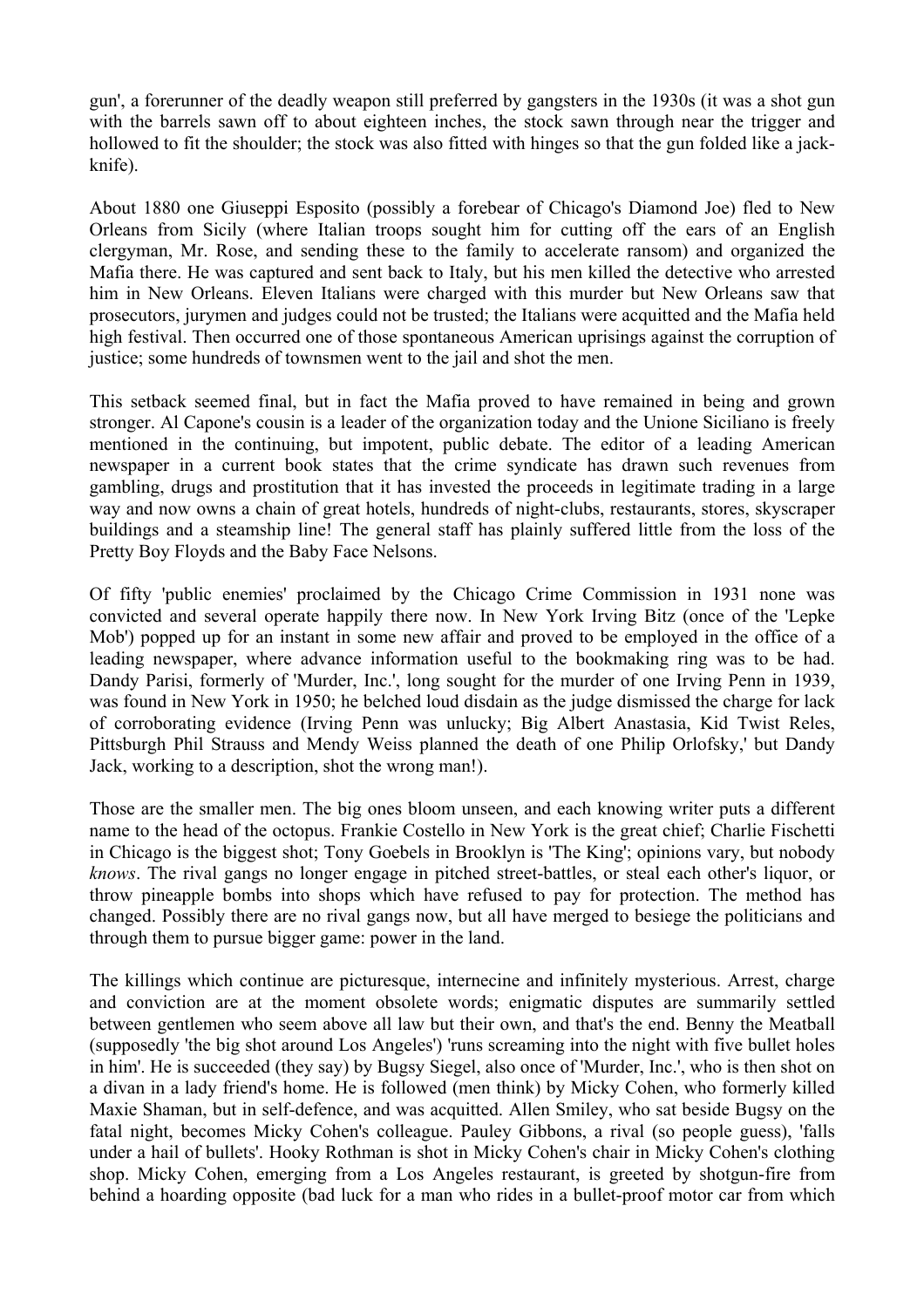gun', a forerunner of the deadly weapon still preferred by gangsters in the 1930s (it was a shot gun with the barrels sawn off to about eighteen inches, the stock sawn through near the trigger and hollowed to fit the shoulder; the stock was also fitted with hinges so that the gun folded like a jackknife).

About 1880 one Giuseppi Esposito (possibly a forebear of Chicago's Diamond Joe) fled to New Orleans from Sicily (where Italian troops sought him for cutting off the ears of an English clergyman, Mr. Rose, and sending these to the family to accelerate ransom) and organized the Mafia there. He was captured and sent back to Italy, but his men killed the detective who arrested him in New Orleans. Eleven Italians were charged with this murder but New Orleans saw that prosecutors, jurymen and judges could not be trusted; the Italians were acquitted and the Mafia held high festival. Then occurred one of those spontaneous American uprisings against the corruption of justice; some hundreds of townsmen went to the jail and shot the men.

This setback seemed final, but in fact the Mafia proved to have remained in being and grown stronger. Al Capone's cousin is a leader of the organization today and the Unione Siciliano is freely mentioned in the continuing, but impotent, public debate. The editor of a leading American newspaper in a current book states that the crime syndicate has drawn such revenues from gambling, drugs and prostitution that it has invested the proceeds in legitimate trading in a large way and now owns a chain of great hotels, hundreds of night-clubs, restaurants, stores, skyscraper buildings and a steamship line! The general staff has plainly suffered little from the loss of the Pretty Boy Floyds and the Baby Face Nelsons.

Of fifty 'public enemies' proclaimed by the Chicago Crime Commission in 1931 none was convicted and several operate happily there now. In New York Irving Bitz (once of the 'Lepke Mob') popped up for an instant in some new affair and proved to be employed in the office of a leading newspaper, where advance information useful to the bookmaking ring was to be had. Dandy Parisi, formerly of 'Murder, Inc.', long sought for the murder of one Irving Penn in 1939, was found in New York in 1950; he belched loud disdain as the judge dismissed the charge for lack of corroborating evidence (Irving Penn was unlucky; Big Albert Anastasia, Kid Twist Reles, Pittsburgh Phil Strauss and Mendy Weiss planned the death of one Philip Orlofsky,' but Dandy Jack, working to a description, shot the wrong man!).

Those are the smaller men. The big ones bloom unseen, and each knowing writer puts a different name to the head of the octopus. Frankie Costello in New York is the great chief; Charlie Fischetti in Chicago is the biggest shot; Tony Goebels in Brooklyn is 'The King'; opinions vary, but nobody *knows*. The rival gangs no longer engage in pitched street-battles, or steal each other's liquor, or throw pineapple bombs into shops which have refused to pay for protection. The method has changed. Possibly there are no rival gangs now, but all have merged to besiege the politicians and through them to pursue bigger game: power in the land.

The killings which continue are picturesque, internecine and infinitely mysterious. Arrest, charge and conviction are at the moment obsolete words; enigmatic disputes are summarily settled between gentlemen who seem above all law but their own, and that's the end. Benny the Meatball (supposedly 'the big shot around Los Angeles') 'runs screaming into the night with five bullet holes in him'. He is succeeded (they say) by Bugsy Siegel, also once of 'Murder, Inc.', who is then shot on a divan in a lady friend's home. He is followed (men think) by Micky Cohen, who formerly killed Maxie Shaman, but in self-defence, and was acquitted. Allen Smiley, who sat beside Bugsy on the fatal night, becomes Micky Cohen's colleague. Pauley Gibbons, a rival (so people guess), 'falls under a hail of bullets'. Hooky Rothman is shot in Micky Cohen's chair in Micky Cohen's clothing shop. Micky Cohen, emerging from a Los Angeles restaurant, is greeted by shotgun-fire from behind a hoarding opposite (bad luck for a man who rides in a bullet-proof motor car from which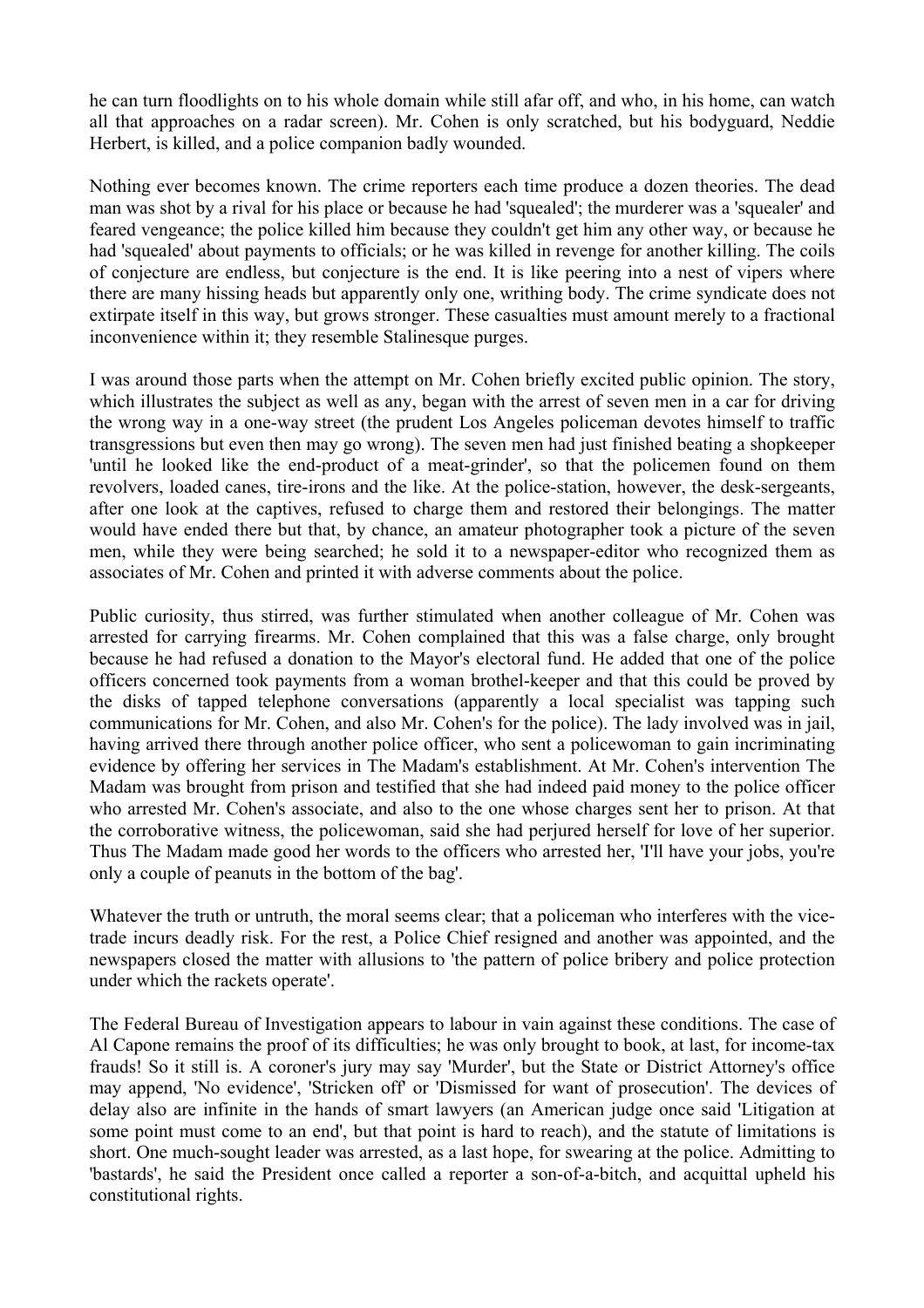he can turn floodlights on to his whole domain while still afar off, and who, in his home, can watch all that approaches on a radar screen). Mr. Cohen is only scratched, but his bodyguard, Neddie Herbert, is killed, and a police companion badly wounded.

Nothing ever becomes known. The crime reporters each time produce a dozen theories. The dead man was shot by a rival for his place or because he had 'squealed'; the murderer was a 'squealer' and feared vengeance; the police killed him because they couldn't get him any other way, or because he had 'squealed' about payments to officials; or he was killed in revenge for another killing. The coils of conjecture are endless, but conjecture is the end. It is like peering into a nest of vipers where there are many hissing heads but apparently only one, writhing body. The crime syndicate does not extirpate itself in this way, but grows stronger. These casualties must amount merely to a fractional inconvenience within it; they resemble Stalinesque purges.

I was around those parts when the attempt on Mr. Cohen briefly excited public opinion. The story, which illustrates the subject as well as any, began with the arrest of seven men in a car for driving the wrong way in a one-way street (the prudent Los Angeles policeman devotes himself to traffic transgressions but even then may go wrong). The seven men had just finished beating a shopkeeper 'until he looked like the end-product of a meat-grinder', so that the policemen found on them revolvers, loaded canes, tire-irons and the like. At the police-station, however, the desk-sergeants, after one look at the captives, refused to charge them and restored their belongings. The matter would have ended there but that, by chance, an amateur photographer took a picture of the seven men, while they were being searched; he sold it to a newspaper-editor who recognized them as associates of Mr. Cohen and printed it with adverse comments about the police.

Public curiosity, thus stirred, was further stimulated when another colleague of Mr. Cohen was arrested for carrying firearms. Mr. Cohen complained that this was a false charge, only brought because he had refused a donation to the Mayor's electoral fund. He added that one of the police officers concerned took payments from a woman brothel-keeper and that this could be proved by the disks of tapped telephone conversations (apparently a local specialist was tapping such communications for Mr. Cohen, and also Mr. Cohen's for the police). The lady involved was in jail, having arrived there through another police officer, who sent a policewoman to gain incriminating evidence by offering her services in The Madam's establishment. At Mr. Cohen's intervention The Madam was brought from prison and testified that she had indeed paid money to the police officer who arrested Mr. Cohen's associate, and also to the one whose charges sent her to prison. At that the corroborative witness, the policewoman, said she had perjured herself for love of her superior. Thus The Madam made good her words to the officers who arrested her, 'I'll have your jobs, you're only a couple of peanuts in the bottom of the bag'.

Whatever the truth or untruth, the moral seems clear; that a policeman who interferes with the vicetrade incurs deadly risk. For the rest, a Police Chief resigned and another was appointed, and the newspapers closed the matter with allusions to 'the pattern of police bribery and police protection under which the rackets operate'.

The Federal Bureau of Investigation appears to labour in vain against these conditions. The case of Al Capone remains the proof of its difficulties; he was only brought to book, at last, for income-tax frauds! So it still is. A coroner's jury may say 'Murder', but the State or District Attorney's office may append, 'No evidence', 'Stricken off' or 'Dismissed for want of prosecution'. The devices of delay also are infinite in the hands of smart lawyers (an American judge once said 'Litigation at some point must come to an end', but that point is hard to reach), and the statute of limitations is short. One much-sought leader was arrested, as a last hope, for swearing at the police. Admitting to 'bastards', he said the President once called a reporter a son-of-a-bitch, and acquittal upheld his constitutional rights.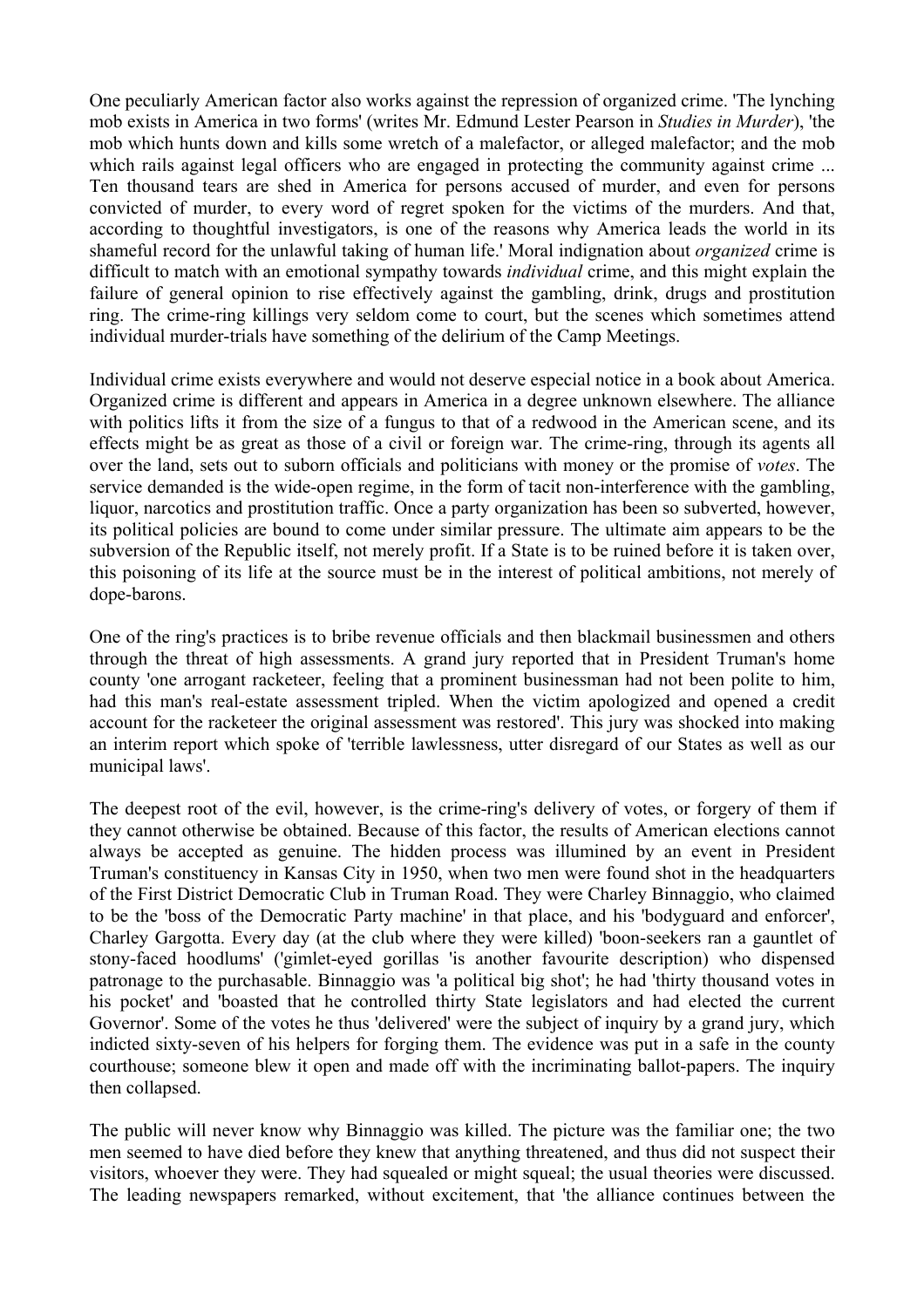One peculiarly American factor also works against the repression of organized crime. 'The lynching mob exists in America in two forms' (writes Mr. Edmund Lester Pearson in *Studies in Murder*), 'the mob which hunts down and kills some wretch of a malefactor, or alleged malefactor; and the mob which rails against legal officers who are engaged in protecting the community against crime ... Ten thousand tears are shed in America for persons accused of murder, and even for persons convicted of murder, to every word of regret spoken for the victims of the murders. And that, according to thoughtful investigators, is one of the reasons why America leads the world in its shameful record for the unlawful taking of human life.' Moral indignation about *organized* crime is difficult to match with an emotional sympathy towards *individual* crime, and this might explain the failure of general opinion to rise effectively against the gambling, drink, drugs and prostitution ring. The crime-ring killings very seldom come to court, but the scenes which sometimes attend individual murder-trials have something of the delirium of the Camp Meetings.

Individual crime exists everywhere and would not deserve especial notice in a book about America. Organized crime is different and appears in America in a degree unknown elsewhere. The alliance with politics lifts it from the size of a fungus to that of a redwood in the American scene, and its effects might be as great as those of a civil or foreign war. The crime-ring, through its agents all over the land, sets out to suborn officials and politicians with money or the promise of *votes*. The service demanded is the wide-open regime, in the form of tacit non-interference with the gambling, liquor, narcotics and prostitution traffic. Once a party organization has been so subverted, however, its political policies are bound to come under similar pressure. The ultimate aim appears to be the subversion of the Republic itself, not merely profit. If a State is to be ruined before it is taken over, this poisoning of its life at the source must be in the interest of political ambitions, not merely of dope-barons.

One of the ring's practices is to bribe revenue officials and then blackmail businessmen and others through the threat of high assessments. A grand jury reported that in President Truman's home county 'one arrogant racketeer, feeling that a prominent businessman had not been polite to him, had this man's real-estate assessment tripled. When the victim apologized and opened a credit account for the racketeer the original assessment was restored'. This jury was shocked into making an interim report which spoke of 'terrible lawlessness, utter disregard of our States as well as our municipal laws'.

The deepest root of the evil, however, is the crime-ring's delivery of votes, or forgery of them if they cannot otherwise be obtained. Because of this factor, the results of American elections cannot always be accepted as genuine. The hidden process was illumined by an event in President Truman's constituency in Kansas City in 1950, when two men were found shot in the headquarters of the First District Democratic Club in Truman Road. They were Charley Binnaggio, who claimed to be the 'boss of the Democratic Party machine' in that place, and his 'bodyguard and enforcer', Charley Gargotta. Every day (at the club where they were killed) 'boon-seekers ran a gauntlet of stony-faced hoodlums' ('gimlet-eyed gorillas 'is another favourite description) who dispensed patronage to the purchasable. Binnaggio was 'a political big shot'; he had 'thirty thousand votes in his pocket' and 'boasted that he controlled thirty State legislators and had elected the current Governor'. Some of the votes he thus 'delivered' were the subject of inquiry by a grand jury, which indicted sixty-seven of his helpers for forging them. The evidence was put in a safe in the county courthouse; someone blew it open and made off with the incriminating ballot-papers. The inquiry then collapsed.

The public will never know why Binnaggio was killed. The picture was the familiar one; the two men seemed to have died before they knew that anything threatened, and thus did not suspect their visitors, whoever they were. They had squealed or might squeal; the usual theories were discussed. The leading newspapers remarked, without excitement, that 'the alliance continues between the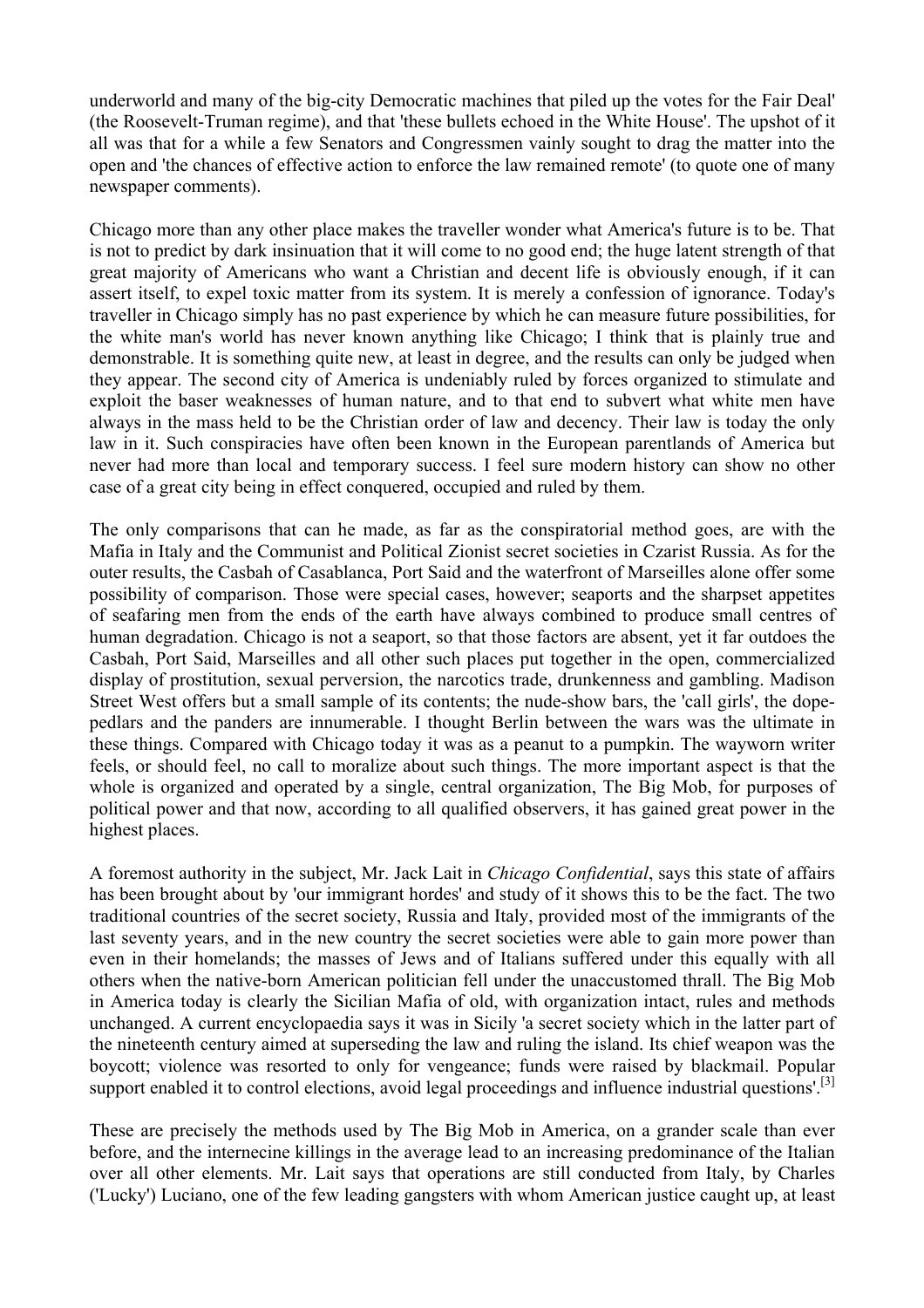underworld and many of the big-city Democratic machines that piled up the votes for the Fair Deal' (the Roosevelt-Truman regime), and that 'these bullets echoed in the White House'. The upshot of it all was that for a while a few Senators and Congressmen vainly sought to drag the matter into the open and 'the chances of effective action to enforce the law remained remote' (to quote one of many newspaper comments).

Chicago more than any other place makes the traveller wonder what America's future is to be. That is not to predict by dark insinuation that it will come to no good end; the huge latent strength of that great majority of Americans who want a Christian and decent life is obviously enough, if it can assert itself, to expel toxic matter from its system. It is merely a confession of ignorance. Today's traveller in Chicago simply has no past experience by which he can measure future possibilities, for the white man's world has never known anything like Chicago; I think that is plainly true and demonstrable. It is something quite new, at least in degree, and the results can only be judged when they appear. The second city of America is undeniably ruled by forces organized to stimulate and exploit the baser weaknesses of human nature, and to that end to subvert what white men have always in the mass held to be the Christian order of law and decency. Their law is today the only law in it. Such conspiracies have often been known in the European parentlands of America but never had more than local and temporary success. I feel sure modern history can show no other case of a great city being in effect conquered, occupied and ruled by them.

The only comparisons that can he made, as far as the conspiratorial method goes, are with the Mafia in Italy and the Communist and Political Zionist secret societies in Czarist Russia. As for the outer results, the Casbah of Casablanca, Port Said and the waterfront of Marseilles alone offer some possibility of comparison. Those were special cases, however; seaports and the sharpset appetites of seafaring men from the ends of the earth have always combined to produce small centres of human degradation. Chicago is not a seaport, so that those factors are absent, yet it far outdoes the Casbah, Port Said, Marseilles and all other such places put together in the open, commercialized display of prostitution, sexual perversion, the narcotics trade, drunkenness and gambling. Madison Street West offers but a small sample of its contents; the nude-show bars, the 'call girls', the dopepedlars and the panders are innumerable. I thought Berlin between the wars was the ultimate in these things. Compared with Chicago today it was as a peanut to a pumpkin. The wayworn writer feels, or should feel, no call to moralize about such things. The more important aspect is that the whole is organized and operated by a single, central organization, The Big Mob, for purposes of political power and that now, according to all qualified observers, it has gained great power in the highest places.

A foremost authority in the subject, Mr. Jack Lait in *Chicago Confidential*, says this state of affairs has been brought about by 'our immigrant hordes' and study of it shows this to be the fact. The two traditional countries of the secret society, Russia and Italy, provided most of the immigrants of the last seventy years, and in the new country the secret societies were able to gain more power than even in their homelands; the masses of Jews and of Italians suffered under this equally with all others when the native-born American politician fell under the unaccustomed thrall. The Big Mob in America today is clearly the Sicilian Mafia of old, with organization intact, rules and methods unchanged. A current encyclopaedia says it was in Sicily 'a secret society which in the latter part of the nineteenth century aimed at superseding the law and ruling the island. Its chief weapon was the boycott; violence was resorted to only for vengeance; funds were raised by blackmail. Popular support enabled it to control elections, avoid legal proceedings and influence industrial questions'.<sup>[\[3\]](#page-236-0)</sup>

These are precisely the methods used by The Big Mob in America, on a grander scale than ever before, and the internecine killings in the average lead to an increasing predominance of the Italian over all other elements. Mr. Lait says that operations are still conducted from Italy, by Charles ('Lucky') Luciano, one of the few leading gangsters with whom American justice caught up, at least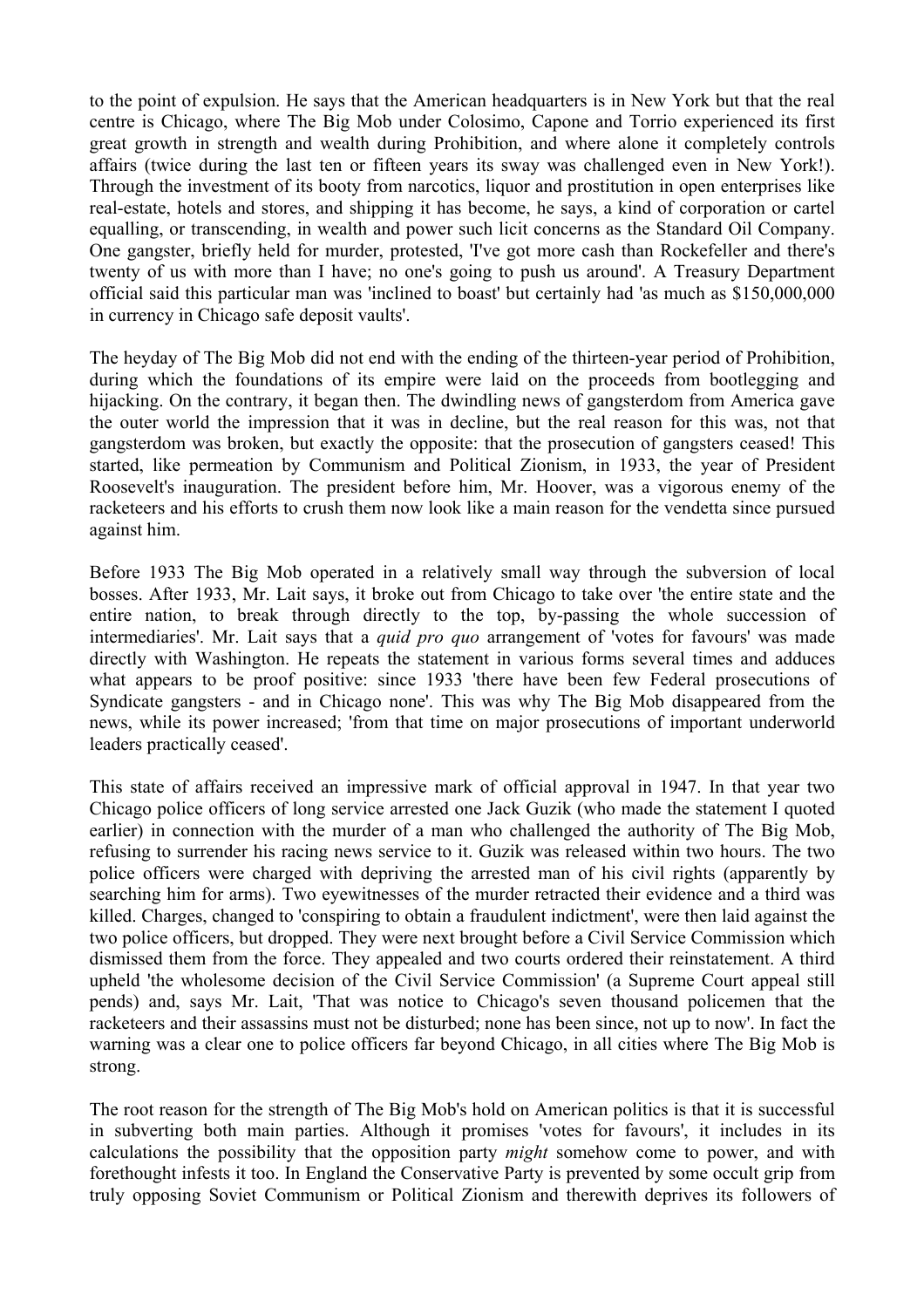to the point of expulsion. He says that the American headquarters is in New York but that the real centre is Chicago, where The Big Mob under Colosimo, Capone and Torrio experienced its first great growth in strength and wealth during Prohibition, and where alone it completely controls affairs (twice during the last ten or fifteen years its sway was challenged even in New York!). Through the investment of its booty from narcotics, liquor and prostitution in open enterprises like real-estate, hotels and stores, and shipping it has become, he says, a kind of corporation or cartel equalling, or transcending, in wealth and power such licit concerns as the Standard Oil Company. One gangster, briefly held for murder, protested, 'I've got more cash than Rockefeller and there's twenty of us with more than I have; no one's going to push us around'. A Treasury Department official said this particular man was 'inclined to boast' but certainly had 'as much as \$150,000,000 in currency in Chicago safe deposit vaults'.

The heyday of The Big Mob did not end with the ending of the thirteen-year period of Prohibition, during which the foundations of its empire were laid on the proceeds from bootlegging and hijacking. On the contrary, it began then. The dwindling news of gangsterdom from America gave the outer world the impression that it was in decline, but the real reason for this was, not that gangsterdom was broken, but exactly the opposite: that the prosecution of gangsters ceased! This started, like permeation by Communism and Political Zionism, in 1933, the year of President Roosevelt's inauguration. The president before him, Mr. Hoover, was a vigorous enemy of the racketeers and his efforts to crush them now look like a main reason for the vendetta since pursued against him.

Before 1933 The Big Mob operated in a relatively small way through the subversion of local bosses. After 1933, Mr. Lait says, it broke out from Chicago to take over 'the entire state and the entire nation, to break through directly to the top, by-passing the whole succession of intermediaries'. Mr. Lait says that a *quid pro quo* arrangement of 'votes for favours' was made directly with Washington. He repeats the statement in various forms several times and adduces what appears to be proof positive: since 1933 'there have been few Federal prosecutions of Syndicate gangsters - and in Chicago none'. This was why The Big Mob disappeared from the news, while its power increased; 'from that time on major prosecutions of important underworld leaders practically ceased'.

This state of affairs received an impressive mark of official approval in 1947. In that year two Chicago police officers of long service arrested one Jack Guzik (who made the statement I quoted earlier) in connection with the murder of a man who challenged the authority of The Big Mob, refusing to surrender his racing news service to it. Guzik was released within two hours. The two police officers were charged with depriving the arrested man of his civil rights (apparently by searching him for arms). Two eyewitnesses of the murder retracted their evidence and a third was killed. Charges, changed to 'conspiring to obtain a fraudulent indictment', were then laid against the two police officers, but dropped. They were next brought before a Civil Service Commission which dismissed them from the force. They appealed and two courts ordered their reinstatement. A third upheld 'the wholesome decision of the Civil Service Commission' (a Supreme Court appeal still pends) and, says Mr. Lait, 'That was notice to Chicago's seven thousand policemen that the racketeers and their assassins must not be disturbed; none has been since, not up to now'. In fact the warning was a clear one to police officers far beyond Chicago, in all cities where The Big Mob is strong.

The root reason for the strength of The Big Mob's hold on American politics is that it is successful in subverting both main parties. Although it promises 'votes for favours', it includes in its calculations the possibility that the opposition party *might* somehow come to power, and with forethought infests it too. In England the Conservative Party is prevented by some occult grip from truly opposing Soviet Communism or Political Zionism and therewith deprives its followers of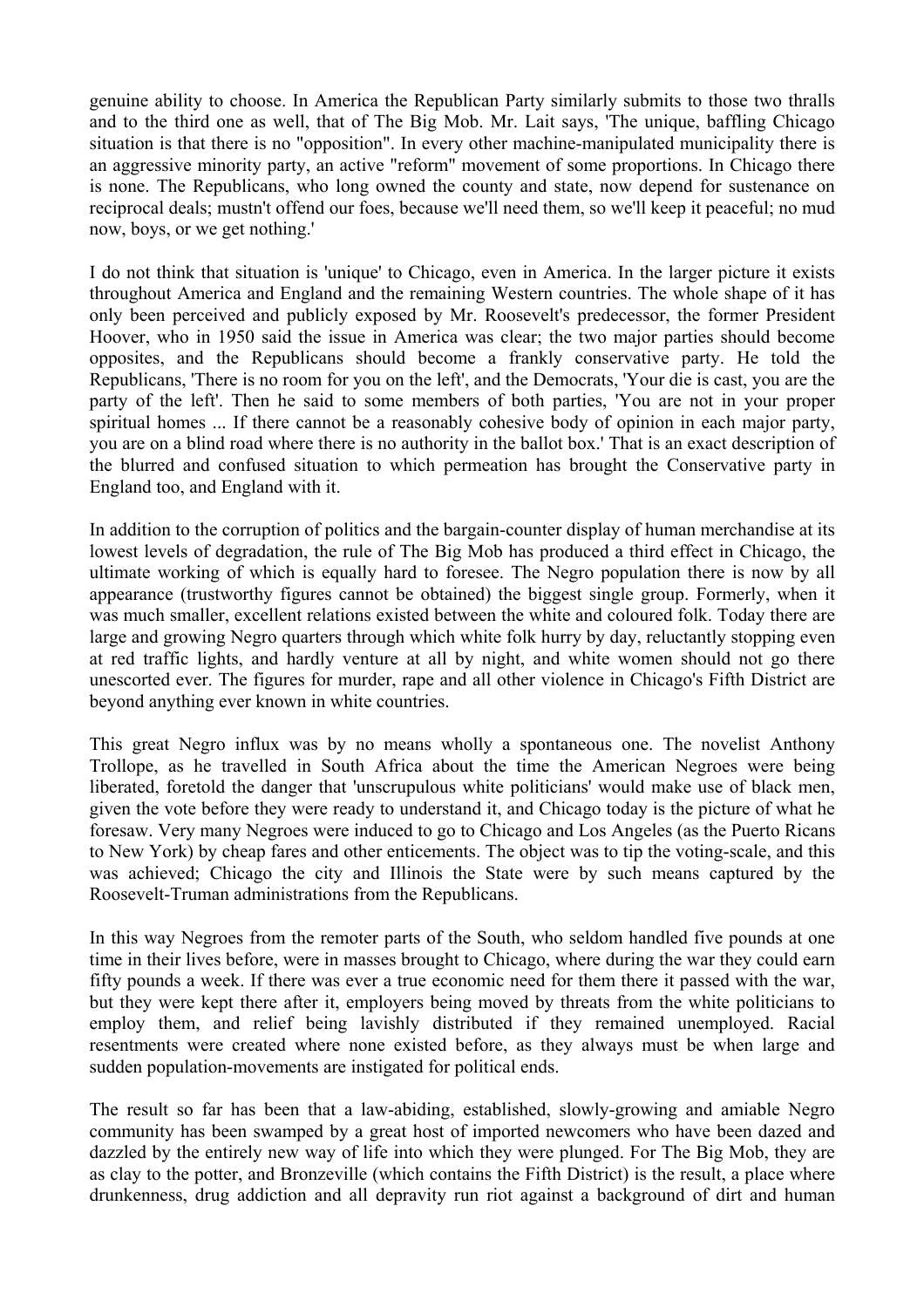genuine ability to choose. In America the Republican Party similarly submits to those two thralls and to the third one as well, that of The Big Mob. Mr. Lait says, 'The unique, baffling Chicago situation is that there is no "opposition". In every other machine-manipulated municipality there is an aggressive minority party, an active "reform" movement of some proportions. In Chicago there is none. The Republicans, who long owned the county and state, now depend for sustenance on reciprocal deals; mustn't offend our foes, because we'll need them, so we'll keep it peaceful; no mud now, boys, or we get nothing.'

I do not think that situation is 'unique' to Chicago, even in America. In the larger picture it exists throughout America and England and the remaining Western countries. The whole shape of it has only been perceived and publicly exposed by Mr. Roosevelt's predecessor, the former President Hoover, who in 1950 said the issue in America was clear; the two major parties should become opposites, and the Republicans should become a frankly conservative party. He told the Republicans, 'There is no room for you on the left', and the Democrats, 'Your die is cast, you are the party of the left'. Then he said to some members of both parties, 'You are not in your proper spiritual homes ... If there cannot be a reasonably cohesive body of opinion in each major party, you are on a blind road where there is no authority in the ballot box.' That is an exact description of the blurred and confused situation to which permeation has brought the Conservative party in England too, and England with it.

In addition to the corruption of politics and the bargain-counter display of human merchandise at its lowest levels of degradation, the rule of The Big Mob has produced a third effect in Chicago, the ultimate working of which is equally hard to foresee. The Negro population there is now by all appearance (trustworthy figures cannot be obtained) the biggest single group. Formerly, when it was much smaller, excellent relations existed between the white and coloured folk. Today there are large and growing Negro quarters through which white folk hurry by day, reluctantly stopping even at red traffic lights, and hardly venture at all by night, and white women should not go there unescorted ever. The figures for murder, rape and all other violence in Chicago's Fifth District are beyond anything ever known in white countries.

This great Negro influx was by no means wholly a spontaneous one. The novelist Anthony Trollope, as he travelled in South Africa about the time the American Negroes were being liberated, foretold the danger that 'unscrupulous white politicians' would make use of black men, given the vote before they were ready to understand it, and Chicago today is the picture of what he foresaw. Very many Negroes were induced to go to Chicago and Los Angeles (as the Puerto Ricans to New York) by cheap fares and other enticements. The object was to tip the voting-scale, and this was achieved; Chicago the city and Illinois the State were by such means captured by the Roosevelt-Truman administrations from the Republicans.

In this way Negroes from the remoter parts of the South, who seldom handled five pounds at one time in their lives before, were in masses brought to Chicago, where during the war they could earn fifty pounds a week. If there was ever a true economic need for them there it passed with the war, but they were kept there after it, employers being moved by threats from the white politicians to employ them, and relief being lavishly distributed if they remained unemployed. Racial resentments were created where none existed before, as they always must be when large and sudden population-movements are instigated for political ends.

The result so far has been that a law-abiding, established, slowly-growing and amiable Negro community has been swamped by a great host of imported newcomers who have been dazed and dazzled by the entirely new way of life into which they were plunged. For The Big Mob, they are as clay to the potter, and Bronzeville (which contains the Fifth District) is the result, a place where drunkenness, drug addiction and all depravity run riot against a background of dirt and human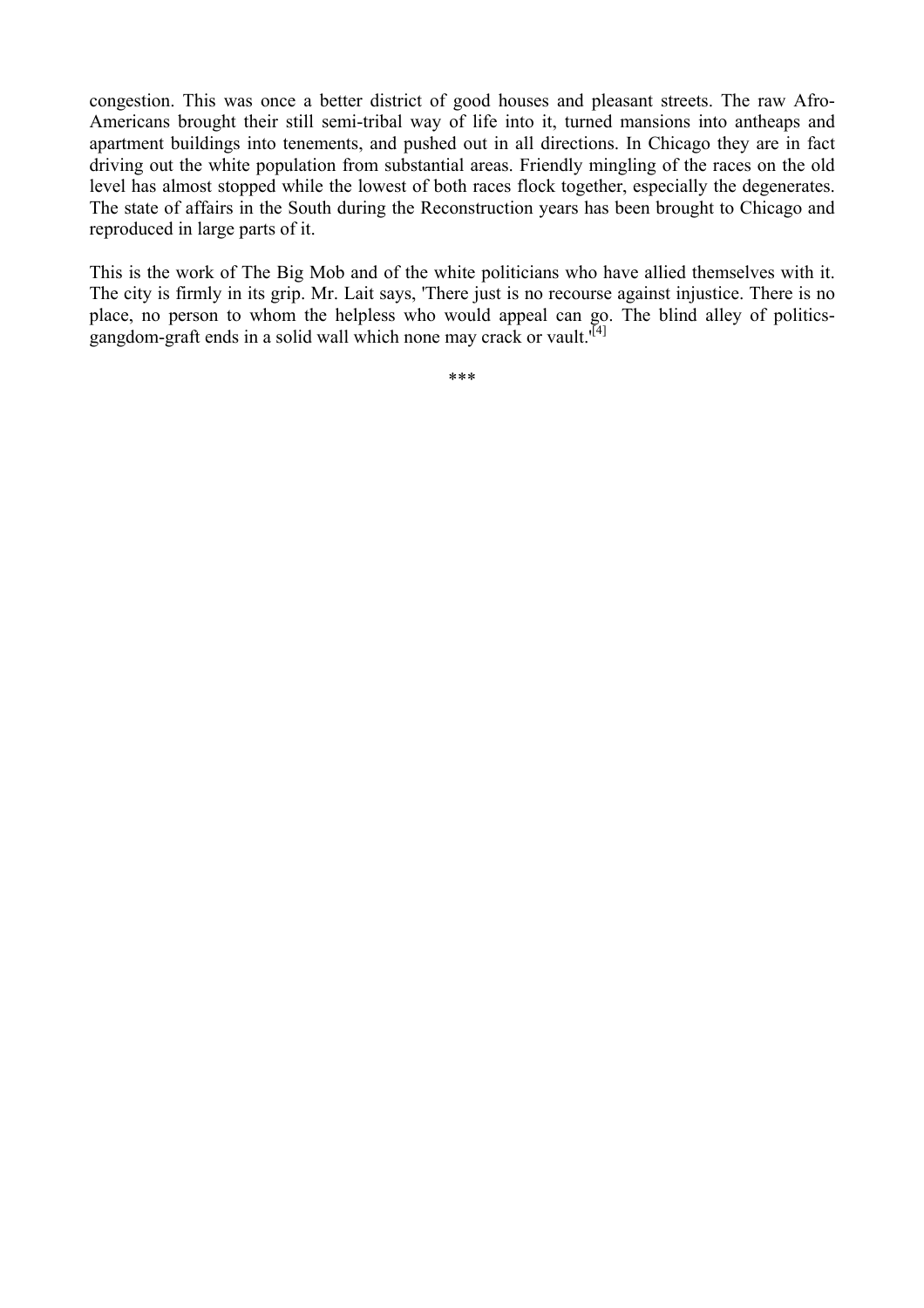congestion. This was once a better district of good houses and pleasant streets. The raw Afro-Americans brought their still semi-tribal way of life into it, turned mansions into antheaps and apartment buildings into tenements, and pushed out in all directions. In Chicago they are in fact driving out the white population from substantial areas. Friendly mingling of the races on the old level has almost stopped while the lowest of both races flock together, especially the degenerates. The state of affairs in the South during the Reconstruction years has been brought to Chicago and reproduced in large parts of it.

This is the work of The Big Mob and of the white politicians who have allied themselves with it. The city is firmly in its grip. Mr. Lait says, 'There just is no recourse against injustice. There is no place, no person to whom the helpless who would appeal can go. The blind alley of politics-gangdom-graft ends in a solid wall which none may crack or vault.<sup>[\[4\]](#page-236-0)</sup>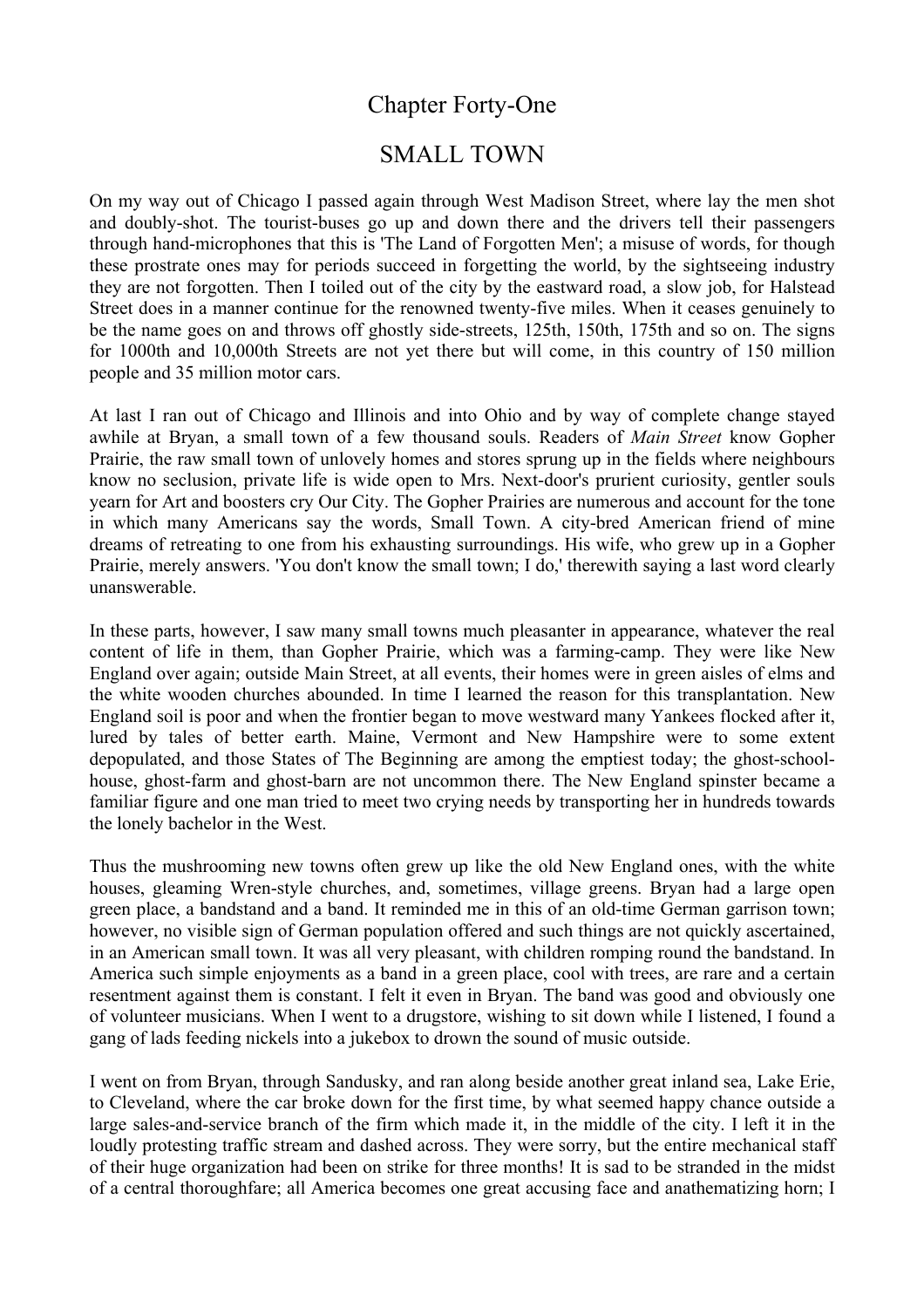## Chapter Forty-One

#### SMALL TOWN

On my way out of Chicago I passed again through West Madison Street, where lay the men shot and doubly-shot. The tourist-buses go up and down there and the drivers tell their passengers through hand-microphones that this is 'The Land of Forgotten Men'; a misuse of words, for though these prostrate ones may for periods succeed in forgetting the world, by the sightseeing industry they are not forgotten. Then I toiled out of the city by the eastward road, a slow job, for Halstead Street does in a manner continue for the renowned twenty-five miles. When it ceases genuinely to be the name goes on and throws off ghostly side-streets, 125th, 150th, 175th and so on. The signs for 1000th and 10,000th Streets are not yet there but will come, in this country of 150 million people and 35 million motor cars.

At last I ran out of Chicago and Illinois and into Ohio and by way of complete change stayed awhile at Bryan, a small town of a few thousand souls. Readers of *Main Street* know Gopher Prairie, the raw small town of unlovely homes and stores sprung up in the fields where neighbours know no seclusion, private life is wide open to Mrs. Next-door's prurient curiosity, gentler souls yearn for Art and boosters cry Our City. The Gopher Prairies are numerous and account for the tone in which many Americans say the words, Small Town. A city-bred American friend of mine dreams of retreating to one from his exhausting surroundings. His wife, who grew up in a Gopher Prairie, merely answers. 'You don't know the small town; I do,' therewith saying a last word clearly unanswerable.

In these parts, however, I saw many small towns much pleasanter in appearance, whatever the real content of life in them, than Gopher Prairie, which was a farming-camp. They were like New England over again; outside Main Street, at all events, their homes were in green aisles of elms and the white wooden churches abounded. In time I learned the reason for this transplantation. New England soil is poor and when the frontier began to move westward many Yankees flocked after it, lured by tales of better earth. Maine, Vermont and New Hampshire were to some extent depopulated, and those States of The Beginning are among the emptiest today; the ghost-schoolhouse, ghost-farm and ghost-barn are not uncommon there. The New England spinster became a familiar figure and one man tried to meet two crying needs by transporting her in hundreds towards the lonely bachelor in the West.

Thus the mushrooming new towns often grew up like the old New England ones, with the white houses, gleaming Wren-style churches, and, sometimes, village greens. Bryan had a large open green place, a bandstand and a band. It reminded me in this of an old-time German garrison town; however, no visible sign of German population offered and such things are not quickly ascertained, in an American small town. It was all very pleasant, with children romping round the bandstand. In America such simple enjoyments as a band in a green place, cool with trees, are rare and a certain resentment against them is constant. I felt it even in Bryan. The band was good and obviously one of volunteer musicians. When I went to a drugstore, wishing to sit down while I listened, I found a gang of lads feeding nickels into a jukebox to drown the sound of music outside.

I went on from Bryan, through Sandusky, and ran along beside another great inland sea, Lake Erie, to Cleveland, where the car broke down for the first time, by what seemed happy chance outside a large sales-and-service branch of the firm which made it, in the middle of the city. I left it in the loudly protesting traffic stream and dashed across. They were sorry, but the entire mechanical staff of their huge organization had been on strike for three months! It is sad to be stranded in the midst of a central thoroughfare; all America becomes one great accusing face and anathematizing horn; I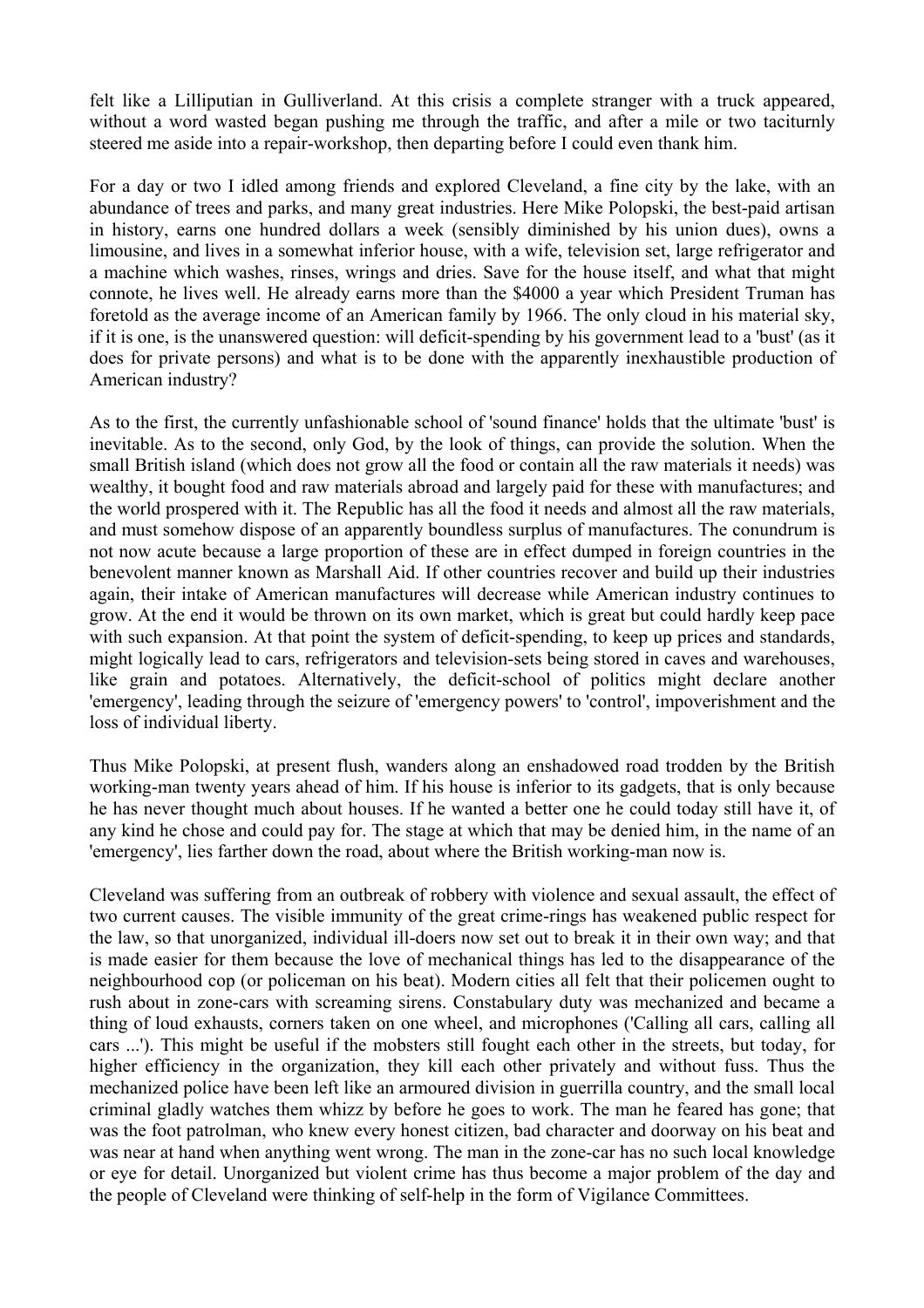felt like a Lilliputian in Gulliverland. At this crisis a complete stranger with a truck appeared, without a word wasted began pushing me through the traffic, and after a mile or two taciturnly steered me aside into a repair-workshop, then departing before I could even thank him.

For a day or two I idled among friends and explored Cleveland, a fine city by the lake, with an abundance of trees and parks, and many great industries. Here Mike Polopski, the best-paid artisan in history, earns one hundred dollars a week (sensibly diminished by his union dues), owns a limousine, and lives in a somewhat inferior house, with a wife, television set, large refrigerator and a machine which washes, rinses, wrings and dries. Save for the house itself, and what that might connote, he lives well. He already earns more than the \$4000 a year which President Truman has foretold as the average income of an American family by 1966. The only cloud in his material sky, if it is one, is the unanswered question: will deficit-spending by his government lead to a 'bust' (as it does for private persons) and what is to be done with the apparently inexhaustible production of American industry?

As to the first, the currently unfashionable school of 'sound finance' holds that the ultimate 'bust' is inevitable. As to the second, only God, by the look of things, can provide the solution. When the small British island (which does not grow all the food or contain all the raw materials it needs) was wealthy, it bought food and raw materials abroad and largely paid for these with manufactures; and the world prospered with it. The Republic has all the food it needs and almost all the raw materials, and must somehow dispose of an apparently boundless surplus of manufactures. The conundrum is not now acute because a large proportion of these are in effect dumped in foreign countries in the benevolent manner known as Marshall Aid. If other countries recover and build up their industries again, their intake of American manufactures will decrease while American industry continues to grow. At the end it would be thrown on its own market, which is great but could hardly keep pace with such expansion. At that point the system of deficit-spending, to keep up prices and standards, might logically lead to cars, refrigerators and television-sets being stored in caves and warehouses, like grain and potatoes. Alternatively, the deficit-school of politics might declare another 'emergency', leading through the seizure of 'emergency powers' to 'control', impoverishment and the loss of individual liberty.

Thus Mike Polopski, at present flush, wanders along an enshadowed road trodden by the British working-man twenty years ahead of him. If his house is inferior to its gadgets, that is only because he has never thought much about houses. If he wanted a better one he could today still have it, of any kind he chose and could pay for. The stage at which that may be denied him, in the name of an 'emergency', lies farther down the road, about where the British working-man now is.

Cleveland was suffering from an outbreak of robbery with violence and sexual assault, the effect of two current causes. The visible immunity of the great crime-rings has weakened public respect for the law, so that unorganized, individual ill-doers now set out to break it in their own way; and that is made easier for them because the love of mechanical things has led to the disappearance of the neighbourhood cop (or policeman on his beat). Modern cities all felt that their policemen ought to rush about in zone-cars with screaming sirens. Constabulary duty was mechanized and became a thing of loud exhausts, corners taken on one wheel, and microphones ('Calling all cars, calling all cars ...'). This might be useful if the mobsters still fought each other in the streets, but today, for higher efficiency in the organization, they kill each other privately and without fuss. Thus the mechanized police have been left like an armoured division in guerrilla country, and the small local criminal gladly watches them whizz by before he goes to work. The man he feared has gone; that was the foot patrolman, who knew every honest citizen, bad character and doorway on his beat and was near at hand when anything went wrong. The man in the zone-car has no such local knowledge or eye for detail. Unorganized but violent crime has thus become a major problem of the day and the people of Cleveland were thinking of self-help in the form of Vigilance Committees.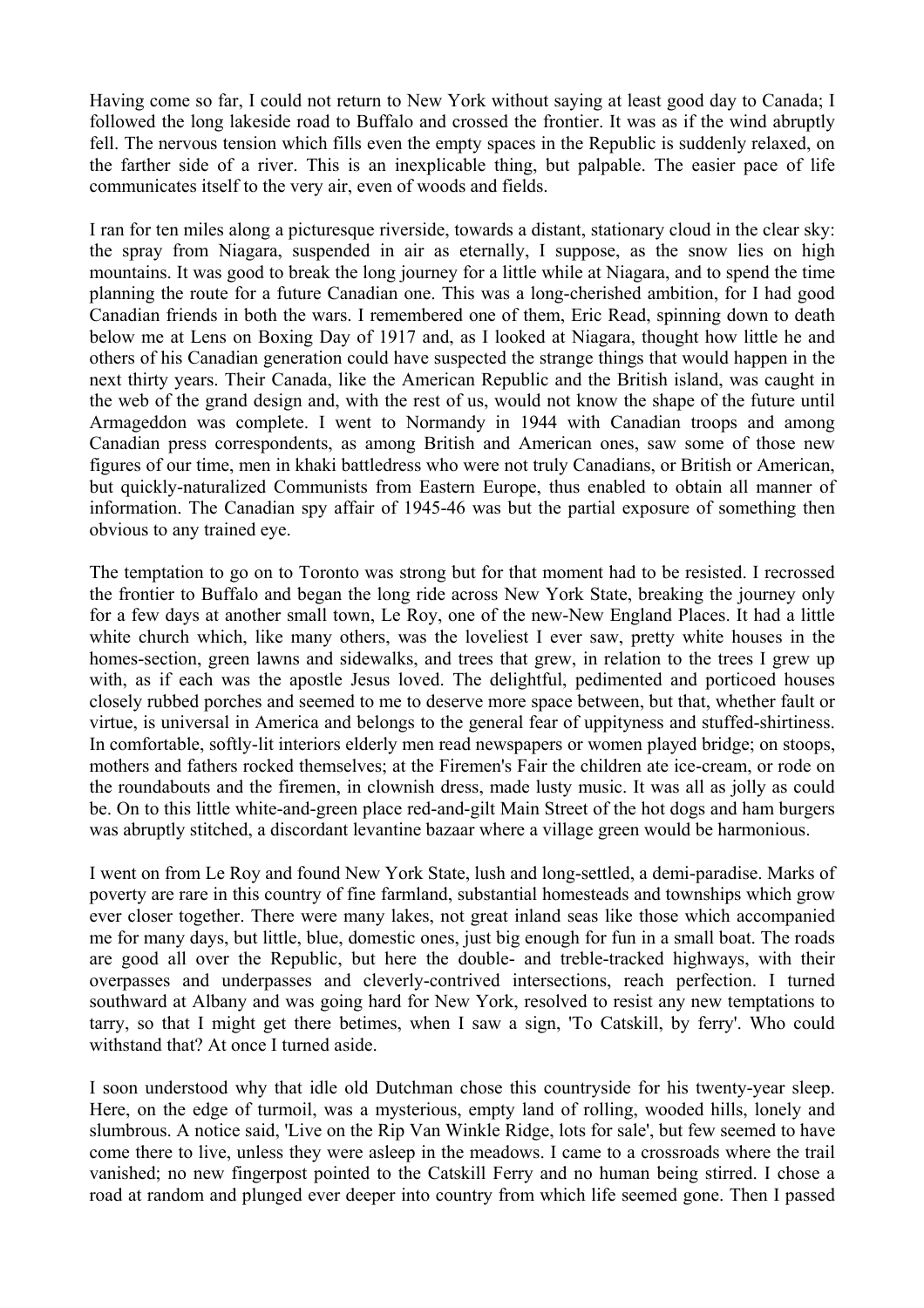Having come so far, I could not return to New York without saying at least good day to Canada; I followed the long lakeside road to Buffalo and crossed the frontier. It was as if the wind abruptly fell. The nervous tension which fills even the empty spaces in the Republic is suddenly relaxed, on the farther side of a river. This is an inexplicable thing, but palpable. The easier pace of life communicates itself to the very air, even of woods and fields.

I ran for ten miles along a picturesque riverside, towards a distant, stationary cloud in the clear sky: the spray from Niagara, suspended in air as eternally, I suppose, as the snow lies on high mountains. It was good to break the long journey for a little while at Niagara, and to spend the time planning the route for a future Canadian one. This was a long-cherished ambition, for I had good Canadian friends in both the wars. I remembered one of them, Eric Read, spinning down to death below me at Lens on Boxing Day of 1917 and, as I looked at Niagara, thought how little he and others of his Canadian generation could have suspected the strange things that would happen in the next thirty years. Their Canada, like the American Republic and the British island, was caught in the web of the grand design and, with the rest of us, would not know the shape of the future until Armageddon was complete. I went to Normandy in 1944 with Canadian troops and among Canadian press correspondents, as among British and American ones, saw some of those new figures of our time, men in khaki battledress who were not truly Canadians, or British or American, but quickly-naturalized Communists from Eastern Europe, thus enabled to obtain all manner of information. The Canadian spy affair of 1945-46 was but the partial exposure of something then obvious to any trained eye.

The temptation to go on to Toronto was strong but for that moment had to be resisted. I recrossed the frontier to Buffalo and began the long ride across New York State, breaking the journey only for a few days at another small town, Le Roy, one of the new-New England Places. It had a little white church which, like many others, was the loveliest I ever saw, pretty white houses in the homes-section, green lawns and sidewalks, and trees that grew, in relation to the trees I grew up with, as if each was the apostle Jesus loved. The delightful, pedimented and porticoed houses closely rubbed porches and seemed to me to deserve more space between, but that, whether fault or virtue, is universal in America and belongs to the general fear of uppityness and stuffed-shirtiness. In comfortable, softly-lit interiors elderly men read newspapers or women played bridge; on stoops, mothers and fathers rocked themselves; at the Firemen's Fair the children ate ice-cream, or rode on the roundabouts and the firemen, in clownish dress, made lusty music. It was all as jolly as could be. On to this little white-and-green place red-and-gilt Main Street of the hot dogs and ham burgers was abruptly stitched, a discordant levantine bazaar where a village green would be harmonious.

I went on from Le Roy and found New York State, lush and long-settled, a demi-paradise. Marks of poverty are rare in this country of fine farmland, substantial homesteads and townships which grow ever closer together. There were many lakes, not great inland seas like those which accompanied me for many days, but little, blue, domestic ones, just big enough for fun in a small boat. The roads are good all over the Republic, but here the double- and treble-tracked highways, with their overpasses and underpasses and cleverly-contrived intersections, reach perfection. I turned southward at Albany and was going hard for New York, resolved to resist any new temptations to tarry, so that I might get there betimes, when I saw a sign, 'To Catskill, by ferry'. Who could withstand that? At once I turned aside.

I soon understood why that idle old Dutchman chose this countryside for his twenty-year sleep. Here, on the edge of turmoil, was a mysterious, empty land of rolling, wooded hills, lonely and slumbrous. A notice said, 'Live on the Rip Van Winkle Ridge, lots for sale', but few seemed to have come there to live, unless they were asleep in the meadows. I came to a crossroads where the trail vanished; no new fingerpost pointed to the Catskill Ferry and no human being stirred. I chose a road at random and plunged ever deeper into country from which life seemed gone. Then I passed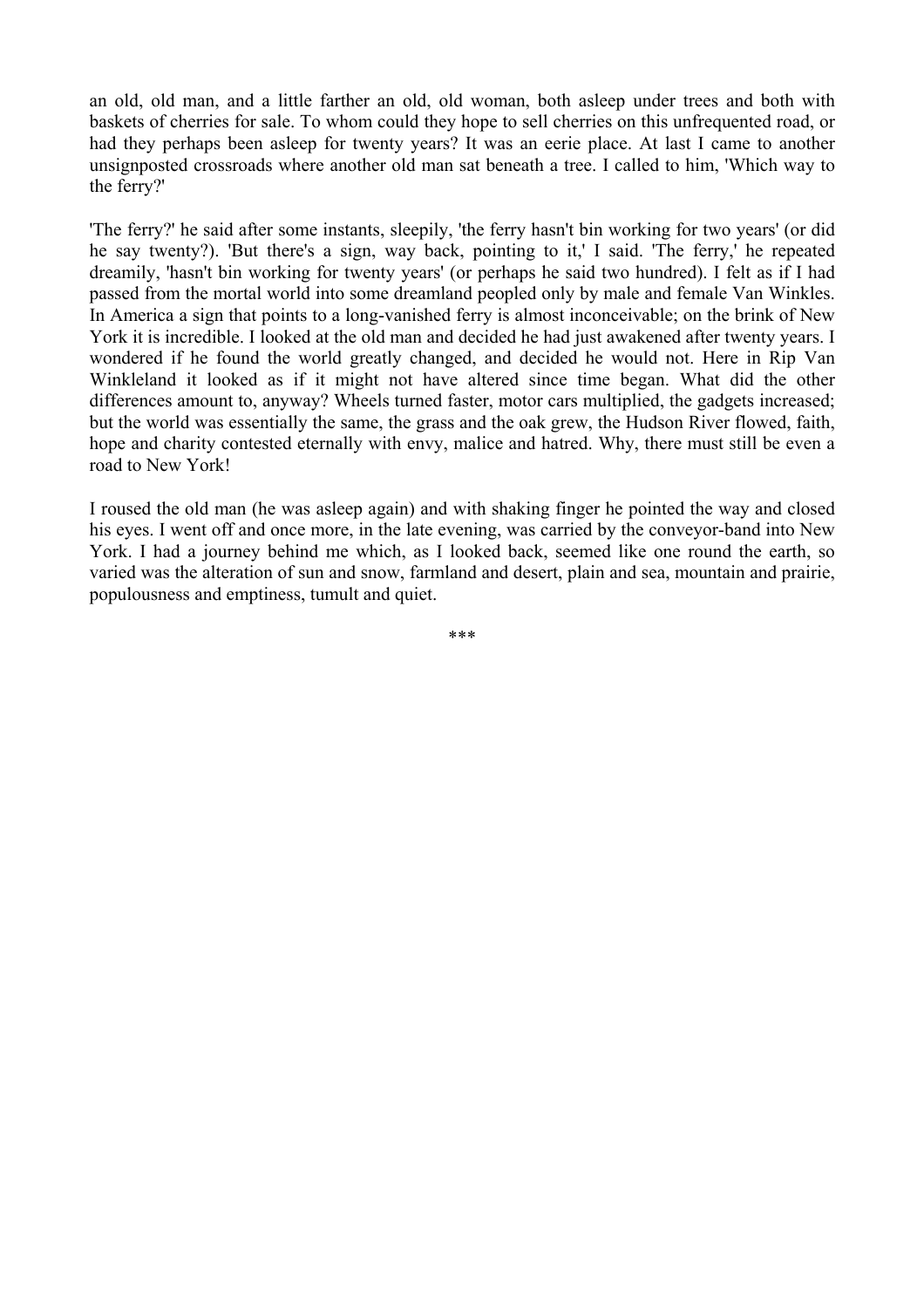an old, old man, and a little farther an old, old woman, both asleep under trees and both with baskets of cherries for sale. To whom could they hope to sell cherries on this unfrequented road, or had they perhaps been asleep for twenty years? It was an eerie place. At last I came to another unsignposted crossroads where another old man sat beneath a tree. I called to him, 'Which way to the ferry?'

'The ferry?' he said after some instants, sleepily, 'the ferry hasn't bin working for two years' (or did he say twenty?). 'But there's a sign, way back, pointing to it,' I said. 'The ferry,' he repeated dreamily, 'hasn't bin working for twenty years' (or perhaps he said two hundred). I felt as if I had passed from the mortal world into some dreamland peopled only by male and female Van Winkles. In America a sign that points to a long-vanished ferry is almost inconceivable; on the brink of New York it is incredible. I looked at the old man and decided he had just awakened after twenty years. I wondered if he found the world greatly changed, and decided he would not. Here in Rip Van Winkleland it looked as if it might not have altered since time began. What did the other differences amount to, anyway? Wheels turned faster, motor cars multiplied, the gadgets increased; but the world was essentially the same, the grass and the oak grew, the Hudson River flowed, faith, hope and charity contested eternally with envy, malice and hatred. Why, there must still be even a road to New York!

I roused the old man (he was asleep again) and with shaking finger he pointed the way and closed his eyes. I went off and once more, in the late evening, was carried by the conveyor-band into New York. I had a journey behind me which, as I looked back, seemed like one round the earth, so varied was the alteration of sun and snow, farmland and desert, plain and sea, mountain and prairie, populousness and emptiness, tumult and quiet.

\*\*\*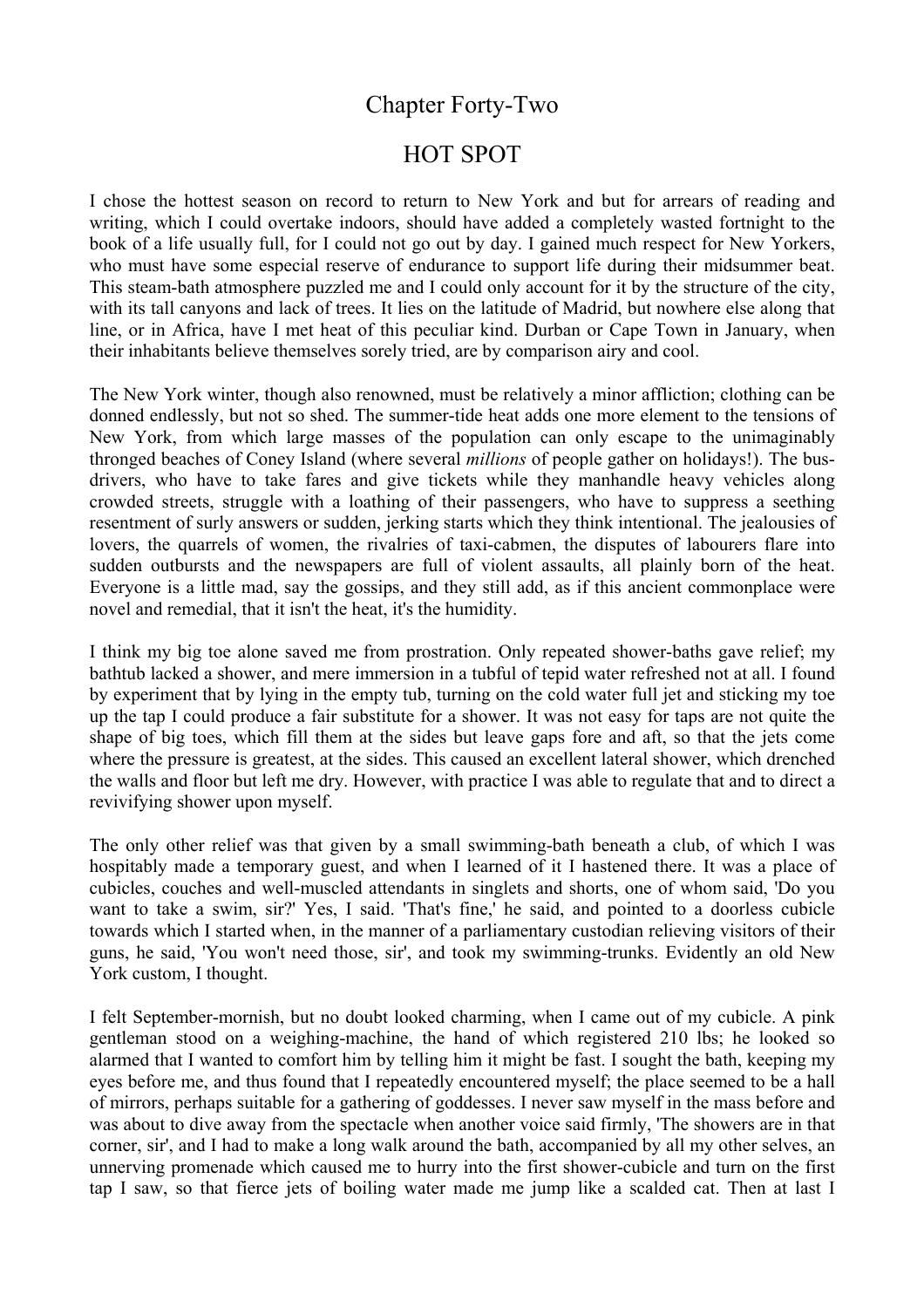## Chapter Forty-Two

#### HOT SPOT

I chose the hottest season on record to return to New York and but for arrears of reading and writing, which I could overtake indoors, should have added a completely wasted fortnight to the book of a life usually full, for I could not go out by day. I gained much respect for New Yorkers, who must have some especial reserve of endurance to support life during their midsummer beat. This steam-bath atmosphere puzzled me and I could only account for it by the structure of the city, with its tall canyons and lack of trees. It lies on the latitude of Madrid, but nowhere else along that line, or in Africa, have I met heat of this peculiar kind. Durban or Cape Town in January, when their inhabitants believe themselves sorely tried, are by comparison airy and cool.

The New York winter, though also renowned, must be relatively a minor affliction; clothing can be donned endlessly, but not so shed. The summer-tide heat adds one more element to the tensions of New York, from which large masses of the population can only escape to the unimaginably thronged beaches of Coney Island (where several *millions* of people gather on holidays!). The busdrivers, who have to take fares and give tickets while they manhandle heavy vehicles along crowded streets, struggle with a loathing of their passengers, who have to suppress a seething resentment of surly answers or sudden, jerking starts which they think intentional. The jealousies of lovers, the quarrels of women, the rivalries of taxi-cabmen, the disputes of labourers flare into sudden outbursts and the newspapers are full of violent assaults, all plainly born of the heat. Everyone is a little mad, say the gossips, and they still add, as if this ancient commonplace were novel and remedial, that it isn't the heat, it's the humidity.

I think my big toe alone saved me from prostration. Only repeated shower-baths gave relief; my bathtub lacked a shower, and mere immersion in a tubful of tepid water refreshed not at all. I found by experiment that by lying in the empty tub, turning on the cold water full jet and sticking my toe up the tap I could produce a fair substitute for a shower. It was not easy for taps are not quite the shape of big toes, which fill them at the sides but leave gaps fore and aft, so that the jets come where the pressure is greatest, at the sides. This caused an excellent lateral shower, which drenched the walls and floor but left me dry. However, with practice I was able to regulate that and to direct a revivifying shower upon myself.

The only other relief was that given by a small swimming-bath beneath a club, of which I was hospitably made a temporary guest, and when I learned of it I hastened there. It was a place of cubicles, couches and well-muscled attendants in singlets and shorts, one of whom said, 'Do you want to take a swim, sir?' Yes, I said. 'That's fine,' he said, and pointed to a doorless cubicle towards which I started when, in the manner of a parliamentary custodian relieving visitors of their guns, he said, 'You won't need those, sir', and took my swimming-trunks. Evidently an old New York custom, I thought.

I felt September-mornish, but no doubt looked charming, when I came out of my cubicle. A pink gentleman stood on a weighing-machine, the hand of which registered 210 lbs; he looked so alarmed that I wanted to comfort him by telling him it might be fast. I sought the bath, keeping my eyes before me, and thus found that I repeatedly encountered myself; the place seemed to be a hall of mirrors, perhaps suitable for a gathering of goddesses. I never saw myself in the mass before and was about to dive away from the spectacle when another voice said firmly, 'The showers are in that corner, sir', and I had to make a long walk around the bath, accompanied by all my other selves, an unnerving promenade which caused me to hurry into the first shower-cubicle and turn on the first tap I saw, so that fierce jets of boiling water made me jump like a scalded cat. Then at last I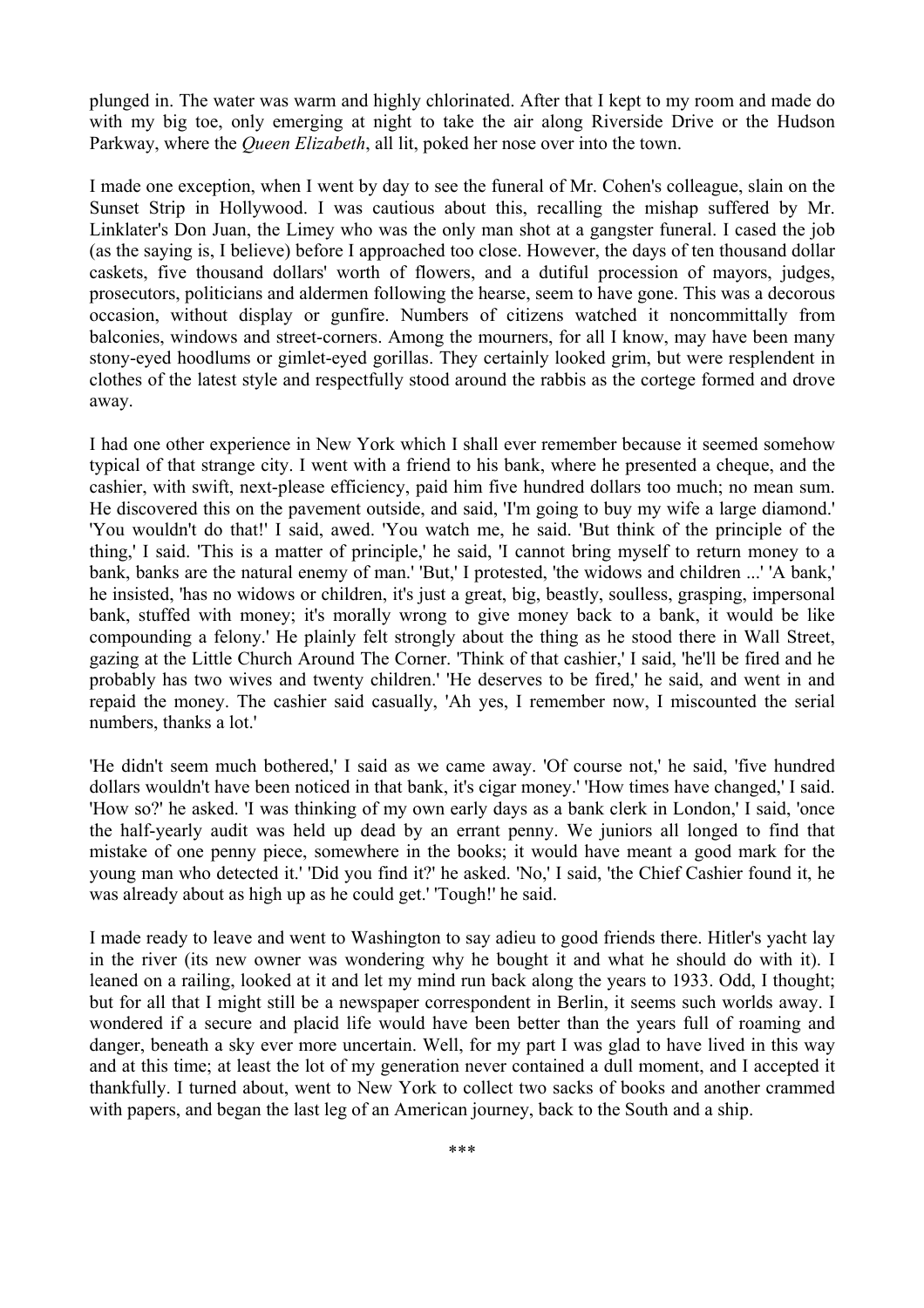plunged in. The water was warm and highly chlorinated. After that I kept to my room and made do with my big toe, only emerging at night to take the air along Riverside Drive or the Hudson Parkway, where the *Queen Elizabeth*, all lit, poked her nose over into the town.

I made one exception, when I went by day to see the funeral of Mr. Cohen's colleague, slain on the Sunset Strip in Hollywood. I was cautious about this, recalling the mishap suffered by Mr. Linklater's Don Juan, the Limey who was the only man shot at a gangster funeral. I cased the job (as the saying is, I believe) before I approached too close. However, the days of ten thousand dollar caskets, five thousand dollars' worth of flowers, and a dutiful procession of mayors, judges, prosecutors, politicians and aldermen following the hearse, seem to have gone. This was a decorous occasion, without display or gunfire. Numbers of citizens watched it noncommittally from balconies, windows and street-corners. Among the mourners, for all I know, may have been many stony-eyed hoodlums or gimlet-eyed gorillas. They certainly looked grim, but were resplendent in clothes of the latest style and respectfully stood around the rabbis as the cortege formed and drove away.

I had one other experience in New York which I shall ever remember because it seemed somehow typical of that strange city. I went with a friend to his bank, where he presented a cheque, and the cashier, with swift, next-please efficiency, paid him five hundred dollars too much; no mean sum. He discovered this on the pavement outside, and said, 'I'm going to buy my wife a large diamond.' 'You wouldn't do that!' I said, awed. 'You watch me, he said. 'But think of the principle of the thing,' I said. 'This is a matter of principle,' he said, 'I cannot bring myself to return money to a bank, banks are the natural enemy of man.' 'But,' I protested, 'the widows and children ...' 'A bank,' he insisted, 'has no widows or children, it's just a great, big, beastly, soulless, grasping, impersonal bank, stuffed with money; it's morally wrong to give money back to a bank, it would be like compounding a felony.' He plainly felt strongly about the thing as he stood there in Wall Street, gazing at the Little Church Around The Corner. 'Think of that cashier,' I said, 'he'll be fired and he probably has two wives and twenty children.' 'He deserves to be fired,' he said, and went in and repaid the money. The cashier said casually, 'Ah yes, I remember now, I miscounted the serial numbers, thanks a lot.'

'He didn't seem much bothered,' I said as we came away. 'Of course not,' he said, 'five hundred dollars wouldn't have been noticed in that bank, it's cigar money.' 'How times have changed,' I said. 'How so?' he asked. 'I was thinking of my own early days as a bank clerk in London,' I said, 'once the half-yearly audit was held up dead by an errant penny. We juniors all longed to find that mistake of one penny piece, somewhere in the books; it would have meant a good mark for the young man who detected it.' 'Did you find it?' he asked. 'No,' I said, 'the Chief Cashier found it, he was already about as high up as he could get.' 'Tough!' he said.

I made ready to leave and went to Washington to say adieu to good friends there. Hitler's yacht lay in the river (its new owner was wondering why he bought it and what he should do with it). I leaned on a railing, looked at it and let my mind run back along the years to 1933. Odd, I thought; but for all that I might still be a newspaper correspondent in Berlin, it seems such worlds away. I wondered if a secure and placid life would have been better than the years full of roaming and danger, beneath a sky ever more uncertain. Well, for my part I was glad to have lived in this way and at this time; at least the lot of my generation never contained a dull moment, and I accepted it thankfully. I turned about, went to New York to collect two sacks of books and another crammed with papers, and began the last leg of an American journey, back to the South and a ship.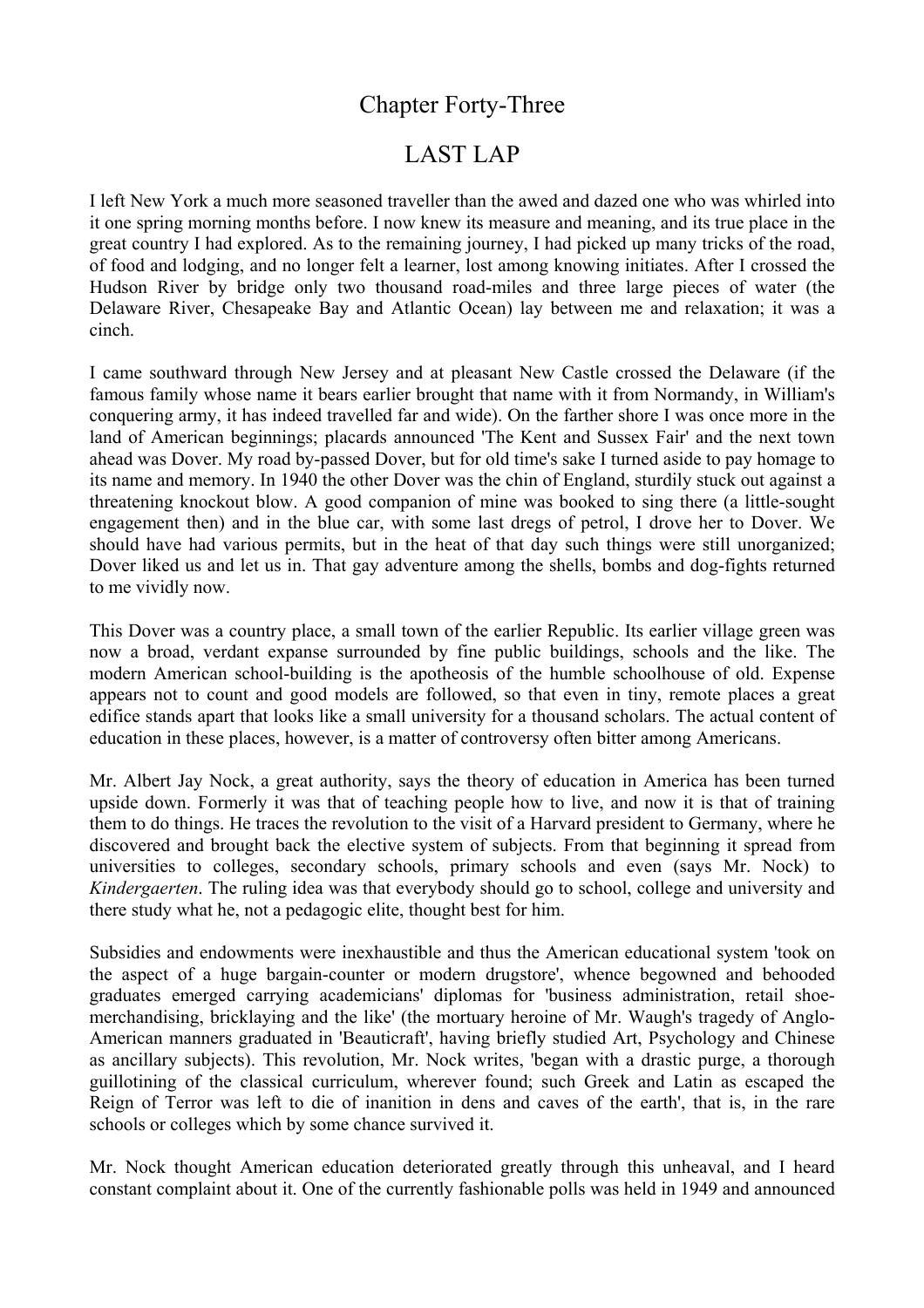# Chapter Forty-Three

# LAST LAP

I left New York a much more seasoned traveller than the awed and dazed one who was whirled into it one spring morning months before. I now knew its measure and meaning, and its true place in the great country I had explored. As to the remaining journey, I had picked up many tricks of the road, of food and lodging, and no longer felt a learner, lost among knowing initiates. After I crossed the Hudson River by bridge only two thousand road-miles and three large pieces of water (the Delaware River, Chesapeake Bay and Atlantic Ocean) lay between me and relaxation; it was a cinch.

I came southward through New Jersey and at pleasant New Castle crossed the Delaware (if the famous family whose name it bears earlier brought that name with it from Normandy, in William's conquering army, it has indeed travelled far and wide). On the farther shore I was once more in the land of American beginnings; placards announced 'The Kent and Sussex Fair' and the next town ahead was Dover. My road by-passed Dover, but for old time's sake I turned aside to pay homage to its name and memory. In 1940 the other Dover was the chin of England, sturdily stuck out against a threatening knockout blow. A good companion of mine was booked to sing there (a little-sought engagement then) and in the blue car, with some last dregs of petrol, I drove her to Dover. We should have had various permits, but in the heat of that day such things were still unorganized; Dover liked us and let us in. That gay adventure among the shells, bombs and dog-fights returned to me vividly now.

This Dover was a country place, a small town of the earlier Republic. Its earlier village green was now a broad, verdant expanse surrounded by fine public buildings, schools and the like. The modern American school-building is the apotheosis of the humble schoolhouse of old. Expense appears not to count and good models are followed, so that even in tiny, remote places a great edifice stands apart that looks like a small university for a thousand scholars. The actual content of education in these places, however, is a matter of controversy often bitter among Americans.

Mr. Albert Jay Nock, a great authority, says the theory of education in America has been turned upside down. Formerly it was that of teaching people how to live, and now it is that of training them to do things. He traces the revolution to the visit of a Harvard president to Germany, where he discovered and brought back the elective system of subjects. From that beginning it spread from universities to colleges, secondary schools, primary schools and even (says Mr. Nock) to *Kindergaerten*. The ruling idea was that everybody should go to school, college and university and there study what he, not a pedagogic elite, thought best for him.

Subsidies and endowments were inexhaustible and thus the American educational system 'took on the aspect of a huge bargain-counter or modern drugstore', whence begowned and behooded graduates emerged carrying academicians' diplomas for 'business administration, retail shoemerchandising, bricklaying and the like' (the mortuary heroine of Mr. Waugh's tragedy of Anglo-American manners graduated in 'Beauticraft', having briefly studied Art, Psychology and Chinese as ancillary subjects). This revolution, Mr. Nock writes, 'began with a drastic purge, a thorough guillotining of the classical curriculum, wherever found; such Greek and Latin as escaped the Reign of Terror was left to die of inanition in dens and caves of the earth', that is, in the rare schools or colleges which by some chance survived it.

Mr. Nock thought American education deteriorated greatly through this unheaval, and I heard constant complaint about it. One of the currently fashionable polls was held in 1949 and announced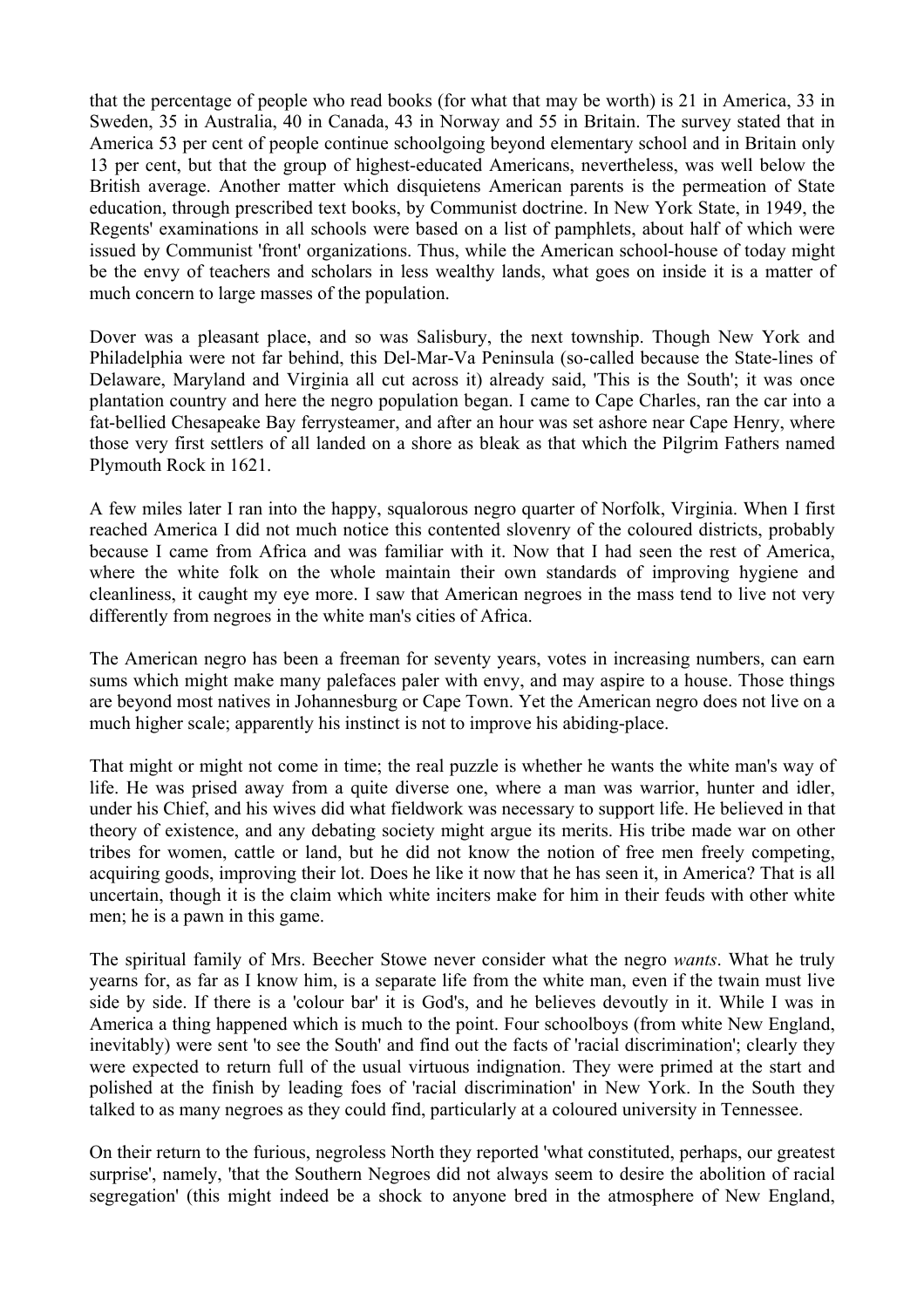that the percentage of people who read books (for what that may be worth) is 21 in America, 33 in Sweden, 35 in Australia, 40 in Canada, 43 in Norway and 55 in Britain. The survey stated that in America 53 per cent of people continue schoolgoing beyond elementary school and in Britain only 13 per cent, but that the group of highest-educated Americans, nevertheless, was well below the British average. Another matter which disquietens American parents is the permeation of State education, through prescribed text books, by Communist doctrine. In New York State, in 1949, the Regents' examinations in all schools were based on a list of pamphlets, about half of which were issued by Communist 'front' organizations. Thus, while the American school-house of today might be the envy of teachers and scholars in less wealthy lands, what goes on inside it is a matter of much concern to large masses of the population.

Dover was a pleasant place, and so was Salisbury, the next township. Though New York and Philadelphia were not far behind, this Del-Mar-Va Peninsula (so-called because the State-lines of Delaware, Maryland and Virginia all cut across it) already said, 'This is the South'; it was once plantation country and here the negro population began. I came to Cape Charles, ran the car into a fat-bellied Chesapeake Bay ferrysteamer, and after an hour was set ashore near Cape Henry, where those very first settlers of all landed on a shore as bleak as that which the Pilgrim Fathers named Plymouth Rock in 1621.

A few miles later I ran into the happy, squalorous negro quarter of Norfolk, Virginia. When I first reached America I did not much notice this contented slovenry of the coloured districts, probably because I came from Africa and was familiar with it. Now that I had seen the rest of America, where the white folk on the whole maintain their own standards of improving hygiene and cleanliness, it caught my eye more. I saw that American negroes in the mass tend to live not very differently from negroes in the white man's cities of Africa.

The American negro has been a freeman for seventy years, votes in increasing numbers, can earn sums which might make many palefaces paler with envy, and may aspire to a house. Those things are beyond most natives in Johannesburg or Cape Town. Yet the American negro does not live on a much higher scale; apparently his instinct is not to improve his abiding-place.

That might or might not come in time; the real puzzle is whether he wants the white man's way of life. He was prised away from a quite diverse one, where a man was warrior, hunter and idler, under his Chief, and his wives did what fieldwork was necessary to support life. He believed in that theory of existence, and any debating society might argue its merits. His tribe made war on other tribes for women, cattle or land, but he did not know the notion of free men freely competing, acquiring goods, improving their lot. Does he like it now that he has seen it, in America? That is all uncertain, though it is the claim which white inciters make for him in their feuds with other white men; he is a pawn in this game.

The spiritual family of Mrs. Beecher Stowe never consider what the negro *wants*. What he truly yearns for, as far as I know him, is a separate life from the white man, even if the twain must live side by side. If there is a 'colour bar' it is God's, and he believes devoutly in it. While I was in America a thing happened which is much to the point. Four schoolboys (from white New England, inevitably) were sent 'to see the South' and find out the facts of 'racial discrimination'; clearly they were expected to return full of the usual virtuous indignation. They were primed at the start and polished at the finish by leading foes of 'racial discrimination' in New York. In the South they talked to as many negroes as they could find, particularly at a coloured university in Tennessee.

On their return to the furious, negroless North they reported 'what constituted, perhaps, our greatest surprise', namely, 'that the Southern Negroes did not always seem to desire the abolition of racial segregation' (this might indeed be a shock to anyone bred in the atmosphere of New England,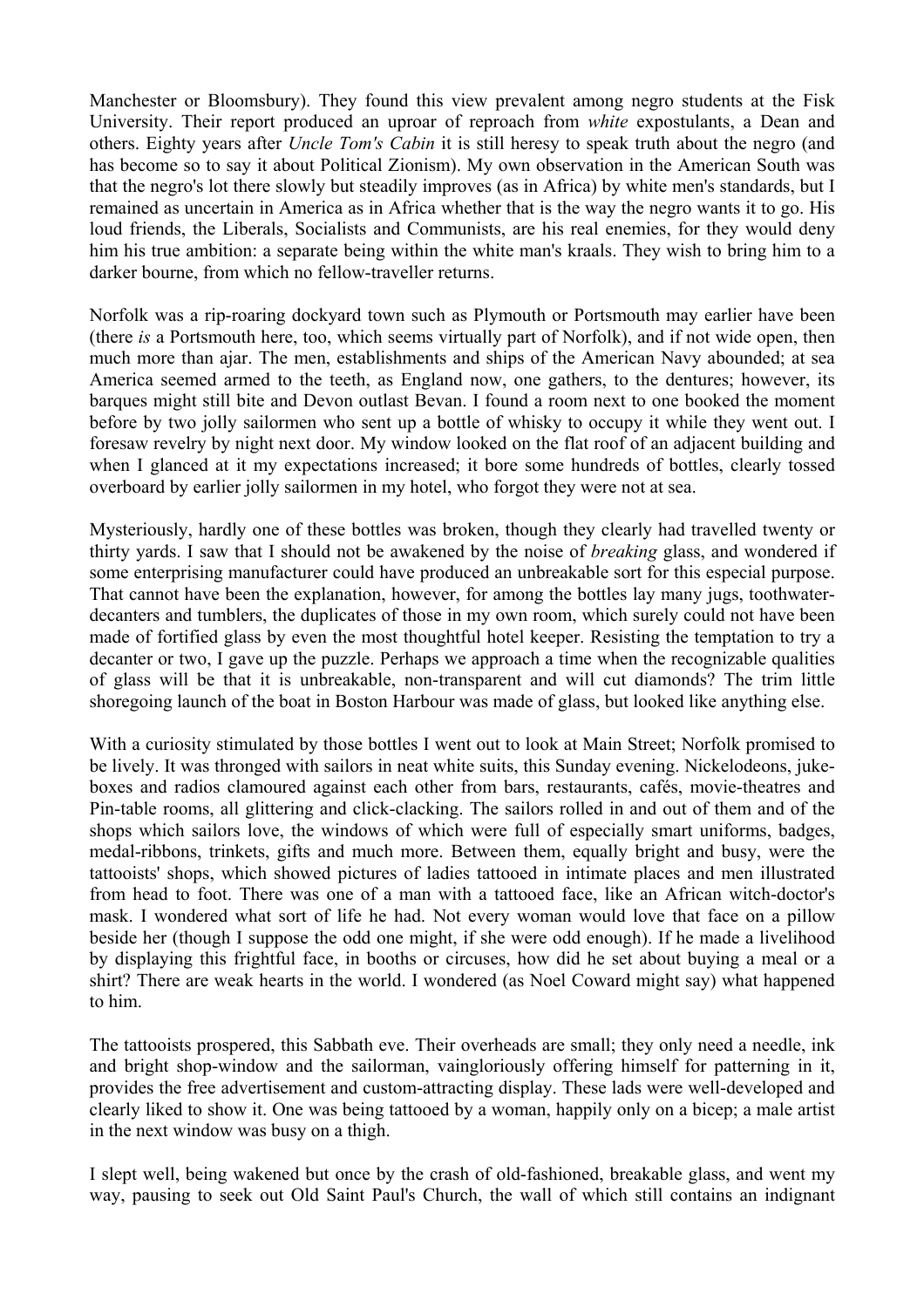Manchester or Bloomsbury). They found this view prevalent among negro students at the Fisk University. Their report produced an uproar of reproach from *white* expostulants, a Dean and others. Eighty years after *Uncle Tom's Cabin* it is still heresy to speak truth about the negro (and has become so to say it about Political Zionism). My own observation in the American South was that the negro's lot there slowly but steadily improves (as in Africa) by white men's standards, but I remained as uncertain in America as in Africa whether that is the way the negro wants it to go. His loud friends, the Liberals, Socialists and Communists, are his real enemies, for they would deny him his true ambition: a separate being within the white man's kraals. They wish to bring him to a darker bourne, from which no fellow-traveller returns.

Norfolk was a rip-roaring dockyard town such as Plymouth or Portsmouth may earlier have been (there *is* a Portsmouth here, too, which seems virtually part of Norfolk), and if not wide open, then much more than ajar. The men, establishments and ships of the American Navy abounded; at sea America seemed armed to the teeth, as England now, one gathers, to the dentures; however, its barques might still bite and Devon outlast Bevan. I found a room next to one booked the moment before by two jolly sailormen who sent up a bottle of whisky to occupy it while they went out. I foresaw revelry by night next door. My window looked on the flat roof of an adjacent building and when I glanced at it my expectations increased; it bore some hundreds of bottles, clearly tossed overboard by earlier jolly sailormen in my hotel, who forgot they were not at sea.

Mysteriously, hardly one of these bottles was broken, though they clearly had travelled twenty or thirty yards. I saw that I should not be awakened by the noise of *breaking* glass, and wondered if some enterprising manufacturer could have produced an unbreakable sort for this especial purpose. That cannot have been the explanation, however, for among the bottles lay many jugs, toothwaterdecanters and tumblers, the duplicates of those in my own room, which surely could not have been made of fortified glass by even the most thoughtful hotel keeper. Resisting the temptation to try a decanter or two, I gave up the puzzle. Perhaps we approach a time when the recognizable qualities of glass will be that it is unbreakable, non-transparent and will cut diamonds? The trim little shoregoing launch of the boat in Boston Harbour was made of glass, but looked like anything else.

With a curiosity stimulated by those bottles I went out to look at Main Street; Norfolk promised to be lively. It was thronged with sailors in neat white suits, this Sunday evening. Nickelodeons, jukeboxes and radios clamoured against each other from bars, restaurants, cafés, movie-theatres and Pin-table rooms, all glittering and click-clacking. The sailors rolled in and out of them and of the shops which sailors love, the windows of which were full of especially smart uniforms, badges, medal-ribbons, trinkets, gifts and much more. Between them, equally bright and busy, were the tattooists' shops, which showed pictures of ladies tattooed in intimate places and men illustrated from head to foot. There was one of a man with a tattooed face, like an African witch-doctor's mask. I wondered what sort of life he had. Not every woman would love that face on a pillow beside her (though I suppose the odd one might, if she were odd enough). If he made a livelihood by displaying this frightful face, in booths or circuses, how did he set about buying a meal or a shirt? There are weak hearts in the world. I wondered (as Noel Coward might say) what happened to him.

The tattooists prospered, this Sabbath eve. Their overheads are small; they only need a needle, ink and bright shop-window and the sailorman, vaingloriously offering himself for patterning in it, provides the free advertisement and custom-attracting display. These lads were well-developed and clearly liked to show it. One was being tattooed by a woman, happily only on a bicep; a male artist in the next window was busy on a thigh.

I slept well, being wakened but once by the crash of old-fashioned, breakable glass, and went my way, pausing to seek out Old Saint Paul's Church, the wall of which still contains an indignant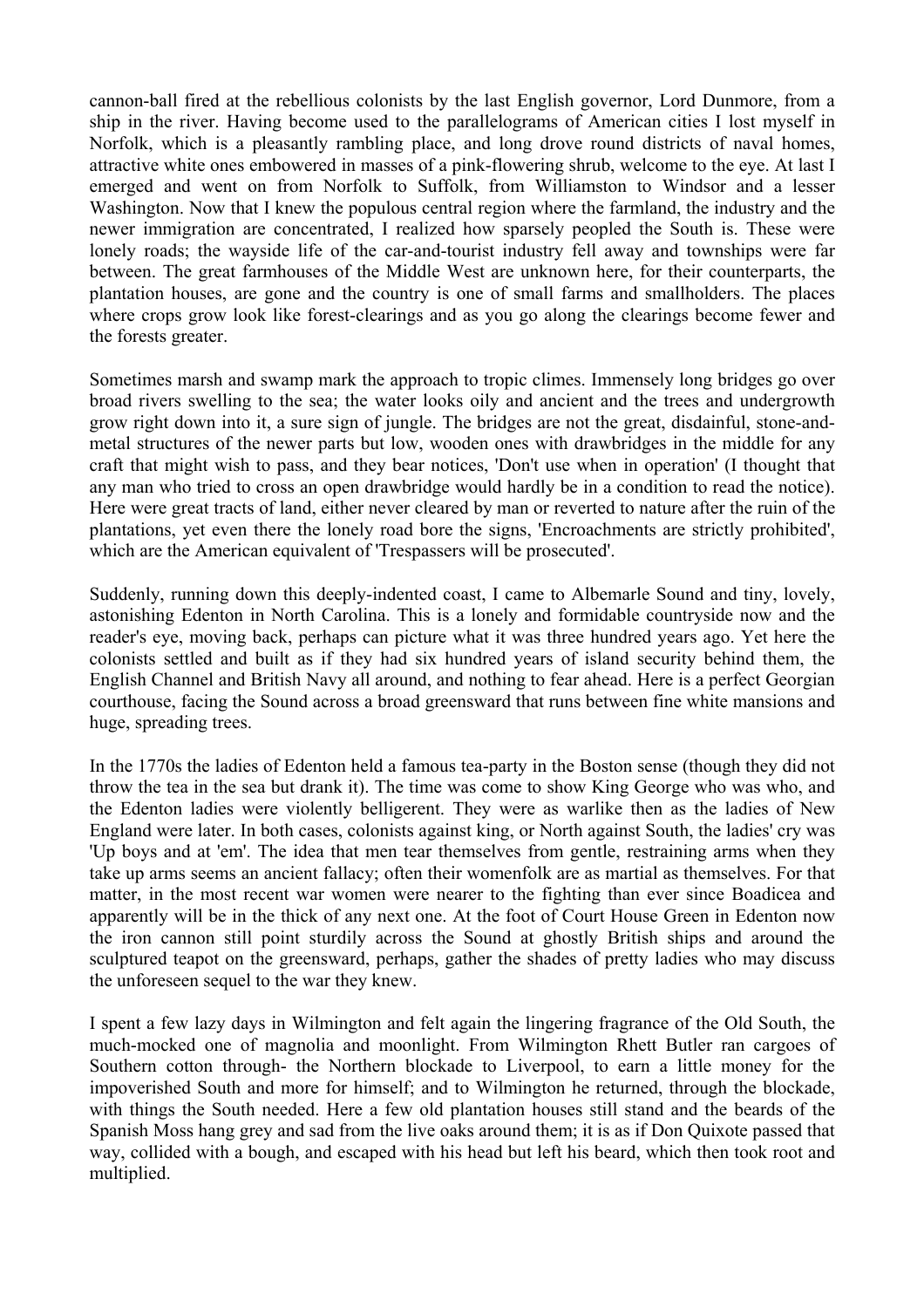cannon-ball fired at the rebellious colonists by the last English governor, Lord Dunmore, from a ship in the river. Having become used to the parallelograms of American cities I lost myself in Norfolk, which is a pleasantly rambling place, and long drove round districts of naval homes, attractive white ones embowered in masses of a pink-flowering shrub, welcome to the eye. At last I emerged and went on from Norfolk to Suffolk, from Williamston to Windsor and a lesser Washington. Now that I knew the populous central region where the farmland, the industry and the newer immigration are concentrated, I realized how sparsely peopled the South is. These were lonely roads; the wayside life of the car-and-tourist industry fell away and townships were far between. The great farmhouses of the Middle West are unknown here, for their counterparts, the plantation houses, are gone and the country is one of small farms and smallholders. The places where crops grow look like forest-clearings and as you go along the clearings become fewer and the forests greater.

Sometimes marsh and swamp mark the approach to tropic climes. Immensely long bridges go over broad rivers swelling to the sea; the water looks oily and ancient and the trees and undergrowth grow right down into it, a sure sign of jungle. The bridges are not the great, disdainful, stone-andmetal structures of the newer parts but low, wooden ones with drawbridges in the middle for any craft that might wish to pass, and they bear notices, 'Don't use when in operation' (I thought that any man who tried to cross an open drawbridge would hardly be in a condition to read the notice). Here were great tracts of land, either never cleared by man or reverted to nature after the ruin of the plantations, yet even there the lonely road bore the signs, 'Encroachments are strictly prohibited', which are the American equivalent of 'Trespassers will be prosecuted'.

Suddenly, running down this deeply-indented coast, I came to Albemarle Sound and tiny, lovely, astonishing Edenton in North Carolina. This is a lonely and formidable countryside now and the reader's eye, moving back, perhaps can picture what it was three hundred years ago. Yet here the colonists settled and built as if they had six hundred years of island security behind them, the English Channel and British Navy all around, and nothing to fear ahead. Here is a perfect Georgian courthouse, facing the Sound across a broad greensward that runs between fine white mansions and huge, spreading trees.

In the 1770s the ladies of Edenton held a famous tea-party in the Boston sense (though they did not throw the tea in the sea but drank it). The time was come to show King George who was who, and the Edenton ladies were violently belligerent. They were as warlike then as the ladies of New England were later. In both cases, colonists against king, or North against South, the ladies' cry was 'Up boys and at 'em'. The idea that men tear themselves from gentle, restraining arms when they take up arms seems an ancient fallacy; often their womenfolk are as martial as themselves. For that matter, in the most recent war women were nearer to the fighting than ever since Boadicea and apparently will be in the thick of any next one. At the foot of Court House Green in Edenton now the iron cannon still point sturdily across the Sound at ghostly British ships and around the sculptured teapot on the greensward, perhaps, gather the shades of pretty ladies who may discuss the unforeseen sequel to the war they knew.

I spent a few lazy days in Wilmington and felt again the lingering fragrance of the Old South, the much-mocked one of magnolia and moonlight. From Wilmington Rhett Butler ran cargoes of Southern cotton through- the Northern blockade to Liverpool, to earn a little money for the impoverished South and more for himself; and to Wilmington he returned, through the blockade, with things the South needed. Here a few old plantation houses still stand and the beards of the Spanish Moss hang grey and sad from the live oaks around them; it is as if Don Quixote passed that way, collided with a bough, and escaped with his head but left his beard, which then took root and multiplied.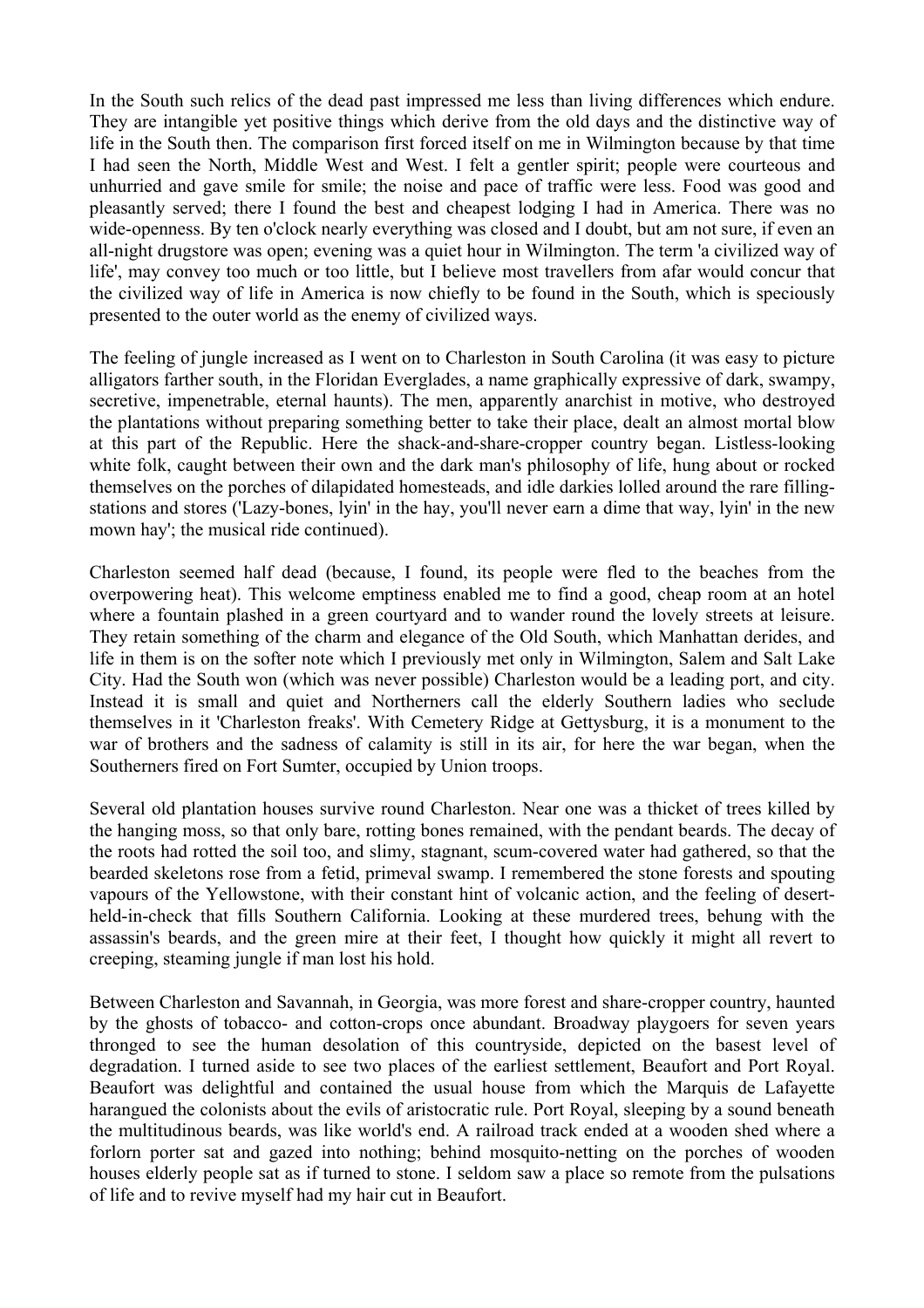In the South such relics of the dead past impressed me less than living differences which endure. They are intangible yet positive things which derive from the old days and the distinctive way of life in the South then. The comparison first forced itself on me in Wilmington because by that time I had seen the North, Middle West and West. I felt a gentler spirit; people were courteous and unhurried and gave smile for smile; the noise and pace of traffic were less. Food was good and pleasantly served; there I found the best and cheapest lodging I had in America. There was no wide-openness. By ten o'clock nearly everything was closed and I doubt, but am not sure, if even an all-night drugstore was open; evening was a quiet hour in Wilmington. The term 'a civilized way of life', may convey too much or too little, but I believe most travellers from afar would concur that the civilized way of life in America is now chiefly to be found in the South, which is speciously presented to the outer world as the enemy of civilized ways.

The feeling of jungle increased as I went on to Charleston in South Carolina (it was easy to picture alligators farther south, in the Floridan Everglades, a name graphically expressive of dark, swampy, secretive, impenetrable, eternal haunts). The men, apparently anarchist in motive, who destroyed the plantations without preparing something better to take their place, dealt an almost mortal blow at this part of the Republic. Here the shack-and-share-cropper country began. Listless-looking white folk, caught between their own and the dark man's philosophy of life, hung about or rocked themselves on the porches of dilapidated homesteads, and idle darkies lolled around the rare fillingstations and stores ('Lazy-bones, lyin' in the hay, you'll never earn a dime that way, lyin' in the new mown hay'; the musical ride continued).

Charleston seemed half dead (because, I found, its people were fled to the beaches from the overpowering heat). This welcome emptiness enabled me to find a good, cheap room at an hotel where a fountain plashed in a green courtyard and to wander round the lovely streets at leisure. They retain something of the charm and elegance of the Old South, which Manhattan derides, and life in them is on the softer note which I previously met only in Wilmington, Salem and Salt Lake City. Had the South won (which was never possible) Charleston would be a leading port, and city. Instead it is small and quiet and Northerners call the elderly Southern ladies who seclude themselves in it 'Charleston freaks'. With Cemetery Ridge at Gettysburg, it is a monument to the war of brothers and the sadness of calamity is still in its air, for here the war began, when the Southerners fired on Fort Sumter, occupied by Union troops.

Several old plantation houses survive round Charleston. Near one was a thicket of trees killed by the hanging moss, so that only bare, rotting bones remained, with the pendant beards. The decay of the roots had rotted the soil too, and slimy, stagnant, scum-covered water had gathered, so that the bearded skeletons rose from a fetid, primeval swamp. I remembered the stone forests and spouting vapours of the Yellowstone, with their constant hint of volcanic action, and the feeling of desertheld-in-check that fills Southern California. Looking at these murdered trees, behung with the assassin's beards, and the green mire at their feet, I thought how quickly it might all revert to creeping, steaming jungle if man lost his hold.

Between Charleston and Savannah, in Georgia, was more forest and share-cropper country, haunted by the ghosts of tobacco- and cotton-crops once abundant. Broadway playgoers for seven years thronged to see the human desolation of this countryside, depicted on the basest level of degradation. I turned aside to see two places of the earliest settlement, Beaufort and Port Royal. Beaufort was delightful and contained the usual house from which the Marquis de Lafayette harangued the colonists about the evils of aristocratic rule. Port Royal, sleeping by a sound beneath the multitudinous beards, was like world's end. A railroad track ended at a wooden shed where a forlorn porter sat and gazed into nothing; behind mosquito-netting on the porches of wooden houses elderly people sat as if turned to stone. I seldom saw a place so remote from the pulsations of life and to revive myself had my hair cut in Beaufort.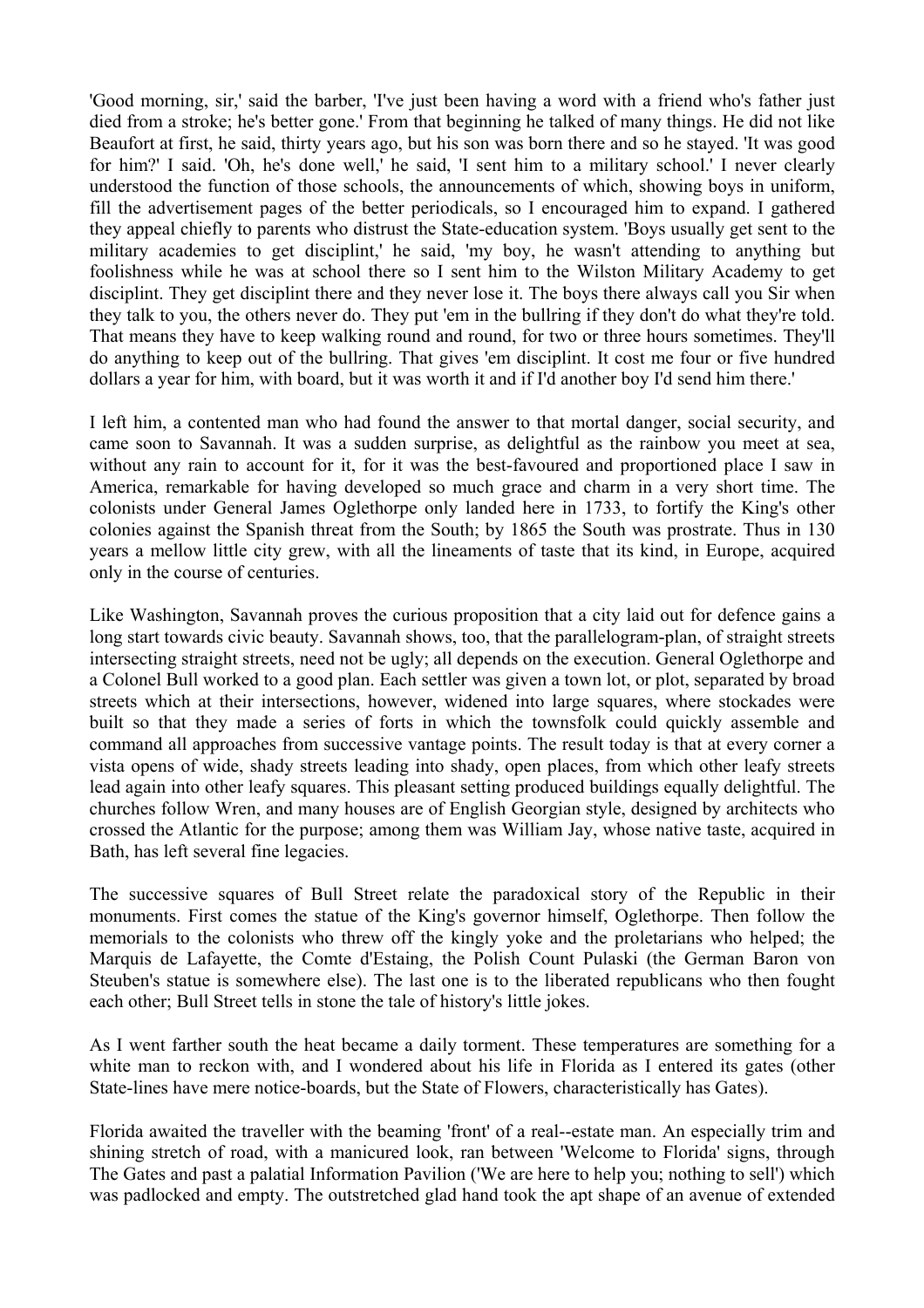'Good morning, sir,' said the barber, 'I've just been having a word with a friend who's father just died from a stroke; he's better gone.' From that beginning he talked of many things. He did not like Beaufort at first, he said, thirty years ago, but his son was born there and so he stayed. 'It was good for him?' I said. 'Oh, he's done well,' he said, 'I sent him to a military school.' I never clearly understood the function of those schools, the announcements of which, showing boys in uniform, fill the advertisement pages of the better periodicals, so I encouraged him to expand. I gathered they appeal chiefly to parents who distrust the State-education system. 'Boys usually get sent to the military academies to get disciplint,' he said, 'my boy, he wasn't attending to anything but foolishness while he was at school there so I sent him to the Wilston Military Academy to get disciplint. They get disciplint there and they never lose it. The boys there always call you Sir when they talk to you, the others never do. They put 'em in the bullring if they don't do what they're told. That means they have to keep walking round and round, for two or three hours sometimes. They'll do anything to keep out of the bullring. That gives 'em disciplint. It cost me four or five hundred dollars a year for him, with board, but it was worth it and if I'd another boy I'd send him there.'

I left him, a contented man who had found the answer to that mortal danger, social security, and came soon to Savannah. It was a sudden surprise, as delightful as the rainbow you meet at sea, without any rain to account for it, for it was the best-favoured and proportioned place I saw in America, remarkable for having developed so much grace and charm in a very short time. The colonists under General James Oglethorpe only landed here in 1733, to fortify the King's other colonies against the Spanish threat from the South; by 1865 the South was prostrate. Thus in 130 years a mellow little city grew, with all the lineaments of taste that its kind, in Europe, acquired only in the course of centuries.

Like Washington, Savannah proves the curious proposition that a city laid out for defence gains a long start towards civic beauty. Savannah shows, too, that the parallelogram-plan, of straight streets intersecting straight streets, need not be ugly; all depends on the execution. General Oglethorpe and a Colonel Bull worked to a good plan. Each settler was given a town lot, or plot, separated by broad streets which at their intersections, however, widened into large squares, where stockades were built so that they made a series of forts in which the townsfolk could quickly assemble and command all approaches from successive vantage points. The result today is that at every corner a vista opens of wide, shady streets leading into shady, open places, from which other leafy streets lead again into other leafy squares. This pleasant setting produced buildings equally delightful. The churches follow Wren, and many houses are of English Georgian style, designed by architects who crossed the Atlantic for the purpose; among them was William Jay, whose native taste, acquired in Bath, has left several fine legacies.

The successive squares of Bull Street relate the paradoxical story of the Republic in their monuments. First comes the statue of the King's governor himself, Oglethorpe. Then follow the memorials to the colonists who threw off the kingly yoke and the proletarians who helped; the Marquis de Lafayette, the Comte d'Estaing, the Polish Count Pulaski (the German Baron von Steuben's statue is somewhere else). The last one is to the liberated republicans who then fought each other; Bull Street tells in stone the tale of history's little jokes.

As I went farther south the heat became a daily torment. These temperatures are something for a white man to reckon with, and I wondered about his life in Florida as I entered its gates (other State-lines have mere notice-boards, but the State of Flowers, characteristically has Gates).

Florida awaited the traveller with the beaming 'front' of a real--estate man. An especially trim and shining stretch of road, with a manicured look, ran between 'Welcome to Florida' signs, through The Gates and past a palatial Information Pavilion ('We are here to help you; nothing to sell') which was padlocked and empty. The outstretched glad hand took the apt shape of an avenue of extended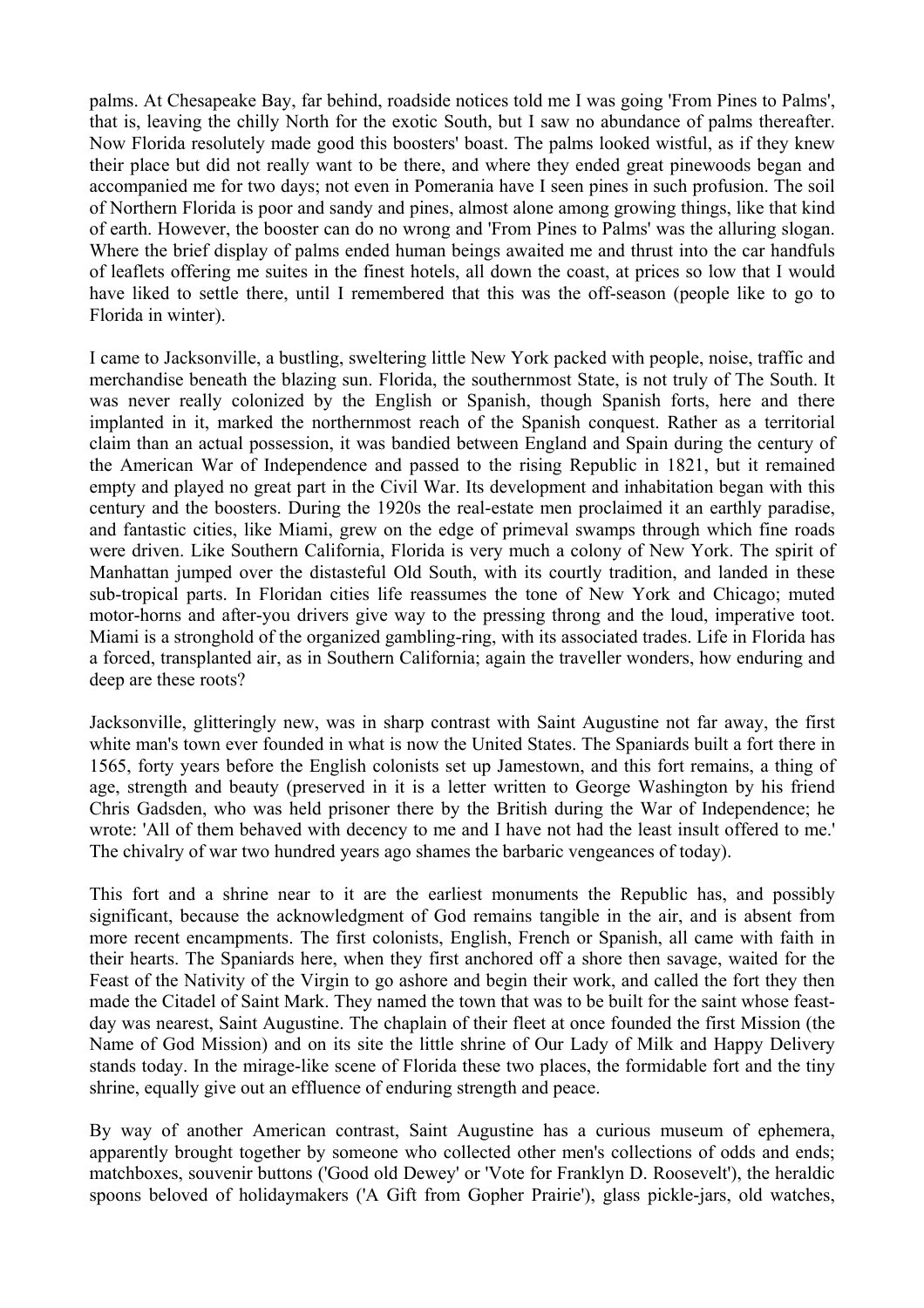palms. At Chesapeake Bay, far behind, roadside notices told me I was going 'From Pines to Palms', that is, leaving the chilly North for the exotic South, but I saw no abundance of palms thereafter. Now Florida resolutely made good this boosters' boast. The palms looked wistful, as if they knew their place but did not really want to be there, and where they ended great pinewoods began and accompanied me for two days; not even in Pomerania have I seen pines in such profusion. The soil of Northern Florida is poor and sandy and pines, almost alone among growing things, like that kind of earth. However, the booster can do no wrong and 'From Pines to Palms' was the alluring slogan. Where the brief display of palms ended human beings awaited me and thrust into the car handfuls of leaflets offering me suites in the finest hotels, all down the coast, at prices so low that I would have liked to settle there, until I remembered that this was the off-season (people like to go to Florida in winter).

I came to Jacksonville, a bustling, sweltering little New York packed with people, noise, traffic and merchandise beneath the blazing sun. Florida, the southernmost State, is not truly of The South. It was never really colonized by the English or Spanish, though Spanish forts, here and there implanted in it, marked the northernmost reach of the Spanish conquest. Rather as a territorial claim than an actual possession, it was bandied between England and Spain during the century of the American War of Independence and passed to the rising Republic in 1821, but it remained empty and played no great part in the Civil War. Its development and inhabitation began with this century and the boosters. During the 1920s the real-estate men proclaimed it an earthly paradise, and fantastic cities, like Miami, grew on the edge of primeval swamps through which fine roads were driven. Like Southern California, Florida is very much a colony of New York. The spirit of Manhattan jumped over the distasteful Old South, with its courtly tradition, and landed in these sub-tropical parts. In Floridan cities life reassumes the tone of New York and Chicago; muted motor-horns and after-you drivers give way to the pressing throng and the loud, imperative toot. Miami is a stronghold of the organized gambling-ring, with its associated trades. Life in Florida has a forced, transplanted air, as in Southern California; again the traveller wonders, how enduring and deep are these roots?

Jacksonville, glitteringly new, was in sharp contrast with Saint Augustine not far away, the first white man's town ever founded in what is now the United States. The Spaniards built a fort there in 1565, forty years before the English colonists set up Jamestown, and this fort remains, a thing of age, strength and beauty (preserved in it is a letter written to George Washington by his friend Chris Gadsden, who was held prisoner there by the British during the War of Independence; he wrote: 'All of them behaved with decency to me and I have not had the least insult offered to me.' The chivalry of war two hundred years ago shames the barbaric vengeances of today).

This fort and a shrine near to it are the earliest monuments the Republic has, and possibly significant, because the acknowledgment of God remains tangible in the air, and is absent from more recent encampments. The first colonists, English, French or Spanish, all came with faith in their hearts. The Spaniards here, when they first anchored off a shore then savage, waited for the Feast of the Nativity of the Virgin to go ashore and begin their work, and called the fort they then made the Citadel of Saint Mark. They named the town that was to be built for the saint whose feastday was nearest, Saint Augustine. The chaplain of their fleet at once founded the first Mission (the Name of God Mission) and on its site the little shrine of Our Lady of Milk and Happy Delivery stands today. In the mirage-like scene of Florida these two places, the formidable fort and the tiny shrine, equally give out an effluence of enduring strength and peace.

By way of another American contrast, Saint Augustine has a curious museum of ephemera, apparently brought together by someone who collected other men's collections of odds and ends; matchboxes, souvenir buttons ('Good old Dewey' or 'Vote for Franklyn D. Roosevelt'), the heraldic spoons beloved of holidaymakers ('A Gift from Gopher Prairie'), glass pickle-jars, old watches,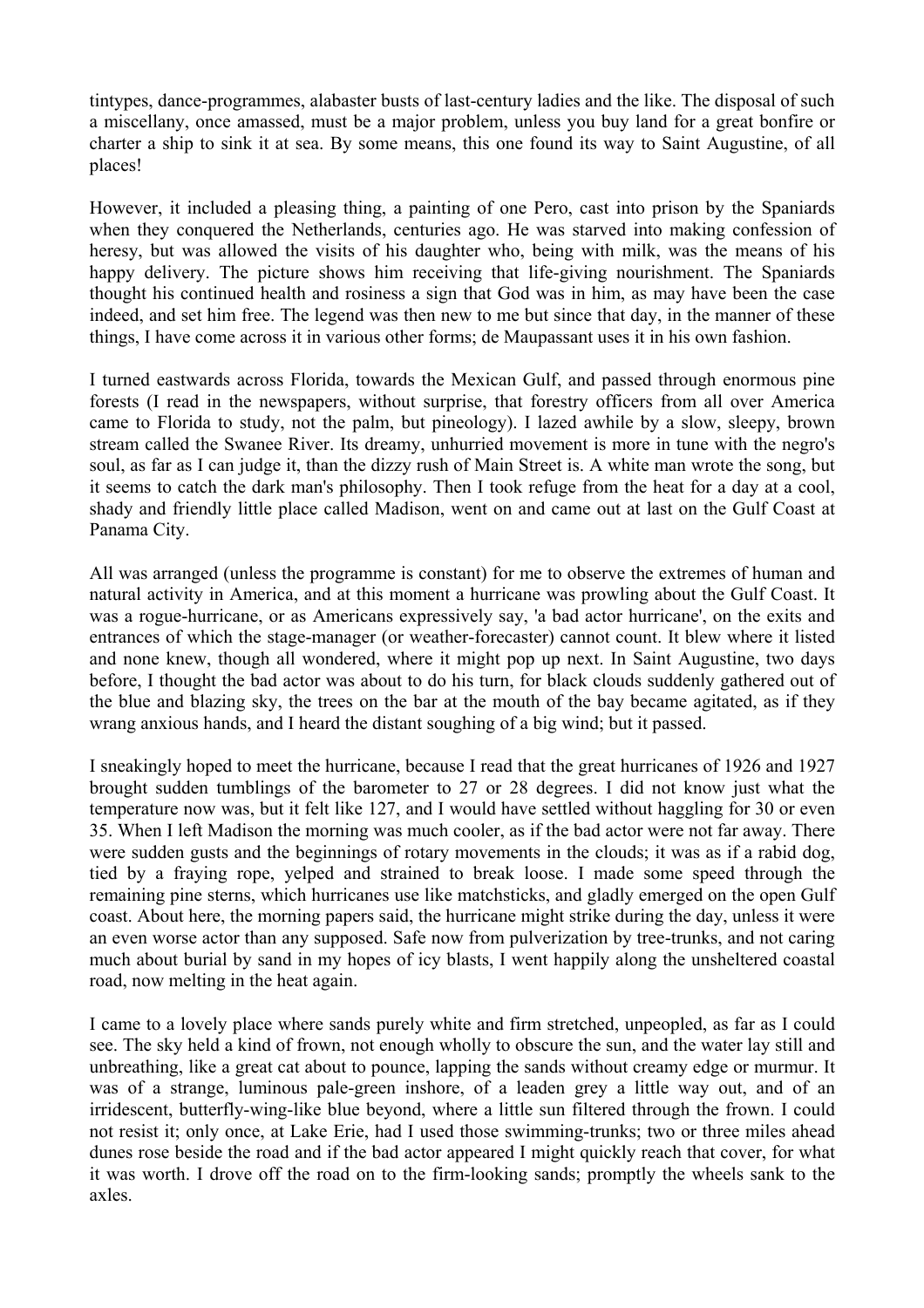tintypes, dance-programmes, alabaster busts of last-century ladies and the like. The disposal of such a miscellany, once amassed, must be a major problem, unless you buy land for a great bonfire or charter a ship to sink it at sea. By some means, this one found its way to Saint Augustine, of all places!

However, it included a pleasing thing, a painting of one Pero, cast into prison by the Spaniards when they conquered the Netherlands, centuries ago. He was starved into making confession of heresy, but was allowed the visits of his daughter who, being with milk, was the means of his happy delivery. The picture shows him receiving that life-giving nourishment. The Spaniards thought his continued health and rosiness a sign that God was in him, as may have been the case indeed, and set him free. The legend was then new to me but since that day, in the manner of these things, I have come across it in various other forms; de Maupassant uses it in his own fashion.

I turned eastwards across Florida, towards the Mexican Gulf, and passed through enormous pine forests (I read in the newspapers, without surprise, that forestry officers from all over America came to Florida to study, not the palm, but pineology). I lazed awhile by a slow, sleepy, brown stream called the Swanee River. Its dreamy, unhurried movement is more in tune with the negro's soul, as far as I can judge it, than the dizzy rush of Main Street is. A white man wrote the song, but it seems to catch the dark man's philosophy. Then I took refuge from the heat for a day at a cool, shady and friendly little place called Madison, went on and came out at last on the Gulf Coast at Panama City.

All was arranged (unless the programme is constant) for me to observe the extremes of human and natural activity in America, and at this moment a hurricane was prowling about the Gulf Coast. It was a rogue-hurricane, or as Americans expressively say, 'a bad actor hurricane', on the exits and entrances of which the stage-manager (or weather-forecaster) cannot count. It blew where it listed and none knew, though all wondered, where it might pop up next. In Saint Augustine, two days before, I thought the bad actor was about to do his turn, for black clouds suddenly gathered out of the blue and blazing sky, the trees on the bar at the mouth of the bay became agitated, as if they wrang anxious hands, and I heard the distant soughing of a big wind; but it passed.

I sneakingly hoped to meet the hurricane, because I read that the great hurricanes of 1926 and 1927 brought sudden tumblings of the barometer to 27 or 28 degrees. I did not know just what the temperature now was, but it felt like 127, and I would have settled without haggling for 30 or even 35. When I left Madison the morning was much cooler, as if the bad actor were not far away. There were sudden gusts and the beginnings of rotary movements in the clouds; it was as if a rabid dog, tied by a fraying rope, yelped and strained to break loose. I made some speed through the remaining pine sterns, which hurricanes use like matchsticks, and gladly emerged on the open Gulf coast. About here, the morning papers said, the hurricane might strike during the day, unless it were an even worse actor than any supposed. Safe now from pulverization by tree-trunks, and not caring much about burial by sand in my hopes of icy blasts, I went happily along the unsheltered coastal road, now melting in the heat again.

I came to a lovely place where sands purely white and firm stretched, unpeopled, as far as I could see. The sky held a kind of frown, not enough wholly to obscure the sun, and the water lay still and unbreathing, like a great cat about to pounce, lapping the sands without creamy edge or murmur. It was of a strange, luminous pale-green inshore, of a leaden grey a little way out, and of an irridescent, butterfly-wing-like blue beyond, where a little sun filtered through the frown. I could not resist it; only once, at Lake Erie, had I used those swimming-trunks; two or three miles ahead dunes rose beside the road and if the bad actor appeared I might quickly reach that cover, for what it was worth. I drove off the road on to the firm-looking sands; promptly the wheels sank to the axles.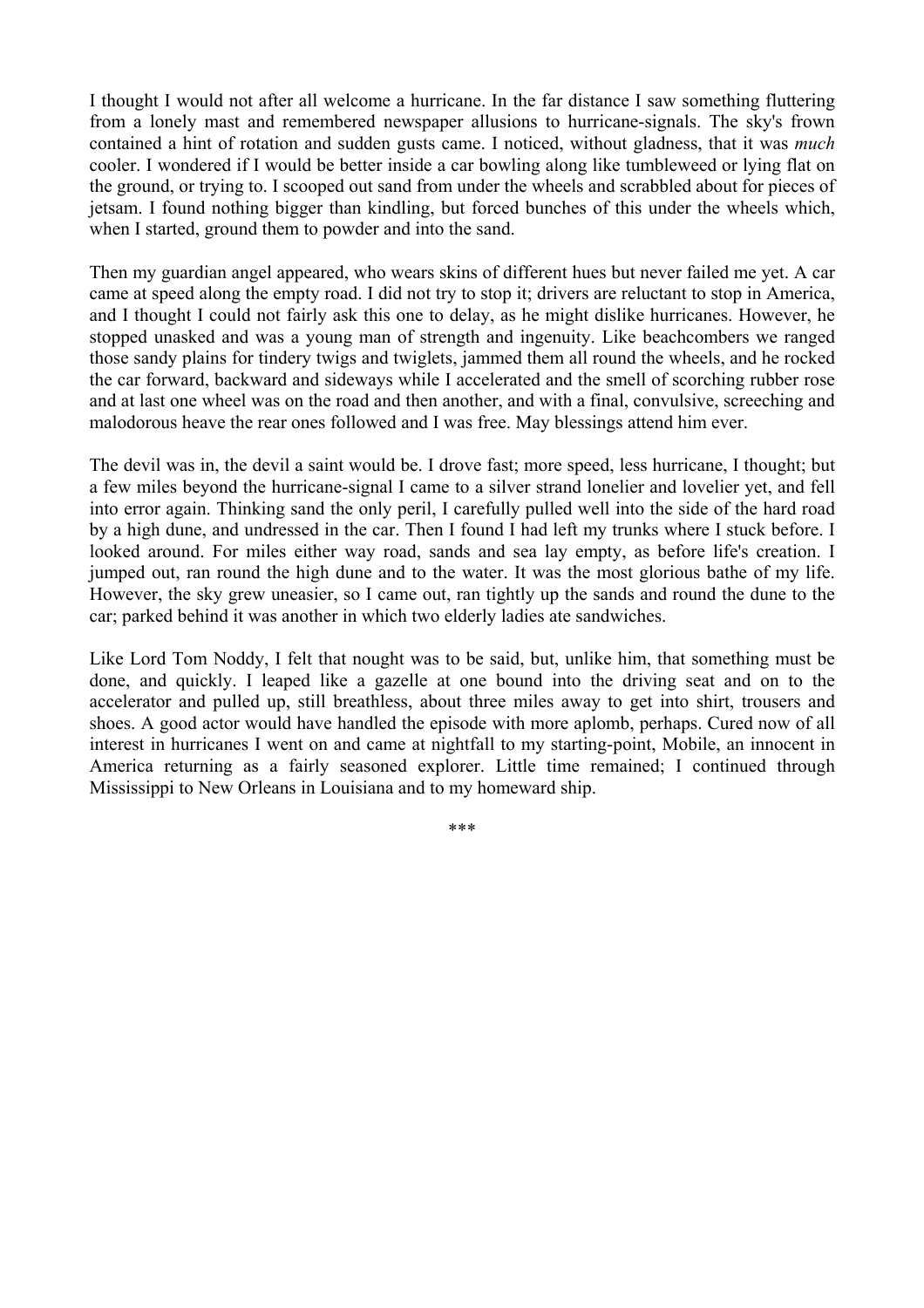I thought I would not after all welcome a hurricane. In the far distance I saw something fluttering from a lonely mast and remembered newspaper allusions to hurricane-signals. The sky's frown contained a hint of rotation and sudden gusts came. I noticed, without gladness, that it was *much* cooler. I wondered if I would be better inside a car bowling along like tumbleweed or lying flat on the ground, or trying to. I scooped out sand from under the wheels and scrabbled about for pieces of jetsam. I found nothing bigger than kindling, but forced bunches of this under the wheels which, when I started, ground them to powder and into the sand.

Then my guardian angel appeared, who wears skins of different hues but never failed me yet. A car came at speed along the empty road. I did not try to stop it; drivers are reluctant to stop in America, and I thought I could not fairly ask this one to delay, as he might dislike hurricanes. However, he stopped unasked and was a young man of strength and ingenuity. Like beachcombers we ranged those sandy plains for tindery twigs and twiglets, jammed them all round the wheels, and he rocked the car forward, backward and sideways while I accelerated and the smell of scorching rubber rose and at last one wheel was on the road and then another, and with a final, convulsive, screeching and malodorous heave the rear ones followed and I was free. May blessings attend him ever.

The devil was in, the devil a saint would be. I drove fast; more speed, less hurricane, I thought; but a few miles beyond the hurricane-signal I came to a silver strand lonelier and lovelier yet, and fell into error again. Thinking sand the only peril, I carefully pulled well into the side of the hard road by a high dune, and undressed in the car. Then I found I had left my trunks where I stuck before. I looked around. For miles either way road, sands and sea lay empty, as before life's creation. I jumped out, ran round the high dune and to the water. It was the most glorious bathe of my life. However, the sky grew uneasier, so I came out, ran tightly up the sands and round the dune to the car; parked behind it was another in which two elderly ladies ate sandwiches.

Like Lord Tom Noddy, I felt that nought was to be said, but, unlike him, that something must be done, and quickly. I leaped like a gazelle at one bound into the driving seat and on to the accelerator and pulled up, still breathless, about three miles away to get into shirt, trousers and shoes. A good actor would have handled the episode with more aplomb, perhaps. Cured now of all interest in hurricanes I went on and came at nightfall to my starting-point, Mobile, an innocent in America returning as a fairly seasoned explorer. Little time remained; I continued through Mississippi to New Orleans in Louisiana and to my homeward ship.

\*\*\*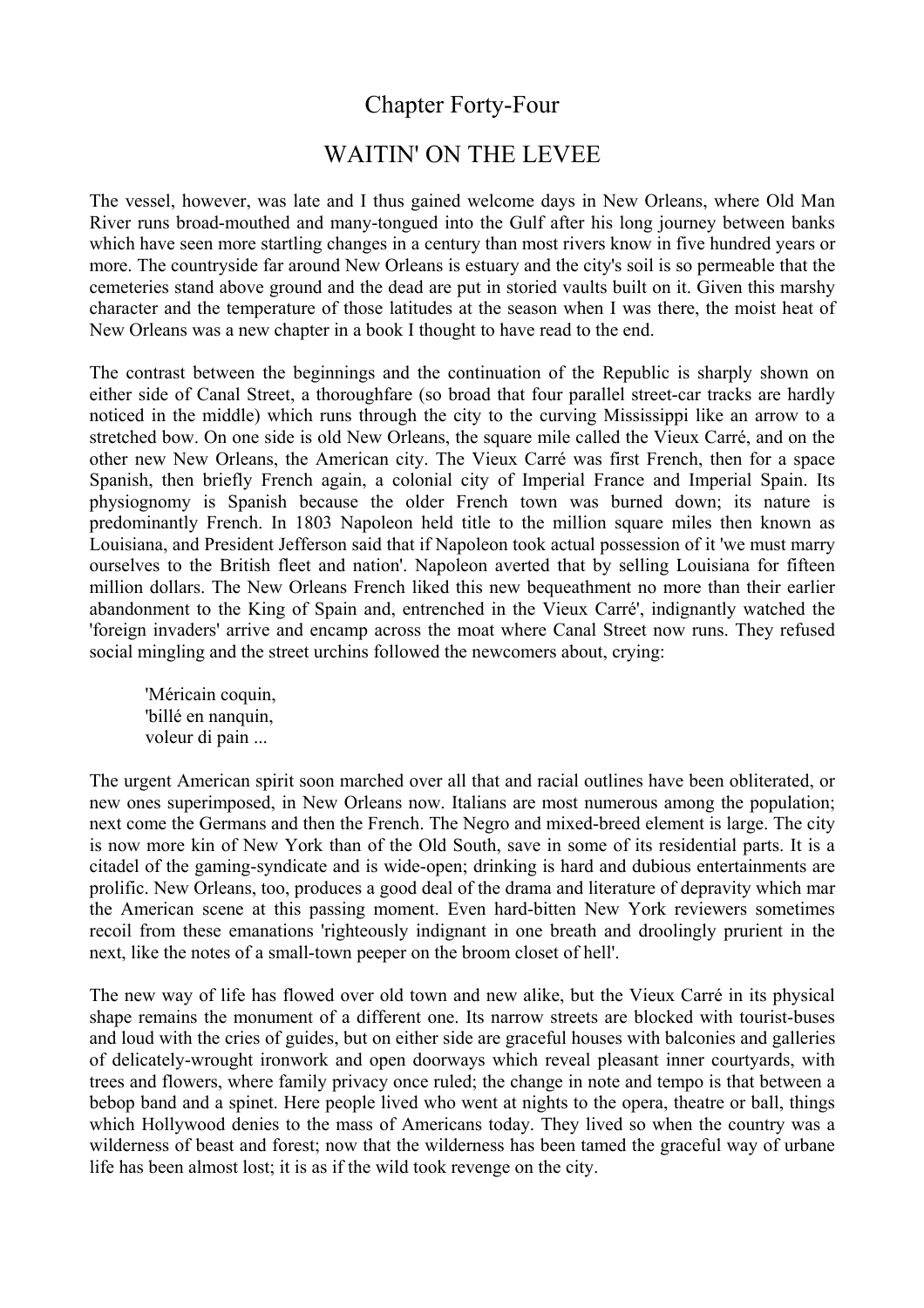# Chapter Forty-Four

### WAITIN' ON THE LEVEE

The vessel, however, was late and I thus gained welcome days in New Orleans, where Old Man River runs broad-mouthed and many-tongued into the Gulf after his long journey between banks which have seen more startling changes in a century than most rivers know in five hundred years or more. The countryside far around New Orleans is estuary and the city's soil is so permeable that the cemeteries stand above ground and the dead are put in storied vaults built on it. Given this marshy character and the temperature of those latitudes at the season when I was there, the moist heat of New Orleans was a new chapter in a book I thought to have read to the end.

The contrast between the beginnings and the continuation of the Republic is sharply shown on either side of Canal Street, a thoroughfare (so broad that four parallel street-car tracks are hardly noticed in the middle) which runs through the city to the curving Mississippi like an arrow to a stretched bow. On one side is old New Orleans, the square mile called the Vieux Carré, and on the other new New Orleans, the American city. The Vieux Carré was first French, then for a space Spanish, then briefly French again, a colonial city of Imperial France and Imperial Spain. Its physiognomy is Spanish because the older French town was burned down; its nature is predominantly French. In 1803 Napoleon held title to the million square miles then known as Louisiana, and President Jefferson said that if Napoleon took actual possession of it 'we must marry ourselves to the British fleet and nation'. Napoleon averted that by selling Louisiana for fifteen million dollars. The New Orleans French liked this new bequeathment no more than their earlier abandonment to the King of Spain and, entrenched in the Vieux Carré', indignantly watched the 'foreign invaders' arrive and encamp across the moat where Canal Street now runs. They refused social mingling and the street urchins followed the newcomers about, crying:

'Méricain coquin, 'billé en nanquin, voleur di pain ...

The urgent American spirit soon marched over all that and racial outlines have been obliterated, or new ones superimposed, in New Orleans now. Italians are most numerous among the population; next come the Germans and then the French. The Negro and mixed-breed element is large. The city is now more kin of New York than of the Old South, save in some of its residential parts. It is a citadel of the gaming-syndicate and is wide-open; drinking is hard and dubious entertainments are prolific. New Orleans, too, produces a good deal of the drama and literature of depravity which mar the American scene at this passing moment. Even hard-bitten New York reviewers sometimes recoil from these emanations 'righteously indignant in one breath and droolingly prurient in the next, like the notes of a small-town peeper on the broom closet of hell'.

The new way of life has flowed over old town and new alike, but the Vieux Carré in its physical shape remains the monument of a different one. Its narrow streets are blocked with tourist-buses and loud with the cries of guides, but on either side are graceful houses with balconies and galleries of delicately-wrought ironwork and open doorways which reveal pleasant inner courtyards, with trees and flowers, where family privacy once ruled; the change in note and tempo is that between a bebop band and a spinet. Here people lived who went at nights to the opera, theatre or ball, things which Hollywood denies to the mass of Americans today. They lived so when the country was a wilderness of beast and forest; now that the wilderness has been tamed the graceful way of urbane life has been almost lost; it is as if the wild took revenge on the city.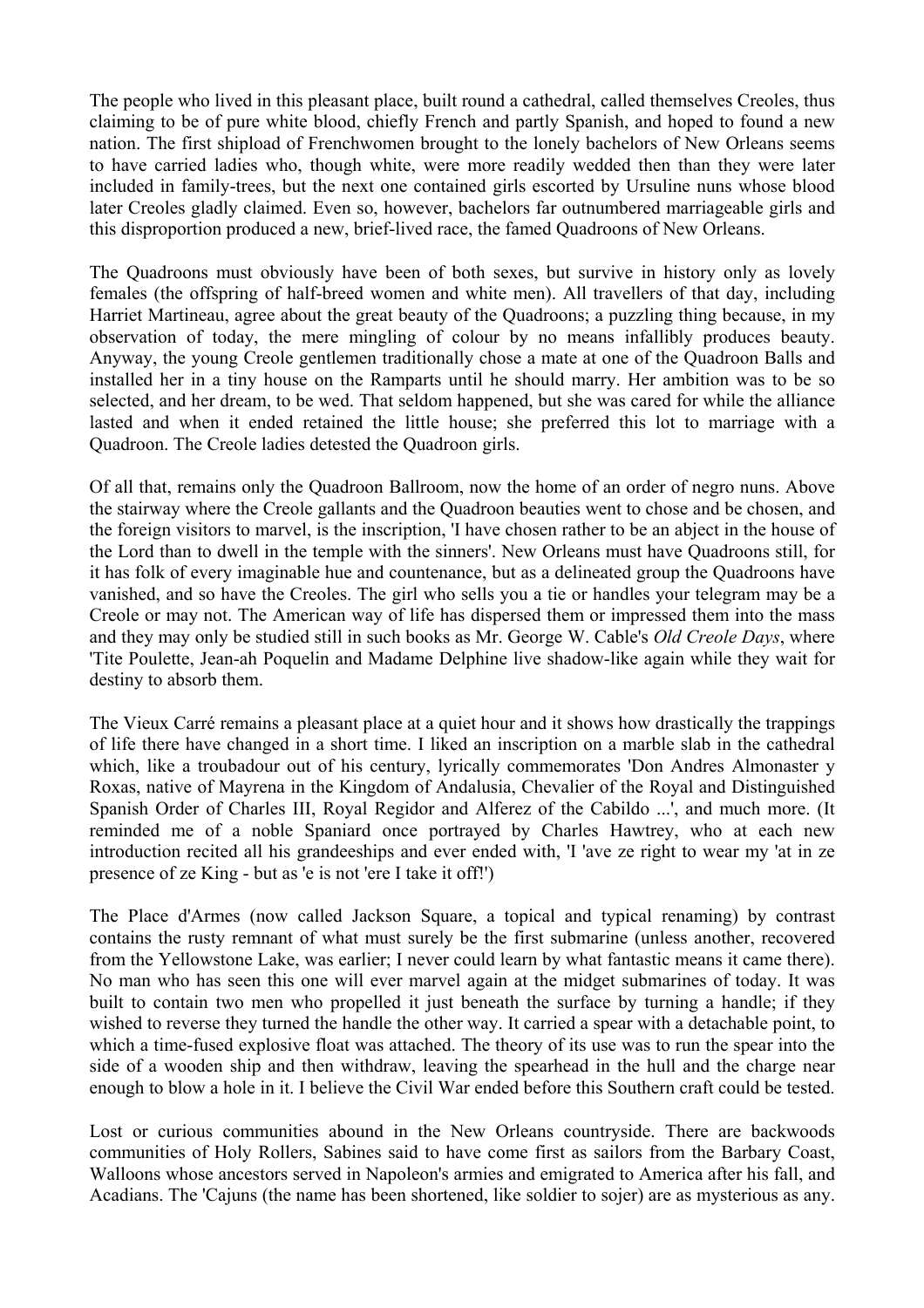The people who lived in this pleasant place, built round a cathedral, called themselves Creoles, thus claiming to be of pure white blood, chiefly French and partly Spanish, and hoped to found a new nation. The first shipload of Frenchwomen brought to the lonely bachelors of New Orleans seems to have carried ladies who, though white, were more readily wedded then than they were later included in family-trees, but the next one contained girls escorted by Ursuline nuns whose blood later Creoles gladly claimed. Even so, however, bachelors far outnumbered marriageable girls and this disproportion produced a new, brief-lived race, the famed Quadroons of New Orleans.

The Quadroons must obviously have been of both sexes, but survive in history only as lovely females (the offspring of half-breed women and white men). All travellers of that day, including Harriet Martineau, agree about the great beauty of the Quadroons; a puzzling thing because, in my observation of today, the mere mingling of colour by no means infallibly produces beauty. Anyway, the young Creole gentlemen traditionally chose a mate at one of the Quadroon Balls and installed her in a tiny house on the Ramparts until he should marry. Her ambition was to be so selected, and her dream, to be wed. That seldom happened, but she was cared for while the alliance lasted and when it ended retained the little house; she preferred this lot to marriage with a Quadroon. The Creole ladies detested the Quadroon girls.

Of all that, remains only the Quadroon Ballroom, now the home of an order of negro nuns. Above the stairway where the Creole gallants and the Quadroon beauties went to chose and be chosen, and the foreign visitors to marvel, is the inscription, 'I have chosen rather to be an abject in the house of the Lord than to dwell in the temple with the sinners'. New Orleans must have Quadroons still, for it has folk of every imaginable hue and countenance, but as a delineated group the Quadroons have vanished, and so have the Creoles. The girl who sells you a tie or handles your telegram may be a Creole or may not. The American way of life has dispersed them or impressed them into the mass and they may only be studied still in such books as Mr. George W. Cable's *Old Creole Days*, where 'Tite Poulette, Jean-ah Poquelin and Madame Delphine live shadow-like again while they wait for destiny to absorb them.

The Vieux Carré remains a pleasant place at a quiet hour and it shows how drastically the trappings of life there have changed in a short time. I liked an inscription on a marble slab in the cathedral which, like a troubadour out of his century, lyrically commemorates 'Don Andres Almonaster y Roxas, native of Mayrena in the Kingdom of Andalusia, Chevalier of the Royal and Distinguished Spanish Order of Charles III, Royal Regidor and Alferez of the Cabildo ...', and much more. (It reminded me of a noble Spaniard once portrayed by Charles Hawtrey, who at each new introduction recited all his grandeeships and ever ended with, 'I 'ave ze right to wear my 'at in ze presence of ze King - but as 'e is not 'ere I take it off!')

The Place d'Armes (now called Jackson Square, a topical and typical renaming) by contrast contains the rusty remnant of what must surely be the first submarine (unless another, recovered from the Yellowstone Lake, was earlier; I never could learn by what fantastic means it came there). No man who has seen this one will ever marvel again at the midget submarines of today. It was built to contain two men who propelled it just beneath the surface by turning a handle; if they wished to reverse they turned the handle the other way. It carried a spear with a detachable point, to which a time-fused explosive float was attached. The theory of its use was to run the spear into the side of a wooden ship and then withdraw, leaving the spearhead in the hull and the charge near enough to blow a hole in it. I believe the Civil War ended before this Southern craft could be tested.

Lost or curious communities abound in the New Orleans countryside. There are backwoods communities of Holy Rollers, Sabines said to have come first as sailors from the Barbary Coast, Walloons whose ancestors served in Napoleon's armies and emigrated to America after his fall, and Acadians. The 'Cajuns (the name has been shortened, like soldier to sojer) are as mysterious as any.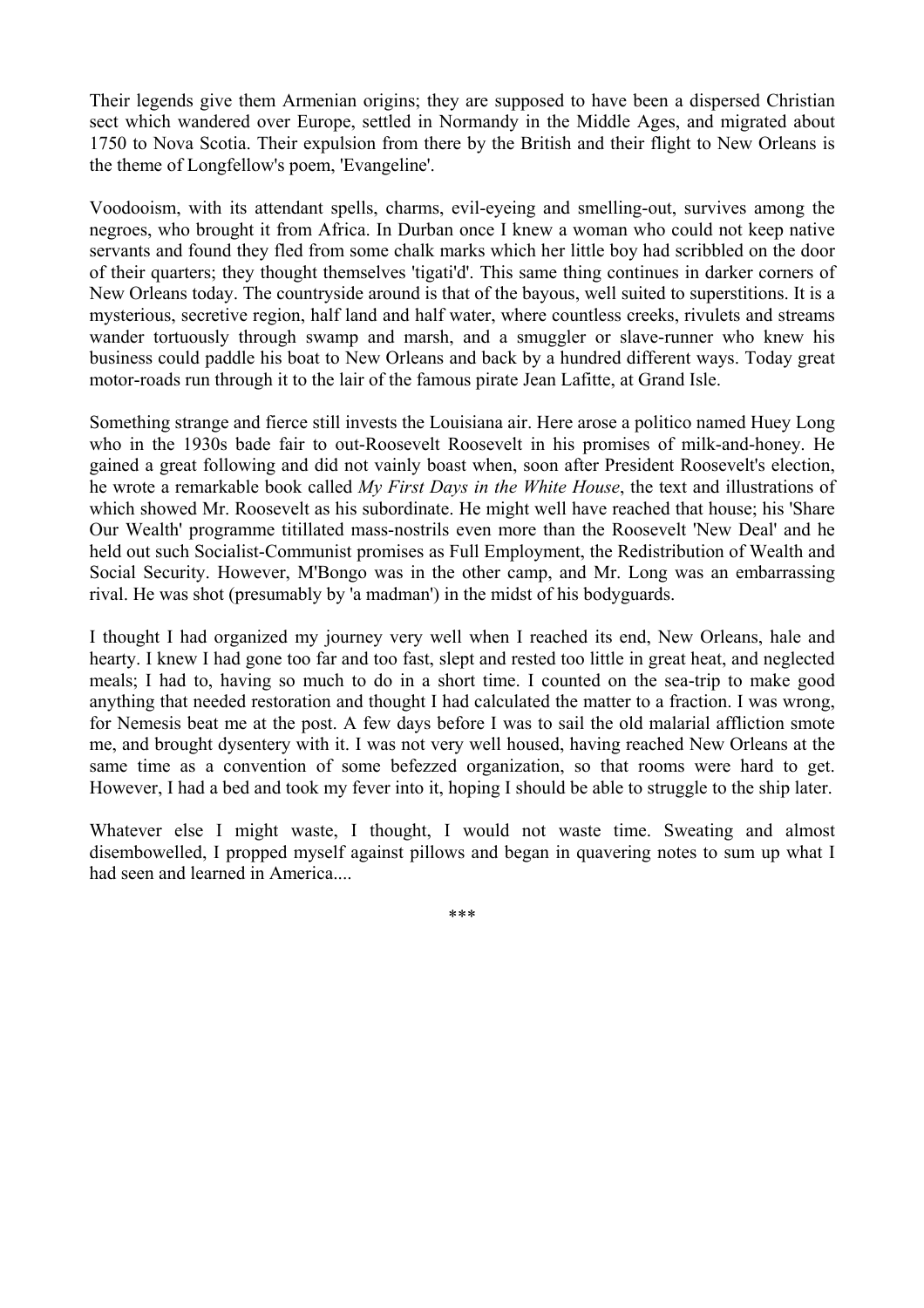Their legends give them Armenian origins; they are supposed to have been a dispersed Christian sect which wandered over Europe, settled in Normandy in the Middle Ages, and migrated about 1750 to Nova Scotia. Their expulsion from there by the British and their flight to New Orleans is the theme of Longfellow's poem, 'Evangeline'.

Voodooism, with its attendant spells, charms, evil-eyeing and smelling-out, survives among the negroes, who brought it from Africa. In Durban once I knew a woman who could not keep native servants and found they fled from some chalk marks which her little boy had scribbled on the door of their quarters; they thought themselves 'tigati'd'. This same thing continues in darker corners of New Orleans today. The countryside around is that of the bayous, well suited to superstitions. It is a mysterious, secretive region, half land and half water, where countless creeks, rivulets and streams wander tortuously through swamp and marsh, and a smuggler or slave-runner who knew his business could paddle his boat to New Orleans and back by a hundred different ways. Today great motor-roads run through it to the lair of the famous pirate Jean Lafitte, at Grand Isle.

Something strange and fierce still invests the Louisiana air. Here arose a politico named Huey Long who in the 1930s bade fair to out-Roosevelt Roosevelt in his promises of milk-and-honey. He gained a great following and did not vainly boast when, soon after President Roosevelt's election, he wrote a remarkable book called *My First Days in the White House*, the text and illustrations of which showed Mr. Roosevelt as his subordinate. He might well have reached that house; his 'Share Our Wealth' programme titillated mass-nostrils even more than the Roosevelt 'New Deal' and he held out such Socialist-Communist promises as Full Employment, the Redistribution of Wealth and Social Security. However, M'Bongo was in the other camp, and Mr. Long was an embarrassing rival. He was shot (presumably by 'a madman') in the midst of his bodyguards.

I thought I had organized my journey very well when I reached its end, New Orleans, hale and hearty. I knew I had gone too far and too fast, slept and rested too little in great heat, and neglected meals; I had to, having so much to do in a short time. I counted on the sea-trip to make good anything that needed restoration and thought I had calculated the matter to a fraction. I was wrong, for Nemesis beat me at the post. A few days before I was to sail the old malarial affliction smote me, and brought dysentery with it. I was not very well housed, having reached New Orleans at the same time as a convention of some befezzed organization, so that rooms were hard to get. However, I had a bed and took my fever into it, hoping I should be able to struggle to the ship later.

Whatever else I might waste, I thought, I would not waste time. Sweating and almost disembowelled, I propped myself against pillows and began in quavering notes to sum up what I had seen and learned in America....

\*\*\*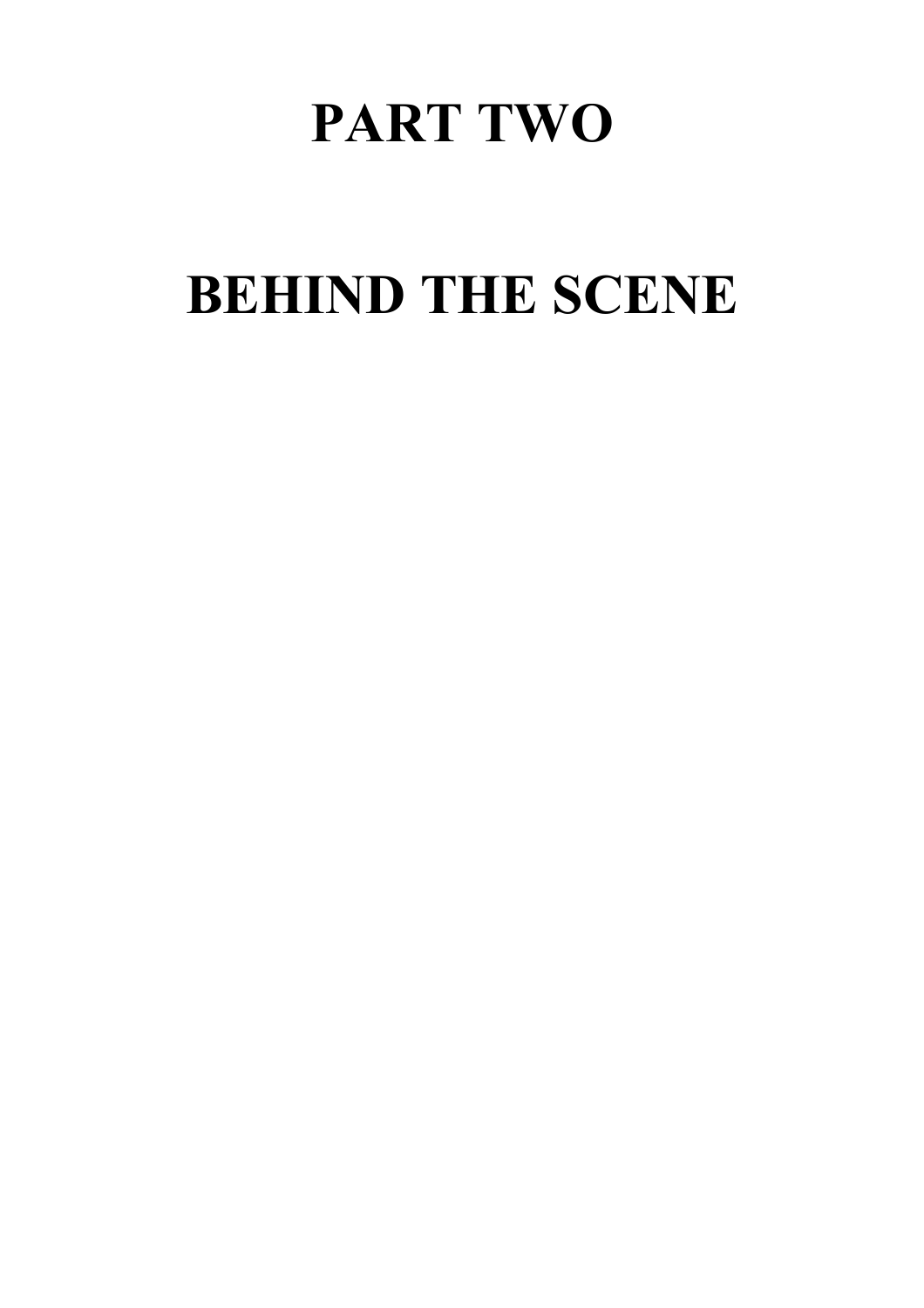# **PART TWO**

# **BEHIND THE SCENE**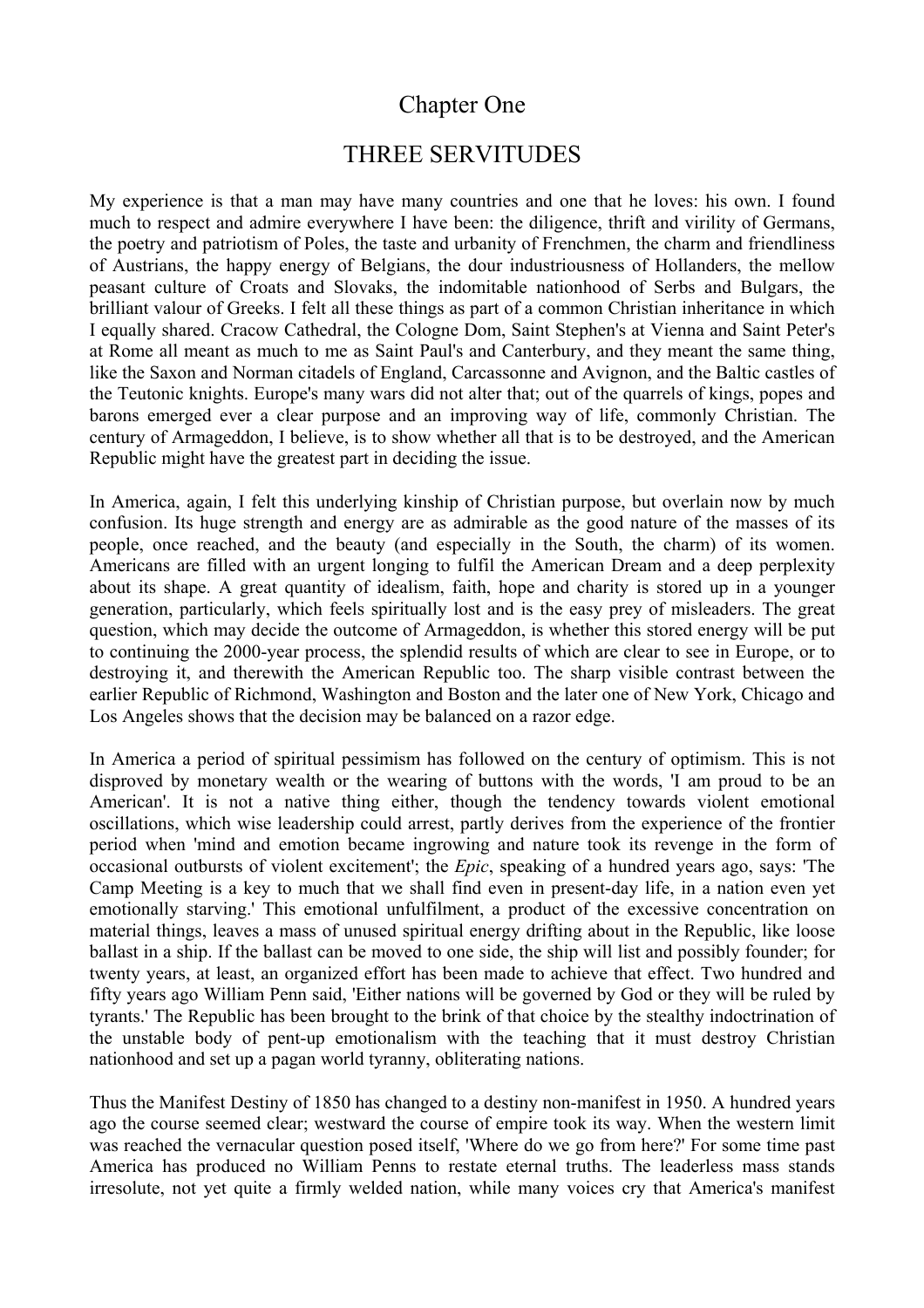# Chapter One

### THREE SERVITUDES

My experience is that a man may have many countries and one that he loves: his own. I found much to respect and admire everywhere I have been: the diligence, thrift and virility of Germans, the poetry and patriotism of Poles, the taste and urbanity of Frenchmen, the charm and friendliness of Austrians, the happy energy of Belgians, the dour industriousness of Hollanders, the mellow peasant culture of Croats and Slovaks, the indomitable nationhood of Serbs and Bulgars, the brilliant valour of Greeks. I felt all these things as part of a common Christian inheritance in which I equally shared. Cracow Cathedral, the Cologne Dom, Saint Stephen's at Vienna and Saint Peter's at Rome all meant as much to me as Saint Paul's and Canterbury, and they meant the same thing, like the Saxon and Norman citadels of England, Carcassonne and Avignon, and the Baltic castles of the Teutonic knights. Europe's many wars did not alter that; out of the quarrels of kings, popes and barons emerged ever a clear purpose and an improving way of life, commonly Christian. The century of Armageddon, I believe, is to show whether all that is to be destroyed, and the American Republic might have the greatest part in deciding the issue.

In America, again, I felt this underlying kinship of Christian purpose, but overlain now by much confusion. Its huge strength and energy are as admirable as the good nature of the masses of its people, once reached, and the beauty (and especially in the South, the charm) of its women. Americans are filled with an urgent longing to fulfil the American Dream and a deep perplexity about its shape. A great quantity of idealism, faith, hope and charity is stored up in a younger generation, particularly, which feels spiritually lost and is the easy prey of misleaders. The great question, which may decide the outcome of Armageddon, is whether this stored energy will be put to continuing the 2000-year process, the splendid results of which are clear to see in Europe, or to destroying it, and therewith the American Republic too. The sharp visible contrast between the earlier Republic of Richmond, Washington and Boston and the later one of New York, Chicago and Los Angeles shows that the decision may be balanced on a razor edge.

In America a period of spiritual pessimism has followed on the century of optimism. This is not disproved by monetary wealth or the wearing of buttons with the words, 'I am proud to be an American'. It is not a native thing either, though the tendency towards violent emotional oscillations, which wise leadership could arrest, partly derives from the experience of the frontier period when 'mind and emotion became ingrowing and nature took its revenge in the form of occasional outbursts of violent excitement'; the *Epic*, speaking of a hundred years ago, says: 'The Camp Meeting is a key to much that we shall find even in present-day life, in a nation even yet emotionally starving.' This emotional unfulfilment, a product of the excessive concentration on material things, leaves a mass of unused spiritual energy drifting about in the Republic, like loose ballast in a ship. If the ballast can be moved to one side, the ship will list and possibly founder; for twenty years, at least, an organized effort has been made to achieve that effect. Two hundred and fifty years ago William Penn said, 'Either nations will be governed by God or they will be ruled by tyrants.' The Republic has been brought to the brink of that choice by the stealthy indoctrination of the unstable body of pent-up emotionalism with the teaching that it must destroy Christian nationhood and set up a pagan world tyranny, obliterating nations.

Thus the Manifest Destiny of 1850 has changed to a destiny non-manifest in 1950. A hundred years ago the course seemed clear; westward the course of empire took its way. When the western limit was reached the vernacular question posed itself, 'Where do we go from here?' For some time past America has produced no William Penns to restate eternal truths. The leaderless mass stands irresolute, not yet quite a firmly welded nation, while many voices cry that America's manifest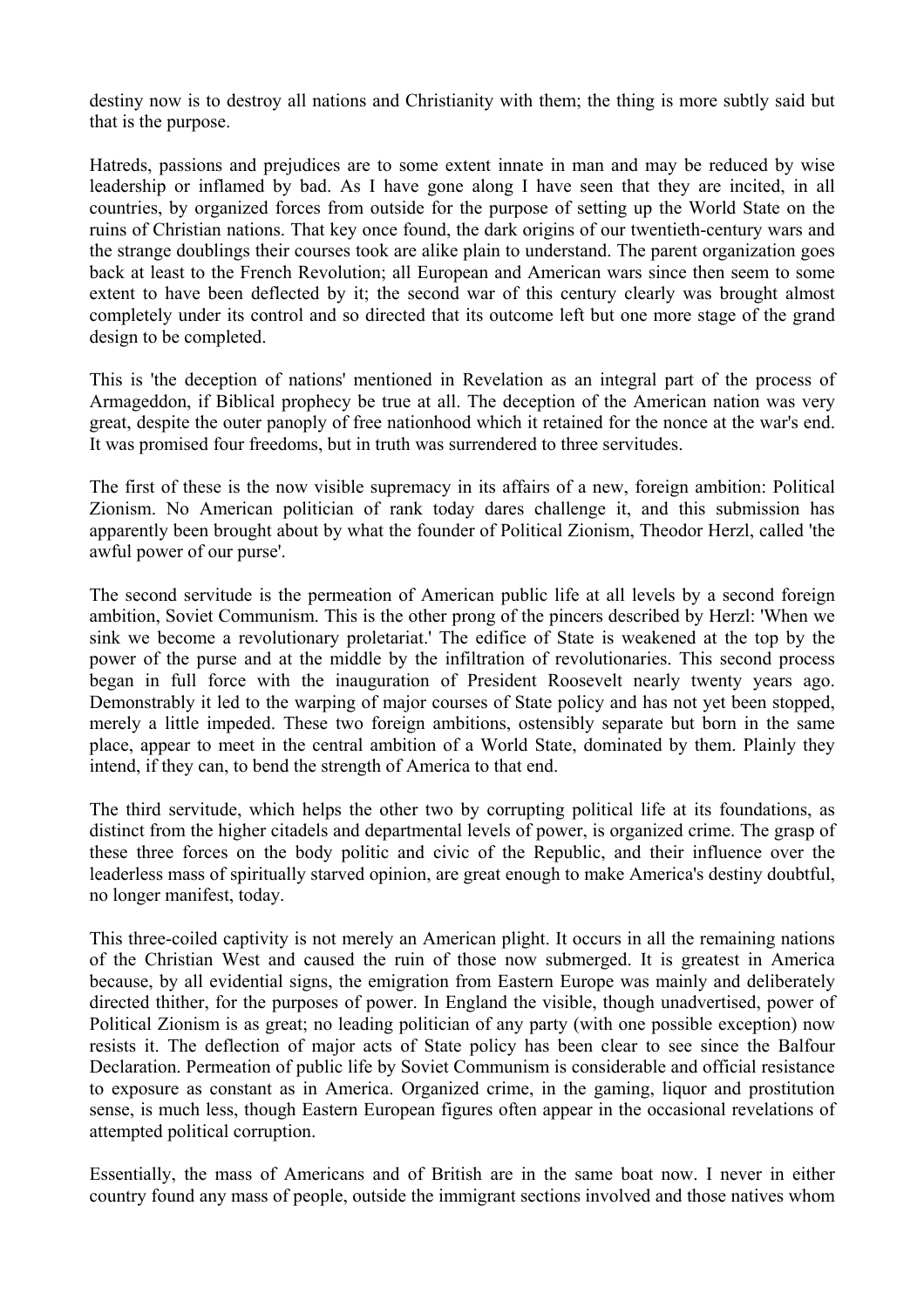destiny now is to destroy all nations and Christianity with them; the thing is more subtly said but that is the purpose.

Hatreds, passions and prejudices are to some extent innate in man and may be reduced by wise leadership or inflamed by bad. As I have gone along I have seen that they are incited, in all countries, by organized forces from outside for the purpose of setting up the World State on the ruins of Christian nations. That key once found, the dark origins of our twentieth-century wars and the strange doublings their courses took are alike plain to understand. The parent organization goes back at least to the French Revolution; all European and American wars since then seem to some extent to have been deflected by it; the second war of this century clearly was brought almost completely under its control and so directed that its outcome left but one more stage of the grand design to be completed.

This is 'the deception of nations' mentioned in Revelation as an integral part of the process of Armageddon, if Biblical prophecy be true at all. The deception of the American nation was very great, despite the outer panoply of free nationhood which it retained for the nonce at the war's end. It was promised four freedoms, but in truth was surrendered to three servitudes.

The first of these is the now visible supremacy in its affairs of a new, foreign ambition: Political Zionism. No American politician of rank today dares challenge it, and this submission has apparently been brought about by what the founder of Political Zionism, Theodor Herzl, called 'the awful power of our purse'.

The second servitude is the permeation of American public life at all levels by a second foreign ambition, Soviet Communism. This is the other prong of the pincers described by Herzl: 'When we sink we become a revolutionary proletariat.' The edifice of State is weakened at the top by the power of the purse and at the middle by the infiltration of revolutionaries. This second process began in full force with the inauguration of President Roosevelt nearly twenty years ago. Demonstrably it led to the warping of major courses of State policy and has not yet been stopped, merely a little impeded. These two foreign ambitions, ostensibly separate but born in the same place, appear to meet in the central ambition of a World State, dominated by them. Plainly they intend, if they can, to bend the strength of America to that end.

The third servitude, which helps the other two by corrupting political life at its foundations, as distinct from the higher citadels and departmental levels of power, is organized crime. The grasp of these three forces on the body politic and civic of the Republic, and their influence over the leaderless mass of spiritually starved opinion, are great enough to make America's destiny doubtful, no longer manifest, today.

This three-coiled captivity is not merely an American plight. It occurs in all the remaining nations of the Christian West and caused the ruin of those now submerged. It is greatest in America because, by all evidential signs, the emigration from Eastern Europe was mainly and deliberately directed thither, for the purposes of power. In England the visible, though unadvertised, power of Political Zionism is as great; no leading politician of any party (with one possible exception) now resists it. The deflection of major acts of State policy has been clear to see since the Balfour Declaration. Permeation of public life by Soviet Communism is considerable and official resistance to exposure as constant as in America. Organized crime, in the gaming, liquor and prostitution sense, is much less, though Eastern European figures often appear in the occasional revelations of attempted political corruption.

Essentially, the mass of Americans and of British are in the same boat now. I never in either country found any mass of people, outside the immigrant sections involved and those natives whom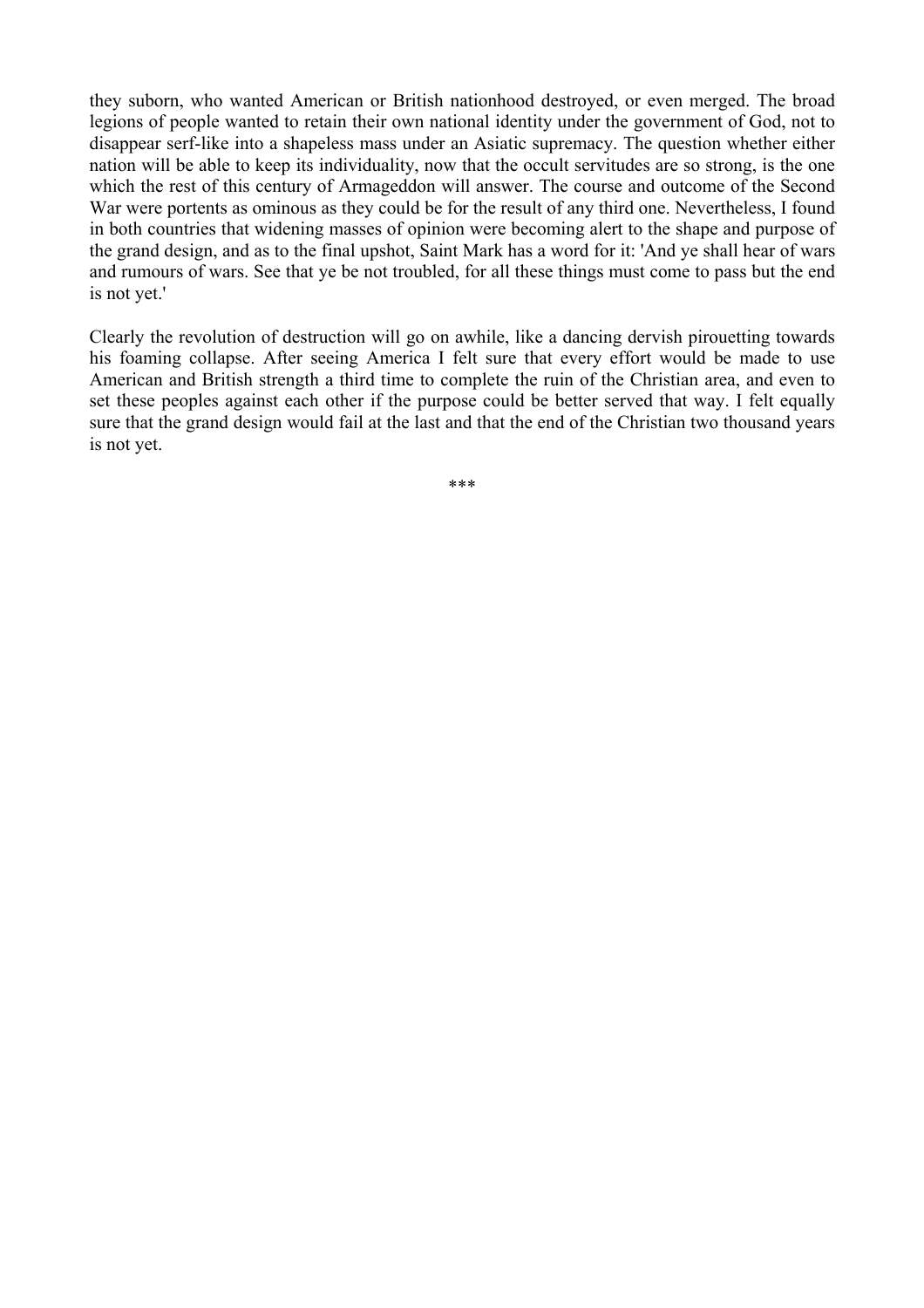they suborn, who wanted American or British nationhood destroyed, or even merged. The broad legions of people wanted to retain their own national identity under the government of God, not to disappear serf-like into a shapeless mass under an Asiatic supremacy. The question whether either nation will be able to keep its individuality, now that the occult servitudes are so strong, is the one which the rest of this century of Armageddon will answer. The course and outcome of the Second War were portents as ominous as they could be for the result of any third one. Nevertheless, I found in both countries that widening masses of opinion were becoming alert to the shape and purpose of the grand design, and as to the final upshot, Saint Mark has a word for it: 'And ye shall hear of wars and rumours of wars. See that ye be not troubled, for all these things must come to pass but the end is not yet.'

Clearly the revolution of destruction will go on awhile, like a dancing dervish pirouetting towards his foaming collapse. After seeing America I felt sure that every effort would be made to use American and British strength a third time to complete the ruin of the Christian area, and even to set these peoples against each other if the purpose could be better served that way. I felt equally sure that the grand design would fail at the last and that the end of the Christian two thousand years is not yet.

\*\*\*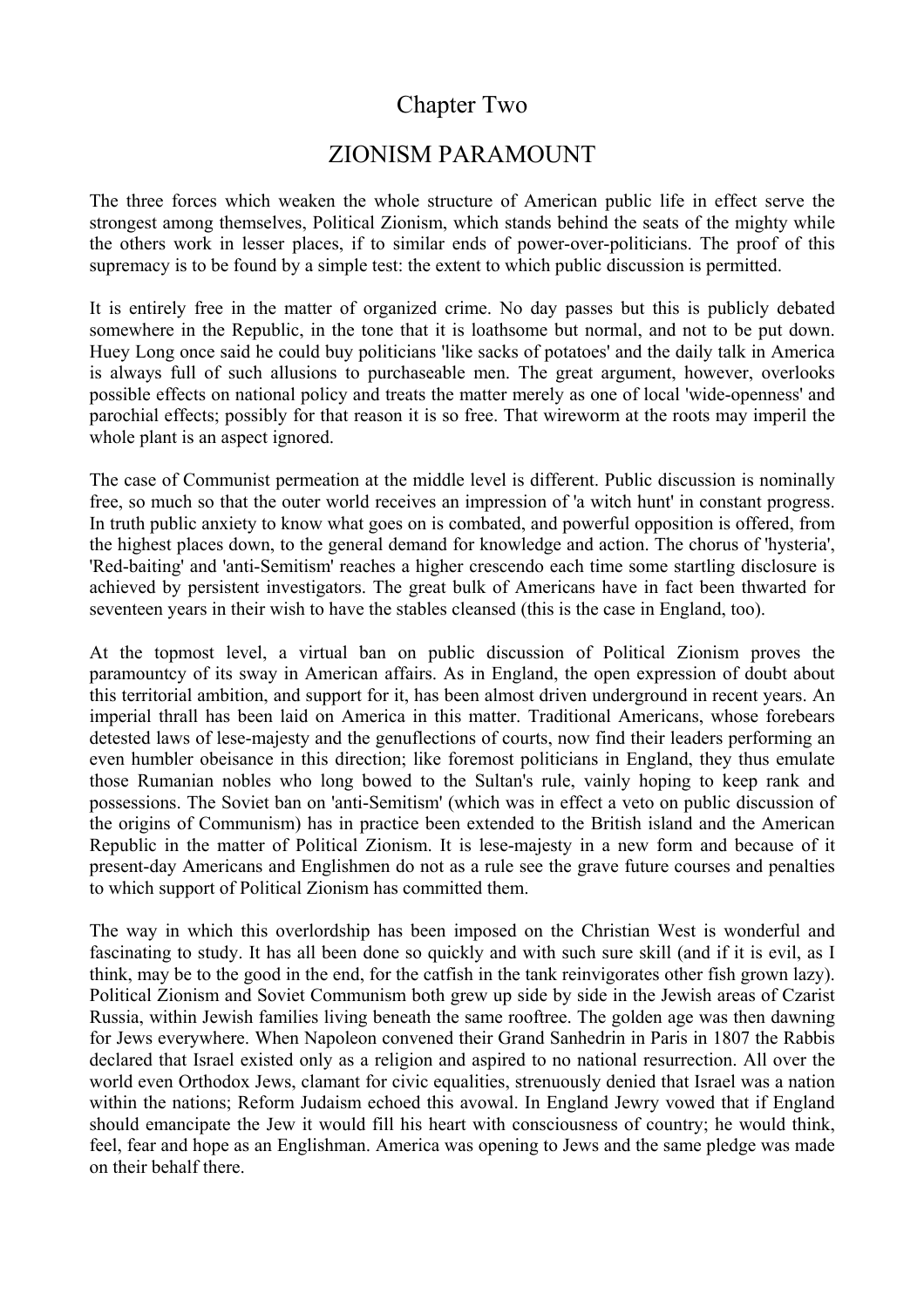## Chapter Two

### ZIONISM PARAMOUNT

The three forces which weaken the whole structure of American public life in effect serve the strongest among themselves, Political Zionism, which stands behind the seats of the mighty while the others work in lesser places, if to similar ends of power-over-politicians. The proof of this supremacy is to be found by a simple test: the extent to which public discussion is permitted.

It is entirely free in the matter of organized crime. No day passes but this is publicly debated somewhere in the Republic, in the tone that it is loathsome but normal, and not to be put down. Huey Long once said he could buy politicians 'like sacks of potatoes' and the daily talk in America is always full of such allusions to purchaseable men. The great argument, however, overlooks possible effects on national policy and treats the matter merely as one of local 'wide-openness' and parochial effects; possibly for that reason it is so free. That wireworm at the roots may imperil the whole plant is an aspect ignored.

The case of Communist permeation at the middle level is different. Public discussion is nominally free, so much so that the outer world receives an impression of 'a witch hunt' in constant progress. In truth public anxiety to know what goes on is combated, and powerful opposition is offered, from the highest places down, to the general demand for knowledge and action. The chorus of 'hysteria', 'Red-baiting' and 'anti-Semitism' reaches a higher crescendo each time some startling disclosure is achieved by persistent investigators. The great bulk of Americans have in fact been thwarted for seventeen years in their wish to have the stables cleansed (this is the case in England, too).

At the topmost level, a virtual ban on public discussion of Political Zionism proves the paramountcy of its sway in American affairs. As in England, the open expression of doubt about this territorial ambition, and support for it, has been almost driven underground in recent years. An imperial thrall has been laid on America in this matter. Traditional Americans, whose forebears detested laws of lese-majesty and the genuflections of courts, now find their leaders performing an even humbler obeisance in this direction; like foremost politicians in England, they thus emulate those Rumanian nobles who long bowed to the Sultan's rule, vainly hoping to keep rank and possessions. The Soviet ban on 'anti-Semitism' (which was in effect a veto on public discussion of the origins of Communism) has in practice been extended to the British island and the American Republic in the matter of Political Zionism. It is lese-majesty in a new form and because of it present-day Americans and Englishmen do not as a rule see the grave future courses and penalties to which support of Political Zionism has committed them.

The way in which this overlordship has been imposed on the Christian West is wonderful and fascinating to study. It has all been done so quickly and with such sure skill (and if it is evil, as I think, may be to the good in the end, for the catfish in the tank reinvigorates other fish grown lazy). Political Zionism and Soviet Communism both grew up side by side in the Jewish areas of Czarist Russia, within Jewish families living beneath the same rooftree. The golden age was then dawning for Jews everywhere. When Napoleon convened their Grand Sanhedrin in Paris in 1807 the Rabbis declared that Israel existed only as a religion and aspired to no national resurrection. All over the world even Orthodox Jews, clamant for civic equalities, strenuously denied that Israel was a nation within the nations; Reform Judaism echoed this avowal. In England Jewry vowed that if England should emancipate the Jew it would fill his heart with consciousness of country; he would think, feel, fear and hope as an Englishman. America was opening to Jews and the same pledge was made on their behalf there.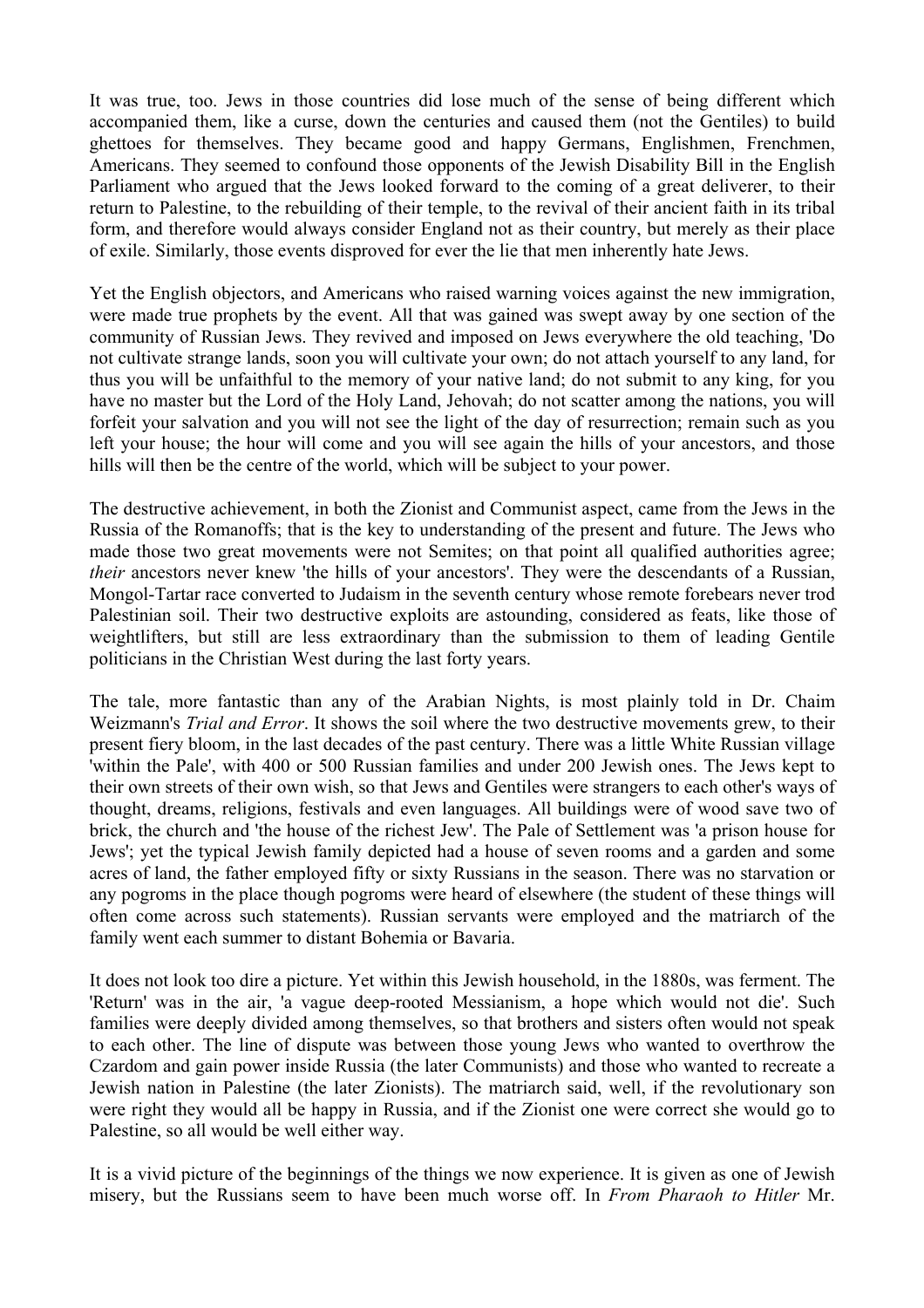It was true, too. Jews in those countries did lose much of the sense of being different which accompanied them, like a curse, down the centuries and caused them (not the Gentiles) to build ghettoes for themselves. They became good and happy Germans, Englishmen, Frenchmen, Americans. They seemed to confound those opponents of the Jewish Disability Bill in the English Parliament who argued that the Jews looked forward to the coming of a great deliverer, to their return to Palestine, to the rebuilding of their temple, to the revival of their ancient faith in its tribal form, and therefore would always consider England not as their country, but merely as their place of exile. Similarly, those events disproved for ever the lie that men inherently hate Jews.

Yet the English objectors, and Americans who raised warning voices against the new immigration, were made true prophets by the event. All that was gained was swept away by one section of the community of Russian Jews. They revived and imposed on Jews everywhere the old teaching, 'Do not cultivate strange lands, soon you will cultivate your own; do not attach yourself to any land, for thus you will be unfaithful to the memory of your native land; do not submit to any king, for you have no master but the Lord of the Holy Land, Jehovah; do not scatter among the nations, you will forfeit your salvation and you will not see the light of the day of resurrection; remain such as you left your house; the hour will come and you will see again the hills of your ancestors, and those hills will then be the centre of the world, which will be subject to your power.

The destructive achievement, in both the Zionist and Communist aspect, came from the Jews in the Russia of the Romanoffs; that is the key to understanding of the present and future. The Jews who made those two great movements were not Semites; on that point all qualified authorities agree; *their* ancestors never knew 'the hills of your ancestors'. They were the descendants of a Russian, Mongol-Tartar race converted to Judaism in the seventh century whose remote forebears never trod Palestinian soil. Their two destructive exploits are astounding, considered as feats, like those of weightlifters, but still are less extraordinary than the submission to them of leading Gentile politicians in the Christian West during the last forty years.

The tale, more fantastic than any of the Arabian Nights, is most plainly told in Dr. Chaim Weizmann's *Trial and Error*. It shows the soil where the two destructive movements grew, to their present fiery bloom, in the last decades of the past century. There was a little White Russian village 'within the Pale', with 400 or 500 Russian families and under 200 Jewish ones. The Jews kept to their own streets of their own wish, so that Jews and Gentiles were strangers to each other's ways of thought, dreams, religions, festivals and even languages. All buildings were of wood save two of brick, the church and 'the house of the richest Jew'. The Pale of Settlement was 'a prison house for Jews'; yet the typical Jewish family depicted had a house of seven rooms and a garden and some acres of land, the father employed fifty or sixty Russians in the season. There was no starvation or any pogroms in the place though pogroms were heard of elsewhere (the student of these things will often come across such statements). Russian servants were employed and the matriarch of the family went each summer to distant Bohemia or Bavaria.

It does not look too dire a picture. Yet within this Jewish household, in the 1880s, was ferment. The 'Return' was in the air, 'a vague deep-rooted Messianism, a hope which would not die'. Such families were deeply divided among themselves, so that brothers and sisters often would not speak to each other. The line of dispute was between those young Jews who wanted to overthrow the Czardom and gain power inside Russia (the later Communists) and those who wanted to recreate a Jewish nation in Palestine (the later Zionists). The matriarch said, well, if the revolutionary son were right they would all be happy in Russia, and if the Zionist one were correct she would go to Palestine, so all would be well either way.

It is a vivid picture of the beginnings of the things we now experience. It is given as one of Jewish misery, but the Russians seem to have been much worse off. In *From Pharaoh to Hitler* Mr.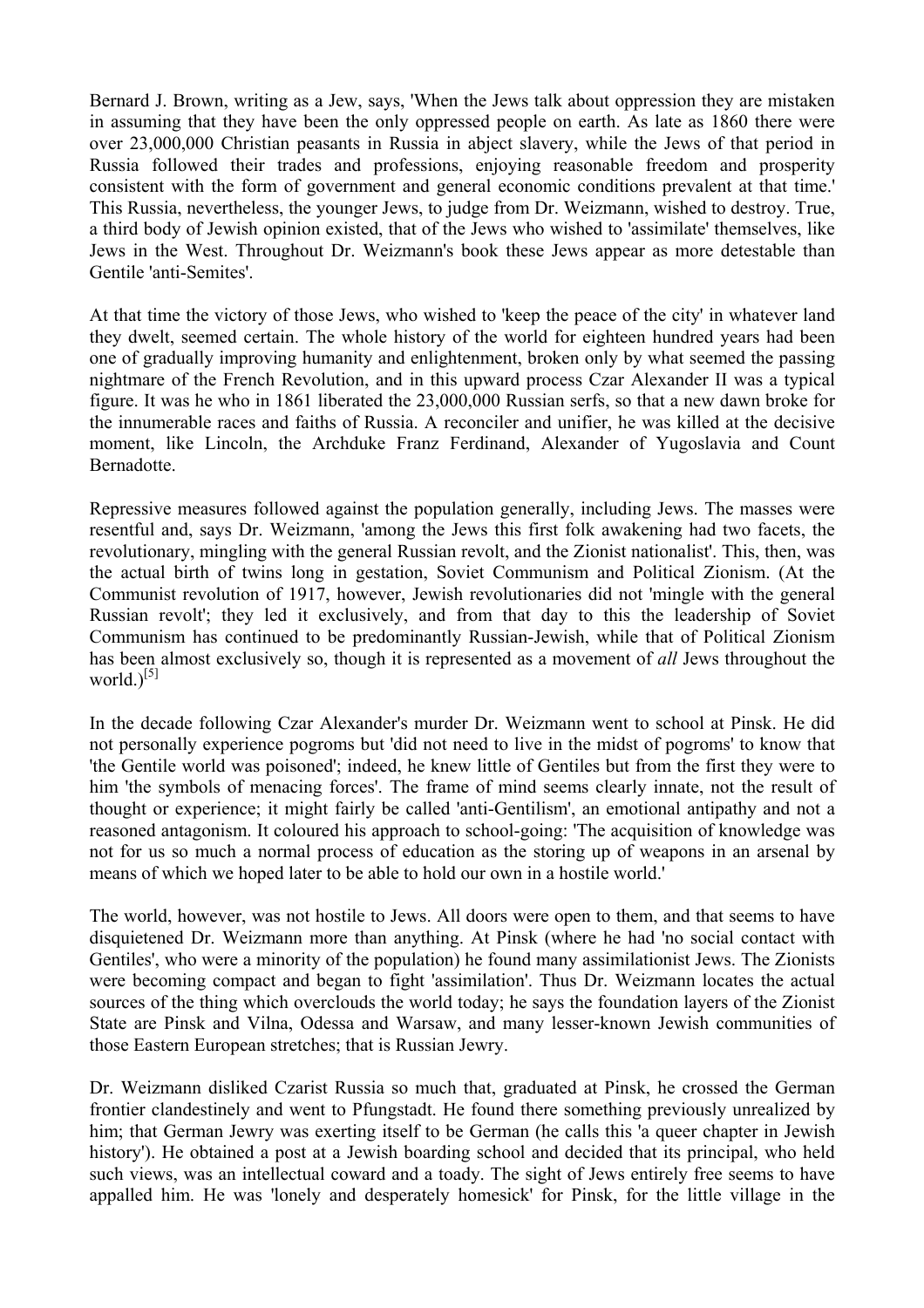Bernard J. Brown, writing as a Jew, says, 'When the Jews talk about oppression they are mistaken in assuming that they have been the only oppressed people on earth. As late as 1860 there were over 23,000,000 Christian peasants in Russia in abject slavery, while the Jews of that period in Russia followed their trades and professions, enjoying reasonable freedom and prosperity consistent with the form of government and general economic conditions prevalent at that time.' This Russia, nevertheless, the younger Jews, to judge from Dr. Weizmann, wished to destroy. True, a third body of Jewish opinion existed, that of the Jews who wished to 'assimilate' themselves, like Jews in the West. Throughout Dr. Weizmann's book these Jews appear as more detestable than Gentile 'anti-Semites'.

At that time the victory of those Jews, who wished to 'keep the peace of the city' in whatever land they dwelt, seemed certain. The whole history of the world for eighteen hundred years had been one of gradually improving humanity and enlightenment, broken only by what seemed the passing nightmare of the French Revolution, and in this upward process Czar Alexander II was a typical figure. It was he who in 1861 liberated the 23,000,000 Russian serfs, so that a new dawn broke for the innumerable races and faiths of Russia. A reconciler and unifier, he was killed at the decisive moment, like Lincoln, the Archduke Franz Ferdinand, Alexander of Yugoslavia and Count Bernadotte.

Repressive measures followed against the population generally, including Jews. The masses were resentful and, says Dr. Weizmann, 'among the Jews this first folk awakening had two facets, the revolutionary, mingling with the general Russian revolt, and the Zionist nationalist'. This, then, was the actual birth of twins long in gestation, Soviet Communism and Political Zionism. (At the Communist revolution of 1917, however, Jewish revolutionaries did not 'mingle with the general Russian revolt'; they led it exclusively, and from that day to this the leadership of Soviet Communism has continued to be predominantly Russian-Jewish, while that of Political Zionism has been almost exclusively so, though it is represented as a movement of *all* Jews throughout the world. $)^{[5]}$  $)^{[5]}$  $)^{[5]}$ 

In the decade following Czar Alexander's murder Dr. Weizmann went to school at Pinsk. He did not personally experience pogroms but 'did not need to live in the midst of pogroms' to know that 'the Gentile world was poisoned'; indeed, he knew little of Gentiles but from the first they were to him 'the symbols of menacing forces'. The frame of mind seems clearly innate, not the result of thought or experience; it might fairly be called 'anti-Gentilism', an emotional antipathy and not a reasoned antagonism. It coloured his approach to school-going: 'The acquisition of knowledge was not for us so much a normal process of education as the storing up of weapons in an arsenal by means of which we hoped later to be able to hold our own in a hostile world.'

The world, however, was not hostile to Jews. All doors were open to them, and that seems to have disquietened Dr. Weizmann more than anything. At Pinsk (where he had 'no social contact with Gentiles', who were a minority of the population) he found many assimilationist Jews. The Zionists were becoming compact and began to fight 'assimilation'. Thus Dr. Weizmann locates the actual sources of the thing which overclouds the world today; he says the foundation layers of the Zionist State are Pinsk and Vilna, Odessa and Warsaw, and many lesser-known Jewish communities of those Eastern European stretches; that is Russian Jewry.

Dr. Weizmann disliked Czarist Russia so much that, graduated at Pinsk, he crossed the German frontier clandestinely and went to Pfungstadt. He found there something previously unrealized by him; that German Jewry was exerting itself to be German (he calls this 'a queer chapter in Jewish history'). He obtained a post at a Jewish boarding school and decided that its principal, who held such views, was an intellectual coward and a toady. The sight of Jews entirely free seems to have appalled him. He was 'lonely and desperately homesick' for Pinsk, for the little village in the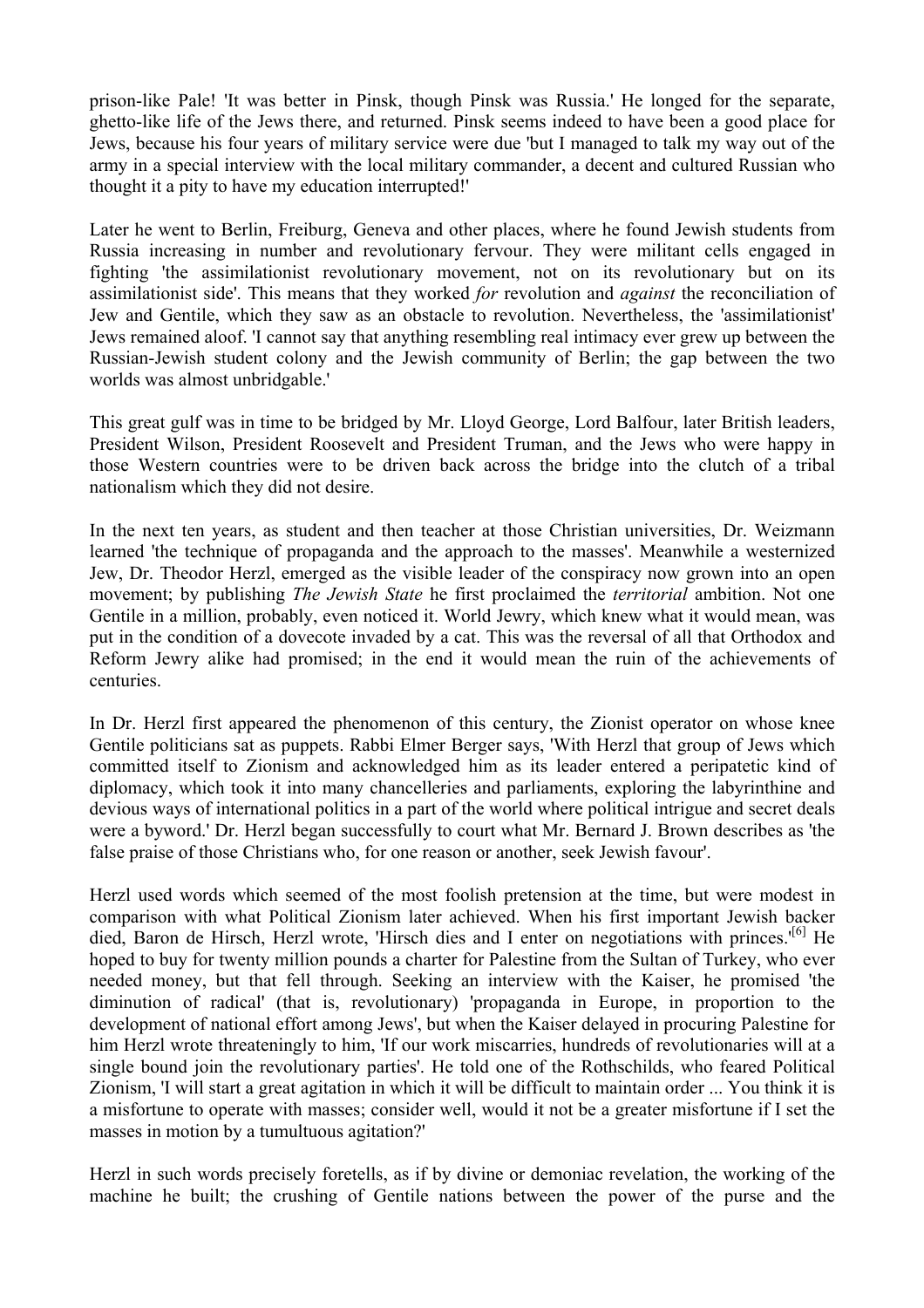prison-like Pale! 'It was better in Pinsk, though Pinsk was Russia.' He longed for the separate, ghetto-like life of the Jews there, and returned. Pinsk seems indeed to have been a good place for Jews, because his four years of military service were due 'but I managed to talk my way out of the army in a special interview with the local military commander, a decent and cultured Russian who thought it a pity to have my education interrupted!'

Later he went to Berlin, Freiburg, Geneva and other places, where he found Jewish students from Russia increasing in number and revolutionary fervour. They were militant cells engaged in fighting 'the assimilationist revolutionary movement, not on its revolutionary but on its assimilationist side'. This means that they worked *for* revolution and *against* the reconciliation of Jew and Gentile, which they saw as an obstacle to revolution. Nevertheless, the 'assimilationist' Jews remained aloof. 'I cannot say that anything resembling real intimacy ever grew up between the Russian-Jewish student colony and the Jewish community of Berlin; the gap between the two worlds was almost unbridgable.'

This great gulf was in time to be bridged by Mr. Lloyd George, Lord Balfour, later British leaders, President Wilson, President Roosevelt and President Truman, and the Jews who were happy in those Western countries were to be driven back across the bridge into the clutch of a tribal nationalism which they did not desire.

In the next ten years, as student and then teacher at those Christian universities, Dr. Weizmann learned 'the technique of propaganda and the approach to the masses'. Meanwhile a westernized Jew, Dr. Theodor Herzl, emerged as the visible leader of the conspiracy now grown into an open movement; by publishing *The Jewish State* he first proclaimed the *territorial* ambition. Not one Gentile in a million, probably, even noticed it. World Jewry, which knew what it would mean, was put in the condition of a dovecote invaded by a cat. This was the reversal of all that Orthodox and Reform Jewry alike had promised; in the end it would mean the ruin of the achievements of centuries.

In Dr. Herzl first appeared the phenomenon of this century, the Zionist operator on whose knee Gentile politicians sat as puppets. Rabbi Elmer Berger says, 'With Herzl that group of Jews which committed itself to Zionism and acknowledged him as its leader entered a peripatetic kind of diplomacy, which took it into many chancelleries and parliaments, exploring the labyrinthine and devious ways of international politics in a part of the world where political intrigue and secret deals were a byword.' Dr. Herzl began successfully to court what Mr. Bernard J. Brown describes as 'the false praise of those Christians who, for one reason or another, seek Jewish favour'.

Herzl used words which seemed of the most foolish pretension at the time, but were modest in comparison with what Political Zionism later achieved. When his first important Jewish backer died, Baron de Hirsch, Herzl wrote, 'Hirsch dies and I enter on negotiations with princes.<sup>'[\[6\]](#page-236-0)</sup> He hoped to buy for twenty million pounds a charter for Palestine from the Sultan of Turkey, who ever needed money, but that fell through. Seeking an interview with the Kaiser, he promised 'the diminution of radical' (that is, revolutionary) 'propaganda in Europe, in proportion to the development of national effort among Jews', but when the Kaiser delayed in procuring Palestine for him Herzl wrote threateningly to him, 'If our work miscarries, hundreds of revolutionaries will at a single bound join the revolutionary parties'. He told one of the Rothschilds, who feared Political Zionism, 'I will start a great agitation in which it will be difficult to maintain order ... You think it is a misfortune to operate with masses; consider well, would it not be a greater misfortune if I set the masses in motion by a tumultuous agitation?'

Herzl in such words precisely foretells, as if by divine or demoniac revelation, the working of the machine he built; the crushing of Gentile nations between the power of the purse and the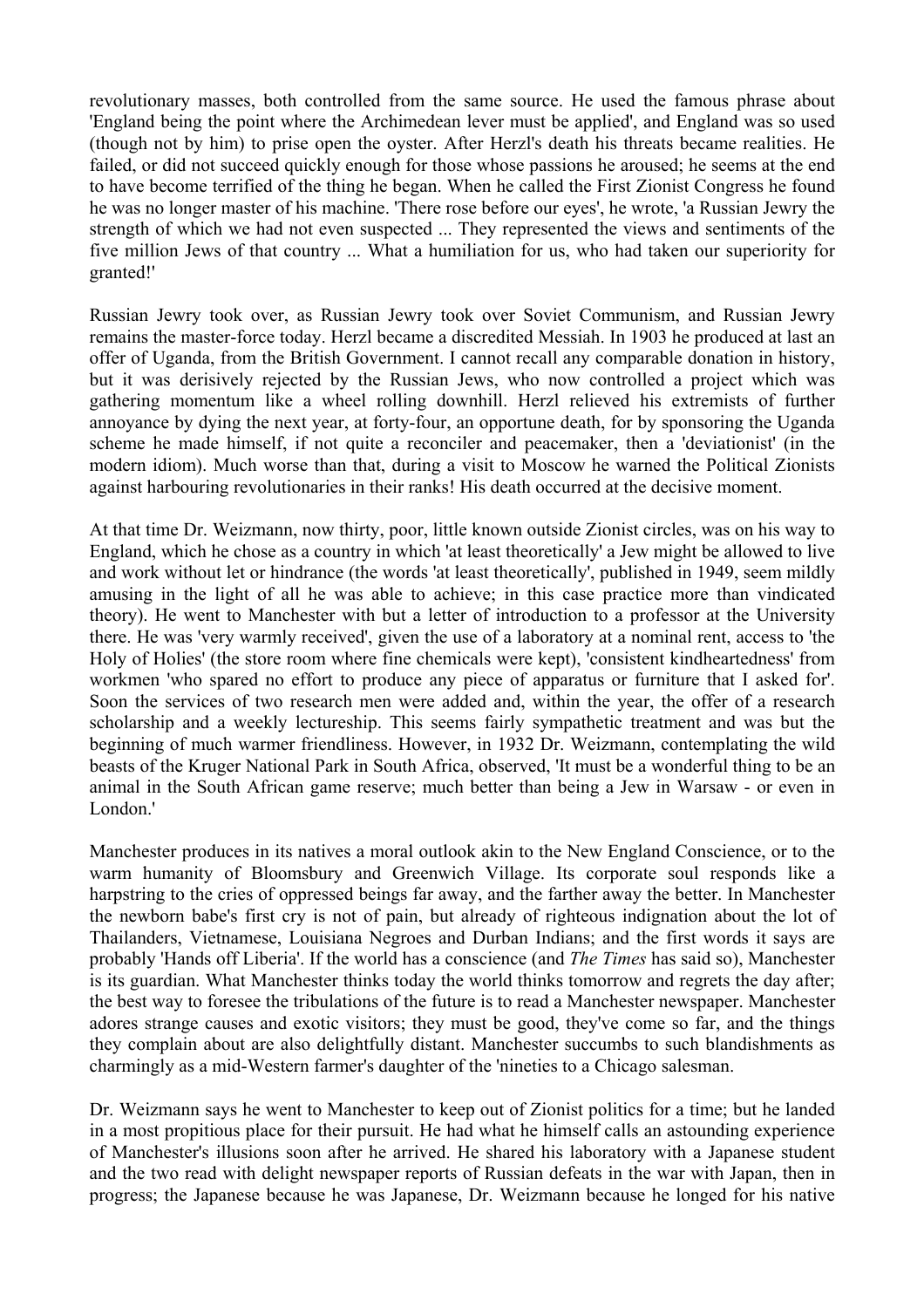revolutionary masses, both controlled from the same source. He used the famous phrase about 'England being the point where the Archimedean lever must be applied', and England was so used (though not by him) to prise open the oyster. After Herzl's death his threats became realities. He failed, or did not succeed quickly enough for those whose passions he aroused; he seems at the end to have become terrified of the thing he began. When he called the First Zionist Congress he found he was no longer master of his machine. 'There rose before our eyes', he wrote, 'a Russian Jewry the strength of which we had not even suspected ... They represented the views and sentiments of the five million Jews of that country ... What a humiliation for us, who had taken our superiority for granted!'

Russian Jewry took over, as Russian Jewry took over Soviet Communism, and Russian Jewry remains the master-force today. Herzl became a discredited Messiah. In 1903 he produced at last an offer of Uganda, from the British Government. I cannot recall any comparable donation in history, but it was derisively rejected by the Russian Jews, who now controlled a project which was gathering momentum like a wheel rolling downhill. Herzl relieved his extremists of further annoyance by dying the next year, at forty-four, an opportune death, for by sponsoring the Uganda scheme he made himself, if not quite a reconciler and peacemaker, then a 'deviationist' (in the modern idiom). Much worse than that, during a visit to Moscow he warned the Political Zionists against harbouring revolutionaries in their ranks! His death occurred at the decisive moment.

At that time Dr. Weizmann, now thirty, poor, little known outside Zionist circles, was on his way to England, which he chose as a country in which 'at least theoretically' a Jew might be allowed to live and work without let or hindrance (the words 'at least theoretically', published in 1949, seem mildly amusing in the light of all he was able to achieve; in this case practice more than vindicated theory). He went to Manchester with but a letter of introduction to a professor at the University there. He was 'very warmly received', given the use of a laboratory at a nominal rent, access to 'the Holy of Holies' (the store room where fine chemicals were kept), 'consistent kindheartedness' from workmen 'who spared no effort to produce any piece of apparatus or furniture that I asked for'. Soon the services of two research men were added and, within the year, the offer of a research scholarship and a weekly lectureship. This seems fairly sympathetic treatment and was but the beginning of much warmer friendliness. However, in 1932 Dr. Weizmann, contemplating the wild beasts of the Kruger National Park in South Africa, observed, 'It must be a wonderful thing to be an animal in the South African game reserve; much better than being a Jew in Warsaw - or even in London<sup>'</sup>

Manchester produces in its natives a moral outlook akin to the New England Conscience, or to the warm humanity of Bloomsbury and Greenwich Village. Its corporate soul responds like a harpstring to the cries of oppressed beings far away, and the farther away the better. In Manchester the newborn babe's first cry is not of pain, but already of righteous indignation about the lot of Thailanders, Vietnamese, Louisiana Negroes and Durban Indians; and the first words it says are probably 'Hands off Liberia'. If the world has a conscience (and *The Times* has said so), Manchester is its guardian. What Manchester thinks today the world thinks tomorrow and regrets the day after; the best way to foresee the tribulations of the future is to read a Manchester newspaper. Manchester adores strange causes and exotic visitors; they must be good, they've come so far, and the things they complain about are also delightfully distant. Manchester succumbs to such blandishments as charmingly as a mid-Western farmer's daughter of the 'nineties to a Chicago salesman.

Dr. Weizmann says he went to Manchester to keep out of Zionist politics for a time; but he landed in a most propitious place for their pursuit. He had what he himself calls an astounding experience of Manchester's illusions soon after he arrived. He shared his laboratory with a Japanese student and the two read with delight newspaper reports of Russian defeats in the war with Japan, then in progress; the Japanese because he was Japanese, Dr. Weizmann because he longed for his native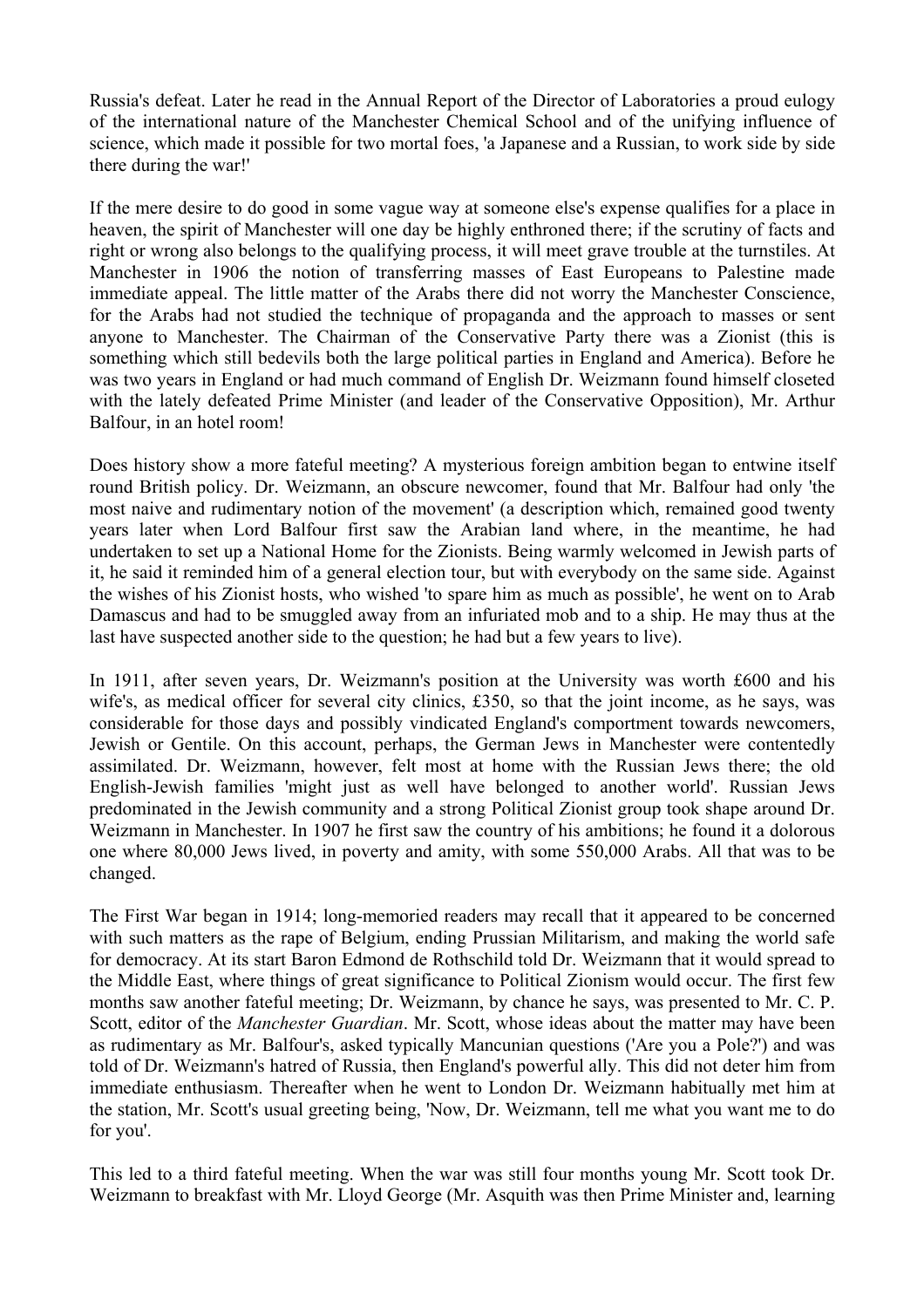Russia's defeat. Later he read in the Annual Report of the Director of Laboratories a proud eulogy of the international nature of the Manchester Chemical School and of the unifying influence of science, which made it possible for two mortal foes, 'a Japanese and a Russian, to work side by side there during the war!'

If the mere desire to do good in some vague way at someone else's expense qualifies for a place in heaven, the spirit of Manchester will one day be highly enthroned there; if the scrutiny of facts and right or wrong also belongs to the qualifying process, it will meet grave trouble at the turnstiles. At Manchester in 1906 the notion of transferring masses of East Europeans to Palestine made immediate appeal. The little matter of the Arabs there did not worry the Manchester Conscience, for the Arabs had not studied the technique of propaganda and the approach to masses or sent anyone to Manchester. The Chairman of the Conservative Party there was a Zionist (this is something which still bedevils both the large political parties in England and America). Before he was two years in England or had much command of English Dr. Weizmann found himself closeted with the lately defeated Prime Minister (and leader of the Conservative Opposition), Mr. Arthur Balfour, in an hotel room!

Does history show a more fateful meeting? A mysterious foreign ambition began to entwine itself round British policy. Dr. Weizmann, an obscure newcomer, found that Mr. Balfour had only 'the most naive and rudimentary notion of the movement' (a description which, remained good twenty years later when Lord Balfour first saw the Arabian land where, in the meantime, he had undertaken to set up a National Home for the Zionists. Being warmly welcomed in Jewish parts of it, he said it reminded him of a general election tour, but with everybody on the same side. Against the wishes of his Zionist hosts, who wished 'to spare him as much as possible', he went on to Arab Damascus and had to be smuggled away from an infuriated mob and to a ship. He may thus at the last have suspected another side to the question; he had but a few years to live).

In 1911, after seven years, Dr. Weizmann's position at the University was worth £600 and his wife's, as medical officer for several city clinics, £350, so that the joint income, as he says, was considerable for those days and possibly vindicated England's comportment towards newcomers, Jewish or Gentile. On this account, perhaps, the German Jews in Manchester were contentedly assimilated. Dr. Weizmann, however, felt most at home with the Russian Jews there; the old English-Jewish families 'might just as well have belonged to another world'. Russian Jews predominated in the Jewish community and a strong Political Zionist group took shape around Dr. Weizmann in Manchester. In 1907 he first saw the country of his ambitions; he found it a dolorous one where 80,000 Jews lived, in poverty and amity, with some 550,000 Arabs. All that was to be changed.

The First War began in 1914; long-memoried readers may recall that it appeared to be concerned with such matters as the rape of Belgium, ending Prussian Militarism, and making the world safe for democracy. At its start Baron Edmond de Rothschild told Dr. Weizmann that it would spread to the Middle East, where things of great significance to Political Zionism would occur. The first few months saw another fateful meeting; Dr. Weizmann, by chance he says, was presented to Mr. C. P. Scott, editor of the *Manchester Guardian*. Mr. Scott, whose ideas about the matter may have been as rudimentary as Mr. Balfour's, asked typically Mancunian questions ('Are you a Pole?') and was told of Dr. Weizmann's hatred of Russia, then England's powerful ally. This did not deter him from immediate enthusiasm. Thereafter when he went to London Dr. Weizmann habitually met him at the station, Mr. Scott's usual greeting being, 'Now, Dr. Weizmann, tell me what you want me to do for you'.

This led to a third fateful meeting. When the war was still four months young Mr. Scott took Dr. Weizmann to breakfast with Mr. Lloyd George (Mr. Asquith was then Prime Minister and, learning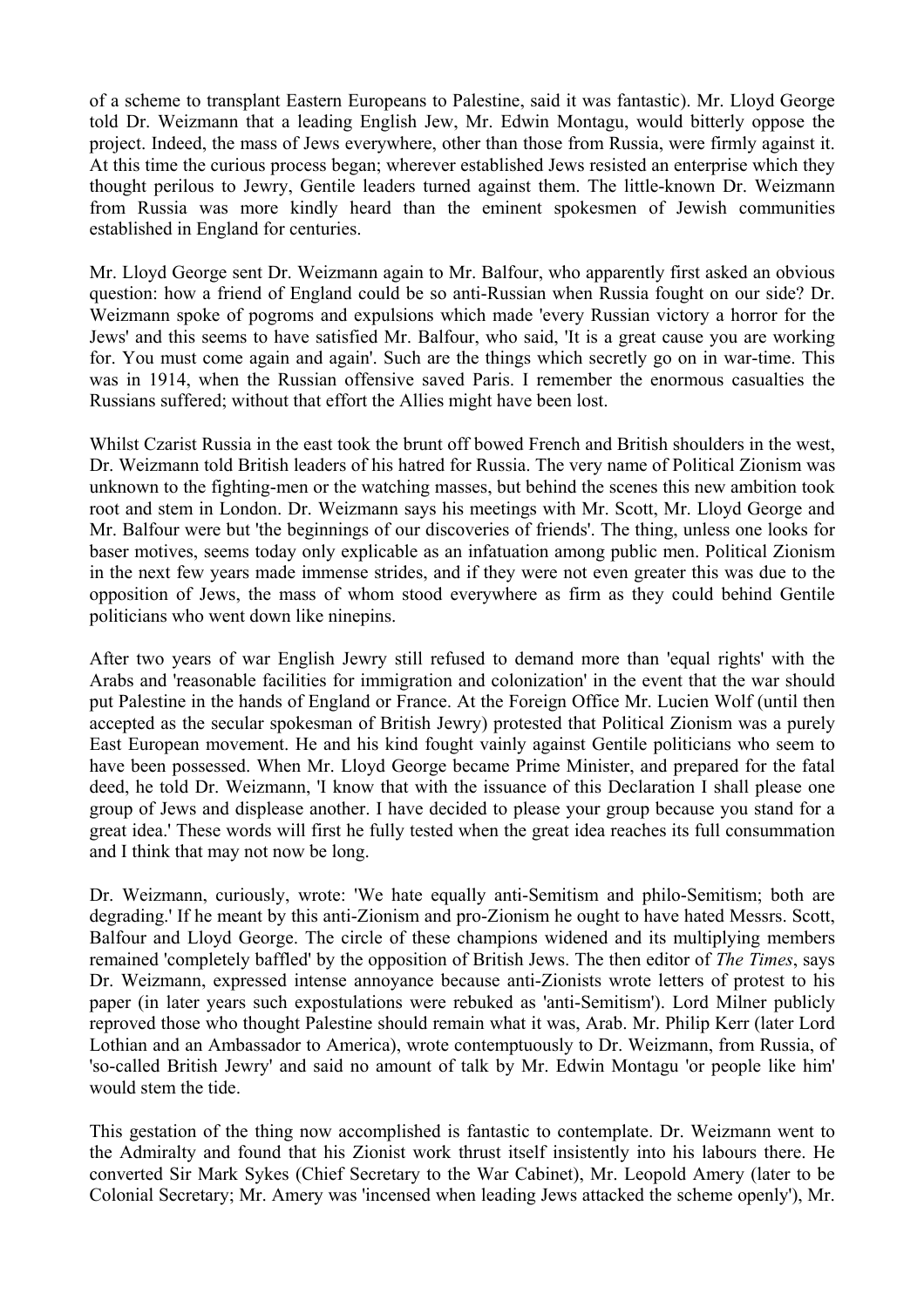of a scheme to transplant Eastern Europeans to Palestine, said it was fantastic). Mr. Lloyd George told Dr. Weizmann that a leading English Jew, Mr. Edwin Montagu, would bitterly oppose the project. Indeed, the mass of Jews everywhere, other than those from Russia, were firmly against it. At this time the curious process began; wherever established Jews resisted an enterprise which they thought perilous to Jewry, Gentile leaders turned against them. The little-known Dr. Weizmann from Russia was more kindly heard than the eminent spokesmen of Jewish communities established in England for centuries.

Mr. Lloyd George sent Dr. Weizmann again to Mr. Balfour, who apparently first asked an obvious question: how a friend of England could be so anti-Russian when Russia fought on our side? Dr. Weizmann spoke of pogroms and expulsions which made 'every Russian victory a horror for the Jews' and this seems to have satisfied Mr. Balfour, who said, 'It is a great cause you are working for. You must come again and again'. Such are the things which secretly go on in war-time. This was in 1914, when the Russian offensive saved Paris. I remember the enormous casualties the Russians suffered; without that effort the Allies might have been lost.

Whilst Czarist Russia in the east took the brunt off bowed French and British shoulders in the west, Dr. Weizmann told British leaders of his hatred for Russia. The very name of Political Zionism was unknown to the fighting-men or the watching masses, but behind the scenes this new ambition took root and stem in London. Dr. Weizmann says his meetings with Mr. Scott, Mr. Lloyd George and Mr. Balfour were but 'the beginnings of our discoveries of friends'. The thing, unless one looks for baser motives, seems today only explicable as an infatuation among public men. Political Zionism in the next few years made immense strides, and if they were not even greater this was due to the opposition of Jews, the mass of whom stood everywhere as firm as they could behind Gentile politicians who went down like ninepins.

After two years of war English Jewry still refused to demand more than 'equal rights' with the Arabs and 'reasonable facilities for immigration and colonization' in the event that the war should put Palestine in the hands of England or France. At the Foreign Office Mr. Lucien Wolf (until then accepted as the secular spokesman of British Jewry) protested that Political Zionism was a purely East European movement. He and his kind fought vainly against Gentile politicians who seem to have been possessed. When Mr. Lloyd George became Prime Minister, and prepared for the fatal deed, he told Dr. Weizmann, 'I know that with the issuance of this Declaration I shall please one group of Jews and displease another. I have decided to please your group because you stand for a great idea.' These words will first he fully tested when the great idea reaches its full consummation and I think that may not now be long.

Dr. Weizmann, curiously, wrote: 'We hate equally anti-Semitism and philo-Semitism; both are degrading.' If he meant by this anti-Zionism and pro-Zionism he ought to have hated Messrs. Scott, Balfour and Lloyd George. The circle of these champions widened and its multiplying members remained 'completely baffled' by the opposition of British Jews. The then editor of *The Times*, says Dr. Weizmann, expressed intense annoyance because anti-Zionists wrote letters of protest to his paper (in later years such expostulations were rebuked as 'anti-Semitism'). Lord Milner publicly reproved those who thought Palestine should remain what it was, Arab. Mr. Philip Kerr (later Lord Lothian and an Ambassador to America), wrote contemptuously to Dr. Weizmann, from Russia, of 'so-called British Jewry' and said no amount of talk by Mr. Edwin Montagu 'or people like him' would stem the tide.

This gestation of the thing now accomplished is fantastic to contemplate. Dr. Weizmann went to the Admiralty and found that his Zionist work thrust itself insistently into his labours there. He converted Sir Mark Sykes (Chief Secretary to the War Cabinet), Mr. Leopold Amery (later to be Colonial Secretary; Mr. Amery was 'incensed when leading Jews attacked the scheme openly'), Mr.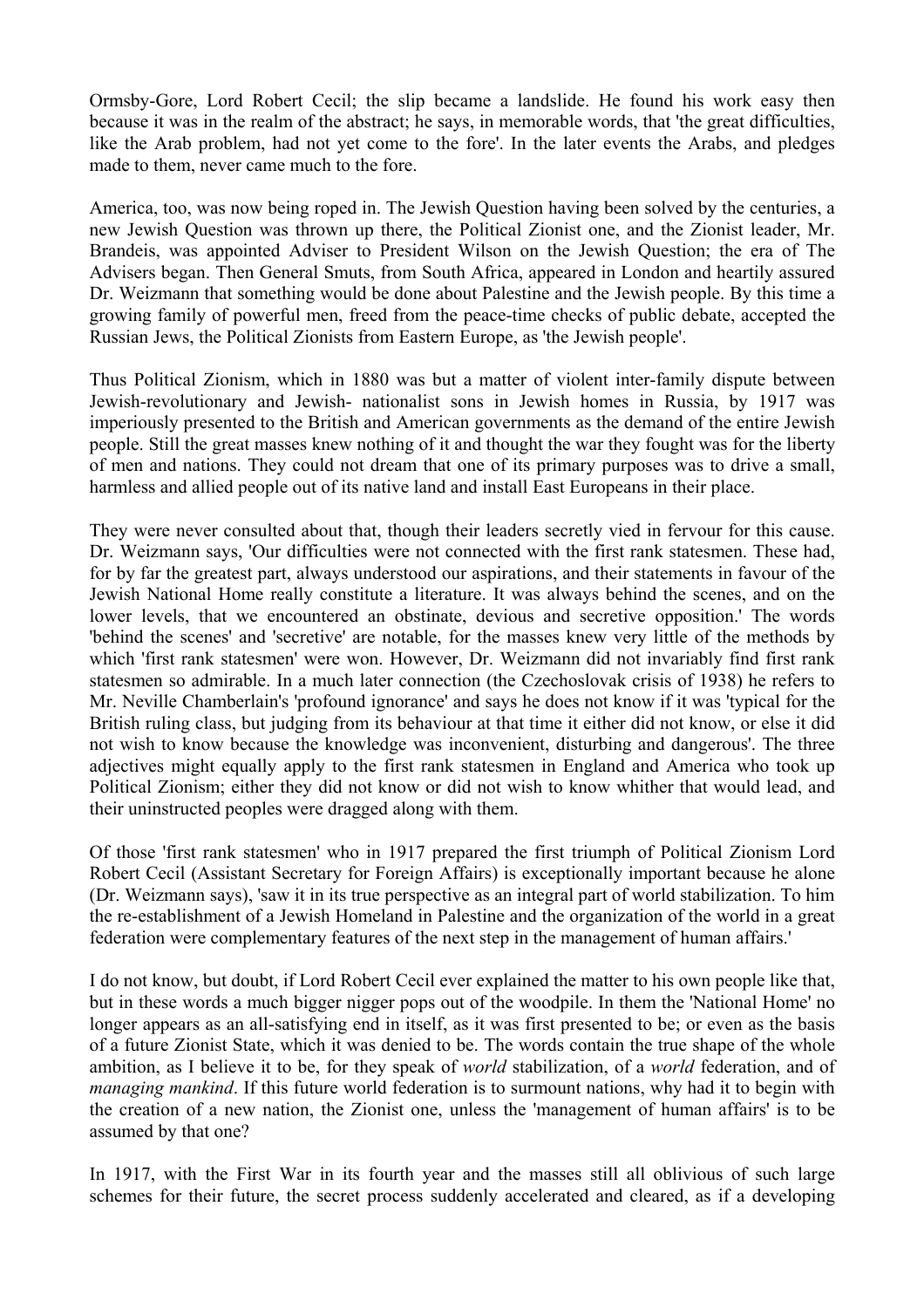Ormsby-Gore, Lord Robert Cecil; the slip became a landslide. He found his work easy then because it was in the realm of the abstract; he says, in memorable words, that 'the great difficulties, like the Arab problem, had not yet come to the fore'. In the later events the Arabs, and pledges made to them, never came much to the fore.

America, too, was now being roped in. The Jewish Question having been solved by the centuries, a new Jewish Question was thrown up there, the Political Zionist one, and the Zionist leader, Mr. Brandeis, was appointed Adviser to President Wilson on the Jewish Question; the era of The Advisers began. Then General Smuts, from South Africa, appeared in London and heartily assured Dr. Weizmann that something would be done about Palestine and the Jewish people. By this time a growing family of powerful men, freed from the peace-time checks of public debate, accepted the Russian Jews, the Political Zionists from Eastern Europe, as 'the Jewish people'.

Thus Political Zionism, which in 1880 was but a matter of violent inter-family dispute between Jewish-revolutionary and Jewish- nationalist sons in Jewish homes in Russia, by 1917 was imperiously presented to the British and American governments as the demand of the entire Jewish people. Still the great masses knew nothing of it and thought the war they fought was for the liberty of men and nations. They could not dream that one of its primary purposes was to drive a small, harmless and allied people out of its native land and install East Europeans in their place.

They were never consulted about that, though their leaders secretly vied in fervour for this cause. Dr. Weizmann says, 'Our difficulties were not connected with the first rank statesmen. These had, for by far the greatest part, always understood our aspirations, and their statements in favour of the Jewish National Home really constitute a literature. It was always behind the scenes, and on the lower levels, that we encountered an obstinate, devious and secretive opposition.' The words 'behind the scenes' and 'secretive' are notable, for the masses knew very little of the methods by which 'first rank statesmen' were won. However, Dr. Weizmann did not invariably find first rank statesmen so admirable. In a much later connection (the Czechoslovak crisis of 1938) he refers to Mr. Neville Chamberlain's 'profound ignorance' and says he does not know if it was 'typical for the British ruling class, but judging from its behaviour at that time it either did not know, or else it did not wish to know because the knowledge was inconvenient, disturbing and dangerous'. The three adjectives might equally apply to the first rank statesmen in England and America who took up Political Zionism; either they did not know or did not wish to know whither that would lead, and their uninstructed peoples were dragged along with them.

Of those 'first rank statesmen' who in 1917 prepared the first triumph of Political Zionism Lord Robert Cecil (Assistant Secretary for Foreign Affairs) is exceptionally important because he alone (Dr. Weizmann says), 'saw it in its true perspective as an integral part of world stabilization. To him the re-establishment of a Jewish Homeland in Palestine and the organization of the world in a great federation were complementary features of the next step in the management of human affairs.'

I do not know, but doubt, if Lord Robert Cecil ever explained the matter to his own people like that, but in these words a much bigger nigger pops out of the woodpile. In them the 'National Home' no longer appears as an all-satisfying end in itself, as it was first presented to be; or even as the basis of a future Zionist State, which it was denied to be. The words contain the true shape of the whole ambition, as I believe it to be, for they speak of *world* stabilization, of a *world* federation, and of *managing mankind*. If this future world federation is to surmount nations, why had it to begin with the creation of a new nation, the Zionist one, unless the 'management of human affairs' is to be assumed by that one?

In 1917, with the First War in its fourth year and the masses still all oblivious of such large schemes for their future, the secret process suddenly accelerated and cleared, as if a developing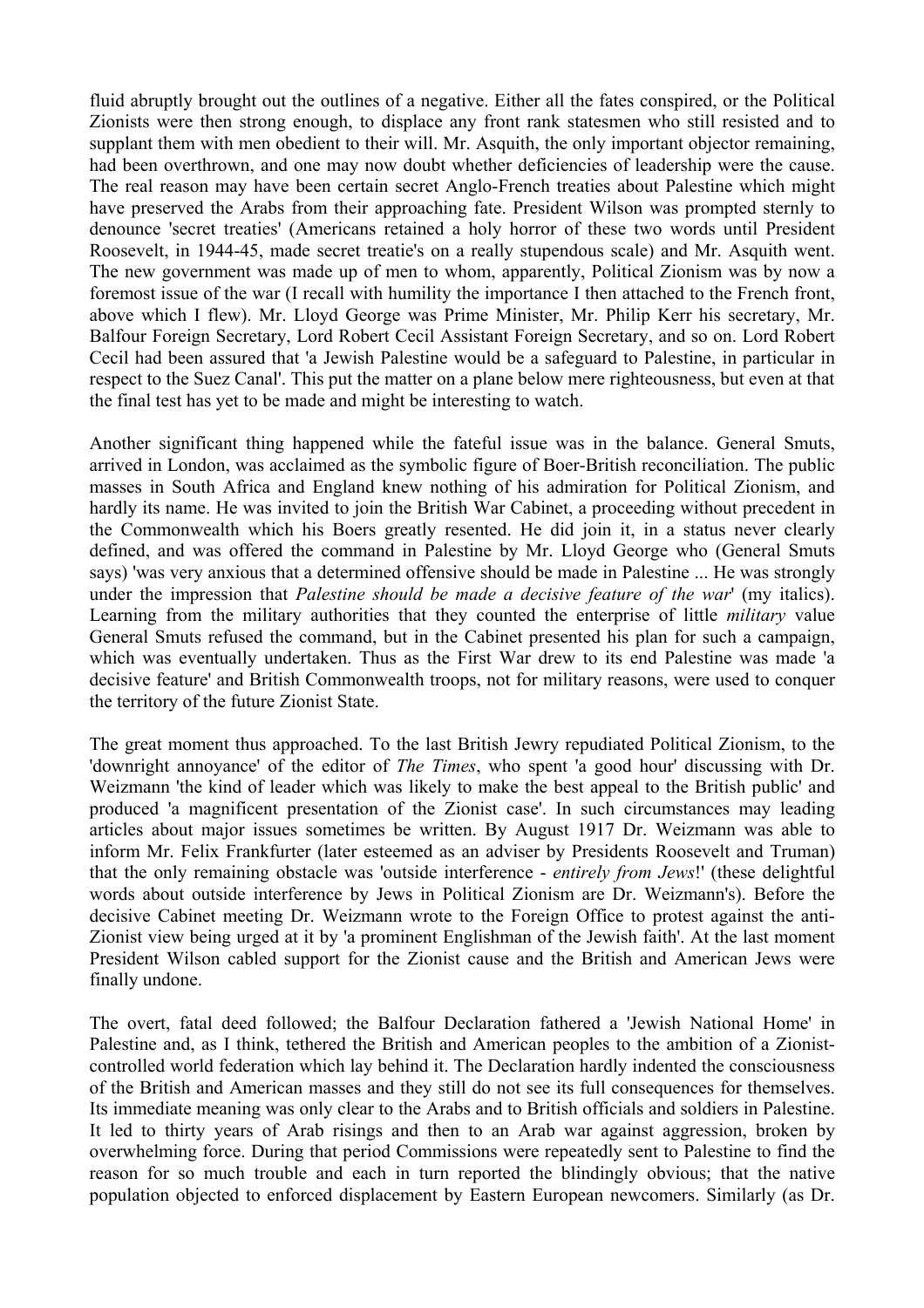fluid abruptly brought out the outlines of a negative. Either all the fates conspired, or the Political Zionists were then strong enough, to displace any front rank statesmen who still resisted and to supplant them with men obedient to their will. Mr. Asquith, the only important objector remaining, had been overthrown, and one may now doubt whether deficiencies of leadership were the cause. The real reason may have been certain secret Anglo-French treaties about Palestine which might have preserved the Arabs from their approaching fate. President Wilson was prompted sternly to denounce 'secret treaties' (Americans retained a holy horror of these two words until President Roosevelt, in 1944-45, made secret treatie's on a really stupendous scale) and Mr. Asquith went. The new government was made up of men to whom, apparently, Political Zionism was by now a foremost issue of the war (I recall with humility the importance I then attached to the French front, above which I flew). Mr. Lloyd George was Prime Minister, Mr. Philip Kerr his secretary, Mr. Balfour Foreign Secretary, Lord Robert Cecil Assistant Foreign Secretary, and so on. Lord Robert Cecil had been assured that 'a Jewish Palestine would be a safeguard to Palestine, in particular in respect to the Suez Canal'. This put the matter on a plane below mere righteousness, but even at that the final test has yet to be made and might be interesting to watch.

Another significant thing happened while the fateful issue was in the balance. General Smuts, arrived in London, was acclaimed as the symbolic figure of Boer-British reconciliation. The public masses in South Africa and England knew nothing of his admiration for Political Zionism, and hardly its name. He was invited to join the British War Cabinet, a proceeding without precedent in the Commonwealth which his Boers greatly resented. He did join it, in a status never clearly defined, and was offered the command in Palestine by Mr. Lloyd George who (General Smuts says) 'was very anxious that a determined offensive should be made in Palestine ... He was strongly under the impression that *Palestine should be made a decisive feature of the war*' (my italics). Learning from the military authorities that they counted the enterprise of little *military* value General Smuts refused the command, but in the Cabinet presented his plan for such a campaign, which was eventually undertaken. Thus as the First War drew to its end Palestine was made 'a decisive feature' and British Commonwealth troops, not for military reasons, were used to conquer the territory of the future Zionist State.

The great moment thus approached. To the last British Jewry repudiated Political Zionism, to the 'downright annoyance' of the editor of *The Times*, who spent 'a good hour' discussing with Dr. Weizmann 'the kind of leader which was likely to make the best appeal to the British public' and produced 'a magnificent presentation of the Zionist case'. In such circumstances may leading articles about major issues sometimes be written. By August 1917 Dr. Weizmann was able to inform Mr. Felix Frankfurter (later esteemed as an adviser by Presidents Roosevelt and Truman) that the only remaining obstacle was 'outside interference - *entirely from Jews*!' (these delightful words about outside interference by Jews in Political Zionism are Dr. Weizmann's). Before the decisive Cabinet meeting Dr. Weizmann wrote to the Foreign Office to protest against the anti-Zionist view being urged at it by 'a prominent Englishman of the Jewish faith'. At the last moment President Wilson cabled support for the Zionist cause and the British and American Jews were finally undone.

The overt, fatal deed followed; the Balfour Declaration fathered a 'Jewish National Home' in Palestine and, as I think, tethered the British and American peoples to the ambition of a Zionistcontrolled world federation which lay behind it. The Declaration hardly indented the consciousness of the British and American masses and they still do not see its full consequences for themselves. Its immediate meaning was only clear to the Arabs and to British officials and soldiers in Palestine. It led to thirty years of Arab risings and then to an Arab war against aggression, broken by overwhelming force. During that period Commissions were repeatedly sent to Palestine to find the reason for so much trouble and each in turn reported the blindingly obvious; that the native population objected to enforced displacement by Eastern European newcomers. Similarly (as Dr.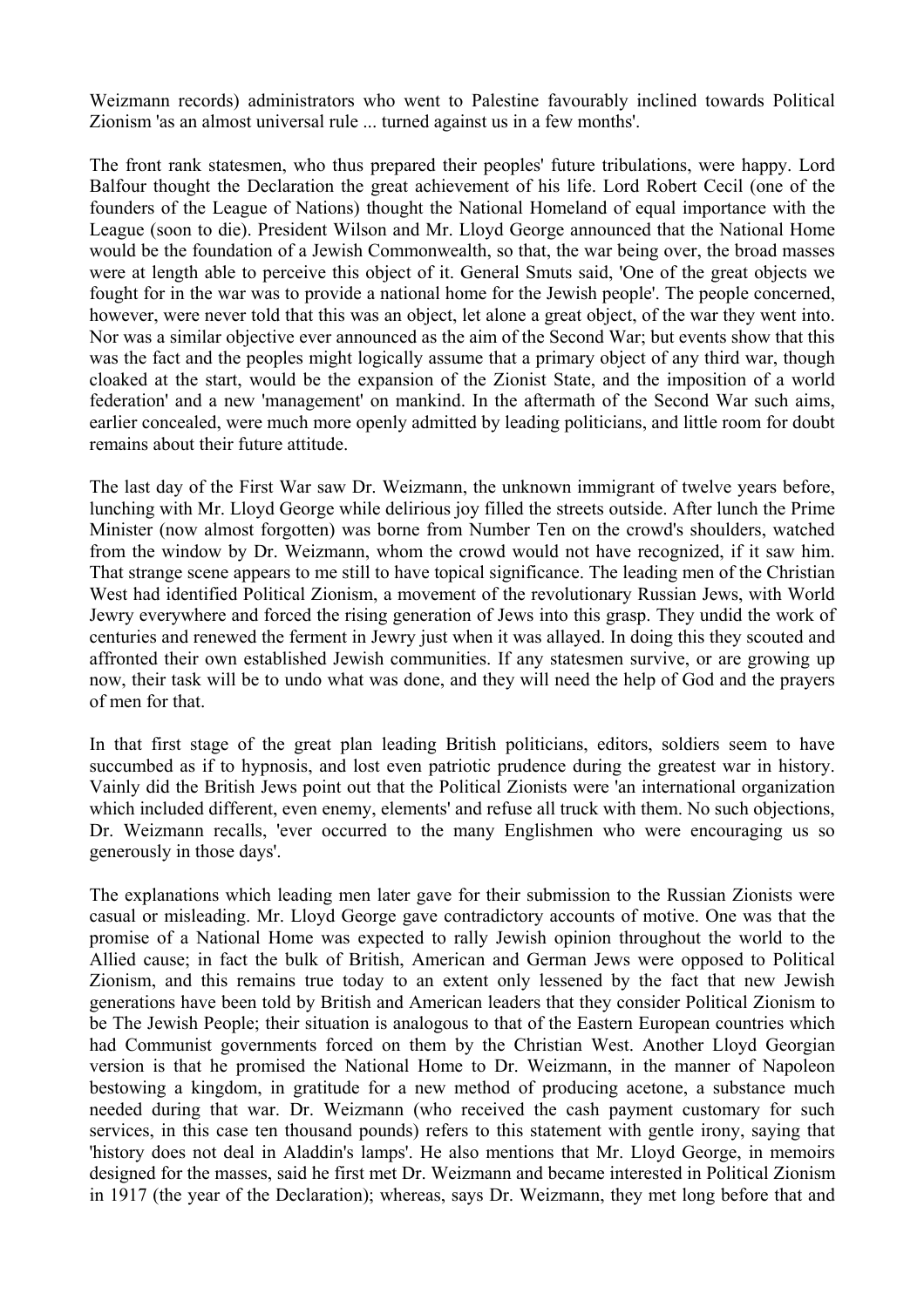Weizmann records) administrators who went to Palestine favourably inclined towards Political Zionism 'as an almost universal rule ... turned against us in a few months'.

The front rank statesmen, who thus prepared their peoples' future tribulations, were happy. Lord Balfour thought the Declaration the great achievement of his life. Lord Robert Cecil (one of the founders of the League of Nations) thought the National Homeland of equal importance with the League (soon to die). President Wilson and Mr. Lloyd George announced that the National Home would be the foundation of a Jewish Commonwealth, so that, the war being over, the broad masses were at length able to perceive this object of it. General Smuts said, 'One of the great objects we fought for in the war was to provide a national home for the Jewish people'. The people concerned, however, were never told that this was an object, let alone a great object, of the war they went into. Nor was a similar objective ever announced as the aim of the Second War; but events show that this was the fact and the peoples might logically assume that a primary object of any third war, though cloaked at the start, would be the expansion of the Zionist State, and the imposition of a world federation' and a new 'management' on mankind. In the aftermath of the Second War such aims, earlier concealed, were much more openly admitted by leading politicians, and little room for doubt remains about their future attitude.

The last day of the First War saw Dr. Weizmann, the unknown immigrant of twelve years before, lunching with Mr. Lloyd George while delirious joy filled the streets outside. After lunch the Prime Minister (now almost forgotten) was borne from Number Ten on the crowd's shoulders, watched from the window by Dr. Weizmann, whom the crowd would not have recognized, if it saw him. That strange scene appears to me still to have topical significance. The leading men of the Christian West had identified Political Zionism, a movement of the revolutionary Russian Jews, with World Jewry everywhere and forced the rising generation of Jews into this grasp. They undid the work of centuries and renewed the ferment in Jewry just when it was allayed. In doing this they scouted and affronted their own established Jewish communities. If any statesmen survive, or are growing up now, their task will be to undo what was done, and they will need the help of God and the prayers of men for that.

In that first stage of the great plan leading British politicians, editors, soldiers seem to have succumbed as if to hypnosis, and lost even patriotic prudence during the greatest war in history. Vainly did the British Jews point out that the Political Zionists were 'an international organization which included different, even enemy, elements' and refuse all truck with them. No such objections, Dr. Weizmann recalls, 'ever occurred to the many Englishmen who were encouraging us so generously in those days'.

The explanations which leading men later gave for their submission to the Russian Zionists were casual or misleading. Mr. Lloyd George gave contradictory accounts of motive. One was that the promise of a National Home was expected to rally Jewish opinion throughout the world to the Allied cause; in fact the bulk of British, American and German Jews were opposed to Political Zionism, and this remains true today to an extent only lessened by the fact that new Jewish generations have been told by British and American leaders that they consider Political Zionism to be The Jewish People; their situation is analogous to that of the Eastern European countries which had Communist governments forced on them by the Christian West. Another Lloyd Georgian version is that he promised the National Home to Dr. Weizmann, in the manner of Napoleon bestowing a kingdom, in gratitude for a new method of producing acetone, a substance much needed during that war. Dr. Weizmann (who received the cash payment customary for such services, in this case ten thousand pounds) refers to this statement with gentle irony, saying that 'history does not deal in Aladdin's lamps'. He also mentions that Mr. Lloyd George, in memoirs designed for the masses, said he first met Dr. Weizmann and became interested in Political Zionism in 1917 (the year of the Declaration); whereas, says Dr. Weizmann, they met long before that and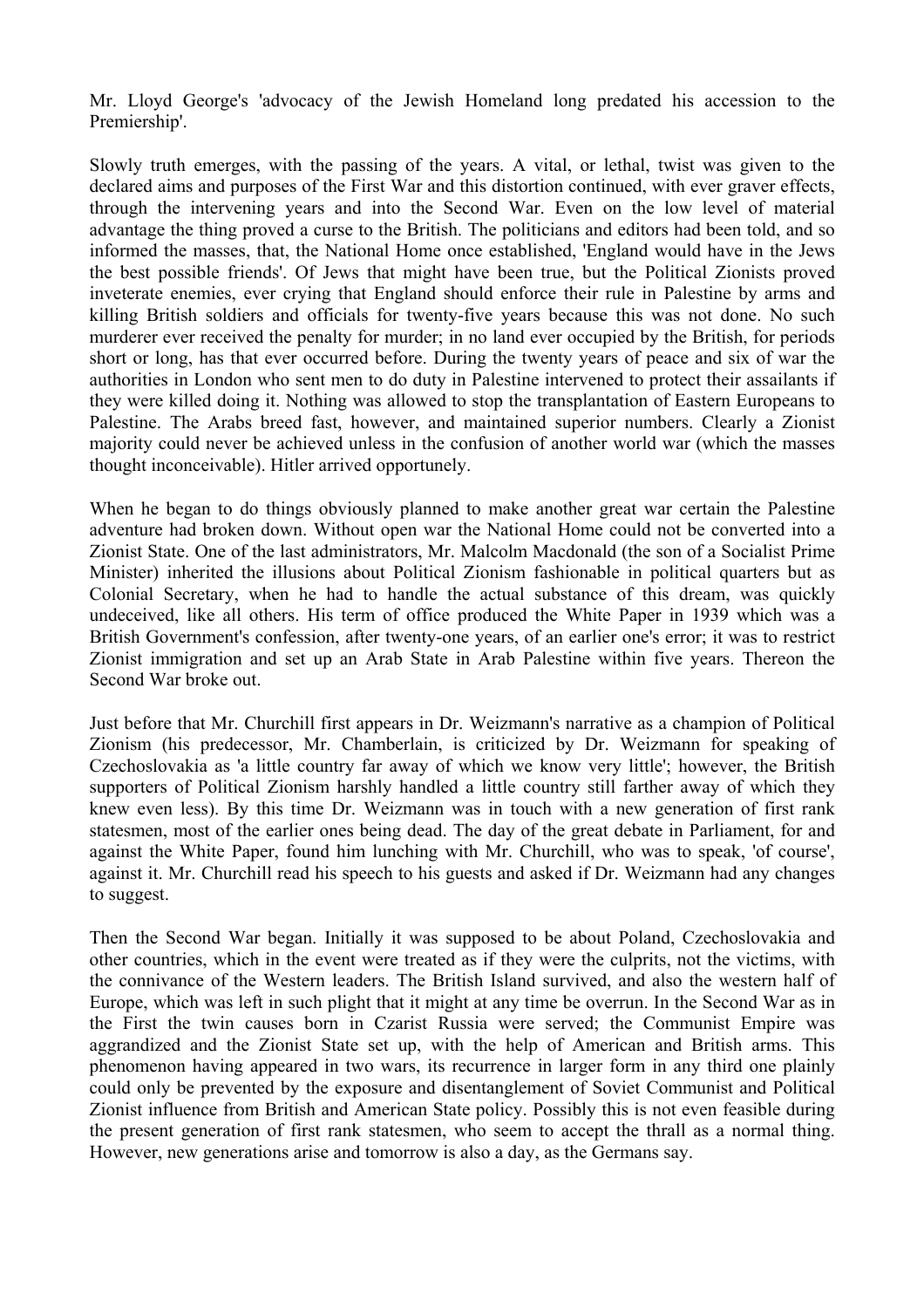Mr. Lloyd George's 'advocacy of the Jewish Homeland long predated his accession to the Premiership'.

Slowly truth emerges, with the passing of the years. A vital, or lethal, twist was given to the declared aims and purposes of the First War and this distortion continued, with ever graver effects, through the intervening years and into the Second War. Even on the low level of material advantage the thing proved a curse to the British. The politicians and editors had been told, and so informed the masses, that, the National Home once established, 'England would have in the Jews the best possible friends'. Of Jews that might have been true, but the Political Zionists proved inveterate enemies, ever crying that England should enforce their rule in Palestine by arms and killing British soldiers and officials for twenty-five years because this was not done. No such murderer ever received the penalty for murder; in no land ever occupied by the British, for periods short or long, has that ever occurred before. During the twenty years of peace and six of war the authorities in London who sent men to do duty in Palestine intervened to protect their assailants if they were killed doing it. Nothing was allowed to stop the transplantation of Eastern Europeans to Palestine. The Arabs breed fast, however, and maintained superior numbers. Clearly a Zionist majority could never be achieved unless in the confusion of another world war (which the masses thought inconceivable). Hitler arrived opportunely.

When he began to do things obviously planned to make another great war certain the Palestine adventure had broken down. Without open war the National Home could not be converted into a Zionist State. One of the last administrators, Mr. Malcolm Macdonald (the son of a Socialist Prime Minister) inherited the illusions about Political Zionism fashionable in political quarters but as Colonial Secretary, when he had to handle the actual substance of this dream, was quickly undeceived, like all others. His term of office produced the White Paper in 1939 which was a British Government's confession, after twenty-one years, of an earlier one's error; it was to restrict Zionist immigration and set up an Arab State in Arab Palestine within five years. Thereon the Second War broke out.

Just before that Mr. Churchill first appears in Dr. Weizmann's narrative as a champion of Political Zionism (his predecessor, Mr. Chamberlain, is criticized by Dr. Weizmann for speaking of Czechoslovakia as 'a little country far away of which we know very little'; however, the British supporters of Political Zionism harshly handled a little country still farther away of which they knew even less). By this time Dr. Weizmann was in touch with a new generation of first rank statesmen, most of the earlier ones being dead. The day of the great debate in Parliament, for and against the White Paper, found him lunching with Mr. Churchill, who was to speak, 'of course', against it. Mr. Churchill read his speech to his guests and asked if Dr. Weizmann had any changes to suggest.

Then the Second War began. Initially it was supposed to be about Poland, Czechoslovakia and other countries, which in the event were treated as if they were the culprits, not the victims, with the connivance of the Western leaders. The British Island survived, and also the western half of Europe, which was left in such plight that it might at any time be overrun. In the Second War as in the First the twin causes born in Czarist Russia were served; the Communist Empire was aggrandized and the Zionist State set up, with the help of American and British arms. This phenomenon having appeared in two wars, its recurrence in larger form in any third one plainly could only be prevented by the exposure and disentanglement of Soviet Communist and Political Zionist influence from British and American State policy. Possibly this is not even feasible during the present generation of first rank statesmen, who seem to accept the thrall as a normal thing. However, new generations arise and tomorrow is also a day, as the Germans say.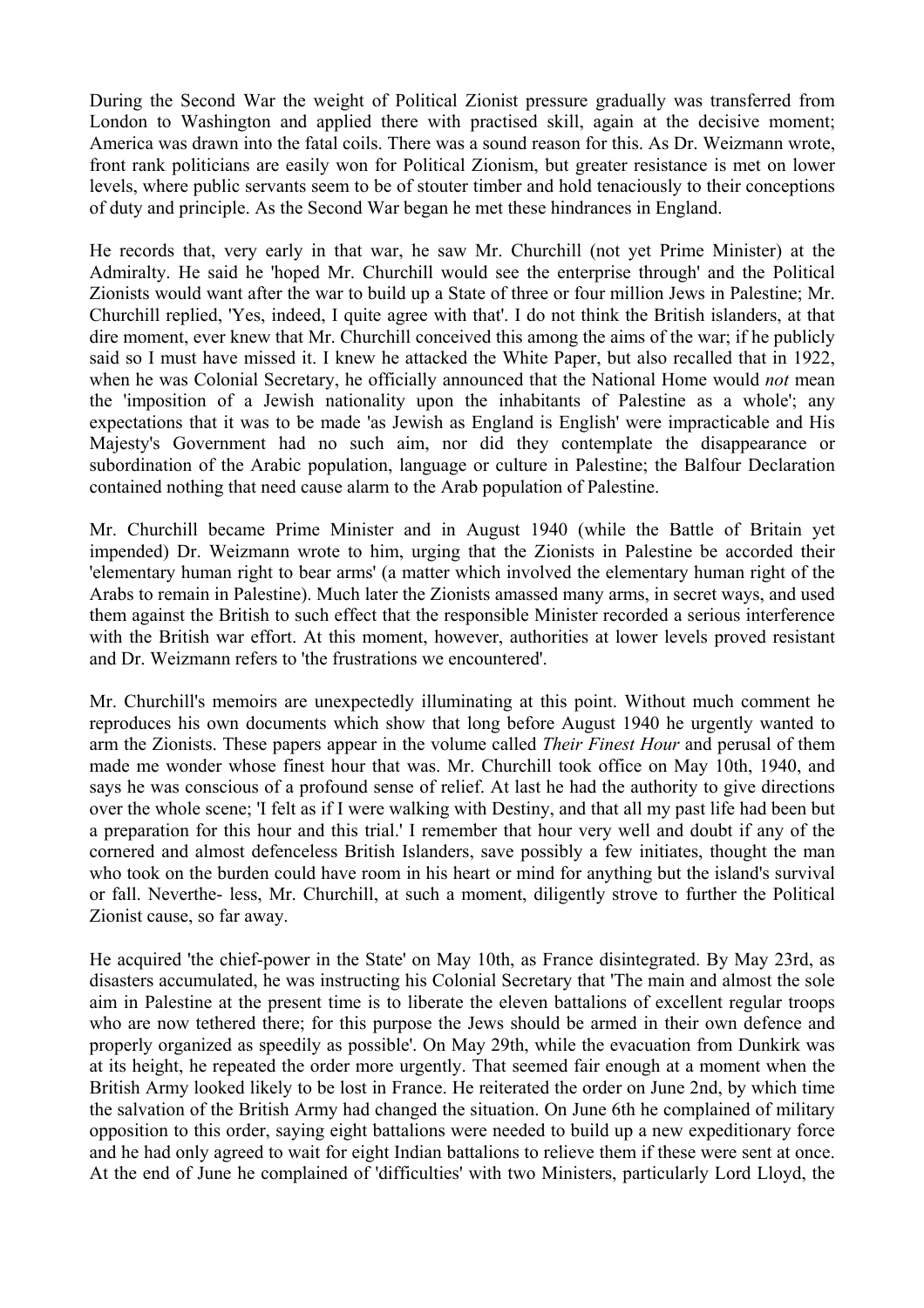During the Second War the weight of Political Zionist pressure gradually was transferred from London to Washington and applied there with practised skill, again at the decisive moment; America was drawn into the fatal coils. There was a sound reason for this. As Dr. Weizmann wrote, front rank politicians are easily won for Political Zionism, but greater resistance is met on lower levels, where public servants seem to be of stouter timber and hold tenaciously to their conceptions of duty and principle. As the Second War began he met these hindrances in England.

He records that, very early in that war, he saw Mr. Churchill (not yet Prime Minister) at the Admiralty. He said he 'hoped Mr. Churchill would see the enterprise through' and the Political Zionists would want after the war to build up a State of three or four million Jews in Palestine; Mr. Churchill replied, 'Yes, indeed, I quite agree with that'. I do not think the British islanders, at that dire moment, ever knew that Mr. Churchill conceived this among the aims of the war; if he publicly said so I must have missed it. I knew he attacked the White Paper, but also recalled that in 1922, when he was Colonial Secretary, he officially announced that the National Home would *not* mean the 'imposition of a Jewish nationality upon the inhabitants of Palestine as a whole'; any expectations that it was to be made 'as Jewish as England is English' were impracticable and His Majesty's Government had no such aim, nor did they contemplate the disappearance or subordination of the Arabic population, language or culture in Palestine; the Balfour Declaration contained nothing that need cause alarm to the Arab population of Palestine.

Mr. Churchill became Prime Minister and in August 1940 (while the Battle of Britain yet impended) Dr. Weizmann wrote to him, urging that the Zionists in Palestine be accorded their 'elementary human right to bear arms' (a matter which involved the elementary human right of the Arabs to remain in Palestine). Much later the Zionists amassed many arms, in secret ways, and used them against the British to such effect that the responsible Minister recorded a serious interference with the British war effort. At this moment, however, authorities at lower levels proved resistant and Dr. Weizmann refers to 'the frustrations we encountered'.

Mr. Churchill's memoirs are unexpectedly illuminating at this point. Without much comment he reproduces his own documents which show that long before August 1940 he urgently wanted to arm the Zionists. These papers appear in the volume called *Their Finest Hour* and perusal of them made me wonder whose finest hour that was. Mr. Churchill took office on May 10th, 1940, and says he was conscious of a profound sense of relief. At last he had the authority to give directions over the whole scene; 'I felt as if I were walking with Destiny, and that all my past life had been but a preparation for this hour and this trial.' I remember that hour very well and doubt if any of the cornered and almost defenceless British Islanders, save possibly a few initiates, thought the man who took on the burden could have room in his heart or mind for anything but the island's survival or fall. Neverthe- less, Mr. Churchill, at such a moment, diligently strove to further the Political Zionist cause, so far away.

He acquired 'the chief-power in the State' on May 10th, as France disintegrated. By May 23rd, as disasters accumulated, he was instructing his Colonial Secretary that 'The main and almost the sole aim in Palestine at the present time is to liberate the eleven battalions of excellent regular troops who are now tethered there; for this purpose the Jews should be armed in their own defence and properly organized as speedily as possible'. On May 29th, while the evacuation from Dunkirk was at its height, he repeated the order more urgently. That seemed fair enough at a moment when the British Army looked likely to be lost in France. He reiterated the order on June 2nd, by which time the salvation of the British Army had changed the situation. On June 6th he complained of military opposition to this order, saying eight battalions were needed to build up a new expeditionary force and he had only agreed to wait for eight Indian battalions to relieve them if these were sent at once. At the end of June he complained of 'difficulties' with two Ministers, particularly Lord Lloyd, the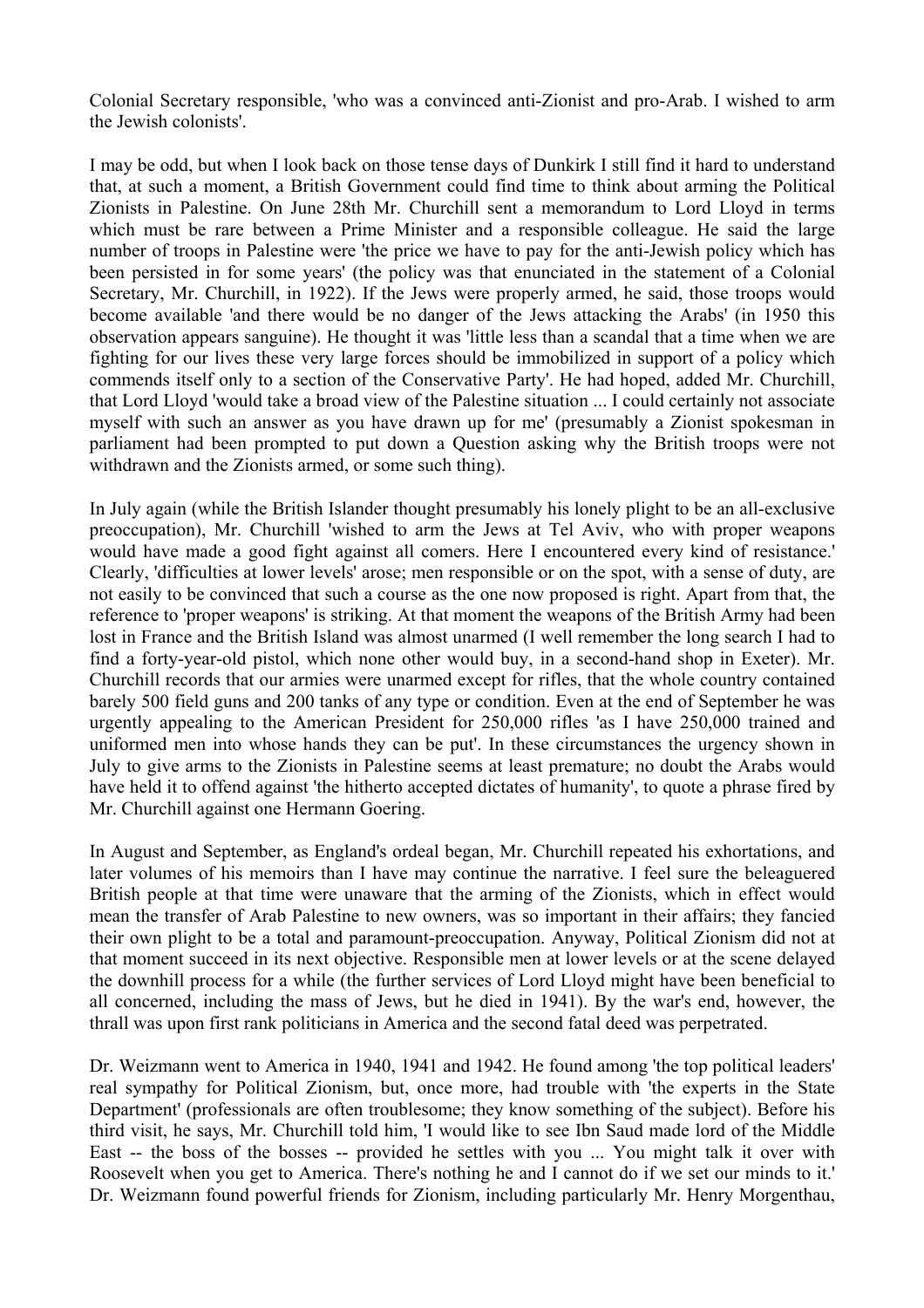Colonial Secretary responsible, 'who was a convinced anti-Zionist and pro-Arab. I wished to arm the Jewish colonists'.

I may be odd, but when I look back on those tense days of Dunkirk I still find it hard to understand that, at such a moment, a British Government could find time to think about arming the Political Zionists in Palestine. On June 28th Mr. Churchill sent a memorandum to Lord Lloyd in terms which must be rare between a Prime Minister and a responsible colleague. He said the large number of troops in Palestine were 'the price we have to pay for the anti-Jewish policy which has been persisted in for some years' (the policy was that enunciated in the statement of a Colonial Secretary, Mr. Churchill, in 1922). If the Jews were properly armed, he said, those troops would become available 'and there would be no danger of the Jews attacking the Arabs' (in 1950 this observation appears sanguine). He thought it was 'little less than a scandal that a time when we are fighting for our lives these very large forces should be immobilized in support of a policy which commends itself only to a section of the Conservative Party'. He had hoped, added Mr. Churchill, that Lord Lloyd 'would take a broad view of the Palestine situation ... I could certainly not associate myself with such an answer as you have drawn up for me' (presumably a Zionist spokesman in parliament had been prompted to put down a Question asking why the British troops were not withdrawn and the Zionists armed, or some such thing).

In July again (while the British Islander thought presumably his lonely plight to be an all-exclusive preoccupation), Mr. Churchill 'wished to arm the Jews at Tel Aviv, who with proper weapons would have made a good fight against all comers. Here I encountered every kind of resistance.' Clearly, 'difficulties at lower levels' arose; men responsible or on the spot, with a sense of duty, are not easily to be convinced that such a course as the one now proposed is right. Apart from that, the reference to 'proper weapons' is striking. At that moment the weapons of the British Army had been lost in France and the British Island was almost unarmed (I well remember the long search I had to find a forty-year-old pistol, which none other would buy, in a second-hand shop in Exeter). Mr. Churchill records that our armies were unarmed except for rifles, that the whole country contained barely 500 field guns and 200 tanks of any type or condition. Even at the end of September he was urgently appealing to the American President for 250,000 rifles 'as I have 250,000 trained and uniformed men into whose hands they can be put'. In these circumstances the urgency shown in July to give arms to the Zionists in Palestine seems at least premature; no doubt the Arabs would have held it to offend against 'the hitherto accepted dictates of humanity', to quote a phrase fired by Mr. Churchill against one Hermann Goering.

In August and September, as England's ordeal began, Mr. Churchill repeated his exhortations, and later volumes of his memoirs than I have may continue the narrative. I feel sure the beleaguered British people at that time were unaware that the arming of the Zionists, which in effect would mean the transfer of Arab Palestine to new owners, was so important in their affairs; they fancied their own plight to be a total and paramount-preoccupation. Anyway, Political Zionism did not at that moment succeed in its next objective. Responsible men at lower levels or at the scene delayed the downhill process for a while (the further services of Lord Lloyd might have been beneficial to all concerned, including the mass of Jews, but he died in 1941). By the war's end, however, the thrall was upon first rank politicians in America and the second fatal deed was perpetrated.

Dr. Weizmann went to America in 1940, 1941 and 1942. He found among 'the top political leaders' real sympathy for Political Zionism, but, once more, had trouble with 'the experts in the State Department' (professionals are often troublesome; they know something of the subject). Before his third visit, he says, Mr. Churchill told him, 'I would like to see Ibn Saud made lord of the Middle East -- the boss of the bosses -- provided he settles with you ... You might talk it over with Roosevelt when you get to America. There's nothing he and I cannot do if we set our minds to it.' Dr. Weizmann found powerful friends for Zionism, including particularly Mr. Henry Morgenthau,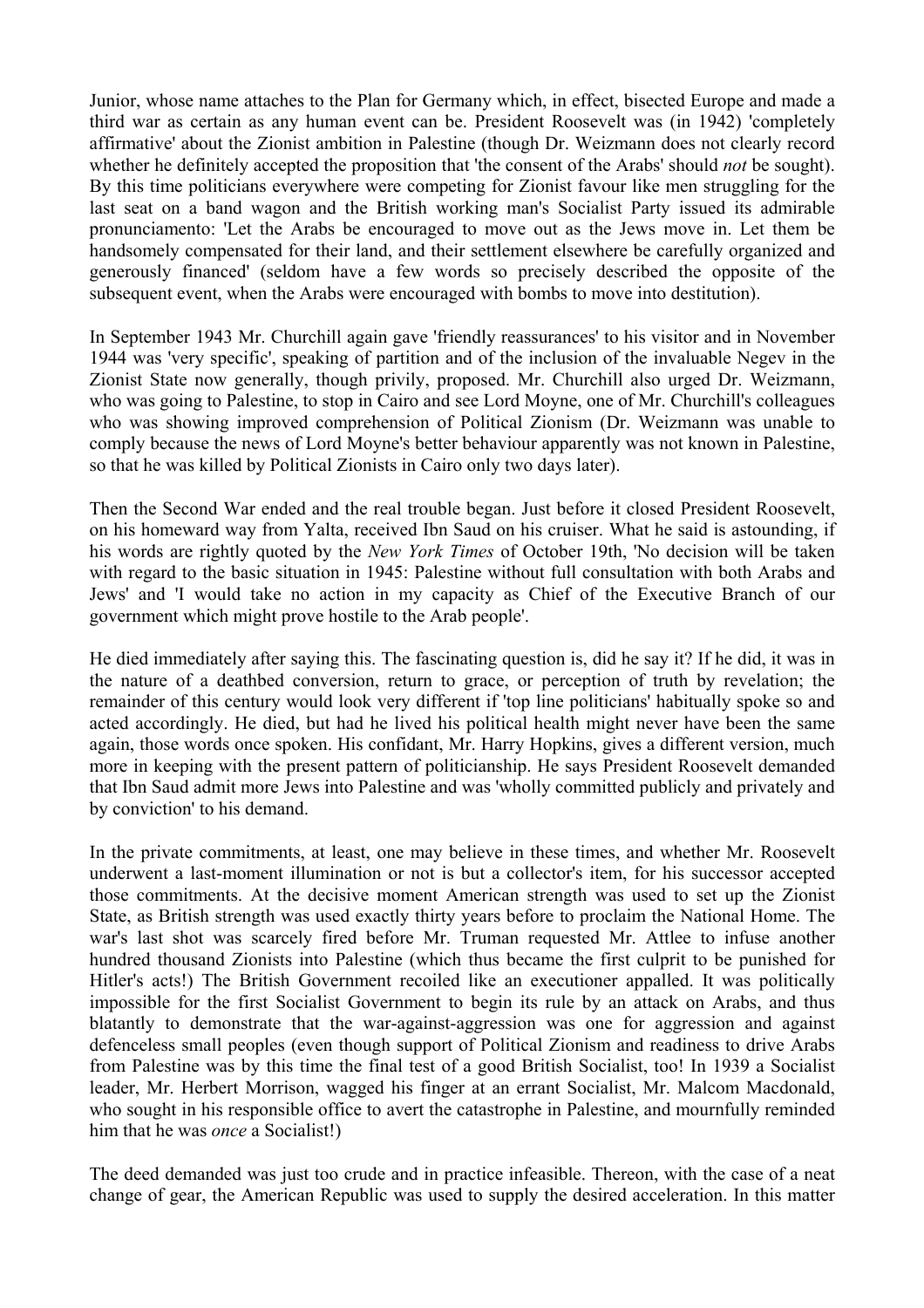Junior, whose name attaches to the Plan for Germany which, in effect, bisected Europe and made a third war as certain as any human event can be. President Roosevelt was (in 1942) 'completely affirmative' about the Zionist ambition in Palestine (though Dr. Weizmann does not clearly record whether he definitely accepted the proposition that 'the consent of the Arabs' should *not* be sought). By this time politicians everywhere were competing for Zionist favour like men struggling for the last seat on a band wagon and the British working man's Socialist Party issued its admirable pronunciamento: 'Let the Arabs be encouraged to move out as the Jews move in. Let them be handsomely compensated for their land, and their settlement elsewhere be carefully organized and generously financed' (seldom have a few words so precisely described the opposite of the subsequent event, when the Arabs were encouraged with bombs to move into destitution).

In September 1943 Mr. Churchill again gave 'friendly reassurances' to his visitor and in November 1944 was 'very specific', speaking of partition and of the inclusion of the invaluable Negev in the Zionist State now generally, though privily, proposed. Mr. Churchill also urged Dr. Weizmann, who was going to Palestine, to stop in Cairo and see Lord Moyne, one of Mr. Churchill's colleagues who was showing improved comprehension of Political Zionism (Dr. Weizmann was unable to comply because the news of Lord Moyne's better behaviour apparently was not known in Palestine, so that he was killed by Political Zionists in Cairo only two days later).

Then the Second War ended and the real trouble began. Just before it closed President Roosevelt, on his homeward way from Yalta, received Ibn Saud on his cruiser. What he said is astounding, if his words are rightly quoted by the *New York Times* of October 19th, 'No decision will be taken with regard to the basic situation in 1945: Palestine without full consultation with both Arabs and Jews' and 'I would take no action in my capacity as Chief of the Executive Branch of our government which might prove hostile to the Arab people'.

He died immediately after saying this. The fascinating question is, did he say it? If he did, it was in the nature of a deathbed conversion, return to grace, or perception of truth by revelation; the remainder of this century would look very different if 'top line politicians' habitually spoke so and acted accordingly. He died, but had he lived his political health might never have been the same again, those words once spoken. His confidant, Mr. Harry Hopkins, gives a different version, much more in keeping with the present pattern of politicianship. He says President Roosevelt demanded that Ibn Saud admit more Jews into Palestine and was 'wholly committed publicly and privately and by conviction' to his demand.

In the private commitments, at least, one may believe in these times, and whether Mr. Roosevelt underwent a last-moment illumination or not is but a collector's item, for his successor accepted those commitments. At the decisive moment American strength was used to set up the Zionist State, as British strength was used exactly thirty years before to proclaim the National Home. The war's last shot was scarcely fired before Mr. Truman requested Mr. Attlee to infuse another hundred thousand Zionists into Palestine (which thus became the first culprit to be punished for Hitler's acts!) The British Government recoiled like an executioner appalled. It was politically impossible for the first Socialist Government to begin its rule by an attack on Arabs, and thus blatantly to demonstrate that the war-against-aggression was one for aggression and against defenceless small peoples (even though support of Political Zionism and readiness to drive Arabs from Palestine was by this time the final test of a good British Socialist, too! In 1939 a Socialist leader, Mr. Herbert Morrison, wagged his finger at an errant Socialist, Mr. Malcom Macdonald, who sought in his responsible office to avert the catastrophe in Palestine, and mournfully reminded him that he was *once* a Socialist!)

The deed demanded was just too crude and in practice infeasible. Thereon, with the case of a neat change of gear, the American Republic was used to supply the desired acceleration. In this matter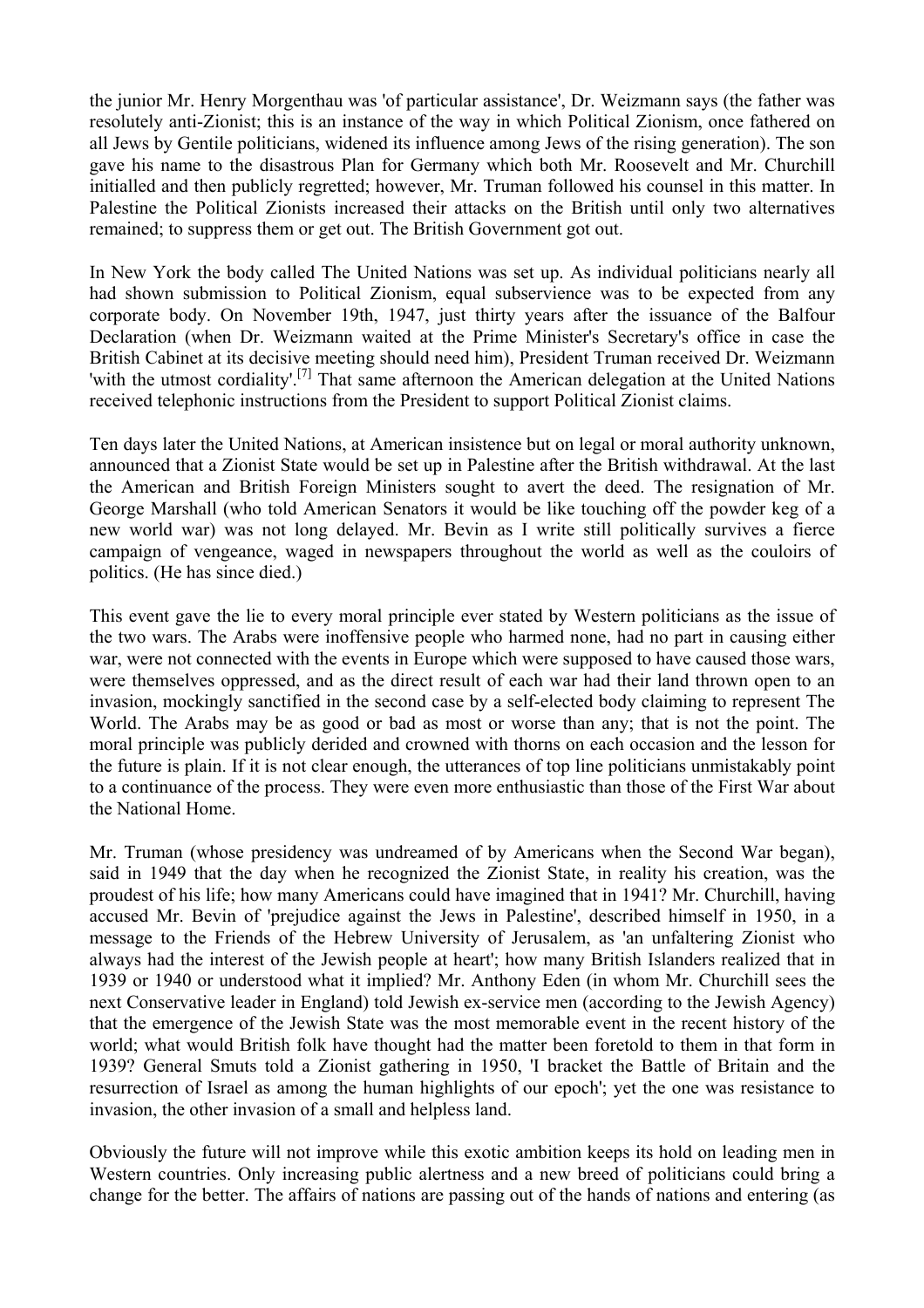the junior Mr. Henry Morgenthau was 'of particular assistance', Dr. Weizmann says (the father was resolutely anti-Zionist; this is an instance of the way in which Political Zionism, once fathered on all Jews by Gentile politicians, widened its influence among Jews of the rising generation). The son gave his name to the disastrous Plan for Germany which both Mr. Roosevelt and Mr. Churchill initialled and then publicly regretted; however, Mr. Truman followed his counsel in this matter. In Palestine the Political Zionists increased their attacks on the British until only two alternatives remained; to suppress them or get out. The British Government got out.

In New York the body called The United Nations was set up. As individual politicians nearly all had shown submission to Political Zionism, equal subservience was to be expected from any corporate body. On November 19th, 1947, just thirty years after the issuance of the Balfour Declaration (when Dr. Weizmann waited at the Prime Minister's Secretary's office in case the British Cabinet at its decisive meeting should need him), President Truman received Dr. Weizmann 'with the utmost cordiality'.<sup>[\[7\]](#page-237-0)</sup> That same afternoon the American delegation at the United Nations received telephonic instructions from the President to support Political Zionist claims.

Ten days later the United Nations, at American insistence but on legal or moral authority unknown, announced that a Zionist State would be set up in Palestine after the British withdrawal. At the last the American and British Foreign Ministers sought to avert the deed. The resignation of Mr. George Marshall (who told American Senators it would be like touching off the powder keg of a new world war) was not long delayed. Mr. Bevin as I write still politically survives a fierce campaign of vengeance, waged in newspapers throughout the world as well as the couloirs of politics. (He has since died.)

This event gave the lie to every moral principle ever stated by Western politicians as the issue of the two wars. The Arabs were inoffensive people who harmed none, had no part in causing either war, were not connected with the events in Europe which were supposed to have caused those wars, were themselves oppressed, and as the direct result of each war had their land thrown open to an invasion, mockingly sanctified in the second case by a self-elected body claiming to represent The World. The Arabs may be as good or bad as most or worse than any; that is not the point. The moral principle was publicly derided and crowned with thorns on each occasion and the lesson for the future is plain. If it is not clear enough, the utterances of top line politicians unmistakably point to a continuance of the process. They were even more enthusiastic than those of the First War about the National Home.

Mr. Truman (whose presidency was undreamed of by Americans when the Second War began), said in 1949 that the day when he recognized the Zionist State, in reality his creation, was the proudest of his life; how many Americans could have imagined that in 1941? Mr. Churchill, having accused Mr. Bevin of 'prejudice against the Jews in Palestine', described himself in 1950, in a message to the Friends of the Hebrew University of Jerusalem, as 'an unfaltering Zionist who always had the interest of the Jewish people at heart'; how many British Islanders realized that in 1939 or 1940 or understood what it implied? Mr. Anthony Eden (in whom Mr. Churchill sees the next Conservative leader in England) told Jewish ex-service men (according to the Jewish Agency) that the emergence of the Jewish State was the most memorable event in the recent history of the world; what would British folk have thought had the matter been foretold to them in that form in 1939? General Smuts told a Zionist gathering in 1950, 'I bracket the Battle of Britain and the resurrection of Israel as among the human highlights of our epoch'; yet the one was resistance to invasion, the other invasion of a small and helpless land.

Obviously the future will not improve while this exotic ambition keeps its hold on leading men in Western countries. Only increasing public alertness and a new breed of politicians could bring a change for the better. The affairs of nations are passing out of the hands of nations and entering (as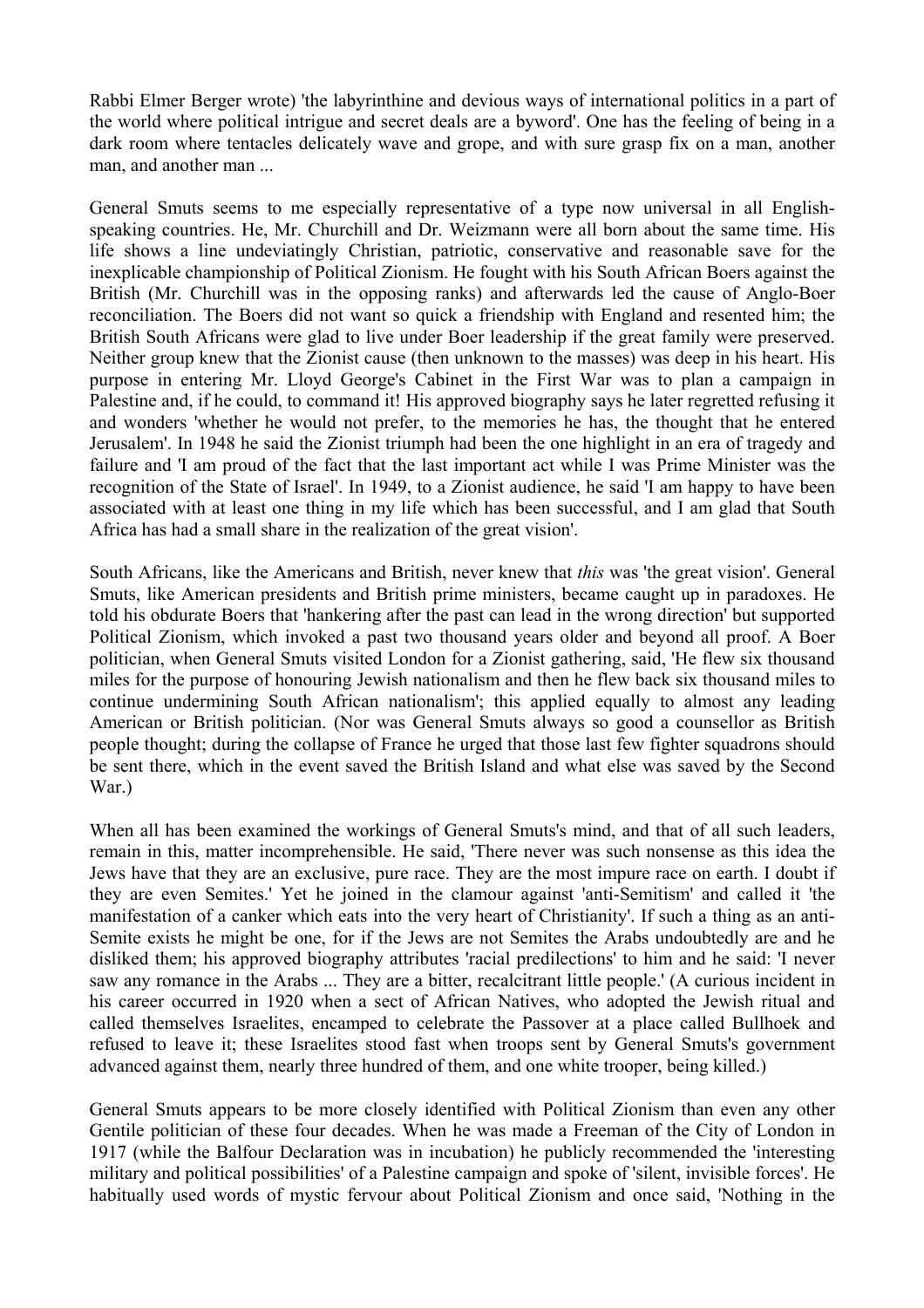Rabbi Elmer Berger wrote) 'the labyrinthine and devious ways of international politics in a part of the world where political intrigue and secret deals are a byword'. One has the feeling of being in a dark room where tentacles delicately wave and grope, and with sure grasp fix on a man, another man, and another man ...

General Smuts seems to me especially representative of a type now universal in all Englishspeaking countries. He, Mr. Churchill and Dr. Weizmann were all born about the same time. His life shows a line undeviatingly Christian, patriotic, conservative and reasonable save for the inexplicable championship of Political Zionism. He fought with his South African Boers against the British (Mr. Churchill was in the opposing ranks) and afterwards led the cause of Anglo-Boer reconciliation. The Boers did not want so quick a friendship with England and resented him; the British South Africans were glad to live under Boer leadership if the great family were preserved. Neither group knew that the Zionist cause (then unknown to the masses) was deep in his heart. His purpose in entering Mr. Lloyd George's Cabinet in the First War was to plan a campaign in Palestine and, if he could, to command it! His approved biography says he later regretted refusing it and wonders 'whether he would not prefer, to the memories he has, the thought that he entered Jerusalem'. In 1948 he said the Zionist triumph had been the one highlight in an era of tragedy and failure and 'I am proud of the fact that the last important act while I was Prime Minister was the recognition of the State of Israel'. In 1949, to a Zionist audience, he said 'I am happy to have been associated with at least one thing in my life which has been successful, and I am glad that South Africa has had a small share in the realization of the great vision'.

South Africans, like the Americans and British, never knew that *this* was 'the great vision'. General Smuts, like American presidents and British prime ministers, became caught up in paradoxes. He told his obdurate Boers that 'hankering after the past can lead in the wrong direction' but supported Political Zionism, which invoked a past two thousand years older and beyond all proof. A Boer politician, when General Smuts visited London for a Zionist gathering, said, 'He flew six thousand miles for the purpose of honouring Jewish nationalism and then he flew back six thousand miles to continue undermining South African nationalism'; this applied equally to almost any leading American or British politician. (Nor was General Smuts always so good a counsellor as British people thought; during the collapse of France he urged that those last few fighter squadrons should be sent there, which in the event saved the British Island and what else was saved by the Second War.)

When all has been examined the workings of General Smuts's mind, and that of all such leaders, remain in this, matter incomprehensible. He said, 'There never was such nonsense as this idea the Jews have that they are an exclusive, pure race. They are the most impure race on earth. I doubt if they are even Semites.' Yet he joined in the clamour against 'anti-Semitism' and called it 'the manifestation of a canker which eats into the very heart of Christianity'. If such a thing as an anti-Semite exists he might be one, for if the Jews are not Semites the Arabs undoubtedly are and he disliked them; his approved biography attributes 'racial predilections' to him and he said: 'I never saw any romance in the Arabs ... They are a bitter, recalcitrant little people.' (A curious incident in his career occurred in 1920 when a sect of African Natives, who adopted the Jewish ritual and called themselves Israelites, encamped to celebrate the Passover at a place called Bullhoek and refused to leave it; these Israelites stood fast when troops sent by General Smuts's government advanced against them, nearly three hundred of them, and one white trooper, being killed.)

General Smuts appears to be more closely identified with Political Zionism than even any other Gentile politician of these four decades. When he was made a Freeman of the City of London in 1917 (while the Balfour Declaration was in incubation) he publicly recommended the 'interesting military and political possibilities' of a Palestine campaign and spoke of 'silent, invisible forces'. He habitually used words of mystic fervour about Political Zionism and once said, 'Nothing in the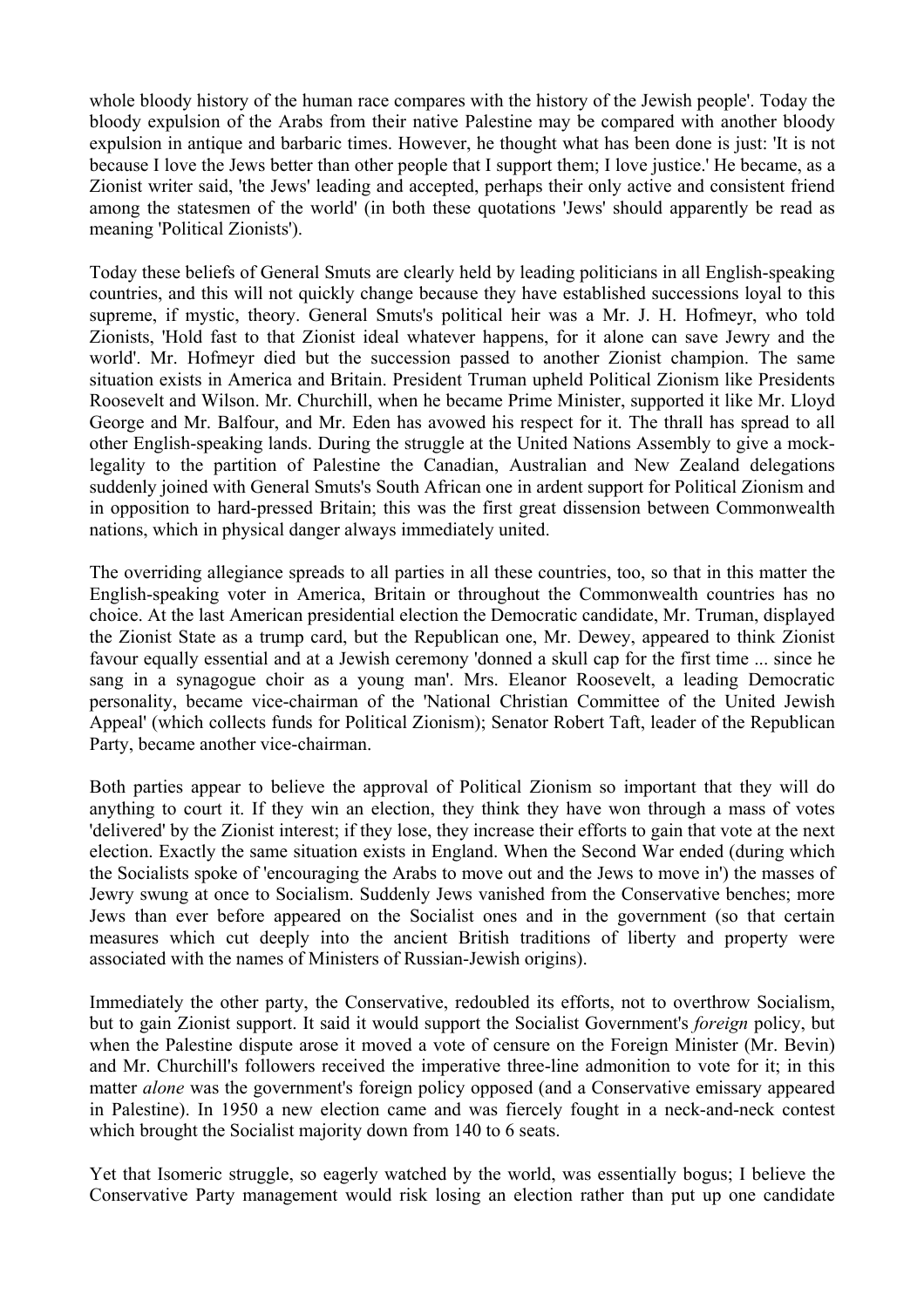whole bloody history of the human race compares with the history of the Jewish people'. Today the bloody expulsion of the Arabs from their native Palestine may be compared with another bloody expulsion in antique and barbaric times. However, he thought what has been done is just: 'It is not because I love the Jews better than other people that I support them; I love justice.' He became, as a Zionist writer said, 'the Jews' leading and accepted, perhaps their only active and consistent friend among the statesmen of the world' (in both these quotations 'Jews' should apparently be read as meaning 'Political Zionists').

Today these beliefs of General Smuts are clearly held by leading politicians in all English-speaking countries, and this will not quickly change because they have established successions loyal to this supreme, if mystic, theory. General Smuts's political heir was a Mr. J. H. Hofmeyr, who told Zionists, 'Hold fast to that Zionist ideal whatever happens, for it alone can save Jewry and the world'. Mr. Hofmeyr died but the succession passed to another Zionist champion. The same situation exists in America and Britain. President Truman upheld Political Zionism like Presidents Roosevelt and Wilson. Mr. Churchill, when he became Prime Minister, supported it like Mr. Lloyd George and Mr. Balfour, and Mr. Eden has avowed his respect for it. The thrall has spread to all other English-speaking lands. During the struggle at the United Nations Assembly to give a mocklegality to the partition of Palestine the Canadian, Australian and New Zealand delegations suddenly joined with General Smuts's South African one in ardent support for Political Zionism and in opposition to hard-pressed Britain; this was the first great dissension between Commonwealth nations, which in physical danger always immediately united.

The overriding allegiance spreads to all parties in all these countries, too, so that in this matter the English-speaking voter in America, Britain or throughout the Commonwealth countries has no choice. At the last American presidential election the Democratic candidate, Mr. Truman, displayed the Zionist State as a trump card, but the Republican one, Mr. Dewey, appeared to think Zionist favour equally essential and at a Jewish ceremony 'donned a skull cap for the first time ... since he sang in a synagogue choir as a young man'. Mrs. Eleanor Roosevelt, a leading Democratic personality, became vice-chairman of the 'National Christian Committee of the United Jewish Appeal' (which collects funds for Political Zionism); Senator Robert Taft, leader of the Republican Party, became another vice-chairman.

Both parties appear to believe the approval of Political Zionism so important that they will do anything to court it. If they win an election, they think they have won through a mass of votes 'delivered' by the Zionist interest; if they lose, they increase their efforts to gain that vote at the next election. Exactly the same situation exists in England. When the Second War ended (during which the Socialists spoke of 'encouraging the Arabs to move out and the Jews to move in') the masses of Jewry swung at once to Socialism. Suddenly Jews vanished from the Conservative benches; more Jews than ever before appeared on the Socialist ones and in the government (so that certain measures which cut deeply into the ancient British traditions of liberty and property were associated with the names of Ministers of Russian-Jewish origins).

Immediately the other party, the Conservative, redoubled its efforts, not to overthrow Socialism, but to gain Zionist support. It said it would support the Socialist Government's *foreign* policy, but when the Palestine dispute arose it moved a vote of censure on the Foreign Minister (Mr. Bevin) and Mr. Churchill's followers received the imperative three-line admonition to vote for it; in this matter *alone* was the government's foreign policy opposed (and a Conservative emissary appeared in Palestine). In 1950 a new election came and was fiercely fought in a neck-and-neck contest which brought the Socialist majority down from 140 to 6 seats.

Yet that Isomeric struggle, so eagerly watched by the world, was essentially bogus; I believe the Conservative Party management would risk losing an election rather than put up one candidate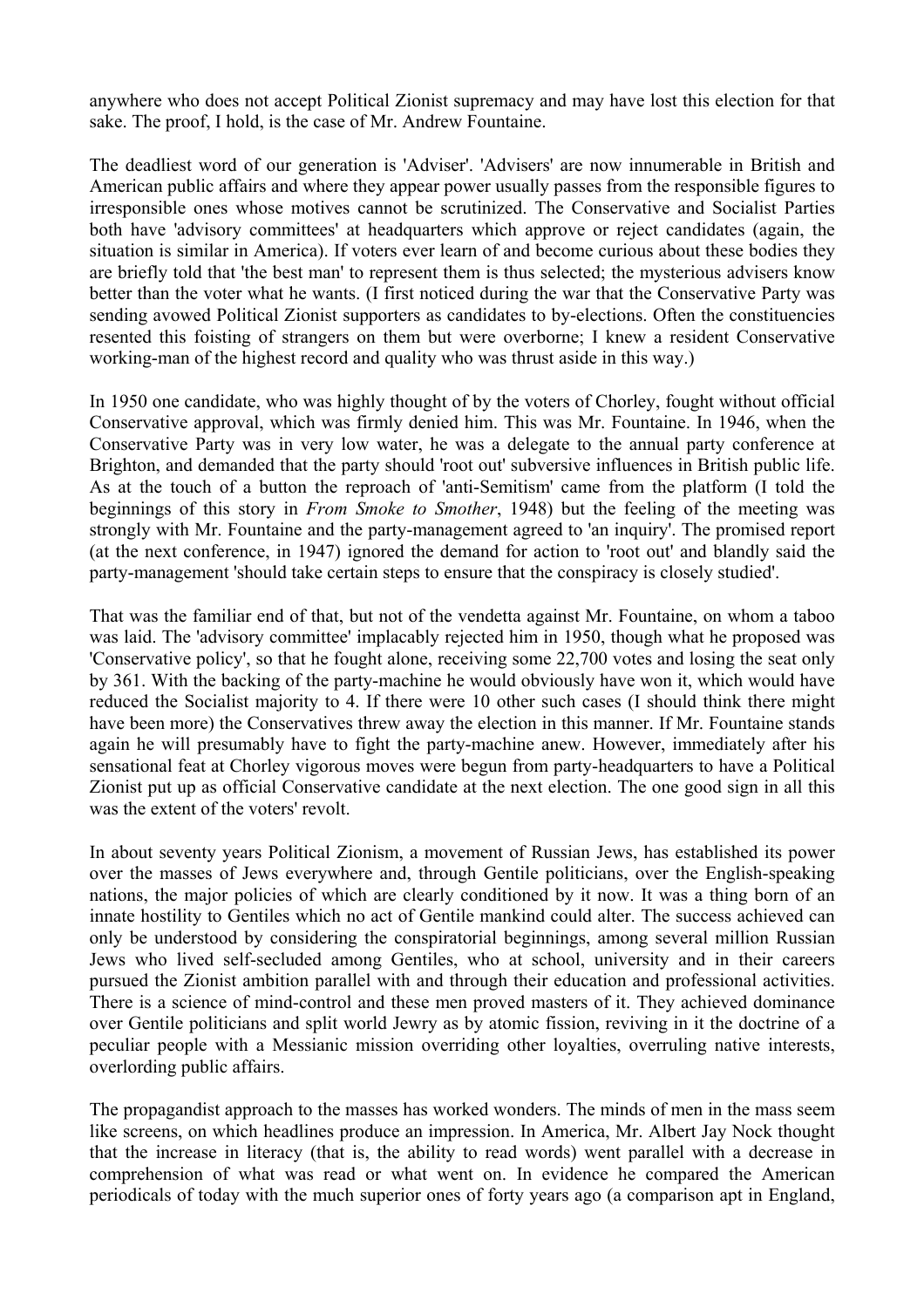anywhere who does not accept Political Zionist supremacy and may have lost this election for that sake. The proof, I hold, is the case of Mr. Andrew Fountaine.

The deadliest word of our generation is 'Adviser'. 'Advisers' are now innumerable in British and American public affairs and where they appear power usually passes from the responsible figures to irresponsible ones whose motives cannot be scrutinized. The Conservative and Socialist Parties both have 'advisory committees' at headquarters which approve or reject candidates (again, the situation is similar in America). If voters ever learn of and become curious about these bodies they are briefly told that 'the best man' to represent them is thus selected; the mysterious advisers know better than the voter what he wants. (I first noticed during the war that the Conservative Party was sending avowed Political Zionist supporters as candidates to by-elections. Often the constituencies resented this foisting of strangers on them but were overborne; I knew a resident Conservative working-man of the highest record and quality who was thrust aside in this way.)

In 1950 one candidate, who was highly thought of by the voters of Chorley, fought without official Conservative approval, which was firmly denied him. This was Mr. Fountaine. In 1946, when the Conservative Party was in very low water, he was a delegate to the annual party conference at Brighton, and demanded that the party should 'root out' subversive influences in British public life. As at the touch of a button the reproach of 'anti-Semitism' came from the platform (I told the beginnings of this story in *From Smoke to Smother*, 1948) but the feeling of the meeting was strongly with Mr. Fountaine and the party-management agreed to 'an inquiry'. The promised report (at the next conference, in 1947) ignored the demand for action to 'root out' and blandly said the party-management 'should take certain steps to ensure that the conspiracy is closely studied'.

That was the familiar end of that, but not of the vendetta against Mr. Fountaine, on whom a taboo was laid. The 'advisory committee' implacably rejected him in 1950, though what he proposed was 'Conservative policy', so that he fought alone, receiving some 22,700 votes and losing the seat only by 361. With the backing of the party-machine he would obviously have won it, which would have reduced the Socialist majority to 4. If there were 10 other such cases (I should think there might have been more) the Conservatives threw away the election in this manner. If Mr. Fountaine stands again he will presumably have to fight the party-machine anew. However, immediately after his sensational feat at Chorley vigorous moves were begun from party-headquarters to have a Political Zionist put up as official Conservative candidate at the next election. The one good sign in all this was the extent of the voters' revolt.

In about seventy years Political Zionism, a movement of Russian Jews, has established its power over the masses of Jews everywhere and, through Gentile politicians, over the English-speaking nations, the major policies of which are clearly conditioned by it now. It was a thing born of an innate hostility to Gentiles which no act of Gentile mankind could alter. The success achieved can only be understood by considering the conspiratorial beginnings, among several million Russian Jews who lived self-secluded among Gentiles, who at school, university and in their careers pursued the Zionist ambition parallel with and through their education and professional activities. There is a science of mind-control and these men proved masters of it. They achieved dominance over Gentile politicians and split world Jewry as by atomic fission, reviving in it the doctrine of a peculiar people with a Messianic mission overriding other loyalties, overruling native interests, overlording public affairs.

The propagandist approach to the masses has worked wonders. The minds of men in the mass seem like screens, on which headlines produce an impression. In America, Mr. Albert Jay Nock thought that the increase in literacy (that is, the ability to read words) went parallel with a decrease in comprehension of what was read or what went on. In evidence he compared the American periodicals of today with the much superior ones of forty years ago (a comparison apt in England,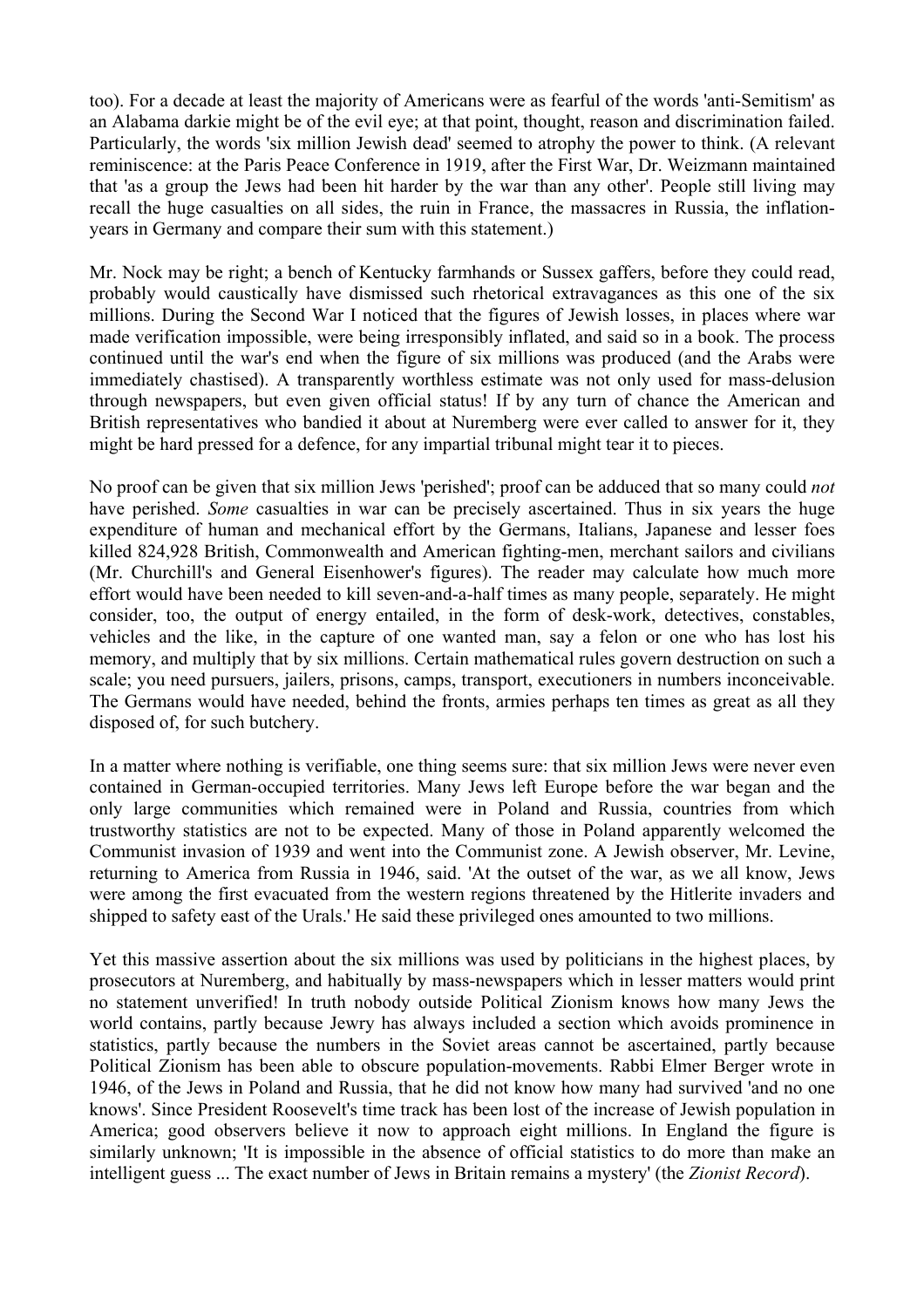too). For a decade at least the majority of Americans were as fearful of the words 'anti-Semitism' as an Alabama darkie might be of the evil eye; at that point, thought, reason and discrimination failed. Particularly, the words 'six million Jewish dead' seemed to atrophy the power to think. (A relevant reminiscence: at the Paris Peace Conference in 1919, after the First War, Dr. Weizmann maintained that 'as a group the Jews had been hit harder by the war than any other'. People still living may recall the huge casualties on all sides, the ruin in France, the massacres in Russia, the inflationyears in Germany and compare their sum with this statement.)

Mr. Nock may be right; a bench of Kentucky farmhands or Sussex gaffers, before they could read, probably would caustically have dismissed such rhetorical extravagances as this one of the six millions. During the Second War I noticed that the figures of Jewish losses, in places where war made verification impossible, were being irresponsibly inflated, and said so in a book. The process continued until the war's end when the figure of six millions was produced (and the Arabs were immediately chastised). A transparently worthless estimate was not only used for mass-delusion through newspapers, but even given official status! If by any turn of chance the American and British representatives who bandied it about at Nuremberg were ever called to answer for it, they might be hard pressed for a defence, for any impartial tribunal might tear it to pieces.

No proof can be given that six million Jews 'perished'; proof can be adduced that so many could *not* have perished. *Some* casualties in war can be precisely ascertained. Thus in six years the huge expenditure of human and mechanical effort by the Germans, Italians, Japanese and lesser foes killed 824,928 British, Commonwealth and American fighting-men, merchant sailors and civilians (Mr. Churchill's and General Eisenhower's figures). The reader may calculate how much more effort would have been needed to kill seven-and-a-half times as many people, separately. He might consider, too, the output of energy entailed, in the form of desk-work, detectives, constables, vehicles and the like, in the capture of one wanted man, say a felon or one who has lost his memory, and multiply that by six millions. Certain mathematical rules govern destruction on such a scale; you need pursuers, jailers, prisons, camps, transport, executioners in numbers inconceivable. The Germans would have needed, behind the fronts, armies perhaps ten times as great as all they disposed of, for such butchery.

In a matter where nothing is verifiable, one thing seems sure: that six million Jews were never even contained in German-occupied territories. Many Jews left Europe before the war began and the only large communities which remained were in Poland and Russia, countries from which trustworthy statistics are not to be expected. Many of those in Poland apparently welcomed the Communist invasion of 1939 and went into the Communist zone. A Jewish observer, Mr. Levine, returning to America from Russia in 1946, said. 'At the outset of the war, as we all know, Jews were among the first evacuated from the western regions threatened by the Hitlerite invaders and shipped to safety east of the Urals.' He said these privileged ones amounted to two millions.

Yet this massive assertion about the six millions was used by politicians in the highest places, by prosecutors at Nuremberg, and habitually by mass-newspapers which in lesser matters would print no statement unverified! In truth nobody outside Political Zionism knows how many Jews the world contains, partly because Jewry has always included a section which avoids prominence in statistics, partly because the numbers in the Soviet areas cannot be ascertained, partly because Political Zionism has been able to obscure population-movements. Rabbi Elmer Berger wrote in 1946, of the Jews in Poland and Russia, that he did not know how many had survived 'and no one knows'. Since President Roosevelt's time track has been lost of the increase of Jewish population in America; good observers believe it now to approach eight millions. In England the figure is similarly unknown; 'It is impossible in the absence of official statistics to do more than make an intelligent guess ... The exact number of Jews in Britain remains a mystery' (the *Zionist Record*).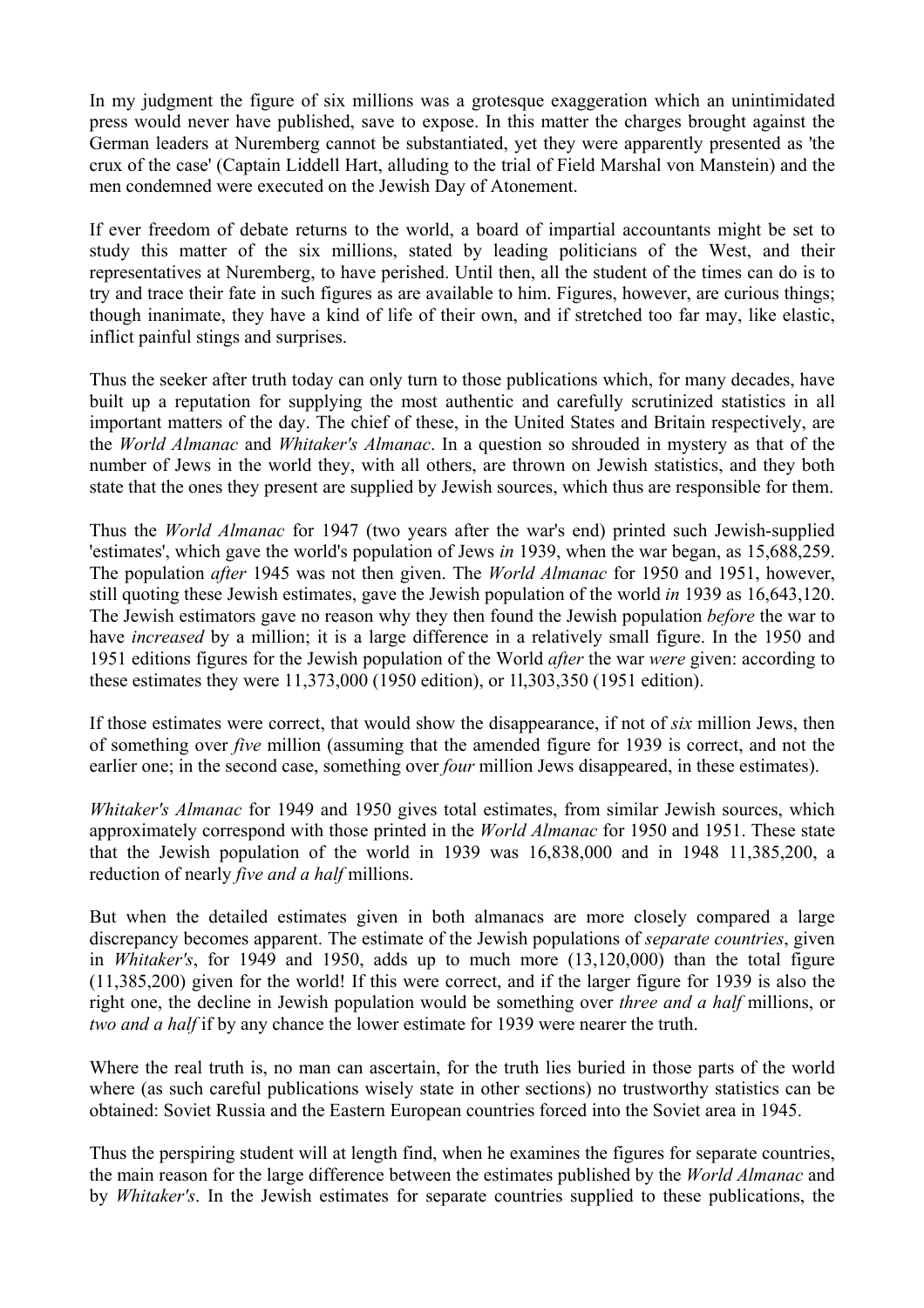In my judgment the figure of six millions was a grotesque exaggeration which an unintimidated press would never have published, save to expose. In this matter the charges brought against the German leaders at Nuremberg cannot be substantiated, yet they were apparently presented as 'the crux of the case' (Captain Liddell Hart, alluding to the trial of Field Marshal von Manstein) and the men condemned were executed on the Jewish Day of Atonement.

If ever freedom of debate returns to the world, a board of impartial accountants might be set to study this matter of the six millions, stated by leading politicians of the West, and their representatives at Nuremberg, to have perished. Until then, all the student of the times can do is to try and trace their fate in such figures as are available to him. Figures, however, are curious things; though inanimate, they have a kind of life of their own, and if stretched too far may, like elastic, inflict painful stings and surprises.

Thus the seeker after truth today can only turn to those publications which, for many decades, have built up a reputation for supplying the most authentic and carefully scrutinized statistics in all important matters of the day. The chief of these, in the United States and Britain respectively, are the *World Almanac* and *Whitaker's Almanac*. In a question so shrouded in mystery as that of the number of Jews in the world they, with all others, are thrown on Jewish statistics, and they both state that the ones they present are supplied by Jewish sources, which thus are responsible for them.

Thus the *World Almanac* for 1947 (two years after the war's end) printed such Jewish-supplied 'estimates', which gave the world's population of Jews *in* 1939, when the war began, as 15,688,259. The population *after* 1945 was not then given. The *World Almanac* for 1950 and 1951, however, still quoting these Jewish estimates, gave the Jewish population of the world *in* 1939 as 16,643,120. The Jewish estimators gave no reason why they then found the Jewish population *before* the war to have *increased* by a million; it is a large difference in a relatively small figure. In the 1950 and 1951 editions figures for the Jewish population of the World *after* the war *were* given: according to these estimates they were 11,373,000 (1950 edition), or 1l,303,350 (1951 edition).

If those estimates were correct, that would show the disappearance, if not of *six* million Jews, then of something over *five* million (assuming that the amended figure for 1939 is correct, and not the earlier one; in the second case, something over *four* million Jews disappeared, in these estimates).

*Whitaker's Almanac* for 1949 and 1950 gives total estimates, from similar Jewish sources, which approximately correspond with those printed in the *World Almanac* for 1950 and 1951. These state that the Jewish population of the world in 1939 was 16,838,000 and in 1948 11,385,200, a reduction of nearly *five and a half* millions.

But when the detailed estimates given in both almanacs are more closely compared a large discrepancy becomes apparent. The estimate of the Jewish populations of *separate countries*, given in *Whitaker's*, for 1949 and 1950, adds up to much more (13,120,000) than the total figure (11,385,200) given for the world! If this were correct, and if the larger figure for 1939 is also the right one, the decline in Jewish population would be something over *three and a half* millions, or *two and a half* if by any chance the lower estimate for 1939 were nearer the truth.

Where the real truth is, no man can ascertain, for the truth lies buried in those parts of the world where (as such careful publications wisely state in other sections) no trustworthy statistics can be obtained: Soviet Russia and the Eastern European countries forced into the Soviet area in 1945.

Thus the perspiring student will at length find, when he examines the figures for separate countries, the main reason for the large difference between the estimates published by the *World Almanac* and by *Whitaker's*. In the Jewish estimates for separate countries supplied to these publications, the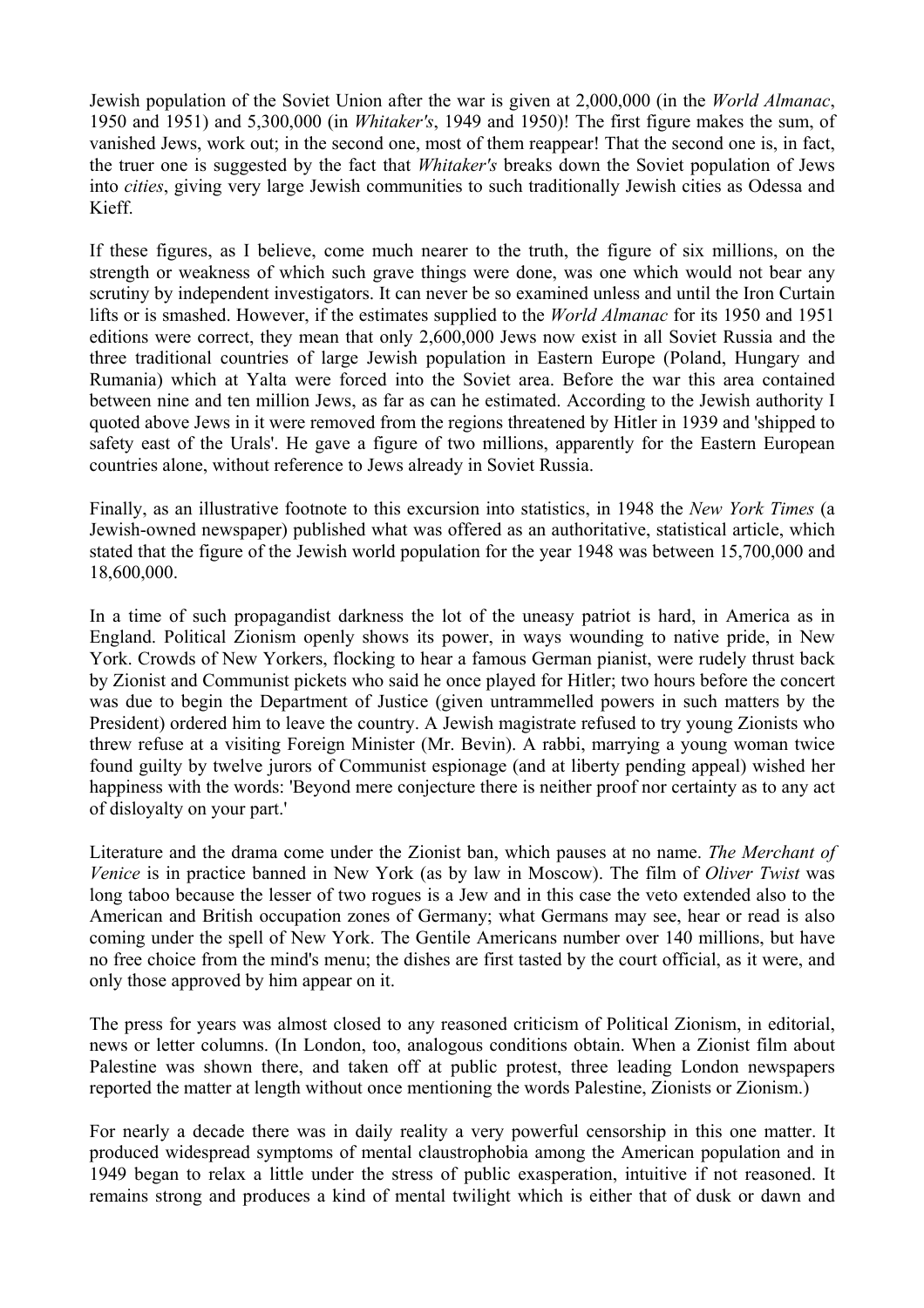Jewish population of the Soviet Union after the war is given at 2,000,000 (in the *World Almanac*, 1950 and 1951) and 5,300,000 (in *Whitaker's*, 1949 and 1950)! The first figure makes the sum, of vanished Jews, work out; in the second one, most of them reappear! That the second one is, in fact, the truer one is suggested by the fact that *Whitaker's* breaks down the Soviet population of Jews into *cities*, giving very large Jewish communities to such traditionally Jewish cities as Odessa and Kieff.

If these figures, as I believe, come much nearer to the truth, the figure of six millions, on the strength or weakness of which such grave things were done, was one which would not bear any scrutiny by independent investigators. It can never be so examined unless and until the Iron Curtain lifts or is smashed. However, if the estimates supplied to the *World Almanac* for its 1950 and 1951 editions were correct, they mean that only 2,600,000 Jews now exist in all Soviet Russia and the three traditional countries of large Jewish population in Eastern Europe (Poland, Hungary and Rumania) which at Yalta were forced into the Soviet area. Before the war this area contained between nine and ten million Jews, as far as can he estimated. According to the Jewish authority I quoted above Jews in it were removed from the regions threatened by Hitler in 1939 and 'shipped to safety east of the Urals'. He gave a figure of two millions, apparently for the Eastern European countries alone, without reference to Jews already in Soviet Russia.

Finally, as an illustrative footnote to this excursion into statistics, in 1948 the *New York Times* (a Jewish-owned newspaper) published what was offered as an authoritative, statistical article, which stated that the figure of the Jewish world population for the year 1948 was between 15,700,000 and 18,600,000.

In a time of such propagandist darkness the lot of the uneasy patriot is hard, in America as in England. Political Zionism openly shows its power, in ways wounding to native pride, in New York. Crowds of New Yorkers, flocking to hear a famous German pianist, were rudely thrust back by Zionist and Communist pickets who said he once played for Hitler; two hours before the concert was due to begin the Department of Justice (given untrammelled powers in such matters by the President) ordered him to leave the country. A Jewish magistrate refused to try young Zionists who threw refuse at a visiting Foreign Minister (Mr. Bevin). A rabbi, marrying a young woman twice found guilty by twelve jurors of Communist espionage (and at liberty pending appeal) wished her happiness with the words: 'Beyond mere conjecture there is neither proof nor certainty as to any act of disloyalty on your part.'

Literature and the drama come under the Zionist ban, which pauses at no name. *The Merchant of Venice* is in practice banned in New York (as by law in Moscow). The film of *Oliver Twist* was long taboo because the lesser of two rogues is a Jew and in this case the veto extended also to the American and British occupation zones of Germany; what Germans may see, hear or read is also coming under the spell of New York. The Gentile Americans number over 140 millions, but have no free choice from the mind's menu; the dishes are first tasted by the court official, as it were, and only those approved by him appear on it.

The press for years was almost closed to any reasoned criticism of Political Zionism, in editorial, news or letter columns. (In London, too, analogous conditions obtain. When a Zionist film about Palestine was shown there, and taken off at public protest, three leading London newspapers reported the matter at length without once mentioning the words Palestine, Zionists or Zionism.)

For nearly a decade there was in daily reality a very powerful censorship in this one matter. It produced widespread symptoms of mental claustrophobia among the American population and in 1949 began to relax a little under the stress of public exasperation, intuitive if not reasoned. It remains strong and produces a kind of mental twilight which is either that of dusk or dawn and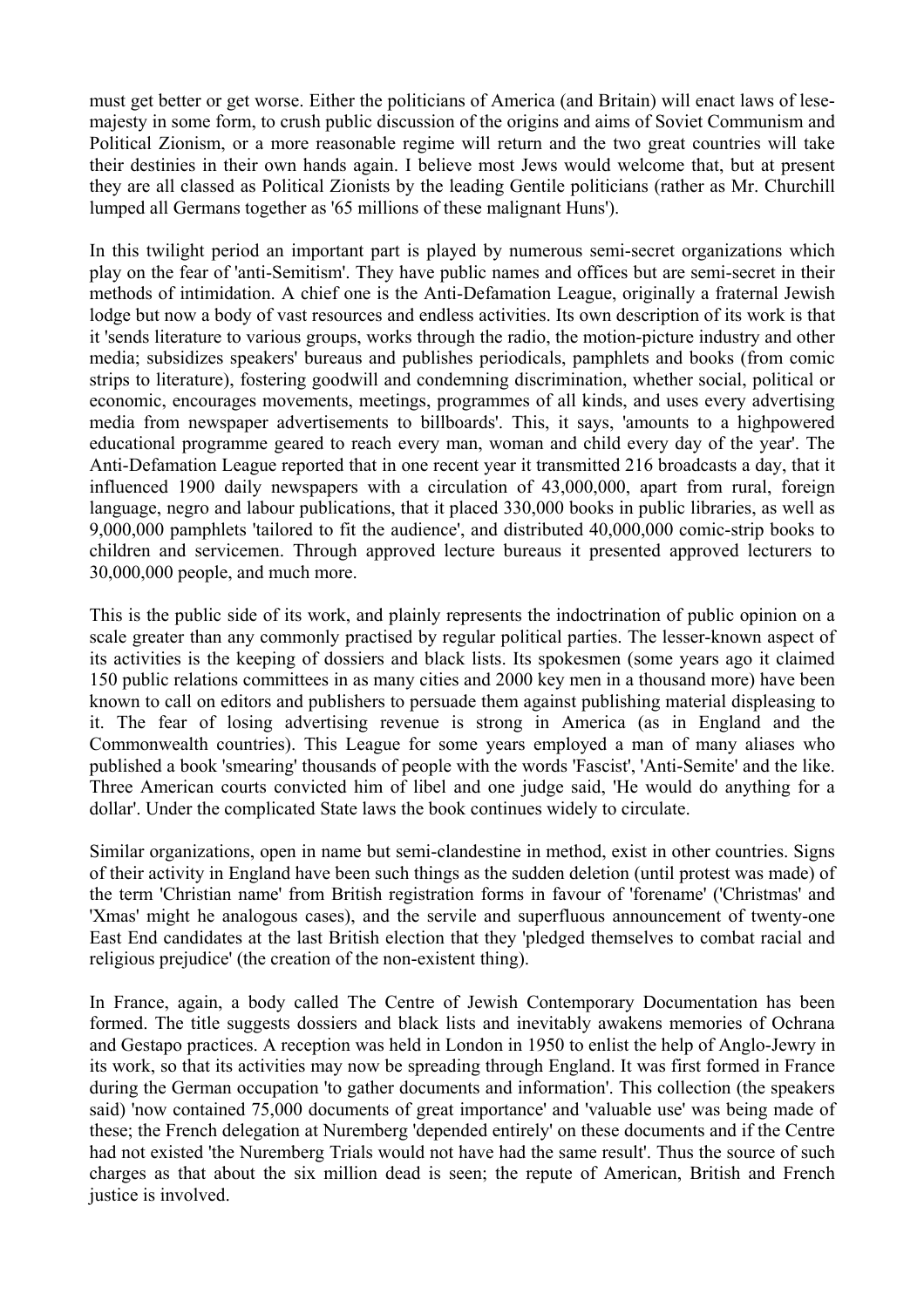must get better or get worse. Either the politicians of America (and Britain) will enact laws of lesemajesty in some form, to crush public discussion of the origins and aims of Soviet Communism and Political Zionism, or a more reasonable regime will return and the two great countries will take their destinies in their own hands again. I believe most Jews would welcome that, but at present they are all classed as Political Zionists by the leading Gentile politicians (rather as Mr. Churchill lumped all Germans together as '65 millions of these malignant Huns').

In this twilight period an important part is played by numerous semi-secret organizations which play on the fear of 'anti-Semitism'. They have public names and offices but are semi-secret in their methods of intimidation. A chief one is the Anti-Defamation League, originally a fraternal Jewish lodge but now a body of vast resources and endless activities. Its own description of its work is that it 'sends literature to various groups, works through the radio, the motion-picture industry and other media; subsidizes speakers' bureaus and publishes periodicals, pamphlets and books (from comic strips to literature), fostering goodwill and condemning discrimination, whether social, political or economic, encourages movements, meetings, programmes of all kinds, and uses every advertising media from newspaper advertisements to billboards'. This, it says, 'amounts to a highpowered educational programme geared to reach every man, woman and child every day of the year'. The Anti-Defamation League reported that in one recent year it transmitted 216 broadcasts a day, that it influenced 1900 daily newspapers with a circulation of 43,000,000, apart from rural, foreign language, negro and labour publications, that it placed 330,000 books in public libraries, as well as 9,000,000 pamphlets 'tailored to fit the audience', and distributed 40,000,000 comic-strip books to children and servicemen. Through approved lecture bureaus it presented approved lecturers to 30,000,000 people, and much more.

This is the public side of its work, and plainly represents the indoctrination of public opinion on a scale greater than any commonly practised by regular political parties. The lesser-known aspect of its activities is the keeping of dossiers and black lists. Its spokesmen (some years ago it claimed 150 public relations committees in as many cities and 2000 key men in a thousand more) have been known to call on editors and publishers to persuade them against publishing material displeasing to it. The fear of losing advertising revenue is strong in America (as in England and the Commonwealth countries). This League for some years employed a man of many aliases who published a book 'smearing' thousands of people with the words 'Fascist', 'Anti-Semite' and the like. Three American courts convicted him of libel and one judge said, 'He would do anything for a dollar'. Under the complicated State laws the book continues widely to circulate.

Similar organizations, open in name but semi-clandestine in method, exist in other countries. Signs of their activity in England have been such things as the sudden deletion (until protest was made) of the term 'Christian name' from British registration forms in favour of 'forename' ('Christmas' and 'Xmas' might he analogous cases), and the servile and superfluous announcement of twenty-one East End candidates at the last British election that they 'pledged themselves to combat racial and religious prejudice' (the creation of the non-existent thing).

In France, again, a body called The Centre of Jewish Contemporary Documentation has been formed. The title suggests dossiers and black lists and inevitably awakens memories of Ochrana and Gestapo practices. A reception was held in London in 1950 to enlist the help of Anglo-Jewry in its work, so that its activities may now be spreading through England. It was first formed in France during the German occupation 'to gather documents and information'. This collection (the speakers said) 'now contained 75,000 documents of great importance' and 'valuable use' was being made of these; the French delegation at Nuremberg 'depended entirely' on these documents and if the Centre had not existed 'the Nuremberg Trials would not have had the same result'. Thus the source of such charges as that about the six million dead is seen; the repute of American, British and French justice is involved.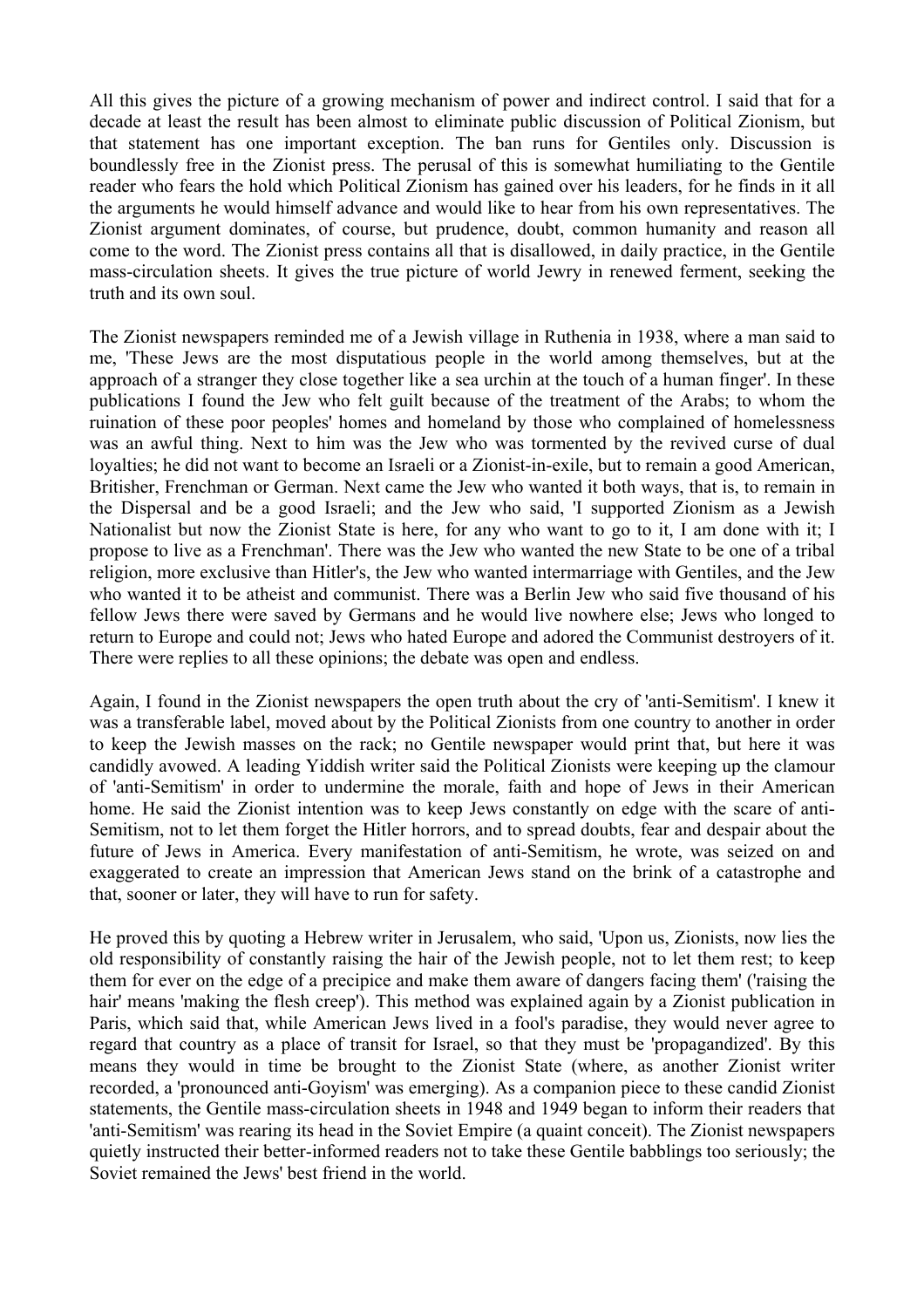All this gives the picture of a growing mechanism of power and indirect control. I said that for a decade at least the result has been almost to eliminate public discussion of Political Zionism, but that statement has one important exception. The ban runs for Gentiles only. Discussion is boundlessly free in the Zionist press. The perusal of this is somewhat humiliating to the Gentile reader who fears the hold which Political Zionism has gained over his leaders, for he finds in it all the arguments he would himself advance and would like to hear from his own representatives. The Zionist argument dominates, of course, but prudence, doubt, common humanity and reason all come to the word. The Zionist press contains all that is disallowed, in daily practice, in the Gentile mass-circulation sheets. It gives the true picture of world Jewry in renewed ferment, seeking the truth and its own soul.

The Zionist newspapers reminded me of a Jewish village in Ruthenia in 1938, where a man said to me, 'These Jews are the most disputatious people in the world among themselves, but at the approach of a stranger they close together like a sea urchin at the touch of a human finger'. In these publications I found the Jew who felt guilt because of the treatment of the Arabs; to whom the ruination of these poor peoples' homes and homeland by those who complained of homelessness was an awful thing. Next to him was the Jew who was tormented by the revived curse of dual loyalties; he did not want to become an Israeli or a Zionist-in-exile, but to remain a good American, Britisher, Frenchman or German. Next came the Jew who wanted it both ways, that is, to remain in the Dispersal and be a good Israeli; and the Jew who said, 'I supported Zionism as a Jewish Nationalist but now the Zionist State is here, for any who want to go to it, I am done with it; I propose to live as a Frenchman'. There was the Jew who wanted the new State to be one of a tribal religion, more exclusive than Hitler's, the Jew who wanted intermarriage with Gentiles, and the Jew who wanted it to be atheist and communist. There was a Berlin Jew who said five thousand of his fellow Jews there were saved by Germans and he would live nowhere else; Jews who longed to return to Europe and could not; Jews who hated Europe and adored the Communist destroyers of it. There were replies to all these opinions; the debate was open and endless.

Again, I found in the Zionist newspapers the open truth about the cry of 'anti-Semitism'. I knew it was a transferable label, moved about by the Political Zionists from one country to another in order to keep the Jewish masses on the rack; no Gentile newspaper would print that, but here it was candidly avowed. A leading Yiddish writer said the Political Zionists were keeping up the clamour of 'anti-Semitism' in order to undermine the morale, faith and hope of Jews in their American home. He said the Zionist intention was to keep Jews constantly on edge with the scare of anti-Semitism, not to let them forget the Hitler horrors, and to spread doubts, fear and despair about the future of Jews in America. Every manifestation of anti-Semitism, he wrote, was seized on and exaggerated to create an impression that American Jews stand on the brink of a catastrophe and that, sooner or later, they will have to run for safety.

He proved this by quoting a Hebrew writer in Jerusalem, who said, 'Upon us, Zionists, now lies the old responsibility of constantly raising the hair of the Jewish people, not to let them rest; to keep them for ever on the edge of a precipice and make them aware of dangers facing them' ('raising the hair' means 'making the flesh creep'). This method was explained again by a Zionist publication in Paris, which said that, while American Jews lived in a fool's paradise, they would never agree to regard that country as a place of transit for Israel, so that they must be 'propagandized'. By this means they would in time be brought to the Zionist State (where, as another Zionist writer recorded, a 'pronounced anti-Goyism' was emerging). As a companion piece to these candid Zionist statements, the Gentile mass-circulation sheets in 1948 and 1949 began to inform their readers that 'anti-Semitism' was rearing its head in the Soviet Empire (a quaint conceit). The Zionist newspapers quietly instructed their better-informed readers not to take these Gentile babblings too seriously; the Soviet remained the Jews' best friend in the world.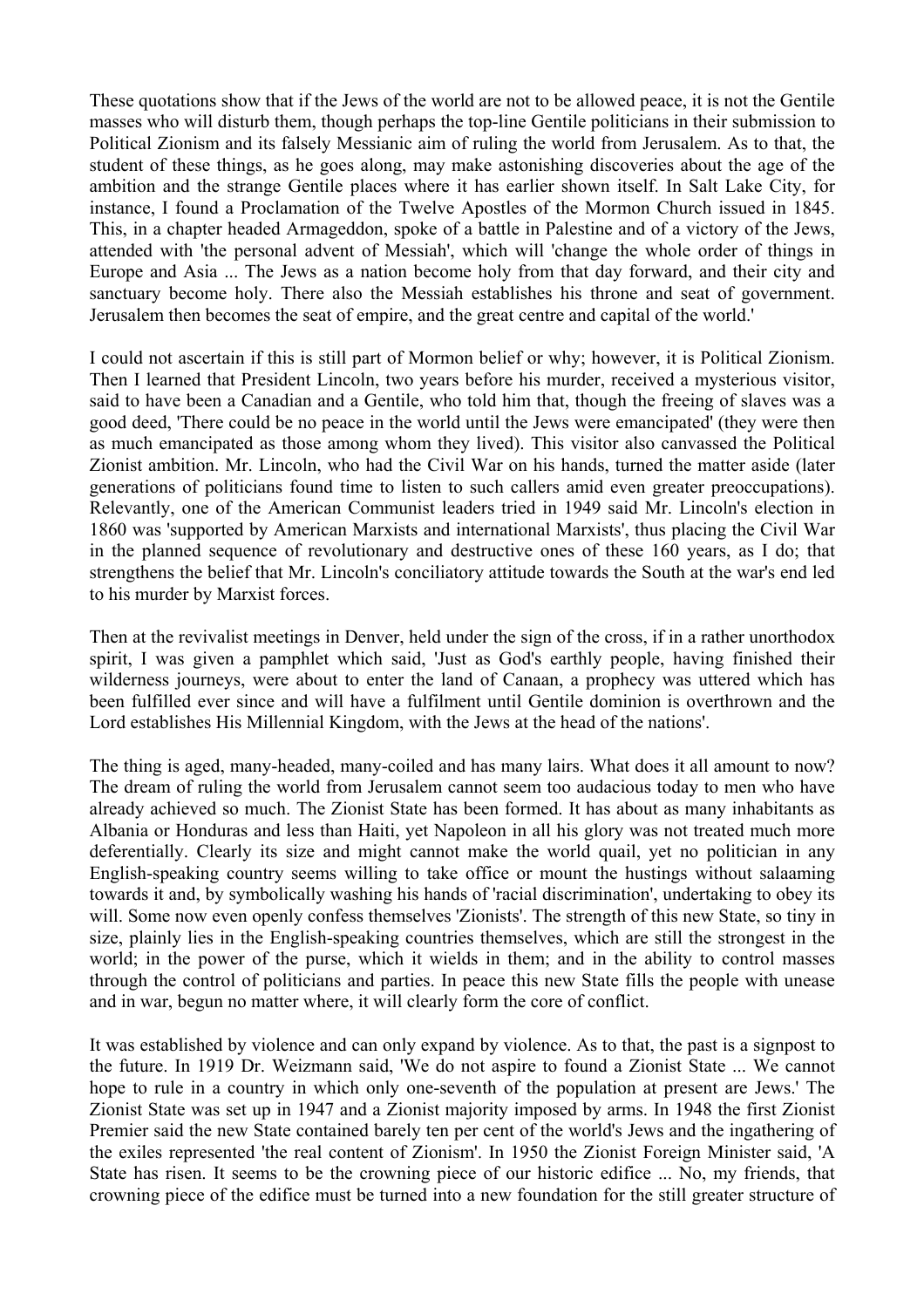These quotations show that if the Jews of the world are not to be allowed peace, it is not the Gentile masses who will disturb them, though perhaps the top-line Gentile politicians in their submission to Political Zionism and its falsely Messianic aim of ruling the world from Jerusalem. As to that, the student of these things, as he goes along, may make astonishing discoveries about the age of the ambition and the strange Gentile places where it has earlier shown itself. In Salt Lake City, for instance, I found a Proclamation of the Twelve Apostles of the Mormon Church issued in 1845. This, in a chapter headed Armageddon, spoke of a battle in Palestine and of a victory of the Jews, attended with 'the personal advent of Messiah', which will 'change the whole order of things in Europe and Asia ... The Jews as a nation become holy from that day forward, and their city and sanctuary become holy. There also the Messiah establishes his throne and seat of government. Jerusalem then becomes the seat of empire, and the great centre and capital of the world.'

I could not ascertain if this is still part of Mormon belief or why; however, it is Political Zionism. Then I learned that President Lincoln, two years before his murder, received a mysterious visitor, said to have been a Canadian and a Gentile, who told him that, though the freeing of slaves was a good deed, 'There could be no peace in the world until the Jews were emancipated' (they were then as much emancipated as those among whom they lived). This visitor also canvassed the Political Zionist ambition. Mr. Lincoln, who had the Civil War on his hands, turned the matter aside (later generations of politicians found time to listen to such callers amid even greater preoccupations). Relevantly, one of the American Communist leaders tried in 1949 said Mr. Lincoln's election in 1860 was 'supported by American Marxists and international Marxists', thus placing the Civil War in the planned sequence of revolutionary and destructive ones of these 160 years, as I do; that strengthens the belief that Mr. Lincoln's conciliatory attitude towards the South at the war's end led to his murder by Marxist forces.

Then at the revivalist meetings in Denver, held under the sign of the cross, if in a rather unorthodox spirit, I was given a pamphlet which said, 'Just as God's earthly people, having finished their wilderness journeys, were about to enter the land of Canaan, a prophecy was uttered which has been fulfilled ever since and will have a fulfilment until Gentile dominion is overthrown and the Lord establishes His Millennial Kingdom, with the Jews at the head of the nations'.

The thing is aged, many-headed, many-coiled and has many lairs. What does it all amount to now? The dream of ruling the world from Jerusalem cannot seem too audacious today to men who have already achieved so much. The Zionist State has been formed. It has about as many inhabitants as Albania or Honduras and less than Haiti, yet Napoleon in all his glory was not treated much more deferentially. Clearly its size and might cannot make the world quail, yet no politician in any English-speaking country seems willing to take office or mount the hustings without salaaming towards it and, by symbolically washing his hands of 'racial discrimination', undertaking to obey its will. Some now even openly confess themselves 'Zionists'. The strength of this new State, so tiny in size, plainly lies in the English-speaking countries themselves, which are still the strongest in the world; in the power of the purse, which it wields in them; and in the ability to control masses through the control of politicians and parties. In peace this new State fills the people with unease and in war, begun no matter where, it will clearly form the core of conflict.

It was established by violence and can only expand by violence. As to that, the past is a signpost to the future. In 1919 Dr. Weizmann said, 'We do not aspire to found a Zionist State ... We cannot hope to rule in a country in which only one-seventh of the population at present are Jews.' The Zionist State was set up in 1947 and a Zionist majority imposed by arms. In 1948 the first Zionist Premier said the new State contained barely ten per cent of the world's Jews and the ingathering of the exiles represented 'the real content of Zionism'. In 1950 the Zionist Foreign Minister said, 'A State has risen. It seems to be the crowning piece of our historic edifice ... No, my friends, that crowning piece of the edifice must be turned into a new foundation for the still greater structure of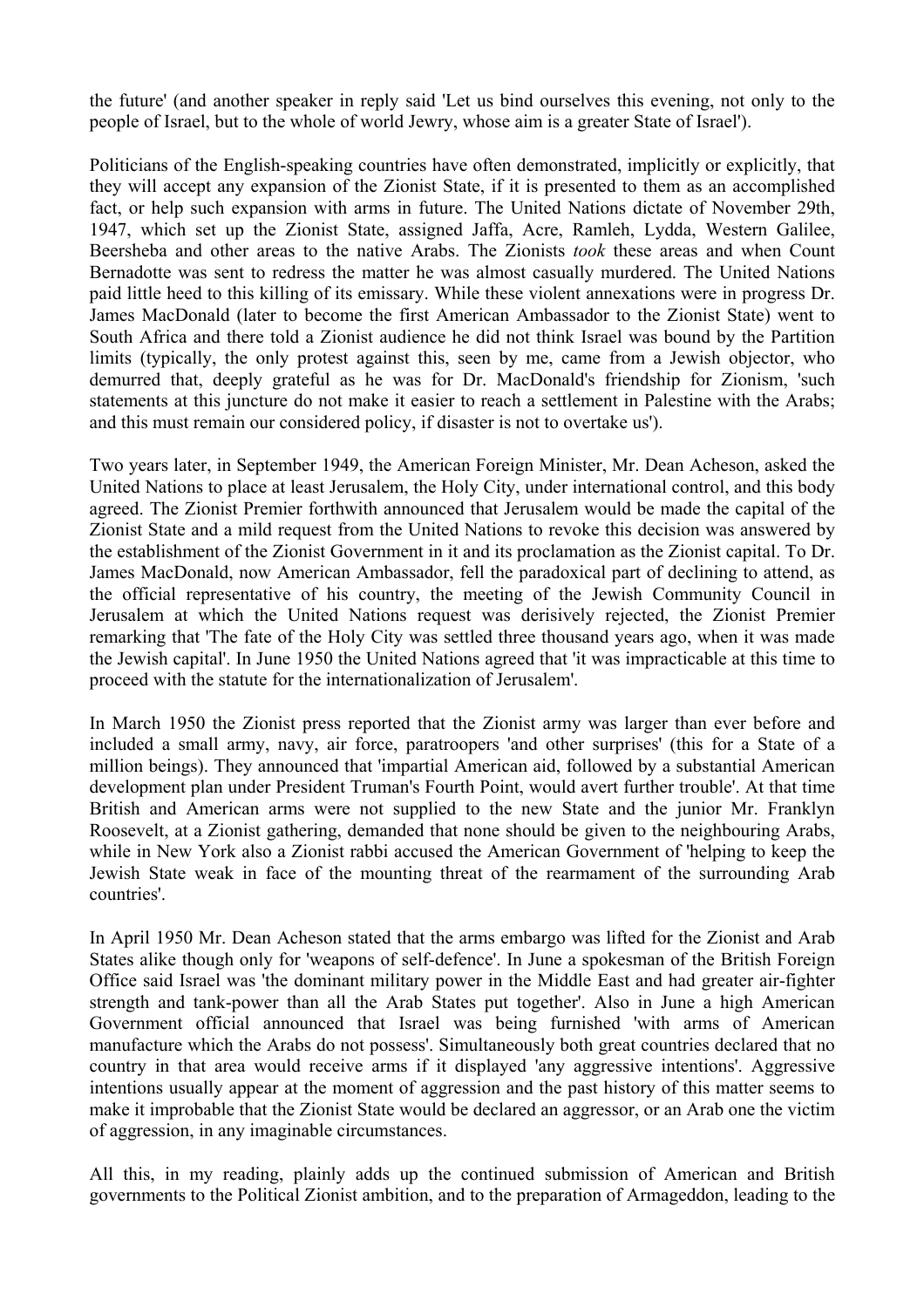the future' (and another speaker in reply said 'Let us bind ourselves this evening, not only to the people of Israel, but to the whole of world Jewry, whose aim is a greater State of Israel').

Politicians of the English-speaking countries have often demonstrated, implicitly or explicitly, that they will accept any expansion of the Zionist State, if it is presented to them as an accomplished fact, or help such expansion with arms in future. The United Nations dictate of November 29th, 1947, which set up the Zionist State, assigned Jaffa, Acre, Ramleh, Lydda, Western Galilee, Beersheba and other areas to the native Arabs. The Zionists *took* these areas and when Count Bernadotte was sent to redress the matter he was almost casually murdered. The United Nations paid little heed to this killing of its emissary. While these violent annexations were in progress Dr. James MacDonald (later to become the first American Ambassador to the Zionist State) went to South Africa and there told a Zionist audience he did not think Israel was bound by the Partition limits (typically, the only protest against this, seen by me, came from a Jewish objector, who demurred that, deeply grateful as he was for Dr. MacDonald's friendship for Zionism, 'such statements at this juncture do not make it easier to reach a settlement in Palestine with the Arabs; and this must remain our considered policy, if disaster is not to overtake us').

Two years later, in September 1949, the American Foreign Minister, Mr. Dean Acheson, asked the United Nations to place at least Jerusalem, the Holy City, under international control, and this body agreed. The Zionist Premier forthwith announced that Jerusalem would be made the capital of the Zionist State and a mild request from the United Nations to revoke this decision was answered by the establishment of the Zionist Government in it and its proclamation as the Zionist capital. To Dr. James MacDonald, now American Ambassador, fell the paradoxical part of declining to attend, as the official representative of his country, the meeting of the Jewish Community Council in Jerusalem at which the United Nations request was derisively rejected, the Zionist Premier remarking that 'The fate of the Holy City was settled three thousand years ago, when it was made the Jewish capital'. In June 1950 the United Nations agreed that 'it was impracticable at this time to proceed with the statute for the internationalization of Jerusalem'.

In March 1950 the Zionist press reported that the Zionist army was larger than ever before and included a small army, navy, air force, paratroopers 'and other surprises' (this for a State of a million beings). They announced that 'impartial American aid, followed by a substantial American development plan under President Truman's Fourth Point, would avert further trouble'. At that time British and American arms were not supplied to the new State and the junior Mr. Franklyn Roosevelt, at a Zionist gathering, demanded that none should be given to the neighbouring Arabs, while in New York also a Zionist rabbi accused the American Government of 'helping to keep the Jewish State weak in face of the mounting threat of the rearmament of the surrounding Arab countries'.

In April 1950 Mr. Dean Acheson stated that the arms embargo was lifted for the Zionist and Arab States alike though only for 'weapons of self-defence'. In June a spokesman of the British Foreign Office said Israel was 'the dominant military power in the Middle East and had greater air-fighter strength and tank-power than all the Arab States put together'. Also in June a high American Government official announced that Israel was being furnished 'with arms of American manufacture which the Arabs do not possess'. Simultaneously both great countries declared that no country in that area would receive arms if it displayed 'any aggressive intentions'. Aggressive intentions usually appear at the moment of aggression and the past history of this matter seems to make it improbable that the Zionist State would be declared an aggressor, or an Arab one the victim of aggression, in any imaginable circumstances.

All this, in my reading, plainly adds up the continued submission of American and British governments to the Political Zionist ambition, and to the preparation of Armageddon, leading to the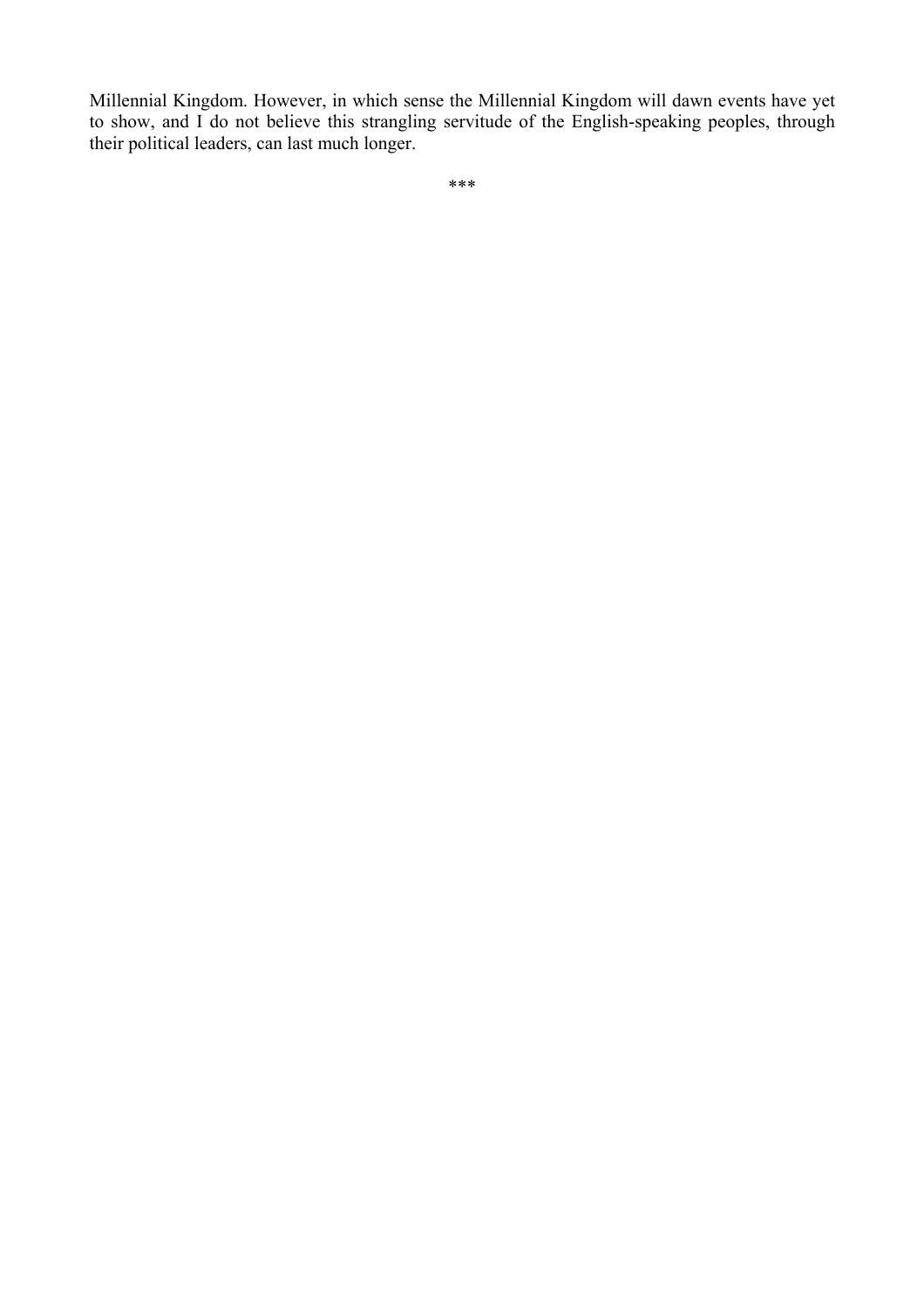Millennial Kingdom. However, in which sense the Millennial Kingdom will dawn events have yet to show, and I do not believe this strangling servitude of the English-speaking peoples, through their political leaders, can last much longer.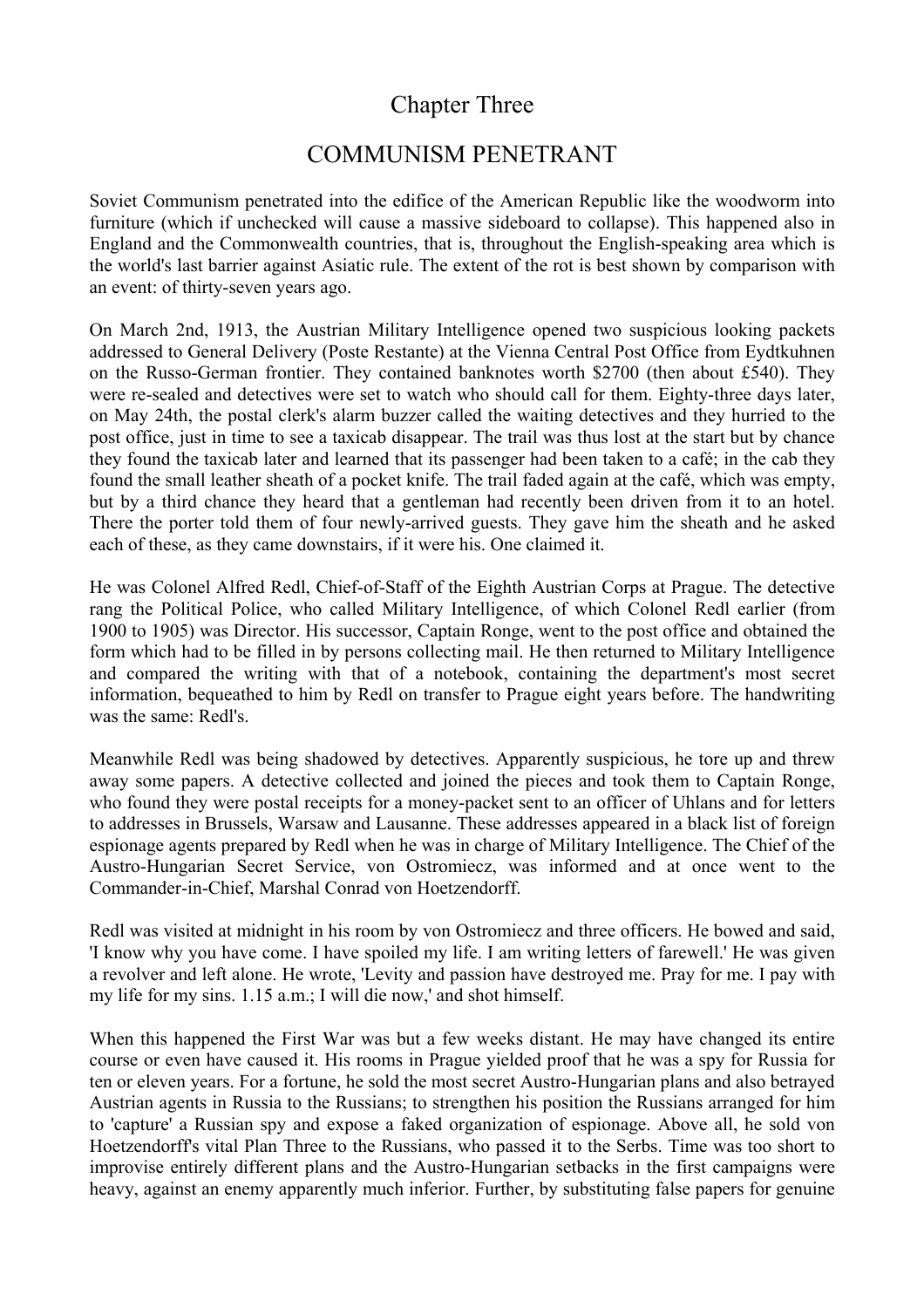## Chapter Three

## COMMUNISM PENETRANT

Soviet Communism penetrated into the edifice of the American Republic like the woodworm into furniture (which if unchecked will cause a massive sideboard to collapse). This happened also in England and the Commonwealth countries, that is, throughout the English-speaking area which is the world's last barrier against Asiatic rule. The extent of the rot is best shown by comparison with an event: of thirty-seven years ago.

On March 2nd, 1913, the Austrian Military Intelligence opened two suspicious looking packets addressed to General Delivery (Poste Restante) at the Vienna Central Post Office from Eydtkuhnen on the Russo-German frontier. They contained banknotes worth \$2700 (then about £540). They were re-sealed and detectives were set to watch who should call for them. Eighty-three days later, on May 24th, the postal clerk's alarm buzzer called the waiting detectives and they hurried to the post office, just in time to see a taxicab disappear. The trail was thus lost at the start but by chance they found the taxicab later and learned that its passenger had been taken to a café; in the cab they found the small leather sheath of a pocket knife. The trail faded again at the café, which was empty, but by a third chance they heard that a gentleman had recently been driven from it to an hotel. There the porter told them of four newly-arrived guests. They gave him the sheath and he asked each of these, as they came downstairs, if it were his. One claimed it.

He was Colonel Alfred Redl, Chief-of-Staff of the Eighth Austrian Corps at Prague. The detective rang the Political Police, who called Military Intelligence, of which Colonel Redl earlier (from 1900 to 1905) was Director. His successor, Captain Ronge, went to the post office and obtained the form which had to be filled in by persons collecting mail. He then returned to Military Intelligence and compared the writing with that of a notebook, containing the department's most secret information, bequeathed to him by Redl on transfer to Prague eight years before. The handwriting was the same: Redl's.

Meanwhile Redl was being shadowed by detectives. Apparently suspicious, he tore up and threw away some papers. A detective collected and joined the pieces and took them to Captain Ronge, who found they were postal receipts for a money-packet sent to an officer of Uhlans and for letters to addresses in Brussels, Warsaw and Lausanne. These addresses appeared in a black list of foreign espionage agents prepared by Redl when he was in charge of Military Intelligence. The Chief of the Austro-Hungarian Secret Service, von Ostromiecz, was informed and at once went to the Commander-in-Chief, Marshal Conrad von Hoetzendorff.

Redl was visited at midnight in his room by von Ostromiecz and three officers. He bowed and said, 'I know why you have come. I have spoiled my life. I am writing letters of farewell.' He was given a revolver and left alone. He wrote, 'Levity and passion have destroyed me. Pray for me. I pay with my life for my sins. 1.15 a.m.; I will die now,' and shot himself.

When this happened the First War was but a few weeks distant. He may have changed its entire course or even have caused it. His rooms in Prague yielded proof that he was a spy for Russia for ten or eleven years. For a fortune, he sold the most secret Austro-Hungarian plans and also betrayed Austrian agents in Russia to the Russians; to strengthen his position the Russians arranged for him to 'capture' a Russian spy and expose a faked organization of espionage. Above all, he sold von Hoetzendorff's vital Plan Three to the Russians, who passed it to the Serbs. Time was too short to improvise entirely different plans and the Austro-Hungarian setbacks in the first campaigns were heavy, against an enemy apparently much inferior. Further, by substituting false papers for genuine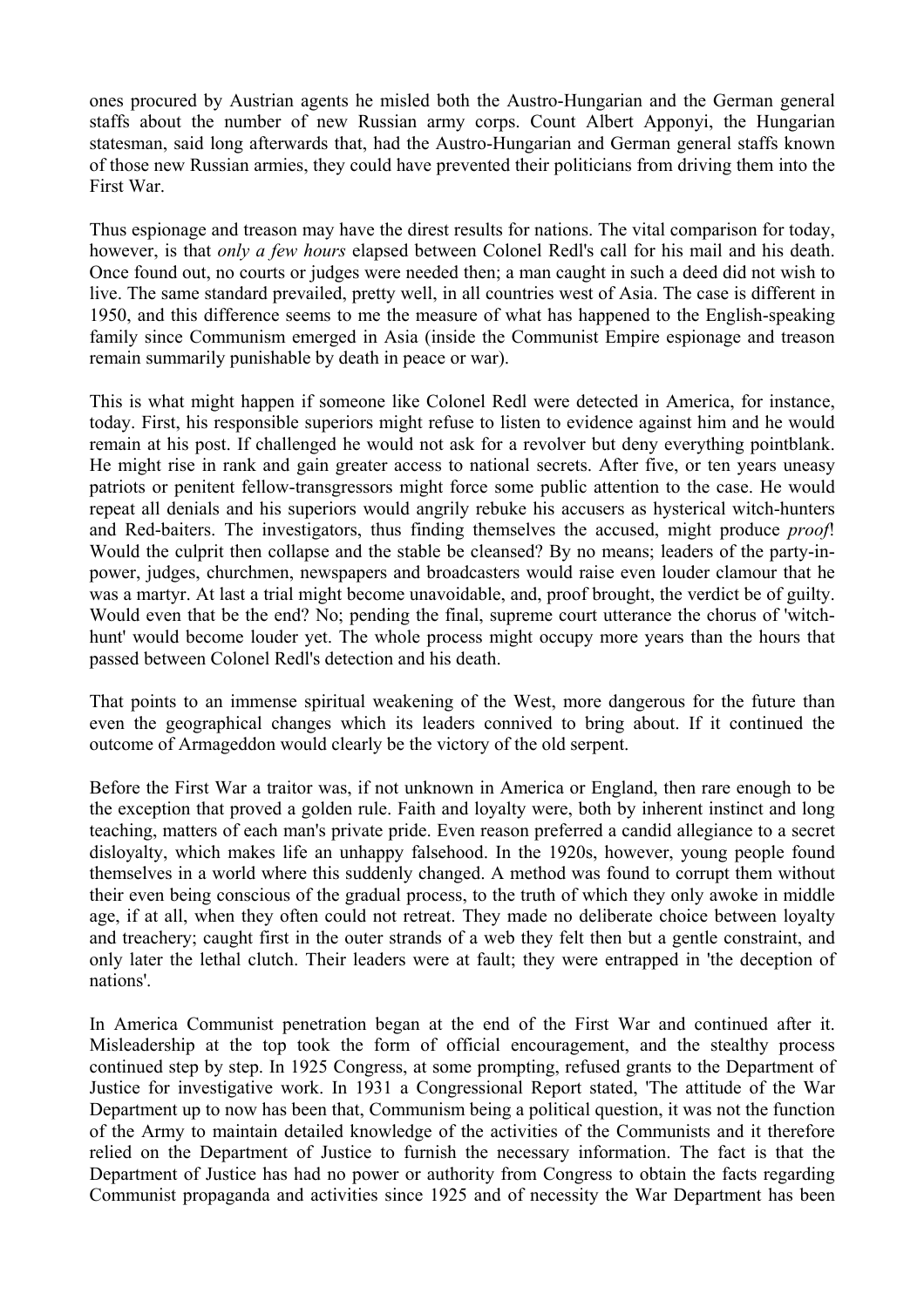ones procured by Austrian agents he misled both the Austro-Hungarian and the German general staffs about the number of new Russian army corps. Count Albert Apponyi, the Hungarian statesman, said long afterwards that, had the Austro-Hungarian and German general staffs known of those new Russian armies, they could have prevented their politicians from driving them into the First War.

Thus espionage and treason may have the direst results for nations. The vital comparison for today, however, is that *only a few hours* elapsed between Colonel Redl's call for his mail and his death. Once found out, no courts or judges were needed then; a man caught in such a deed did not wish to live. The same standard prevailed, pretty well, in all countries west of Asia. The case is different in 1950, and this difference seems to me the measure of what has happened to the English-speaking family since Communism emerged in Asia (inside the Communist Empire espionage and treason remain summarily punishable by death in peace or war).

This is what might happen if someone like Colonel Redl were detected in America, for instance, today. First, his responsible superiors might refuse to listen to evidence against him and he would remain at his post. If challenged he would not ask for a revolver but deny everything pointblank. He might rise in rank and gain greater access to national secrets. After five, or ten years uneasy patriots or penitent fellow-transgressors might force some public attention to the case. He would repeat all denials and his superiors would angrily rebuke his accusers as hysterical witch-hunters and Red-baiters. The investigators, thus finding themselves the accused, might produce *proof*! Would the culprit then collapse and the stable be cleansed? By no means; leaders of the party-inpower, judges, churchmen, newspapers and broadcasters would raise even louder clamour that he was a martyr. At last a trial might become unavoidable, and, proof brought, the verdict be of guilty. Would even that be the end? No; pending the final, supreme court utterance the chorus of 'witchhunt' would become louder yet. The whole process might occupy more years than the hours that passed between Colonel Redl's detection and his death.

That points to an immense spiritual weakening of the West, more dangerous for the future than even the geographical changes which its leaders connived to bring about. If it continued the outcome of Armageddon would clearly be the victory of the old serpent.

Before the First War a traitor was, if not unknown in America or England, then rare enough to be the exception that proved a golden rule. Faith and loyalty were, both by inherent instinct and long teaching, matters of each man's private pride. Even reason preferred a candid allegiance to a secret disloyalty, which makes life an unhappy falsehood. In the 1920s, however, young people found themselves in a world where this suddenly changed. A method was found to corrupt them without their even being conscious of the gradual process, to the truth of which they only awoke in middle age, if at all, when they often could not retreat. They made no deliberate choice between loyalty and treachery; caught first in the outer strands of a web they felt then but a gentle constraint, and only later the lethal clutch. Their leaders were at fault; they were entrapped in 'the deception of nations'.

In America Communist penetration began at the end of the First War and continued after it. Misleadership at the top took the form of official encouragement, and the stealthy process continued step by step. In 1925 Congress, at some prompting, refused grants to the Department of Justice for investigative work. In 1931 a Congressional Report stated, 'The attitude of the War Department up to now has been that, Communism being a political question, it was not the function of the Army to maintain detailed knowledge of the activities of the Communists and it therefore relied on the Department of Justice to furnish the necessary information. The fact is that the Department of Justice has had no power or authority from Congress to obtain the facts regarding Communist propaganda and activities since 1925 and of necessity the War Department has been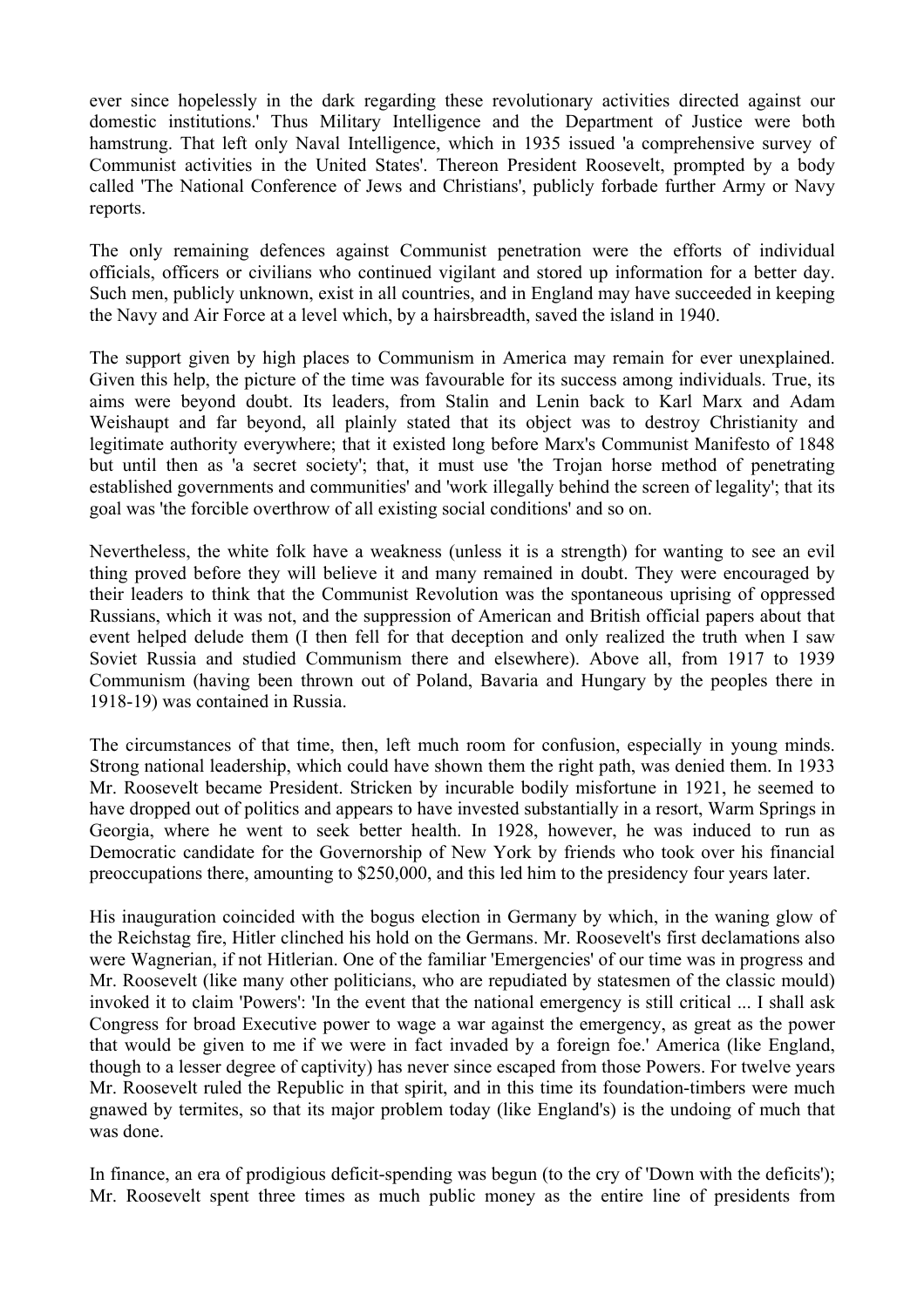ever since hopelessly in the dark regarding these revolutionary activities directed against our domestic institutions.' Thus Military Intelligence and the Department of Justice were both hamstrung. That left only Naval Intelligence, which in 1935 issued 'a comprehensive survey of Communist activities in the United States'. Thereon President Roosevelt, prompted by a body called 'The National Conference of Jews and Christians', publicly forbade further Army or Navy reports.

The only remaining defences against Communist penetration were the efforts of individual officials, officers or civilians who continued vigilant and stored up information for a better day. Such men, publicly unknown, exist in all countries, and in England may have succeeded in keeping the Navy and Air Force at a level which, by a hairsbreadth, saved the island in 1940.

The support given by high places to Communism in America may remain for ever unexplained. Given this help, the picture of the time was favourable for its success among individuals. True, its aims were beyond doubt. Its leaders, from Stalin and Lenin back to Karl Marx and Adam Weishaupt and far beyond, all plainly stated that its object was to destroy Christianity and legitimate authority everywhere; that it existed long before Marx's Communist Manifesto of 1848 but until then as 'a secret society'; that, it must use 'the Trojan horse method of penetrating established governments and communities' and 'work illegally behind the screen of legality'; that its goal was 'the forcible overthrow of all existing social conditions' and so on.

Nevertheless, the white folk have a weakness (unless it is a strength) for wanting to see an evil thing proved before they will believe it and many remained in doubt. They were encouraged by their leaders to think that the Communist Revolution was the spontaneous uprising of oppressed Russians, which it was not, and the suppression of American and British official papers about that event helped delude them (I then fell for that deception and only realized the truth when I saw Soviet Russia and studied Communism there and elsewhere). Above all, from 1917 to 1939 Communism (having been thrown out of Poland, Bavaria and Hungary by the peoples there in 1918-19) was contained in Russia.

The circumstances of that time, then, left much room for confusion, especially in young minds. Strong national leadership, which could have shown them the right path, was denied them. In 1933 Mr. Roosevelt became President. Stricken by incurable bodily misfortune in 1921, he seemed to have dropped out of politics and appears to have invested substantially in a resort, Warm Springs in Georgia, where he went to seek better health. In 1928, however, he was induced to run as Democratic candidate for the Governorship of New York by friends who took over his financial preoccupations there, amounting to \$250,000, and this led him to the presidency four years later.

His inauguration coincided with the bogus election in Germany by which, in the waning glow of the Reichstag fire, Hitler clinched his hold on the Germans. Mr. Roosevelt's first declamations also were Wagnerian, if not Hitlerian. One of the familiar 'Emergencies' of our time was in progress and Mr. Roosevelt (like many other politicians, who are repudiated by statesmen of the classic mould) invoked it to claim 'Powers': 'In the event that the national emergency is still critical ... I shall ask Congress for broad Executive power to wage a war against the emergency, as great as the power that would be given to me if we were in fact invaded by a foreign foe.' America (like England, though to a lesser degree of captivity) has never since escaped from those Powers. For twelve years Mr. Roosevelt ruled the Republic in that spirit, and in this time its foundation-timbers were much gnawed by termites, so that its major problem today (like England's) is the undoing of much that was done.

In finance, an era of prodigious deficit-spending was begun (to the cry of 'Down with the deficits'); Mr. Roosevelt spent three times as much public money as the entire line of presidents from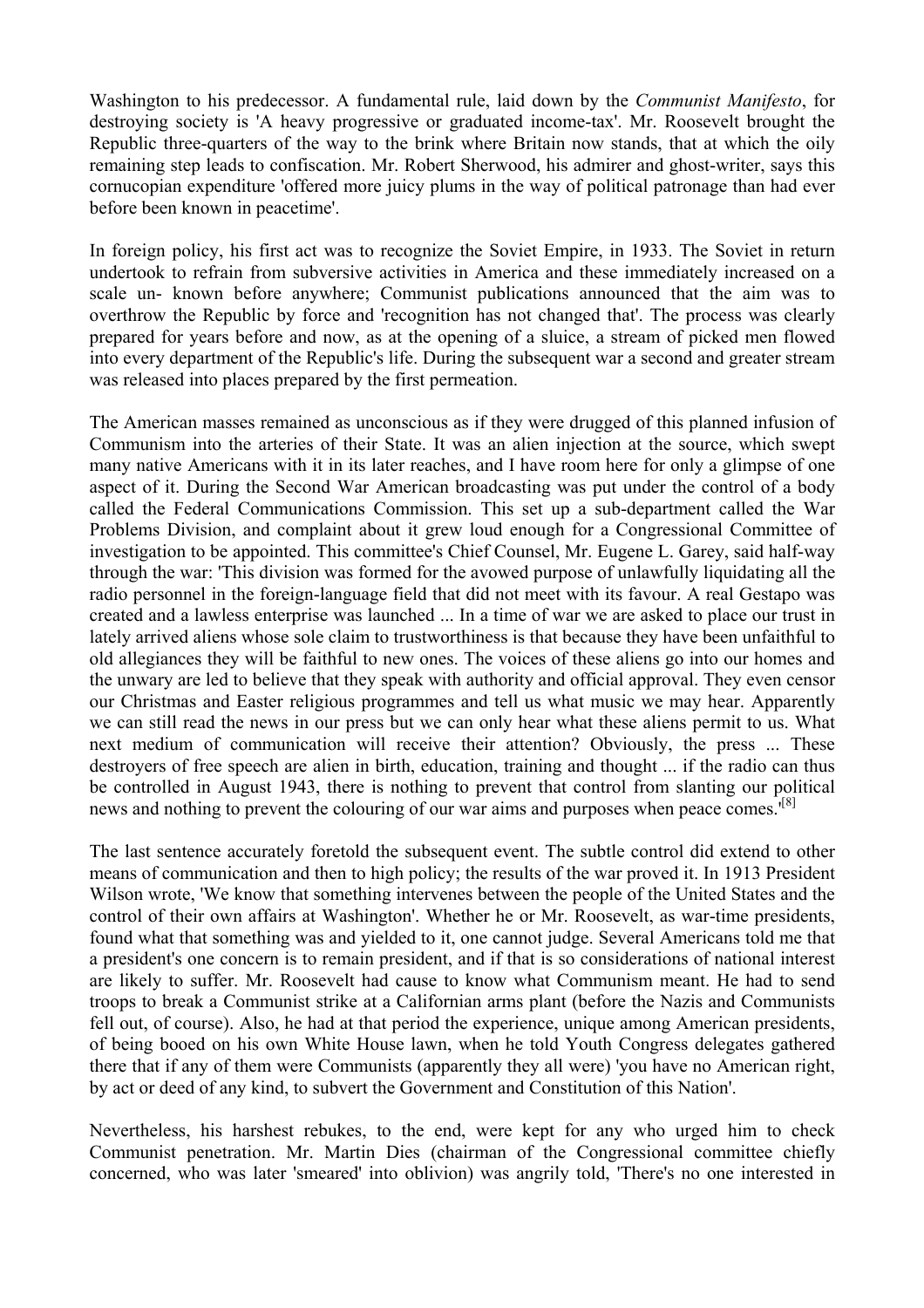Washington to his predecessor. A fundamental rule, laid down by the *Communist Manifesto*, for destroying society is 'A heavy progressive or graduated income-tax'. Mr. Roosevelt brought the Republic three-quarters of the way to the brink where Britain now stands, that at which the oily remaining step leads to confiscation. Mr. Robert Sherwood, his admirer and ghost-writer, says this cornucopian expenditure 'offered more juicy plums in the way of political patronage than had ever before been known in peacetime'.

In foreign policy, his first act was to recognize the Soviet Empire, in 1933. The Soviet in return undertook to refrain from subversive activities in America and these immediately increased on a scale un- known before anywhere; Communist publications announced that the aim was to overthrow the Republic by force and 'recognition has not changed that'. The process was clearly prepared for years before and now, as at the opening of a sluice, a stream of picked men flowed into every department of the Republic's life. During the subsequent war a second and greater stream was released into places prepared by the first permeation.

The American masses remained as unconscious as if they were drugged of this planned infusion of Communism into the arteries of their State. It was an alien injection at the source, which swept many native Americans with it in its later reaches, and I have room here for only a glimpse of one aspect of it. During the Second War American broadcasting was put under the control of a body called the Federal Communications Commission. This set up a sub-department called the War Problems Division, and complaint about it grew loud enough for a Congressional Committee of investigation to be appointed. This committee's Chief Counsel, Mr. Eugene L. Garey, said half-way through the war: 'This division was formed for the avowed purpose of unlawfully liquidating all the radio personnel in the foreign-language field that did not meet with its favour. A real Gestapo was created and a lawless enterprise was launched ... In a time of war we are asked to place our trust in lately arrived aliens whose sole claim to trustworthiness is that because they have been unfaithful to old allegiances they will be faithful to new ones. The voices of these aliens go into our homes and the unwary are led to believe that they speak with authority and official approval. They even censor our Christmas and Easter religious programmes and tell us what music we may hear. Apparently we can still read the news in our press but we can only hear what these aliens permit to us. What next medium of communication will receive their attention? Obviously, the press ... These destroyers of free speech are alien in birth, education, training and thought ... if the radio can thus be controlled in August 1943, there is nothing to prevent that control from slanting our political news and nothing to prevent the colouring of our war aims and purposes when peace comes.<sup>[\[8\]](#page-237-0)</sup>

The last sentence accurately foretold the subsequent event. The subtle control did extend to other means of communication and then to high policy; the results of the war proved it. In 1913 President Wilson wrote, 'We know that something intervenes between the people of the United States and the control of their own affairs at Washington'. Whether he or Mr. Roosevelt, as war-time presidents, found what that something was and yielded to it, one cannot judge. Several Americans told me that a president's one concern is to remain president, and if that is so considerations of national interest are likely to suffer. Mr. Roosevelt had cause to know what Communism meant. He had to send troops to break a Communist strike at a Californian arms plant (before the Nazis and Communists fell out, of course). Also, he had at that period the experience, unique among American presidents, of being booed on his own White House lawn, when he told Youth Congress delegates gathered there that if any of them were Communists (apparently they all were) 'you have no American right, by act or deed of any kind, to subvert the Government and Constitution of this Nation'.

Nevertheless, his harshest rebukes, to the end, were kept for any who urged him to check Communist penetration. Mr. Martin Dies (chairman of the Congressional committee chiefly concerned, who was later 'smeared' into oblivion) was angrily told, 'There's no one interested in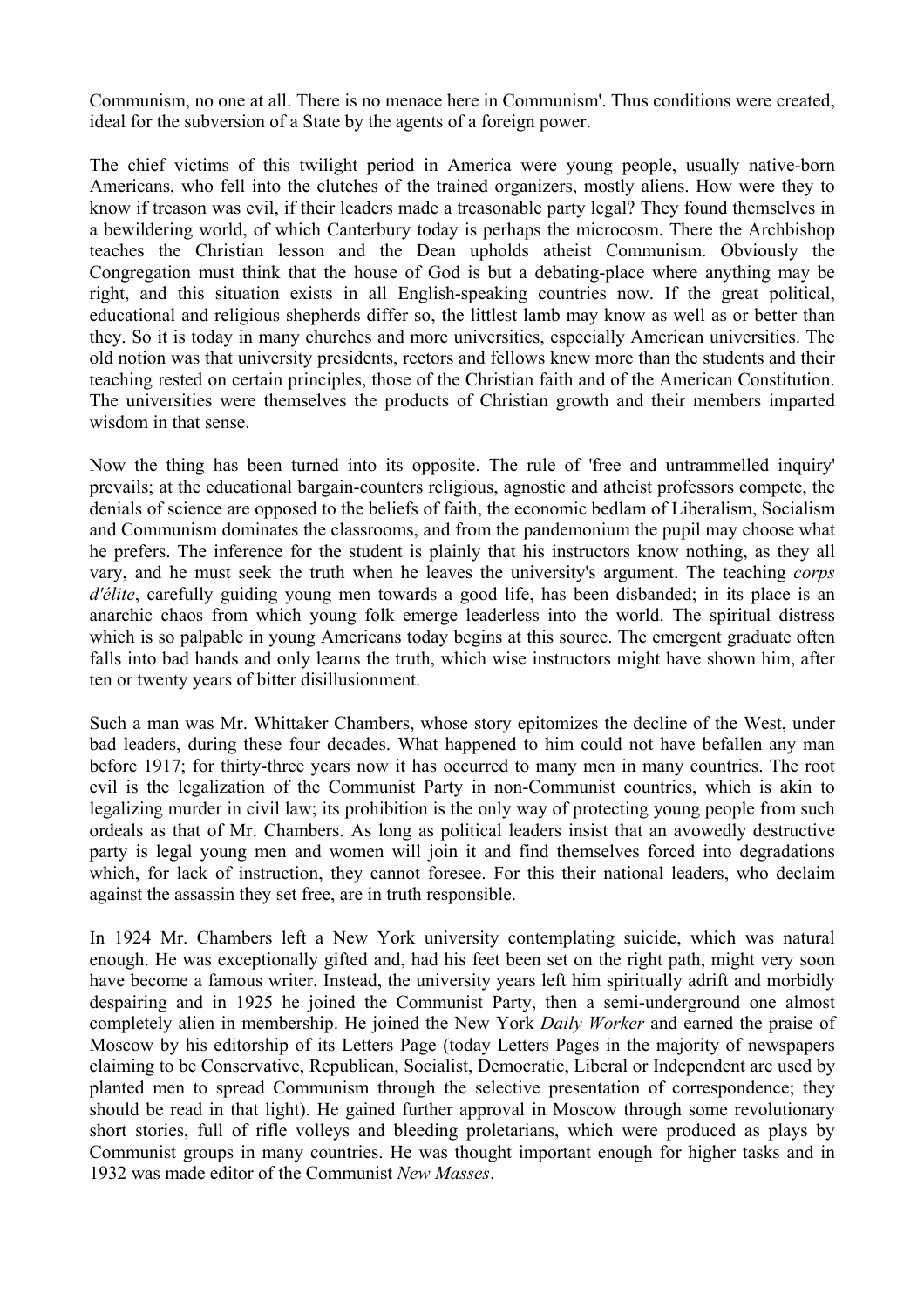Communism, no one at all. There is no menace here in Communism'. Thus conditions were created, ideal for the subversion of a State by the agents of a foreign power.

The chief victims of this twilight period in America were young people, usually native-born Americans, who fell into the clutches of the trained organizers, mostly aliens. How were they to know if treason was evil, if their leaders made a treasonable party legal? They found themselves in a bewildering world, of which Canterbury today is perhaps the microcosm. There the Archbishop teaches the Christian lesson and the Dean upholds atheist Communism. Obviously the Congregation must think that the house of God is but a debating-place where anything may be right, and this situation exists in all English-speaking countries now. If the great political, educational and religious shepherds differ so, the littlest lamb may know as well as or better than they. So it is today in many churches and more universities, especially American universities. The old notion was that university presidents, rectors and fellows knew more than the students and their teaching rested on certain principles, those of the Christian faith and of the American Constitution. The universities were themselves the products of Christian growth and their members imparted wisdom in that sense.

Now the thing has been turned into its opposite. The rule of 'free and untrammelled inquiry' prevails; at the educational bargain-counters religious, agnostic and atheist professors compete, the denials of science are opposed to the beliefs of faith, the economic bedlam of Liberalism, Socialism and Communism dominates the classrooms, and from the pandemonium the pupil may choose what he prefers. The inference for the student is plainly that his instructors know nothing, as they all vary, and he must seek the truth when he leaves the university's argument. The teaching *corps d'élite*, carefully guiding young men towards a good life, has been disbanded; in its place is an anarchic chaos from which young folk emerge leaderless into the world. The spiritual distress which is so palpable in young Americans today begins at this source. The emergent graduate often falls into bad hands and only learns the truth, which wise instructors might have shown him, after ten or twenty years of bitter disillusionment.

Such a man was Mr. Whittaker Chambers, whose story epitomizes the decline of the West, under bad leaders, during these four decades. What happened to him could not have befallen any man before 1917; for thirty-three years now it has occurred to many men in many countries. The root evil is the legalization of the Communist Party in non-Communist countries, which is akin to legalizing murder in civil law; its prohibition is the only way of protecting young people from such ordeals as that of Mr. Chambers. As long as political leaders insist that an avowedly destructive party is legal young men and women will join it and find themselves forced into degradations which, for lack of instruction, they cannot foresee. For this their national leaders, who declaim against the assassin they set free, are in truth responsible.

In 1924 Mr. Chambers left a New York university contemplating suicide, which was natural enough. He was exceptionally gifted and, had his feet been set on the right path, might very soon have become a famous writer. Instead, the university years left him spiritually adrift and morbidly despairing and in 1925 he joined the Communist Party, then a semi-underground one almost completely alien in membership. He joined the New York *Daily Worker* and earned the praise of Moscow by his editorship of its Letters Page (today Letters Pages in the majority of newspapers claiming to be Conservative, Republican, Socialist, Democratic, Liberal or Independent are used by planted men to spread Communism through the selective presentation of correspondence; they should be read in that light). He gained further approval in Moscow through some revolutionary short stories, full of rifle volleys and bleeding proletarians, which were produced as plays by Communist groups in many countries. He was thought important enough for higher tasks and in 1932 was made editor of the Communist *New Masses*.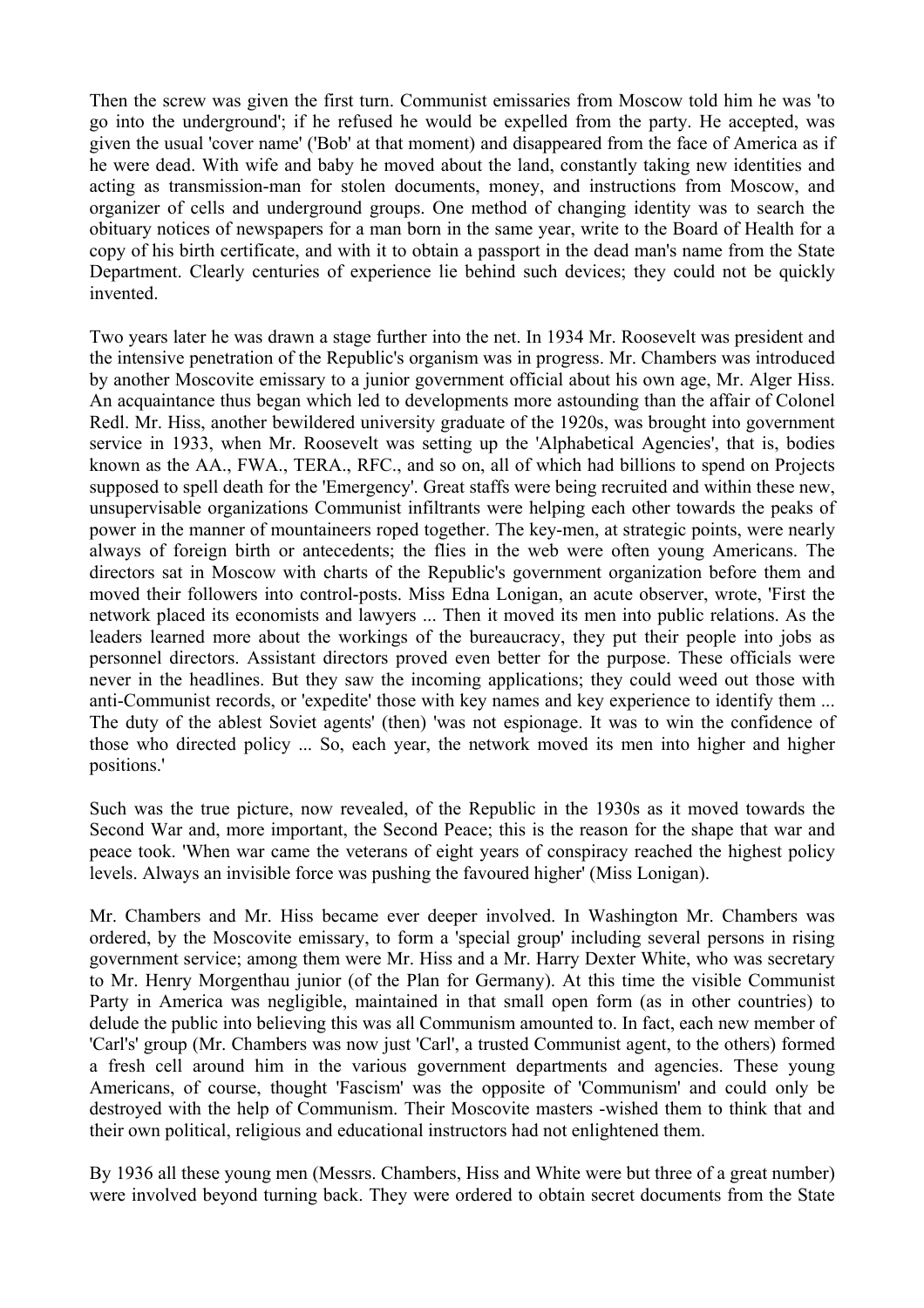Then the screw was given the first turn. Communist emissaries from Moscow told him he was 'to go into the underground'; if he refused he would be expelled from the party. He accepted, was given the usual 'cover name' ('Bob' at that moment) and disappeared from the face of America as if he were dead. With wife and baby he moved about the land, constantly taking new identities and acting as transmission-man for stolen documents, money, and instructions from Moscow, and organizer of cells and underground groups. One method of changing identity was to search the obituary notices of newspapers for a man born in the same year, write to the Board of Health for a copy of his birth certificate, and with it to obtain a passport in the dead man's name from the State Department. Clearly centuries of experience lie behind such devices; they could not be quickly invented.

Two years later he was drawn a stage further into the net. In 1934 Mr. Roosevelt was president and the intensive penetration of the Republic's organism was in progress. Mr. Chambers was introduced by another Moscovite emissary to a junior government official about his own age, Mr. Alger Hiss. An acquaintance thus began which led to developments more astounding than the affair of Colonel Redl. Mr. Hiss, another bewildered university graduate of the 1920s, was brought into government service in 1933, when Mr. Roosevelt was setting up the 'Alphabetical Agencies', that is, bodies known as the AA., FWA., TERA., RFC., and so on, all of which had billions to spend on Projects supposed to spell death for the 'Emergency'. Great staffs were being recruited and within these new, unsupervisable organizations Communist infiltrants were helping each other towards the peaks of power in the manner of mountaineers roped together. The key-men, at strategic points, were nearly always of foreign birth or antecedents; the flies in the web were often young Americans. The directors sat in Moscow with charts of the Republic's government organization before them and moved their followers into control-posts. Miss Edna Lonigan, an acute observer, wrote, 'First the network placed its economists and lawyers ... Then it moved its men into public relations. As the leaders learned more about the workings of the bureaucracy, they put their people into jobs as personnel directors. Assistant directors proved even better for the purpose. These officials were never in the headlines. But they saw the incoming applications; they could weed out those with anti-Communist records, or 'expedite' those with key names and key experience to identify them ... The duty of the ablest Soviet agents' (then) 'was not espionage. It was to win the confidence of those who directed policy ... So, each year, the network moved its men into higher and higher positions.'

Such was the true picture, now revealed, of the Republic in the 1930s as it moved towards the Second War and, more important, the Second Peace; this is the reason for the shape that war and peace took. 'When war came the veterans of eight years of conspiracy reached the highest policy levels. Always an invisible force was pushing the favoured higher' (Miss Lonigan).

Mr. Chambers and Mr. Hiss became ever deeper involved. In Washington Mr. Chambers was ordered, by the Moscovite emissary, to form a 'special group' including several persons in rising government service; among them were Mr. Hiss and a Mr. Harry Dexter White, who was secretary to Mr. Henry Morgenthau junior (of the Plan for Germany). At this time the visible Communist Party in America was negligible, maintained in that small open form (as in other countries) to delude the public into believing this was all Communism amounted to. In fact, each new member of 'Carl's' group (Mr. Chambers was now just 'Carl', a trusted Communist agent, to the others) formed a fresh cell around him in the various government departments and agencies. These young Americans, of course, thought 'Fascism' was the opposite of 'Communism' and could only be destroyed with the help of Communism. Their Moscovite masters -wished them to think that and their own political, religious and educational instructors had not enlightened them.

By 1936 all these young men (Messrs. Chambers, Hiss and White were but three of a great number) were involved beyond turning back. They were ordered to obtain secret documents from the State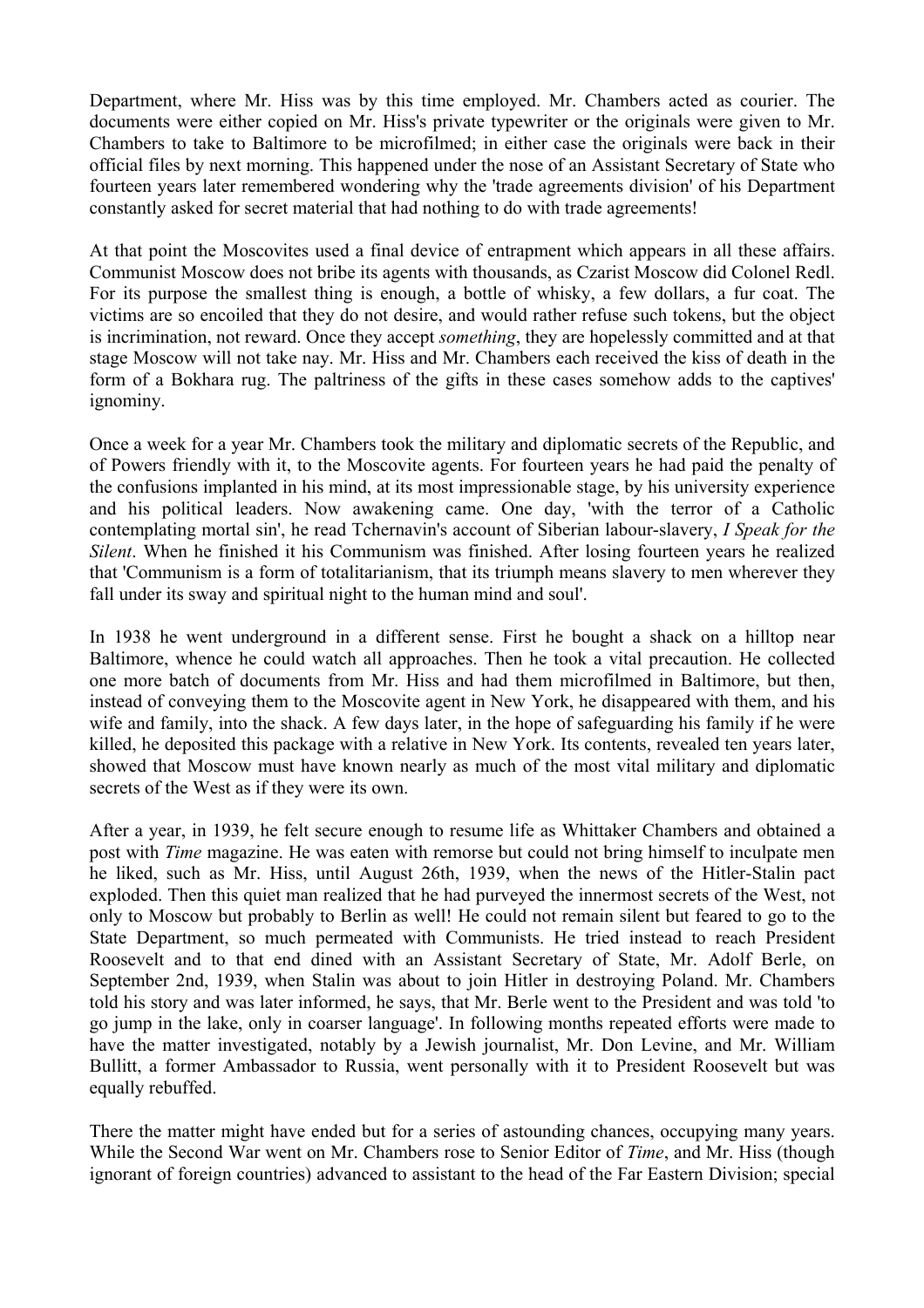Department, where Mr. Hiss was by this time employed. Mr. Chambers acted as courier. The documents were either copied on Mr. Hiss's private typewriter or the originals were given to Mr. Chambers to take to Baltimore to be microfilmed; in either case the originals were back in their official files by next morning. This happened under the nose of an Assistant Secretary of State who fourteen years later remembered wondering why the 'trade agreements division' of his Department constantly asked for secret material that had nothing to do with trade agreements!

At that point the Moscovites used a final device of entrapment which appears in all these affairs. Communist Moscow does not bribe its agents with thousands, as Czarist Moscow did Colonel Redl. For its purpose the smallest thing is enough, a bottle of whisky, a few dollars, a fur coat. The victims are so encoiled that they do not desire, and would rather refuse such tokens, but the object is incrimination, not reward. Once they accept *something*, they are hopelessly committed and at that stage Moscow will not take nay. Mr. Hiss and Mr. Chambers each received the kiss of death in the form of a Bokhara rug. The paltriness of the gifts in these cases somehow adds to the captives' ignominy.

Once a week for a year Mr. Chambers took the military and diplomatic secrets of the Republic, and of Powers friendly with it, to the Moscovite agents. For fourteen years he had paid the penalty of the confusions implanted in his mind, at its most impressionable stage, by his university experience and his political leaders. Now awakening came. One day, 'with the terror of a Catholic contemplating mortal sin', he read Tchernavin's account of Siberian labour-slavery, *I Speak for the Silent*. When he finished it his Communism was finished. After losing fourteen years he realized that 'Communism is a form of totalitarianism, that its triumph means slavery to men wherever they fall under its sway and spiritual night to the human mind and soul'.

In 1938 he went underground in a different sense. First he bought a shack on a hilltop near Baltimore, whence he could watch all approaches. Then he took a vital precaution. He collected one more batch of documents from Mr. Hiss and had them microfilmed in Baltimore, but then, instead of conveying them to the Moscovite agent in New York, he disappeared with them, and his wife and family, into the shack. A few days later, in the hope of safeguarding his family if he were killed, he deposited this package with a relative in New York. Its contents, revealed ten years later, showed that Moscow must have known nearly as much of the most vital military and diplomatic secrets of the West as if they were its own.

After a year, in 1939, he felt secure enough to resume life as Whittaker Chambers and obtained a post with *Time* magazine. He was eaten with remorse but could not bring himself to inculpate men he liked, such as Mr. Hiss, until August 26th, 1939, when the news of the Hitler-Stalin pact exploded. Then this quiet man realized that he had purveyed the innermost secrets of the West, not only to Moscow but probably to Berlin as well! He could not remain silent but feared to go to the State Department, so much permeated with Communists. He tried instead to reach President Roosevelt and to that end dined with an Assistant Secretary of State, Mr. Adolf Berle, on September 2nd, 1939, when Stalin was about to join Hitler in destroying Poland. Mr. Chambers told his story and was later informed, he says, that Mr. Berle went to the President and was told 'to go jump in the lake, only in coarser language'. In following months repeated efforts were made to have the matter investigated, notably by a Jewish journalist, Mr. Don Levine, and Mr. William Bullitt, a former Ambassador to Russia, went personally with it to President Roosevelt but was equally rebuffed.

There the matter might have ended but for a series of astounding chances, occupying many years. While the Second War went on Mr. Chambers rose to Senior Editor of *Time*, and Mr. Hiss (though ignorant of foreign countries) advanced to assistant to the head of the Far Eastern Division; special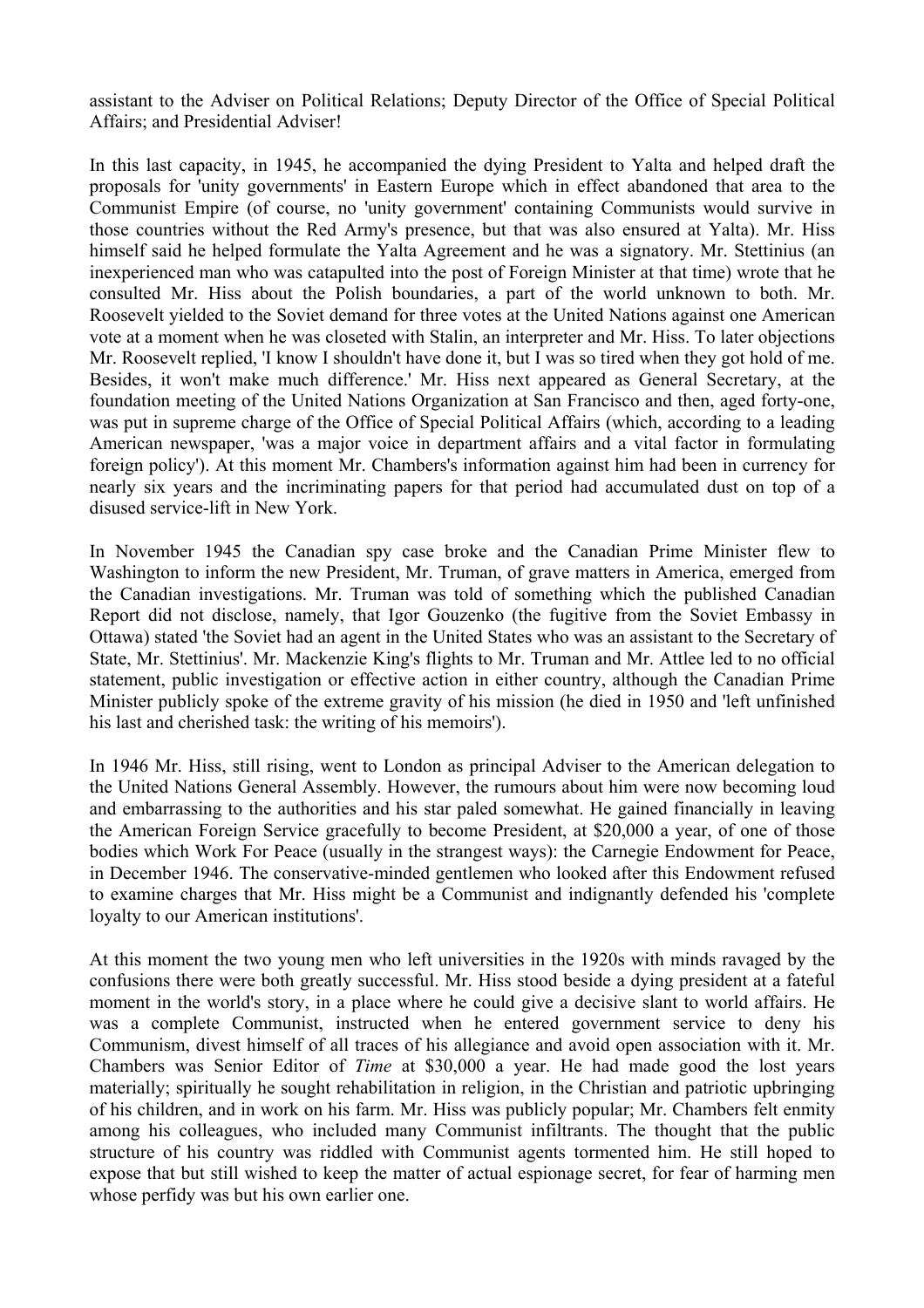assistant to the Adviser on Political Relations; Deputy Director of the Office of Special Political Affairs; and Presidential Adviser!

In this last capacity, in 1945, he accompanied the dying President to Yalta and helped draft the proposals for 'unity governments' in Eastern Europe which in effect abandoned that area to the Communist Empire (of course, no 'unity government' containing Communists would survive in those countries without the Red Army's presence, but that was also ensured at Yalta). Mr. Hiss himself said he helped formulate the Yalta Agreement and he was a signatory. Mr. Stettinius (an inexperienced man who was catapulted into the post of Foreign Minister at that time) wrote that he consulted Mr. Hiss about the Polish boundaries, a part of the world unknown to both. Mr. Roosevelt yielded to the Soviet demand for three votes at the United Nations against one American vote at a moment when he was closeted with Stalin, an interpreter and Mr. Hiss. To later objections Mr. Roosevelt replied, 'I know I shouldn't have done it, but I was so tired when they got hold of me. Besides, it won't make much difference.' Mr. Hiss next appeared as General Secretary, at the foundation meeting of the United Nations Organization at San Francisco and then, aged forty-one, was put in supreme charge of the Office of Special Political Affairs (which, according to a leading American newspaper, 'was a major voice in department affairs and a vital factor in formulating foreign policy'). At this moment Mr. Chambers's information against him had been in currency for nearly six years and the incriminating papers for that period had accumulated dust on top of a disused service-lift in New York.

In November 1945 the Canadian spy case broke and the Canadian Prime Minister flew to Washington to inform the new President, Mr. Truman, of grave matters in America, emerged from the Canadian investigations. Mr. Truman was told of something which the published Canadian Report did not disclose, namely, that Igor Gouzenko (the fugitive from the Soviet Embassy in Ottawa) stated 'the Soviet had an agent in the United States who was an assistant to the Secretary of State, Mr. Stettinius'. Mr. Mackenzie King's flights to Mr. Truman and Mr. Attlee led to no official statement, public investigation or effective action in either country, although the Canadian Prime Minister publicly spoke of the extreme gravity of his mission (he died in 1950 and 'left unfinished his last and cherished task: the writing of his memoirs').

In 1946 Mr. Hiss, still rising, went to London as principal Adviser to the American delegation to the United Nations General Assembly. However, the rumours about him were now becoming loud and embarrassing to the authorities and his star paled somewhat. He gained financially in leaving the American Foreign Service gracefully to become President, at \$20,000 a year, of one of those bodies which Work For Peace (usually in the strangest ways): the Carnegie Endowment for Peace, in December 1946. The conservative-minded gentlemen who looked after this Endowment refused to examine charges that Mr. Hiss might be a Communist and indignantly defended his 'complete loyalty to our American institutions'.

At this moment the two young men who left universities in the 1920s with minds ravaged by the confusions there were both greatly successful. Mr. Hiss stood beside a dying president at a fateful moment in the world's story, in a place where he could give a decisive slant to world affairs. He was a complete Communist, instructed when he entered government service to deny his Communism, divest himself of all traces of his allegiance and avoid open association with it. Mr. Chambers was Senior Editor of *Time* at \$30,000 a year. He had made good the lost years materially; spiritually he sought rehabilitation in religion, in the Christian and patriotic upbringing of his children, and in work on his farm. Mr. Hiss was publicly popular; Mr. Chambers felt enmity among his colleagues, who included many Communist infiltrants. The thought that the public structure of his country was riddled with Communist agents tormented him. He still hoped to expose that but still wished to keep the matter of actual espionage secret, for fear of harming men whose perfidy was but his own earlier one.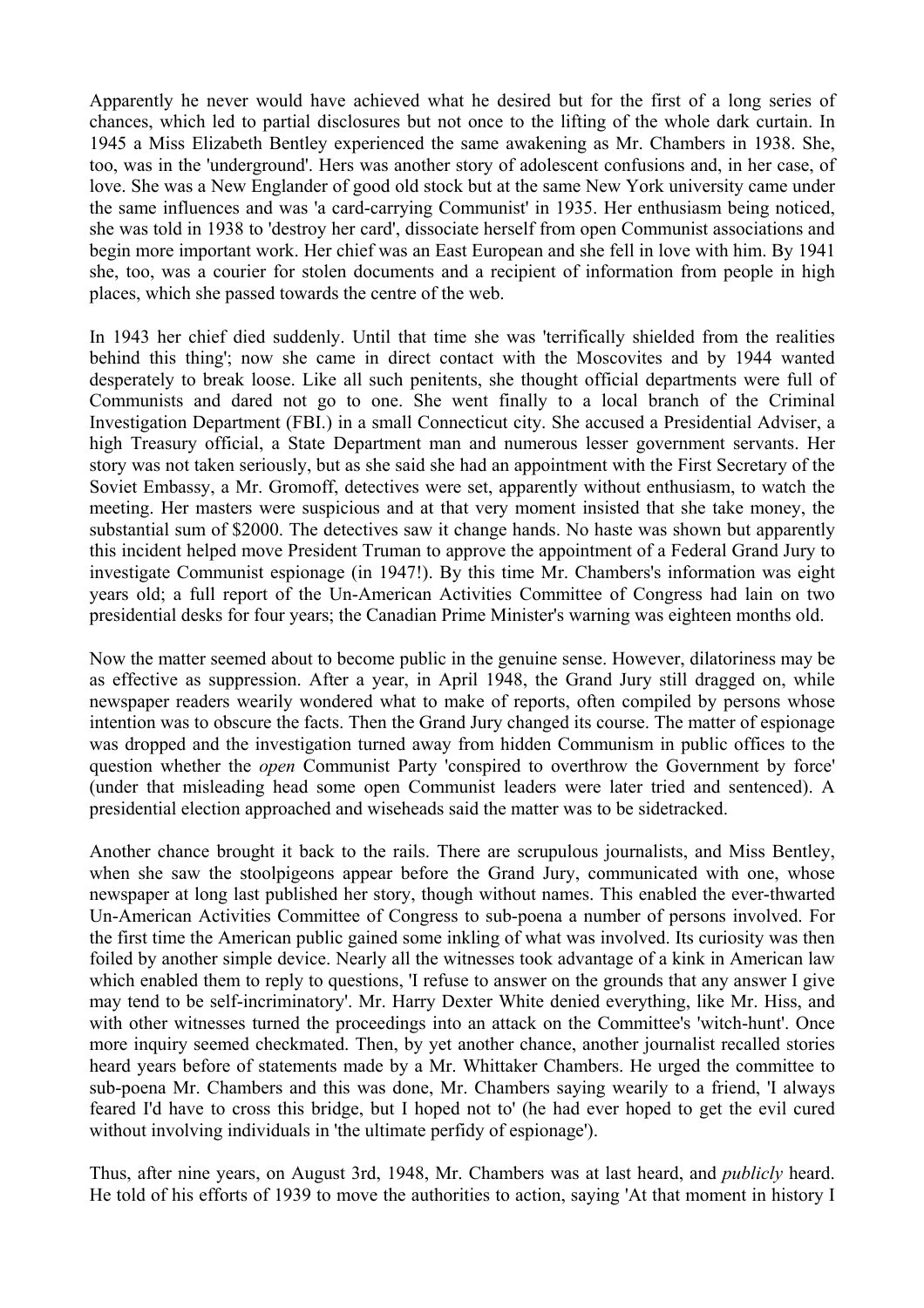Apparently he never would have achieved what he desired but for the first of a long series of chances, which led to partial disclosures but not once to the lifting of the whole dark curtain. In 1945 a Miss Elizabeth Bentley experienced the same awakening as Mr. Chambers in 1938. She, too, was in the 'underground'. Hers was another story of adolescent confusions and, in her case, of love. She was a New Englander of good old stock but at the same New York university came under the same influences and was 'a card-carrying Communist' in 1935. Her enthusiasm being noticed, she was told in 1938 to 'destroy her card', dissociate herself from open Communist associations and begin more important work. Her chief was an East European and she fell in love with him. By 1941 she, too, was a courier for stolen documents and a recipient of information from people in high places, which she passed towards the centre of the web.

In 1943 her chief died suddenly. Until that time she was 'terrifically shielded from the realities behind this thing'; now she came in direct contact with the Moscovites and by 1944 wanted desperately to break loose. Like all such penitents, she thought official departments were full of Communists and dared not go to one. She went finally to a local branch of the Criminal Investigation Department (FBI.) in a small Connecticut city. She accused a Presidential Adviser, a high Treasury official, a State Department man and numerous lesser government servants. Her story was not taken seriously, but as she said she had an appointment with the First Secretary of the Soviet Embassy, a Mr. Gromoff, detectives were set, apparently without enthusiasm, to watch the meeting. Her masters were suspicious and at that very moment insisted that she take money, the substantial sum of \$2000. The detectives saw it change hands. No haste was shown but apparently this incident helped move President Truman to approve the appointment of a Federal Grand Jury to investigate Communist espionage (in 1947!). By this time Mr. Chambers's information was eight years old; a full report of the Un-American Activities Committee of Congress had lain on two presidential desks for four years; the Canadian Prime Minister's warning was eighteen months old.

Now the matter seemed about to become public in the genuine sense. However, dilatoriness may be as effective as suppression. After a year, in April 1948, the Grand Jury still dragged on, while newspaper readers wearily wondered what to make of reports, often compiled by persons whose intention was to obscure the facts. Then the Grand Jury changed its course. The matter of espionage was dropped and the investigation turned away from hidden Communism in public offices to the question whether the *open* Communist Party 'conspired to overthrow the Government by force' (under that misleading head some open Communist leaders were later tried and sentenced). A presidential election approached and wiseheads said the matter was to be sidetracked.

Another chance brought it back to the rails. There are scrupulous journalists, and Miss Bentley, when she saw the stoolpigeons appear before the Grand Jury, communicated with one, whose newspaper at long last published her story, though without names. This enabled the ever-thwarted Un-American Activities Committee of Congress to sub-poena a number of persons involved. For the first time the American public gained some inkling of what was involved. Its curiosity was then foiled by another simple device. Nearly all the witnesses took advantage of a kink in American law which enabled them to reply to questions, 'I refuse to answer on the grounds that any answer I give may tend to be self-incriminatory'. Mr. Harry Dexter White denied everything, like Mr. Hiss, and with other witnesses turned the proceedings into an attack on the Committee's 'witch-hunt'. Once more inquiry seemed checkmated. Then, by yet another chance, another journalist recalled stories heard years before of statements made by a Mr. Whittaker Chambers. He urged the committee to sub-poena Mr. Chambers and this was done, Mr. Chambers saying wearily to a friend, 'I always feared I'd have to cross this bridge, but I hoped not to' (he had ever hoped to get the evil cured without involving individuals in 'the ultimate perfidy of espionage').

Thus, after nine years, on August 3rd, 1948, Mr. Chambers was at last heard, and *publicly* heard. He told of his efforts of 1939 to move the authorities to action, saying 'At that moment in history I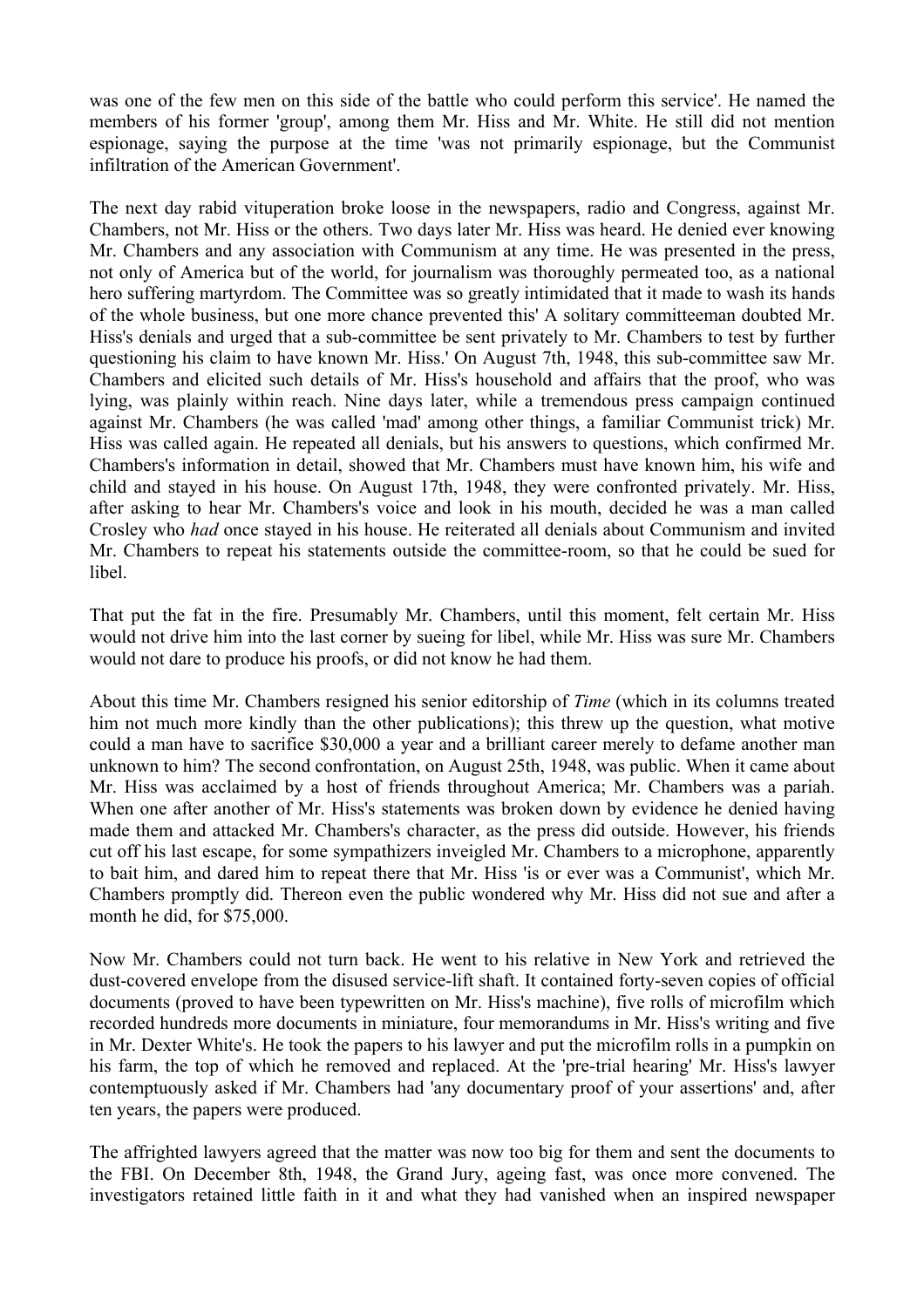was one of the few men on this side of the battle who could perform this service'. He named the members of his former 'group', among them Mr. Hiss and Mr. White. He still did not mention espionage, saying the purpose at the time 'was not primarily espionage, but the Communist infiltration of the American Government'.

The next day rabid vituperation broke loose in the newspapers, radio and Congress, against Mr. Chambers, not Mr. Hiss or the others. Two days later Mr. Hiss was heard. He denied ever knowing Mr. Chambers and any association with Communism at any time. He was presented in the press, not only of America but of the world, for journalism was thoroughly permeated too, as a national hero suffering martyrdom. The Committee was so greatly intimidated that it made to wash its hands of the whole business, but one more chance prevented this' A solitary committeeman doubted Mr. Hiss's denials and urged that a sub-committee be sent privately to Mr. Chambers to test by further questioning his claim to have known Mr. Hiss.' On August 7th, 1948, this sub-committee saw Mr. Chambers and elicited such details of Mr. Hiss's household and affairs that the proof, who was lying, was plainly within reach. Nine days later, while a tremendous press campaign continued against Mr. Chambers (he was called 'mad' among other things, a familiar Communist trick) Mr. Hiss was called again. He repeated all denials, but his answers to questions, which confirmed Mr. Chambers's information in detail, showed that Mr. Chambers must have known him, his wife and child and stayed in his house. On August 17th, 1948, they were confronted privately. Mr. Hiss, after asking to hear Mr. Chambers's voice and look in his mouth, decided he was a man called Crosley who *had* once stayed in his house. He reiterated all denials about Communism and invited Mr. Chambers to repeat his statements outside the committee-room, so that he could be sued for libel.

That put the fat in the fire. Presumably Mr. Chambers, until this moment, felt certain Mr. Hiss would not drive him into the last corner by sueing for libel, while Mr. Hiss was sure Mr. Chambers would not dare to produce his proofs, or did not know he had them.

About this time Mr. Chambers resigned his senior editorship of *Time* (which in its columns treated him not much more kindly than the other publications); this threw up the question, what motive could a man have to sacrifice \$30,000 a year and a brilliant career merely to defame another man unknown to him? The second confrontation, on August 25th, 1948, was public. When it came about Mr. Hiss was acclaimed by a host of friends throughout America; Mr. Chambers was a pariah. When one after another of Mr. Hiss's statements was broken down by evidence he denied having made them and attacked Mr. Chambers's character, as the press did outside. However, his friends cut off his last escape, for some sympathizers inveigled Mr. Chambers to a microphone, apparently to bait him, and dared him to repeat there that Mr. Hiss 'is or ever was a Communist', which Mr. Chambers promptly did. Thereon even the public wondered why Mr. Hiss did not sue and after a month he did, for \$75,000.

Now Mr. Chambers could not turn back. He went to his relative in New York and retrieved the dust-covered envelope from the disused service-lift shaft. It contained forty-seven copies of official documents (proved to have been typewritten on Mr. Hiss's machine), five rolls of microfilm which recorded hundreds more documents in miniature, four memorandums in Mr. Hiss's writing and five in Mr. Dexter White's. He took the papers to his lawyer and put the microfilm rolls in a pumpkin on his farm, the top of which he removed and replaced. At the 'pre-trial hearing' Mr. Hiss's lawyer contemptuously asked if Mr. Chambers had 'any documentary proof of your assertions' and, after ten years, the papers were produced.

The affrighted lawyers agreed that the matter was now too big for them and sent the documents to the FBI. On December 8th, 1948, the Grand Jury, ageing fast, was once more convened. The investigators retained little faith in it and what they had vanished when an inspired newspaper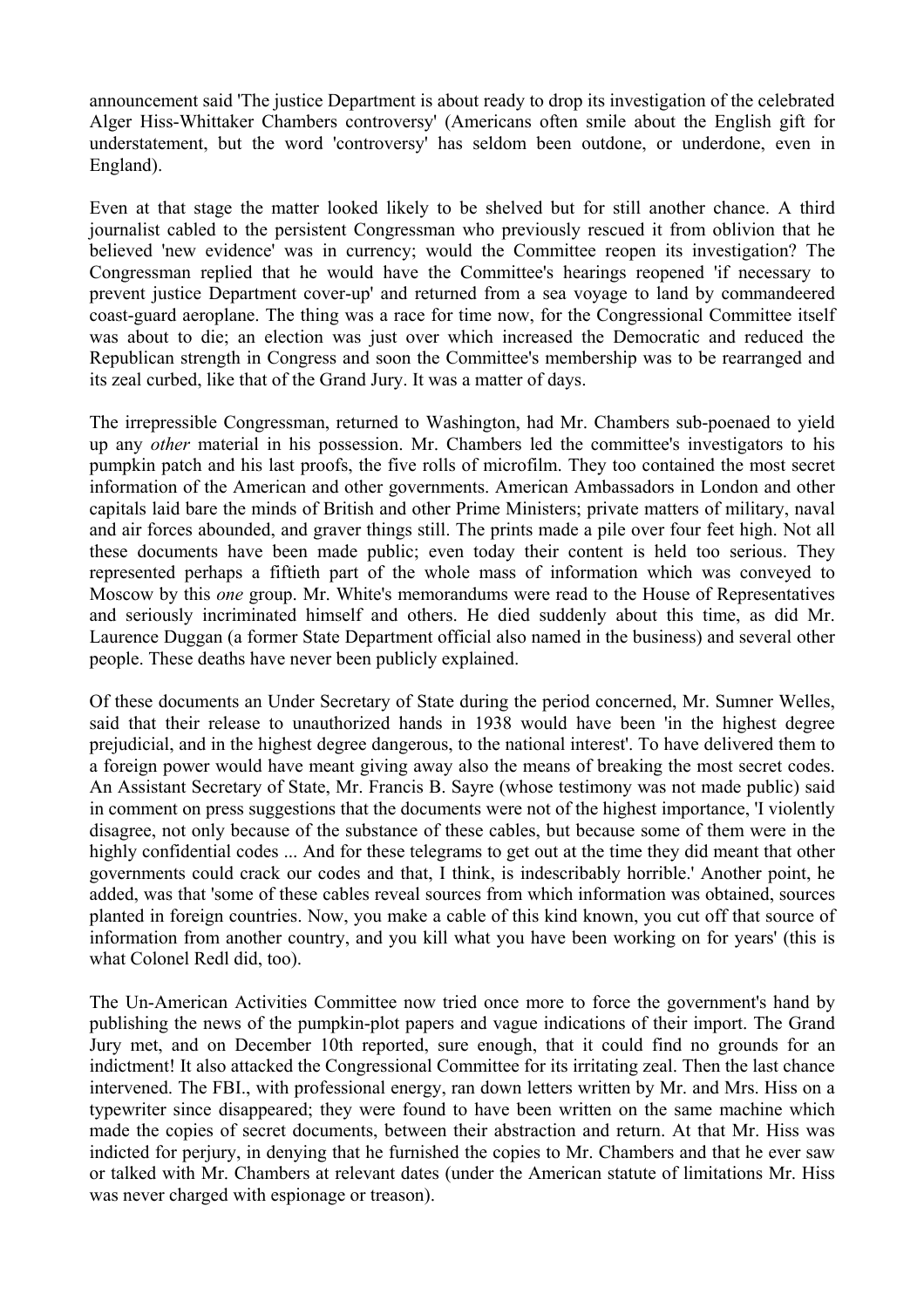announcement said 'The justice Department is about ready to drop its investigation of the celebrated Alger Hiss-Whittaker Chambers controversy' (Americans often smile about the English gift for understatement, but the word 'controversy' has seldom been outdone, or underdone, even in England).

Even at that stage the matter looked likely to be shelved but for still another chance. A third journalist cabled to the persistent Congressman who previously rescued it from oblivion that he believed 'new evidence' was in currency; would the Committee reopen its investigation? The Congressman replied that he would have the Committee's hearings reopened 'if necessary to prevent justice Department cover-up' and returned from a sea voyage to land by commandeered coast-guard aeroplane. The thing was a race for time now, for the Congressional Committee itself was about to die; an election was just over which increased the Democratic and reduced the Republican strength in Congress and soon the Committee's membership was to be rearranged and its zeal curbed, like that of the Grand Jury. It was a matter of days.

The irrepressible Congressman, returned to Washington, had Mr. Chambers sub-poenaed to yield up any *other* material in his possession. Mr. Chambers led the committee's investigators to his pumpkin patch and his last proofs, the five rolls of microfilm. They too contained the most secret information of the American and other governments. American Ambassadors in London and other capitals laid bare the minds of British and other Prime Ministers; private matters of military, naval and air forces abounded, and graver things still. The prints made a pile over four feet high. Not all these documents have been made public; even today their content is held too serious. They represented perhaps a fiftieth part of the whole mass of information which was conveyed to Moscow by this *one* group. Mr. White's memorandums were read to the House of Representatives and seriously incriminated himself and others. He died suddenly about this time, as did Mr. Laurence Duggan (a former State Department official also named in the business) and several other people. These deaths have never been publicly explained.

Of these documents an Under Secretary of State during the period concerned, Mr. Sumner Welles, said that their release to unauthorized hands in 1938 would have been 'in the highest degree prejudicial, and in the highest degree dangerous, to the national interest'. To have delivered them to a foreign power would have meant giving away also the means of breaking the most secret codes. An Assistant Secretary of State, Mr. Francis B. Sayre (whose testimony was not made public) said in comment on press suggestions that the documents were not of the highest importance, 'I violently disagree, not only because of the substance of these cables, but because some of them were in the highly confidential codes ... And for these telegrams to get out at the time they did meant that other governments could crack our codes and that, I think, is indescribably horrible.' Another point, he added, was that 'some of these cables reveal sources from which information was obtained, sources planted in foreign countries. Now, you make a cable of this kind known, you cut off that source of information from another country, and you kill what you have been working on for years' (this is what Colonel Redl did, too).

The Un-American Activities Committee now tried once more to force the government's hand by publishing the news of the pumpkin-plot papers and vague indications of their import. The Grand Jury met, and on December 10th reported, sure enough, that it could find no grounds for an indictment! It also attacked the Congressional Committee for its irritating zeal. Then the last chance intervened. The FBI., with professional energy, ran down letters written by Mr. and Mrs. Hiss on a typewriter since disappeared; they were found to have been written on the same machine which made the copies of secret documents, between their abstraction and return. At that Mr. Hiss was indicted for perjury, in denying that he furnished the copies to Mr. Chambers and that he ever saw or talked with Mr. Chambers at relevant dates (under the American statute of limitations Mr. Hiss was never charged with espionage or treason).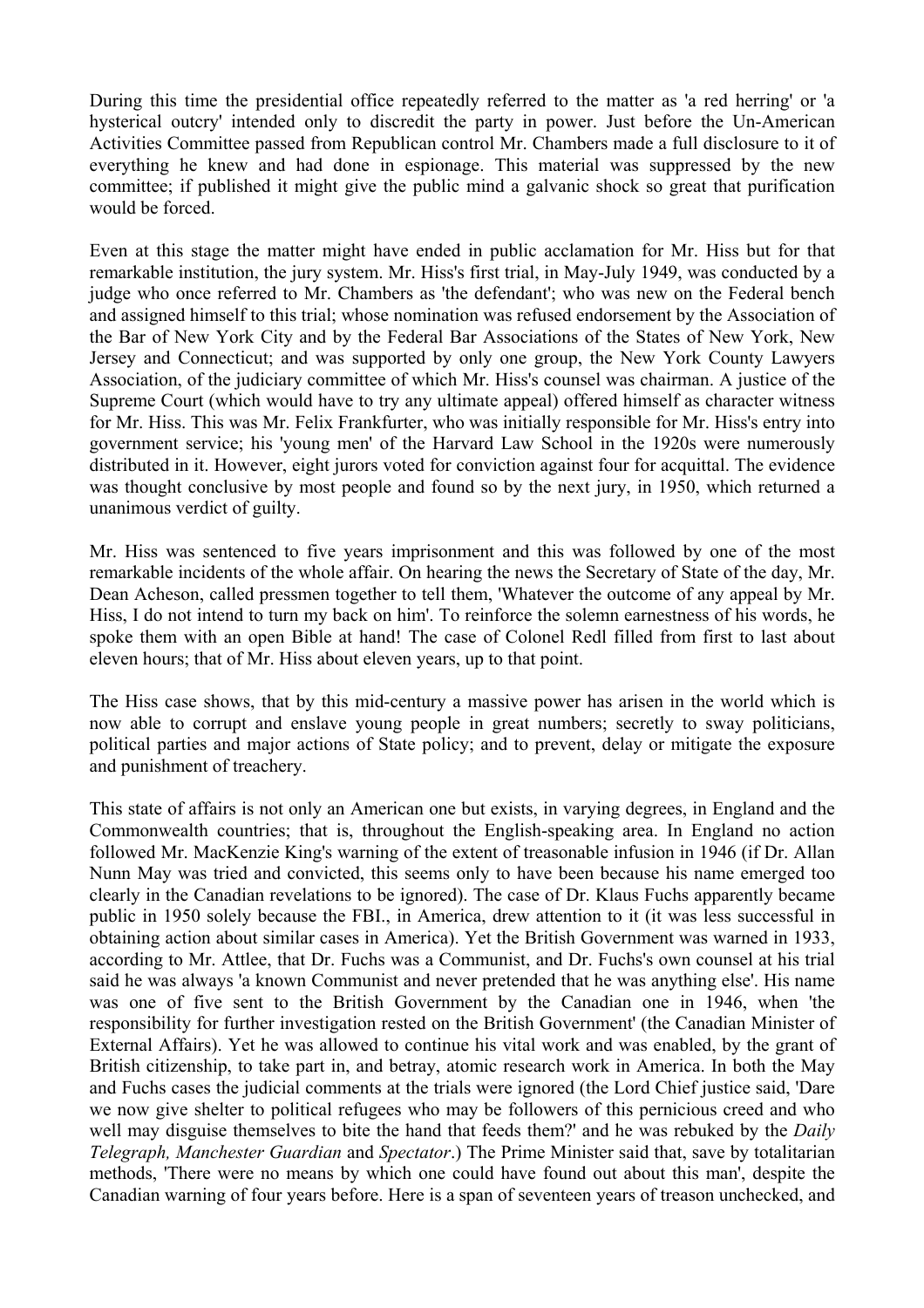During this time the presidential office repeatedly referred to the matter as 'a red herring' or 'a hysterical outcry' intended only to discredit the party in power. Just before the Un-American Activities Committee passed from Republican control Mr. Chambers made a full disclosure to it of everything he knew and had done in espionage. This material was suppressed by the new committee; if published it might give the public mind a galvanic shock so great that purification would be forced.

Even at this stage the matter might have ended in public acclamation for Mr. Hiss but for that remarkable institution, the jury system. Mr. Hiss's first trial, in May-July 1949, was conducted by a judge who once referred to Mr. Chambers as 'the defendant'; who was new on the Federal bench and assigned himself to this trial; whose nomination was refused endorsement by the Association of the Bar of New York City and by the Federal Bar Associations of the States of New York, New Jersey and Connecticut; and was supported by only one group, the New York County Lawyers Association, of the judiciary committee of which Mr. Hiss's counsel was chairman. A justice of the Supreme Court (which would have to try any ultimate appeal) offered himself as character witness for Mr. Hiss. This was Mr. Felix Frankfurter, who was initially responsible for Mr. Hiss's entry into government service; his 'young men' of the Harvard Law School in the 1920s were numerously distributed in it. However, eight jurors voted for conviction against four for acquittal. The evidence was thought conclusive by most people and found so by the next jury, in 1950, which returned a unanimous verdict of guilty.

Mr. Hiss was sentenced to five years imprisonment and this was followed by one of the most remarkable incidents of the whole affair. On hearing the news the Secretary of State of the day, Mr. Dean Acheson, called pressmen together to tell them, 'Whatever the outcome of any appeal by Mr. Hiss, I do not intend to turn my back on him'. To reinforce the solemn earnestness of his words, he spoke them with an open Bible at hand! The case of Colonel Redl filled from first to last about eleven hours; that of Mr. Hiss about eleven years, up to that point.

The Hiss case shows, that by this mid-century a massive power has arisen in the world which is now able to corrupt and enslave young people in great numbers; secretly to sway politicians, political parties and major actions of State policy; and to prevent, delay or mitigate the exposure and punishment of treachery.

This state of affairs is not only an American one but exists, in varying degrees, in England and the Commonwealth countries; that is, throughout the English-speaking area. In England no action followed Mr. MacKenzie King's warning of the extent of treasonable infusion in 1946 (if Dr. Allan Nunn May was tried and convicted, this seems only to have been because his name emerged too clearly in the Canadian revelations to be ignored). The case of Dr. Klaus Fuchs apparently became public in 1950 solely because the FBI., in America, drew attention to it (it was less successful in obtaining action about similar cases in America). Yet the British Government was warned in 1933, according to Mr. Attlee, that Dr. Fuchs was a Communist, and Dr. Fuchs's own counsel at his trial said he was always 'a known Communist and never pretended that he was anything else'. His name was one of five sent to the British Government by the Canadian one in 1946, when 'the responsibility for further investigation rested on the British Government' (the Canadian Minister of External Affairs). Yet he was allowed to continue his vital work and was enabled, by the grant of British citizenship, to take part in, and betray, atomic research work in America. In both the May and Fuchs cases the judicial comments at the trials were ignored (the Lord Chief justice said, 'Dare we now give shelter to political refugees who may be followers of this pernicious creed and who well may disguise themselves to bite the hand that feeds them?' and he was rebuked by the *Daily Telegraph, Manchester Guardian* and *Spectator*.) The Prime Minister said that, save by totalitarian methods, 'There were no means by which one could have found out about this man', despite the Canadian warning of four years before. Here is a span of seventeen years of treason unchecked, and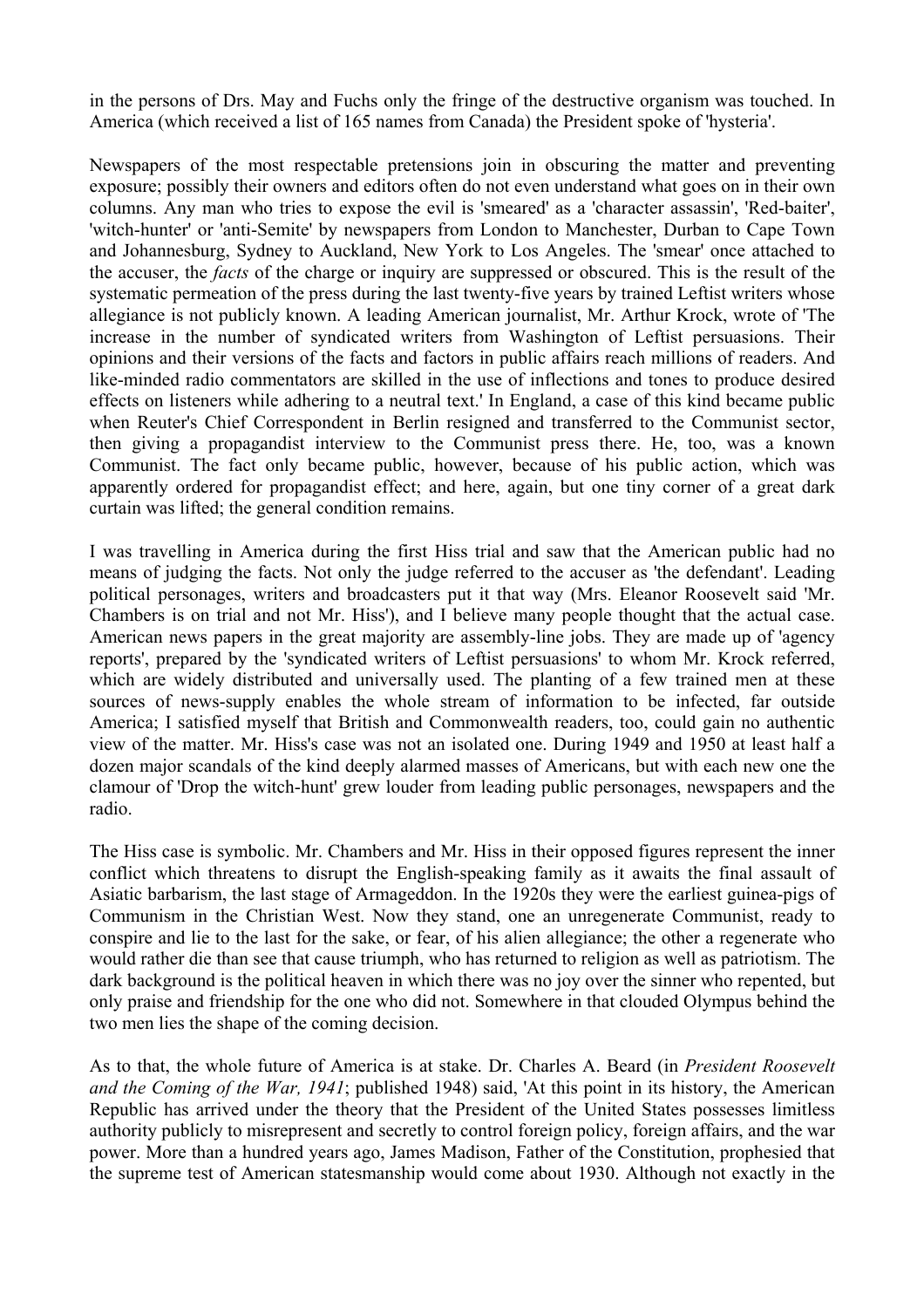in the persons of Drs. May and Fuchs only the fringe of the destructive organism was touched. In America (which received a list of 165 names from Canada) the President spoke of 'hysteria'.

Newspapers of the most respectable pretensions join in obscuring the matter and preventing exposure; possibly their owners and editors often do not even understand what goes on in their own columns. Any man who tries to expose the evil is 'smeared' as a 'character assassin', 'Red-baiter', 'witch-hunter' or 'anti-Semite' by newspapers from London to Manchester, Durban to Cape Town and Johannesburg, Sydney to Auckland, New York to Los Angeles. The 'smear' once attached to the accuser, the *facts* of the charge or inquiry are suppressed or obscured. This is the result of the systematic permeation of the press during the last twenty-five years by trained Leftist writers whose allegiance is not publicly known. A leading American journalist, Mr. Arthur Krock, wrote of 'The increase in the number of syndicated writers from Washington of Leftist persuasions. Their opinions and their versions of the facts and factors in public affairs reach millions of readers. And like-minded radio commentators are skilled in the use of inflections and tones to produce desired effects on listeners while adhering to a neutral text.' In England, a case of this kind became public when Reuter's Chief Correspondent in Berlin resigned and transferred to the Communist sector, then giving a propagandist interview to the Communist press there. He, too, was a known Communist. The fact only became public, however, because of his public action, which was apparently ordered for propagandist effect; and here, again, but one tiny corner of a great dark curtain was lifted; the general condition remains.

I was travelling in America during the first Hiss trial and saw that the American public had no means of judging the facts. Not only the judge referred to the accuser as 'the defendant'. Leading political personages, writers and broadcasters put it that way (Mrs. Eleanor Roosevelt said 'Mr. Chambers is on trial and not Mr. Hiss'), and I believe many people thought that the actual case. American news papers in the great majority are assembly-line jobs. They are made up of 'agency reports', prepared by the 'syndicated writers of Leftist persuasions' to whom Mr. Krock referred, which are widely distributed and universally used. The planting of a few trained men at these sources of news-supply enables the whole stream of information to be infected, far outside America; I satisfied myself that British and Commonwealth readers, too, could gain no authentic view of the matter. Mr. Hiss's case was not an isolated one. During 1949 and 1950 at least half a dozen major scandals of the kind deeply alarmed masses of Americans, but with each new one the clamour of 'Drop the witch-hunt' grew louder from leading public personages, newspapers and the radio.

The Hiss case is symbolic. Mr. Chambers and Mr. Hiss in their opposed figures represent the inner conflict which threatens to disrupt the English-speaking family as it awaits the final assault of Asiatic barbarism, the last stage of Armageddon. In the 1920s they were the earliest guinea-pigs of Communism in the Christian West. Now they stand, one an unregenerate Communist, ready to conspire and lie to the last for the sake, or fear, of his alien allegiance; the other a regenerate who would rather die than see that cause triumph, who has returned to religion as well as patriotism. The dark background is the political heaven in which there was no joy over the sinner who repented, but only praise and friendship for the one who did not. Somewhere in that clouded Olympus behind the two men lies the shape of the coming decision.

As to that, the whole future of America is at stake. Dr. Charles A. Beard (in *President Roosevelt and the Coming of the War, 1941*; published 1948) said, 'At this point in its history, the American Republic has arrived under the theory that the President of the United States possesses limitless authority publicly to misrepresent and secretly to control foreign policy, foreign affairs, and the war power. More than a hundred years ago, James Madison, Father of the Constitution, prophesied that the supreme test of American statesmanship would come about 1930. Although not exactly in the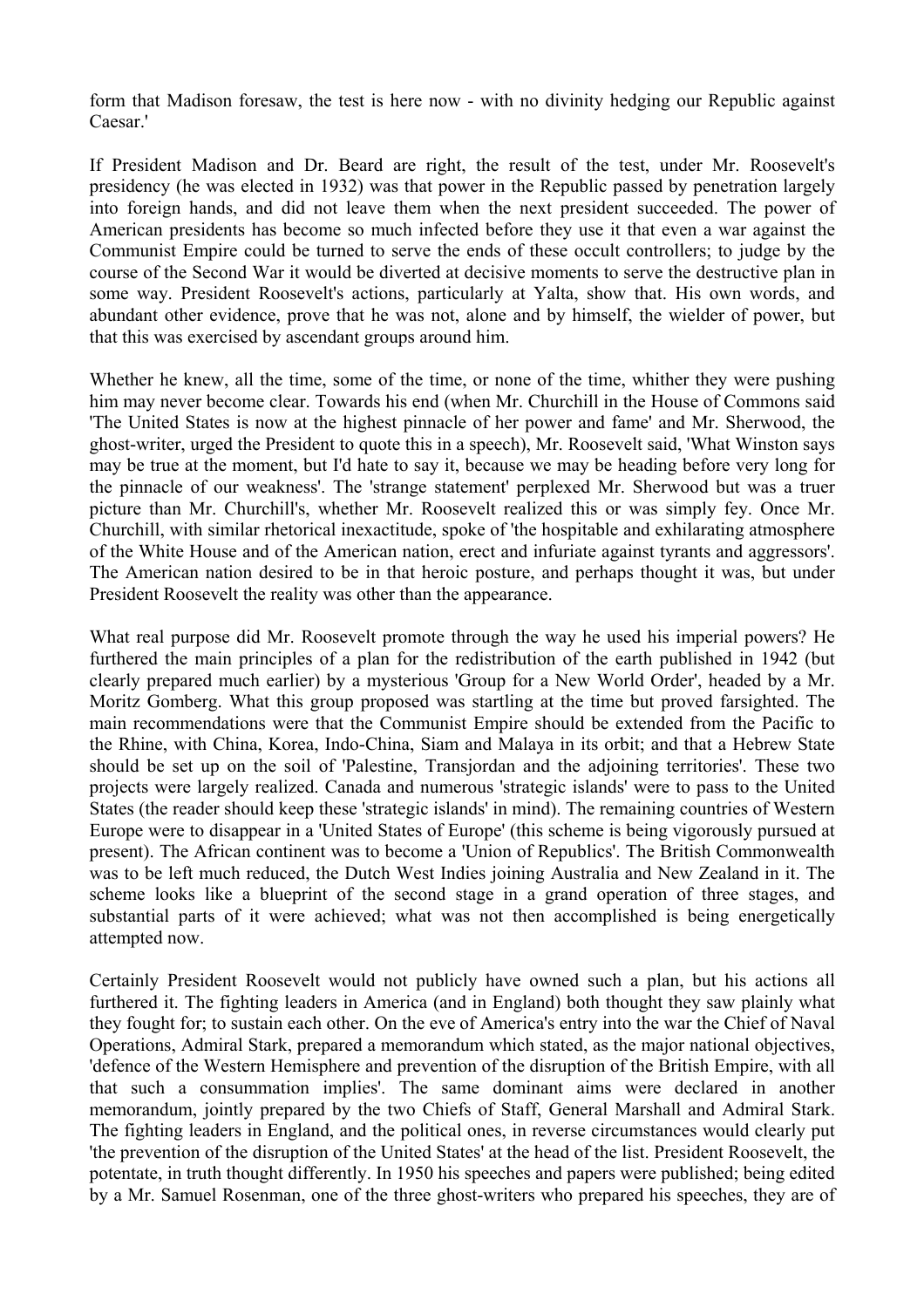form that Madison foresaw, the test is here now - with no divinity hedging our Republic against Caesar.'

If President Madison and Dr. Beard are right, the result of the test, under Mr. Roosevelt's presidency (he was elected in 1932) was that power in the Republic passed by penetration largely into foreign hands, and did not leave them when the next president succeeded. The power of American presidents has become so much infected before they use it that even a war against the Communist Empire could be turned to serve the ends of these occult controllers; to judge by the course of the Second War it would be diverted at decisive moments to serve the destructive plan in some way. President Roosevelt's actions, particularly at Yalta, show that. His own words, and abundant other evidence, prove that he was not, alone and by himself, the wielder of power, but that this was exercised by ascendant groups around him.

Whether he knew, all the time, some of the time, or none of the time, whither they were pushing him may never become clear. Towards his end (when Mr. Churchill in the House of Commons said 'The United States is now at the highest pinnacle of her power and fame' and Mr. Sherwood, the ghost-writer, urged the President to quote this in a speech), Mr. Roosevelt said, 'What Winston says may be true at the moment, but I'd hate to say it, because we may be heading before very long for the pinnacle of our weakness'. The 'strange statement' perplexed Mr. Sherwood but was a truer picture than Mr. Churchill's, whether Mr. Roosevelt realized this or was simply fey. Once Mr. Churchill, with similar rhetorical inexactitude, spoke of 'the hospitable and exhilarating atmosphere of the White House and of the American nation, erect and infuriate against tyrants and aggressors'. The American nation desired to be in that heroic posture, and perhaps thought it was, but under President Roosevelt the reality was other than the appearance.

What real purpose did Mr. Roosevelt promote through the way he used his imperial powers? He furthered the main principles of a plan for the redistribution of the earth published in 1942 (but clearly prepared much earlier) by a mysterious 'Group for a New World Order', headed by a Mr. Moritz Gomberg. What this group proposed was startling at the time but proved farsighted. The main recommendations were that the Communist Empire should be extended from the Pacific to the Rhine, with China, Korea, Indo-China, Siam and Malaya in its orbit; and that a Hebrew State should be set up on the soil of 'Palestine, Transjordan and the adjoining territories'. These two projects were largely realized. Canada and numerous 'strategic islands' were to pass to the United States (the reader should keep these 'strategic islands' in mind). The remaining countries of Western Europe were to disappear in a 'United States of Europe' (this scheme is being vigorously pursued at present). The African continent was to become a 'Union of Republics'. The British Commonwealth was to be left much reduced, the Dutch West Indies joining Australia and New Zealand in it. The scheme looks like a blueprint of the second stage in a grand operation of three stages, and substantial parts of it were achieved; what was not then accomplished is being energetically attempted now.

Certainly President Roosevelt would not publicly have owned such a plan, but his actions all furthered it. The fighting leaders in America (and in England) both thought they saw plainly what they fought for; to sustain each other. On the eve of America's entry into the war the Chief of Naval Operations, Admiral Stark, prepared a memorandum which stated, as the major national objectives, 'defence of the Western Hemisphere and prevention of the disruption of the British Empire, with all that such a consummation implies'. The same dominant aims were declared in another memorandum, jointly prepared by the two Chiefs of Staff, General Marshall and Admiral Stark. The fighting leaders in England, and the political ones, in reverse circumstances would clearly put 'the prevention of the disruption of the United States' at the head of the list. President Roosevelt, the potentate, in truth thought differently. In 1950 his speeches and papers were published; being edited by a Mr. Samuel Rosenman, one of the three ghost-writers who prepared his speeches, they are of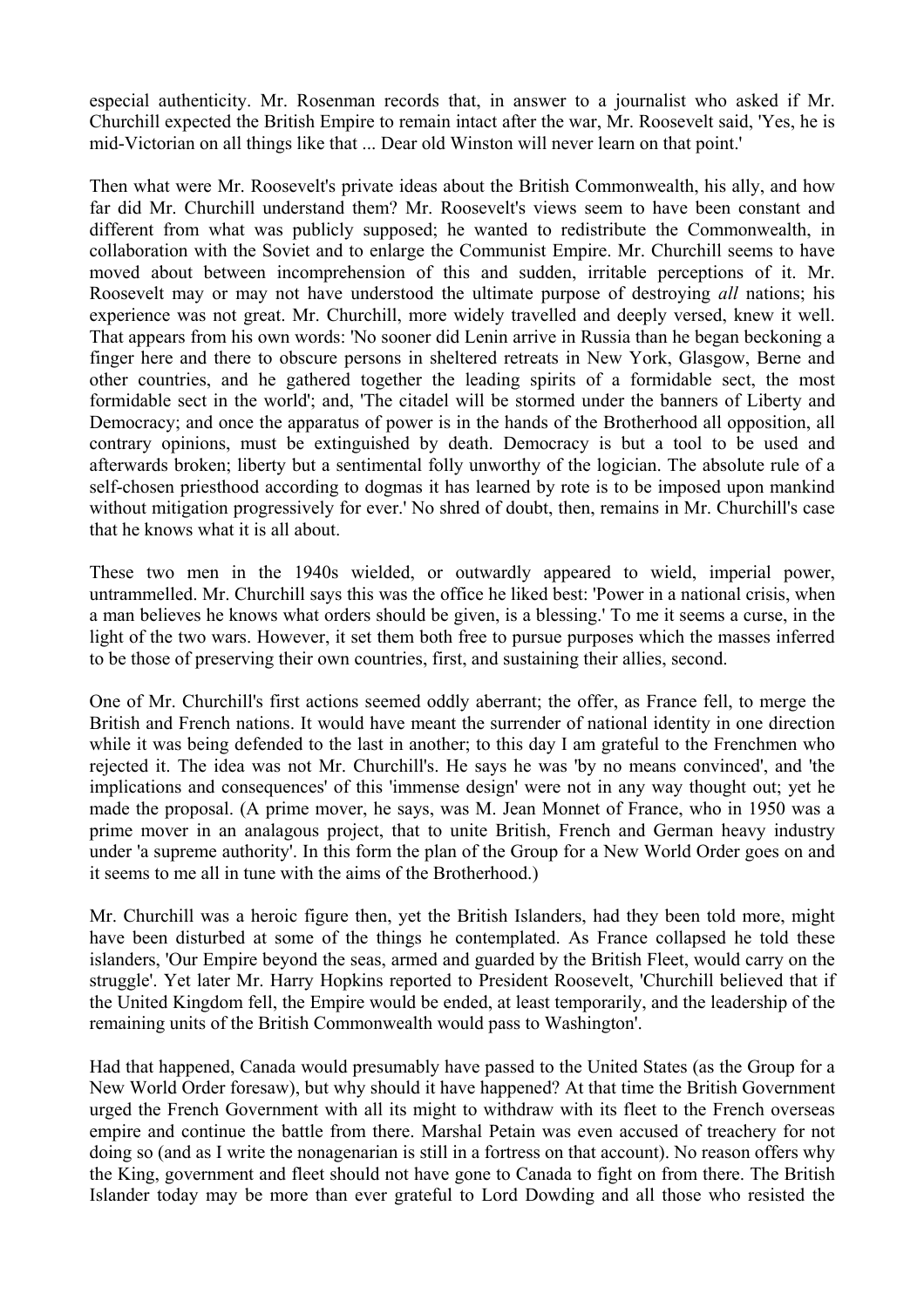especial authenticity. Mr. Rosenman records that, in answer to a journalist who asked if Mr. Churchill expected the British Empire to remain intact after the war, Mr. Roosevelt said, 'Yes, he is mid-Victorian on all things like that ... Dear old Winston will never learn on that point.'

Then what were Mr. Roosevelt's private ideas about the British Commonwealth, his ally, and how far did Mr. Churchill understand them? Mr. Roosevelt's views seem to have been constant and different from what was publicly supposed; he wanted to redistribute the Commonwealth, in collaboration with the Soviet and to enlarge the Communist Empire. Mr. Churchill seems to have moved about between incomprehension of this and sudden, irritable perceptions of it. Mr. Roosevelt may or may not have understood the ultimate purpose of destroying *all* nations; his experience was not great. Mr. Churchill, more widely travelled and deeply versed, knew it well. That appears from his own words: 'No sooner did Lenin arrive in Russia than he began beckoning a finger here and there to obscure persons in sheltered retreats in New York, Glasgow, Berne and other countries, and he gathered together the leading spirits of a formidable sect, the most formidable sect in the world'; and, 'The citadel will be stormed under the banners of Liberty and Democracy; and once the apparatus of power is in the hands of the Brotherhood all opposition, all contrary opinions, must be extinguished by death. Democracy is but a tool to be used and afterwards broken; liberty but a sentimental folly unworthy of the logician. The absolute rule of a self-chosen priesthood according to dogmas it has learned by rote is to be imposed upon mankind without mitigation progressively for ever.' No shred of doubt, then, remains in Mr. Churchill's case that he knows what it is all about.

These two men in the 1940s wielded, or outwardly appeared to wield, imperial power, untrammelled. Mr. Churchill says this was the office he liked best: 'Power in a national crisis, when a man believes he knows what orders should be given, is a blessing.' To me it seems a curse, in the light of the two wars. However, it set them both free to pursue purposes which the masses inferred to be those of preserving their own countries, first, and sustaining their allies, second.

One of Mr. Churchill's first actions seemed oddly aberrant; the offer, as France fell, to merge the British and French nations. It would have meant the surrender of national identity in one direction while it was being defended to the last in another; to this day I am grateful to the Frenchmen who rejected it. The idea was not Mr. Churchill's. He says he was 'by no means convinced', and 'the implications and consequences' of this 'immense design' were not in any way thought out; yet he made the proposal. (A prime mover, he says, was M. Jean Monnet of France, who in 1950 was a prime mover in an analagous project, that to unite British, French and German heavy industry under 'a supreme authority'. In this form the plan of the Group for a New World Order goes on and it seems to me all in tune with the aims of the Brotherhood.)

Mr. Churchill was a heroic figure then, yet the British Islanders, had they been told more, might have been disturbed at some of the things he contemplated. As France collapsed he told these islanders, 'Our Empire beyond the seas, armed and guarded by the British Fleet, would carry on the struggle'. Yet later Mr. Harry Hopkins reported to President Roosevelt, 'Churchill believed that if the United Kingdom fell, the Empire would be ended, at least temporarily, and the leadership of the remaining units of the British Commonwealth would pass to Washington'.

Had that happened, Canada would presumably have passed to the United States (as the Group for a New World Order foresaw), but why should it have happened? At that time the British Government urged the French Government with all its might to withdraw with its fleet to the French overseas empire and continue the battle from there. Marshal Petain was even accused of treachery for not doing so (and as I write the nonagenarian is still in a fortress on that account). No reason offers why the King, government and fleet should not have gone to Canada to fight on from there. The British Islander today may be more than ever grateful to Lord Dowding and all those who resisted the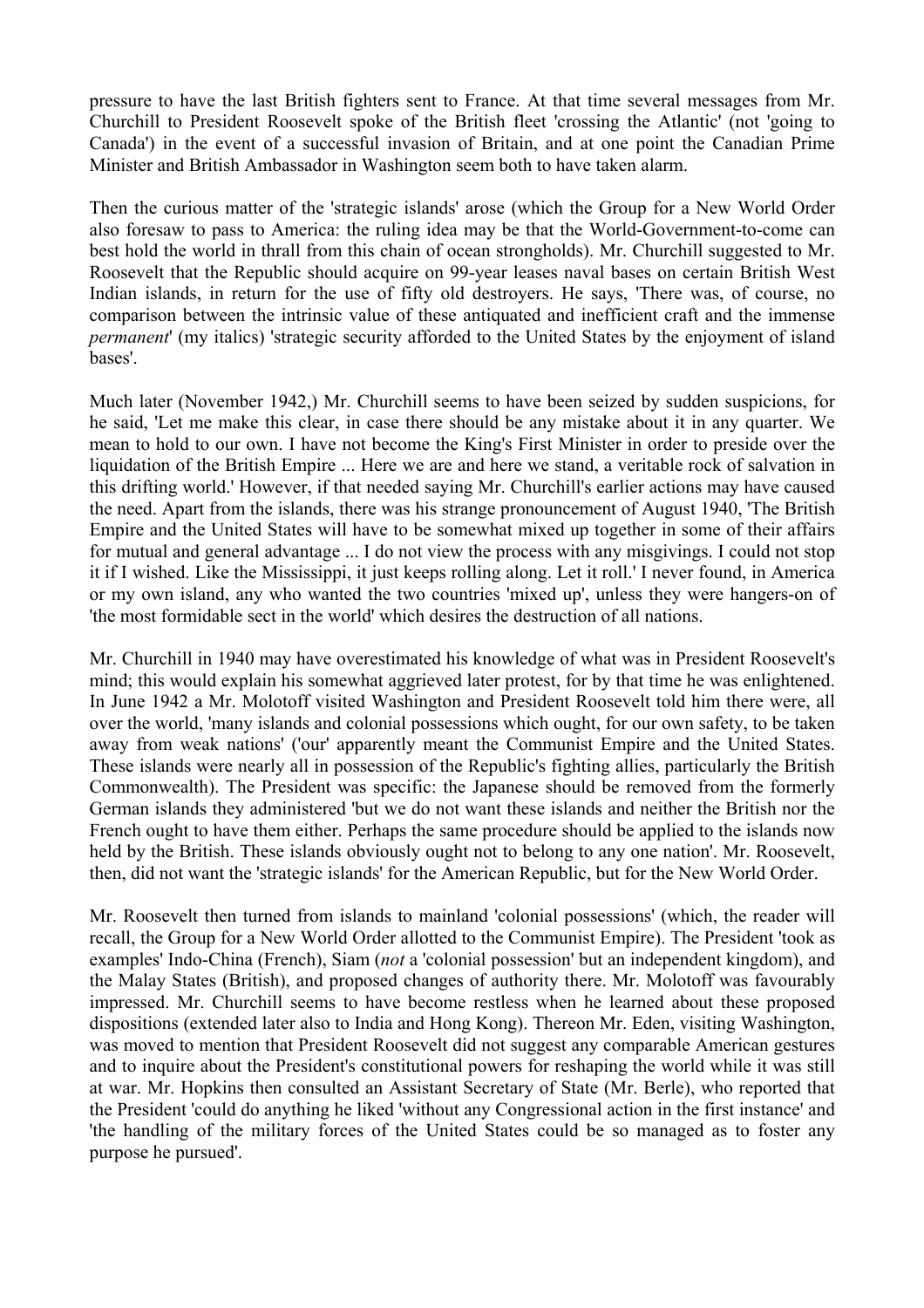pressure to have the last British fighters sent to France. At that time several messages from Mr. Churchill to President Roosevelt spoke of the British fleet 'crossing the Atlantic' (not 'going to Canada') in the event of a successful invasion of Britain, and at one point the Canadian Prime Minister and British Ambassador in Washington seem both to have taken alarm.

Then the curious matter of the 'strategic islands' arose (which the Group for a New World Order also foresaw to pass to America: the ruling idea may be that the World-Government-to-come can best hold the world in thrall from this chain of ocean strongholds). Mr. Churchill suggested to Mr. Roosevelt that the Republic should acquire on 99-year leases naval bases on certain British West Indian islands, in return for the use of fifty old destroyers. He says, 'There was, of course, no comparison between the intrinsic value of these antiquated and inefficient craft and the immense *permanent*' (my italics) 'strategic security afforded to the United States by the enjoyment of island bases'.

Much later (November 1942,) Mr. Churchill seems to have been seized by sudden suspicions, for he said, 'Let me make this clear, in case there should be any mistake about it in any quarter. We mean to hold to our own. I have not become the King's First Minister in order to preside over the liquidation of the British Empire ... Here we are and here we stand, a veritable rock of salvation in this drifting world.' However, if that needed saying Mr. Churchill's earlier actions may have caused the need. Apart from the islands, there was his strange pronouncement of August 1940, 'The British Empire and the United States will have to be somewhat mixed up together in some of their affairs for mutual and general advantage ... I do not view the process with any misgivings. I could not stop it if I wished. Like the Mississippi, it just keeps rolling along. Let it roll.' I never found, in America or my own island, any who wanted the two countries 'mixed up', unless they were hangers-on of 'the most formidable sect in the world' which desires the destruction of all nations.

Mr. Churchill in 1940 may have overestimated his knowledge of what was in President Roosevelt's mind; this would explain his somewhat aggrieved later protest, for by that time he was enlightened. In June 1942 a Mr. Molotoff visited Washington and President Roosevelt told him there were, all over the world, 'many islands and colonial possessions which ought, for our own safety, to be taken away from weak nations' ('our' apparently meant the Communist Empire and the United States. These islands were nearly all in possession of the Republic's fighting allies, particularly the British Commonwealth). The President was specific: the Japanese should be removed from the formerly German islands they administered 'but we do not want these islands and neither the British nor the French ought to have them either. Perhaps the same procedure should be applied to the islands now held by the British. These islands obviously ought not to belong to any one nation'. Mr. Roosevelt, then, did not want the 'strategic islands' for the American Republic, but for the New World Order.

Mr. Roosevelt then turned from islands to mainland 'colonial possessions' (which, the reader will recall, the Group for a New World Order allotted to the Communist Empire). The President 'took as examples' Indo-China (French), Siam (*not* a 'colonial possession' but an independent kingdom), and the Malay States (British), and proposed changes of authority there. Mr. Molotoff was favourably impressed. Mr. Churchill seems to have become restless when he learned about these proposed dispositions (extended later also to India and Hong Kong). Thereon Mr. Eden, visiting Washington, was moved to mention that President Roosevelt did not suggest any comparable American gestures and to inquire about the President's constitutional powers for reshaping the world while it was still at war. Mr. Hopkins then consulted an Assistant Secretary of State (Mr. Berle), who reported that the President 'could do anything he liked 'without any Congressional action in the first instance' and 'the handling of the military forces of the United States could be so managed as to foster any purpose he pursued'.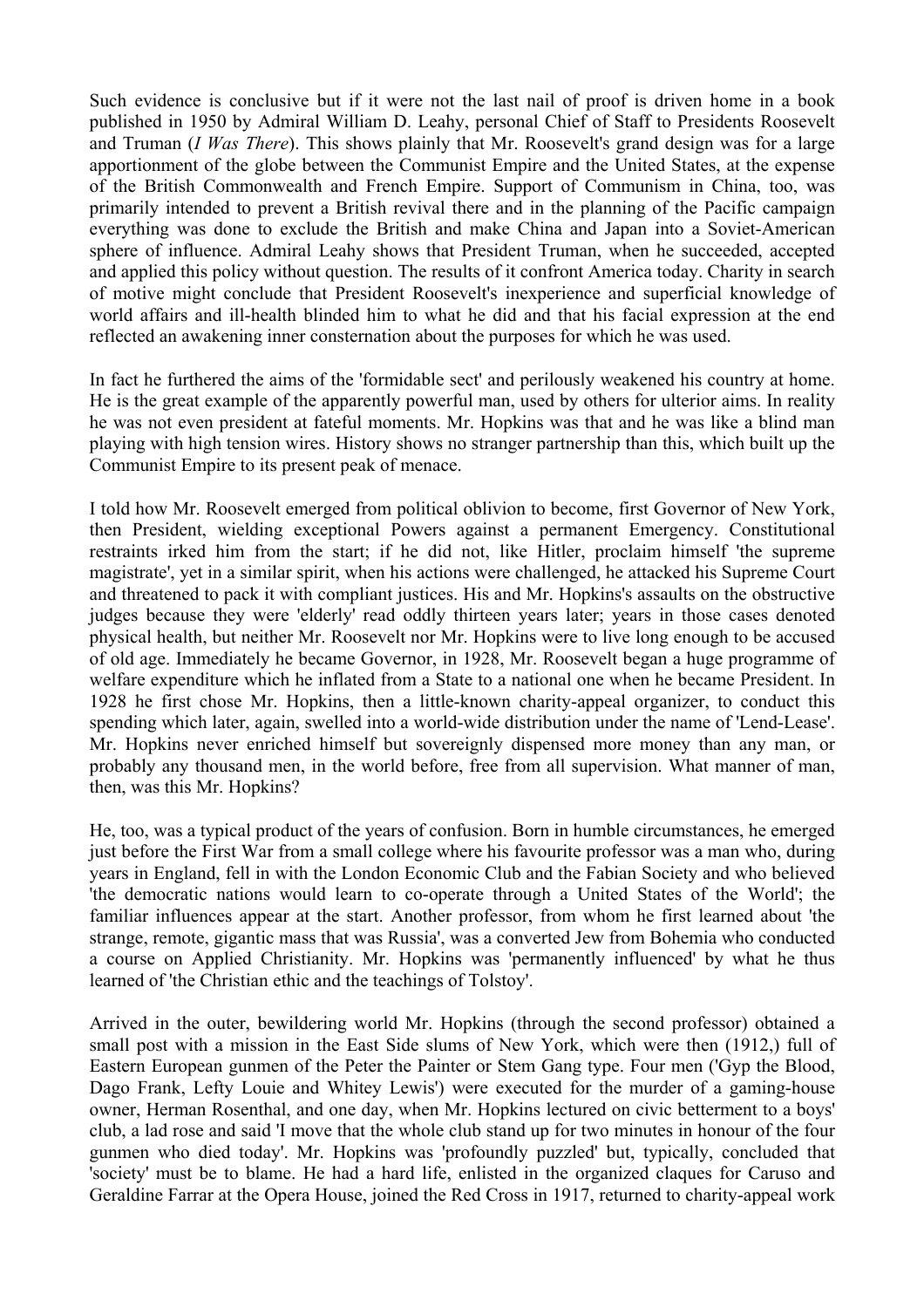Such evidence is conclusive but if it were not the last nail of proof is driven home in a book published in 1950 by Admiral William D. Leahy, personal Chief of Staff to Presidents Roosevelt and Truman (*I Was There*). This shows plainly that Mr. Roosevelt's grand design was for a large apportionment of the globe between the Communist Empire and the United States, at the expense of the British Commonwealth and French Empire. Support of Communism in China, too, was primarily intended to prevent a British revival there and in the planning of the Pacific campaign everything was done to exclude the British and make China and Japan into a Soviet-American sphere of influence. Admiral Leahy shows that President Truman, when he succeeded, accepted and applied this policy without question. The results of it confront America today. Charity in search of motive might conclude that President Roosevelt's inexperience and superficial knowledge of world affairs and ill-health blinded him to what he did and that his facial expression at the end reflected an awakening inner consternation about the purposes for which he was used.

In fact he furthered the aims of the 'formidable sect' and perilously weakened his country at home. He is the great example of the apparently powerful man, used by others for ulterior aims. In reality he was not even president at fateful moments. Mr. Hopkins was that and he was like a blind man playing with high tension wires. History shows no stranger partnership than this, which built up the Communist Empire to its present peak of menace.

I told how Mr. Roosevelt emerged from political oblivion to become, first Governor of New York, then President, wielding exceptional Powers against a permanent Emergency. Constitutional restraints irked him from the start; if he did not, like Hitler, proclaim himself 'the supreme magistrate', yet in a similar spirit, when his actions were challenged, he attacked his Supreme Court and threatened to pack it with compliant justices. His and Mr. Hopkins's assaults on the obstructive judges because they were 'elderly' read oddly thirteen years later; years in those cases denoted physical health, but neither Mr. Roosevelt nor Mr. Hopkins were to live long enough to be accused of old age. Immediately he became Governor, in 1928, Mr. Roosevelt began a huge programme of welfare expenditure which he inflated from a State to a national one when he became President. In 1928 he first chose Mr. Hopkins, then a little-known charity-appeal organizer, to conduct this spending which later, again, swelled into a world-wide distribution under the name of 'Lend-Lease'. Mr. Hopkins never enriched himself but sovereignly dispensed more money than any man, or probably any thousand men, in the world before, free from all supervision. What manner of man, then, was this Mr. Hopkins?

He, too, was a typical product of the years of confusion. Born in humble circumstances, he emerged just before the First War from a small college where his favourite professor was a man who, during years in England, fell in with the London Economic Club and the Fabian Society and who believed 'the democratic nations would learn to co-operate through a United States of the World'; the familiar influences appear at the start. Another professor, from whom he first learned about 'the strange, remote, gigantic mass that was Russia', was a converted Jew from Bohemia who conducted a course on Applied Christianity. Mr. Hopkins was 'permanently influenced' by what he thus learned of 'the Christian ethic and the teachings of Tolstoy'.

Arrived in the outer, bewildering world Mr. Hopkins (through the second professor) obtained a small post with a mission in the East Side slums of New York, which were then (1912,) full of Eastern European gunmen of the Peter the Painter or Stem Gang type. Four men ('Gyp the Blood, Dago Frank, Lefty Louie and Whitey Lewis') were executed for the murder of a gaming-house owner, Herman Rosenthal, and one day, when Mr. Hopkins lectured on civic betterment to a boys' club, a lad rose and said 'I move that the whole club stand up for two minutes in honour of the four gunmen who died today'. Mr. Hopkins was 'profoundly puzzled' but, typically, concluded that 'society' must be to blame. He had a hard life, enlisted in the organized claques for Caruso and Geraldine Farrar at the Opera House, joined the Red Cross in 1917, returned to charity-appeal work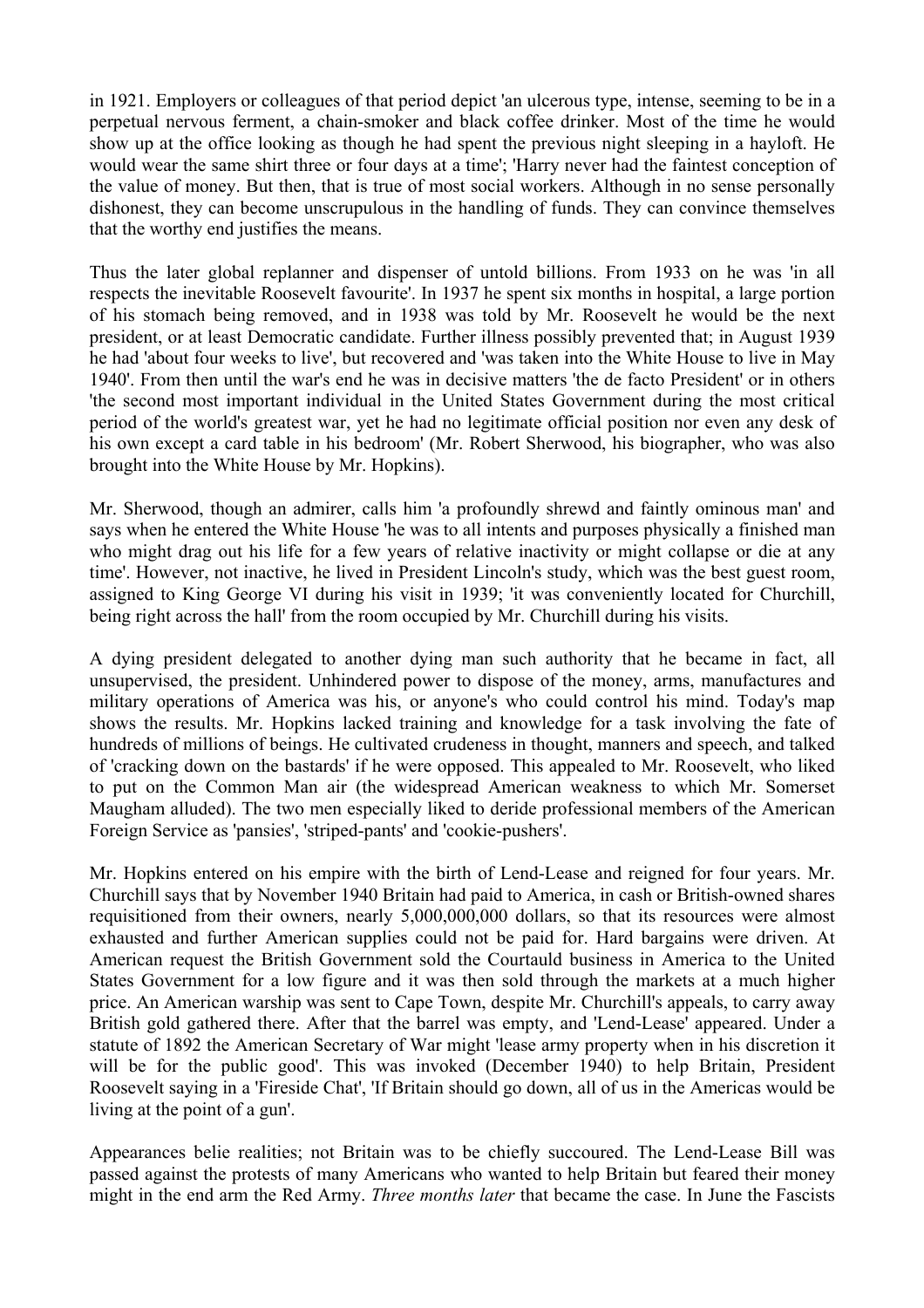in 1921. Employers or colleagues of that period depict 'an ulcerous type, intense, seeming to be in a perpetual nervous ferment, a chain-smoker and black coffee drinker. Most of the time he would show up at the office looking as though he had spent the previous night sleeping in a hayloft. He would wear the same shirt three or four days at a time'; 'Harry never had the faintest conception of the value of money. But then, that is true of most social workers. Although in no sense personally dishonest, they can become unscrupulous in the handling of funds. They can convince themselves that the worthy end justifies the means.

Thus the later global replanner and dispenser of untold billions. From 1933 on he was 'in all respects the inevitable Roosevelt favourite'. In 1937 he spent six months in hospital, a large portion of his stomach being removed, and in 1938 was told by Mr. Roosevelt he would be the next president, or at least Democratic candidate. Further illness possibly prevented that; in August 1939 he had 'about four weeks to live', but recovered and 'was taken into the White House to live in May 1940'. From then until the war's end he was in decisive matters 'the de facto President' or in others 'the second most important individual in the United States Government during the most critical period of the world's greatest war, yet he had no legitimate official position nor even any desk of his own except a card table in his bedroom' (Mr. Robert Sherwood, his biographer, who was also brought into the White House by Mr. Hopkins).

Mr. Sherwood, though an admirer, calls him 'a profoundly shrewd and faintly ominous man' and says when he entered the White House 'he was to all intents and purposes physically a finished man who might drag out his life for a few years of relative inactivity or might collapse or die at any time'. However, not inactive, he lived in President Lincoln's study, which was the best guest room, assigned to King George VI during his visit in 1939; 'it was conveniently located for Churchill, being right across the hall' from the room occupied by Mr. Churchill during his visits.

A dying president delegated to another dying man such authority that he became in fact, all unsupervised, the president. Unhindered power to dispose of the money, arms, manufactures and military operations of America was his, or anyone's who could control his mind. Today's map shows the results. Mr. Hopkins lacked training and knowledge for a task involving the fate of hundreds of millions of beings. He cultivated crudeness in thought, manners and speech, and talked of 'cracking down on the bastards' if he were opposed. This appealed to Mr. Roosevelt, who liked to put on the Common Man air (the widespread American weakness to which Mr. Somerset Maugham alluded). The two men especially liked to deride professional members of the American Foreign Service as 'pansies', 'striped-pants' and 'cookie-pushers'.

Mr. Hopkins entered on his empire with the birth of Lend-Lease and reigned for four years. Mr. Churchill says that by November 1940 Britain had paid to America, in cash or British-owned shares requisitioned from their owners, nearly 5,000,000,000 dollars, so that its resources were almost exhausted and further American supplies could not be paid for. Hard bargains were driven. At American request the British Government sold the Courtauld business in America to the United States Government for a low figure and it was then sold through the markets at a much higher price. An American warship was sent to Cape Town, despite Mr. Churchill's appeals, to carry away British gold gathered there. After that the barrel was empty, and 'Lend-Lease' appeared. Under a statute of 1892 the American Secretary of War might 'lease army property when in his discretion it will be for the public good'. This was invoked (December 1940) to help Britain, President Roosevelt saying in a 'Fireside Chat', 'If Britain should go down, all of us in the Americas would be living at the point of a gun'.

Appearances belie realities; not Britain was to be chiefly succoured. The Lend-Lease Bill was passed against the protests of many Americans who wanted to help Britain but feared their money might in the end arm the Red Army. *Three months later* that became the case. In June the Fascists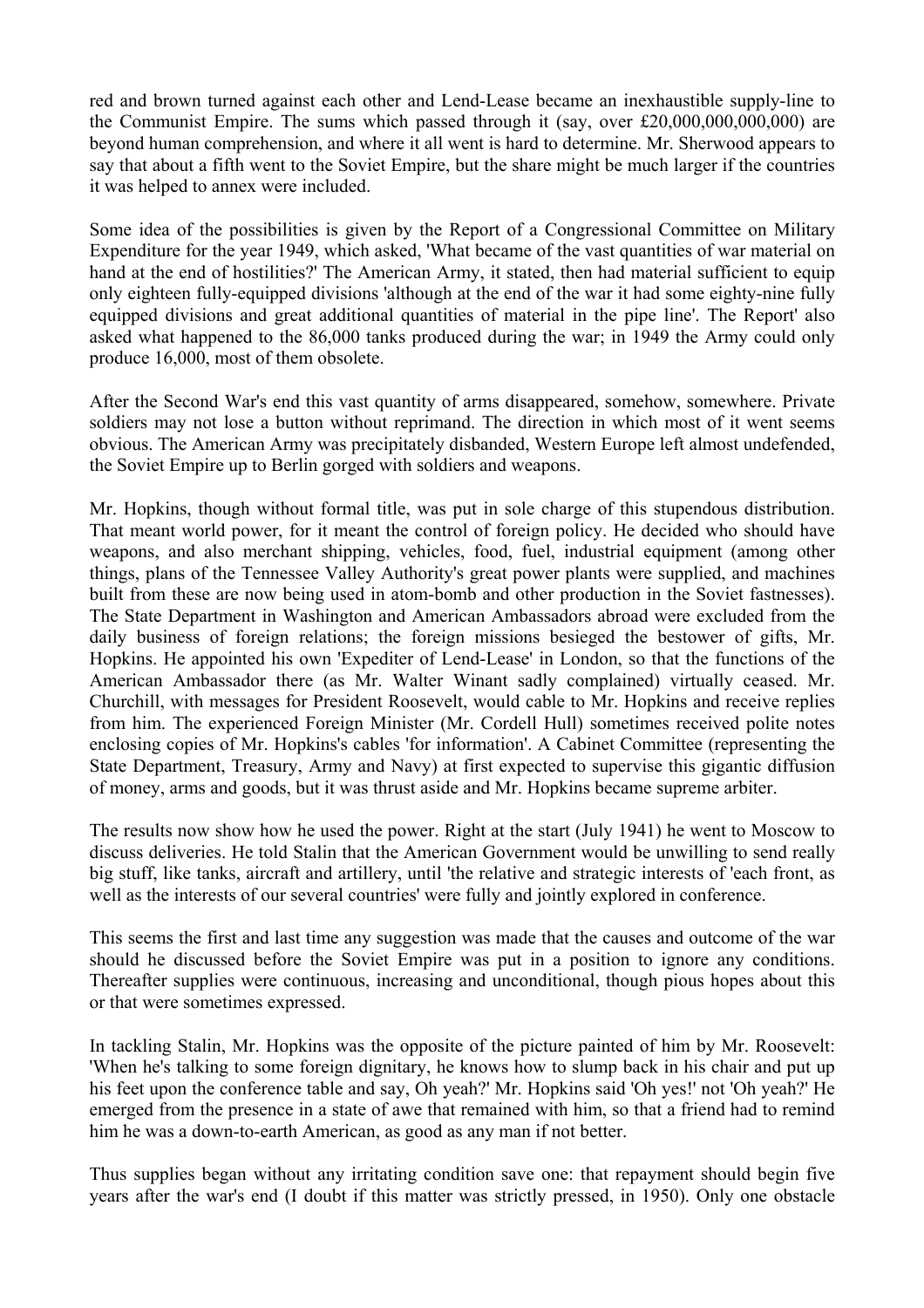red and brown turned against each other and Lend-Lease became an inexhaustible supply-line to the Communist Empire. The sums which passed through it (say, over £20,000,000,000,000) are beyond human comprehension, and where it all went is hard to determine. Mr. Sherwood appears to say that about a fifth went to the Soviet Empire, but the share might be much larger if the countries it was helped to annex were included.

Some idea of the possibilities is given by the Report of a Congressional Committee on Military Expenditure for the year 1949, which asked, 'What became of the vast quantities of war material on hand at the end of hostilities?' The American Army, it stated, then had material sufficient to equip only eighteen fully-equipped divisions 'although at the end of the war it had some eighty-nine fully equipped divisions and great additional quantities of material in the pipe line'. The Report' also asked what happened to the 86,000 tanks produced during the war; in 1949 the Army could only produce 16,000, most of them obsolete.

After the Second War's end this vast quantity of arms disappeared, somehow, somewhere. Private soldiers may not lose a button without reprimand. The direction in which most of it went seems obvious. The American Army was precipitately disbanded, Western Europe left almost undefended, the Soviet Empire up to Berlin gorged with soldiers and weapons.

Mr. Hopkins, though without formal title, was put in sole charge of this stupendous distribution. That meant world power, for it meant the control of foreign policy. He decided who should have weapons, and also merchant shipping, vehicles, food, fuel, industrial equipment (among other things, plans of the Tennessee Valley Authority's great power plants were supplied, and machines built from these are now being used in atom-bomb and other production in the Soviet fastnesses). The State Department in Washington and American Ambassadors abroad were excluded from the daily business of foreign relations; the foreign missions besieged the bestower of gifts, Mr. Hopkins. He appointed his own 'Expediter of Lend-Lease' in London, so that the functions of the American Ambassador there (as Mr. Walter Winant sadly complained) virtually ceased. Mr. Churchill, with messages for President Roosevelt, would cable to Mr. Hopkins and receive replies from him. The experienced Foreign Minister (Mr. Cordell Hull) sometimes received polite notes enclosing copies of Mr. Hopkins's cables 'for information'. A Cabinet Committee (representing the State Department, Treasury, Army and Navy) at first expected to supervise this gigantic diffusion of money, arms and goods, but it was thrust aside and Mr. Hopkins became supreme arbiter.

The results now show how he used the power. Right at the start (July 1941) he went to Moscow to discuss deliveries. He told Stalin that the American Government would be unwilling to send really big stuff, like tanks, aircraft and artillery, until 'the relative and strategic interests of 'each front, as well as the interests of our several countries' were fully and jointly explored in conference.

This seems the first and last time any suggestion was made that the causes and outcome of the war should he discussed before the Soviet Empire was put in a position to ignore any conditions. Thereafter supplies were continuous, increasing and unconditional, though pious hopes about this or that were sometimes expressed.

In tackling Stalin, Mr. Hopkins was the opposite of the picture painted of him by Mr. Roosevelt: 'When he's talking to some foreign dignitary, he knows how to slump back in his chair and put up his feet upon the conference table and say, Oh yeah?' Mr. Hopkins said 'Oh yes!' not 'Oh yeah?' He emerged from the presence in a state of awe that remained with him, so that a friend had to remind him he was a down-to-earth American, as good as any man if not better.

Thus supplies began without any irritating condition save one: that repayment should begin five years after the war's end (I doubt if this matter was strictly pressed, in 1950). Only one obstacle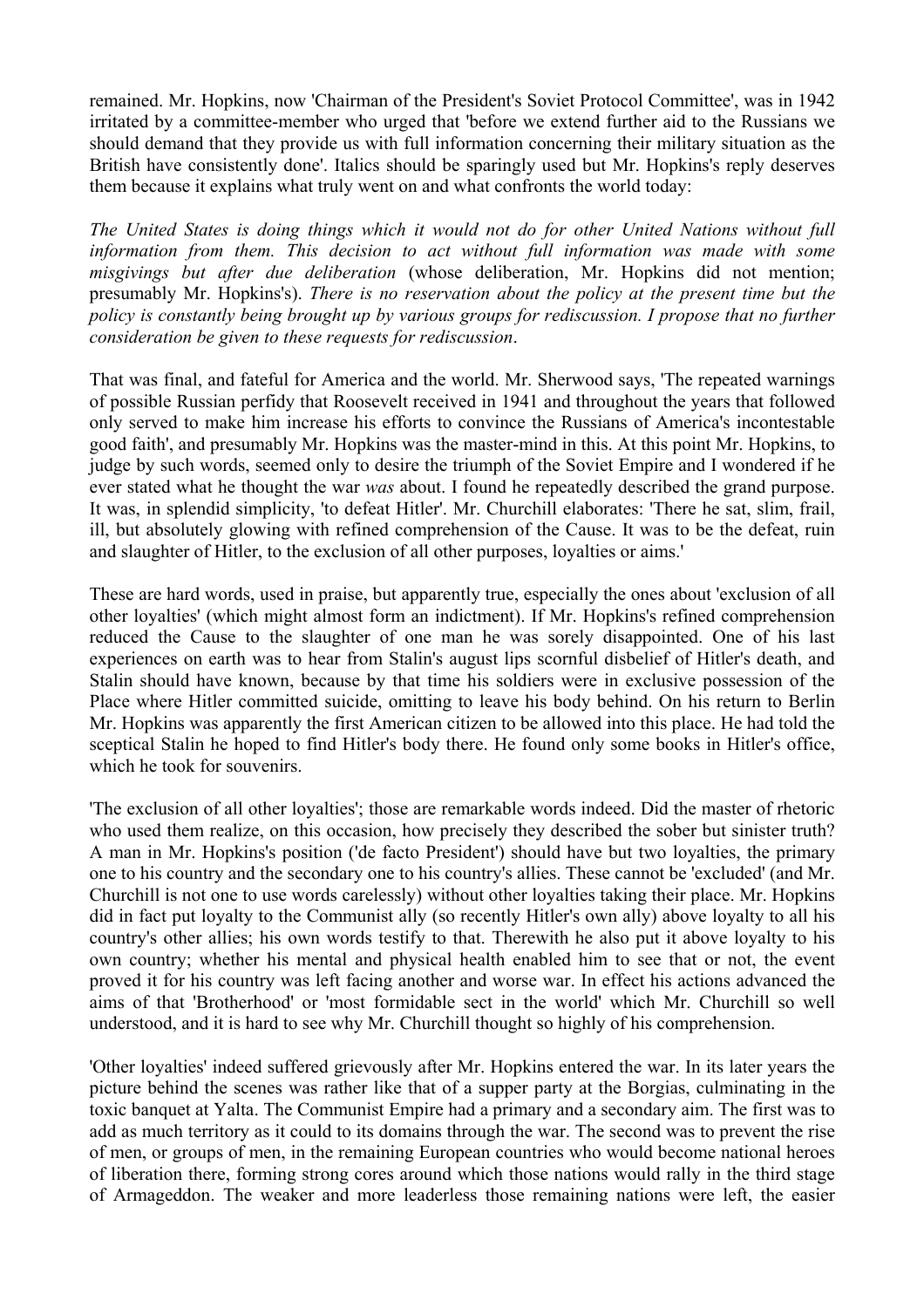remained. Mr. Hopkins, now 'Chairman of the President's Soviet Protocol Committee', was in 1942 irritated by a committee-member who urged that 'before we extend further aid to the Russians we should demand that they provide us with full information concerning their military situation as the British have consistently done'. Italics should be sparingly used but Mr. Hopkins's reply deserves them because it explains what truly went on and what confronts the world today:

*The United States is doing things which it would not do for other United Nations without full information from them. This decision to act without full information was made with some misgivings but after due deliberation* (whose deliberation, Mr. Hopkins did not mention; presumably Mr. Hopkins's). *There is no reservation about the policy at the present time but the policy is constantly being brought up by various groups for rediscussion. I propose that no further consideration be given to these requests for rediscussion*.

That was final, and fateful for America and the world. Mr. Sherwood says, 'The repeated warnings of possible Russian perfidy that Roosevelt received in 1941 and throughout the years that followed only served to make him increase his efforts to convince the Russians of America's incontestable good faith', and presumably Mr. Hopkins was the master-mind in this. At this point Mr. Hopkins, to judge by such words, seemed only to desire the triumph of the Soviet Empire and I wondered if he ever stated what he thought the war *was* about. I found he repeatedly described the grand purpose. It was, in splendid simplicity, 'to defeat Hitler'. Mr. Churchill elaborates: 'There he sat, slim, frail, ill, but absolutely glowing with refined comprehension of the Cause. It was to be the defeat, ruin and slaughter of Hitler, to the exclusion of all other purposes, loyalties or aims.'

These are hard words, used in praise, but apparently true, especially the ones about 'exclusion of all other loyalties' (which might almost form an indictment). If Mr. Hopkins's refined comprehension reduced the Cause to the slaughter of one man he was sorely disappointed. One of his last experiences on earth was to hear from Stalin's august lips scornful disbelief of Hitler's death, and Stalin should have known, because by that time his soldiers were in exclusive possession of the Place where Hitler committed suicide, omitting to leave his body behind. On his return to Berlin Mr. Hopkins was apparently the first American citizen to be allowed into this place. He had told the sceptical Stalin he hoped to find Hitler's body there. He found only some books in Hitler's office, which he took for souvenirs.

'The exclusion of all other loyalties'; those are remarkable words indeed. Did the master of rhetoric who used them realize, on this occasion, how precisely they described the sober but sinister truth? A man in Mr. Hopkins's position ('de facto President') should have but two loyalties, the primary one to his country and the secondary one to his country's allies. These cannot be 'excluded' (and Mr. Churchill is not one to use words carelessly) without other loyalties taking their place. Mr. Hopkins did in fact put loyalty to the Communist ally (so recently Hitler's own ally) above loyalty to all his country's other allies; his own words testify to that. Therewith he also put it above loyalty to his own country; whether his mental and physical health enabled him to see that or not, the event proved it for his country was left facing another and worse war. In effect his actions advanced the aims of that 'Brotherhood' or 'most formidable sect in the world' which Mr. Churchill so well understood, and it is hard to see why Mr. Churchill thought so highly of his comprehension.

'Other loyalties' indeed suffered grievously after Mr. Hopkins entered the war. In its later years the picture behind the scenes was rather like that of a supper party at the Borgias, culminating in the toxic banquet at Yalta. The Communist Empire had a primary and a secondary aim. The first was to add as much territory as it could to its domains through the war. The second was to prevent the rise of men, or groups of men, in the remaining European countries who would become national heroes of liberation there, forming strong cores around which those nations would rally in the third stage of Armageddon. The weaker and more leaderless those remaining nations were left, the easier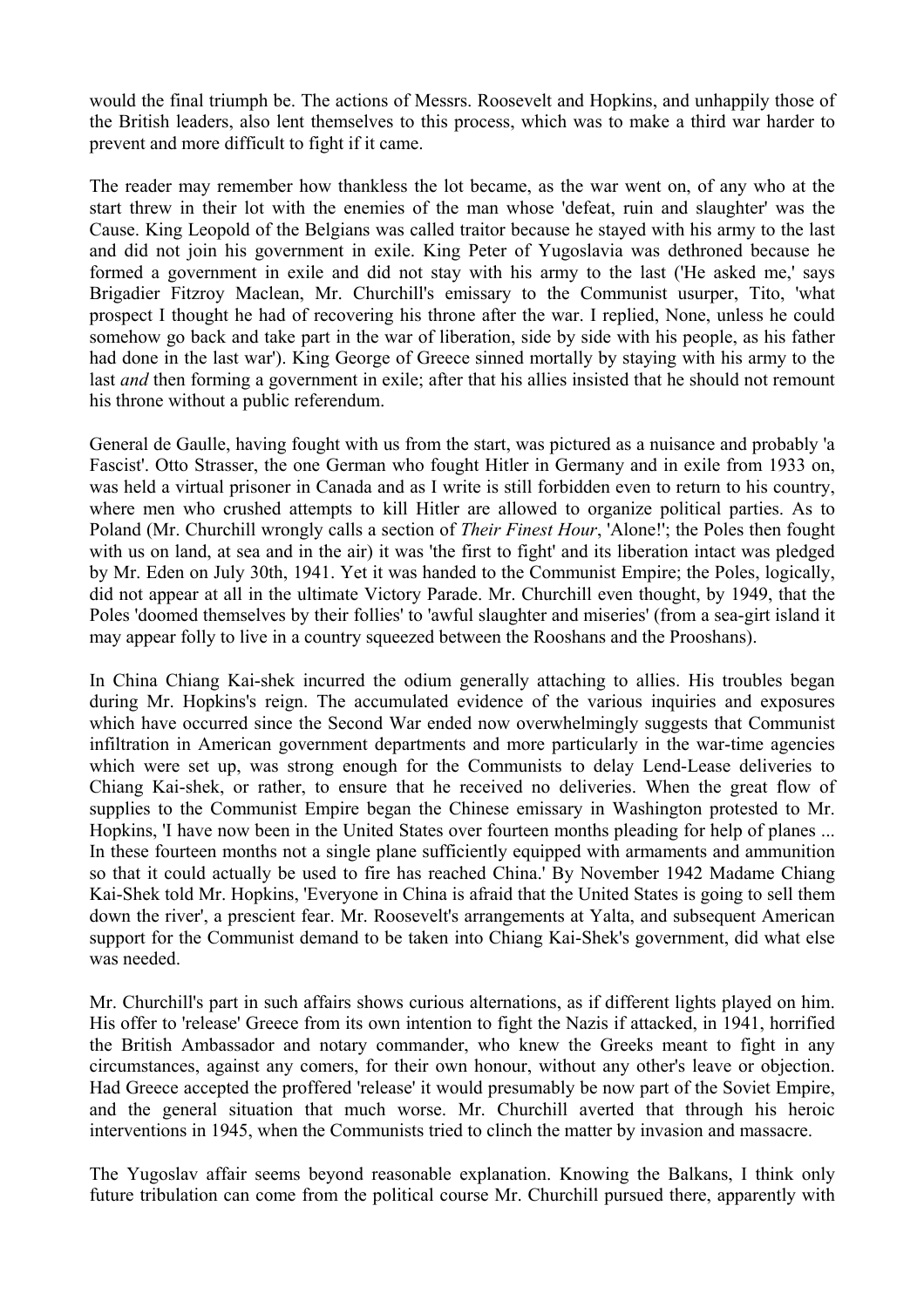would the final triumph be. The actions of Messrs. Roosevelt and Hopkins, and unhappily those of the British leaders, also lent themselves to this process, which was to make a third war harder to prevent and more difficult to fight if it came.

The reader may remember how thankless the lot became, as the war went on, of any who at the start threw in their lot with the enemies of the man whose 'defeat, ruin and slaughter' was the Cause. King Leopold of the Belgians was called traitor because he stayed with his army to the last and did not join his government in exile. King Peter of Yugoslavia was dethroned because he formed a government in exile and did not stay with his army to the last ('He asked me,' says Brigadier Fitzroy Maclean, Mr. Churchill's emissary to the Communist usurper, Tito, 'what prospect I thought he had of recovering his throne after the war. I replied, None, unless he could somehow go back and take part in the war of liberation, side by side with his people, as his father had done in the last war'). King George of Greece sinned mortally by staying with his army to the last *and* then forming a government in exile; after that his allies insisted that he should not remount his throne without a public referendum.

General de Gaulle, having fought with us from the start, was pictured as a nuisance and probably 'a Fascist'. Otto Strasser, the one German who fought Hitler in Germany and in exile from 1933 on, was held a virtual prisoner in Canada and as I write is still forbidden even to return to his country, where men who crushed attempts to kill Hitler are allowed to organize political parties. As to Poland (Mr. Churchill wrongly calls a section of *Their Finest Hour*, 'Alone!'; the Poles then fought with us on land, at sea and in the air) it was 'the first to fight' and its liberation intact was pledged by Mr. Eden on July 30th, 1941. Yet it was handed to the Communist Empire; the Poles, logically, did not appear at all in the ultimate Victory Parade. Mr. Churchill even thought, by 1949, that the Poles 'doomed themselves by their follies' to 'awful slaughter and miseries' (from a sea-girt island it may appear folly to live in a country squeezed between the Rooshans and the Prooshans).

In China Chiang Kai-shek incurred the odium generally attaching to allies. His troubles began during Mr. Hopkins's reign. The accumulated evidence of the various inquiries and exposures which have occurred since the Second War ended now overwhelmingly suggests that Communist infiltration in American government departments and more particularly in the war-time agencies which were set up, was strong enough for the Communists to delay Lend-Lease deliveries to Chiang Kai-shek, or rather, to ensure that he received no deliveries. When the great flow of supplies to the Communist Empire began the Chinese emissary in Washington protested to Mr. Hopkins, 'I have now been in the United States over fourteen months pleading for help of planes ... In these fourteen months not a single plane sufficiently equipped with armaments and ammunition so that it could actually be used to fire has reached China.' By November 1942 Madame Chiang Kai-Shek told Mr. Hopkins, 'Everyone in China is afraid that the United States is going to sell them down the river', a prescient fear. Mr. Roosevelt's arrangements at Yalta, and subsequent American support for the Communist demand to be taken into Chiang Kai-Shek's government, did what else was needed.

Mr. Churchill's part in such affairs shows curious alternations, as if different lights played on him. His offer to 'release' Greece from its own intention to fight the Nazis if attacked, in 1941, horrified the British Ambassador and notary commander, who knew the Greeks meant to fight in any circumstances, against any comers, for their own honour, without any other's leave or objection. Had Greece accepted the proffered 'release' it would presumably be now part of the Soviet Empire, and the general situation that much worse. Mr. Churchill averted that through his heroic interventions in 1945, when the Communists tried to clinch the matter by invasion and massacre.

The Yugoslav affair seems beyond reasonable explanation. Knowing the Balkans, I think only future tribulation can come from the political course Mr. Churchill pursued there, apparently with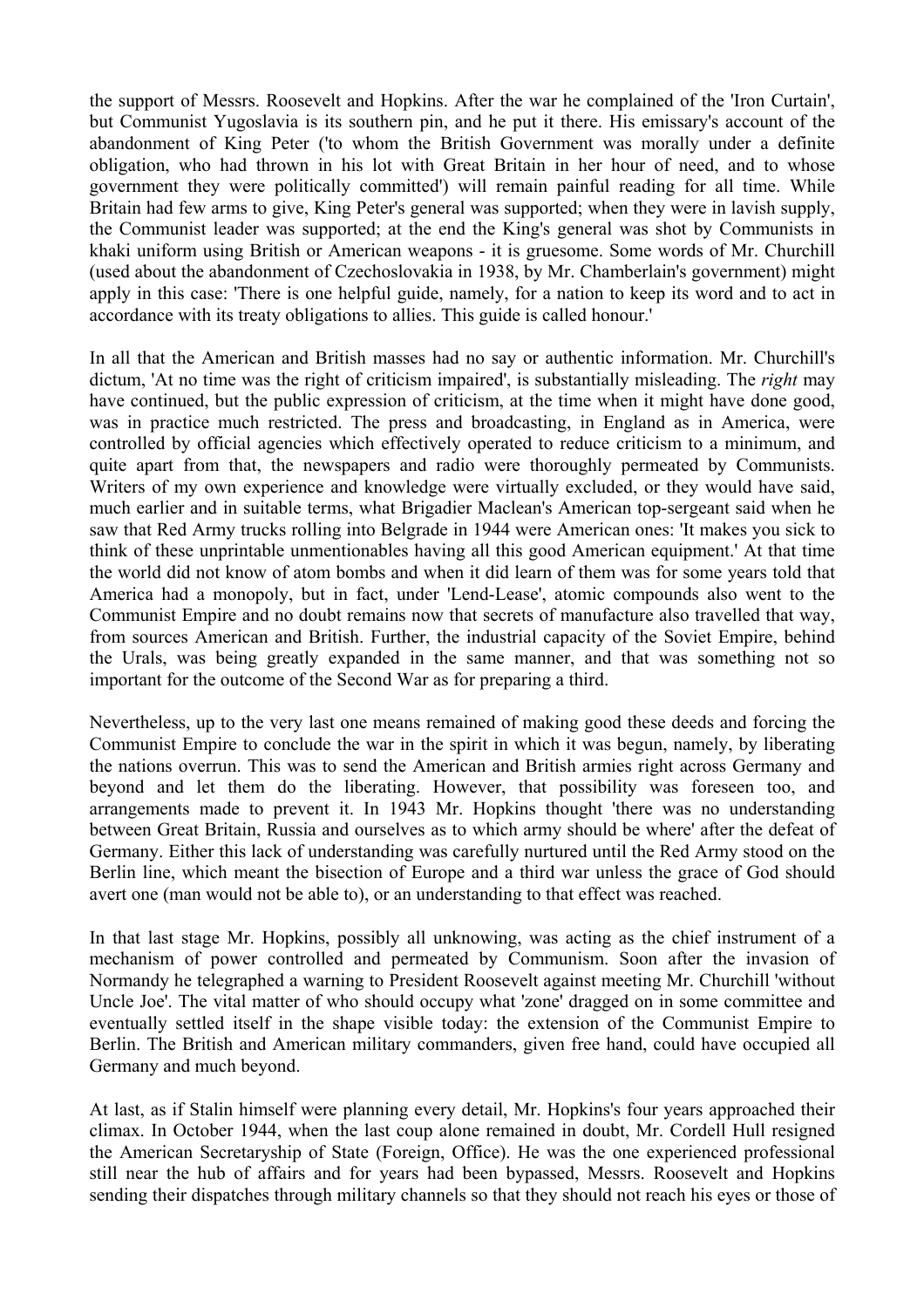the support of Messrs. Roosevelt and Hopkins. After the war he complained of the 'Iron Curtain', but Communist Yugoslavia is its southern pin, and he put it there. His emissary's account of the abandonment of King Peter ('to whom the British Government was morally under a definite obligation, who had thrown in his lot with Great Britain in her hour of need, and to whose government they were politically committed') will remain painful reading for all time. While Britain had few arms to give, King Peter's general was supported; when they were in lavish supply, the Communist leader was supported; at the end the King's general was shot by Communists in khaki uniform using British or American weapons - it is gruesome. Some words of Mr. Churchill (used about the abandonment of Czechoslovakia in 1938, by Mr. Chamberlain's government) might apply in this case: 'There is one helpful guide, namely, for a nation to keep its word and to act in accordance with its treaty obligations to allies. This guide is called honour.'

In all that the American and British masses had no say or authentic information. Mr. Churchill's dictum, 'At no time was the right of criticism impaired', is substantially misleading. The *right* may have continued, but the public expression of criticism, at the time when it might have done good, was in practice much restricted. The press and broadcasting, in England as in America, were controlled by official agencies which effectively operated to reduce criticism to a minimum, and quite apart from that, the newspapers and radio were thoroughly permeated by Communists. Writers of my own experience and knowledge were virtually excluded, or they would have said, much earlier and in suitable terms, what Brigadier Maclean's American top-sergeant said when he saw that Red Army trucks rolling into Belgrade in 1944 were American ones: 'It makes you sick to think of these unprintable unmentionables having all this good American equipment.' At that time the world did not know of atom bombs and when it did learn of them was for some years told that America had a monopoly, but in fact, under 'Lend-Lease', atomic compounds also went to the Communist Empire and no doubt remains now that secrets of manufacture also travelled that way, from sources American and British. Further, the industrial capacity of the Soviet Empire, behind the Urals, was being greatly expanded in the same manner, and that was something not so important for the outcome of the Second War as for preparing a third.

Nevertheless, up to the very last one means remained of making good these deeds and forcing the Communist Empire to conclude the war in the spirit in which it was begun, namely, by liberating the nations overrun. This was to send the American and British armies right across Germany and beyond and let them do the liberating. However, that possibility was foreseen too, and arrangements made to prevent it. In 1943 Mr. Hopkins thought 'there was no understanding between Great Britain, Russia and ourselves as to which army should be where' after the defeat of Germany. Either this lack of understanding was carefully nurtured until the Red Army stood on the Berlin line, which meant the bisection of Europe and a third war unless the grace of God should avert one (man would not be able to), or an understanding to that effect was reached.

In that last stage Mr. Hopkins, possibly all unknowing, was acting as the chief instrument of a mechanism of power controlled and permeated by Communism. Soon after the invasion of Normandy he telegraphed a warning to President Roosevelt against meeting Mr. Churchill 'without Uncle Joe'. The vital matter of who should occupy what 'zone' dragged on in some committee and eventually settled itself in the shape visible today: the extension of the Communist Empire to Berlin. The British and American military commanders, given free hand, could have occupied all Germany and much beyond.

At last, as if Stalin himself were planning every detail, Mr. Hopkins's four years approached their climax. In October 1944, when the last coup alone remained in doubt, Mr. Cordell Hull resigned the American Secretaryship of State (Foreign, Office). He was the one experienced professional still near the hub of affairs and for years had been bypassed, Messrs. Roosevelt and Hopkins sending their dispatches through military channels so that they should not reach his eyes or those of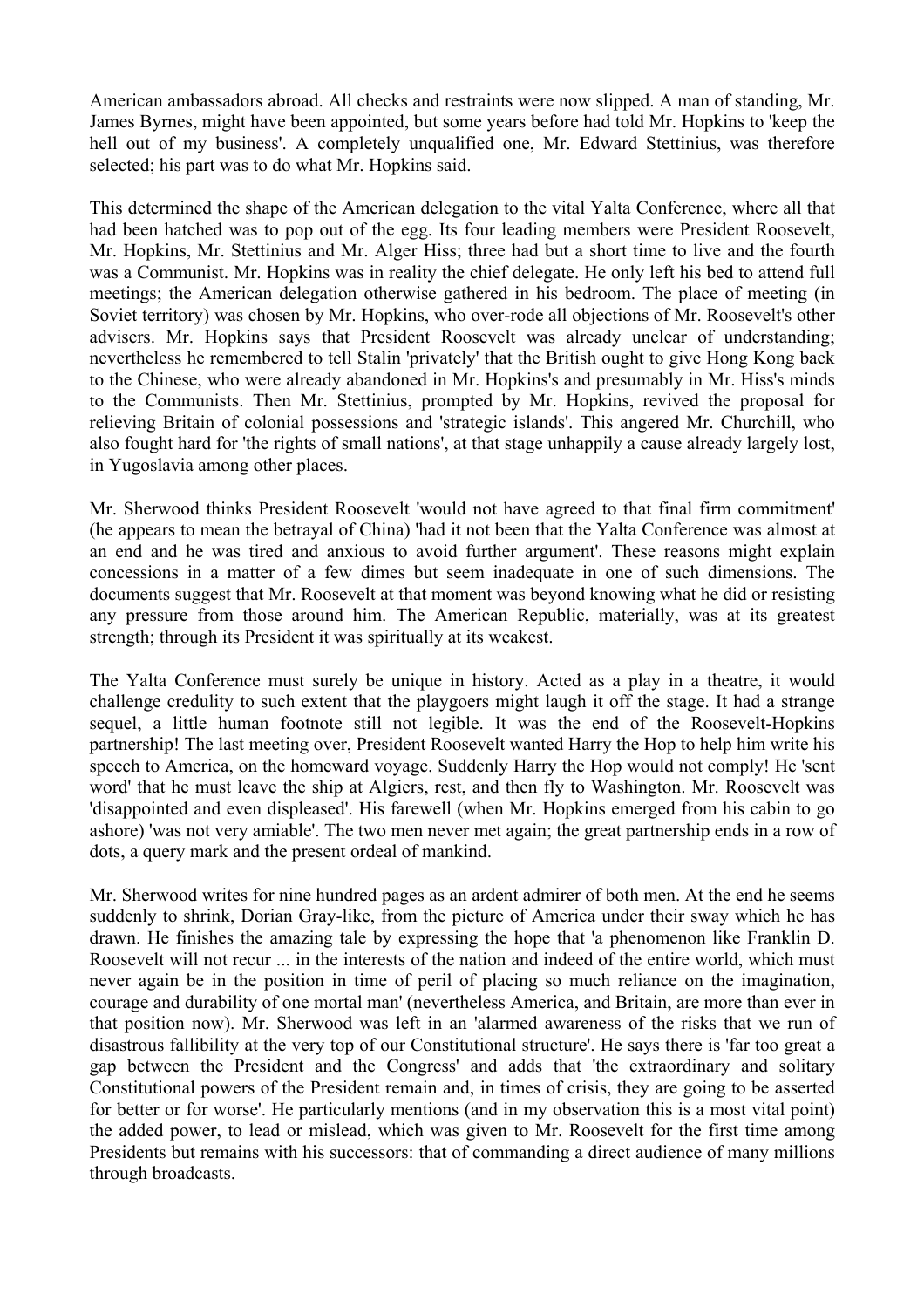American ambassadors abroad. All checks and restraints were now slipped. A man of standing, Mr. James Byrnes, might have been appointed, but some years before had told Mr. Hopkins to 'keep the hell out of my business'. A completely unqualified one, Mr. Edward Stettinius, was therefore selected; his part was to do what Mr. Hopkins said.

This determined the shape of the American delegation to the vital Yalta Conference, where all that had been hatched was to pop out of the egg. Its four leading members were President Roosevelt, Mr. Hopkins, Mr. Stettinius and Mr. Alger Hiss; three had but a short time to live and the fourth was a Communist. Mr. Hopkins was in reality the chief delegate. He only left his bed to attend full meetings; the American delegation otherwise gathered in his bedroom. The place of meeting (in Soviet territory) was chosen by Mr. Hopkins, who over-rode all objections of Mr. Roosevelt's other advisers. Mr. Hopkins says that President Roosevelt was already unclear of understanding; nevertheless he remembered to tell Stalin 'privately' that the British ought to give Hong Kong back to the Chinese, who were already abandoned in Mr. Hopkins's and presumably in Mr. Hiss's minds to the Communists. Then Mr. Stettinius, prompted by Mr. Hopkins, revived the proposal for relieving Britain of colonial possessions and 'strategic islands'. This angered Mr. Churchill, who also fought hard for 'the rights of small nations', at that stage unhappily a cause already largely lost, in Yugoslavia among other places.

Mr. Sherwood thinks President Roosevelt 'would not have agreed to that final firm commitment' (he appears to mean the betrayal of China) 'had it not been that the Yalta Conference was almost at an end and he was tired and anxious to avoid further argument'. These reasons might explain concessions in a matter of a few dimes but seem inadequate in one of such dimensions. The documents suggest that Mr. Roosevelt at that moment was beyond knowing what he did or resisting any pressure from those around him. The American Republic, materially, was at its greatest strength; through its President it was spiritually at its weakest.

The Yalta Conference must surely be unique in history. Acted as a play in a theatre, it would challenge credulity to such extent that the playgoers might laugh it off the stage. It had a strange sequel, a little human footnote still not legible. It was the end of the Roosevelt-Hopkins partnership! The last meeting over, President Roosevelt wanted Harry the Hop to help him write his speech to America, on the homeward voyage. Suddenly Harry the Hop would not comply! He 'sent word' that he must leave the ship at Algiers, rest, and then fly to Washington. Mr. Roosevelt was 'disappointed and even displeased'. His farewell (when Mr. Hopkins emerged from his cabin to go ashore) 'was not very amiable'. The two men never met again; the great partnership ends in a row of dots, a query mark and the present ordeal of mankind.

Mr. Sherwood writes for nine hundred pages as an ardent admirer of both men. At the end he seems suddenly to shrink, Dorian Gray-like, from the picture of America under their sway which he has drawn. He finishes the amazing tale by expressing the hope that 'a phenomenon like Franklin D. Roosevelt will not recur ... in the interests of the nation and indeed of the entire world, which must never again be in the position in time of peril of placing so much reliance on the imagination, courage and durability of one mortal man' (nevertheless America, and Britain, are more than ever in that position now). Mr. Sherwood was left in an 'alarmed awareness of the risks that we run of disastrous fallibility at the very top of our Constitutional structure'. He says there is 'far too great a gap between the President and the Congress' and adds that 'the extraordinary and solitary Constitutional powers of the President remain and, in times of crisis, they are going to be asserted for better or for worse'. He particularly mentions (and in my observation this is a most vital point) the added power, to lead or mislead, which was given to Mr. Roosevelt for the first time among Presidents but remains with his successors: that of commanding a direct audience of many millions through broadcasts.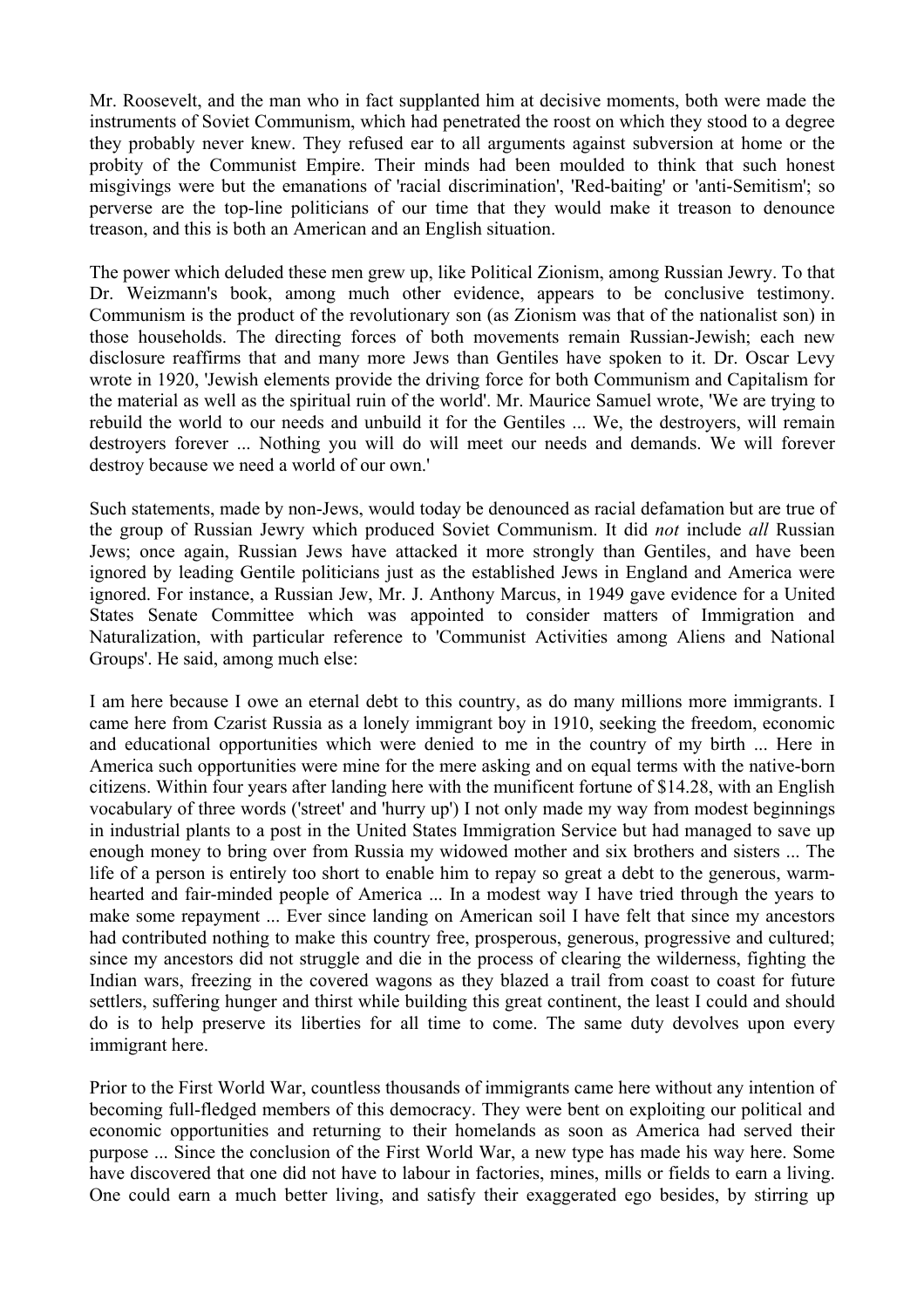Mr. Roosevelt, and the man who in fact supplanted him at decisive moments, both were made the instruments of Soviet Communism, which had penetrated the roost on which they stood to a degree they probably never knew. They refused ear to all arguments against subversion at home or the probity of the Communist Empire. Their minds had been moulded to think that such honest misgivings were but the emanations of 'racial discrimination', 'Red-baiting' or 'anti-Semitism'; so perverse are the top-line politicians of our time that they would make it treason to denounce treason, and this is both an American and an English situation.

The power which deluded these men grew up, like Political Zionism, among Russian Jewry. To that Dr. Weizmann's book, among much other evidence, appears to be conclusive testimony. Communism is the product of the revolutionary son (as Zionism was that of the nationalist son) in those households. The directing forces of both movements remain Russian-Jewish; each new disclosure reaffirms that and many more Jews than Gentiles have spoken to it. Dr. Oscar Levy wrote in 1920, 'Jewish elements provide the driving force for both Communism and Capitalism for the material as well as the spiritual ruin of the world'. Mr. Maurice Samuel wrote, 'We are trying to rebuild the world to our needs and unbuild it for the Gentiles ... We, the destroyers, will remain destroyers forever ... Nothing you will do will meet our needs and demands. We will forever destroy because we need a world of our own.'

Such statements, made by non-Jews, would today be denounced as racial defamation but are true of the group of Russian Jewry which produced Soviet Communism. It did *not* include *all* Russian Jews; once again, Russian Jews have attacked it more strongly than Gentiles, and have been ignored by leading Gentile politicians just as the established Jews in England and America were ignored. For instance, a Russian Jew, Mr. J. Anthony Marcus, in 1949 gave evidence for a United States Senate Committee which was appointed to consider matters of Immigration and Naturalization, with particular reference to 'Communist Activities among Aliens and National Groups'. He said, among much else:

I am here because I owe an eternal debt to this country, as do many millions more immigrants. I came here from Czarist Russia as a lonely immigrant boy in 1910, seeking the freedom, economic and educational opportunities which were denied to me in the country of my birth ... Here in America such opportunities were mine for the mere asking and on equal terms with the native-born citizens. Within four years after landing here with the munificent fortune of \$14.28, with an English vocabulary of three words ('street' and 'hurry up') I not only made my way from modest beginnings in industrial plants to a post in the United States Immigration Service but had managed to save up enough money to bring over from Russia my widowed mother and six brothers and sisters ... The life of a person is entirely too short to enable him to repay so great a debt to the generous, warmhearted and fair-minded people of America ... In a modest way I have tried through the years to make some repayment ... Ever since landing on American soil I have felt that since my ancestors had contributed nothing to make this country free, prosperous, generous, progressive and cultured; since my ancestors did not struggle and die in the process of clearing the wilderness, fighting the Indian wars, freezing in the covered wagons as they blazed a trail from coast to coast for future settlers, suffering hunger and thirst while building this great continent, the least I could and should do is to help preserve its liberties for all time to come. The same duty devolves upon every immigrant here.

Prior to the First World War, countless thousands of immigrants came here without any intention of becoming full-fledged members of this democracy. They were bent on exploiting our political and economic opportunities and returning to their homelands as soon as America had served their purpose ... Since the conclusion of the First World War, a new type has made his way here. Some have discovered that one did not have to labour in factories, mines, mills or fields to earn a living. One could earn a much better living, and satisfy their exaggerated ego besides, by stirring up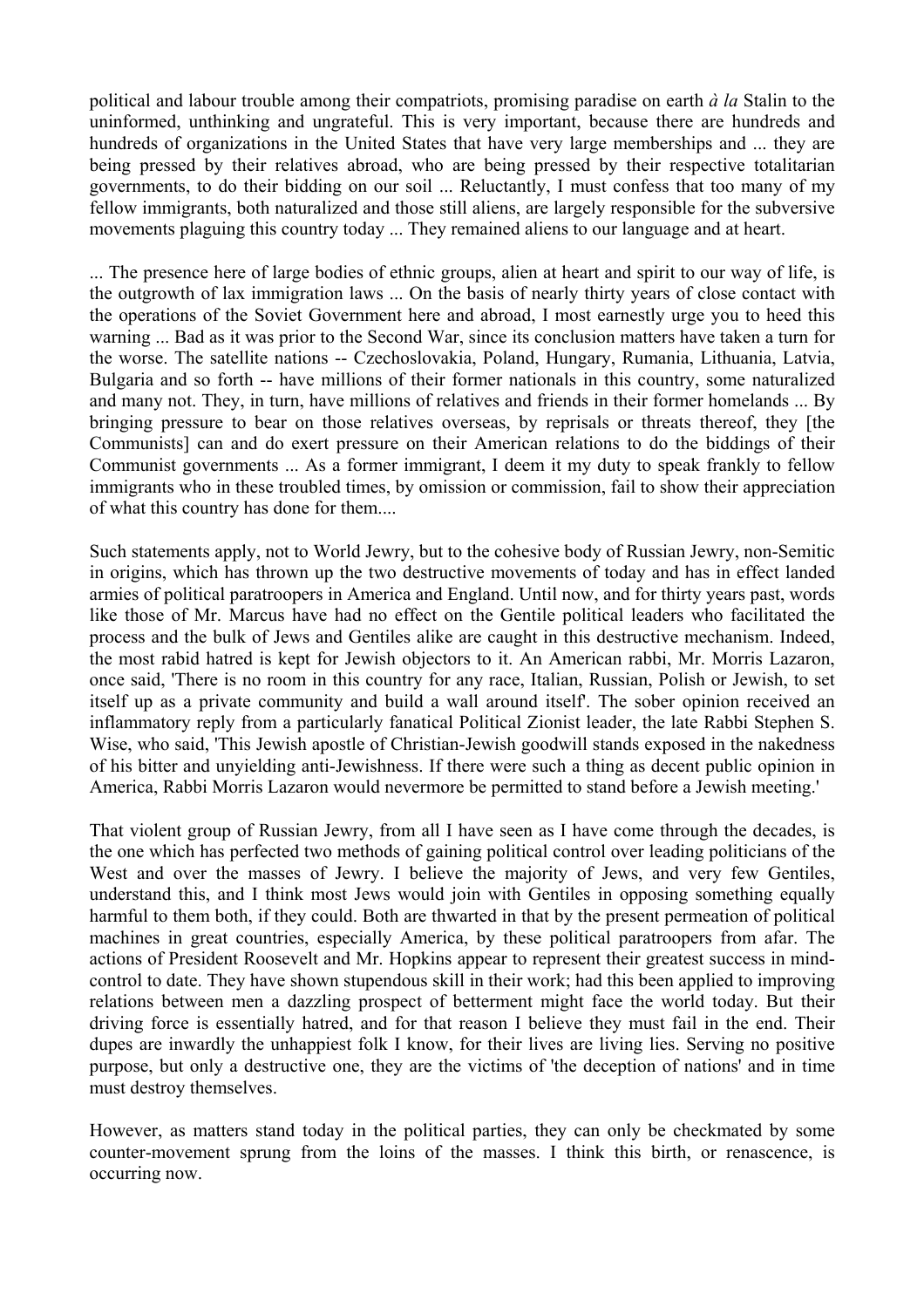political and labour trouble among their compatriots, promising paradise on earth *à la* Stalin to the uninformed, unthinking and ungrateful. This is very important, because there are hundreds and hundreds of organizations in the United States that have very large memberships and ... they are being pressed by their relatives abroad, who are being pressed by their respective totalitarian governments, to do their bidding on our soil ... Reluctantly, I must confess that too many of my fellow immigrants, both naturalized and those still aliens, are largely responsible for the subversive movements plaguing this country today ... They remained aliens to our language and at heart.

... The presence here of large bodies of ethnic groups, alien at heart and spirit to our way of life, is the outgrowth of lax immigration laws ... On the basis of nearly thirty years of close contact with the operations of the Soviet Government here and abroad, I most earnestly urge you to heed this warning ... Bad as it was prior to the Second War, since its conclusion matters have taken a turn for the worse. The satellite nations -- Czechoslovakia, Poland, Hungary, Rumania, Lithuania, Latvia, Bulgaria and so forth -- have millions of their former nationals in this country, some naturalized and many not. They, in turn, have millions of relatives and friends in their former homelands ... By bringing pressure to bear on those relatives overseas, by reprisals or threats thereof, they [the Communists] can and do exert pressure on their American relations to do the biddings of their Communist governments ... As a former immigrant, I deem it my duty to speak frankly to fellow immigrants who in these troubled times, by omission or commission, fail to show their appreciation of what this country has done for them....

Such statements apply, not to World Jewry, but to the cohesive body of Russian Jewry, non-Semitic in origins, which has thrown up the two destructive movements of today and has in effect landed armies of political paratroopers in America and England. Until now, and for thirty years past, words like those of Mr. Marcus have had no effect on the Gentile political leaders who facilitated the process and the bulk of Jews and Gentiles alike are caught in this destructive mechanism. Indeed, the most rabid hatred is kept for Jewish objectors to it. An American rabbi, Mr. Morris Lazaron, once said, 'There is no room in this country for any race, Italian, Russian, Polish or Jewish, to set itself up as a private community and build a wall around itself'. The sober opinion received an inflammatory reply from a particularly fanatical Political Zionist leader, the late Rabbi Stephen S. Wise, who said, 'This Jewish apostle of Christian-Jewish goodwill stands exposed in the nakedness of his bitter and unyielding anti-Jewishness. If there were such a thing as decent public opinion in America, Rabbi Morris Lazaron would nevermore be permitted to stand before a Jewish meeting.'

That violent group of Russian Jewry, from all I have seen as I have come through the decades, is the one which has perfected two methods of gaining political control over leading politicians of the West and over the masses of Jewry. I believe the majority of Jews, and very few Gentiles, understand this, and I think most Jews would join with Gentiles in opposing something equally harmful to them both, if they could. Both are thwarted in that by the present permeation of political machines in great countries, especially America, by these political paratroopers from afar. The actions of President Roosevelt and Mr. Hopkins appear to represent their greatest success in mindcontrol to date. They have shown stupendous skill in their work; had this been applied to improving relations between men a dazzling prospect of betterment might face the world today. But their driving force is essentially hatred, and for that reason I believe they must fail in the end. Their dupes are inwardly the unhappiest folk I know, for their lives are living lies. Serving no positive purpose, but only a destructive one, they are the victims of 'the deception of nations' and in time must destroy themselves.

However, as matters stand today in the political parties, they can only be checkmated by some counter-movement sprung from the loins of the masses. I think this birth, or renascence, is occurring now.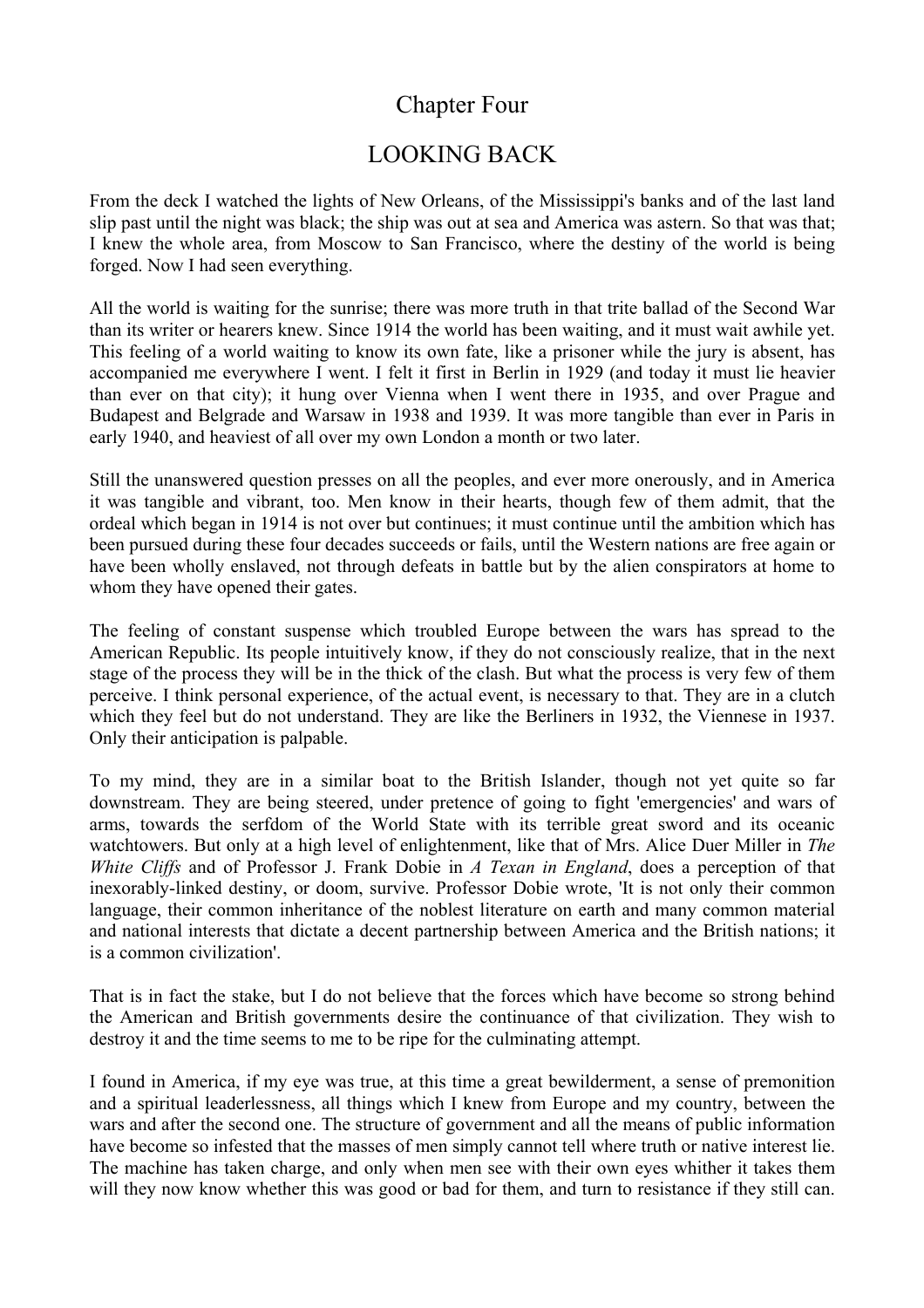## Chapter Four

# LOOKING BACK

From the deck I watched the lights of New Orleans, of the Mississippi's banks and of the last land slip past until the night was black; the ship was out at sea and America was astern. So that was that; I knew the whole area, from Moscow to San Francisco, where the destiny of the world is being forged. Now I had seen everything.

All the world is waiting for the sunrise; there was more truth in that trite ballad of the Second War than its writer or hearers knew. Since 1914 the world has been waiting, and it must wait awhile yet. This feeling of a world waiting to know its own fate, like a prisoner while the jury is absent, has accompanied me everywhere I went. I felt it first in Berlin in 1929 (and today it must lie heavier than ever on that city); it hung over Vienna when I went there in 1935, and over Prague and Budapest and Belgrade and Warsaw in 1938 and 1939. It was more tangible than ever in Paris in early 1940, and heaviest of all over my own London a month or two later.

Still the unanswered question presses on all the peoples, and ever more onerously, and in America it was tangible and vibrant, too. Men know in their hearts, though few of them admit, that the ordeal which began in 1914 is not over but continues; it must continue until the ambition which has been pursued during these four decades succeeds or fails, until the Western nations are free again or have been wholly enslaved, not through defeats in battle but by the alien conspirators at home to whom they have opened their gates.

The feeling of constant suspense which troubled Europe between the wars has spread to the American Republic. Its people intuitively know, if they do not consciously realize, that in the next stage of the process they will be in the thick of the clash. But what the process is very few of them perceive. I think personal experience, of the actual event, is necessary to that. They are in a clutch which they feel but do not understand. They are like the Berliners in 1932, the Viennese in 1937. Only their anticipation is palpable.

To my mind, they are in a similar boat to the British Islander, though not yet quite so far downstream. They are being steered, under pretence of going to fight 'emergencies' and wars of arms, towards the serfdom of the World State with its terrible great sword and its oceanic watchtowers. But only at a high level of enlightenment, like that of Mrs. Alice Duer Miller in *The White Cliffs* and of Professor J. Frank Dobie in *A Texan in England*, does a perception of that inexorably-linked destiny, or doom, survive. Professor Dobie wrote, 'It is not only their common language, their common inheritance of the noblest literature on earth and many common material and national interests that dictate a decent partnership between America and the British nations; it is a common civilization'.

That is in fact the stake, but I do not believe that the forces which have become so strong behind the American and British governments desire the continuance of that civilization. They wish to destroy it and the time seems to me to be ripe for the culminating attempt.

I found in America, if my eye was true, at this time a great bewilderment, a sense of premonition and a spiritual leaderlessness, all things which I knew from Europe and my country, between the wars and after the second one. The structure of government and all the means of public information have become so infested that the masses of men simply cannot tell where truth or native interest lie. The machine has taken charge, and only when men see with their own eyes whither it takes them will they now know whether this was good or bad for them, and turn to resistance if they still can.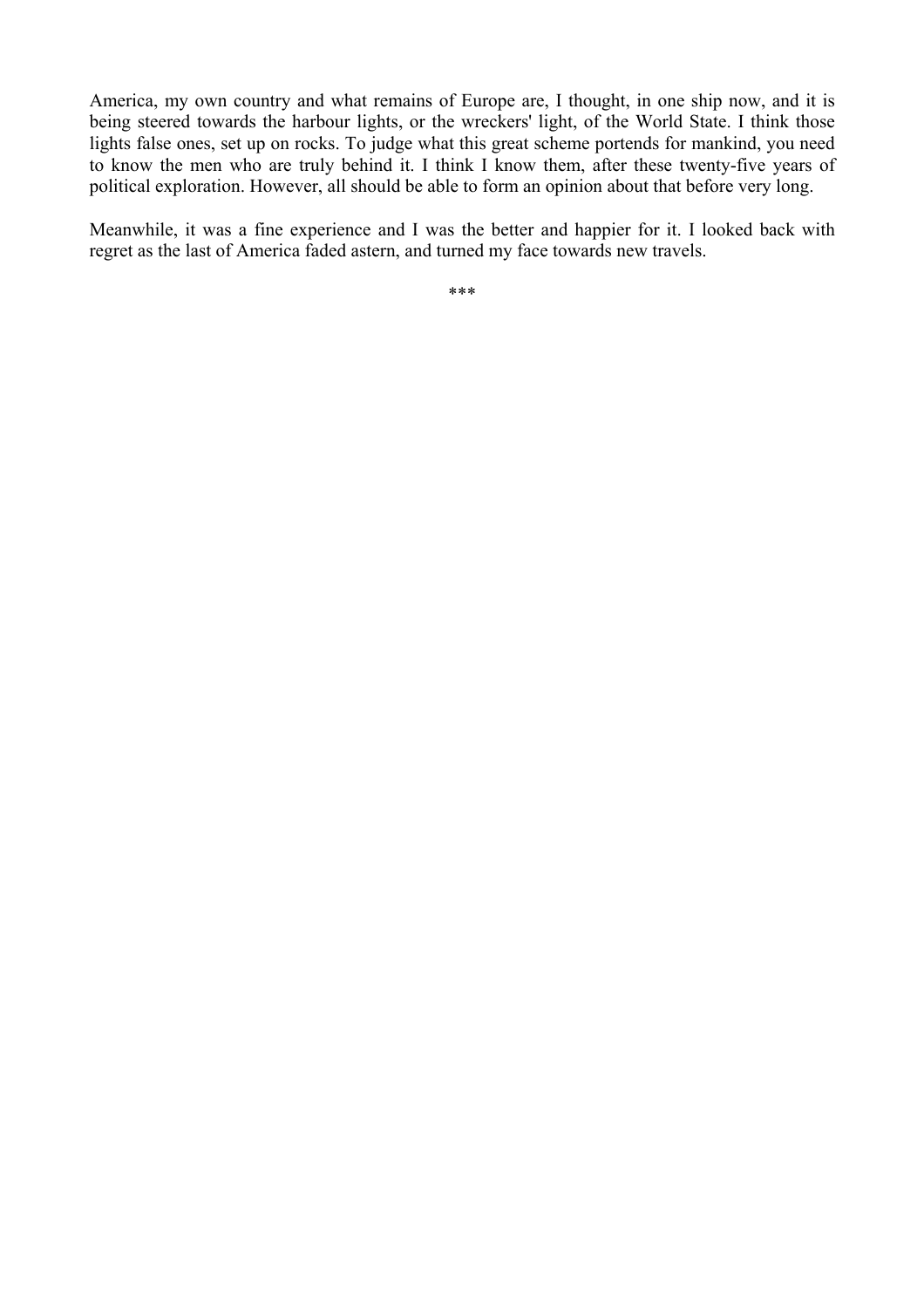America, my own country and what remains of Europe are, I thought, in one ship now, and it is being steered towards the harbour lights, or the wreckers' light, of the World State. I think those lights false ones, set up on rocks. To judge what this great scheme portends for mankind, you need to know the men who are truly behind it. I think I know them, after these twenty-five years of political exploration. However, all should be able to form an opinion about that before very long.

Meanwhile, it was a fine experience and I was the better and happier for it. I looked back with regret as the last of America faded astern, and turned my face towards new travels.

\*\*\*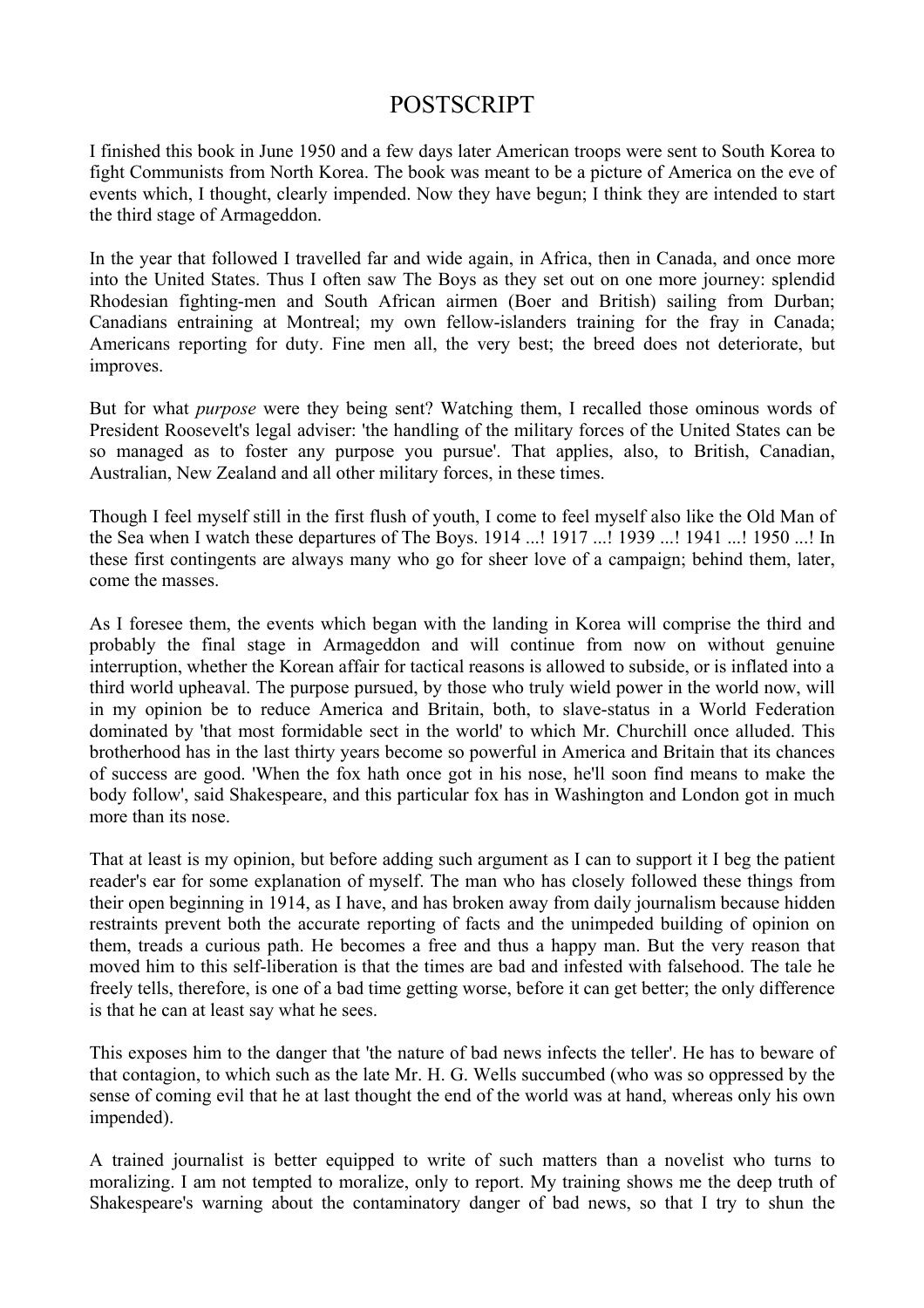#### POSTSCRIPT

I finished this book in June 1950 and a few days later American troops were sent to South Korea to fight Communists from North Korea. The book was meant to be a picture of America on the eve of events which, I thought, clearly impended. Now they have begun; I think they are intended to start the third stage of Armageddon.

In the year that followed I travelled far and wide again, in Africa, then in Canada, and once more into the United States. Thus I often saw The Boys as they set out on one more journey: splendid Rhodesian fighting-men and South African airmen (Boer and British) sailing from Durban; Canadians entraining at Montreal; my own fellow-islanders training for the fray in Canada; Americans reporting for duty. Fine men all, the very best; the breed does not deteriorate, but improves.

But for what *purpose* were they being sent? Watching them, I recalled those ominous words of President Roosevelt's legal adviser: 'the handling of the military forces of the United States can be so managed as to foster any purpose you pursue'. That applies, also, to British, Canadian, Australian, New Zealand and all other military forces, in these times.

Though I feel myself still in the first flush of youth, I come to feel myself also like the Old Man of the Sea when I watch these departures of The Boys. 1914 ...! 1917 ...! 1939 ...! 1941 ...! 1950 ...! In these first contingents are always many who go for sheer love of a campaign; behind them, later, come the masses.

As I foresee them, the events which began with the landing in Korea will comprise the third and probably the final stage in Armageddon and will continue from now on without genuine interruption, whether the Korean affair for tactical reasons is allowed to subside, or is inflated into a third world upheaval. The purpose pursued, by those who truly wield power in the world now, will in my opinion be to reduce America and Britain, both, to slave-status in a World Federation dominated by 'that most formidable sect in the world' to which Mr. Churchill once alluded. This brotherhood has in the last thirty years become so powerful in America and Britain that its chances of success are good. 'When the fox hath once got in his nose, he'll soon find means to make the body follow', said Shakespeare, and this particular fox has in Washington and London got in much more than its nose.

That at least is my opinion, but before adding such argument as I can to support it I beg the patient reader's ear for some explanation of myself. The man who has closely followed these things from their open beginning in 1914, as I have, and has broken away from daily journalism because hidden restraints prevent both the accurate reporting of facts and the unimpeded building of opinion on them, treads a curious path. He becomes a free and thus a happy man. But the very reason that moved him to this self-liberation is that the times are bad and infested with falsehood. The tale he freely tells, therefore, is one of a bad time getting worse, before it can get better; the only difference is that he can at least say what he sees.

This exposes him to the danger that 'the nature of bad news infects the teller'. He has to beware of that contagion, to which such as the late Mr. H. G. Wells succumbed (who was so oppressed by the sense of coming evil that he at last thought the end of the world was at hand, whereas only his own impended).

A trained journalist is better equipped to write of such matters than a novelist who turns to moralizing. I am not tempted to moralize, only to report. My training shows me the deep truth of Shakespeare's warning about the contaminatory danger of bad news, so that I try to shun the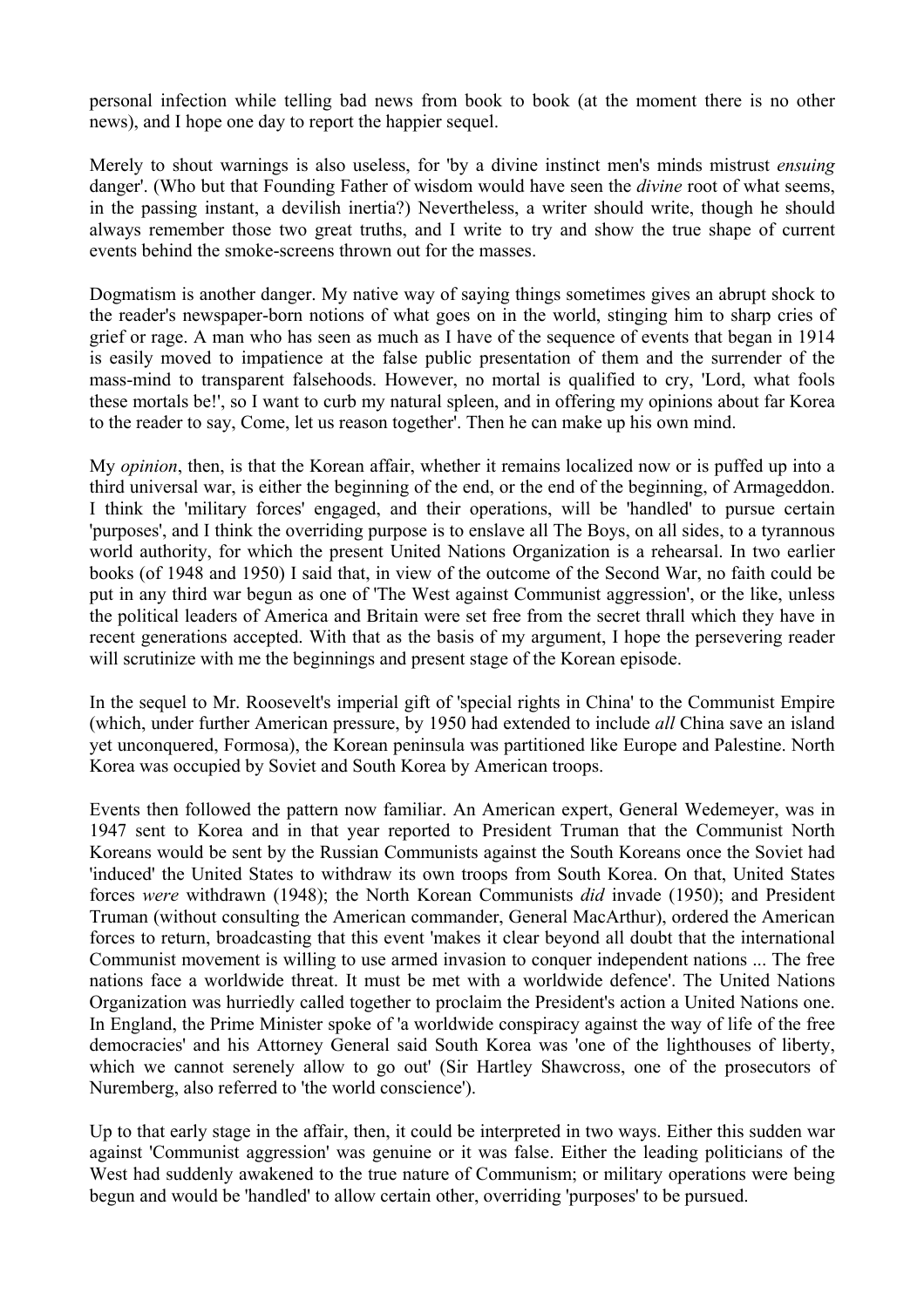personal infection while telling bad news from book to book (at the moment there is no other news), and I hope one day to report the happier sequel.

Merely to shout warnings is also useless, for 'by a divine instinct men's minds mistrust *ensuing* danger'. (Who but that Founding Father of wisdom would have seen the *divine* root of what seems, in the passing instant, a devilish inertia?) Nevertheless, a writer should write, though he should always remember those two great truths, and I write to try and show the true shape of current events behind the smoke-screens thrown out for the masses.

Dogmatism is another danger. My native way of saying things sometimes gives an abrupt shock to the reader's newspaper-born notions of what goes on in the world, stinging him to sharp cries of grief or rage. A man who has seen as much as I have of the sequence of events that began in 1914 is easily moved to impatience at the false public presentation of them and the surrender of the mass-mind to transparent falsehoods. However, no mortal is qualified to cry, 'Lord, what fools these mortals be!', so I want to curb my natural spleen, and in offering my opinions about far Korea to the reader to say, Come, let us reason together'. Then he can make up his own mind.

My *opinion*, then, is that the Korean affair, whether it remains localized now or is puffed up into a third universal war, is either the beginning of the end, or the end of the beginning, of Armageddon. I think the 'military forces' engaged, and their operations, will be 'handled' to pursue certain 'purposes', and I think the overriding purpose is to enslave all The Boys, on all sides, to a tyrannous world authority, for which the present United Nations Organization is a rehearsal. In two earlier books (of 1948 and 1950) I said that, in view of the outcome of the Second War, no faith could be put in any third war begun as one of 'The West against Communist aggression', or the like, unless the political leaders of America and Britain were set free from the secret thrall which they have in recent generations accepted. With that as the basis of my argument, I hope the persevering reader will scrutinize with me the beginnings and present stage of the Korean episode.

In the sequel to Mr. Roosevelt's imperial gift of 'special rights in China' to the Communist Empire (which, under further American pressure, by 1950 had extended to include *all* China save an island yet unconquered, Formosa), the Korean peninsula was partitioned like Europe and Palestine. North Korea was occupied by Soviet and South Korea by American troops.

Events then followed the pattern now familiar. An American expert, General Wedemeyer, was in 1947 sent to Korea and in that year reported to President Truman that the Communist North Koreans would be sent by the Russian Communists against the South Koreans once the Soviet had 'induced' the United States to withdraw its own troops from South Korea. On that, United States forces *were* withdrawn (1948); the North Korean Communists *did* invade (1950); and President Truman (without consulting the American commander, General MacArthur), ordered the American forces to return, broadcasting that this event 'makes it clear beyond all doubt that the international Communist movement is willing to use armed invasion to conquer independent nations ... The free nations face a worldwide threat. It must be met with a worldwide defence'. The United Nations Organization was hurriedly called together to proclaim the President's action a United Nations one. In England, the Prime Minister spoke of 'a worldwide conspiracy against the way of life of the free democracies' and his Attorney General said South Korea was 'one of the lighthouses of liberty, which we cannot serenely allow to go out' (Sir Hartley Shawcross, one of the prosecutors of Nuremberg, also referred to 'the world conscience').

Up to that early stage in the affair, then, it could be interpreted in two ways. Either this sudden war against 'Communist aggression' was genuine or it was false. Either the leading politicians of the West had suddenly awakened to the true nature of Communism; or military operations were being begun and would be 'handled' to allow certain other, overriding 'purposes' to be pursued.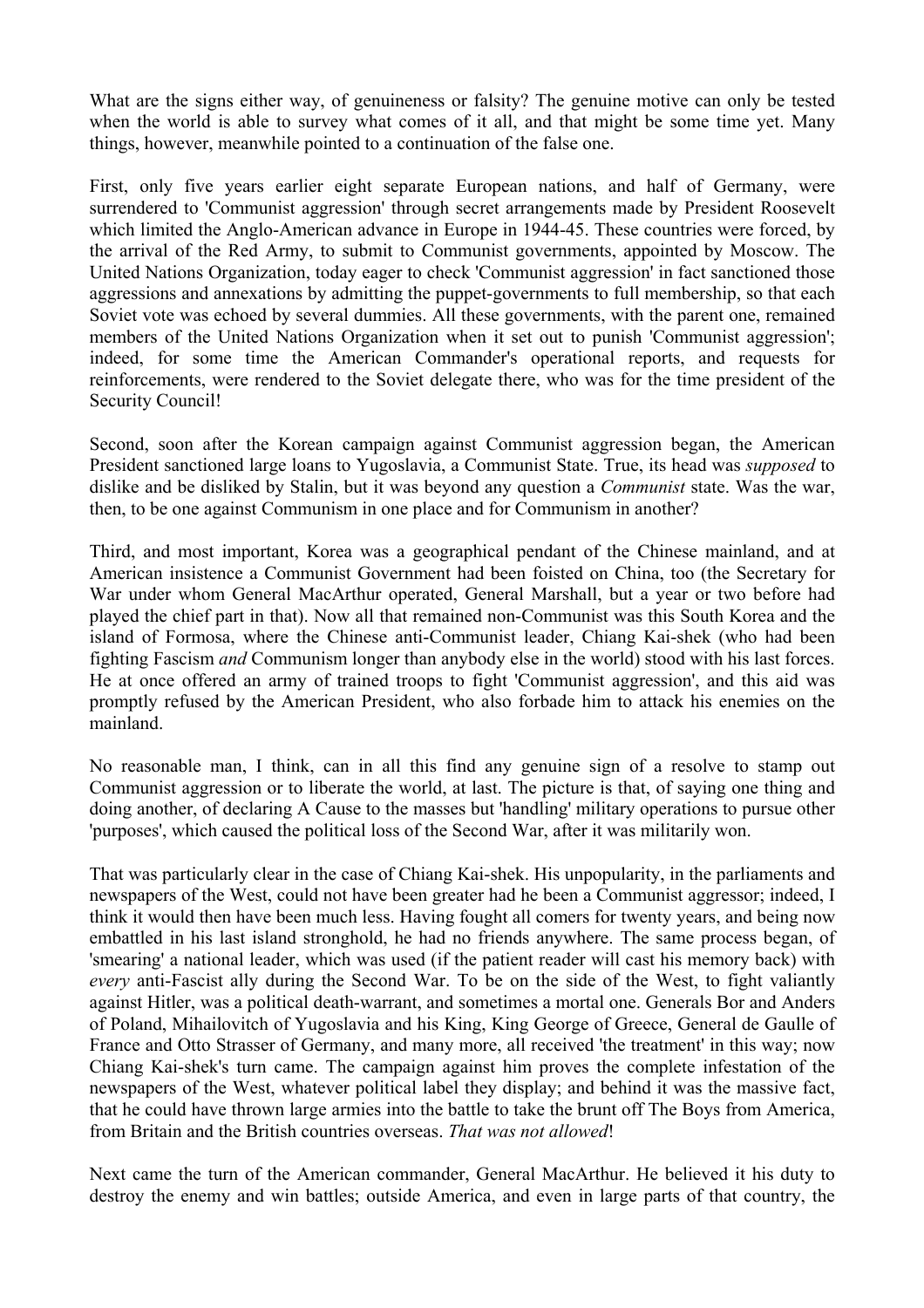What are the signs either way, of genuineness or falsity? The genuine motive can only be tested when the world is able to survey what comes of it all, and that might be some time yet. Many things, however, meanwhile pointed to a continuation of the false one.

First, only five years earlier eight separate European nations, and half of Germany, were surrendered to 'Communist aggression' through secret arrangements made by President Roosevelt which limited the Anglo-American advance in Europe in 1944-45. These countries were forced, by the arrival of the Red Army, to submit to Communist governments, appointed by Moscow. The United Nations Organization, today eager to check 'Communist aggression' in fact sanctioned those aggressions and annexations by admitting the puppet-governments to full membership, so that each Soviet vote was echoed by several dummies. All these governments, with the parent one, remained members of the United Nations Organization when it set out to punish 'Communist aggression'; indeed, for some time the American Commander's operational reports, and requests for reinforcements, were rendered to the Soviet delegate there, who was for the time president of the Security Council!

Second, soon after the Korean campaign against Communist aggression began, the American President sanctioned large loans to Yugoslavia, a Communist State. True, its head was *supposed* to dislike and be disliked by Stalin, but it was beyond any question a *Communist* state. Was the war, then, to be one against Communism in one place and for Communism in another?

Third, and most important, Korea was a geographical pendant of the Chinese mainland, and at American insistence a Communist Government had been foisted on China, too (the Secretary for War under whom General MacArthur operated, General Marshall, but a year or two before had played the chief part in that). Now all that remained non-Communist was this South Korea and the island of Formosa, where the Chinese anti-Communist leader, Chiang Kai-shek (who had been fighting Fascism *and* Communism longer than anybody else in the world) stood with his last forces. He at once offered an army of trained troops to fight 'Communist aggression', and this aid was promptly refused by the American President, who also forbade him to attack his enemies on the mainland.

No reasonable man, I think, can in all this find any genuine sign of a resolve to stamp out Communist aggression or to liberate the world, at last. The picture is that, of saying one thing and doing another, of declaring A Cause to the masses but 'handling' military operations to pursue other 'purposes', which caused the political loss of the Second War, after it was militarily won.

That was particularly clear in the case of Chiang Kai-shek. His unpopularity, in the parliaments and newspapers of the West, could not have been greater had he been a Communist aggressor; indeed, I think it would then have been much less. Having fought all comers for twenty years, and being now embattled in his last island stronghold, he had no friends anywhere. The same process began, of 'smearing' a national leader, which was used (if the patient reader will cast his memory back) with *every* anti-Fascist ally during the Second War. To be on the side of the West, to fight valiantly against Hitler, was a political death-warrant, and sometimes a mortal one. Generals Bor and Anders of Poland, Mihailovitch of Yugoslavia and his King, King George of Greece, General de Gaulle of France and Otto Strasser of Germany, and many more, all received 'the treatment' in this way; now Chiang Kai-shek's turn came. The campaign against him proves the complete infestation of the newspapers of the West, whatever political label they display; and behind it was the massive fact, that he could have thrown large armies into the battle to take the brunt off The Boys from America, from Britain and the British countries overseas. *That was not allowed*!

Next came the turn of the American commander, General MacArthur. He believed it his duty to destroy the enemy and win battles; outside America, and even in large parts of that country, the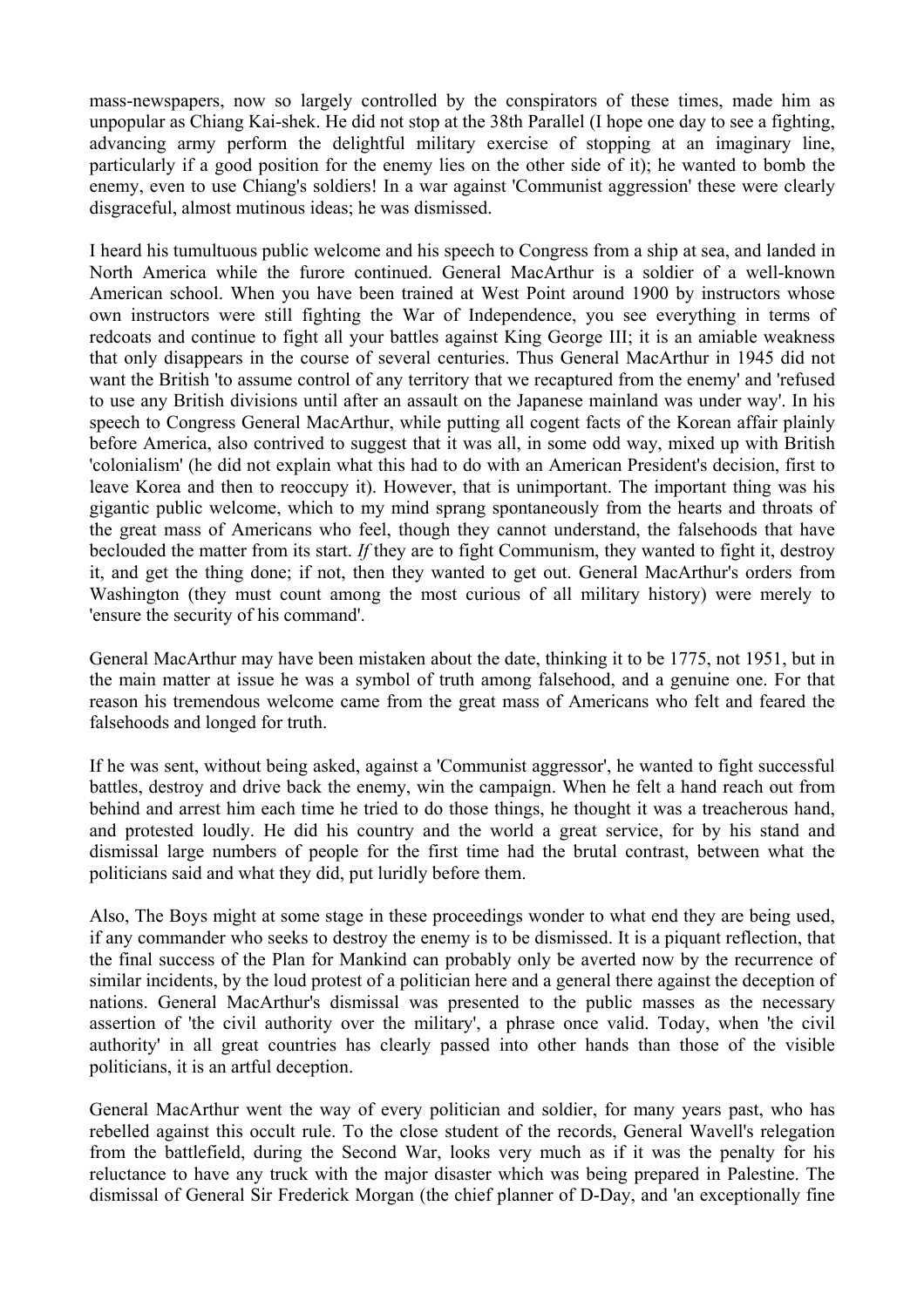mass-newspapers, now so largely controlled by the conspirators of these times, made him as unpopular as Chiang Kai-shek. He did not stop at the 38th Parallel (I hope one day to see a fighting, advancing army perform the delightful military exercise of stopping at an imaginary line, particularly if a good position for the enemy lies on the other side of it); he wanted to bomb the enemy, even to use Chiang's soldiers! In a war against 'Communist aggression' these were clearly disgraceful, almost mutinous ideas; he was dismissed.

I heard his tumultuous public welcome and his speech to Congress from a ship at sea, and landed in North America while the furore continued. General MacArthur is a soldier of a well-known American school. When you have been trained at West Point around 1900 by instructors whose own instructors were still fighting the War of Independence, you see everything in terms of redcoats and continue to fight all your battles against King George III; it is an amiable weakness that only disappears in the course of several centuries. Thus General MacArthur in 1945 did not want the British 'to assume control of any territory that we recaptured from the enemy' and 'refused to use any British divisions until after an assault on the Japanese mainland was under way'. In his speech to Congress General MacArthur, while putting all cogent facts of the Korean affair plainly before America, also contrived to suggest that it was all, in some odd way, mixed up with British 'colonialism' (he did not explain what this had to do with an American President's decision, first to leave Korea and then to reoccupy it). However, that is unimportant. The important thing was his gigantic public welcome, which to my mind sprang spontaneously from the hearts and throats of the great mass of Americans who feel, though they cannot understand, the falsehoods that have beclouded the matter from its start. *If* they are to fight Communism, they wanted to fight it, destroy it, and get the thing done; if not, then they wanted to get out. General MacArthur's orders from Washington (they must count among the most curious of all military history) were merely to 'ensure the security of his command'.

General MacArthur may have been mistaken about the date, thinking it to be 1775, not 1951, but in the main matter at issue he was a symbol of truth among falsehood, and a genuine one. For that reason his tremendous welcome came from the great mass of Americans who felt and feared the falsehoods and longed for truth.

If he was sent, without being asked, against a 'Communist aggressor', he wanted to fight successful battles, destroy and drive back the enemy, win the campaign. When he felt a hand reach out from behind and arrest him each time he tried to do those things, he thought it was a treacherous hand, and protested loudly. He did his country and the world a great service, for by his stand and dismissal large numbers of people for the first time had the brutal contrast, between what the politicians said and what they did, put luridly before them.

Also, The Boys might at some stage in these proceedings wonder to what end they are being used, if any commander who seeks to destroy the enemy is to be dismissed. It is a piquant reflection, that the final success of the Plan for Mankind can probably only be averted now by the recurrence of similar incidents, by the loud protest of a politician here and a general there against the deception of nations. General MacArthur's dismissal was presented to the public masses as the necessary assertion of 'the civil authority over the military', a phrase once valid. Today, when 'the civil authority' in all great countries has clearly passed into other hands than those of the visible politicians, it is an artful deception.

General MacArthur went the way of every politician and soldier, for many years past, who has rebelled against this occult rule. To the close student of the records, General Wavell's relegation from the battlefield, during the Second War, looks very much as if it was the penalty for his reluctance to have any truck with the major disaster which was being prepared in Palestine. The dismissal of General Sir Frederick Morgan (the chief planner of D-Day, and 'an exceptionally fine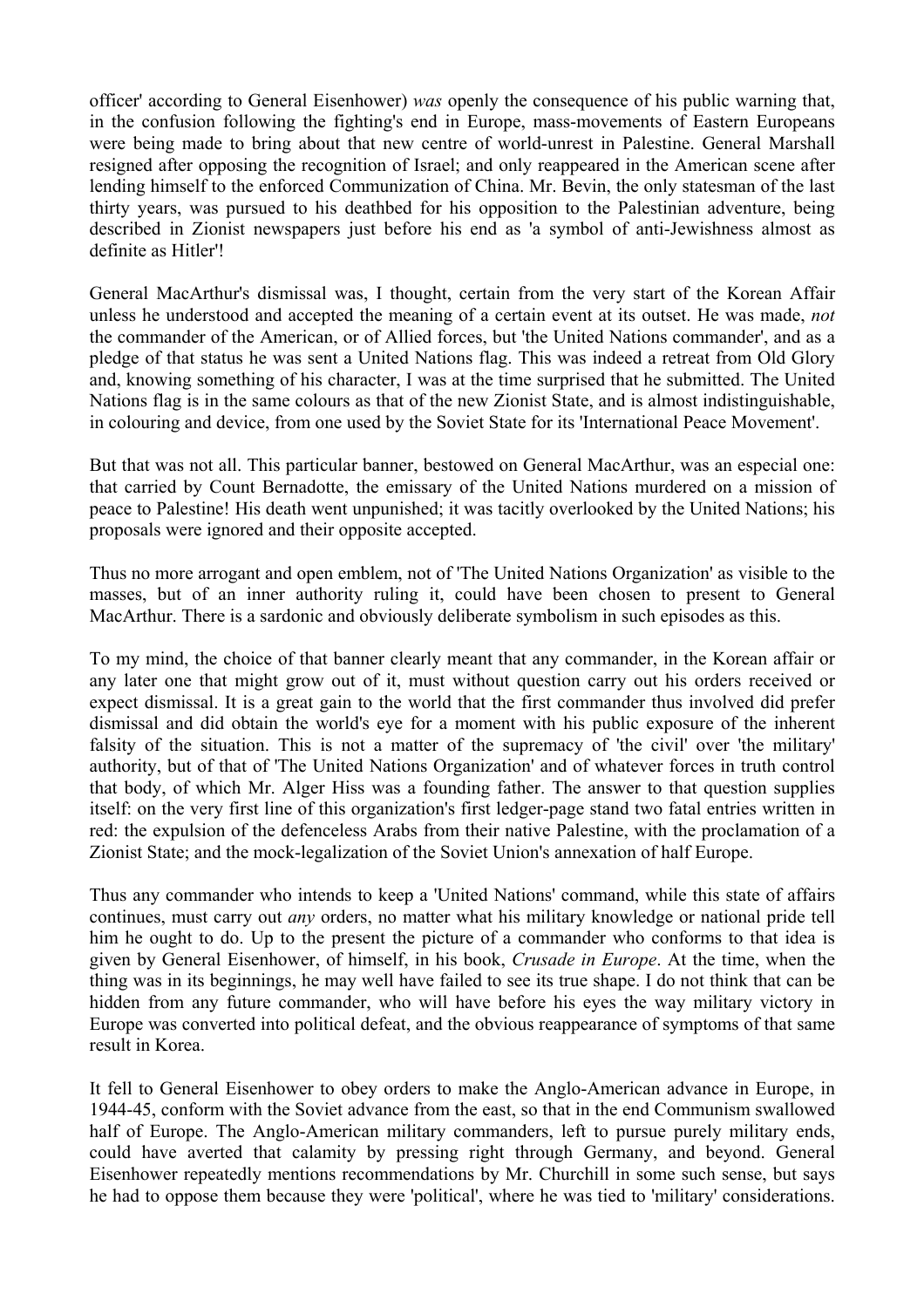officer' according to General Eisenhower) *was* openly the consequence of his public warning that, in the confusion following the fighting's end in Europe, mass-movements of Eastern Europeans were being made to bring about that new centre of world-unrest in Palestine. General Marshall resigned after opposing the recognition of Israel; and only reappeared in the American scene after lending himself to the enforced Communization of China. Mr. Bevin, the only statesman of the last thirty years, was pursued to his deathbed for his opposition to the Palestinian adventure, being described in Zionist newspapers just before his end as 'a symbol of anti-Jewishness almost as definite as Hitler'!

General MacArthur's dismissal was, I thought, certain from the very start of the Korean Affair unless he understood and accepted the meaning of a certain event at its outset. He was made, *not* the commander of the American, or of Allied forces, but 'the United Nations commander', and as a pledge of that status he was sent a United Nations flag. This was indeed a retreat from Old Glory and, knowing something of his character, I was at the time surprised that he submitted. The United Nations flag is in the same colours as that of the new Zionist State, and is almost indistinguishable, in colouring and device, from one used by the Soviet State for its 'International Peace Movement'.

But that was not all. This particular banner, bestowed on General MacArthur, was an especial one: that carried by Count Bernadotte, the emissary of the United Nations murdered on a mission of peace to Palestine! His death went unpunished; it was tacitly overlooked by the United Nations; his proposals were ignored and their opposite accepted.

Thus no more arrogant and open emblem, not of 'The United Nations Organization' as visible to the masses, but of an inner authority ruling it, could have been chosen to present to General MacArthur. There is a sardonic and obviously deliberate symbolism in such episodes as this.

To my mind, the choice of that banner clearly meant that any commander, in the Korean affair or any later one that might grow out of it, must without question carry out his orders received or expect dismissal. It is a great gain to the world that the first commander thus involved did prefer dismissal and did obtain the world's eye for a moment with his public exposure of the inherent falsity of the situation. This is not a matter of the supremacy of 'the civil' over 'the military' authority, but of that of 'The United Nations Organization' and of whatever forces in truth control that body, of which Mr. Alger Hiss was a founding father. The answer to that question supplies itself: on the very first line of this organization's first ledger-page stand two fatal entries written in red: the expulsion of the defenceless Arabs from their native Palestine, with the proclamation of a Zionist State; and the mock-legalization of the Soviet Union's annexation of half Europe.

Thus any commander who intends to keep a 'United Nations' command, while this state of affairs continues, must carry out *any* orders, no matter what his military knowledge or national pride tell him he ought to do. Up to the present the picture of a commander who conforms to that idea is given by General Eisenhower, of himself, in his book, *Crusade in Europe*. At the time, when the thing was in its beginnings, he may well have failed to see its true shape. I do not think that can be hidden from any future commander, who will have before his eyes the way military victory in Europe was converted into political defeat, and the obvious reappearance of symptoms of that same result in Korea.

It fell to General Eisenhower to obey orders to make the Anglo-American advance in Europe, in 1944-45, conform with the Soviet advance from the east, so that in the end Communism swallowed half of Europe. The Anglo-American military commanders, left to pursue purely military ends, could have averted that calamity by pressing right through Germany, and beyond. General Eisenhower repeatedly mentions recommendations by Mr. Churchill in some such sense, but says he had to oppose them because they were 'political', where he was tied to 'military' considerations.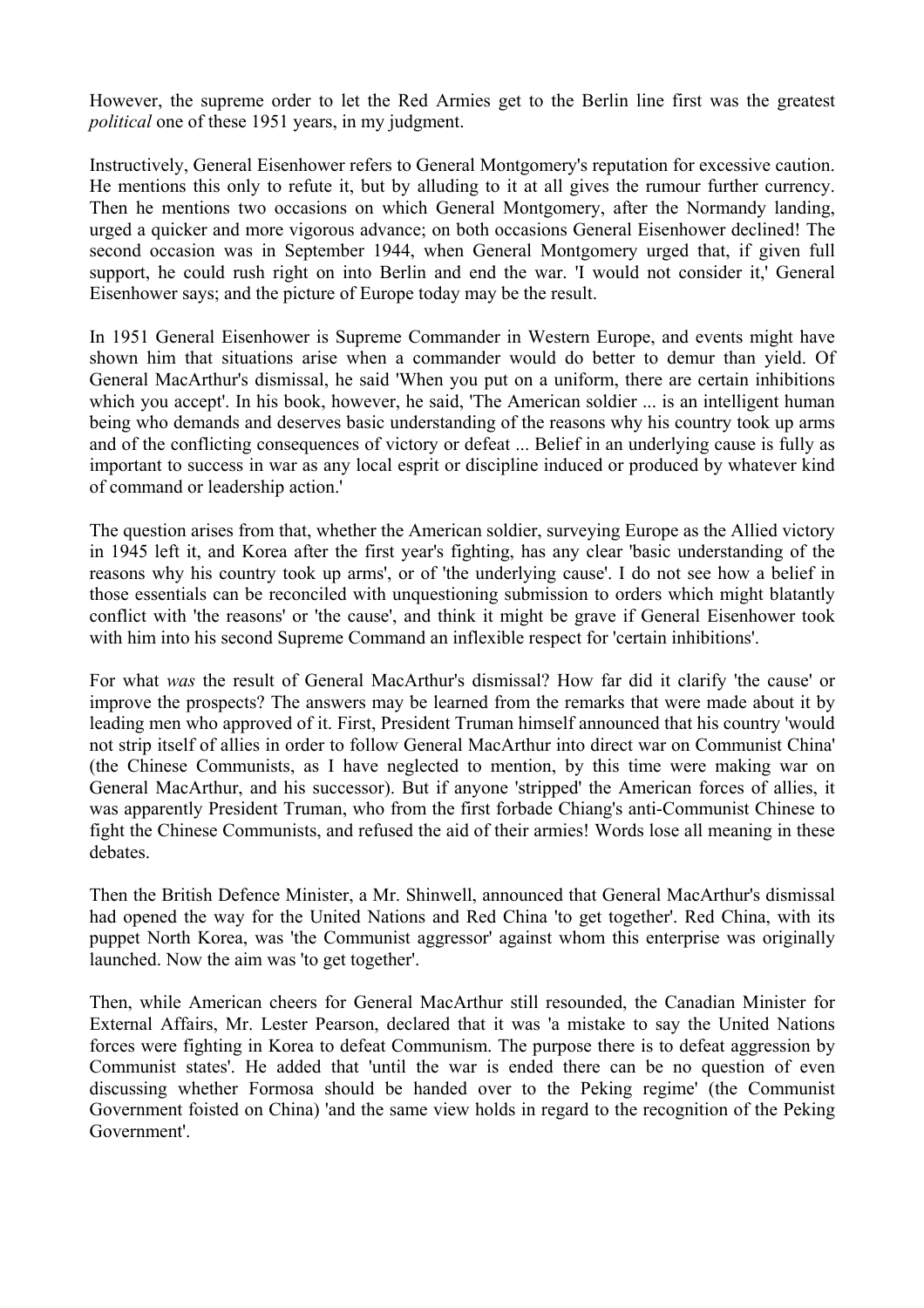However, the supreme order to let the Red Armies get to the Berlin line first was the greatest *political* one of these 1951 years, in my judgment.

Instructively, General Eisenhower refers to General Montgomery's reputation for excessive caution. He mentions this only to refute it, but by alluding to it at all gives the rumour further currency. Then he mentions two occasions on which General Montgomery, after the Normandy landing, urged a quicker and more vigorous advance; on both occasions General Eisenhower declined! The second occasion was in September 1944, when General Montgomery urged that, if given full support, he could rush right on into Berlin and end the war. 'I would not consider it,' General Eisenhower says; and the picture of Europe today may be the result.

In 1951 General Eisenhower is Supreme Commander in Western Europe, and events might have shown him that situations arise when a commander would do better to demur than yield. Of General MacArthur's dismissal, he said 'When you put on a uniform, there are certain inhibitions which you accept'. In his book, however, he said, 'The American soldier ... is an intelligent human being who demands and deserves basic understanding of the reasons why his country took up arms and of the conflicting consequences of victory or defeat ... Belief in an underlying cause is fully as important to success in war as any local esprit or discipline induced or produced by whatever kind of command or leadership action.'

The question arises from that, whether the American soldier, surveying Europe as the Allied victory in 1945 left it, and Korea after the first year's fighting, has any clear 'basic understanding of the reasons why his country took up arms', or of 'the underlying cause'. I do not see how a belief in those essentials can be reconciled with unquestioning submission to orders which might blatantly conflict with 'the reasons' or 'the cause', and think it might be grave if General Eisenhower took with him into his second Supreme Command an inflexible respect for 'certain inhibitions'.

For what *was* the result of General MacArthur's dismissal? How far did it clarify 'the cause' or improve the prospects? The answers may be learned from the remarks that were made about it by leading men who approved of it. First, President Truman himself announced that his country 'would not strip itself of allies in order to follow General MacArthur into direct war on Communist China' (the Chinese Communists, as I have neglected to mention, by this time were making war on General MacArthur, and his successor). But if anyone 'stripped' the American forces of allies, it was apparently President Truman, who from the first forbade Chiang's anti-Communist Chinese to fight the Chinese Communists, and refused the aid of their armies! Words lose all meaning in these debates.

Then the British Defence Minister, a Mr. Shinwell, announced that General MacArthur's dismissal had opened the way for the United Nations and Red China 'to get together'. Red China, with its puppet North Korea, was 'the Communist aggressor' against whom this enterprise was originally launched. Now the aim was 'to get together'.

Then, while American cheers for General MacArthur still resounded, the Canadian Minister for External Affairs, Mr. Lester Pearson, declared that it was 'a mistake to say the United Nations forces were fighting in Korea to defeat Communism. The purpose there is to defeat aggression by Communist states'. He added that 'until the war is ended there can be no question of even discussing whether Formosa should be handed over to the Peking regime' (the Communist Government foisted on China) 'and the same view holds in regard to the recognition of the Peking Government'.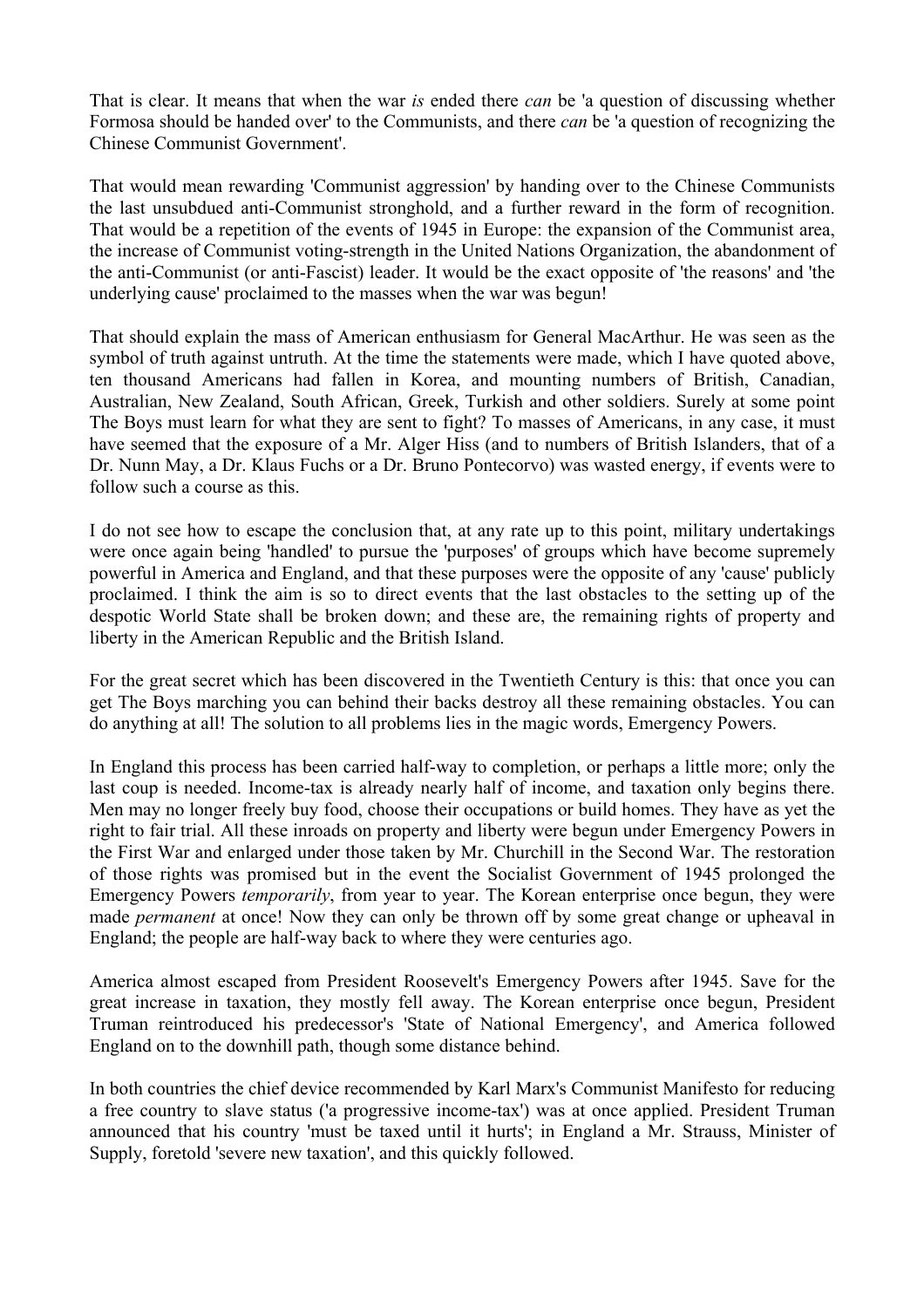That is clear. It means that when the war *is* ended there *can* be 'a question of discussing whether Formosa should be handed over' to the Communists, and there *can* be 'a question of recognizing the Chinese Communist Government'.

That would mean rewarding 'Communist aggression' by handing over to the Chinese Communists the last unsubdued anti-Communist stronghold, and a further reward in the form of recognition. That would be a repetition of the events of 1945 in Europe: the expansion of the Communist area, the increase of Communist voting-strength in the United Nations Organization, the abandonment of the anti-Communist (or anti-Fascist) leader. It would be the exact opposite of 'the reasons' and 'the underlying cause' proclaimed to the masses when the war was begun!

That should explain the mass of American enthusiasm for General MacArthur. He was seen as the symbol of truth against untruth. At the time the statements were made, which I have quoted above, ten thousand Americans had fallen in Korea, and mounting numbers of British, Canadian, Australian, New Zealand, South African, Greek, Turkish and other soldiers. Surely at some point The Boys must learn for what they are sent to fight? To masses of Americans, in any case, it must have seemed that the exposure of a Mr. Alger Hiss (and to numbers of British Islanders, that of a Dr. Nunn May, a Dr. Klaus Fuchs or a Dr. Bruno Pontecorvo) was wasted energy, if events were to follow such a course as this.

I do not see how to escape the conclusion that, at any rate up to this point, military undertakings were once again being 'handled' to pursue the 'purposes' of groups which have become supremely powerful in America and England, and that these purposes were the opposite of any 'cause' publicly proclaimed. I think the aim is so to direct events that the last obstacles to the setting up of the despotic World State shall be broken down; and these are, the remaining rights of property and liberty in the American Republic and the British Island.

For the great secret which has been discovered in the Twentieth Century is this: that once you can get The Boys marching you can behind their backs destroy all these remaining obstacles. You can do anything at all! The solution to all problems lies in the magic words, Emergency Powers.

In England this process has been carried half-way to completion, or perhaps a little more; only the last coup is needed. Income-tax is already nearly half of income, and taxation only begins there. Men may no longer freely buy food, choose their occupations or build homes. They have as yet the right to fair trial. All these inroads on property and liberty were begun under Emergency Powers in the First War and enlarged under those taken by Mr. Churchill in the Second War. The restoration of those rights was promised but in the event the Socialist Government of 1945 prolonged the Emergency Powers *temporarily*, from year to year. The Korean enterprise once begun, they were made *permanent* at once! Now they can only be thrown off by some great change or upheaval in England; the people are half-way back to where they were centuries ago.

America almost escaped from President Roosevelt's Emergency Powers after 1945. Save for the great increase in taxation, they mostly fell away. The Korean enterprise once begun, President Truman reintroduced his predecessor's 'State of National Emergency', and America followed England on to the downhill path, though some distance behind.

In both countries the chief device recommended by Karl Marx's Communist Manifesto for reducing a free country to slave status ('a progressive income-tax') was at once applied. President Truman announced that his country 'must be taxed until it hurts'; in England a Mr. Strauss, Minister of Supply, foretold 'severe new taxation', and this quickly followed.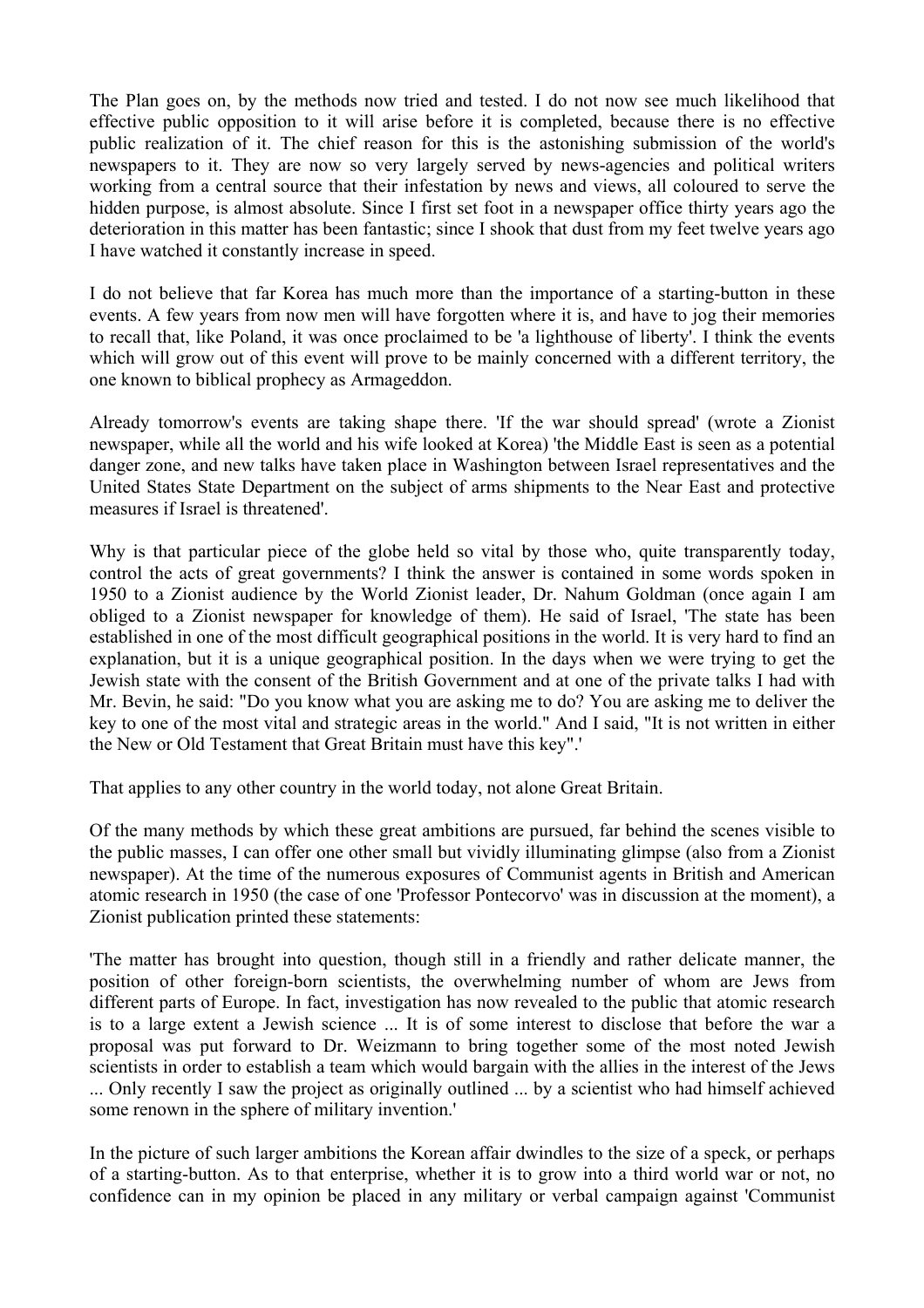The Plan goes on, by the methods now tried and tested. I do not now see much likelihood that effective public opposition to it will arise before it is completed, because there is no effective public realization of it. The chief reason for this is the astonishing submission of the world's newspapers to it. They are now so very largely served by news-agencies and political writers working from a central source that their infestation by news and views, all coloured to serve the hidden purpose, is almost absolute. Since I first set foot in a newspaper office thirty years ago the deterioration in this matter has been fantastic; since I shook that dust from my feet twelve years ago I have watched it constantly increase in speed.

I do not believe that far Korea has much more than the importance of a starting-button in these events. A few years from now men will have forgotten where it is, and have to jog their memories to recall that, like Poland, it was once proclaimed to be 'a lighthouse of liberty'. I think the events which will grow out of this event will prove to be mainly concerned with a different territory, the one known to biblical prophecy as Armageddon.

Already tomorrow's events are taking shape there. 'If the war should spread' (wrote a Zionist newspaper, while all the world and his wife looked at Korea) 'the Middle East is seen as a potential danger zone, and new talks have taken place in Washington between Israel representatives and the United States State Department on the subject of arms shipments to the Near East and protective measures if Israel is threatened'.

Why is that particular piece of the globe held so vital by those who, quite transparently today, control the acts of great governments? I think the answer is contained in some words spoken in 1950 to a Zionist audience by the World Zionist leader, Dr. Nahum Goldman (once again I am obliged to a Zionist newspaper for knowledge of them). He said of Israel, 'The state has been established in one of the most difficult geographical positions in the world. It is very hard to find an explanation, but it is a unique geographical position. In the days when we were trying to get the Jewish state with the consent of the British Government and at one of the private talks I had with Mr. Bevin, he said: "Do you know what you are asking me to do? You are asking me to deliver the key to one of the most vital and strategic areas in the world." And I said, "It is not written in either the New or Old Testament that Great Britain must have this key".'

That applies to any other country in the world today, not alone Great Britain.

Of the many methods by which these great ambitions are pursued, far behind the scenes visible to the public masses, I can offer one other small but vividly illuminating glimpse (also from a Zionist newspaper). At the time of the numerous exposures of Communist agents in British and American atomic research in 1950 (the case of one 'Professor Pontecorvo' was in discussion at the moment), a Zionist publication printed these statements:

'The matter has brought into question, though still in a friendly and rather delicate manner, the position of other foreign-born scientists, the overwhelming number of whom are Jews from different parts of Europe. In fact, investigation has now revealed to the public that atomic research is to a large extent a Jewish science ... It is of some interest to disclose that before the war a proposal was put forward to Dr. Weizmann to bring together some of the most noted Jewish scientists in order to establish a team which would bargain with the allies in the interest of the Jews ... Only recently I saw the project as originally outlined ... by a scientist who had himself achieved some renown in the sphere of military invention.'

In the picture of such larger ambitions the Korean affair dwindles to the size of a speck, or perhaps of a starting-button. As to that enterprise, whether it is to grow into a third world war or not, no confidence can in my opinion be placed in any military or verbal campaign against 'Communist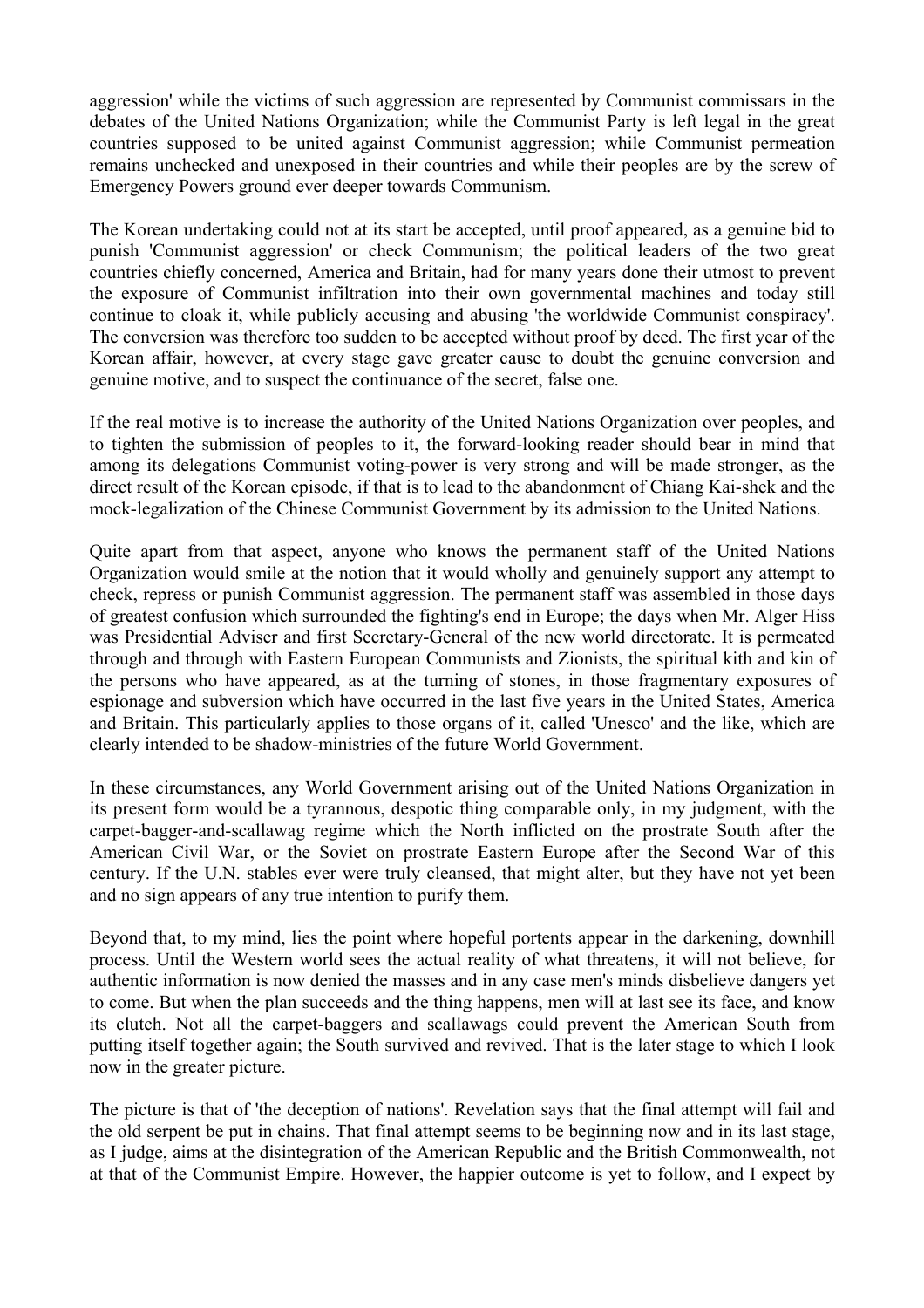aggression' while the victims of such aggression are represented by Communist commissars in the debates of the United Nations Organization; while the Communist Party is left legal in the great countries supposed to be united against Communist aggression; while Communist permeation remains unchecked and unexposed in their countries and while their peoples are by the screw of Emergency Powers ground ever deeper towards Communism.

The Korean undertaking could not at its start be accepted, until proof appeared, as a genuine bid to punish 'Communist aggression' or check Communism; the political leaders of the two great countries chiefly concerned, America and Britain, had for many years done their utmost to prevent the exposure of Communist infiltration into their own governmental machines and today still continue to cloak it, while publicly accusing and abusing 'the worldwide Communist conspiracy'. The conversion was therefore too sudden to be accepted without proof by deed. The first year of the Korean affair, however, at every stage gave greater cause to doubt the genuine conversion and genuine motive, and to suspect the continuance of the secret, false one.

If the real motive is to increase the authority of the United Nations Organization over peoples, and to tighten the submission of peoples to it, the forward-looking reader should bear in mind that among its delegations Communist voting-power is very strong and will be made stronger, as the direct result of the Korean episode, if that is to lead to the abandonment of Chiang Kai-shek and the mock-legalization of the Chinese Communist Government by its admission to the United Nations.

Quite apart from that aspect, anyone who knows the permanent staff of the United Nations Organization would smile at the notion that it would wholly and genuinely support any attempt to check, repress or punish Communist aggression. The permanent staff was assembled in those days of greatest confusion which surrounded the fighting's end in Europe; the days when Mr. Alger Hiss was Presidential Adviser and first Secretary-General of the new world directorate. It is permeated through and through with Eastern European Communists and Zionists, the spiritual kith and kin of the persons who have appeared, as at the turning of stones, in those fragmentary exposures of espionage and subversion which have occurred in the last five years in the United States, America and Britain. This particularly applies to those organs of it, called 'Unesco' and the like, which are clearly intended to be shadow-ministries of the future World Government.

In these circumstances, any World Government arising out of the United Nations Organization in its present form would be a tyrannous, despotic thing comparable only, in my judgment, with the carpet-bagger-and-scallawag regime which the North inflicted on the prostrate South after the American Civil War, or the Soviet on prostrate Eastern Europe after the Second War of this century. If the U.N. stables ever were truly cleansed, that might alter, but they have not yet been and no sign appears of any true intention to purify them.

Beyond that, to my mind, lies the point where hopeful portents appear in the darkening, downhill process. Until the Western world sees the actual reality of what threatens, it will not believe, for authentic information is now denied the masses and in any case men's minds disbelieve dangers yet to come. But when the plan succeeds and the thing happens, men will at last see its face, and know its clutch. Not all the carpet-baggers and scallawags could prevent the American South from putting itself together again; the South survived and revived. That is the later stage to which I look now in the greater picture.

The picture is that of 'the deception of nations'. Revelation says that the final attempt will fail and the old serpent be put in chains. That final attempt seems to be beginning now and in its last stage, as I judge, aims at the disintegration of the American Republic and the British Commonwealth, not at that of the Communist Empire. However, the happier outcome is yet to follow, and I expect by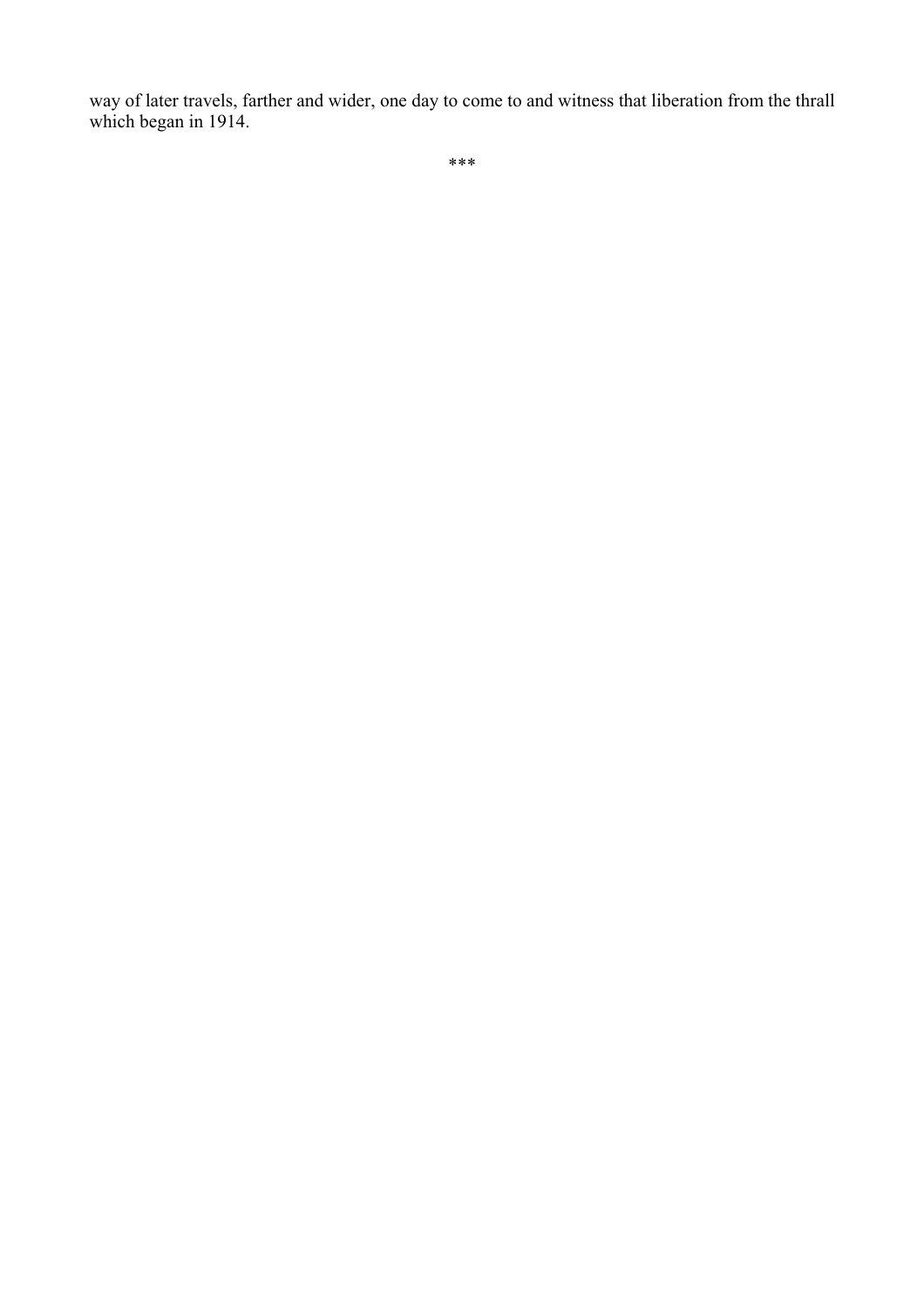way of later travels, farther and wider, one day to come to and witness that liberation from the thrall which began in 1914.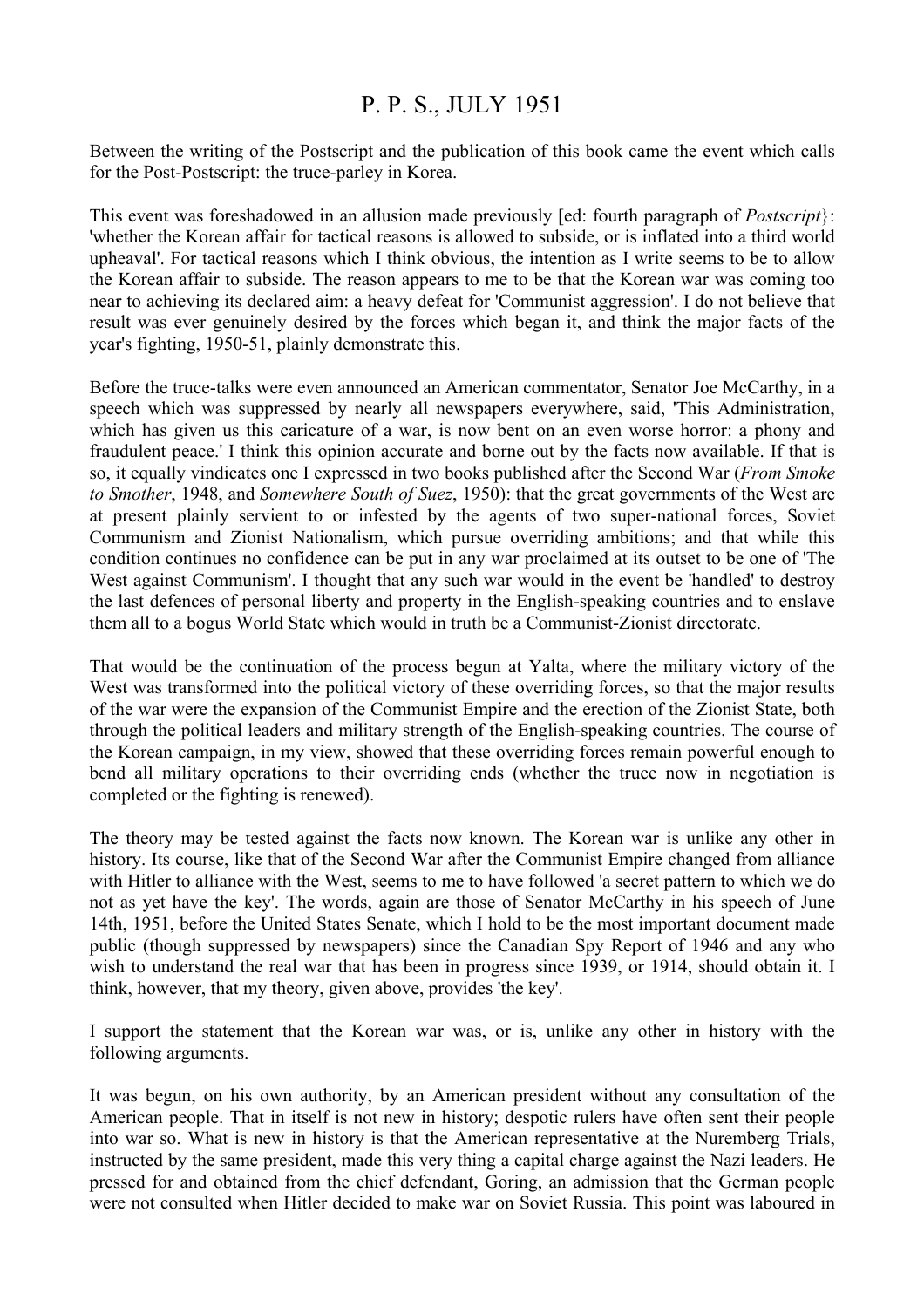## P. P. S., JULY 1951

Between the writing of the Postscript and the publication of this book came the event which calls for the Post-Postscript: the truce-parley in Korea.

This event was foreshadowed in an allusion made previously [ed: fourth paragraph of *Postscript*}: 'whether the Korean affair for tactical reasons is allowed to subside, or is inflated into a third world upheaval'. For tactical reasons which I think obvious, the intention as I write seems to be to allow the Korean affair to subside. The reason appears to me to be that the Korean war was coming too near to achieving its declared aim: a heavy defeat for 'Communist aggression'. I do not believe that result was ever genuinely desired by the forces which began it, and think the major facts of the year's fighting, 1950-51, plainly demonstrate this.

Before the truce-talks were even announced an American commentator, Senator Joe McCarthy, in a speech which was suppressed by nearly all newspapers everywhere, said, 'This Administration, which has given us this caricature of a war, is now bent on an even worse horror: a phony and fraudulent peace.' I think this opinion accurate and borne out by the facts now available. If that is so, it equally vindicates one I expressed in two books published after the Second War (*From Smoke to Smother*, 1948, and *Somewhere South of Suez*, 1950): that the great governments of the West are at present plainly servient to or infested by the agents of two super-national forces, Soviet Communism and Zionist Nationalism, which pursue overriding ambitions; and that while this condition continues no confidence can be put in any war proclaimed at its outset to be one of 'The West against Communism'. I thought that any such war would in the event be 'handled' to destroy the last defences of personal liberty and property in the English-speaking countries and to enslave them all to a bogus World State which would in truth be a Communist-Zionist directorate.

That would be the continuation of the process begun at Yalta, where the military victory of the West was transformed into the political victory of these overriding forces, so that the major results of the war were the expansion of the Communist Empire and the erection of the Zionist State, both through the political leaders and military strength of the English-speaking countries. The course of the Korean campaign, in my view, showed that these overriding forces remain powerful enough to bend all military operations to their overriding ends (whether the truce now in negotiation is completed or the fighting is renewed).

The theory may be tested against the facts now known. The Korean war is unlike any other in history. Its course, like that of the Second War after the Communist Empire changed from alliance with Hitler to alliance with the West, seems to me to have followed 'a secret pattern to which we do not as yet have the key'. The words, again are those of Senator McCarthy in his speech of June 14th, 1951, before the United States Senate, which I hold to be the most important document made public (though suppressed by newspapers) since the Canadian Spy Report of 1946 and any who wish to understand the real war that has been in progress since 1939, or 1914, should obtain it. I think, however, that my theory, given above, provides 'the key'.

I support the statement that the Korean war was, or is, unlike any other in history with the following arguments.

It was begun, on his own authority, by an American president without any consultation of the American people. That in itself is not new in history; despotic rulers have often sent their people into war so. What is new in history is that the American representative at the Nuremberg Trials, instructed by the same president, made this very thing a capital charge against the Nazi leaders. He pressed for and obtained from the chief defendant, Goring, an admission that the German people were not consulted when Hitler decided to make war on Soviet Russia. This point was laboured in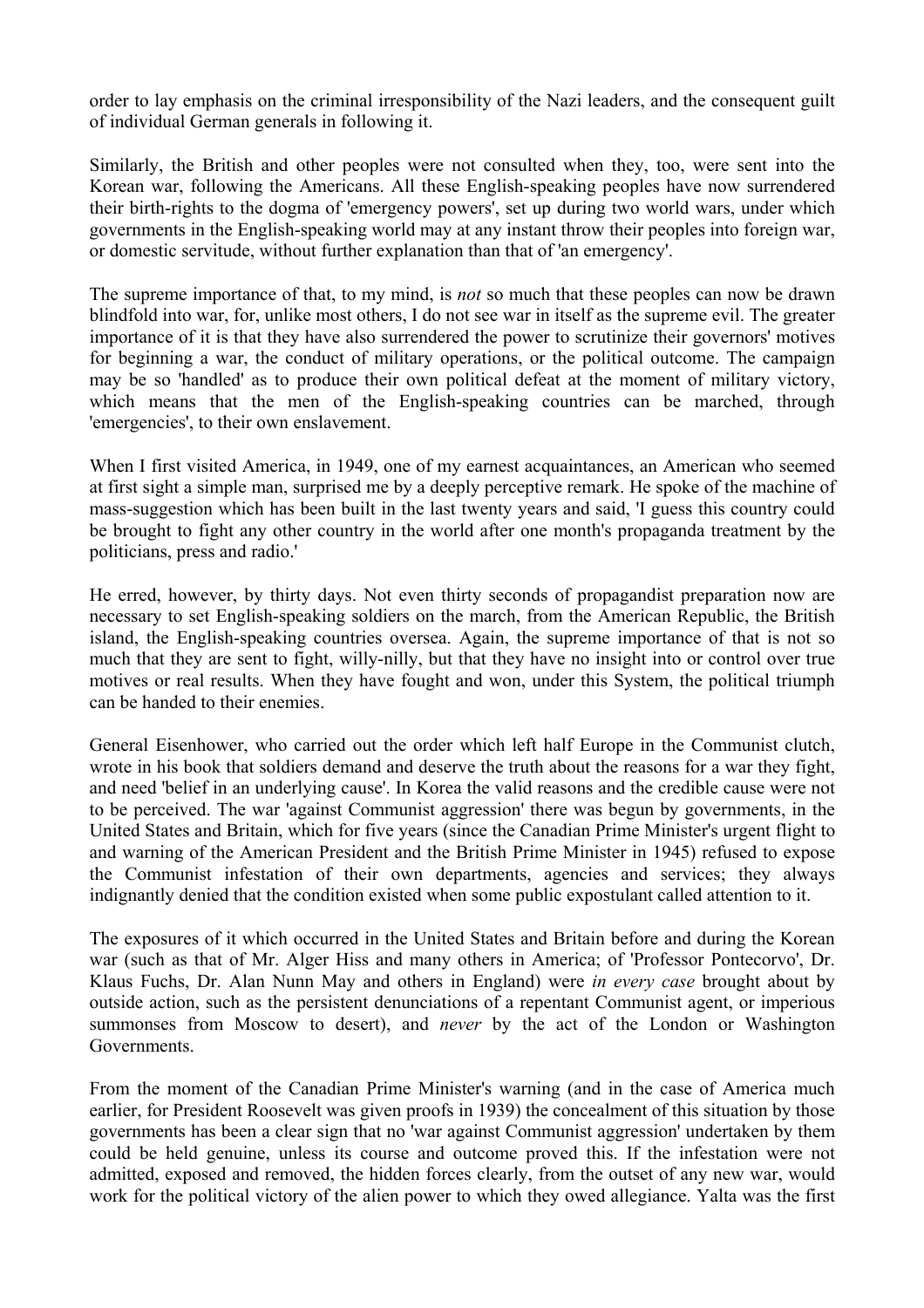order to lay emphasis on the criminal irresponsibility of the Nazi leaders, and the consequent guilt of individual German generals in following it.

Similarly, the British and other peoples were not consulted when they, too, were sent into the Korean war, following the Americans. All these English-speaking peoples have now surrendered their birth-rights to the dogma of 'emergency powers', set up during two world wars, under which governments in the English-speaking world may at any instant throw their peoples into foreign war, or domestic servitude, without further explanation than that of 'an emergency'.

The supreme importance of that, to my mind, is *not* so much that these peoples can now be drawn blindfold into war, for, unlike most others, I do not see war in itself as the supreme evil. The greater importance of it is that they have also surrendered the power to scrutinize their governors' motives for beginning a war, the conduct of military operations, or the political outcome. The campaign may be so 'handled' as to produce their own political defeat at the moment of military victory, which means that the men of the English-speaking countries can be marched, through 'emergencies', to their own enslavement.

When I first visited America, in 1949, one of my earnest acquaintances, an American who seemed at first sight a simple man, surprised me by a deeply perceptive remark. He spoke of the machine of mass-suggestion which has been built in the last twenty years and said, 'I guess this country could be brought to fight any other country in the world after one month's propaganda treatment by the politicians, press and radio.'

He erred, however, by thirty days. Not even thirty seconds of propagandist preparation now are necessary to set English-speaking soldiers on the march, from the American Republic, the British island, the English-speaking countries oversea. Again, the supreme importance of that is not so much that they are sent to fight, willy-nilly, but that they have no insight into or control over true motives or real results. When they have fought and won, under this System, the political triumph can be handed to their enemies.

General Eisenhower, who carried out the order which left half Europe in the Communist clutch, wrote in his book that soldiers demand and deserve the truth about the reasons for a war they fight, and need 'belief in an underlying cause'. In Korea the valid reasons and the credible cause were not to be perceived. The war 'against Communist aggression' there was begun by governments, in the United States and Britain, which for five years (since the Canadian Prime Minister's urgent flight to and warning of the American President and the British Prime Minister in 1945) refused to expose the Communist infestation of their own departments, agencies and services; they always indignantly denied that the condition existed when some public expostulant called attention to it.

The exposures of it which occurred in the United States and Britain before and during the Korean war (such as that of Mr. Alger Hiss and many others in America; of 'Professor Pontecorvo', Dr. Klaus Fuchs, Dr. Alan Nunn May and others in England) were *in every case* brought about by outside action, such as the persistent denunciations of a repentant Communist agent, or imperious summonses from Moscow to desert), and *never* by the act of the London or Washington Governments.

From the moment of the Canadian Prime Minister's warning (and in the case of America much earlier, for President Roosevelt was given proofs in 1939) the concealment of this situation by those governments has been a clear sign that no 'war against Communist aggression' undertaken by them could be held genuine, unless its course and outcome proved this. If the infestation were not admitted, exposed and removed, the hidden forces clearly, from the outset of any new war, would work for the political victory of the alien power to which they owed allegiance. Yalta was the first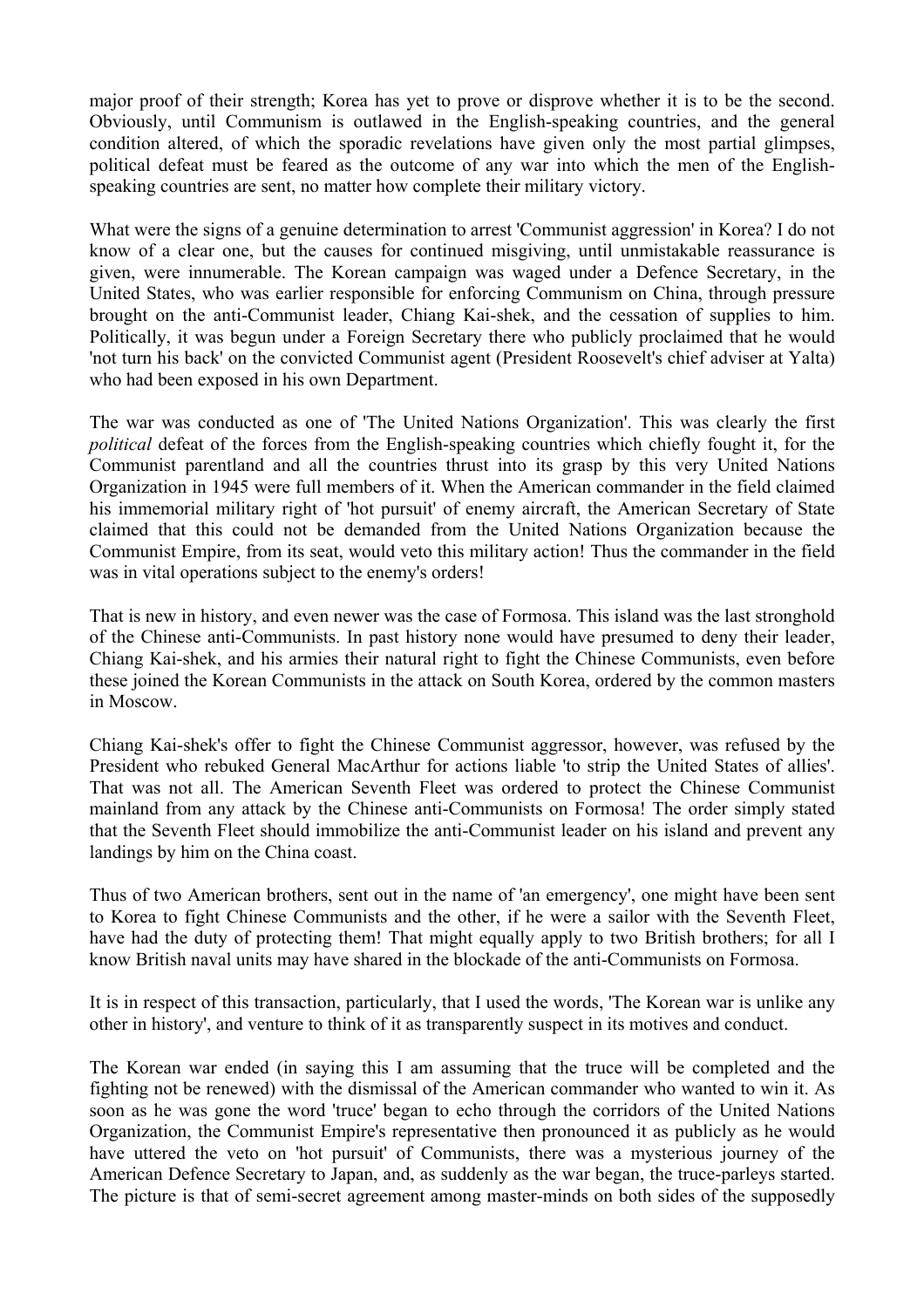major proof of their strength; Korea has yet to prove or disprove whether it is to be the second. Obviously, until Communism is outlawed in the English-speaking countries, and the general condition altered, of which the sporadic revelations have given only the most partial glimpses, political defeat must be feared as the outcome of any war into which the men of the Englishspeaking countries are sent, no matter how complete their military victory.

What were the signs of a genuine determination to arrest 'Communist aggression' in Korea? I do not know of a clear one, but the causes for continued misgiving, until unmistakable reassurance is given, were innumerable. The Korean campaign was waged under a Defence Secretary, in the United States, who was earlier responsible for enforcing Communism on China, through pressure brought on the anti-Communist leader, Chiang Kai-shek, and the cessation of supplies to him. Politically, it was begun under a Foreign Secretary there who publicly proclaimed that he would 'not turn his back' on the convicted Communist agent (President Roosevelt's chief adviser at Yalta) who had been exposed in his own Department.

The war was conducted as one of 'The United Nations Organization'. This was clearly the first *political* defeat of the forces from the English-speaking countries which chiefly fought it, for the Communist parentland and all the countries thrust into its grasp by this very United Nations Organization in 1945 were full members of it. When the American commander in the field claimed his immemorial military right of 'hot pursuit' of enemy aircraft, the American Secretary of State claimed that this could not be demanded from the United Nations Organization because the Communist Empire, from its seat, would veto this military action! Thus the commander in the field was in vital operations subject to the enemy's orders!

That is new in history, and even newer was the case of Formosa. This island was the last stronghold of the Chinese anti-Communists. In past history none would have presumed to deny their leader, Chiang Kai-shek, and his armies their natural right to fight the Chinese Communists, even before these joined the Korean Communists in the attack on South Korea, ordered by the common masters in Moscow.

Chiang Kai-shek's offer to fight the Chinese Communist aggressor, however, was refused by the President who rebuked General MacArthur for actions liable 'to strip the United States of allies'. That was not all. The American Seventh Fleet was ordered to protect the Chinese Communist mainland from any attack by the Chinese anti-Communists on Formosa! The order simply stated that the Seventh Fleet should immobilize the anti-Communist leader on his island and prevent any landings by him on the China coast.

Thus of two American brothers, sent out in the name of 'an emergency', one might have been sent to Korea to fight Chinese Communists and the other, if he were a sailor with the Seventh Fleet, have had the duty of protecting them! That might equally apply to two British brothers; for all I know British naval units may have shared in the blockade of the anti-Communists on Formosa.

It is in respect of this transaction, particularly, that I used the words, 'The Korean war is unlike any other in history', and venture to think of it as transparently suspect in its motives and conduct.

The Korean war ended (in saying this I am assuming that the truce will be completed and the fighting not be renewed) with the dismissal of the American commander who wanted to win it. As soon as he was gone the word 'truce' began to echo through the corridors of the United Nations Organization, the Communist Empire's representative then pronounced it as publicly as he would have uttered the veto on 'hot pursuit' of Communists, there was a mysterious journey of the American Defence Secretary to Japan, and, as suddenly as the war began, the truce-parleys started. The picture is that of semi-secret agreement among master-minds on both sides of the supposedly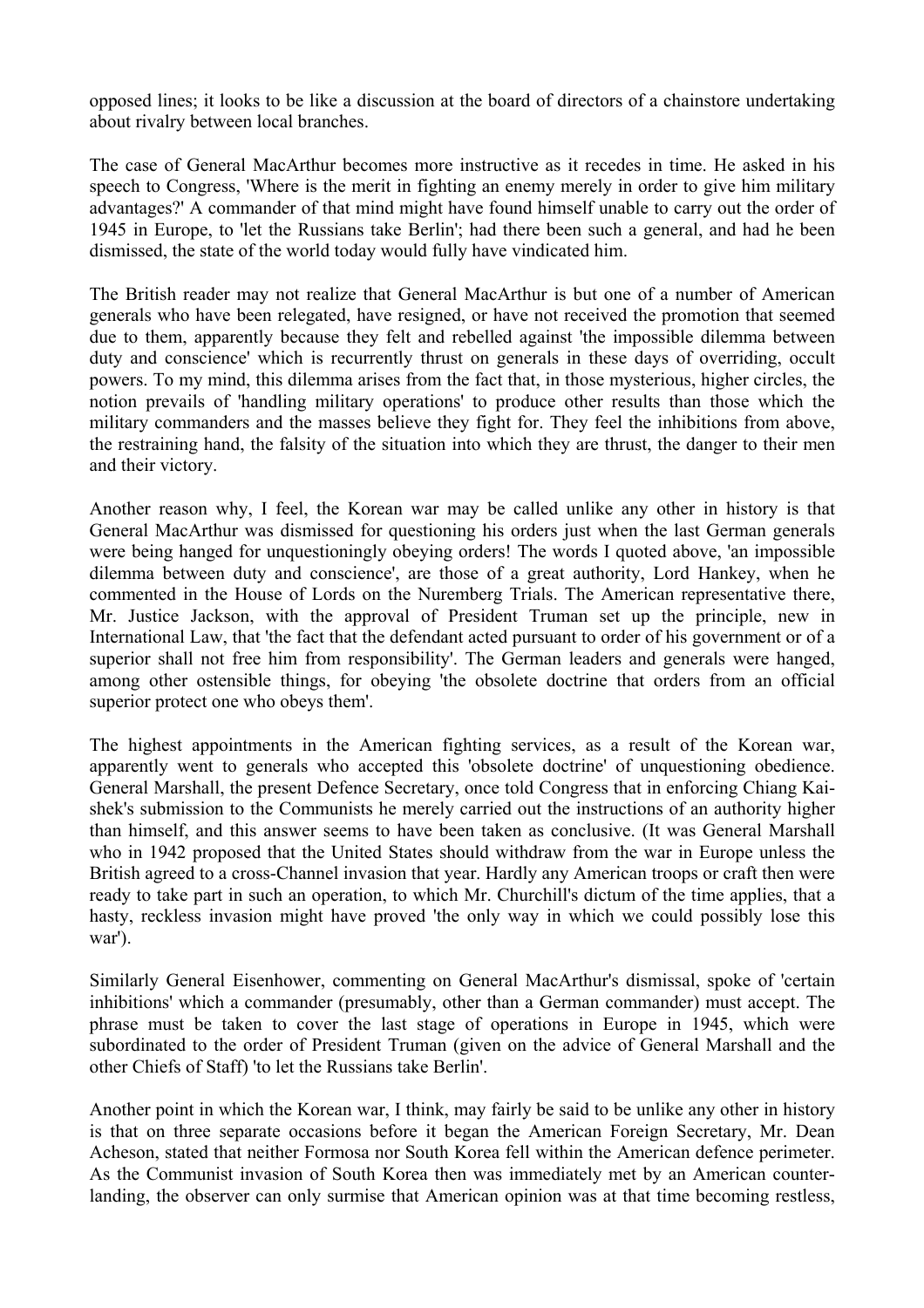opposed lines; it looks to be like a discussion at the board of directors of a chainstore undertaking about rivalry between local branches.

The case of General MacArthur becomes more instructive as it recedes in time. He asked in his speech to Congress, 'Where is the merit in fighting an enemy merely in order to give him military advantages?' A commander of that mind might have found himself unable to carry out the order of 1945 in Europe, to 'let the Russians take Berlin'; had there been such a general, and had he been dismissed, the state of the world today would fully have vindicated him.

The British reader may not realize that General MacArthur is but one of a number of American generals who have been relegated, have resigned, or have not received the promotion that seemed due to them, apparently because they felt and rebelled against 'the impossible dilemma between duty and conscience' which is recurrently thrust on generals in these days of overriding, occult powers. To my mind, this dilemma arises from the fact that, in those mysterious, higher circles, the notion prevails of 'handling military operations' to produce other results than those which the military commanders and the masses believe they fight for. They feel the inhibitions from above, the restraining hand, the falsity of the situation into which they are thrust, the danger to their men and their victory.

Another reason why, I feel, the Korean war may be called unlike any other in history is that General MacArthur was dismissed for questioning his orders just when the last German generals were being hanged for unquestioningly obeying orders! The words I quoted above, 'an impossible dilemma between duty and conscience', are those of a great authority, Lord Hankey, when he commented in the House of Lords on the Nuremberg Trials. The American representative there, Mr. Justice Jackson, with the approval of President Truman set up the principle, new in International Law, that 'the fact that the defendant acted pursuant to order of his government or of a superior shall not free him from responsibility'. The German leaders and generals were hanged, among other ostensible things, for obeying 'the obsolete doctrine that orders from an official superior protect one who obeys them'.

The highest appointments in the American fighting services, as a result of the Korean war, apparently went to generals who accepted this 'obsolete doctrine' of unquestioning obedience. General Marshall, the present Defence Secretary, once told Congress that in enforcing Chiang Kaishek's submission to the Communists he merely carried out the instructions of an authority higher than himself, and this answer seems to have been taken as conclusive. (It was General Marshall who in 1942 proposed that the United States should withdraw from the war in Europe unless the British agreed to a cross-Channel invasion that year. Hardly any American troops or craft then were ready to take part in such an operation, to which Mr. Churchill's dictum of the time applies, that a hasty, reckless invasion might have proved 'the only way in which we could possibly lose this war').

Similarly General Eisenhower, commenting on General MacArthur's dismissal, spoke of 'certain inhibitions' which a commander (presumably, other than a German commander) must accept. The phrase must be taken to cover the last stage of operations in Europe in 1945, which were subordinated to the order of President Truman (given on the advice of General Marshall and the other Chiefs of Staff) 'to let the Russians take Berlin'.

Another point in which the Korean war, I think, may fairly be said to be unlike any other in history is that on three separate occasions before it began the American Foreign Secretary, Mr. Dean Acheson, stated that neither Formosa nor South Korea fell within the American defence perimeter. As the Communist invasion of South Korea then was immediately met by an American counterlanding, the observer can only surmise that American opinion was at that time becoming restless,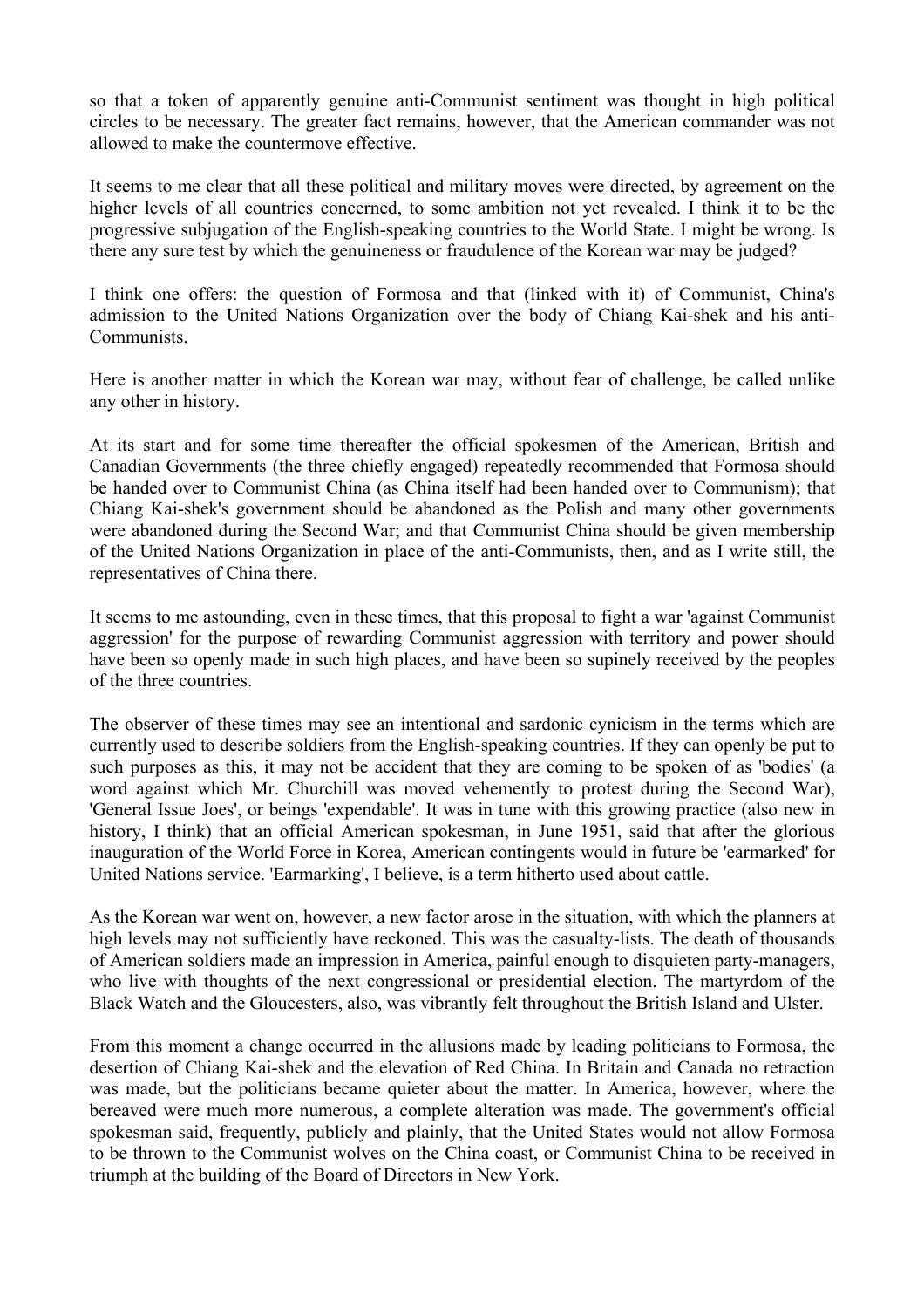so that a token of apparently genuine anti-Communist sentiment was thought in high political circles to be necessary. The greater fact remains, however, that the American commander was not allowed to make the countermove effective.

It seems to me clear that all these political and military moves were directed, by agreement on the higher levels of all countries concerned, to some ambition not yet revealed. I think it to be the progressive subjugation of the English-speaking countries to the World State. I might be wrong. Is there any sure test by which the genuineness or fraudulence of the Korean war may be judged?

I think one offers: the question of Formosa and that (linked with it) of Communist, China's admission to the United Nations Organization over the body of Chiang Kai-shek and his anti-**Communists** 

Here is another matter in which the Korean war may, without fear of challenge, be called unlike any other in history.

At its start and for some time thereafter the official spokesmen of the American, British and Canadian Governments (the three chiefly engaged) repeatedly recommended that Formosa should be handed over to Communist China (as China itself had been handed over to Communism); that Chiang Kai-shek's government should be abandoned as the Polish and many other governments were abandoned during the Second War; and that Communist China should be given membership of the United Nations Organization in place of the anti-Communists, then, and as I write still, the representatives of China there.

It seems to me astounding, even in these times, that this proposal to fight a war 'against Communist aggression' for the purpose of rewarding Communist aggression with territory and power should have been so openly made in such high places, and have been so supinely received by the peoples of the three countries.

The observer of these times may see an intentional and sardonic cynicism in the terms which are currently used to describe soldiers from the English-speaking countries. If they can openly be put to such purposes as this, it may not be accident that they are coming to be spoken of as 'bodies' (a word against which Mr. Churchill was moved vehemently to protest during the Second War), 'General Issue Joes', or beings 'expendable'. It was in tune with this growing practice (also new in history, I think) that an official American spokesman, in June 1951, said that after the glorious inauguration of the World Force in Korea, American contingents would in future be 'earmarked' for United Nations service. 'Earmarking', I believe, is a term hitherto used about cattle.

As the Korean war went on, however, a new factor arose in the situation, with which the planners at high levels may not sufficiently have reckoned. This was the casualty-lists. The death of thousands of American soldiers made an impression in America, painful enough to disquieten party-managers, who live with thoughts of the next congressional or presidential election. The martyrdom of the Black Watch and the Gloucesters, also, was vibrantly felt throughout the British Island and Ulster.

From this moment a change occurred in the allusions made by leading politicians to Formosa, the desertion of Chiang Kai-shek and the elevation of Red China. In Britain and Canada no retraction was made, but the politicians became quieter about the matter. In America, however, where the bereaved were much more numerous, a complete alteration was made. The government's official spokesman said, frequently, publicly and plainly, that the United States would not allow Formosa to be thrown to the Communist wolves on the China coast, or Communist China to be received in triumph at the building of the Board of Directors in New York.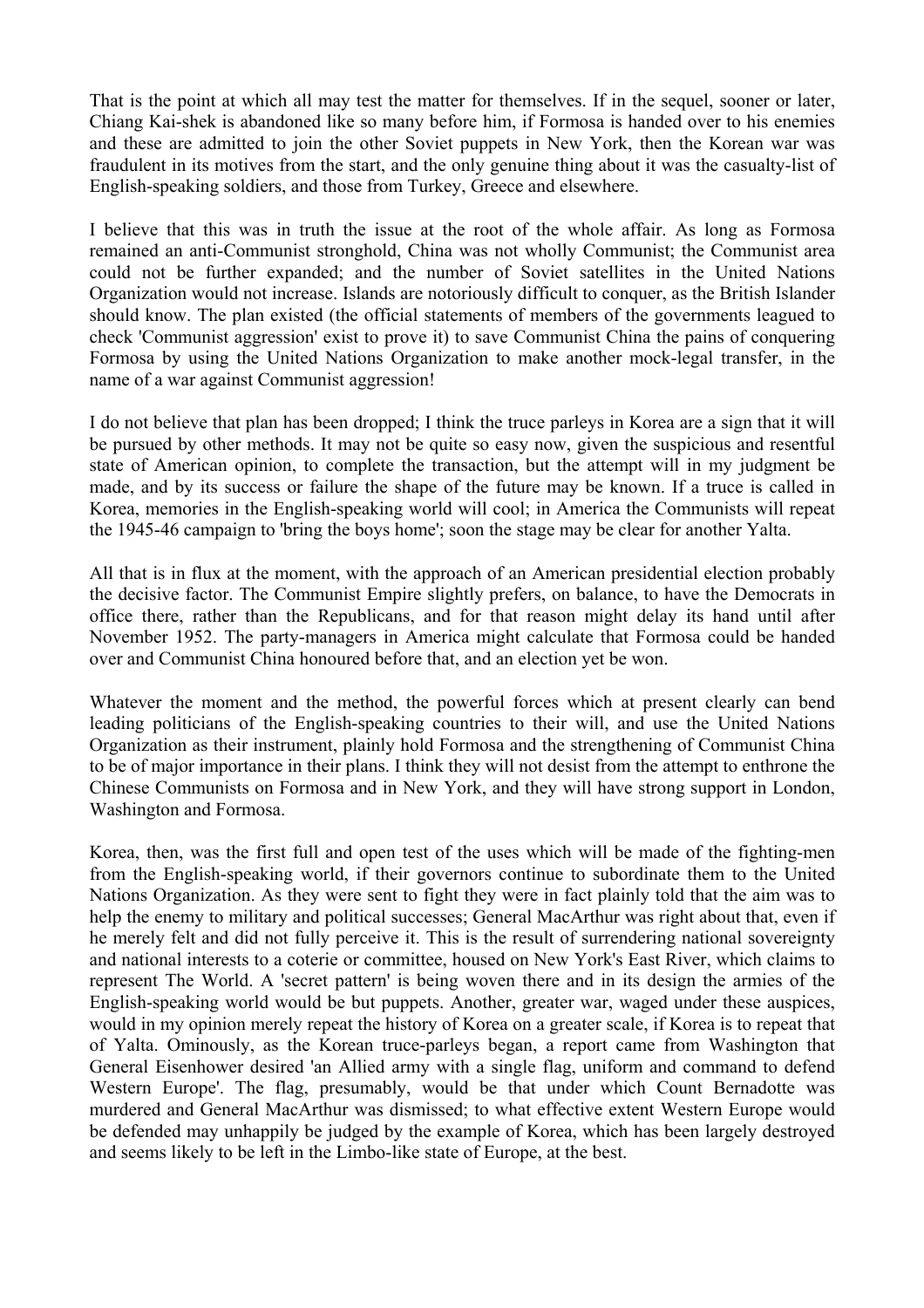That is the point at which all may test the matter for themselves. If in the sequel, sooner or later, Chiang Kai-shek is abandoned like so many before him, if Formosa is handed over to his enemies and these are admitted to join the other Soviet puppets in New York, then the Korean war was fraudulent in its motives from the start, and the only genuine thing about it was the casualty-list of English-speaking soldiers, and those from Turkey, Greece and elsewhere.

I believe that this was in truth the issue at the root of the whole affair. As long as Formosa remained an anti-Communist stronghold, China was not wholly Communist; the Communist area could not be further expanded; and the number of Soviet satellites in the United Nations Organization would not increase. Islands are notoriously difficult to conquer, as the British Islander should know. The plan existed (the official statements of members of the governments leagued to check 'Communist aggression' exist to prove it) to save Communist China the pains of conquering Formosa by using the United Nations Organization to make another mock-legal transfer, in the name of a war against Communist aggression!

I do not believe that plan has been dropped; I think the truce parleys in Korea are a sign that it will be pursued by other methods. It may not be quite so easy now, given the suspicious and resentful state of American opinion, to complete the transaction, but the attempt will in my judgment be made, and by its success or failure the shape of the future may be known. If a truce is called in Korea, memories in the English-speaking world will cool; in America the Communists will repeat the 1945-46 campaign to 'bring the boys home'; soon the stage may be clear for another Yalta.

All that is in flux at the moment, with the approach of an American presidential election probably the decisive factor. The Communist Empire slightly prefers, on balance, to have the Democrats in office there, rather than the Republicans, and for that reason might delay its hand until after November 1952. The party-managers in America might calculate that Formosa could be handed over and Communist China honoured before that, and an election yet be won.

Whatever the moment and the method, the powerful forces which at present clearly can bend leading politicians of the English-speaking countries to their will, and use the United Nations Organization as their instrument, plainly hold Formosa and the strengthening of Communist China to be of major importance in their plans. I think they will not desist from the attempt to enthrone the Chinese Communists on Formosa and in New York, and they will have strong support in London, Washington and Formosa.

Korea, then, was the first full and open test of the uses which will be made of the fighting-men from the English-speaking world, if their governors continue to subordinate them to the United Nations Organization. As they were sent to fight they were in fact plainly told that the aim was to help the enemy to military and political successes; General MacArthur was right about that, even if he merely felt and did not fully perceive it. This is the result of surrendering national sovereignty and national interests to a coterie or committee, housed on New York's East River, which claims to represent The World. A 'secret pattern' is being woven there and in its design the armies of the English-speaking world would be but puppets. Another, greater war, waged under these auspices, would in my opinion merely repeat the history of Korea on a greater scale, if Korea is to repeat that of Yalta. Ominously, as the Korean truce-parleys began, a report came from Washington that General Eisenhower desired 'an Allied army with a single flag, uniform and command to defend Western Europe'. The flag, presumably, would be that under which Count Bernadotte was murdered and General MacArthur was dismissed; to what effective extent Western Europe would be defended may unhappily be judged by the example of Korea, which has been largely destroyed and seems likely to be left in the Limbo-like state of Europe, at the best.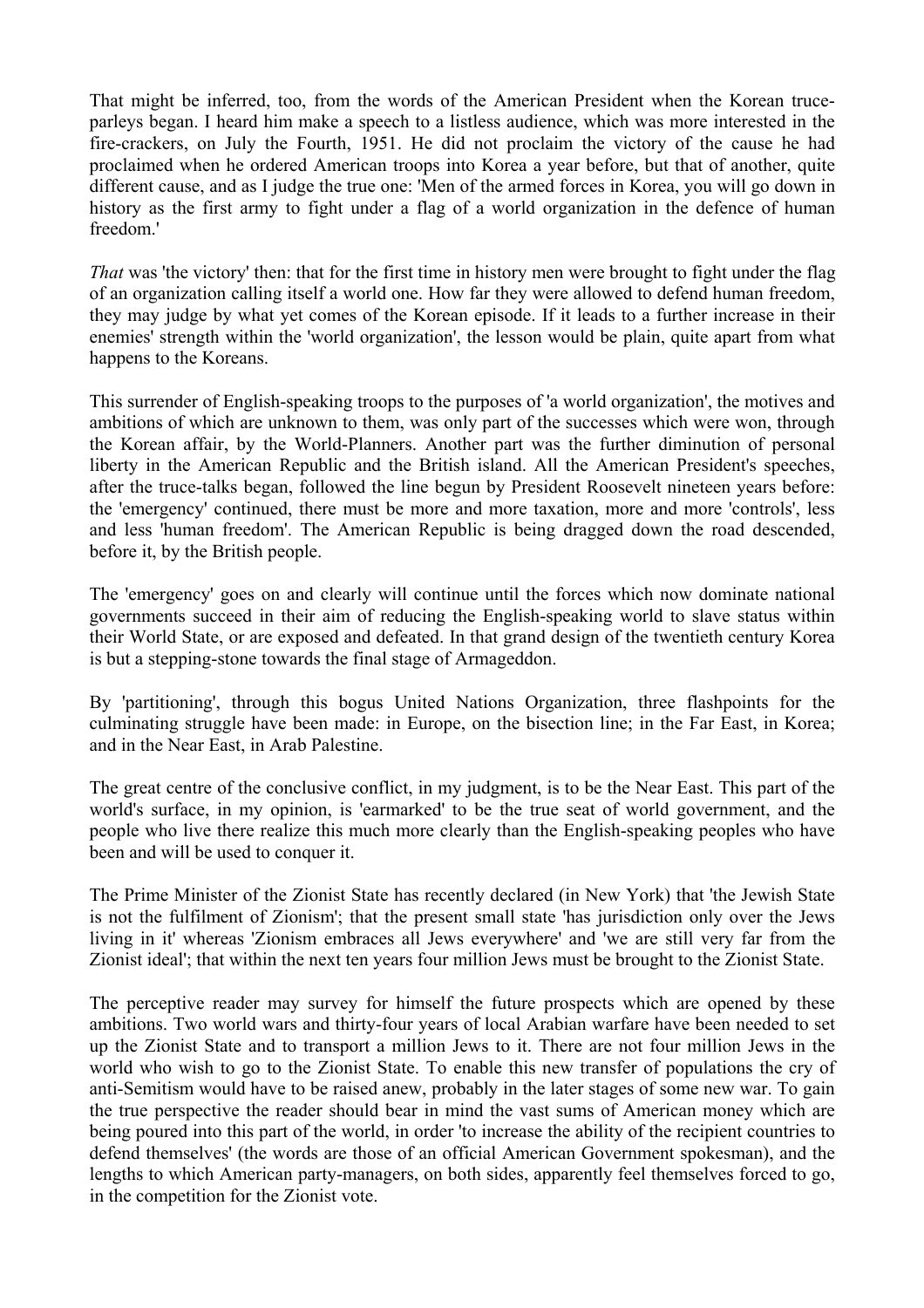That might be inferred, too, from the words of the American President when the Korean truceparleys began. I heard him make a speech to a listless audience, which was more interested in the fire-crackers, on July the Fourth, 1951. He did not proclaim the victory of the cause he had proclaimed when he ordered American troops into Korea a year before, but that of another, quite different cause, and as I judge the true one: 'Men of the armed forces in Korea, you will go down in history as the first army to fight under a flag of a world organization in the defence of human freedom.'

*That* was 'the victory' then: that for the first time in history men were brought to fight under the flag of an organization calling itself a world one. How far they were allowed to defend human freedom, they may judge by what yet comes of the Korean episode. If it leads to a further increase in their enemies' strength within the 'world organization', the lesson would be plain, quite apart from what happens to the Koreans.

This surrender of English-speaking troops to the purposes of 'a world organization', the motives and ambitions of which are unknown to them, was only part of the successes which were won, through the Korean affair, by the World-Planners. Another part was the further diminution of personal liberty in the American Republic and the British island. All the American President's speeches, after the truce-talks began, followed the line begun by President Roosevelt nineteen years before: the 'emergency' continued, there must be more and more taxation, more and more 'controls', less and less 'human freedom'. The American Republic is being dragged down the road descended, before it, by the British people.

The 'emergency' goes on and clearly will continue until the forces which now dominate national governments succeed in their aim of reducing the English-speaking world to slave status within their World State, or are exposed and defeated. In that grand design of the twentieth century Korea is but a stepping-stone towards the final stage of Armageddon.

By 'partitioning', through this bogus United Nations Organization, three flashpoints for the culminating struggle have been made: in Europe, on the bisection line; in the Far East, in Korea; and in the Near East, in Arab Palestine.

The great centre of the conclusive conflict, in my judgment, is to be the Near East. This part of the world's surface, in my opinion, is 'earmarked' to be the true seat of world government, and the people who live there realize this much more clearly than the English-speaking peoples who have been and will be used to conquer it.

The Prime Minister of the Zionist State has recently declared (in New York) that 'the Jewish State is not the fulfilment of Zionism'; that the present small state 'has jurisdiction only over the Jews living in it' whereas 'Zionism embraces all Jews everywhere' and 'we are still very far from the Zionist ideal'; that within the next ten years four million Jews must be brought to the Zionist State.

The perceptive reader may survey for himself the future prospects which are opened by these ambitions. Two world wars and thirty-four years of local Arabian warfare have been needed to set up the Zionist State and to transport a million Jews to it. There are not four million Jews in the world who wish to go to the Zionist State. To enable this new transfer of populations the cry of anti-Semitism would have to be raised anew, probably in the later stages of some new war. To gain the true perspective the reader should bear in mind the vast sums of American money which are being poured into this part of the world, in order 'to increase the ability of the recipient countries to defend themselves' (the words are those of an official American Government spokesman), and the lengths to which American party-managers, on both sides, apparently feel themselves forced to go, in the competition for the Zionist vote.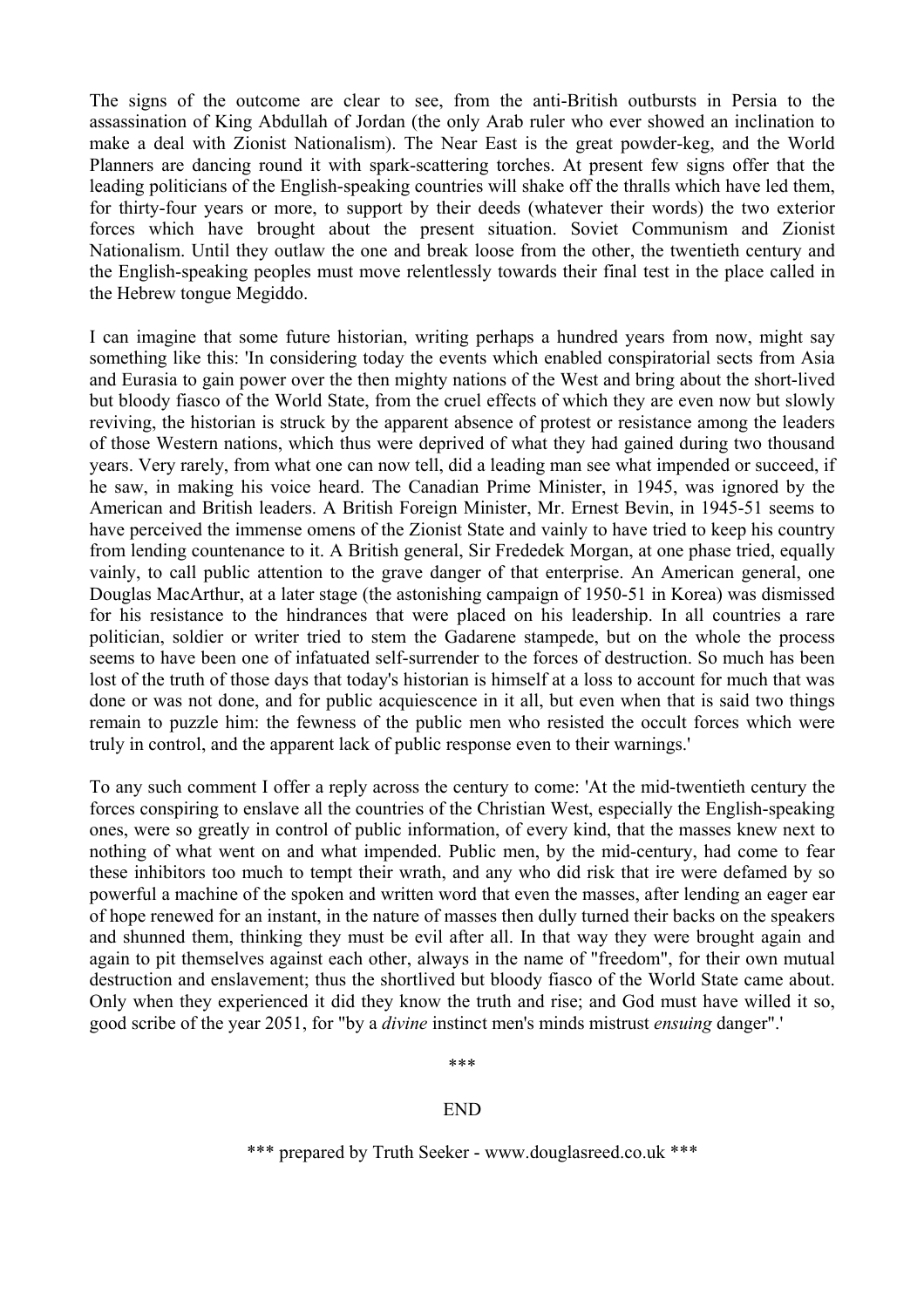The signs of the outcome are clear to see, from the anti-British outbursts in Persia to the assassination of King Abdullah of Jordan (the only Arab ruler who ever showed an inclination to make a deal with Zionist Nationalism). The Near East is the great powder-keg, and the World Planners are dancing round it with spark-scattering torches. At present few signs offer that the leading politicians of the English-speaking countries will shake off the thralls which have led them, for thirty-four years or more, to support by their deeds (whatever their words) the two exterior forces which have brought about the present situation. Soviet Communism and Zionist Nationalism. Until they outlaw the one and break loose from the other, the twentieth century and the English-speaking peoples must move relentlessly towards their final test in the place called in the Hebrew tongue Megiddo.

I can imagine that some future historian, writing perhaps a hundred years from now, might say something like this: 'In considering today the events which enabled conspiratorial sects from Asia and Eurasia to gain power over the then mighty nations of the West and bring about the short-lived but bloody fiasco of the World State, from the cruel effects of which they are even now but slowly reviving, the historian is struck by the apparent absence of protest or resistance among the leaders of those Western nations, which thus were deprived of what they had gained during two thousand years. Very rarely, from what one can now tell, did a leading man see what impended or succeed, if he saw, in making his voice heard. The Canadian Prime Minister, in 1945, was ignored by the American and British leaders. A British Foreign Minister, Mr. Ernest Bevin, in 1945-51 seems to have perceived the immense omens of the Zionist State and vainly to have tried to keep his country from lending countenance to it. A British general, Sir Frededek Morgan, at one phase tried, equally vainly, to call public attention to the grave danger of that enterprise. An American general, one Douglas MacArthur, at a later stage (the astonishing campaign of 1950-51 in Korea) was dismissed for his resistance to the hindrances that were placed on his leadership. In all countries a rare politician, soldier or writer tried to stem the Gadarene stampede, but on the whole the process seems to have been one of infatuated self-surrender to the forces of destruction. So much has been lost of the truth of those days that today's historian is himself at a loss to account for much that was done or was not done, and for public acquiescence in it all, but even when that is said two things remain to puzzle him: the fewness of the public men who resisted the occult forces which were truly in control, and the apparent lack of public response even to their warnings.'

To any such comment I offer a reply across the century to come: 'At the mid-twentieth century the forces conspiring to enslave all the countries of the Christian West, especially the English-speaking ones, were so greatly in control of public information, of every kind, that the masses knew next to nothing of what went on and what impended. Public men, by the mid-century, had come to fear these inhibitors too much to tempt their wrath, and any who did risk that ire were defamed by so powerful a machine of the spoken and written word that even the masses, after lending an eager ear of hope renewed for an instant, in the nature of masses then dully turned their backs on the speakers and shunned them, thinking they must be evil after all. In that way they were brought again and again to pit themselves against each other, always in the name of "freedom", for their own mutual destruction and enslavement; thus the shortlived but bloody fiasco of the World State came about. Only when they experienced it did they know the truth and rise; and God must have willed it so, good scribe of the year 2051, for "by a *divine* instinct men's minds mistrust *ensuing* danger".'

\*\*\*

#### END

\*\*\* prepared by Truth Seeker - www.douglasreed.co.uk \*\*\*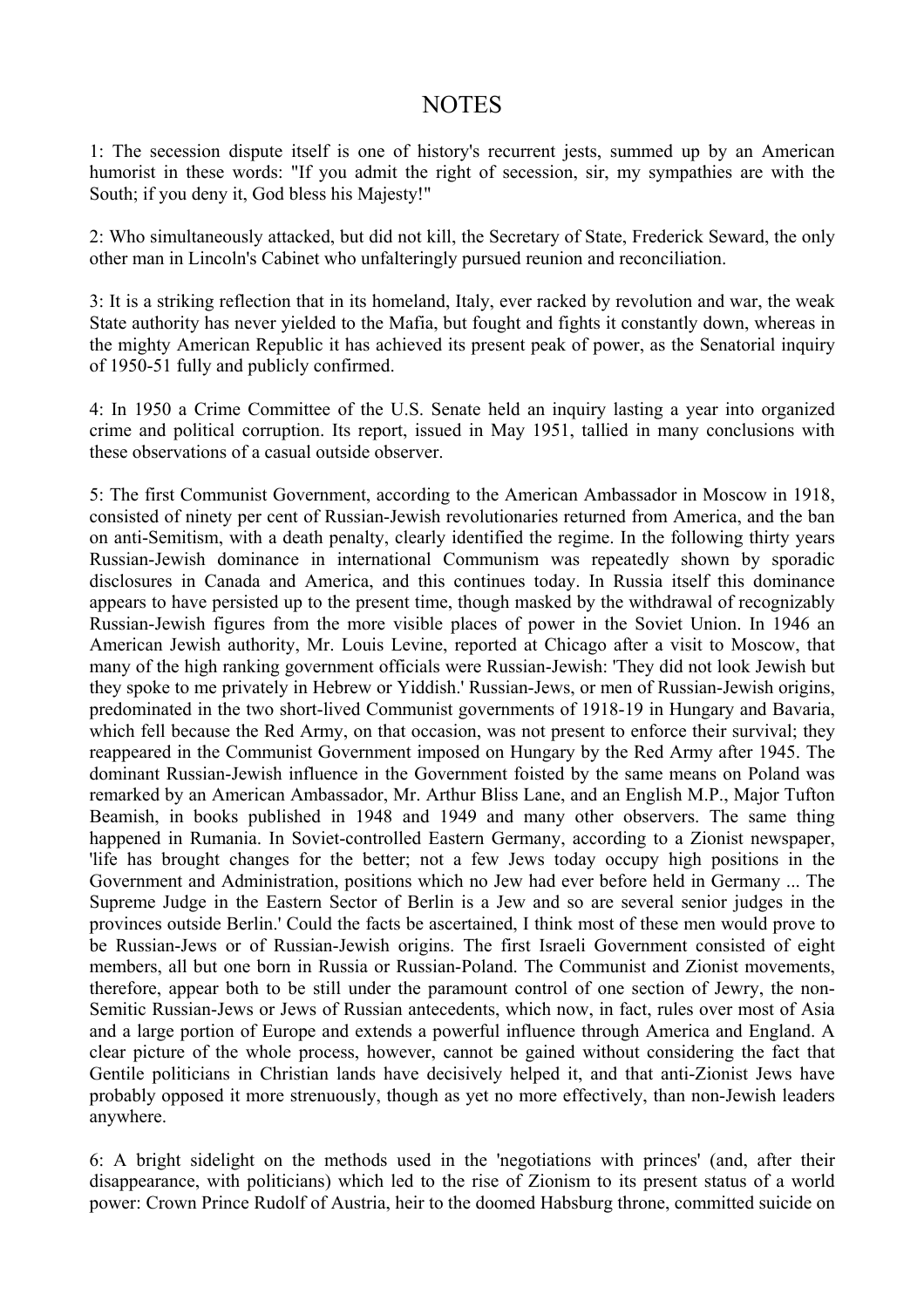#### NOTES

1: The secession dispute itself is one of history's recurrent jests, summed up by an American humorist in these words: "If you admit the right of secession, sir, my sympathies are with the South; if you deny it, God bless his Majesty!"

2: Who simultaneously attacked, but did not kill, the Secretary of State, Frederick Seward, the only other man in Lincoln's Cabinet who unfalteringly pursued reunion and reconciliation.

3: It is a striking reflection that in its homeland, Italy, ever racked by revolution and war, the weak State authority has never yielded to the Mafia, but fought and fights it constantly down, whereas in the mighty American Republic it has achieved its present peak of power, as the Senatorial inquiry of 1950-51 fully and publicly confirmed.

4: In 1950 a Crime Committee of the U.S. Senate held an inquiry lasting a year into organized crime and political corruption. Its report, issued in May 1951, tallied in many conclusions with these observations of a casual outside observer.

5: The first Communist Government, according to the American Ambassador in Moscow in 1918, consisted of ninety per cent of Russian-Jewish revolutionaries returned from America, and the ban on anti-Semitism, with a death penalty, clearly identified the regime. In the following thirty years Russian-Jewish dominance in international Communism was repeatedly shown by sporadic disclosures in Canada and America, and this continues today. In Russia itself this dominance appears to have persisted up to the present time, though masked by the withdrawal of recognizably Russian-Jewish figures from the more visible places of power in the Soviet Union. In 1946 an American Jewish authority, Mr. Louis Levine, reported at Chicago after a visit to Moscow, that many of the high ranking government officials were Russian-Jewish: 'They did not look Jewish but they spoke to me privately in Hebrew or Yiddish.' Russian-Jews, or men of Russian-Jewish origins, predominated in the two short-lived Communist governments of 1918-19 in Hungary and Bavaria, which fell because the Red Army, on that occasion, was not present to enforce their survival; they reappeared in the Communist Government imposed on Hungary by the Red Army after 1945. The dominant Russian-Jewish influence in the Government foisted by the same means on Poland was remarked by an American Ambassador, Mr. Arthur Bliss Lane, and an English M.P., Major Tufton Beamish, in books published in 1948 and 1949 and many other observers. The same thing happened in Rumania. In Soviet-controlled Eastern Germany, according to a Zionist newspaper, 'life has brought changes for the better; not a few Jews today occupy high positions in the Government and Administration, positions which no Jew had ever before held in Germany ... The Supreme Judge in the Eastern Sector of Berlin is a Jew and so are several senior judges in the provinces outside Berlin.' Could the facts be ascertained, I think most of these men would prove to be Russian-Jews or of Russian-Jewish origins. The first Israeli Government consisted of eight members, all but one born in Russia or Russian-Poland. The Communist and Zionist movements, therefore, appear both to be still under the paramount control of one section of Jewry, the non-Semitic Russian-Jews or Jews of Russian antecedents, which now, in fact, rules over most of Asia and a large portion of Europe and extends a powerful influence through America and England. A clear picture of the whole process, however, cannot be gained without considering the fact that Gentile politicians in Christian lands have decisively helped it, and that anti-Zionist Jews have probably opposed it more strenuously, though as yet no more effectively, than non-Jewish leaders anywhere.

6: A bright sidelight on the methods used in the 'negotiations with princes' (and, after their disappearance, with politicians) which led to the rise of Zionism to its present status of a world power: Crown Prince Rudolf of Austria, heir to the doomed Habsburg throne, committed suicide on